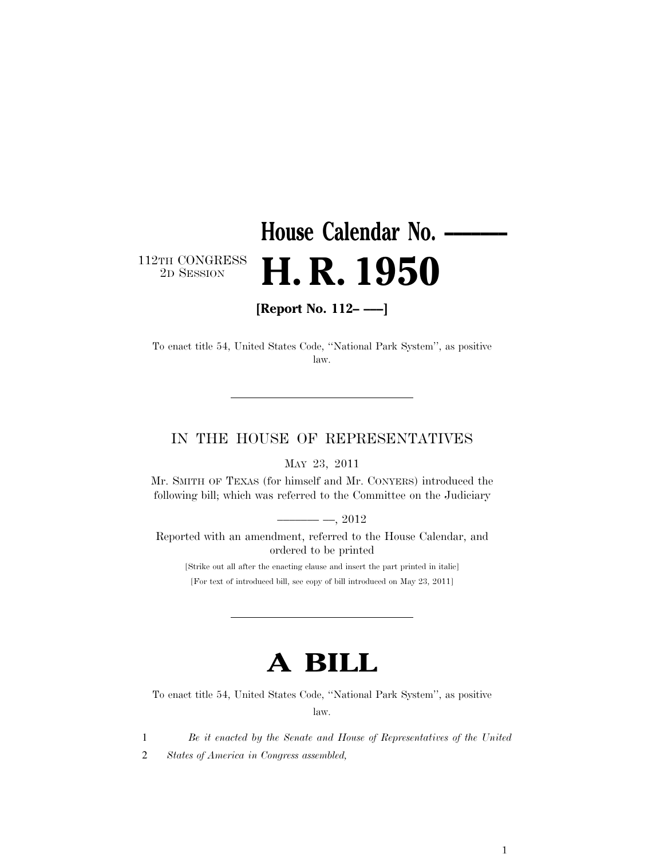## **House Calendar No. –––––––**  $\begin{array}{c} \textbf{112TH CONGRESS} \\ \textbf{2D SESSION} \end{array}$ 2D SESSION **H. R. 1950**

**[Report No. 112– –––]**

To enact title 54, United States Code, ''National Park System'', as positive law.

## IN THE HOUSE OF REPRESENTATIVES

MAY 23, 2011

Mr. SMITH OF TEXAS (for himself and Mr. CONYERS) introduced the following bill; which was referred to the Committee on the Judiciary

 $-$ , 2012

Reported with an amendment, referred to the House Calendar, and ordered to be printed

[Strike out all after the enacting clause and insert the part printed in italic] [For text of introduced bill, see copy of bill introduced on May 23, 2011]

# **A BILL**

To enact title 54, United States Code, ''National Park System'', as positive law.

1 *Be it enacted by the Senate and House of Representatives of the United* 2 *States of America in Congress assembled,*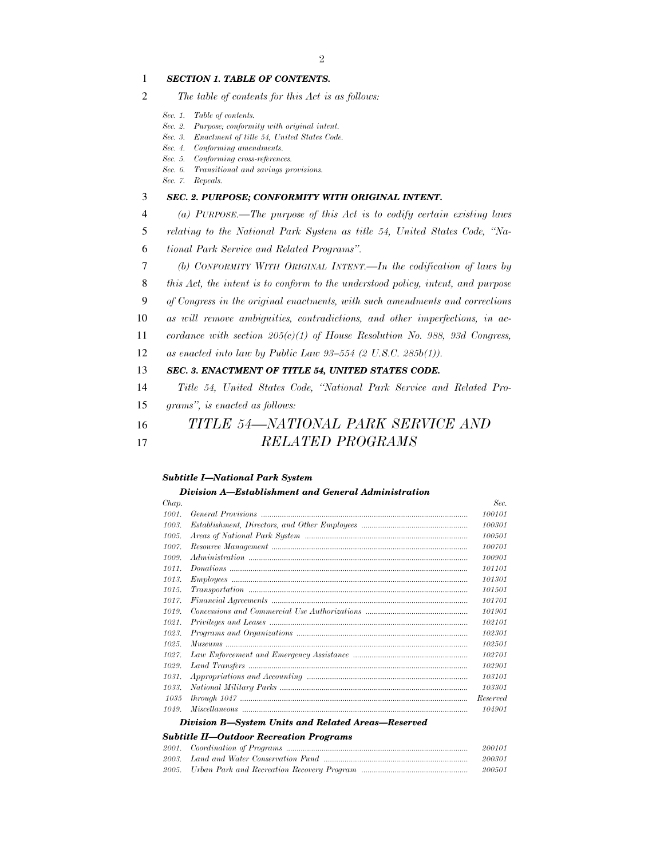#### 1 *SECTION 1. TABLE OF CONTENTS.*

- 2 *The table of contents for this Act is as follows:*
	- *Sec. 1. Table of contents.*
	- *Sec. 2. Purpose; conformity with original intent.*
	- *Sec. 3. Enactment of title 54, United States Code.*
	- *Sec. 4. Conforming amendments.*
	- *Sec. 5. Conforming cross-references.*
	- *Sec. 6. Transitional and savings provisions.*
	- *Sec. 7. Repeals.*

#### 3 *SEC. 2. PURPOSE; CONFORMITY WITH ORIGINAL INTENT.*

4 *(a) PURPOSE.—The purpose of this Act is to codify certain existing laws*

- 5 *relating to the National Park System as title 54, United States Code, ''Na-*
- 6 *tional Park Service and Related Programs''.*
- 7 *(b) CONFORMITY WITH ORIGINAL INTENT.—In the codification of laws by*
- 8 *this Act, the intent is to conform to the understood policy, intent, and purpose*
- 9 *of Congress in the original enactments, with such amendments and corrections*
- 10 *as will remove ambiguities, contradictions, and other imperfections, in ac-*
- 11 *cordance with section 205(c)(1) of House Resolution No. 988, 93d Congress,*
- 12 *as enacted into law by Public Law 93–554 (2 U.S.C. 285b(1)).*
- 13 *SEC. 3. ENACTMENT OF TITLE 54, UNITED STATES CODE.*
- 14 *Title 54, United States Code, ''National Park Service and Related Pro-*
- 15 *grams'', is enacted as follows:*

## 16 *TITLE 54—NATIONAL PARK SERVICE AND* 17 *RELATED PROGRAMS*

#### *Subtitle I—National Park System*

#### *Division A—Establishment and General Administration Chap. Sec. 1001. General Provisions ................................................................................................... 100101 1003. Establishment, Directors, and Other Employees ................................................... 100301 1005. Areas of National Park System .............................................................................. 100501 1007. Resource Management .............................................................................................. 100701 1009. Administration ......................................................................................................... 100901 1011. Donations .................................................................................................................. 101101 1013. Employees ................................................................................................................. 101301 1015. Transportation ......................................................................................................... 101501 1017. Financial Agreements .............................................................................................. 101701 1019. Concessions and Commercial Use Authorizations ................................................. 101901 1021. Privileges and Leases ............................................................................................... 102101 1023. Programs and Organizations .................................................................................. 102301 1025. Museums .................................................................................................................... 102501 1027. Law Enforcement and Emergency Assistance ....................................................... 102701 1029. Land Transfers ......................................................................................................... 102901 1031. Appropriations and Accounting ............................................................................. 103101 1033. National Military Parks .......................................................................................... 103301 1035 through 1047 ............................................................................................................. Reserved 1049. Miscellaneous ............................................................................................................ 104901*

#### *Division B—System Units and Related Areas—Reserved*

#### *Subtitle II—Outdoor Recreation Programs*

|  | 200101 |
|--|--------|
|  | 200301 |
|  | 200501 |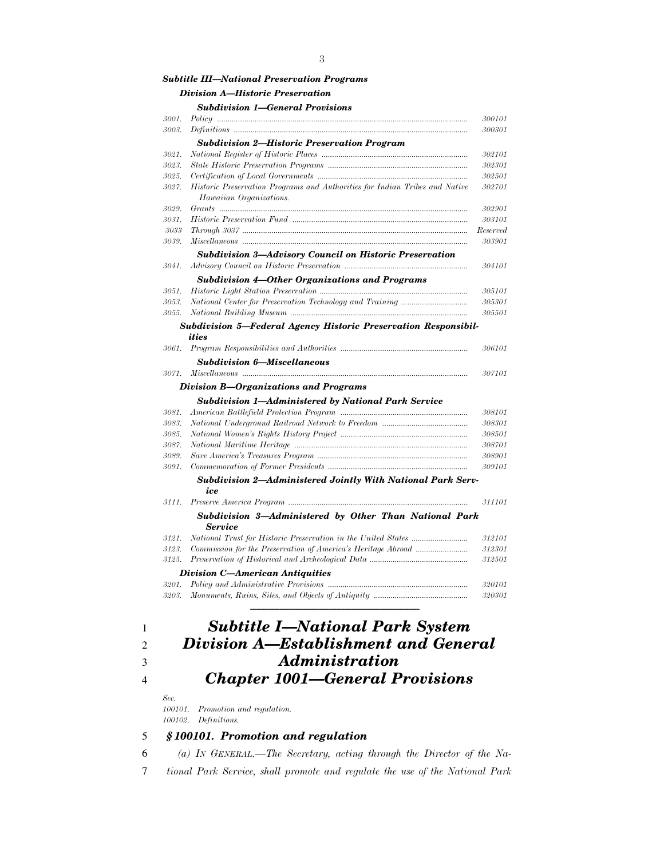#### *Subtitle III—National Preservation Programs*

*Division A—Historic Preservation*

| 3001. |                                                                                                               | 300101   |
|-------|---------------------------------------------------------------------------------------------------------------|----------|
| 3003. |                                                                                                               | 300301   |
|       | <b>Subdivision 2-Historic Preservation Program</b>                                                            |          |
| 3021. |                                                                                                               | 302101   |
| 3023. |                                                                                                               | 302301   |
| 3025. |                                                                                                               | 302501   |
| 3027. | Historic Preservation Programs and Authorities for Indian Tribes and Native<br><i>Hawaiian Organizations.</i> | 302701   |
| 3029. |                                                                                                               | 302901   |
| 3031. |                                                                                                               | 303101   |
| 3033  |                                                                                                               | Reserved |
| 3039. |                                                                                                               | 303901   |
|       | <b>Subdivision 3-Advisory Council on Historic Preservation</b>                                                |          |
| 3041. |                                                                                                               | 304101   |
|       | <b>Subdivision 4-Other Organizations and Programs</b>                                                         |          |
| 3051. |                                                                                                               | 305101   |
| 3053. |                                                                                                               | 305301   |
| 3055. |                                                                                                               | 305501   |
|       | Subdivision 5-Federal Agency Historic Preservation Responsibil-<br>ities                                      |          |
| 3061. |                                                                                                               | 306101   |
|       | <b>Subdivision 6-Miscellaneous</b>                                                                            |          |
| 3071. |                                                                                                               | 307101   |
|       | Division B-Organizations and Programs                                                                         |          |
|       | <b>Subdivision 1-Administered by National Park Service</b>                                                    |          |
| 3081. |                                                                                                               | 308101   |
| 3083. |                                                                                                               | 308301   |
| 3085. |                                                                                                               | 308501   |
| 3087. |                                                                                                               | 308701   |
| 3089. |                                                                                                               | 308901   |
| 3091. |                                                                                                               | 309101   |
|       | <b>Subdivision 2–Administered Jointly With National Park Serv-</b><br>ice                                     |          |
| 3111. |                                                                                                               | 311101   |
|       | Subdivision 3-Administered by Other Than National Park<br><b>Service</b>                                      |          |
| 3121. |                                                                                                               | 312101   |
| 3123. |                                                                                                               | 312301   |
| 3125. |                                                                                                               | 312501   |
|       | <b>Division C-American Antiquities</b>                                                                        |          |
| 3201. |                                                                                                               | 320101   |
| 3203. |                                                                                                               | 320301   |

## 1 *Subtitle I—National Park System* 2 *Division A—Establishment and General* 3 *Administration* 4 *Chapter 1001—General Provisions*

*––––––––––––––––––––––––––––––––––––––––––––––––––––*

*Sec. 100101. Promotion and regulation. 100102. Definitions.*

#### 5 *§ 100101. Promotion and regulation*

6 *(a) IN GENERAL.—The Secretary, acting through the Director of the Na-*

7 *tional Park Service, shall promote and regulate the use of the National Park*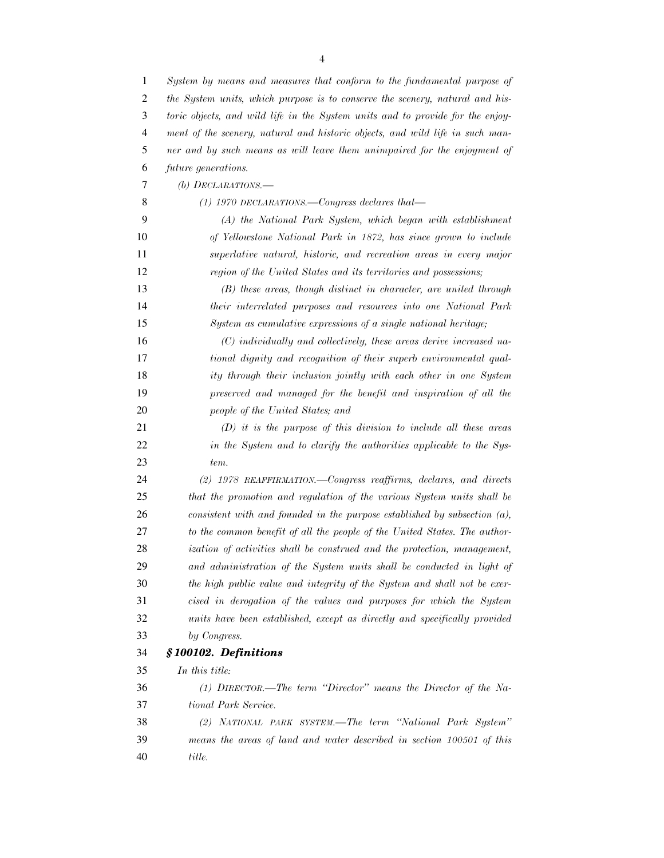| $\mathbf{1}$   | System by means and measures that conform to the fundamental purpose of        |
|----------------|--------------------------------------------------------------------------------|
| $\overline{c}$ | the System units, which purpose is to conserve the scenery, natural and his-   |
| 3              | toric objects, and wild life in the System units and to provide for the enjoy- |
| 4              | ment of the scenery, natural and historic objects, and wild life in such man-  |
| 5              | ner and by such means as will leave them unimpaired for the enjoyment of       |
| 6              | future generations.                                                            |
| 7              | $(b)$ DECLARATIONS.                                                            |
| 8              | $(1)$ 1970 DECLARATIONS.—Congress declares that—                               |
| 9              | (A) the National Park System, which began with establishment                   |
| 10             | of Yellowstone National Park in 1872, has since grown to include               |
| 11             | superlative natural, historic, and recreation areas in every major             |
| 12             | region of the United States and its territories and possessions;               |
| 13             | $(B)$ these areas, though distinct in character, are united through            |
| 14             | their interrelated purposes and resources into one National Park               |
| 15             | System as cumulative expressions of a single national heritage;                |
| 16             | (C) individually and collectively, these areas derive increased na-            |
| 17             | tional dignity and recognition of their superb environmental qual-             |
| 18             | ity through their inclusion jointly with each other in one System              |
| 19             | preserved and managed for the benefit and inspiration of all the               |
| 20             | people of the United States; and                                               |
| 21             | $(D)$ it is the purpose of this division to include all these areas            |
| 22             | in the System and to clarify the authorities applicable to the Sys-            |
| 23             | tem.                                                                           |
| 24             | (2) 1978 REAFFIRMATION.—Congress reaffirms, declares, and directs              |
| 25             | that the promotion and regulation of the various System units shall be         |
| 26             | consistent with and founded in the purpose established by subsection $(a)$ ,   |
| 27             | to the common benefit of all the people of the United States. The author-      |
| 28             | ization of activities shall be construed and the protection, management,       |
| 29             | and administration of the System units shall be conducted in light of          |
| 30             | the high public value and integrity of the System and shall not be exer-       |
| 31             | cised in derogation of the values and purposes for which the System            |
| 32             | units have been established, except as directly and specifically provided      |
| 33             | by Congress.                                                                   |
| 34             | §100102. Definitions                                                           |
| 35             | In this title:                                                                 |
| 36             | $(1)$ DIRECTOR.—The term "Director" means the Director of the Na-              |
| 37             | tional Park Service.                                                           |
| 38             | (2) NATIONAL PARK SYSTEM.—The term "National Park System"                      |
| 39             | means the areas of land and water described in section 100501 of this          |
| 40             | title.                                                                         |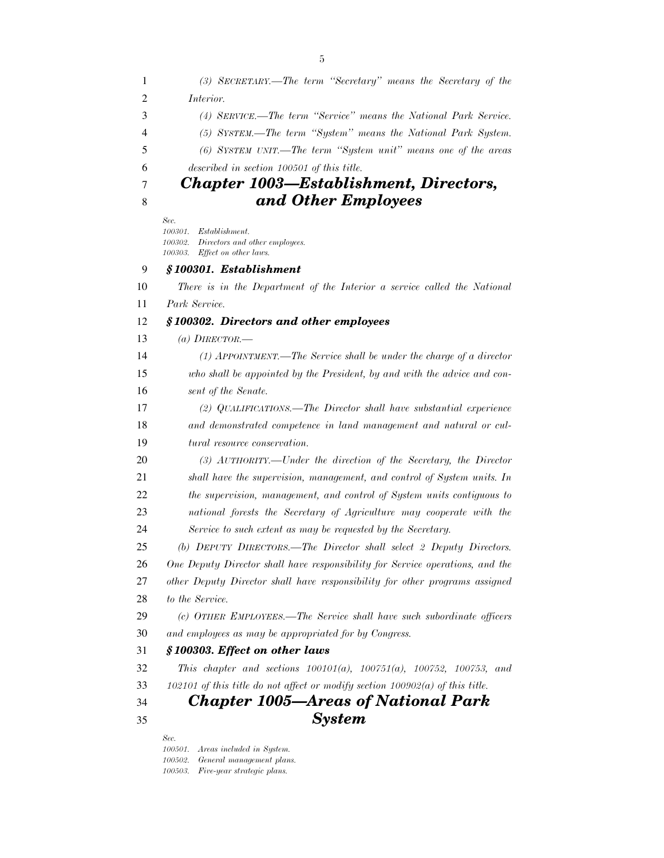*(3) SECRETARY.—The term ''Secretary'' means the Secretary of the Interior. (4) SERVICE.—The term ''Service'' means the National Park Service. (5) SYSTEM.—The term ''System'' means the National Park System. (6) SYSTEM UNIT.—The term ''System unit'' means one of the areas described in section 100501 of this title. Chapter 1003—Establishment, Directors, and Other Employees Sec. 100301. Establishment. 100302. Directors and other employees. 100303. Effect on other laws. § 100301. Establishment There is in the Department of the Interior a service called the National Park Service. § 100302. Directors and other employees (a) DIRECTOR.— (1) APPOINTMENT.—The Service shall be under the charge of a director who shall be appointed by the President, by and with the advice and con- sent of the Senate. (2) QUALIFICATIONS.—The Director shall have substantial experience and demonstrated competence in land management and natural or cul- tural resource conservation. (3) AUTHORITY.—Under the direction of the Secretary, the Director shall have the supervision, management, and control of System units. In the supervision, management, and control of System units contiguous to national forests the Secretary of Agriculture may cooperate with the Service to such extent as may be requested by the Secretary. (b) DEPUTY DIRECTORS.—The Director shall select 2 Deputy Directors. One Deputy Director shall have responsibility for Service operations, and the other Deputy Director shall have responsibility for other programs assigned to the Service. (c) OTHER EMPLOYEES.—The Service shall have such subordinate officers and employees as may be appropriated for by Congress. § 100303. Effect on other laws This chapter and sections 100101(a), 100751(a), 100752, 100753, and 102101 of this title do not affect or modify section 100902(a) of this title. Chapter 1005—Areas of National Park System Sec. 100501. Areas included in System.*

*100502. General management plans. 100503. Five-year strategic plans.*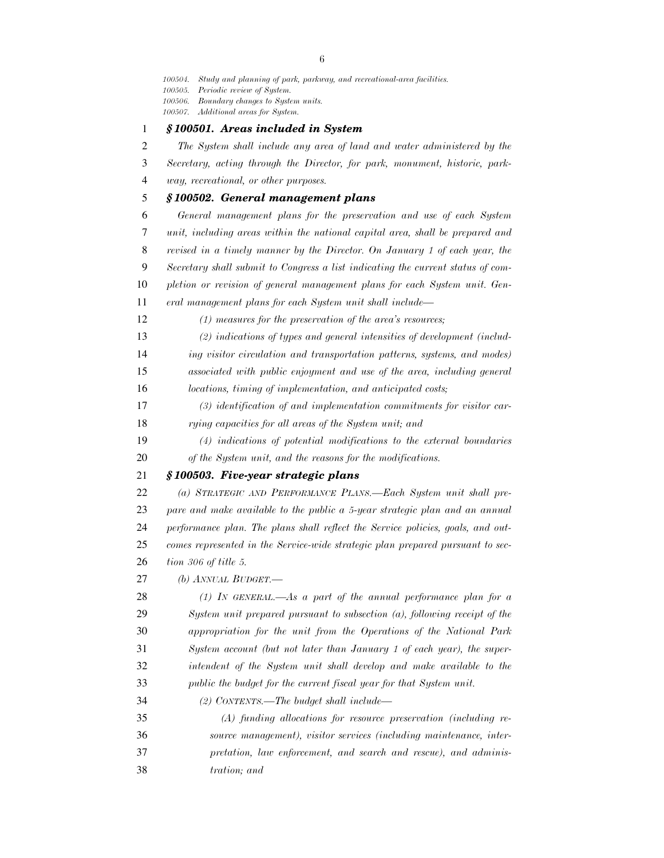*100504. Study and planning of park, parkway, and recreational-area facilities. 100505. Periodic review of System. 100506. Boundary changes to System units. 100507. Additional areas for System. § 100501. Areas included in System The System shall include any area of land and water administered by the Secretary, acting through the Director, for park, monument, historic, park- way, recreational, or other purposes. § 100502. General management plans General management plans for the preservation and use of each System unit, including areas within the national capital area, shall be prepared and revised in a timely manner by the Director. On January 1 of each year, the Secretary shall submit to Congress a list indicating the current status of com- pletion or revision of general management plans for each System unit. Gen- eral management plans for each System unit shall include— (1) measures for the preservation of the area's resources; (2) indications of types and general intensities of development (includ- ing visitor circulation and transportation patterns, systems, and modes) associated with public enjoyment and use of the area, including general locations, timing of implementation, and anticipated costs; (3) identification of and implementation commitments for visitor car- rying capacities for all areas of the System unit; and (4) indications of potential modifications to the external boundaries of the System unit, and the reasons for the modifications. § 100503. Five-year strategic plans (a) STRATEGIC AND PERFORMANCE PLANS.—Each System unit shall pre- pare and make available to the public a 5-year strategic plan and an annual performance plan. The plans shall reflect the Service policies, goals, and out- comes represented in the Service-wide strategic plan prepared pursuant to sec- tion 306 of title 5. (b) ANNUAL BUDGET.— (1) IN GENERAL.—As a part of the annual performance plan for a System unit prepared pursuant to subsection (a), following receipt of the appropriation for the unit from the Operations of the National Park System account (but not later than January 1 of each year), the super- intendent of the System unit shall develop and make available to the public the budget for the current fiscal year for that System unit. (2) CONTENTS.—The budget shall include— (A) funding allocations for resource preservation (including re- source management), visitor services (including maintenance, inter- pretation, law enforcement, and search and rescue), and adminis-tration; and*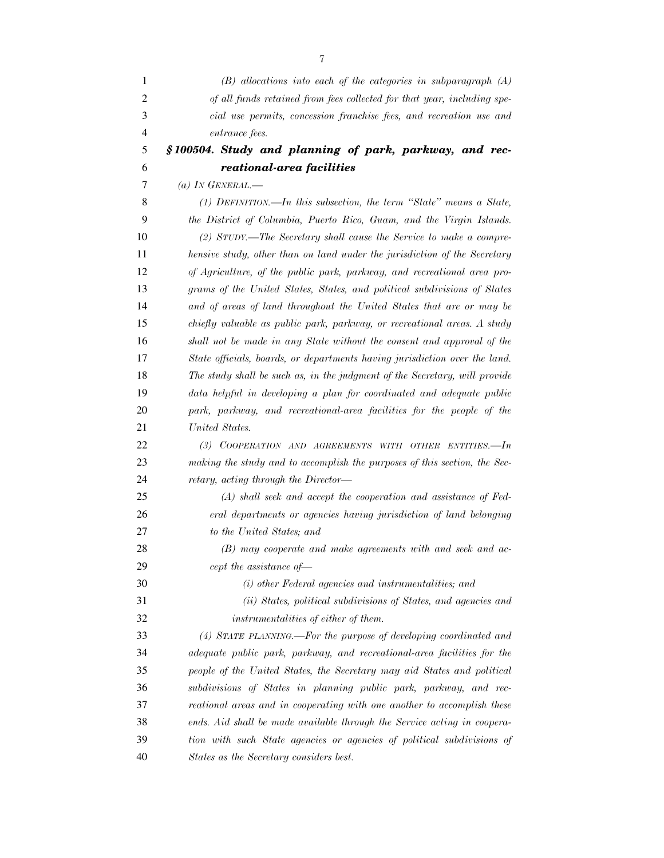| 1              | $(B)$ allocations into each of the categories in subparagraph $(A)$        |
|----------------|----------------------------------------------------------------------------|
| $\overline{c}$ | of all funds retained from fees collected for that year, including spe-    |
| 3              | cial use permits, concession franchise fees, and recreation use and        |
| 4              | entrance fees.                                                             |
| 5              | §100504. Study and planning of park, parkway, and rec-                     |
| 6              | reational-area facilities                                                  |
| 7              | (a) IN GENERAL.—                                                           |
| 8              | $(1)$ DEFINITION.—In this subsection, the term "State" means a State,      |
| 9              | the District of Columbia, Puerto Rico, Guam, and the Virgin Islands.       |
| 10             | (2) STUDY.—The Secretary shall cause the Service to make a compre-         |
| 11             | hensive study, other than on land under the jurisdiction of the Secretary  |
| 12             | of Agriculture, of the public park, parkway, and recreational area pro-    |
| 13             | grams of the United States, States, and political subdivisions of States   |
| 14             | and of areas of land throughout the United States that are or may be       |
| 15             | chiefly valuable as public park, parkway, or recreational areas. A study   |
| 16             | shall not be made in any State without the consent and approval of the     |
| 17             | State officials, boards, or departments having jurisdiction over the land. |
| 18             | The study shall be such as, in the judgment of the Secretary, will provide |
| 19             | data helpful in developing a plan for coordinated and adequate public      |
| 20             | park, parkway, and recreational-area facilities for the people of the      |
| 21             | United States.                                                             |
| 22             | (3) COOPERATION AND AGREEMENTS WITH OTHER ENTITIES.—In                     |
| 23             | making the study and to accomplish the purposes of this section, the Sec-  |
| 24             | retary, acting through the Director-                                       |
| 25             | $(A)$ shall seek and accept the cooperation and assistance of Fed-         |
| 26             | eral departments or agencies having jurisdiction of land belonging         |
| 27             | to the United States; and                                                  |
| 28             | $(B)$ may cooperate and make agreements with and seek and ac-              |
| 29             | cept the assistance of $\equiv$                                            |
| 30             | (i) other Federal agencies and instrumentalities; and                      |
| 31             | (ii) States, political subdivisions of States, and agencies and            |
| 32             | instrumentalities of either of them.                                       |
| 33             | (4) STATE PLANNING.—For the purpose of developing coordinated and          |
| 34             | adequate public park, parkway, and recreational-area facilities for the    |
| 35             | people of the United States, the Secretary may aid States and political    |
| 36             | subdivisions of States in planning public park, parkway, and rec-          |
| 37             | reational areas and in cooperating with one another to accomplish these    |
| 38             | ends. Aid shall be made available through the Service acting in coopera-   |
| 39             | tion with such State agencies or agencies of political subdivisions of     |
| 40             | States as the Secretary considers best.                                    |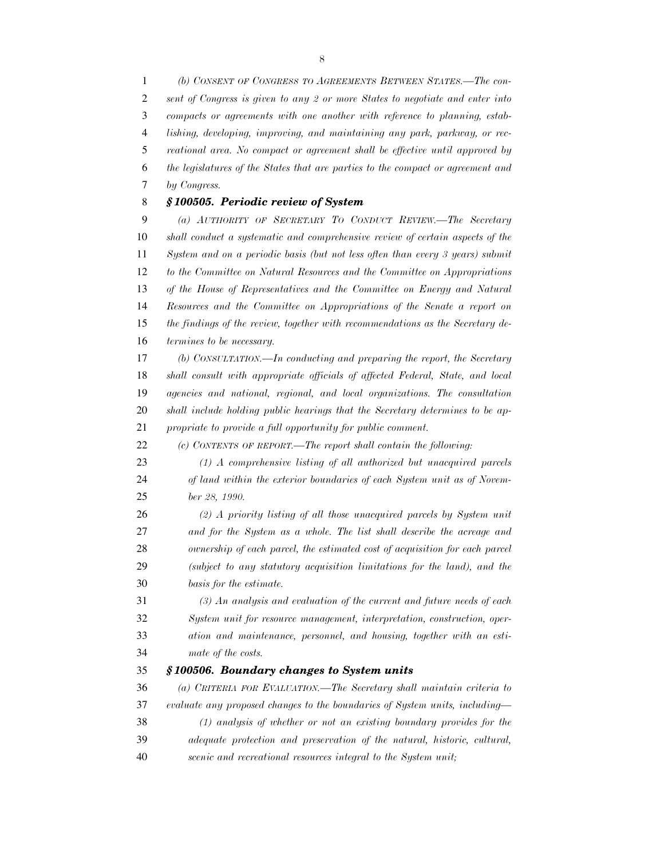*(b) CONSENT OF CONGRESS TO AGREEMENTS BETWEEN STATES.—The con- sent of Congress is given to any 2 or more States to negotiate and enter into compacts or agreements with one another with reference to planning, estab- lishing, developing, improving, and maintaining any park, parkway, or rec- reational area. No compact or agreement shall be effective until approved by the legislatures of the States that are parties to the compact or agreement and by Congress.*

#### *§ 100505. Periodic review of System*

 *(a) AUTHORITY OF SECRETARY TO CONDUCT REVIEW.—The Secretary shall conduct a systematic and comprehensive review of certain aspects of the System and on a periodic basis (but not less often than every 3 years) submit to the Committee on Natural Resources and the Committee on Appropriations of the House of Representatives and the Committee on Energy and Natural Resources and the Committee on Appropriations of the Senate a report on the findings of the review, together with recommendations as the Secretary de-termines to be necessary.*

 *(b) CONSULTATION.—In conducting and preparing the report, the Secretary shall consult with appropriate officials of affected Federal, State, and local agencies and national, regional, and local organizations. The consultation shall include holding public hearings that the Secretary determines to be ap-propriate to provide a full opportunity for public comment.*

*(c) CONTENTS OF REPORT.—The report shall contain the following:*

 *(1) A comprehensive listing of all authorized but unacquired parcels of land within the exterior boundaries of each System unit as of Novem-ber 28, 1990.*

 *(2) A priority listing of all those unacquired parcels by System unit and for the System as a whole. The list shall describe the acreage and ownership of each parcel, the estimated cost of acquisition for each parcel (subject to any statutory acquisition limitations for the land), and the basis for the estimate.*

 *(3) An analysis and evaluation of the current and future needs of each System unit for resource management, interpretation, construction, oper- ation and maintenance, personnel, and housing, together with an esti-mate of the costs.*

#### *§ 100506. Boundary changes to System units*

 *(a) CRITERIA FOR EVALUATION.—The Secretary shall maintain criteria to evaluate any proposed changes to the boundaries of System units, including— (1) analysis of whether or not an existing boundary provides for the adequate protection and preservation of the natural, historic, cultural, scenic and recreational resources integral to the System unit;*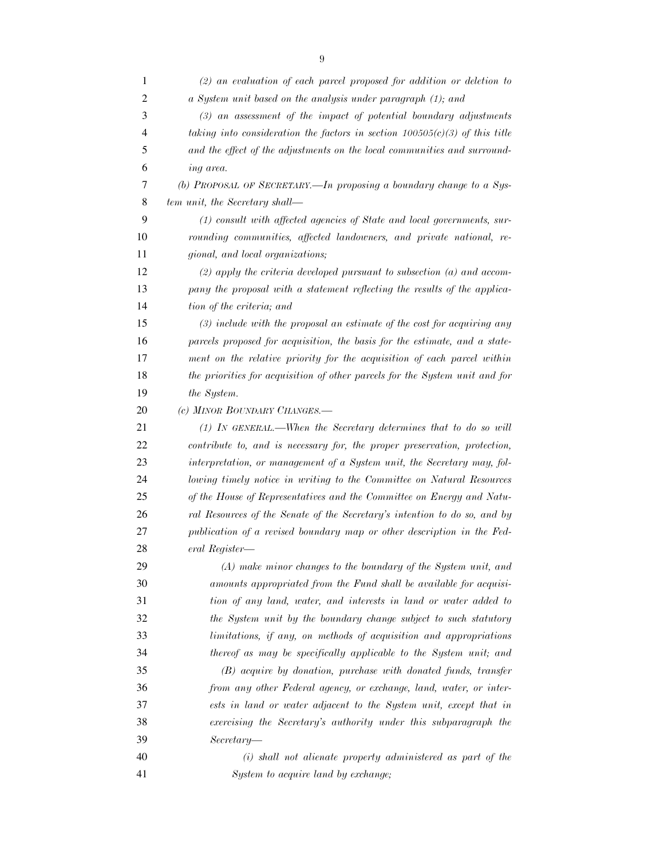| $\mathbf{1}$ | $(2)$ an evaluation of each parcel proposed for addition or deletion to       |
|--------------|-------------------------------------------------------------------------------|
| 2            | a System unit based on the analysis under paragraph (1); and                  |
| 3            | $(3)$ an assessment of the impact of potential boundary adjustments           |
| 4            | taking into consideration the factors in section $100505(c)(3)$ of this title |
| 5            | and the effect of the adjustments on the local communities and surround-      |
| 6            | ing area.                                                                     |
| 7            | (b) PROPOSAL OF SECRETARY. - In proposing a boundary change to a Sys-         |
| 8            | tem unit, the Secretary shall—                                                |
| 9            | (1) consult with affected agencies of State and local governments, sur-       |
| 10           | rounding communities, affected landowners, and private national, re-          |
| 11           | gional, and local organizations;                                              |
| 12           | $(2)$ apply the criteria developed pursuant to subsection $(a)$ and accom-    |
| 13           | pany the proposal with a statement reflecting the results of the applica-     |
| 14           | tion of the criteria; and                                                     |
| 15           | $(3)$ include with the proposal an estimate of the cost for acquiring any     |
| 16           | parcels proposed for acquisition, the basis for the estimate, and a state-    |
| 17           | ment on the relative priority for the acquisition of each parcel within       |
| 18           | the priorities for acquisition of other parcels for the System unit and for   |
| 19           | the System.                                                                   |
| 20           | (c) MINOR BOUNDARY CHANGES.-                                                  |
| 21           | $(1)$ IN GENERAL.—When the Secretary determines that to do so will            |
| 22           | contribute to, and is necessary for, the proper preservation, protection,     |
| 23           | interpretation, or management of a System unit, the Secretary may, fol-       |
| 24           | lowing timely notice in writing to the Committee on Natural Resources         |
| 25           | of the House of Representatives and the Committee on Energy and Natu-         |
| 26           | ral Resources of the Senate of the Secretary's intention to do so, and by     |
| 27           | publication of a revised boundary map or other description in the Fed-        |
| 28           | eral Register-                                                                |
| 29           | (A) make minor changes to the boundary of the System unit, and                |
| 30           | amounts appropriated from the Fund shall be available for acquisi-            |
| 31           | tion of any land, water, and interests in land or water added to              |
| 32           | the System unit by the boundary change subject to such statutory              |
| 33           | limitations, if any, on methods of acquisition and appropriations             |
| 34           | thereof as may be specifically applicable to the System unit; and             |
| 35           | (B) acquire by donation, purchase with donated funds, transfer                |
| 36           | from any other Federal agency, or exchange, land, water, or inter-            |
| 37           | ests in land or water adjacent to the System unit, except that in             |
| 38           | exercising the Secretary's authority under this subparagraph the              |
| 39           | $Secretary-$                                                                  |
| 40           | (i) shall not alienate property administered as part of the                   |
| 41           | System to acquire land by exchange;                                           |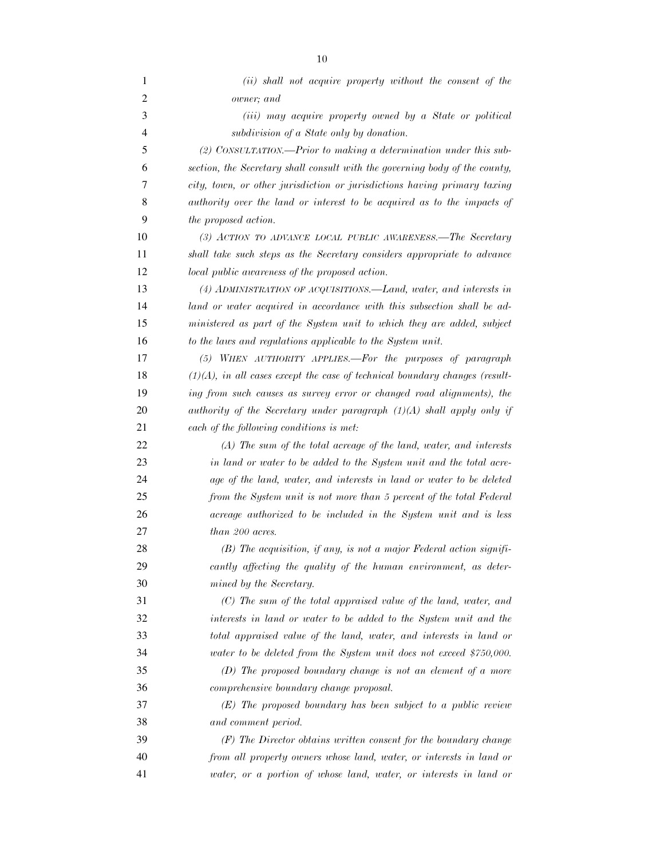| 1  | (ii) shall not acquire property without the consent of the                     |
|----|--------------------------------------------------------------------------------|
| 2  | owner; and                                                                     |
| 3  | (iii) may acquire property owned by a State or political                       |
| 4  | subdivision of a State only by donation.                                       |
| 5  | $(2)$ CONSULTATION.—Prior to making a determination under this sub-            |
| 6  | section, the Secretary shall consult with the governing body of the county,    |
| 7  | city, town, or other jurisdiction or jurisdictions having primary taxing       |
| 8  | authority over the land or interest to be acquired as to the impacts of        |
| 9  | the proposed action.                                                           |
| 10 | (3) ACTION TO ADVANCE LOCAL PUBLIC AWARENESS.—The Secretary                    |
| 11 | shall take such steps as the Secretary considers appropriate to advance        |
| 12 | local public awareness of the proposed action.                                 |
| 13 | (4) ADMINISTRATION OF ACQUISITIONS.—Land, water, and interests in              |
| 14 | land or water acquired in accordance with this subsection shall be ad-         |
| 15 | ministered as part of the System unit to which they are added, subject         |
| 16 | to the laws and regulations applicable to the System unit.                     |
| 17 | (5) WHEN AUTHORITY APPLIES.—For the purposes of paragraph                      |
| 18 | $(1)(A)$ , in all cases except the case of technical boundary changes (result- |
| 19 | ing from such causes as survey error or changed road alignments), the          |
| 20 | authority of the Secretary under paragraph $(1)(A)$ shall apply only if        |
| 21 | each of the following conditions is met:                                       |
| 22 | $(A)$ The sum of the total acreage of the land, water, and interests           |
| 23 | in land or water to be added to the System unit and the total acre-            |
| 24 | age of the land, water, and interests in land or water to be deleted           |
| 25 | from the System unit is not more than 5 percent of the total Federal           |
| 26 | acreage authorized to be included in the System unit and is less               |
| 27 | than 200 acres.                                                                |
| 28 | $(B)$ The acquisition, if any, is not a major Federal action signifi-          |
| 29 | cantly affecting the quality of the human environment, as deter-               |
| 30 | mined by the Secretary.                                                        |
| 31 | $(C)$ The sum of the total appraised value of the land, water, and             |
| 32 | interests in land or water to be added to the System unit and the              |
| 33 | total appraised value of the land, water, and interests in land or             |
| 34 | water to be deleted from the System unit does not exceed \$750,000.            |
| 35 | $(D)$ The proposed boundary change is not an element of a more                 |
| 36 | comprehensive boundary change proposal.                                        |
| 37 | $(E)$ The proposed boundary has been subject to a public review                |
| 38 | and comment period.                                                            |
| 39 | $(F)$ The Director obtains written consent for the boundary change             |
| 40 | from all property owners whose land, water, or interests in land or            |
| 41 | water, or a portion of whose land, water, or interests in land or              |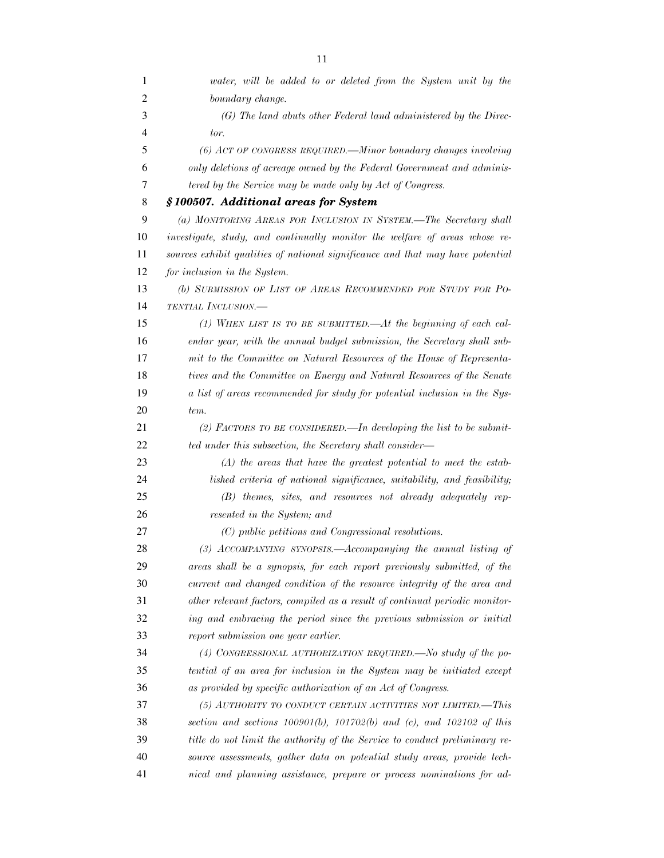| 1  | water, will be added to or deleted from the System unit by the                 |
|----|--------------------------------------------------------------------------------|
| 2  | boundary change.                                                               |
| 3  | $(G)$ The land abuts other Federal land administered by the Direc-             |
| 4  | tor.                                                                           |
| 5  | (6) ACT OF CONGRESS REQUIRED.—Minor boundary changes involving                 |
| 6  | only deletions of acreage owned by the Federal Government and adminis-         |
| 7  | tered by the Service may be made only by Act of Congress.                      |
| 8  | §100507. Additional areas for System                                           |
| 9  | (a) MONITORING AREAS FOR INCLUSION IN SYSTEM.-The Secretary shall              |
| 10 | investigate, study, and continually monitor the welfare of areas whose re-     |
| 11 | sources exhibit qualities of national significance and that may have potential |
| 12 | for inclusion in the System.                                                   |
| 13 | (b) SUBMISSION OF LIST OF AREAS RECOMMENDED FOR STUDY FOR PO-                  |
| 14 | <b>TENTIAL INCLUSION.—</b>                                                     |
| 15 | (1) WHEN LIST IS TO BE SUBMITTED.—At the beginning of each cal-                |
| 16 | endar year, with the annual budget submission, the Secretary shall sub-        |
| 17 | mit to the Committee on Natural Resources of the House of Representa-          |
| 18 | tives and the Committee on Energy and Natural Resources of the Senate          |
| 19 | a list of areas recommended for study for potential inclusion in the Sys-      |
| 20 | tem.                                                                           |
| 21 | (2) FACTORS TO BE CONSIDERED.—In developing the list to be submit-             |
| 22 | ted under this subsection, the Secretary shall consider—                       |
| 23 | $(A)$ the areas that have the greatest potential to meet the estab-            |
| 24 | lished criteria of national significance, suitability, and feasibility;        |
| 25 | (B) themes, sites, and resources not already adequately rep-                   |
| 26 | resented in the System; and                                                    |
| 27 | (C) public petitions and Congressional resolutions.                            |
| 28 | $(3)$ ACCOMPANYING SYNOPSIS.—Accompanying the annual listing of                |
| 29 | areas shall be a synopsis, for each report previously submitted, of the        |
| 30 | current and changed condition of the resource integrity of the area and        |
| 31 | other relevant factors, compiled as a result of continual periodic monitor-    |
| 32 | ing and embracing the period since the previous submission or initial          |
| 33 | report submission one year earlier.                                            |
| 34 | (4) CONGRESSIONAL AUTHORIZATION REQUIRED. No study of the po-                  |
| 35 | tential of an area for inclusion in the System may be initiated except         |
| 36 | as provided by specific authorization of an Act of Congress.                   |
| 37 | (5) AUTHORITY TO CONDUCT CERTAIN ACTIVITIES NOT LIMITED.—This                  |
| 38 | section and sections $100901(b)$ , $101702(b)$ and (c), and $102102$ of this   |
| 39 | title do not limit the authority of the Service to conduct preliminary re-     |
| 40 | source assessments, gather data on potential study areas, provide tech-        |
| 41 | nical and planning assistance, prepare or process nominations for ad-          |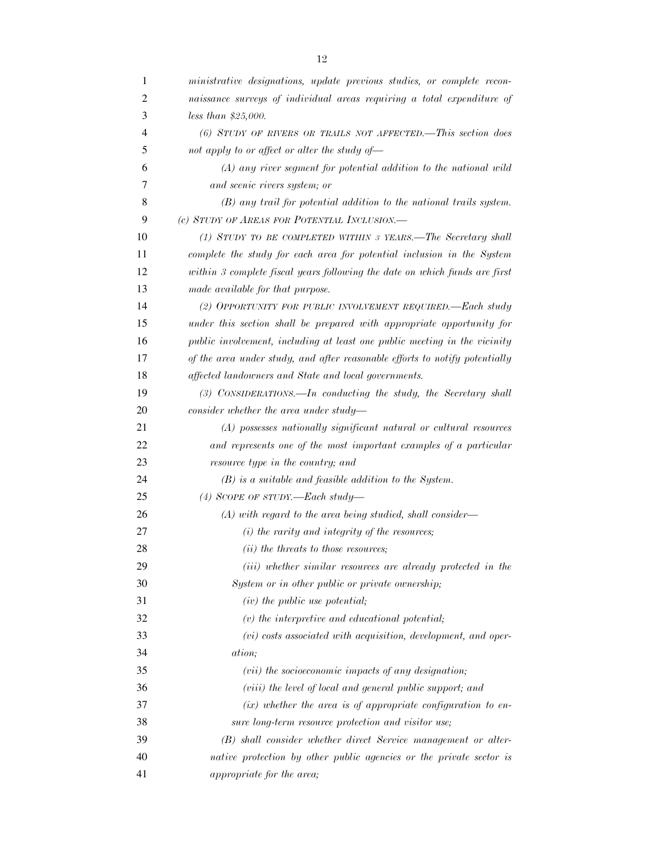| 1  | ministrative designations, update previous studies, or complete recon-      |
|----|-----------------------------------------------------------------------------|
| 2  | naissance surveys of individual areas requiring a total expenditure of      |
| 3  | less than \$25,000.                                                         |
| 4  | (6) STUDY OF RIVERS OR TRAILS NOT AFFECTED.-This section does               |
| 5  | not apply to or affect or alter the study of-                               |
| 6  | $(A)$ any river segment for potential addition to the national wild         |
| 7  | and scenic rivers system; or                                                |
| 8  | $(B)$ any trail for potential addition to the national trails system.       |
| 9  | (c) STUDY OF AREAS FOR POTENTIAL INCLUSION.                                 |
| 10 | (1) STUDY TO BE COMPLETED WITHIN 3 YEARS.—The Secretary shall               |
| 11 | complete the study for each area for potential inclusion in the System      |
| 12 | within 3 complete fiscal years following the date on which funds are first  |
| 13 | made available for that purpose.                                            |
| 14 | (2) OPPORTUNITY FOR PUBLIC INVOLVEMENT REQUIRED.—Each study                 |
| 15 | under this section shall be prepared with appropriate opportunity for       |
| 16 | public involvement, including at least one public meeting in the vicinity   |
| 17 | of the area under study, and after reasonable efforts to notify potentially |
| 18 | affected landowners and State and local governments.                        |
| 19 | (3) CONSIDERATIONS.—In conducting the study, the Secretary shall            |
| 20 | consider whether the area under study-                                      |
| 21 | (A) possesses nationally significant natural or cultural resources          |
| 22 | and represents one of the most important examples of a particular           |
| 23 | resource type in the country; and                                           |
| 24 | $(B)$ is a suitable and feasible addition to the System.                    |
| 25 | $(4)$ SCOPE OF STUDY.—Each study—                                           |
| 26 | $(A)$ with regard to the area being studied, shall consider—                |
| 27 | $(i)$ the rarity and integrity of the resources;                            |
| 28 | $(ii)$ the threats to those resources;                                      |
| 29 | (iii) whether similar resources are already protected in the                |
| 30 | System or in other public or private ownership;                             |
| 31 | $(iv)$ the public use potential;                                            |
| 32 | $(v)$ the interpretive and educational potential;                           |
| 33 | $(vi)$ costs associated with acquisition, development, and oper-            |
| 34 | ation;                                                                      |
| 35 | $(vii)$ the socioeconomic impacts of any designation;                       |
| 36 | (viii) the level of local and general public support; and                   |
| 37 | $(ix)$ whether the area is of appropriate configuration to en-              |
| 38 | sure long-term resource protection and visitor use;                         |
| 39 | (B) shall consider whether direct Service management or alter-              |
| 40 | native protection by other public agencies or the private sector is         |
| 41 | appropriate for the area;                                                   |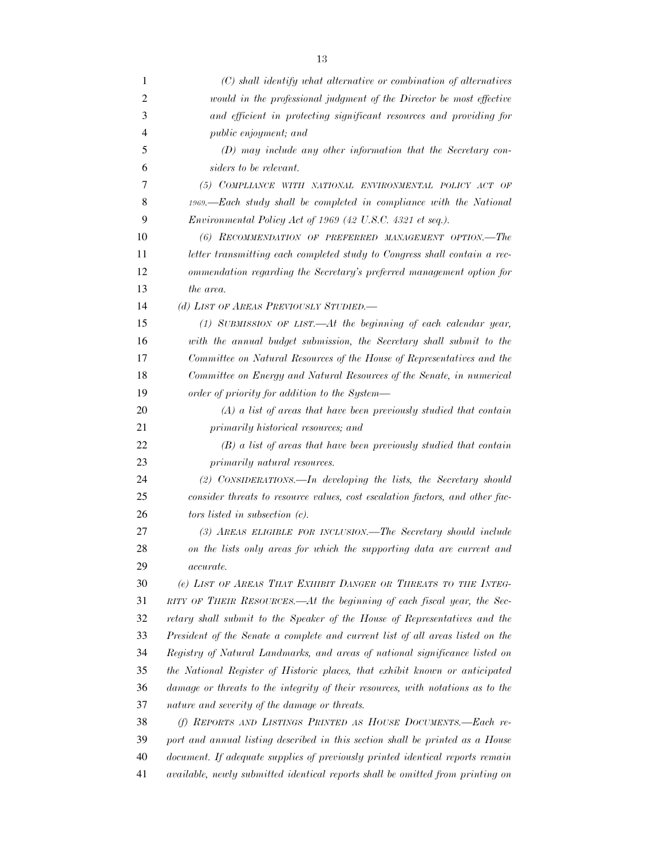| 1              | $(C)$ shall identify what alternative or combination of alternatives            |
|----------------|---------------------------------------------------------------------------------|
| $\overline{c}$ | would in the professional judgment of the Director be most effective            |
| 3              | and efficient in protecting significant resources and providing for             |
| 4              | public enjoyment; and                                                           |
| 5              | $(D)$ may include any other information that the Secretary con-                 |
| 6              | siders to be relevant.                                                          |
| 7              | (5) COMPLIANCE WITH NATIONAL ENVIRONMENTAL POLICY ACT OF                        |
| 8              | $1969$ —Each study shall be completed in compliance with the National           |
| 9              | Environmental Policy Act of 1969 (42 U.S.C. 4321 et seq.).                      |
| 10             | (6) RECOMMENDATION OF PREFERRED MANAGEMENT OPTION.-The                          |
| 11             | letter transmitting each completed study to Congress shall contain a rec-       |
| 12             | ommendation regarding the Secretary's preferred management option for           |
| 13             | the area.                                                                       |
| 14             | (d) LIST OF AREAS PREVIOUSLY STUDIED.                                           |
| 15             | $(1)$ SUBMISSION OF LIST.—At the beginning of each calendar year,               |
| 16             | with the annual budget submission, the Secretary shall submit to the            |
| 17             | Committee on Natural Resources of the House of Representatives and the          |
| 18             | Committee on Energy and Natural Resources of the Senate, in numerical           |
| 19             | order of priority for addition to the System—                                   |
| 20             | $(A)$ a list of areas that have been previously studied that contain            |
| 21             | primarily historical resources; and                                             |
| 22             | $(B)$ a list of areas that have been previously studied that contain            |
| 23             | primarily natural resources.                                                    |
| 24             | $(2)$ CONSIDERATIONS.—In developing the lists, the Secretary should             |
| 25             | consider threats to resource values, cost escalation factors, and other fac-    |
| 26             | $tors$ listed in subsection $(c)$ .                                             |
| 27             | (3) AREAS ELIGIBLE FOR INCLUSION.—The Secretary should include                  |
| 28             | on the lists only areas for which the supporting data are current and           |
| 29             | <i>accurate.</i>                                                                |
| 30             | (e) LIST OF AREAS THAT EXHIBIT DANGER OR THREATS TO THE INTEG-                  |
| 31             | RITY OF THEIR RESOURCES.—At the beginning of each fiscal year, the Sec-         |
| 32             | retary shall submit to the Speaker of the House of Representatives and the      |
| 33             | President of the Senate a complete and current list of all areas listed on the  |
| 34             | Registry of Natural Landmarks, and areas of national significance listed on     |
| 35             | the National Register of Historic places, that exhibit known or anticipated     |
| 36             | damage or threats to the integrity of their resources, with notations as to the |
| 37             | nature and severity of the damage or threats.                                   |
| 38             | (f) REPORTS AND LISTINGS PRINTED AS HOUSE DOCUMENTS.-Each re-                   |
| 39             | port and annual listing described in this section shall be printed as a House   |
| 40             | document. If adequate supplies of previously printed identical reports remain   |
| 41             | available, newly submitted identical reports shall be omitted from printing on  |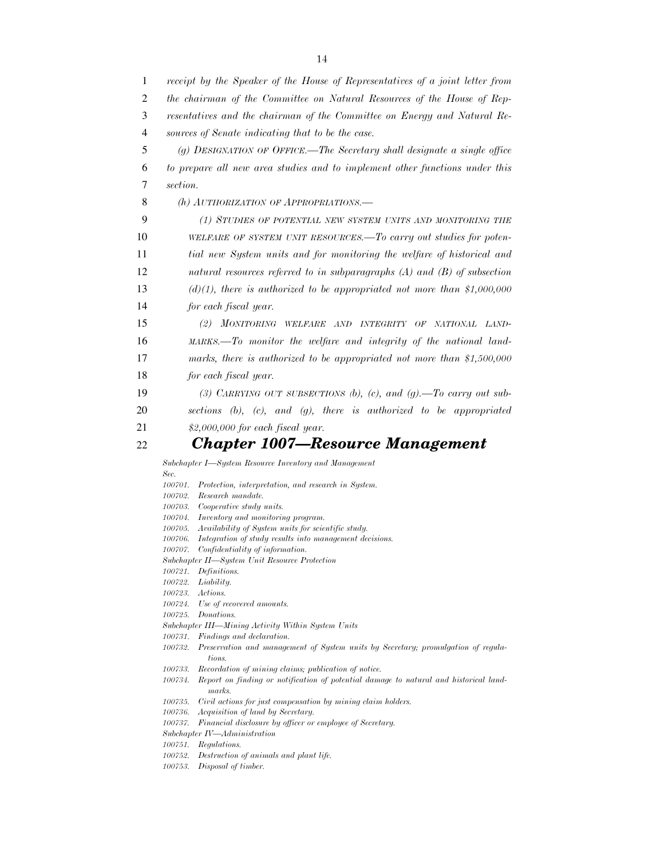1 *receipt by the Speaker of the House of Representatives of a joint letter from* 2 *the chairman of the Committee on Natural Resources of the House of Rep-*3 *resentatives and the chairman of the Committee on Energy and Natural Re-*4 *sources of Senate indicating that to be the case.* 5 *(g) DESIGNATION OF OFFICE.—The Secretary shall designate a single office* 6 *to prepare all new area studies and to implement other functions under this* 7 *section.* 8 *(h) AUTHORIZATION OF APPROPRIATIONS.—* 9 *(1) STUDIES OF POTENTIAL NEW SYSTEM UNITS AND MONITORING THE* 10 *WELFARE OF SYSTEM UNIT RESOURCES.—To carry out studies for poten-*11 *tial new System units and for monitoring the welfare of historical and* 12 *natural resources referred to in subparagraphs (A) and (B) of subsection* 13 *(d)(1), there is authorized to be appropriated not more than \$1,000,000* 14 *for each fiscal year.* 15 *(2) MONITORING WELFARE AND INTEGRITY OF NATIONAL LAND-*16 *MARKS.—To monitor the welfare and integrity of the national land-*17 *marks, there is authorized to be appropriated not more than \$1,500,000* 18 *for each fiscal year.* 19 *(3) CARRYING OUT SUBSECTIONS (b), (c), and (g).—To carry out sub-*20 *sections (b), (c), and (g), there is authorized to be appropriated* 21 *\$2,000,000 for each fiscal year.* 22 *Chapter 1007—Resource Management Subchapter I—System Resource Inventory and Management Sec. 100701. Protection, interpretation, and research in System. 100702. Research mandate. 100703. Cooperative study units. 100704. Inventory and monitoring program. 100705. Availability of System units for scientific study. 100706. Integration of study results into management decisions. 100707. Confidentiality of information. Subchapter II—System Unit Resource Protection 100721. Definitions. 100722. Liability. 100723. Actions. 100724. Use of recovered amounts. 100725. Donations. Subchapter III—Mining Activity Within System Units 100731. Findings and declaration. 100732. Preservation and management of System units by Secretary; promulgation of regulations. 100733. Recordation of mining claims; publication of notice. 100734. Report on finding or notification of potential damage to natural and historical landmarks. 100735. Civil actions for just compensation by mining claim holders.*

- *100736. Acquisition of land by Secretary.*
- *100737. Financial disclosure by officer or employee of Secretary.*
- *Subchapter IV—Administration*
- *100751. Regulations.*
- *100752. Destruction of animals and plant life.*
- *100753. Disposal of timber.*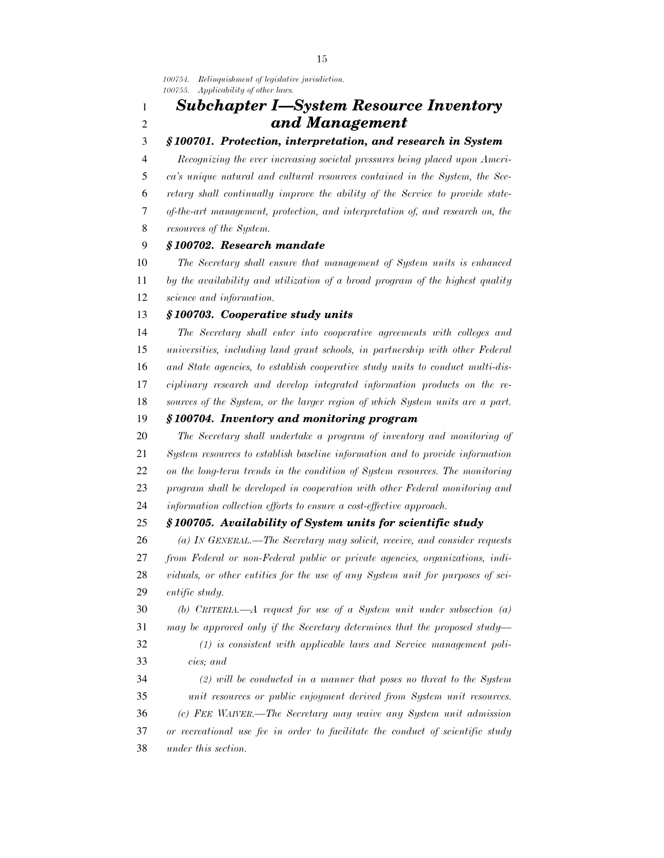*100754. Relinquishment of legislative jurisdiction. 100755. Applicability of other laws.*

## *Subchapter I—System Resource Inventory and Management*

#### *§ 100701. Protection, interpretation, and research in System*

 *Recognizing the ever increasing societal pressures being placed upon Ameri- ca's unique natural and cultural resources contained in the System, the Sec- retary shall continually improve the ability of the Service to provide state- of-the-art management, protection, and interpretation of, and research on, the resources of the System.*

#### *§ 100702. Research mandate*

 *The Secretary shall ensure that management of System units is enhanced by the availability and utilization of a broad program of the highest quality science and information.*

### *§ 100703. Cooperative study units*

 *The Secretary shall enter into cooperative agreements with colleges and universities, including land grant schools, in partnership with other Federal and State agencies, to establish cooperative study units to conduct multi-dis- ciplinary research and develop integrated information products on the re- sources of the System, or the larger region of which System units are a part. § 100704. Inventory and monitoring program*

 *The Secretary shall undertake a program of inventory and monitoring of System resources to establish baseline information and to provide information on the long-term trends in the condition of System resources. The monitoring program shall be developed in cooperation with other Federal monitoring and information collection efforts to ensure a cost-effective approach.*

#### *§ 100705. Availability of System units for scientific study*

 *(a) IN GENERAL.—The Secretary may solicit, receive, and consider requests from Federal or non-Federal public or private agencies, organizations, indi- viduals, or other entities for the use of any System unit for purposes of sci-entific study.*

 *(b) CRITERIA.—A request for use of a System unit under subsection (a) may be approved only if the Secretary determines that the proposed study— (1) is consistent with applicable laws and Service management poli-*

*cies; and*

 *(2) will be conducted in a manner that poses no threat to the System unit resources or public enjoyment derived from System unit resources. (c) FEE WAIVER.—The Secretary may waive any System unit admission or recreational use fee in order to facilitate the conduct of scientific study under this section.*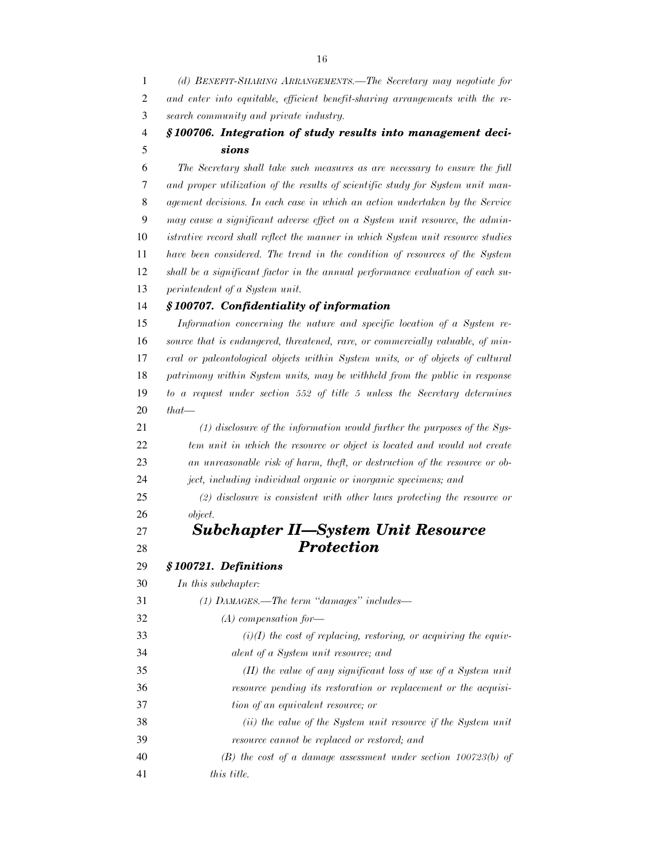*(d) BENEFIT-SHARING ARRANGEMENTS.—The Secretary may negotiate for and enter into equitable, efficient benefit-sharing arrangements with the re- search community and private industry. § 100706. Integration of study results into management deci- sions The Secretary shall take such measures as are necessary to ensure the full and proper utilization of the results of scientific study for System unit man- agement decisions. In each case in which an action undertaken by the Service may cause a significant adverse effect on a System unit resource, the admin- istrative record shall reflect the manner in which System unit resource studies have been considered. The trend in the condition of resources of the System shall be a significant factor in the annual performance evaluation of each su- perintendent of a System unit. § 100707. Confidentiality of information Information concerning the nature and specific location of a System re- source that is endangered, threatened, rare, or commercially valuable, of min- eral or paleontological objects within System units, or of objects of cultural patrimony within System units, may be withheld from the public in response to a request under section 552 of title 5 unless the Secretary determines that— (1) disclosure of the information would further the purposes of the Sys- tem unit in which the resource or object is located and would not create an unreasonable risk of harm, theft, or destruction of the resource or ob- ject, including individual organic or inorganic specimens; and (2) disclosure is consistent with other laws protecting the resource or object. Subchapter II—System Unit Resource Protection § 100721. Definitions In this subchapter: (1) DAMAGES.—The term ''damages'' includes— (A) compensation for— (i)(I) the cost of replacing, restoring, or acquiring the equiv- alent of a System unit resource; and (II) the value of any significant loss of use of a System unit resource pending its restoration or replacement or the acquisi- tion of an equivalent resource; or (ii) the value of the System unit resource if the System unit resource cannot be replaced or restored; and (B) the cost of a damage assessment under section 100723(b) of this title.*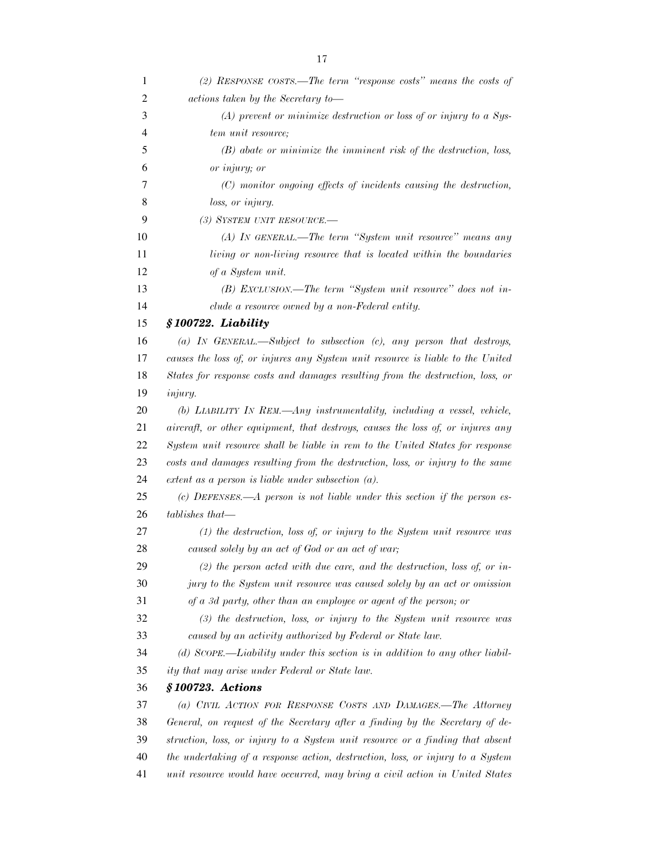| 1  | (2) RESPONSE COSTS.—The term "response costs" means the costs of                |
|----|---------------------------------------------------------------------------------|
| 2  | actions taken by the Secretary to-                                              |
| 3  | $(A)$ prevent or minimize destruction or loss of or injury to a Sys-            |
| 4  | tem unit resource;                                                              |
| 5  | $(B)$ abate or minimize the imminent risk of the destruction, loss,             |
| 6  | or injury; or                                                                   |
| 7  | $(C)$ monitor ongoing effects of incidents causing the destruction,             |
| 8  | loss, or injury.                                                                |
| 9  | (3) SYSTEM UNIT RESOURCE.-                                                      |
| 10 | $(A)$ IN GENERAL.—The term "System unit resource" means any                     |
| 11 | living or non-living resource that is located within the boundaries             |
| 12 | of a System unit.                                                               |
| 13 | (B) EXCLUSION.—The term "System unit resource" does not in-                     |
| 14 | clude a resource owned by a non-Federal entity.                                 |
| 15 | §100722. Liability                                                              |
| 16 | (a) IN GENERAL.—Subject to subsection (c), any person that destroys,            |
| 17 | causes the loss of, or injures any System unit resource is liable to the United |
| 18 | States for response costs and damages resulting from the destruction, loss, or  |
| 19 | <i>injury</i> .                                                                 |
| 20 | (b) LIABILITY IN REM.—Any instrumentality, including a vessel, vehicle,         |
| 21 | aircraft, or other equipment, that destroys, causes the loss of, or injures any |
| 22 | System unit resource shall be liable in rem to the United States for response   |
| 23 | costs and damages resulting from the destruction, loss, or injury to the same   |
| 24 | extent as a person is liable under subsection $(a)$ .                           |
| 25 | $(c)$ DEFENSES.—A person is not liable under this section if the person es-     |
| 26 | tablishes that—                                                                 |
| 27 | $(1)$ the destruction, loss of, or injury to the System unit resource was       |
| 28 | caused solely by an act of God or an act of war;                                |
| 29 | $(2)$ the person acted with due care, and the destruction, loss of, or in-      |
| 30 | jury to the System unit resource was caused solely by an act or omission        |
| 31 | of a 3d party, other than an employee or agent of the person; or                |
| 32 | $(3)$ the destruction, loss, or injury to the System unit resource was          |
| 33 | caused by an activity authorized by Federal or State law.                       |
| 34 | (d) $Score$ —Liability under this section is in addition to any other liabil-   |
| 35 | ity that may arise under Federal or State law.                                  |
| 36 | §100723. Actions                                                                |
| 37 | (a) CIVIL ACTION FOR RESPONSE COSTS AND DAMAGES.—The Attorney                   |
| 38 | General, on request of the Secretary after a finding by the Secretary of de-    |
| 39 | struction, loss, or injury to a System unit resource or a finding that absent   |
| 40 | the undertaking of a response action, destruction, loss, or injury to a System  |
| 41 | unit resource would have occurred, may bring a civil action in United States    |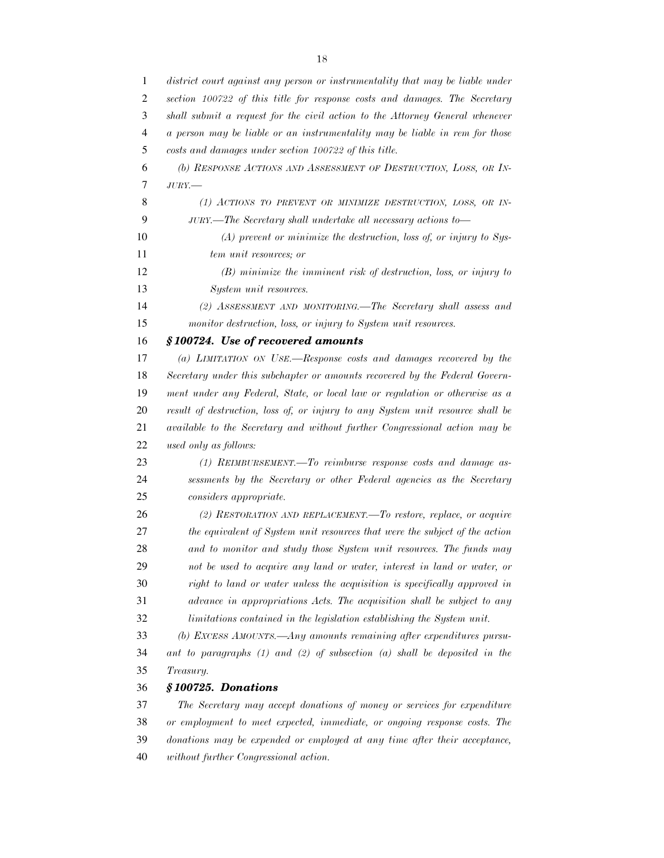| $\mathbf{1}$   | district court against any person or instrumentality that may be liable under   |
|----------------|---------------------------------------------------------------------------------|
| $\overline{c}$ | section 100722 of this title for response costs and damages. The Secretary      |
| 3              | shall submit a request for the civil action to the Attorney General whenever    |
| $\overline{4}$ | a person may be liable or an instrumentality may be liable in rem for those     |
| 5              | costs and damages under section 100722 of this title.                           |
| 6              | (b) RESPONSE ACTIONS AND ASSESSMENT OF DESTRUCTION, LOSS, OR IN-                |
| 7              | $JURY$ .                                                                        |
| 8              | (1) ACTIONS TO PREVENT OR MINIMIZE DESTRUCTION, LOSS, OR IN-                    |
| 9              | JURY.—The Secretary shall undertake all necessary actions to—                   |
| 10             | $(A)$ prevent or minimize the destruction, loss of, or injury to Sys-           |
| 11             | tem unit resources; or                                                          |
| 12             | $(B)$ minimize the imminent risk of destruction, loss, or injury to             |
| 13             | System unit resources.                                                          |
| 14             | (2) ASSESSMENT AND MONITORING.—The Secretary shall assess and                   |
| 15             | monitor destruction, loss, or injury to System unit resources.                  |
| 16             | §100724. Use of recovered amounts                                               |
| 17             | (a) LIMITATION ON USE.—Response costs and damages recovered by the              |
| 18             | Secretary under this subchapter or amounts recovered by the Federal Govern-     |
| 19             | ment under any Federal, State, or local law or regulation or otherwise as a     |
| 20             | result of destruction, loss of, or injury to any System unit resource shall be  |
| 21             | available to the Secretary and without further Congressional action may be      |
| 22             | used only as follows:                                                           |
| 23             | (1) REIMBURSEMENT.—To reimburse response costs and damage as-                   |
| 24             | sessments by the Secretary or other Federal agencies as the Secretary           |
| 25             | considers appropriate.                                                          |
| 26             | (2) RESTORATION AND REPLACEMENT.—To restore, replace, or acquire                |
| 27             | the equivalent of System unit resources that were the subject of the action     |
| 28             | and to monitor and study those System unit resources. The funds may             |
| 29             | not be used to acquire any land or water, interest in land or water, or         |
| 30             | right to land or water unless the acquisition is specifically approved in       |
| 31             | advance in appropriations Acts. The acquisition shall be subject to any         |
| 32             | limitations contained in the legislation establishing the System unit.          |
| 33             | (b) EXCESS AMOUNTS.—Any amounts remaining after expenditures pursu-             |
| 34             | ant to paragraphs $(1)$ and $(2)$ of subsection $(a)$ shall be deposited in the |
| 35             | <i>Treasury.</i>                                                                |
| 36             | §100725. Donations                                                              |
| 37             | The Secretary may accept donations of money or services for expenditure         |
| 38             | or employment to meet expected, immediate, or ongoing response costs. The       |
| 39             | donations may be expended or employed at any time after their acceptance,       |
| 40             | without further Congressional action.                                           |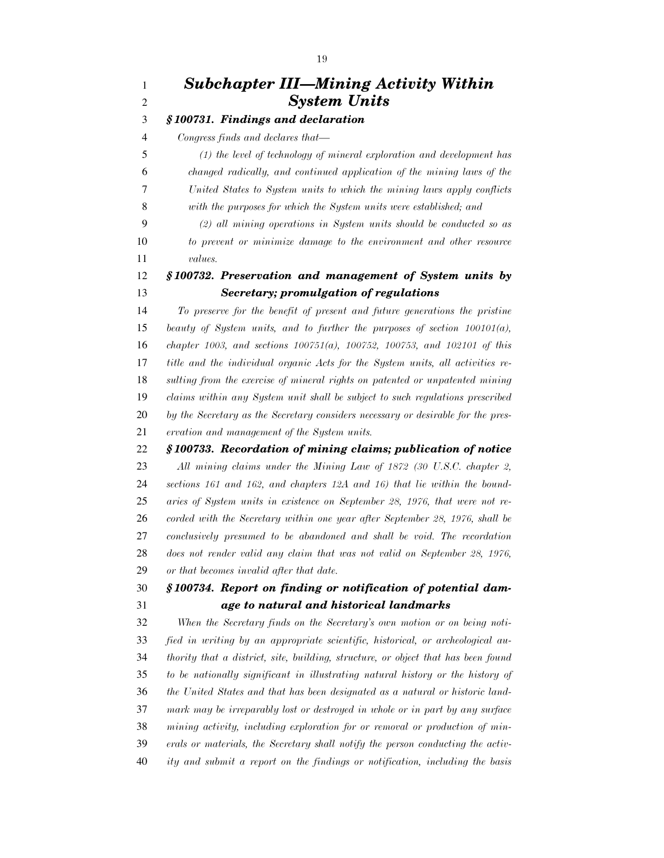## *Subchapter III—Mining Activity Within System Units*

*§ 100731. Findings and declaration*

*Congress finds and declares that—*

 *(1) the level of technology of mineral exploration and development has changed radically, and continued application of the mining laws of the United States to System units to which the mining laws apply conflicts with the purposes for which the System units were established; and (2) all mining operations in System units should be conducted so as to prevent or minimize damage to the environment and other resource values.*

## *§ 100732. Preservation and management of System units by Secretary; promulgation of regulations*

 *To preserve for the benefit of present and future generations the pristine beauty of System units, and to further the purposes of section 100101(a), chapter 1003, and sections 100751(a), 100752, 100753, and 102101 of this title and the individual organic Acts for the System units, all activities re- sulting from the exercise of mineral rights on patented or unpatented mining claims within any System unit shall be subject to such regulations prescribed by the Secretary as the Secretary considers necessary or desirable for the pres-ervation and management of the System units.*

*§ 100733. Recordation of mining claims; publication of notice*

 *All mining claims under the Mining Law of 1872 (30 U.S.C. chapter 2, sections 161 and 162, and chapters 12A and 16) that lie within the bound- aries of System units in existence on September 28, 1976, that were not re- corded with the Secretary within one year after September 28, 1976, shall be conclusively presumed to be abandoned and shall be void. The recordation does not render valid any claim that was not valid on September 28, 1976, or that becomes invalid after that date.*

### *§ 100734. Report on finding or notification of potential dam-age to natural and historical landmarks*

 *When the Secretary finds on the Secretary's own motion or on being noti- fied in writing by an appropriate scientific, historical, or archeological au- thority that a district, site, building, structure, or object that has been found to be nationally significant in illustrating natural history or the history of the United States and that has been designated as a natural or historic land- mark may be irreparably lost or destroyed in whole or in part by any surface mining activity, including exploration for or removal or production of min- erals or materials, the Secretary shall notify the person conducting the activ-ity and submit a report on the findings or notification, including the basis*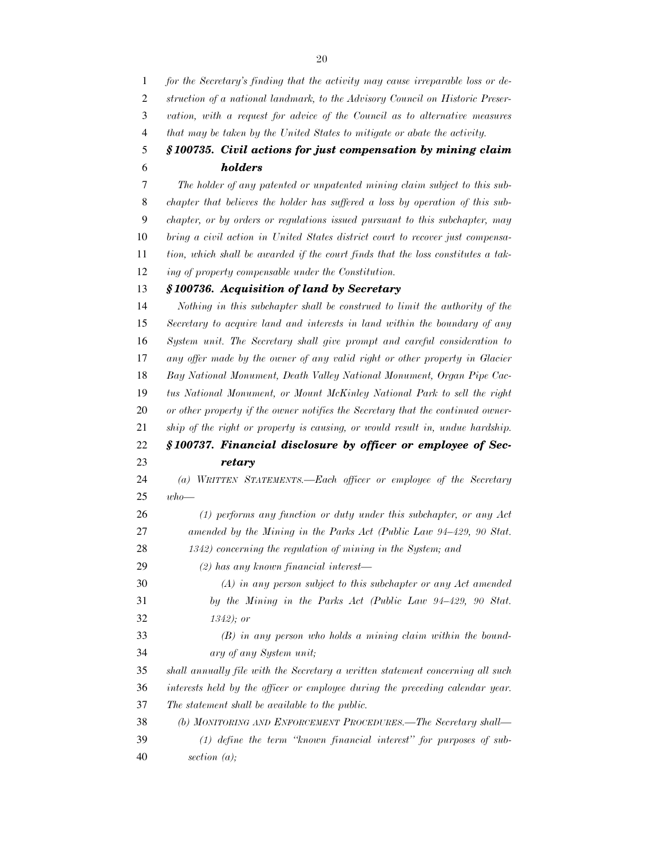| $\mathbf{1}$ | for the Secretary's finding that the activity may cause irreparable loss or de-  |
|--------------|----------------------------------------------------------------------------------|
| 2            | struction of a national landmark, to the Advisory Council on Historic Preser-    |
| 3            | vation, with a request for advice of the Council as to alternative measures      |
| 4            | that may be taken by the United States to mitigate or abate the activity.        |
| 5            | §100735. Civil actions for just compensation by mining claim                     |
| 6            | holders                                                                          |
| 7            | The holder of any patented or unpatented mining claim subject to this sub-       |
| 8            | chapter that believes the holder has suffered a loss by operation of this sub-   |
| 9            | chapter, or by orders or regulations issued pursuant to this subchapter, may     |
| 10           | bring a civil action in United States district court to recover just compensa-   |
| 11           | tion, which shall be awarded if the court finds that the loss constitutes a tak- |
| 12           | ing of property compensable under the Constitution.                              |
| 13           | §100736. Acquisition of land by Secretary                                        |
| 14           | Nothing in this subchapter shall be construed to limit the authority of the      |
| 15           | Secretary to acquire land and interests in land within the boundary of any       |
| 16           | System unit. The Secretary shall give prompt and careful consideration to        |
| 17           | any offer made by the owner of any valid right or other property in Glacier      |
| 18           | Bay National Monument, Death Valley National Monument, Organ Pipe Cac-           |
| 19           | tus National Monument, or Mount McKinley National Park to sell the right         |
| 20           | or other property if the owner notifies the Secretary that the continued owner-  |
| 21           | ship of the right or property is causing, or would result in, undue hardship.    |
| 22           | §100737. Financial disclosure by officer or employee of Sec-                     |
| 23           | retary                                                                           |
| 24           | (a) WRITTEN STATEMENTS.—Each officer or employee of the Secretary                |
| 25           | $who-$                                                                           |
| 26           | $(1)$ performs any function or duty under this subchapter, or any Act            |
| 27           | amended by the Mining in the Parks Act (Public Law 94-429, 90 Stat.              |
| 28           | 1342) concerning the regulation of mining in the System; and                     |
| 29           | $(2)$ has any known financial interest—                                          |
| 30           | $(A)$ in any person subject to this subchapter or any Act amended                |
| 31           | by the Mining in the Parks Act (Public Law 94–429, 90 Stat.                      |
| 32           | $1342$ ); or                                                                     |
| 33           | $(B)$ in any person who holds a mining claim within the bound-                   |
| 34           | ary of any System unit;                                                          |
| 35           | shall annually file with the Secretary a written statement concerning all such   |
| 36           | interests held by the officer or employee during the preceding calendar year.    |
| 37           | The statement shall be available to the public.                                  |
| 38           | (b) MONITORING AND ENFORCEMENT PROCEDURES.—The Secretary shall—                  |
| 39           | (1) define the term "known financial interest" for purposes of sub-              |
| 40           | section $(a)$ ;                                                                  |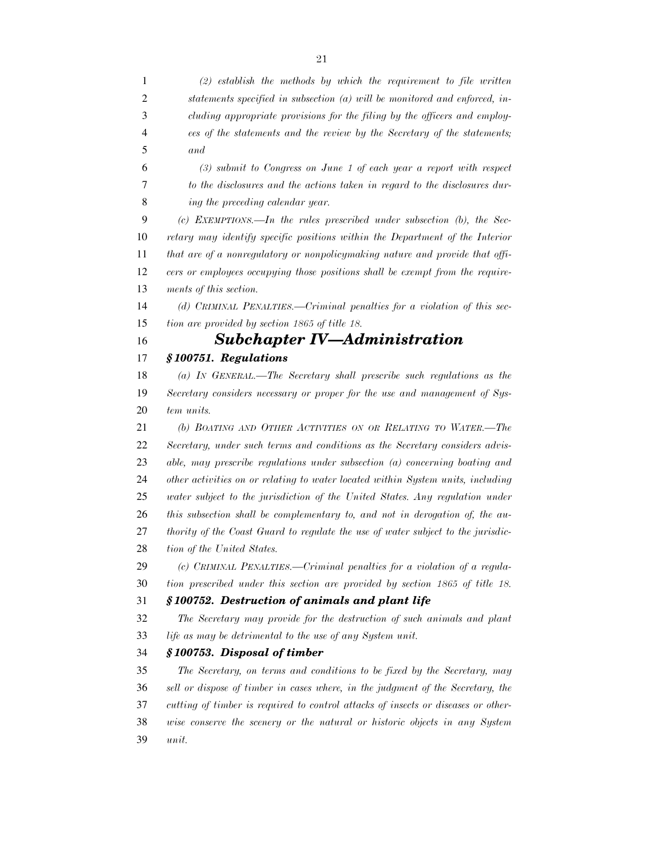*(2) establish the methods by which the requirement to file written statements specified in subsection (a) will be monitored and enforced, in- cluding appropriate provisions for the filing by the officers and employ- ees of the statements and the review by the Secretary of the statements; and (3) submit to Congress on June 1 of each year a report with respect to the disclosures and the actions taken in regard to the disclosures dur- ing the preceding calendar year. (c) EXEMPTIONS.—In the rules prescribed under subsection (b), the Sec- retary may identify specific positions within the Department of the Interior that are of a nonregulatory or nonpolicymaking nature and provide that offi- cers or employees occupying those positions shall be exempt from the require- ments of this section. (d) CRIMINAL PENALTIES.—Criminal penalties for a violation of this sec- tion are provided by section 1865 of title 18. Subchapter IV—Administration § 100751. Regulations (a) IN GENERAL.—The Secretary shall prescribe such regulations as the Secretary considers necessary or proper for the use and management of Sys- tem units. (b) BOATING AND OTHER ACTIVITIES ON OR RELATING TO WATER.—The Secretary, under such terms and conditions as the Secretary considers advis- able, may prescribe regulations under subsection (a) concerning boating and other activities on or relating to water located within System units, including water subject to the jurisdiction of the United States. Any regulation under this subsection shall be complementary to, and not in derogation of, the au- thority of the Coast Guard to regulate the use of water subject to the jurisdic- tion of the United States. (c) CRIMINAL PENALTIES.—Criminal penalties for a violation of a regula- tion prescribed under this section are provided by section 1865 of title 18. § 100752. Destruction of animals and plant life The Secretary may provide for the destruction of such animals and plant life as may be detrimental to the use of any System unit. § 100753. Disposal of timber The Secretary, on terms and conditions to be fixed by the Secretary, may sell or dispose of timber in cases where, in the judgment of the Secretary, the cutting of timber is required to control attacks of insects or diseases or other- wise conserve the scenery or the natural or historic objects in any System unit.*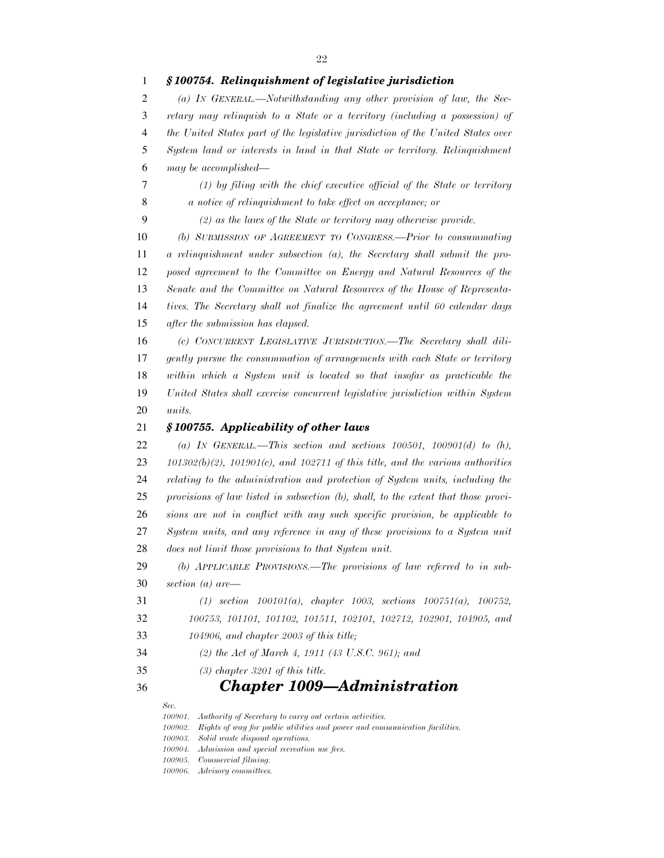*§ 100754. Relinquishment of legislative jurisdiction*

 *(a) IN GENERAL.—Notwithstanding any other provision of law, the Sec- retary may relinquish to a State or a territory (including a possession) of the United States part of the legislative jurisdiction of the United States over System land or interests in land in that State or territory. Relinquishment may be accomplished—*

- *(1) by filing with the chief executive official of the State or territory a notice of relinquishment to take effect on acceptance; or*
- *(2) as the laws of the State or territory may otherwise provide.*

 *(b) SUBMISSION OF AGREEMENT TO CONGRESS.—Prior to consummating a relinquishment under subsection (a), the Secretary shall submit the pro- posed agreement to the Committee on Energy and Natural Resources of the Senate and the Committee on Natural Resources of the House of Representa- tives. The Secretary shall not finalize the agreement until 60 calendar days after the submission has elapsed.*

 *(c) CONCURRENT LEGISLATIVE JURISDICTION.—The Secretary shall dili- gently pursue the consummation of arrangements with each State or territory within which a System unit is located so that insofar as practicable the United States shall exercise concurrent legislative jurisdiction within System units.*

#### *§ 100755. Applicability of other laws*

 *(a) IN GENERAL.—This section and sections 100501, 100901(d) to (h), 101302(b)(2), 101901(c), and 102711 of this title, and the various authorities relating to the administration and protection of System units, including the provisions of law listed in subsection (b), shall, to the extent that those provi- sions are not in conflict with any such specific provision, be applicable to System units, and any reference in any of these provisions to a System unit does not limit those provisions to that System unit.*

 *(b) APPLICABLE PROVISIONS.—The provisions of law referred to in sub-section (a) are—*

- *(1) section 100101(a), chapter 1003, sections 100751(a), 100752, 100753, 101101, 101102, 101511, 102101, 102712, 102901, 104905, and 104906, and chapter 2003 of this title;*
- *(2) the Act of March 4, 1911 (43 U.S.C. 961); and*
- *(3) chapter 3201 of this title.*

## *Chapter 1009—Administration*

*Sec.*

*100901. Authority of Secretary to carry out certain activities.*

- *100902. Rights of way for public utilities and power and communication facilities.*
- *100903. Solid waste disposal operations.*
- *100904. Admission and special recreation use fees.*
- *100905. Commercial filming.*
- *100906. Advisory committees.*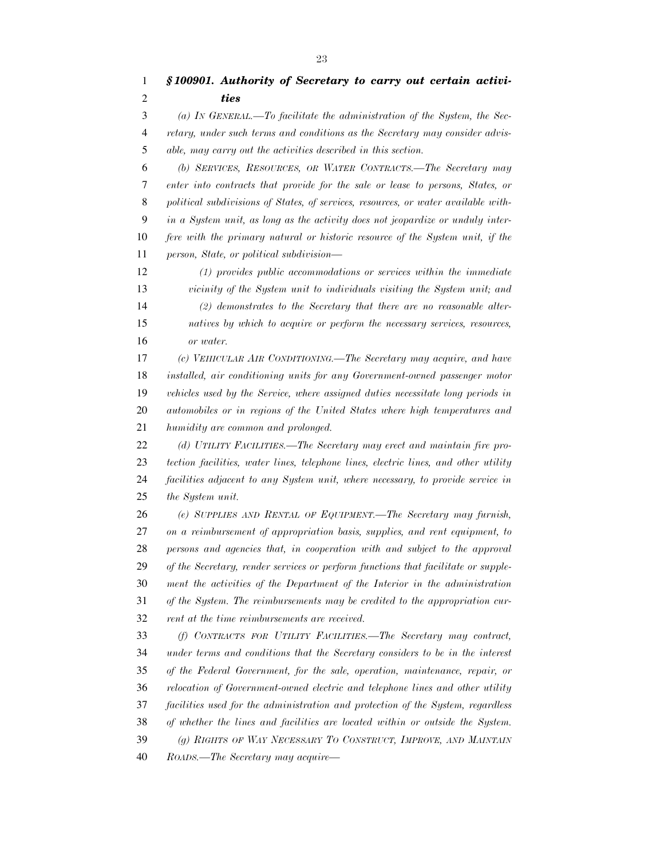*§ 100901. Authority of Secretary to carry out certain activi- ties (a) IN GENERAL.—To facilitate the administration of the System, the Sec- retary, under such terms and conditions as the Secretary may consider advis- able, may carry out the activities described in this section. (b) SERVICES, RESOURCES, OR WATER CONTRACTS.—The Secretary may enter into contracts that provide for the sale or lease to persons, States, or political subdivisions of States, of services, resources, or water available with- in a System unit, as long as the activity does not jeopardize or unduly inter- fere with the primary natural or historic resource of the System unit, if the person, State, or political subdivision— (1) provides public accommodations or services within the immediate vicinity of the System unit to individuals visiting the System unit; and (2) demonstrates to the Secretary that there are no reasonable alter- natives by which to acquire or perform the necessary services, resources, or water. (c) VEHICULAR AIR CONDITIONING.—The Secretary may acquire, and have installed, air conditioning units for any Government-owned passenger motor vehicles used by the Service, where assigned duties necessitate long periods in automobiles or in regions of the United States where high temperatures and humidity are common and prolonged. (d) UTILITY FACILITIES.—The Secretary may erect and maintain fire pro- tection facilities, water lines, telephone lines, electric lines, and other utility facilities adjacent to any System unit, where necessary, to provide service in the System unit. (e) SUPPLIES AND RENTAL OF EQUIPMENT.—The Secretary may furnish, on a reimbursement of appropriation basis, supplies, and rent equipment, to persons and agencies that, in cooperation with and subject to the approval of the Secretary, render services or perform functions that facilitate or supple- ment the activities of the Department of the Interior in the administration of the System. The reimbursements may be credited to the appropriation cur- rent at the time reimbursements are received. (f) CONTRACTS FOR UTILITY FACILITIES.—The Secretary may contract, under terms and conditions that the Secretary considers to be in the interest of the Federal Government, for the sale, operation, maintenance, repair, or relocation of Government-owned electric and telephone lines and other utility facilities used for the administration and protection of the System, regardless of whether the lines and facilities are located within or outside the System. (g) RIGHTS OF WAY NECESSARY TO CONSTRUCT, IMPROVE, AND MAINTAIN ROADS.—The Secretary may acquire—*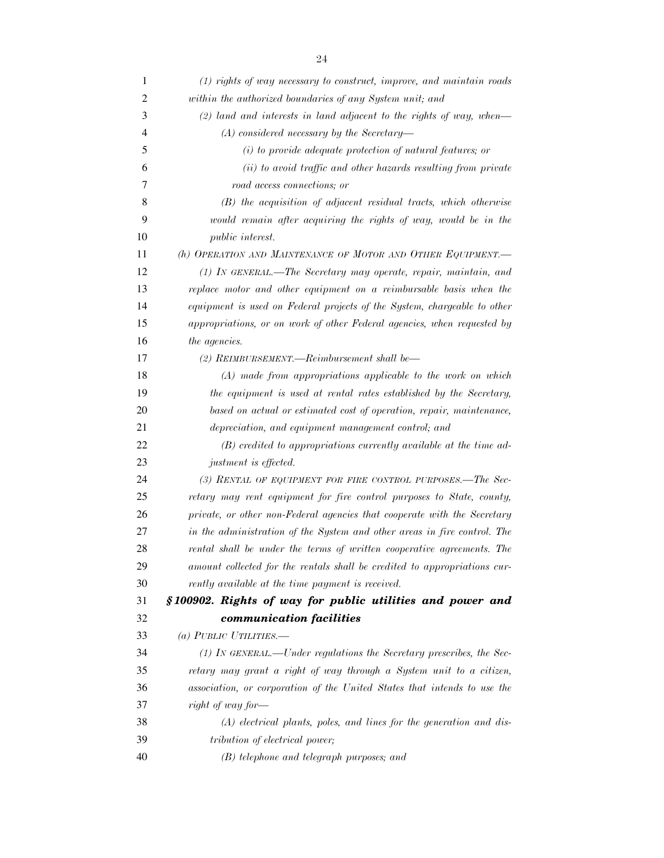| 1  | $(1)$ rights of way necessary to construct, improve, and maintain roads   |
|----|---------------------------------------------------------------------------|
| 2  | within the authorized boundaries of any System unit; and                  |
| 3  | $(2)$ land and interests in land adjacent to the rights of way, when—     |
| 4  | $(A)$ considered necessary by the Secretary-                              |
| 5  | $(i)$ to provide adequate protection of natural features; or              |
| 6  | (ii) to avoid traffic and other hazards resulting from private            |
| 7  | road access connections; or                                               |
| 8  | $(B)$ the acquisition of adjacent residual tracts, which otherwise        |
| 9  | would remain after acquiring the rights of way, would be in the           |
| 10 | <i>public interest.</i>                                                   |
| 11 | (h) OPERATION AND MAINTENANCE OF MOTOR AND OTHER EQUIPMENT.-              |
| 12 | (1) IN GENERAL.—The Secretary may operate, repair, maintain, and          |
| 13 | replace motor and other equipment on a reimbursable basis when the        |
| 14 | equipment is used on Federal projects of the System, chargeable to other  |
| 15 | appropriations, or on work of other Federal agencies, when requested by   |
| 16 | the agencies.                                                             |
| 17 | (2) REIMBURSEMENT.—Reimbursement shall be—                                |
| 18 | $(A)$ made from appropriations applicable to the work on which            |
| 19 | the equipment is used at rental rates established by the Secretary,       |
| 20 | based on actual or estimated cost of operation, repair, maintenance,      |
| 21 | depreciation, and equipment management control; and                       |
| 22 | $(B)$ credited to appropriations currently available at the time ad-      |
| 23 | justment is effected.                                                     |
| 24 | (3) RENTAL OF EQUIPMENT FOR FIRE CONTROL PURPOSES.—The Sec-               |
| 25 | retary may rent equipment for fire control purposes to State, county,     |
| 26 | private, or other non-Federal agencies that cooperate with the Secretary  |
| 27 | in the administration of the System and other areas in fire control. The  |
| 28 | rental shall be under the terms of written cooperative agreements. The    |
| 29 | amount collected for the rentals shall be credited to appropriations cur- |
| 30 | rently available at the time payment is received.                         |
| 31 | §100902. Rights of way for public utilities and power and                 |
| 32 | communication facilities                                                  |
| 33 | (a) PUBLIC UTILITIES.—                                                    |
| 34 | $(1)$ IN GENERAL.—Under regulations the Secretary prescribes, the Sec-    |
| 35 | retary may grant a right of way through a System unit to a citizen,       |
| 36 | association, or corporation of the United States that intends to use the  |
| 37 | right of way for—                                                         |
| 38 | (A) electrical plants, poles, and lines for the generation and dis-       |
| 39 | tribution of electrical power;                                            |
| 40 | (B) telephone and telegraph purposes; and                                 |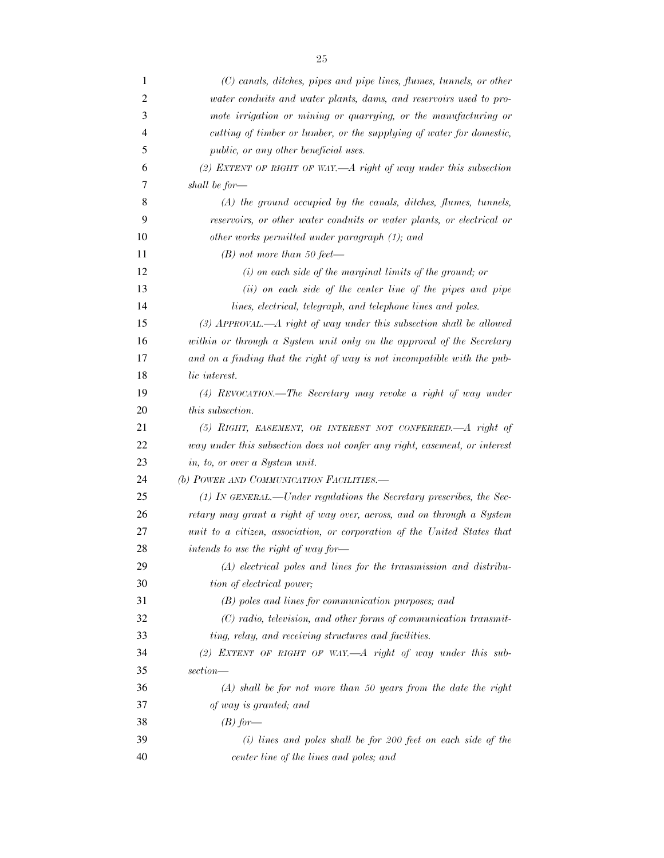| 1              | $(C)$ canals, ditches, pipes and pipe lines, flumes, tunnels, or other     |
|----------------|----------------------------------------------------------------------------|
| $\overline{c}$ | <i>water conduits and water plants, dams, and reservoirs used to pro-</i>  |
| 3              | mote irrigation or mining or quarrying, or the manufacturing or            |
| 4              | cutting of timber or lumber, or the supplying of water for domestic,       |
| 5              | public, or any other beneficial uses.                                      |
| 6              | (2) EXTENT OF RIGHT OF WAY, $-A$ right of way under this subsection        |
| 7              | shall be for $-$                                                           |
| 8              | (A) the ground occupied by the canals, ditches, flumes, tunnels,           |
| 9              | reservoirs, or other water conduits or water plants, or electrical or      |
| 10             | other works permitted under paragraph (1); and                             |
| 11             | $(B)$ not more than 50 feet—                                               |
| 12             | $(i)$ on each side of the marginal limits of the ground; or                |
| 13             | (ii) on each side of the center line of the pipes and pipe                 |
| 14             | lines, electrical, telegraph, and telephone lines and poles.               |
| 15             | $(3)$ APPROVAL.—A right of way under this subsection shall be allowed      |
| 16             | within or through a System unit only on the approval of the Secretary      |
| 17             | and on a finding that the right of way is not incompatible with the pub-   |
| 18             | lic interest.                                                              |
| 19             | (4) REVOCATION.—The Secretary may revoke a right of way under              |
| 20             | this subsection.                                                           |
| 21             | (5) RIGHT, EASEMENT, OR INTEREST NOT CONFERRED. A right of                 |
| 22             | way under this subsection does not confer any right, easement, or interest |
| 23             | in, to, or over a System unit.                                             |
| 24             | (b) POWER AND COMMUNICATION FACILITIES.-                                   |
| 25             | (1) IN GENERAL.—Under regulations the Secretary prescribes, the Sec-       |
| 26             | retary may grant a right of way over, across, and on through a System      |
| 27             | unit to a citizen, association, or corporation of the United States that   |
| 28             | intends to use the right of way for—                                       |
| 29             | (A) electrical poles and lines for the transmission and distribu-          |
| 30             | tion of electrical power;                                                  |
| 31             | (B) poles and lines for communication purposes; and                        |
| 32             | $(C)$ radio, television, and other forms of communication transmit-        |
| 33             | ting, relay, and receiving structures and facilities.                      |
| 34             | (2) EXTENT OF RIGHT OF WAY, $-A$ right of way under this sub-              |
| 35             | section—                                                                   |
| 36             | $(A)$ shall be for not more than 50 years from the date the right          |
| 37             | of way is granted; and                                                     |
| 38             | $(B)$ for—                                                                 |
| 39             | $(i)$ lines and poles shall be for 200 feet on each side of the            |
| 40             | center line of the lines and poles; and                                    |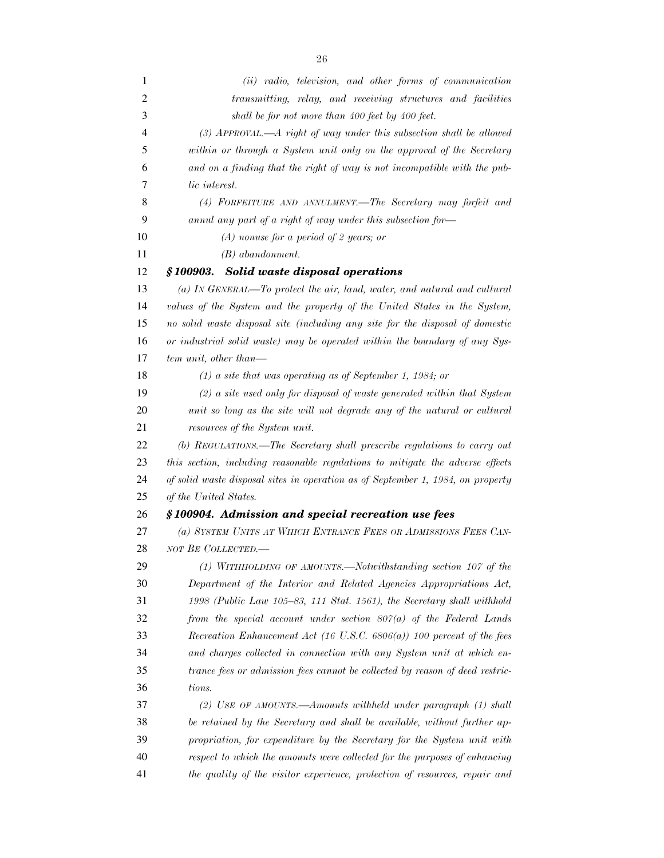| 1              | (ii) radio, television, and other forms of communication                        |
|----------------|---------------------------------------------------------------------------------|
| $\overline{2}$ | transmitting, relay, and receiving structures and facilities                    |
| 3              | shall be for not more than 400 feet by 400 feet.                                |
| 4              | $(3)$ APPROVAL.—A right of way under this subsection shall be allowed           |
| 5              | within or through a System unit only on the approval of the Secretary           |
| 6              | and on a finding that the right of way is not incompatible with the pub-        |
| 7              | <i>lic interest.</i>                                                            |
| 8              | (4) FORFEITURE AND ANNULMENT.—The Secretary may forfeit and                     |
| 9              | annul any part of a right of way under this subsection for-                     |
| 10             | $(A)$ nonuse for a period of 2 years; or                                        |
| 11             | $(B)$ abandonment.                                                              |
| 12             | Solid waste disposal operations<br>\$100903.                                    |
| 13             | (a) IN GENERAL—To protect the air, land, water, and natural and cultural        |
| 14             | values of the System and the property of the United States in the System,       |
| 15             | no solid waste disposal site (including any site for the disposal of domestic   |
| 16             | or industrial solid waste) may be operated within the boundary of any Sys-      |
| 17             | tem unit, other than—                                                           |
| 18             | $(1)$ a site that was operating as of September 1, 1984; or                     |
| 19             | $(2)$ a site used only for disposal of waste generated within that System       |
| 20             | unit so long as the site will not degrade any of the natural or cultural        |
| 21             | resources of the System unit.                                                   |
| 22             | (b) REGULATIONS.—The Secretary shall prescribe regulations to carry out         |
| 23             | this section, including reasonable regulations to mitigate the adverse effects  |
| 24             | of solid waste disposal sites in operation as of September 1, 1984, on property |
| 25             | of the United States.                                                           |
| 26             | §100904. Admission and special recreation use fees                              |
| 27             | (a) SYSTEM UNITS AT WHICH ENTRANCE FEES OR ADMISSIONS FEES CAN-                 |
| 28             | NOT BE COLLECTED.-                                                              |
| 29             | $(1)$ WITHHOLDING OF AMOUNTS.—Notwithstanding section 107 of the                |
| 30             | Department of the Interior and Related Agencies Appropriations Act,             |
| 31             | 1998 (Public Law 105–83, 111 Stat. 1561), the Secretary shall withhold          |
| 32             | from the special account under section $807(a)$ of the Federal Lands            |
| 33             | Recreation Enhancement Act (16 U.S.C. $6806(a)$ ) 100 percent of the fees       |
| 34             | and charges collected in connection with any System unit at which en-           |
| 35             | trance fees or admission fees cannot be collected by reason of deed restric-    |
| 36             | tions.                                                                          |
| 37             | (2) USE OF AMOUNTS.—Amounts withheld under paragraph $(1)$ shall                |
| 38             | be retained by the Secretary and shall be available, without further ap-        |
| 39             | propriation, for expenditure by the Secretary for the System unit with          |
| 40             | respect to which the amounts were collected for the purposes of enhancing       |
| 41             | the quality of the visitor experience, protection of resources, repair and      |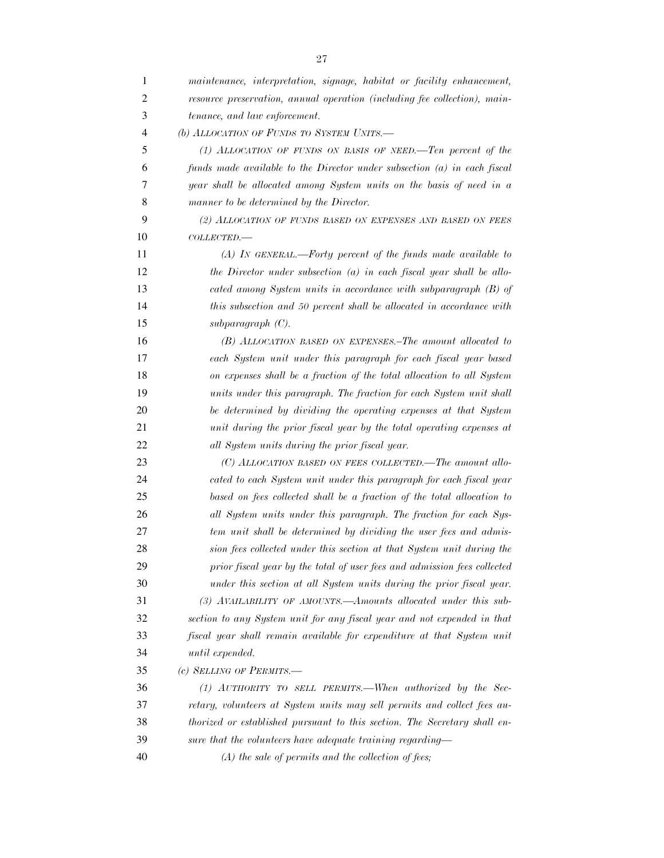| 1  | maintenance, interpretation, signage, habitat or facility enhancement,     |
|----|----------------------------------------------------------------------------|
| 2  | resource preservation, annual operation (including fee collection), main-  |
| 3  | tenance, and law enforcement.                                              |
| 4  | (b) ALLOCATION OF FUNDS TO SYSTEM UNITS.-                                  |
| 5  | $(1)$ ALLOCATION OF FUNDS ON BASIS OF NEED. Ten percent of the             |
| 6  | funds made available to the Director under subsection $(a)$ in each fiscal |
| 7  | year shall be allocated among System units on the basis of need in a       |
| 8  | manner to be determined by the Director.                                   |
| 9  | (2) ALLOCATION OF FUNDS BASED ON EXPENSES AND BASED ON FEES                |
| 10 | COLLECTED.                                                                 |
| 11 | $(A)$ IN GENERAL.—Forty percent of the funds made available to             |
| 12 | the Director under subsection $(a)$ in each fiscal year shall be allo-     |
| 13 | cated among System units in accordance with subparagraph (B) of            |
| 14 | this subsection and 50 percent shall be allocated in accordance with       |
| 15 | subparagnph(C).                                                            |
| 16 | (B) ALLOCATION BASED ON EXPENSES. The amount allocated to                  |
| 17 | each System unit under this paragraph for each fiscal year based           |
| 18 | on expenses shall be a fraction of the total allocation to all System      |
| 19 | units under this paragraph. The fraction for each System unit shall        |
| 20 | be determined by dividing the operating expenses at that System            |
| 21 | unit during the prior fiscal year by the total operating expenses at       |
| 22 | all System units during the prior fiscal year.                             |
| 23 | (C) ALLOCATION BASED ON FEES COLLECTED. The amount allo-                   |
| 24 | cated to each System unit under this paragraph for each fiscal year        |
| 25 | based on fees collected shall be a fraction of the total allocation to     |
| 26 | all System units under this paragraph. The fraction for each Sys-          |
| 27 | tem unit shall be determined by dividing the user fees and admis-          |
| 28 | sion fees collected under this section at that System unit during the      |
| 29 | prior fiscal year by the total of user fees and admission fees collected   |
| 30 | under this section at all System units during the prior fiscal year.       |
| 31 | (3) AVAILABILITY OF AMOUNTS.—Amounts allocated under this sub-             |
| 32 | section to any System unit for any fiscal year and not expended in that    |
| 33 | fiscal year shall remain available for expenditure at that System unit     |
| 34 | until expended.                                                            |
| 35 | (c) SELLING OF PERMITS.-                                                   |
| 36 | $(1)$ AUTHORITY TO SELL PERMITS.—When authorized by the Sec-               |
| 37 | retary, volunteers at System units may sell permits and collect fees au-   |
| 38 | thorized or established pursuant to this section. The Secretary shall en-  |
| 39 | sure that the volunteers have adequate training regarding—                 |
| 40 | $(A)$ the sale of permits and the collection of fees;                      |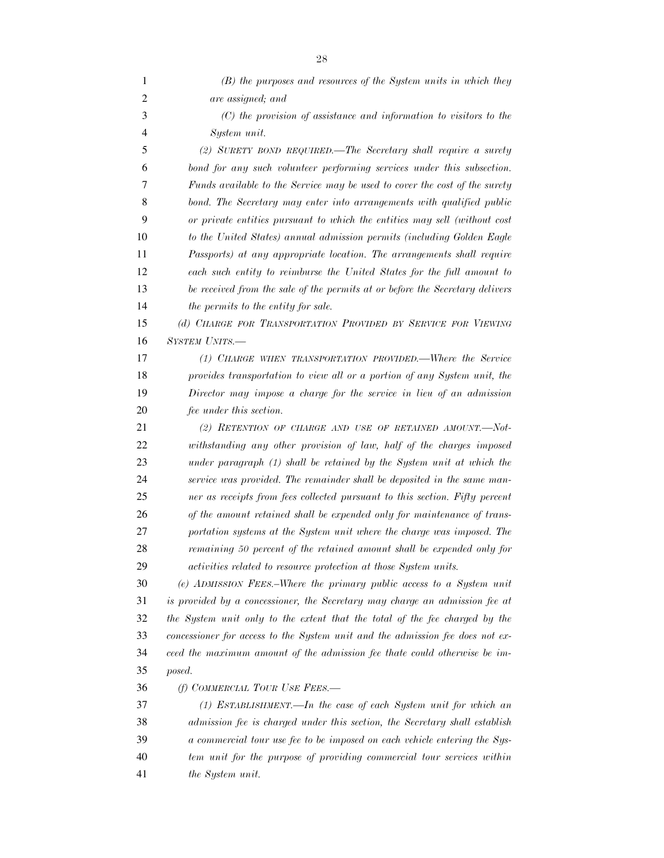| 1  | $(B)$ the purposes and resources of the System units in which they            |
|----|-------------------------------------------------------------------------------|
| 2  | are assigned; and                                                             |
| 3  | $(C)$ the provision of assistance and information to visitors to the          |
| 4  | System unit.                                                                  |
| 5  | (2) SURETY BOND REQUIRED.—The Secretary shall require a surety                |
| 6  | bond for any such volunteer performing services under this subsection.        |
| 7  | Funds available to the Service may be used to cover the cost of the surety    |
| 8  | bond. The Secretary may enter into arrangements with qualified public         |
| 9  | or private entities pursuant to which the entities may sell (without cost     |
| 10 | to the United States) annual admission permits (including Golden Eagle        |
| 11 | Passports) at any appropriate location. The arrangements shall require        |
| 12 | each such entity to reimburse the United States for the full amount to        |
| 13 | be received from the sale of the permits at or before the Secretary delivers  |
| 14 | the permits to the entity for sale.                                           |
| 15 | (d) CHARGE FOR TRANSPORTATION PROVIDED BY SERVICE FOR VIEWING                 |
| 16 | SYSTEM UNITS.-                                                                |
| 17 | (1) CHARGE WHEN TRANSPORTATION PROVIDED. Where the Service                    |
| 18 | provides transportation to view all or a portion of any System unit, the      |
| 19 | Director may impose a charge for the service in lieu of an admission          |
| 20 | fee under this section.                                                       |
| 21 | (2) RETENTION OF CHARGE AND USE OF RETAINED AMOUNT.-Not-                      |
| 22 | withstanding any other provision of law, half of the charges imposed          |
| 23 | under paragraph (1) shall be retained by the System unit at which the         |
| 24 | service was provided. The remainder shall be deposited in the same man-       |
| 25 | ner as receipts from fees collected pursuant to this section. Fifty percent   |
| 26 | of the amount retained shall be expended only for maintenance of trans-       |
| 27 | portation systems at the System unit where the charge was imposed. The        |
| 28 | remaining 50 percent of the retained amount shall be expended only for        |
| 29 | activities related to resource protection at those System units.              |
| 30 | $(e)$ ADMISSION FEES.-Where the primary public access to a System unit        |
| 31 | is provided by a concessioner, the Secretary may charge an admission fee at   |
| 32 | the System unit only to the extent that the total of the fee charged by the   |
| 33 | concessioner for access to the System unit and the admission fee does not ex- |
| 34 | ceed the maximum amount of the admission fee thate could otherwise be im-     |
| 35 | posed.                                                                        |
| 36 | (f) COMMERCIAL TOUR USE FEES.-                                                |
| 37 | $(1)$ ESTABLISHMENT.—In the case of each System unit for which an             |
| 38 | admission fee is charged under this section, the Secretary shall establish    |
| 39 | a commercial tour use fee to be imposed on each vehicle entering the Sys-     |
| 40 | tem unit for the purpose of providing commercial tour services within         |
| 41 | the System unit.                                                              |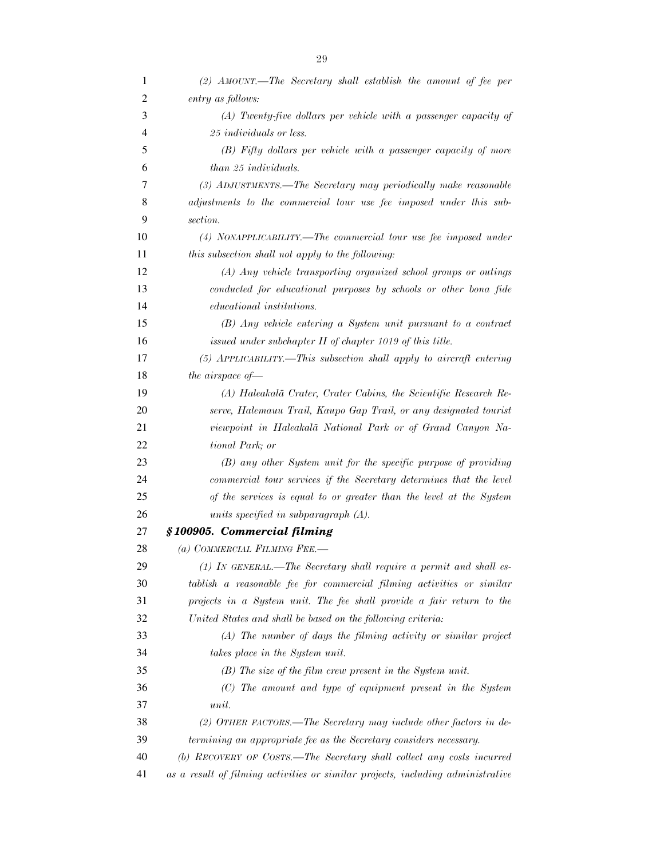| 1  | $(2)$ AMOUNT.—The Secretary shall establish the amount of fee per               |
|----|---------------------------------------------------------------------------------|
| 2  | entry as follows:                                                               |
| 3  | $(A)$ Twenty-five dollars per vehicle with a passenger capacity of              |
| 4  | 25 individuals or less.                                                         |
| 5  | $(B)$ Fifty dollars per vehicle with a passenger capacity of more               |
| 6  | than 25 individuals.                                                            |
| 7  | (3) ADJUSTMENTS.—The Secretary may periodically make reasonable                 |
| 8  | adjustments to the commercial tour use fee imposed under this sub-              |
| 9  | section.                                                                        |
| 10 | (4) NONAPPLICABILITY.—The commercial tour use fee imposed under                 |
| 11 | this subsection shall not apply to the following:                               |
| 12 | (A) Any vehicle transporting organized school groups or outings                 |
| 13 | conducted for educational purposes by schools or other bona fide                |
| 14 | educational institutions.                                                       |
| 15 | $(B)$ Any vehicle entering a System unit pursuant to a contract                 |
| 16 | issued under subchapter $II$ of chapter 1019 of this title.                     |
| 17 | $(5)$ APPLICABILITY.—This subsection shall apply to aircraft entering           |
| 18 | the airspace of $-$                                                             |
| 19 | (A) Haleakalā Crater, Crater Cabins, the Scientific Research Re-                |
| 20 | serve, Halemauu Trail, Kaupo Gap Trail, or any designated tourist               |
| 21 | viewpoint in Haleakalā National Park or of Grand Canyon Na-                     |
| 22 | tional Park; or                                                                 |
| 23 | (B) any other System unit for the specific purpose of providing                 |
| 24 | commercial tour services if the Secretary determines that the level             |
| 25 | of the services is equal to or greater than the level at the System             |
| 26 | units specified in subparagraph $(A)$ .                                         |
| 27 | §100905. Commercial filming                                                     |
| 28 | (a) COMMERCIAL FILMING FEE.-                                                    |
| 29 | $(1)$ IN GENERAL.—The Secretary shall require a permit and shall es-            |
| 30 | tablish a reasonable fee for commercial filming activities or similar           |
| 31 | projects in a System unit. The fee shall provide a fair return to the           |
| 32 | United States and shall be based on the following criteria:                     |
| 33 | $(A)$ The number of days the filming activity or similar project                |
| 34 | takes place in the System unit.                                                 |
| 35 | $(B)$ The size of the film crew present in the System unit.                     |
| 36 | $(C)$ The amount and type of equipment present in the System                    |
| 37 | unit.                                                                           |
| 38 | $(2)$ OTHER FACTORS.—The Secretary may include other factors in de-             |
| 39 | termining an appropriate fee as the Secretary considers necessary.              |
| 40 | (b) RECOVERY OF COSTS.—The Secretary shall collect any costs incurred           |
| 41 | as a result of filming activities or similar projects, including administrative |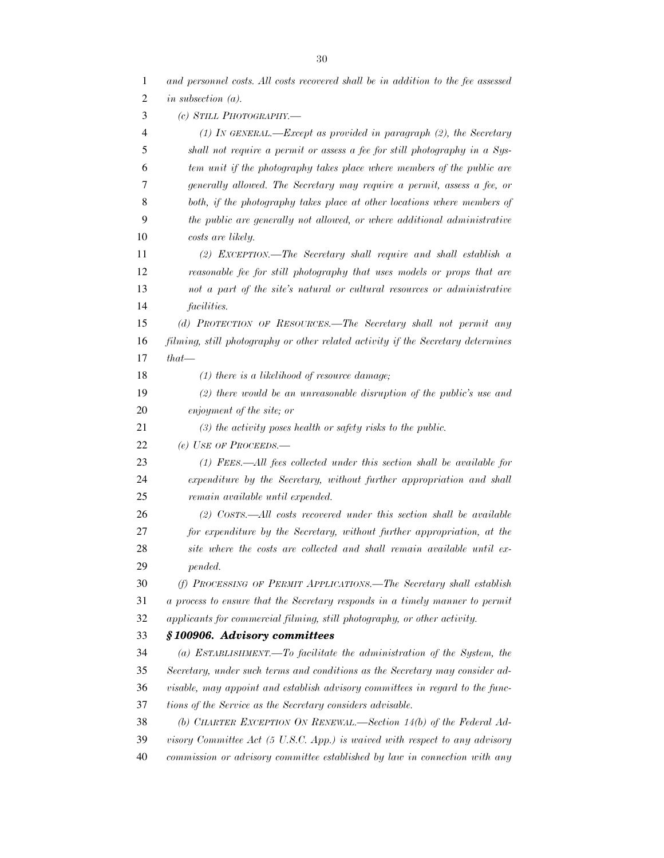| 1  | and personnel costs. All costs recovered shall be in addition to the fee assessed |
|----|-----------------------------------------------------------------------------------|
| 2  | in subsection $(a)$ .                                                             |
| 3  | (c) STILL PHOTOGRAPHY.-                                                           |
| 4  | (1) IN GENERAL.—Except as provided in paragraph $(2)$ , the Secretary             |
| 5  | shall not require a permit or assess a fee for still photography in a Sys-        |
| 6  | tem unit if the photography takes place where members of the public are           |
| 7  | generally allowed. The Secretary may require a permit, assess a fee, or           |
| 8  | both, if the photography takes place at other locations where members of          |
| 9  | the public are generally not allowed, or where additional administrative          |
| 10 | costs are likely.                                                                 |
| 11 | $(2)$ EXCEPTION.—The Secretary shall require and shall establish a                |
| 12 | reasonable fee for still photography that uses models or props that are           |
| 13 | not a part of the site's natural or cultural resources or administrative          |
| 14 | <i>facilities.</i>                                                                |
| 15 | (d) PROTECTION OF RESOURCES.—The Secretary shall not permit any                   |
| 16 | filming, still photography or other related activity if the Secretary determines  |
| 17 | $that$ —                                                                          |
| 18 | $(1)$ there is a likelihood of resource damage;                                   |
| 19 | $(2)$ there would be an unreasonable disruption of the public's use and           |
| 20 | enjoyment of the site; or                                                         |
| 21 | $(3)$ the activity poses health or safety risks to the public.                    |
| 22 | (e) USE OF PROCEEDS.—                                                             |
| 23 | $(1)$ FEES.—All fees collected under this section shall be available for          |
| 24 | expenditure by the Secretary, without further appropriation and shall             |
| 25 | remain available until expended.                                                  |
| 26 | $(2)$ COSTS.—All costs recovered under this section shall be available            |
| 27 | for expenditure by the Secretary, without further appropriation, at the           |
| 28 | site where the costs are collected and shall remain available until ex-           |
| 29 | pended.                                                                           |
| 30 | (f) PROCESSING OF PERMIT APPLICATIONS.—The Secretary shall establish              |
| 31 | a process to ensure that the Secretary responds in a timely manner to permit      |
| 32 | applicants for commercial filming, still photography, or other activity.          |
| 33 | §100906. Advisory committees                                                      |
| 34 | $(a)$ ESTABLISHMENT.—To facilitate the administration of the System, the          |
| 35 | Secretary, under such terms and conditions as the Secretary may consider ad-      |
| 36 | visable, may appoint and establish advisory committees in regard to the func-     |
| 37 | tions of the Service as the Secretary considers advisable.                        |
| 38 | (b) CHARTER EXCEPTION ON RENEWAL.—Section $14(b)$ of the Federal Ad-              |
| 39 | visory Committee Act (5 U.S.C. App.) is waived with respect to any advisory       |
| 40 | commission or advisory committee established by law in connection with any        |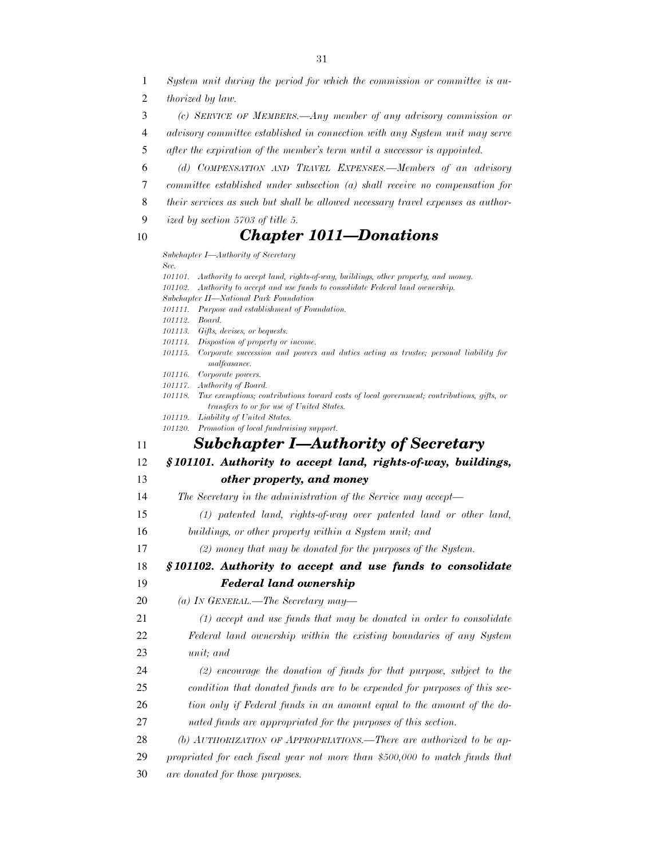*System unit during the period for which the commission or committee is au-*

- *thorized by law.*
- *(c) SERVICE OF MEMBERS.—Any member of any advisory commission or*
- *advisory committee established in connection with any System unit may serve*
- *after the expiration of the member's term until a successor is appointed.*
- *(d) COMPENSATION AND TRAVEL EXPENSES.—Members of an advisory*
- *committee established under subsection (a) shall receive no compensation for*
- *their services as such but shall be allowed necessary travel expenses as author-*
- *ized by section 5703 of title 5.*

## *Chapter 1011—Donations*

*Subchapter I—Authority of Secretary*

|    | Sec.               |                                                                                                                                       |
|----|--------------------|---------------------------------------------------------------------------------------------------------------------------------------|
|    | 101101.            | Authority to accept land, rights-of-way, buildings, other property, and money.                                                        |
|    | 101102.            | Authority to accept and use funds to consolidate Federal land ownership.                                                              |
|    |                    | Subchapter II—National Park Foundation                                                                                                |
|    | 101111.            | Purpose and establishment of Foundation.                                                                                              |
|    | 101112.<br>101113. | Board.<br>Gifts, devises, or bequests.                                                                                                |
|    | 101114.            | Dispostion of property or income.                                                                                                     |
|    | 101115.            | Corporate succession and powers and duties acting as trustee; personal liability for<br>malfeasance.                                  |
|    | 101116.            | Corporate powers.                                                                                                                     |
|    | 101117.            | Authority of Board.                                                                                                                   |
|    | 101118.            | Tax exemptions; contributions toward costs of local government; contributions, gifts, or<br>transfers to or for use of United States. |
|    | 101119.            | Liability of United States.                                                                                                           |
|    | 101120.            | Promotion of local fundraising support.                                                                                               |
| 11 |                    | <b>Subchapter I—Authority of Secretary</b>                                                                                            |
| 12 |                    | §101101. Authority to accept land, rights-of-way, buildings,                                                                          |
| 13 |                    | other property, and money                                                                                                             |
| 14 |                    | The Secretary in the administration of the Service may accept—                                                                        |
| 15 |                    | (1) patented land, rights-of-way over patented land or other land,                                                                    |
| 16 |                    | buildings, or other property within a System unit; and                                                                                |
| 17 |                    | $(2)$ money that may be donated for the purposes of the System.                                                                       |
| 18 |                    | §101102. Authority to accept and use funds to consolidate                                                                             |
| 19 |                    | <b>Federal land ownership</b>                                                                                                         |
| 20 |                    | (a) IN GENERAL.—The Secretary may—                                                                                                    |
| 21 |                    | $(1)$ accept and use funds that may be donated in order to consolidate                                                                |
| 22 |                    | Federal land ownership within the existing boundaries of any System                                                                   |
| 23 |                    | unit; and                                                                                                                             |
| 24 |                    | $(2)$ encourage the donation of funds for that purpose, subject to the                                                                |
| 25 |                    | condition that donated funds are to be expended for purposes of this sec-                                                             |
| 26 |                    | tion only if Federal funds in an amount equal to the amount of the do-                                                                |
| 27 |                    | nated funds are appropriated for the purposes of this section.                                                                        |
| 28 |                    | (b) AUTHORIZATION OF APPROPRIATIONS.—There are authorized to be ap-                                                                   |
| 29 |                    | propriated for each fiscal year not more than \$500,000 to match funds that                                                           |
| 30 |                    | are donated for those purposes.                                                                                                       |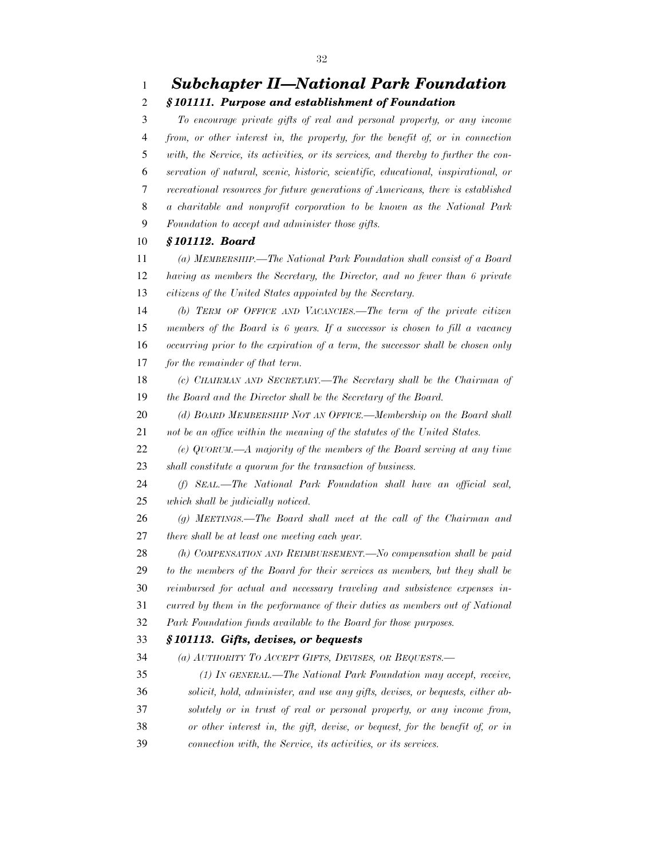*Subchapter II—National Park Foundation § 101111. Purpose and establishment of Foundation To encourage private gifts of real and personal property, or any income from, or other interest in, the property, for the benefit of, or in connection with, the Service, its activities, or its services, and thereby to further the con- servation of natural, scenic, historic, scientific, educational, inspirational, or recreational resources for future generations of Americans, there is established a charitable and nonprofit corporation to be known as the National Park Foundation to accept and administer those gifts. § 101112. Board (a) MEMBERSHIP.—The National Park Foundation shall consist of a Board having as members the Secretary, the Director, and no fewer than 6 private citizens of the United States appointed by the Secretary. (b) TERM OF OFFICE AND VACANCIES.—The term of the private citizen members of the Board is 6 years. If a successor is chosen to fill a vacancy occurring prior to the expiration of a term, the successor shall be chosen only for the remainder of that term. (c) CHAIRMAN AND SECRETARY.—The Secretary shall be the Chairman of the Board and the Director shall be the Secretary of the Board. (d) BOARD MEMBERSHIP NOT AN OFFICE.—Membership on the Board shall not be an office within the meaning of the statutes of the United States. (e) QUORUM.—A majority of the members of the Board serving at any time shall constitute a quorum for the transaction of business. (f) SEAL.—The National Park Foundation shall have an official seal, which shall be judicially noticed. (g) MEETINGS.—The Board shall meet at the call of the Chairman and there shall be at least one meeting each year. (h) COMPENSATION AND REIMBURSEMENT.—No compensation shall be paid to the members of the Board for their services as members, but they shall be reimbursed for actual and necessary traveling and subsistence expenses in- curred by them in the performance of their duties as members out of National Park Foundation funds available to the Board for those purposes. § 101113. Gifts, devises, or bequests (a) AUTHORITY TO ACCEPT GIFTS, DEVISES, OR BEQUESTS.— (1) IN GENERAL.—The National Park Foundation may accept, receive, solicit, hold, administer, and use any gifts, devises, or bequests, either ab- solutely or in trust of real or personal property, or any income from, or other interest in, the gift, devise, or bequest, for the benefit of, or in connection with, the Service, its activities, or its services.*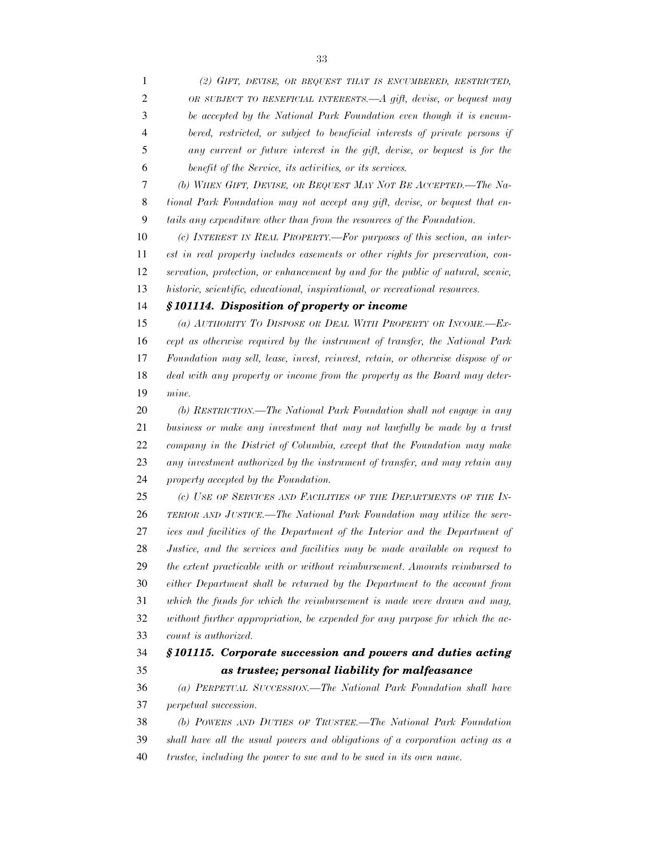*(2) GIFT, DEVISE, OR BEQUEST THAT IS ENCUMBERED, RESTRICTED, OR SUBJECT TO BENEFICIAL INTERESTS.—A gift, devise, or bequest may be accepted by the National Park Foundation even though it is encum- bered, restricted, or subject to beneficial interests of private persons if any current or future interest in the gift, devise, or bequest is for the benefit of the Service, its activities, or its services. (b) WHEN GIFT, DEVISE, OR BEQUEST MAY NOT BE ACCEPTED.—The Na- tional Park Foundation may not accept any gift, devise, or bequest that en- tails any expenditure other than from the resources of the Foundation. (c) INTEREST IN REAL PROPERTY.—For purposes of this section, an inter- est in real property includes easements or other rights for preservation, con- servation, protection, or enhancement by and for the public of natural, scenic, historic, scientific, educational, inspirational, or recreational resources. § 101114. Disposition of property or income (a) AUTHORITY TO DISPOSE OR DEAL WITH PROPERTY OR INCOME.—Ex- cept as otherwise required by the instrument of transfer, the National Park Foundation may sell, lease, invest, reinvest, retain, or otherwise dispose of or deal with any property or income from the property as the Board may deter- mine. (b) RESTRICTION.—The National Park Foundation shall not engage in any business or make any investment that may not lawfully be made by a trust company in the District of Columbia, except that the Foundation may make any investment authorized by the instrument of transfer, and may retain any property accepted by the Foundation. (c) USE OF SERVICES AND FACILITIES OF THE DEPARTMENTS OF THE IN- TERIOR AND JUSTICE.—The National Park Foundation may utilize the serv- ices and facilities of the Department of the Interior and the Department of Justice, and the services and facilities may be made available on request to the extent practicable with or without reimbursement. Amounts reimbursed to either Department shall be returned by the Department to the account from which the funds for which the reimbursement is made were drawn and may, without further appropriation, be expended for any purpose for which the ac- count is authorized. § 101115. Corporate succession and powers and duties acting as trustee; personal liability for malfeasance (a) PERPETUAL SUCCESSION.—The National Park Foundation shall have perpetual succession. (b) POWERS AND DUTIES OF TRUSTEE.—The National Park Foundation shall have all the usual powers and obligations of a corporation acting as a trustee, including the power to sue and to be sued in its own name.*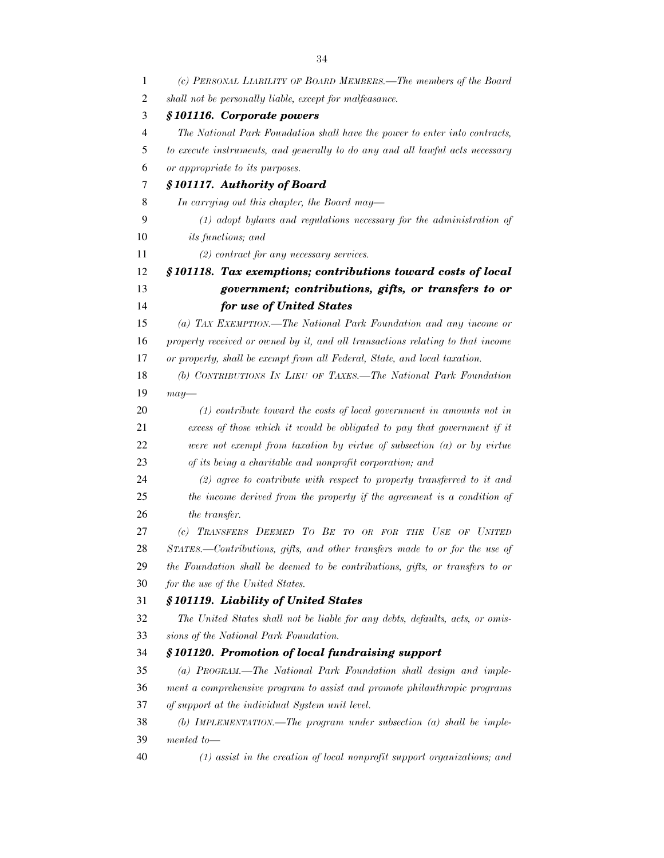| $\mathbf{1}$ | (c) PERSONAL LIABILITY OF BOARD MEMBERS.—The members of the Board              |
|--------------|--------------------------------------------------------------------------------|
| 2            | shall not be personally liable, except for malfeasance.                        |
| 3            | §101116. Corporate powers                                                      |
| 4            | The National Park Foundation shall have the power to enter into contracts,     |
| 5            | to execute instruments, and generally to do any and all lawful acts necessary  |
| 6            | or appropriate to its purposes.                                                |
| 7            | §101117. Authority of Board                                                    |
| 8            | In carrying out this chapter, the Board may—                                   |
| 9            | $(1)$ adopt bylaws and regulations necessary for the administration of         |
| 10           | <i>its functions; and</i>                                                      |
| 11           | $(2)$ contract for any necessary services.                                     |
| 12           | §101118. Tax exemptions; contributions toward costs of local                   |
| 13           | government; contributions, gifts, or transfers to or                           |
| 14           | for use of United States                                                       |
| 15           | (a) TAX EXEMPTION.—The National Park Foundation and any income or              |
| 16           | property received or owned by it, and all transactions relating to that income |
| 17           | or property, shall be exempt from all Federal, State, and local taxation.      |
| 18           | (b) CONTRIBUTIONS IN LIEU OF TAXES.—The National Park Foundation               |
| 19           | $may-$                                                                         |
| 20           | $(1)$ contribute toward the costs of local government in amounts not in        |
| 21           | excess of those which it would be obligated to pay that government if it       |
| 22           | were not exempt from taxation by virtue of subsection $(a)$ or by virtue       |
| 23           | of its being a charitable and nonprofit corporation; and                       |
| 24           | $(2)$ agree to contribute with respect to property transferred to it and       |
| 25           | the income derived from the property if the agreement is a condition of        |
| 26           | the transfer.                                                                  |
| 27           | TRANSFERS DEEMED TO BE TO OR FOR THE USE OF UNITED<br>(c)                      |
| 28           | STATES.—Contributions, gifts, and other transfers made to or for the use of    |
| 29           | the Foundation shall be deemed to be contributions, gifts, or transfers to or  |
| 30           | for the use of the United States.                                              |
| 31           | §101119. Liability of United States                                            |
| 32           | The United States shall not be liable for any debts, defaults, acts, or omis-  |
| 33           | sions of the National Park Foundation.                                         |
| 34           | §101120. Promotion of local fundraising support                                |
| 35           | (a) PROGRAM.—The National Park Foundation shall design and imple-              |
| 36           | ment a comprehensive program to assist and promote philanthropic programs      |
| 37           | of support at the individual System unit level.                                |
| 38           | (b) IMPLEMENTATION.—The program under subsection $(a)$ shall be imple-         |
| 39           | mented to-                                                                     |
| 40           | $(1)$ assist in the creation of local nonprofit support organizations; and     |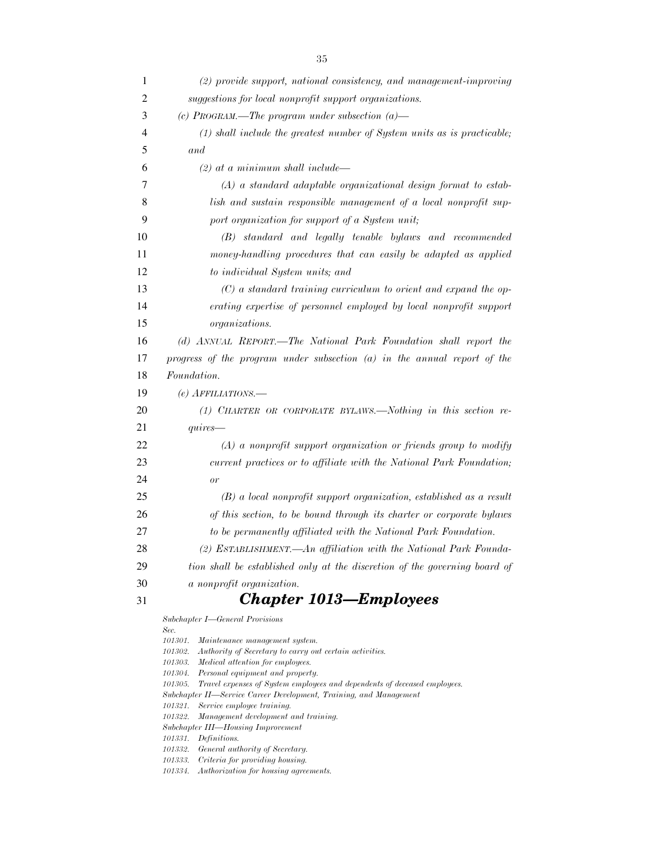| 1  | (2) provide support, national consistency, and management-improving                        |  |  |
|----|--------------------------------------------------------------------------------------------|--|--|
| 2  | suggestions for local nonprofit support organizations.                                     |  |  |
| 3  | (c) PROGRAM.—The program under subsection $(a)$ —                                          |  |  |
| 4  | $(1)$ shall include the greatest number of System units as is practicable;                 |  |  |
| 5  | and                                                                                        |  |  |
| 6  | $(2)$ at a minimum shall include—                                                          |  |  |
| 7  | $(A)$ a standard adaptable organizational design format to estab-                          |  |  |
| 8  | lish and sustain responsible management of a local nonprofit sup-                          |  |  |
| 9  | port organization for support of a System unit;                                            |  |  |
| 10 | (B) standard and legally tenable bylaws and recommended                                    |  |  |
| 11 | money-handling procedures that can easily be adapted as applied                            |  |  |
| 12 | to individual System units; and                                                            |  |  |
| 13 | $(C)$ a standard training curriculum to orient and expand the op-                          |  |  |
| 14 | erating expertise of personnel employed by local nonprofit support                         |  |  |
| 15 | <i>organizations.</i>                                                                      |  |  |
| 16 | (d) ANNUAL REPORT.—The National Park Foundation shall report the                           |  |  |
| 17 | progress of the program under subsection $(a)$ in the annual report of the                 |  |  |
| 18 | Foundation.                                                                                |  |  |
| 19 | $(e)$ AFFILIATIONS.—                                                                       |  |  |
| 20 | $(1)$ CHARTER OR CORPORATE BYLAWS.—Nothing in this section re-                             |  |  |
| 21 | quires-                                                                                    |  |  |
| 22 | $(A)$ a nonprofit support organization or friends group to modify                          |  |  |
| 23 | current practices or to affiliate with the National Park Foundation;                       |  |  |
| 24 | or                                                                                         |  |  |
| 25 | $(B)$ a local nonprofit support organization, established as a result                      |  |  |
| 26 | of this section, to be bound through its charter or corporate bylaws                       |  |  |
| 27 | to be permanently affiliated with the National Park Foundation.                            |  |  |
| 28 | (2) ESTABLISHMENT.—An affiliation with the National Park Founda-                           |  |  |
| 29 | tion shall be established only at the discretion of the governing board of                 |  |  |
| 30 | a nonprofit organization.                                                                  |  |  |
| 31 | <b>Chapter 1013–Employees</b>                                                              |  |  |
|    | Subchapter I—General Provisions                                                            |  |  |
|    | Sec.<br>101301.<br>Maintenance management system.                                          |  |  |
|    | 101302.<br>Authority of Secretary to carry out certain activities.                         |  |  |
|    | Medical attention for employees.<br>101303.<br>Personal equipment and property.<br>101304. |  |  |
|    | 101305.<br>Travel expenses of System employees and dependents of deceased employees.       |  |  |
|    | Subchapter II—Service Career Development, Training, and Management                         |  |  |
|    | 101321.<br>Service employee training.<br>101322.<br>Management development and training.   |  |  |
|    | Subchapter III—Housing Improvement                                                         |  |  |
|    | 101331.<br>Definitions.                                                                    |  |  |
|    | 101332.<br>General authority of Secretary.                                                 |  |  |
|    | Criteria for providing housing.<br>101333.                                                 |  |  |

*101334. Authorization for housing agreements.*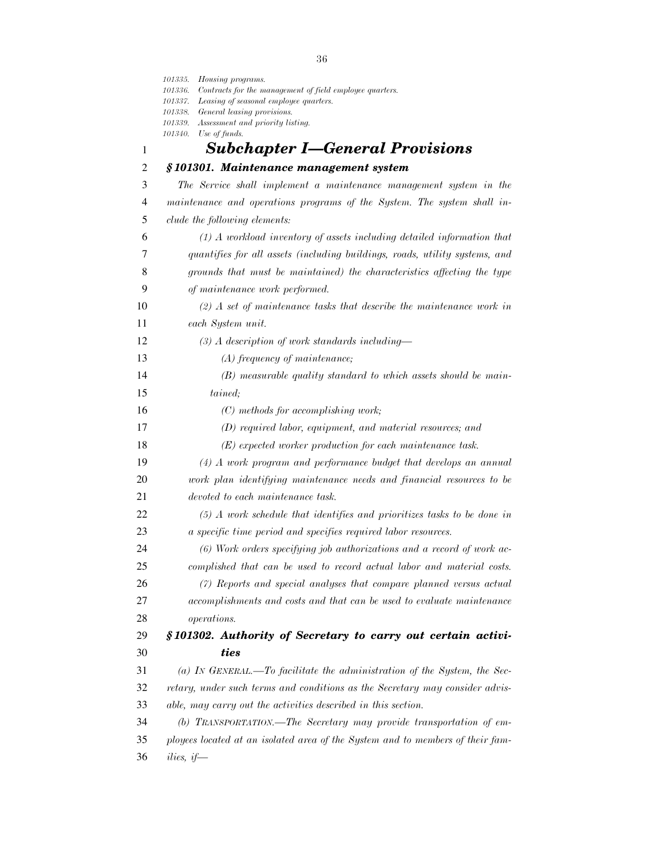*101335. Housing programs. 101336. Contracts for the management of field employee quarters. 101337. Leasing of seasonal employee quarters. 101338. General leasing provisions. 101339. Assessment and priority listing. 101340. Use of funds. Subchapter I—General Provisions § 101301. Maintenance management system The Service shall implement a maintenance management system in the maintenance and operations programs of the System. The system shall in- clude the following elements: (1) A workload inventory of assets including detailed information that quantifies for all assets (including buildings, roads, utility systems, and grounds that must be maintained) the characteristics affecting the type of maintenance work performed. (2) A set of maintenance tasks that describe the maintenance work in each System unit. (3) A description of work standards including— (A) frequency of maintenance; (B) measurable quality standard to which assets should be main- tained; (C) methods for accomplishing work; (D) required labor, equipment, and material resources; and (E) expected worker production for each maintenance task. (4) A work program and performance budget that develops an annual work plan identifying maintenance needs and financial resources to be devoted to each maintenance task. (5) A work schedule that identifies and prioritizes tasks to be done in a specific time period and specifies required labor resources. (6) Work orders specifying job authorizations and a record of work ac- complished that can be used to record actual labor and material costs. (7) Reports and special analyses that compare planned versus actual accomplishments and costs and that can be used to evaluate maintenance operations. § 101302. Authority of Secretary to carry out certain activi- ties (a) IN GENERAL.—To facilitate the administration of the System, the Sec- retary, under such terms and conditions as the Secretary may consider advis- able, may carry out the activities described in this section. (b) TRANSPORTATION.—The Secretary may provide transportation of em- ployees located at an isolated area of the System and to members of their fam-ilies, if—*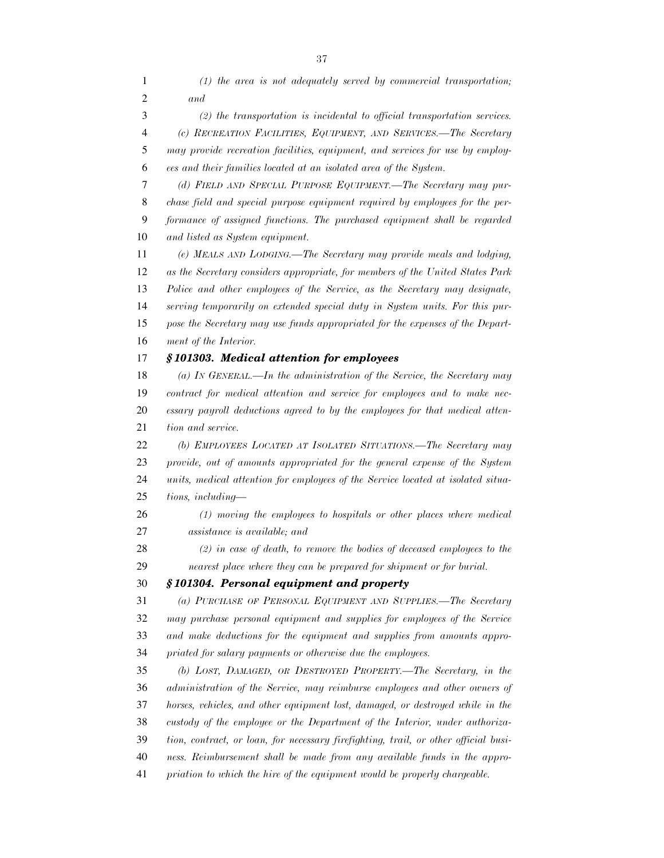*(1) the area is not adequately served by commercial transportation; and (2) the transportation is incidental to official transportation services. (c) RECREATION FACILITIES, EQUIPMENT, AND SERVICES.—The Secretary may provide recreation facilities, equipment, and services for use by employ- ees and their families located at an isolated area of the System. (d) FIELD AND SPECIAL PURPOSE EQUIPMENT.—The Secretary may pur- chase field and special purpose equipment required by employees for the per- formance of assigned functions. The purchased equipment shall be regarded and listed as System equipment. (e) MEALS AND LODGING.—The Secretary may provide meals and lodging, as the Secretary considers appropriate, for members of the United States Park Police and other employees of the Service, as the Secretary may designate, serving temporarily on extended special duty in System units. For this pur- pose the Secretary may use funds appropriated for the expenses of the Depart- ment of the Interior. § 101303. Medical attention for employees (a) IN GENERAL.—In the administration of the Service, the Secretary may contract for medical attention and service for employees and to make nec- essary payroll deductions agreed to by the employees for that medical atten- tion and service. (b) EMPLOYEES LOCATED AT ISOLATED SITUATIONS.—The Secretary may provide, out of amounts appropriated for the general expense of the System units, medical attention for employees of the Service located at isolated situa- tions, including— (1) moving the employees to hospitals or other places where medical assistance is available; and (2) in case of death, to remove the bodies of deceased employees to the nearest place where they can be prepared for shipment or for burial. § 101304. Personal equipment and property (a) PURCHASE OF PERSONAL EQUIPMENT AND SUPPLIES.—The Secretary may purchase personal equipment and supplies for employees of the Service and make deductions for the equipment and supplies from amounts appro- priated for salary payments or otherwise due the employees. (b) LOST, DAMAGED, OR DESTROYED PROPERTY.—The Secretary, in the administration of the Service, may reimburse employees and other owners of horses, vehicles, and other equipment lost, damaged, or destroyed while in the custody of the employee or the Department of the Interior, under authoriza- tion, contract, or loan, for necessary firefighting, trail, or other official busi- ness. Reimbursement shall be made from any available funds in the appro-priation to which the hire of the equipment would be properly chargeable.*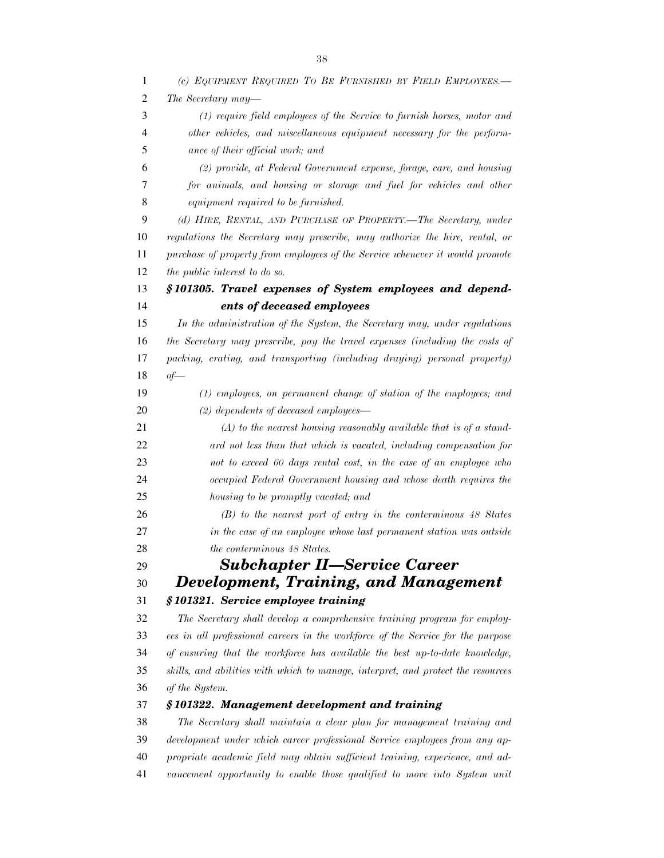| $\mathbf{1}$ | (c) EQUIPMENT REQUIRED TO BE FURNISHED BY FIELD EMPLOYEES.-                      |
|--------------|----------------------------------------------------------------------------------|
| 2            | The Secretary may—                                                               |
| 3            | (1) require field employees of the Service to furnish horses, motor and          |
| 4            | other vehicles, and miscellaneous equipment necessary for the perform-           |
| 5            | ance of their official work; and                                                 |
| 6            | (2) provide, at Federal Government expense, forage, care, and housing            |
| 7            | for animals, and housing or storage and fuel for vehicles and other              |
| 8            | equipment required to be furnished.                                              |
| 9            | (d) HIRE, RENTAL, AND PURCHASE OF PROPERTY.—The Secretary, under                 |
| 10           | regulations the Secretary may prescribe, may authorize the hire, rental, or      |
| 11           | purchase of property from employees of the Service whenever it would promote     |
| 12           | the public interest to do so.                                                    |
| 13           | §101305. Travel expenses of System employees and depend-                         |
| 14           | ents of deceased employees                                                       |
| 15           | In the administration of the System, the Secretary may, under regulations        |
| 16           | the Secretary may prescribe, pay the travel expenses (including the costs of     |
| 17           | packing, crating, and transporting (including draying) personal property)        |
| 18           | $of$ —                                                                           |
| 19           | (1) employees, on permanent change of station of the employees; and              |
| 20           | $(2)$ dependents of deceased employees—                                          |
| 21           | $(A)$ to the nearest housing reasonably available that is of a stand-            |
| 22           | ard not less than that which is vacated, including compensation for              |
| 23           | not to exceed 60 days rental cost, in the case of an employee who                |
| 24           | occupied Federal Government housing and whose death requires the                 |
| 25           | housing to be promptly vacated; and                                              |
| 26           | $(B)$ to the nearest port of entry in the conterminous 48 States                 |
| 27           | in the case of an employee whose last permanent station was outside              |
| 28           | the conterminous 48 States.                                                      |
| 29           | <b>Subchapter II–Service Career</b>                                              |
| 30           | <b>Development, Training, and Management</b>                                     |
| 31           | §101321. Service employee training                                               |
| 32           | The Secretary shall develop a comprehensive training program for employ-         |
| 33           | ees in all professional careers in the workforce of the Service for the purpose  |
| 34           | of ensuring that the workforce has available the best up-to-date knowledge,      |
| 35           | skills, and abilities with which to manage, interpret, and protect the resources |
| 36           | of the System.                                                                   |
| 37           | §101322. Management development and training                                     |
| 38           | The Secretary shall maintain a clear plan for management training and            |
| 39           | development under which career professional Service employees from any ap-       |
| 40           | propriate academic field may obtain sufficient training, experience, and ad-     |
| 41           | vancement opportunity to enable those qualified to move into System unit         |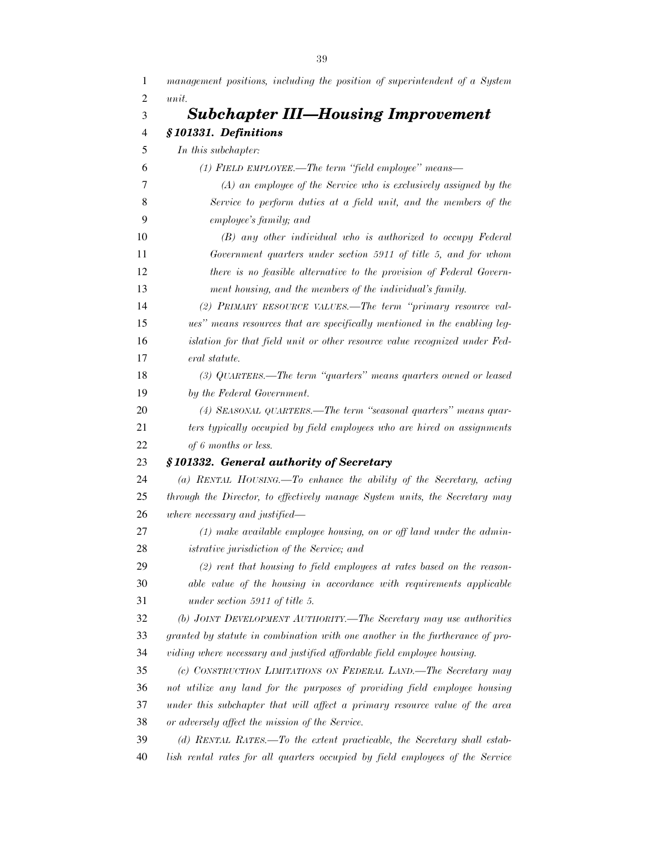| $\mathbf{1}$   | management positions, including the position of superintendent of a System    |
|----------------|-------------------------------------------------------------------------------|
| $\overline{c}$ | unit.                                                                         |
| 3              | <b>Subchapter III—Housing Improvement</b>                                     |
| 4              | §101331. Definitions                                                          |
| 5              | In this subchapter:                                                           |
| 6              | (1) FIELD EMPLOYEE.—The term "field employee" means—                          |
| 7              | $(A)$ an employee of the Service who is exclusively assigned by the           |
| 8              | Service to perform duties at a field unit, and the members of the             |
| 9              | employee's family; and                                                        |
| 10             | $(B)$ any other individual who is authorized to occupy Federal                |
| 11             | Government quarters under section 5911 of title 5, and for whom               |
| 12             | there is no feasible alternative to the provision of Federal Govern-          |
| 13             | ment housing, and the members of the individual's family.                     |
| 14             | (2) PRIMARY RESOURCE VALUES - The term "primary resource val-                 |
| 15             | ues" means resources that are specifically mentioned in the enabling leg-     |
| 16             | islation for that field unit or other resource value recognized under Fed-    |
| 17             | eral statute.                                                                 |
| 18             | $(3)$ QUARTERS.—The term "quarters" means quarters owned or leased            |
| 19             | by the Federal Government.                                                    |
| 20             | (4) SEASONAL QUARTERS.—The term "seasonal quarters" means quar-               |
| 21             | ters typically occupied by field employees who are hired on assignments       |
| 22             | of 6 months or less.                                                          |
| 23             | §101332. General authority of Secretary                                       |
| 24             | (a) RENTAL HOUSING.—To enhance the ability of the Secretary, acting           |
| 25             | through the Director, to effectively manage System units, the Secretary may   |
| 26             | where necessary and justified—                                                |
| 27             | $(1)$ make available employee housing, on or off land under the admin-        |
| 28             | <i>istrative jurisdiction of the Service</i> ; and                            |
| 29             | $(2)$ rent that housing to field employees at rates based on the reason-      |
| 30             | able value of the housing in accordance with requirements applicable          |
| 31             | under section 5911 of title 5.                                                |
| 32             | (b) JOINT DEVELOPMENT AUTHORITY.—The Secretary may use authorities            |
| 33             | granted by statute in combination with one another in the furtherance of pro- |
| 34             | viding where necessary and justified affordable field employee housing.       |
| 35             | (c) CONSTRUCTION LIMITATIONS ON FEDERAL LAND.—The Secretary may               |
| 36             | not utilize any land for the purposes of providing field employee housing     |
| 37             | under this subchapter that will affect a primary resource value of the area   |
| 38             | or adversely affect the mission of the Service.                               |
| 39             | (d) RENTAL RATES.—To the extent practicable, the Secretary shall estab-       |
| 40             | lish rental rates for all quarters occupied by field employees of the Service |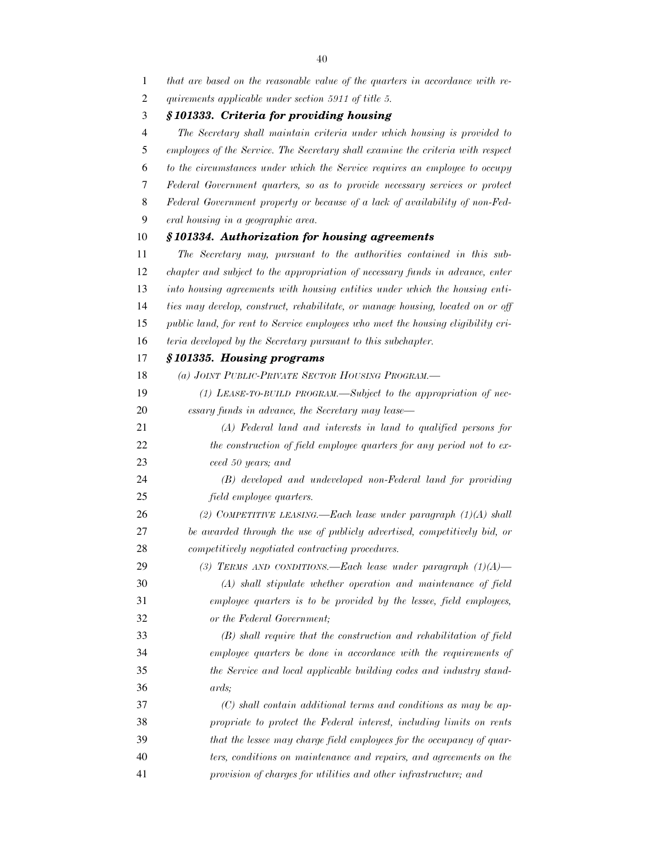*that are based on the reasonable value of the quarters in accordance with re- quirements applicable under section 5911 of title 5. § 101333. Criteria for providing housing The Secretary shall maintain criteria under which housing is provided to employees of the Service. The Secretary shall examine the criteria with respect to the circumstances under which the Service requires an employee to occupy Federal Government quarters, so as to provide necessary services or protect Federal Government property or because of a lack of availability of non-Fed- eral housing in a geographic area. § 101334. Authorization for housing agreements The Secretary may, pursuant to the authorities contained in this sub- chapter and subject to the appropriation of necessary funds in advance, enter into housing agreements with housing entities under which the housing enti- ties may develop, construct, rehabilitate, or manage housing, located on or off public land, for rent to Service employees who meet the housing eligibility cri- teria developed by the Secretary pursuant to this subchapter. § 101335. Housing programs (a) JOINT PUBLIC-PRIVATE SECTOR HOUSING PROGRAM.— (1) LEASE-TO-BUILD PROGRAM.—Subject to the appropriation of nec- essary funds in advance, the Secretary may lease— (A) Federal land and interests in land to qualified persons for the construction of field employee quarters for any period not to ex- ceed 50 years; and (B) developed and undeveloped non-Federal land for providing field employee quarters. (2) COMPETITIVE LEASING.—Each lease under paragraph (1)(A) shall be awarded through the use of publicly advertised, competitively bid, or competitively negotiated contracting procedures. (3) TERMS AND CONDITIONS.—Each lease under paragraph (1)(A)— (A) shall stipulate whether operation and maintenance of field employee quarters is to be provided by the lessee, field employees, or the Federal Government; (B) shall require that the construction and rehabilitation of field employee quarters be done in accordance with the requirements of the Service and local applicable building codes and industry stand- ards; (C) shall contain additional terms and conditions as may be ap- propriate to protect the Federal interest, including limits on rents that the lessee may charge field employees for the occupancy of quar- ters, conditions on maintenance and repairs, and agreements on the provision of charges for utilities and other infrastructure; and*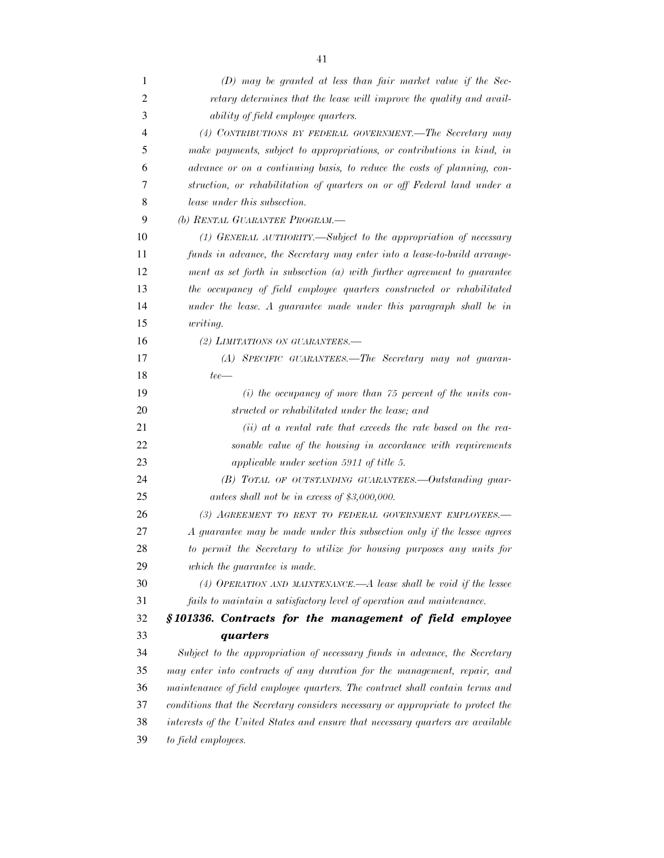| 1  | $(D)$ may be granted at less than fair market value if the Sec-                 |
|----|---------------------------------------------------------------------------------|
| 2  | retary determines that the lease will improve the quality and avail-            |
| 3  | ability of field employee quarters.                                             |
| 4  | (4) CONTRIBUTIONS BY FEDERAL GOVERNMENT.—The Secretary may                      |
| 5  | make payments, subject to appropriations, or contributions in kind, in          |
| 6  | advance or on a continuing basis, to reduce the costs of planning, con-         |
| 7  | struction, or rehabilitation of quarters on or off Federal land under a         |
| 8  | lease under this subsection.                                                    |
| 9  | (b) RENTAL GUARANTEE PROGRAM.-                                                  |
| 10 | $(1)$ GENERAL AUTHORITY.—Subject to the appropriation of necessary              |
| 11 | funds in advance, the Secretary may enter into a lease-to-build arrange-        |
| 12 | ment as set forth in subsection $(a)$ with further agreement to guarantee       |
| 13 | the occupancy of field employee quarters constructed or rehabilitated           |
| 14 | under the lease. A guarantee made under this paragraph shall be in              |
| 15 | writing.                                                                        |
| 16 | (2) LIMITATIONS ON GUARANTEES.-                                                 |
| 17 | (A) SPECIFIC GUARANTEES.-The Secretary may not guaran-                          |
| 18 | $tee$ —                                                                         |
| 19 | $(i)$ the occupancy of more than 75 percent of the units con-                   |
| 20 | structed or rehabilitated under the lease; and                                  |
| 21 | $(ii)$ at a rental rate that exceeds the rate based on the rea-                 |
| 22 | sonable value of the housing in accordance with requirements                    |
| 23 | applicable under section 5911 of title 5.                                       |
| 24 | (B) TOTAL OF OUTSTANDING GUARANTEES. Outstanding guar-                          |
| 25 | antees shall not be in excess of $$3,000,000$ .                                 |
| 26 | (3) AGREEMENT TO RENT TO FEDERAL GOVERNMENT EMPLOYEES.-                         |
| 27 | A guarantee may be made under this subsection only if the lessee agrees         |
| 28 | to permit the Secretary to utilize for housing purposes any units for           |
| 29 | which the guarantee is made.                                                    |
| 30 | (4) OPERATION AND MAINTENANCE.—A lease shall be void if the lessee              |
| 31 | fails to maintain a satisfactory level of operation and maintenance.            |
| 32 | §101336. Contracts for the management of field employee                         |
| 33 | quarters                                                                        |
| 34 | Subject to the appropriation of necessary funds in advance, the Secretary       |
| 35 | may enter into contracts of any duration for the management, repair, and        |
| 36 | maintenance of field employee quarters. The contract shall contain terms and    |
| 37 | conditions that the Secretary considers necessary or appropriate to protect the |
| 38 | interests of the United States and ensure that necessary quarters are available |
| 39 | to field employees.                                                             |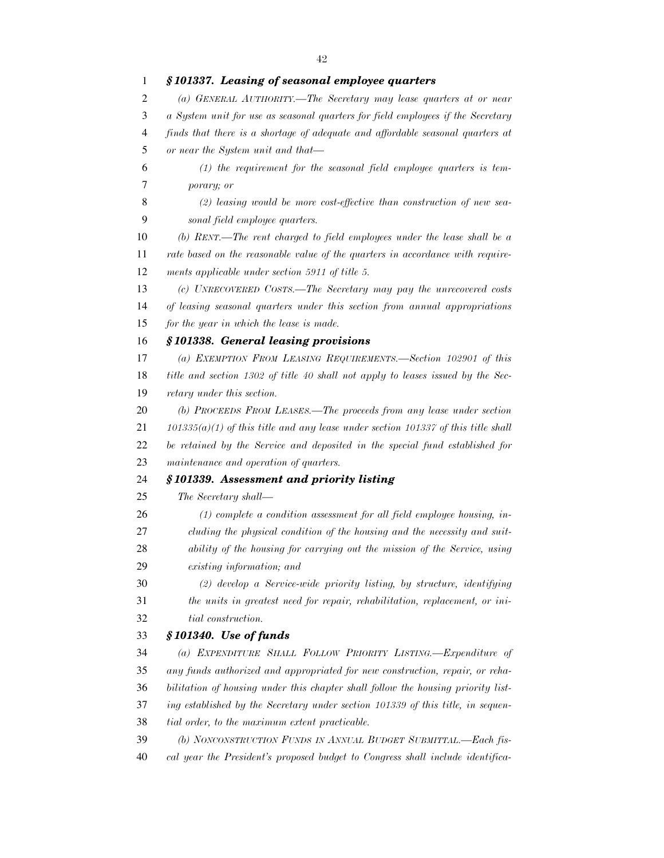| $\mathbf{1}$ | §101337. Leasing of seasonal employee quarters                                      |
|--------------|-------------------------------------------------------------------------------------|
| 2            | (a) GENERAL AUTHORITY.—The Secretary may lease quarters at or near                  |
| 3            | a System unit for use as seasonal quarters for field employees if the Secretary     |
| 4            | finds that there is a shortage of adequate and affordable seasonal quarters at      |
| 5            | or near the System unit and that—                                                   |
| 6            | $(1)$ the requirement for the seasonal field employee quarters is tem-              |
| 7            | porary; or                                                                          |
| 8            | $(2)$ leasing would be more cost-effective than construction of new sea-            |
| 9            | sonal field employee quarters.                                                      |
| 10           | (b) RENT.—The rent charged to field employees under the lease shall be a            |
| 11           | rate based on the reasonable value of the quarters in accordance with require-      |
| 12           | ments applicable under section 5911 of title 5.                                     |
| 13           | (c) UNRECOVERED COSTS.—The Secretary may pay the unrecovered costs                  |
| 14           | of leasing seasonal quarters under this section from annual appropriations          |
| 15           | for the year in which the lease is made.                                            |
| 16           | §101338. General leasing provisions                                                 |
| 17           | (a) EXEMPTION FROM LEASING REQUIREMENTS.—Section 102901 of this                     |
| 18           | title and section 1302 of title 40 shall not apply to leases issued by the Sec-     |
| 19           | retary under this section.                                                          |
| 20           | (b) PROCEEDS FROM LEASES.—The proceeds from any lease under section                 |
| 21           | $101335(a)(1)$ of this title and any lease under section 101337 of this title shall |
| 22           | be retained by the Service and deposited in the special fund established for        |
| 23           | maintenance and operation of quarters.                                              |
| 24           | §101339. Assessment and priority listing                                            |
| 25           | The Secretary shall—                                                                |
| 26           | $(1)$ complete a condition assessment for all field employee housing, in-           |
| 27           | cluding the physical condition of the housing and the necessity and suit-           |
| 28           | ability of the housing for carrying out the mission of the Service, using           |
| 29           | existing information; and                                                           |
| 30           | $(2)$ develop a Service-wide priority listing, by structure, identifying            |
| 31           | the units in greatest need for repair, rehabilitation, replacement, or ini-         |
| 32           | tial construction.                                                                  |
| 33           | $$101340.$ Use of funds                                                             |
| 34           | (a) EXPENDITURE SHALL FOLLOW PRIORITY LISTING.-Expenditure of                       |
| 35           | any funds authorized and appropriated for new construction, repair, or reha-        |
| 36           | bilitation of housing under this chapter shall follow the housing priority list-    |
| 37           | ing established by the Secretary under section 101339 of this title, in sequen-     |
| 38           | tial order, to the maximum extent practicable.                                      |
| 39           | (b) NONCONSTRUCTION FUNDS IN ANNUAL BUDGET SUBMITTAL.-Each fis-                     |
| 40           | cal year the President's proposed budget to Congress shall include identifica-      |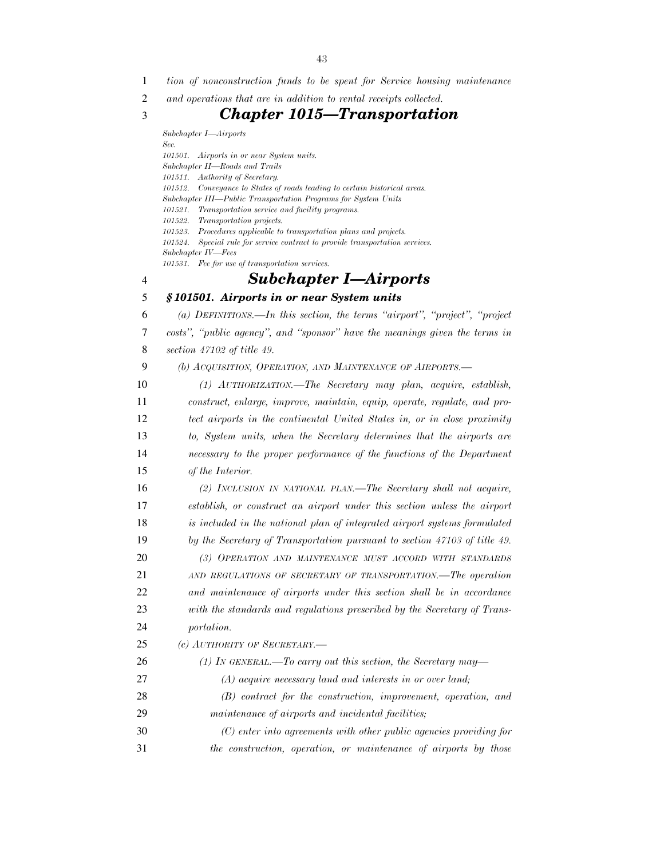- *tion of nonconstruction funds to be spent for Service housing maintenance*
- *and operations that are in addition to rental receipts collected.*

### *Chapter 1015—Transportation*

*Subchapter I—Airports Sec. 101501. Airports in or near System units. Subchapter II—Roads and Trails 101511. Authority of Secretary. 101512. Conveyance to States of roads leading to certain historical areas. Subchapter III—Public Transportation Programs for System Units 101521. Transportation service and facility programs. 101522. Transportation projects. 101523. Procedures applicable to transportation plans and projects. 101524. Special rule for service contract to provide transportation services. Subchapter IV—Fees 101531. Fee for use of transportation services.*

*Subchapter I—Airports*

#### *§ 101501. Airports in or near System units*

 *(a) DEFINITIONS.—In this section, the terms ''airport'', ''project'', ''project costs'', ''public agency'', and ''sponsor'' have the meanings given the terms in section 47102 of title 49.*

*(b) ACQUISITION, OPERATION, AND MAINTENANCE OF AIRPORTS.—*

 *(1) AUTHORIZATION.—The Secretary may plan, acquire, establish, construct, enlarge, improve, maintain, equip, operate, regulate, and pro- tect airports in the continental United States in, or in close proximity to, System units, when the Secretary determines that the airports are necessary to the proper performance of the functions of the Department of the Interior.*

 *(2) INCLUSION IN NATIONAL PLAN.—The Secretary shall not acquire, establish, or construct an airport under this section unless the airport is included in the national plan of integrated airport systems formulated by the Secretary of Transportation pursuant to section 47103 of title 49. (3) OPERATION AND MAINTENANCE MUST ACCORD WITH STANDARDS AND REGULATIONS OF SECRETARY OF TRANSPORTATION.—The operation and maintenance of airports under this section shall be in accordance*

 *with the standards and regulations prescribed by the Secretary of Trans-portation.*

- *(c) AUTHORITY OF SECRETARY.—*
- *(1) IN GENERAL.—To carry out this section, the Secretary may— (A) acquire necessary land and interests in or over land; (B) contract for the construction, improvement, operation, and maintenance of airports and incidental facilities; (C) enter into agreements with other public agencies providing for*
- *the construction, operation, or maintenance of airports by those*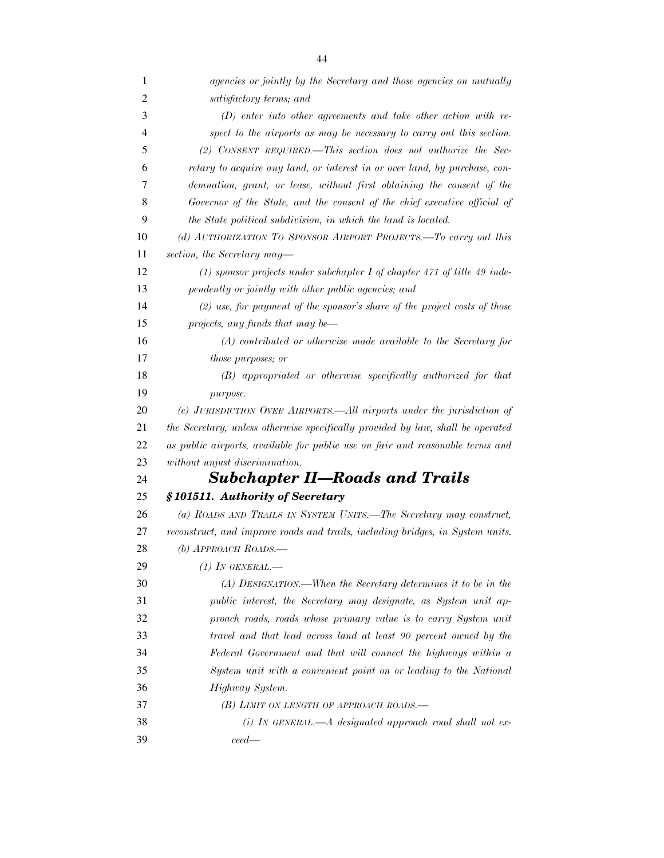| 1  | agencies or jointly by the Secretary and those agencies on mutually             |
|----|---------------------------------------------------------------------------------|
| 2  | satisfactory terms; and                                                         |
| 3  | $(D)$ enter into other agreements and take other action with re-                |
| 4  | spect to the airports as may be necessary to carry out this section.            |
| 5  | (2) CONSENT REQUIRED.—This section does not authorize the Sec-                  |
| 6  | retary to acquire any land, or interest in or over land, by purchase, con-      |
| 7  | demnation, grant, or lease, without first obtaining the consent of the          |
| 8  | Governor of the State, and the consent of the chief executive official of       |
| 9  | the State political subdivision, in which the land is located.                  |
| 10 | (d) AUTHORIZATION TO SPONSOR AIRPORT PROJECTS.—To carry out this                |
| 11 | section, the Secretary may—                                                     |
| 12 | $(1)$ sponsor projects under subchapter I of chapter 471 of title 49 inde-      |
| 13 | pendently or jointly with other public agencies; and                            |
| 14 | $(2)$ use, for payment of the sponsor's share of the project costs of those     |
| 15 | projects, any funds that may be—                                                |
| 16 | (A) contributed or otherwise made available to the Secretary for                |
| 17 | those purposes; or                                                              |
| 18 | $(B)$ appropriated or otherwise specifically authorized for that                |
| 19 | purpose.                                                                        |
| 20 | (e) JURISDICTION OVER AIRPORTS.—All airports under the jurisdiction of          |
| 21 | the Secretary, unless otherwise specifically provided by law, shall be operated |
| 22 | as public airports, available for public use on fair and reasonable terms and   |
| 23 | without unjust discrimination.                                                  |
| 24 | <b>Subchapter II–Roads and Trails</b>                                           |
| 25 | §101511. Authority of Secretary                                                 |
| 26 | (a) ROADS AND TRAILS IN SYSTEM UNITS.—The Secretary may construct,              |
| 27 | reconstruct, and improve roads and trails, including bridges, in System units.  |
| 28 | (b) $APPROACH$ ROADS.—                                                          |
| 29 | $(1)$ In GENERAL.—                                                              |
| 30 | $(A)$ DESIGNATION.—When the Secretary determines it to be in the                |
| 31 | public interest, the Secretary may designate, as System unit ap-                |
| 32 | proach roads, roads whose primary value is to carry System unit                 |
| 33 | travel and that lead across land at least 90 percent owned by the               |
| 34 | Federal Government and that will connect the highways within a                  |
| 35 | System unit with a convenient point on or leading to the National               |
| 36 | Highway System.                                                                 |
| 37 | (B) LIMIT ON LENGTH OF APPROACH ROADS.—                                         |
| 38 | (i) IN GENERAL.—A designated approach road shall not ex-                        |
| 39 | $\text{ceed}$ —                                                                 |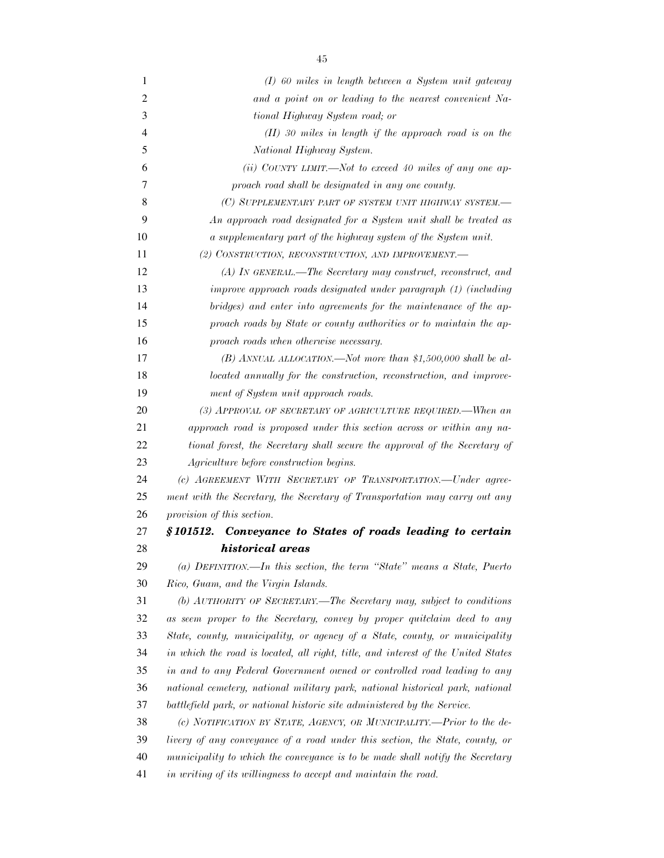| 1              | $(I)$ 60 miles in length between a System unit gateway                            |
|----------------|-----------------------------------------------------------------------------------|
| $\overline{2}$ | and a point on or leading to the nearest convenient Na-                           |
| 3              | tional Highway System road; or                                                    |
| 4              | $(II)$ 30 miles in length if the approach road is on the                          |
| 5              | National Highway System.                                                          |
| 6              | (ii) COUNTY LIMIT.—Not to exceed 40 miles of any one ap-                          |
| 7              | proach road shall be designated in any one county.                                |
| 8              | (C) SUPPLEMENTARY PART OF SYSTEM UNIT HIGHWAY SYSTEM.-                            |
| 9              | An approach road designated for a System unit shall be treated as                 |
| 10             | a supplementary part of the highway system of the System unit.                    |
| 11             | (2) CONSTRUCTION, RECONSTRUCTION, AND IMPROVEMENT.-                               |
| 12             | (A) IN GENERAL.—The Secretary may construct, reconstruct, and                     |
| 13             | improve approach roads designated under paragraph (1) (including                  |
| 14             | bridges) and enter into agreements for the maintenance of the ap-                 |
| 15             | proach roads by State or county authorities or to maintain the ap-                |
| 16             | proach roads when otherwise necessary.                                            |
| 17             | $(B)$ ANNUAL ALLOCATION.—Not more than \$1,500,000 shall be al-                   |
| 18             | located annually for the construction, reconstruction, and improve-               |
| 19             | ment of System unit approach roads.                                               |
| 20             | (3) APPROVAL OF SECRETARY OF AGRICULTURE REQUIRED. When an                        |
| 21             | approach road is proposed under this section across or within any na-             |
| 22             | tional forest, the Secretary shall secure the approval of the Secretary of        |
| 23             | Agriculture before construction begins.                                           |
| 24             | (c) AGREEMENT WITH SECRETARY OF TRANSPORTATION.-Under agree-                      |
| 25             | ment with the Secretary, the Secretary of Transportation may carry out any        |
| 26             | provision of this section.                                                        |
| 27             | §101512. Conveyance to States of roads leading to certain                         |
| 28             | historical areas                                                                  |
| 29             | (a) DEFINITION.—In this section, the term "State" means a State, Puerto           |
| 30             | Rico, Guam, and the Virgin Islands.                                               |
| 31             | (b) AUTHORITY OF SECRETARY.—The Secretary may, subject to conditions              |
| 32             | as seem proper to the Secretary, convey by proper quitclaim deed to any           |
| 33             | State, county, municipality, or agency of a State, county, or municipality        |
| 34             | in which the road is located, all right, title, and interest of the United States |
| 35             | in and to any Federal Government owned or controlled road leading to any          |
| 36             | national cemetery, national military park, national historical park, national     |
| 37             | battlefield park, or national historic site administered by the Service.          |
| 38             | (c) NOTIFICATION BY STATE, AGENCY, OR MUNICIPALITY.-Prior to the de-              |
| 39             | livery of any conveyance of a road under this section, the State, county, or      |
| 40             | municipality to which the conveyance is to be made shall notify the Secretary     |
| 41             | in writing of its willingness to accept and maintain the road.                    |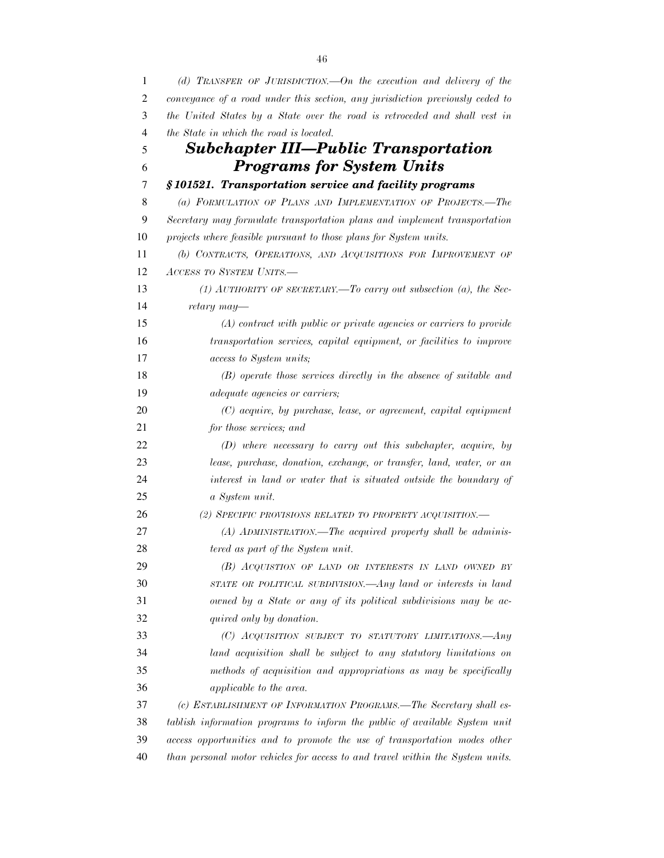| 1  | (d) TRANSFER OF JURISDICTION.—On the execution and delivery of the             |
|----|--------------------------------------------------------------------------------|
| 2  | conveyance of a road under this section, any jurisdiction previously ceded to  |
| 3  | the United States by a State over the road is retroceded and shall vest in     |
| 4  | the State in which the road is located.                                        |
| 5  | <b>Subchapter III—Public Transportation</b>                                    |
| 6  | <b>Programs for System Units</b>                                               |
| 7  | §101521. Transportation service and facility programs                          |
| 8  | (a) FORMULATION OF PLANS AND IMPLEMENTATION OF PROJECTS.-The                   |
| 9  | Secretary may formulate transportation plans and implement transportation      |
| 10 | projects where feasible pursuant to those plans for System units.              |
| 11 | (b) CONTRACTS, OPERATIONS, AND ACQUISITIONS FOR IMPROVEMENT OF                 |
| 12 | ACCESS TO SYSTEM UNITS.-                                                       |
| 13 | $(1)$ AUTHORITY OF SECRETARY.—To carry out subsection (a), the Sec-            |
| 14 | retary may—                                                                    |
| 15 | $(A)$ contract with public or private agencies or carriers to provide          |
| 16 | transportation services, capital equipment, or facilities to improve           |
| 17 | access to System units;                                                        |
| 18 | $(B)$ operate those services directly in the absence of suitable and           |
| 19 | <i>adequate agencies or carriers;</i>                                          |
| 20 | (C) acquire, by purchase, lease, or agreement, capital equipment               |
| 21 | for those services; and                                                        |
| 22 | $(D)$ where necessary to carry out this subchapter, acquire, by                |
| 23 | lease, purchase, donation, exchange, or transfer, land, water, or an           |
| 24 | interest in land or water that is situated outside the boundary of             |
| 25 | a System unit.                                                                 |
| 26 | (2) SPECIFIC PROVISIONS RELATED TO PROPERTY ACQUISITION.                       |
| 27 | $(A)$ ADMINISTRATION.—The acquired property shall be adminis-                  |
| 28 | tered as part of the System unit.                                              |
| 29 | (B) ACQUISTION OF LAND OR INTERESTS IN LAND OWNED BY                           |
| 30 | STATE OR POLITICAL SUBDIVISION.—Any land or interests in land                  |
| 31 | owned by a State or any of its political subdivisions may be ac-               |
| 32 | quired only by donation.                                                       |
| 33 | (C) ACQUISITION SUBJECT TO STATUTORY LIMITATIONS. $-Any$                       |
| 34 | land acquisition shall be subject to any statutory limitations on              |
| 35 | methods of acquisition and appropriations as may be specifically               |
| 36 | applicable to the area.                                                        |
| 37 | (c) ESTABLISHMENT OF INFORMATION PROGRAMS.—The Secretary shall es-             |
| 38 | tablish information programs to inform the public of available System unit     |
| 39 | access opportunities and to promote the use of transportation modes other      |
| 40 | than personal motor vehicles for access to and travel within the System units. |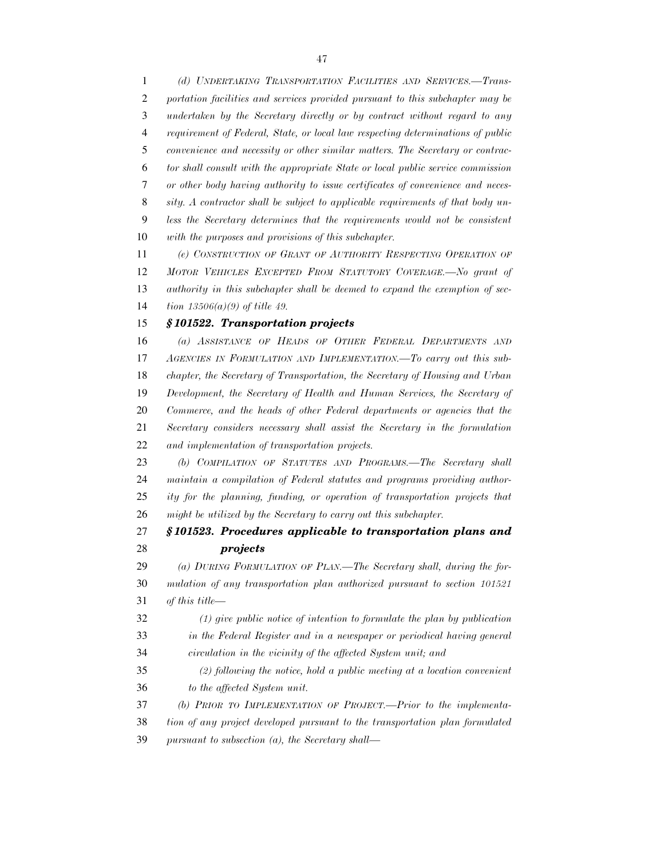*(d) UNDERTAKING TRANSPORTATION FACILITIES AND SERVICES.—Trans- portation facilities and services provided pursuant to this subchapter may be undertaken by the Secretary directly or by contract without regard to any requirement of Federal, State, or local law respecting determinations of public convenience and necessity or other similar matters. The Secretary or contrac- tor shall consult with the appropriate State or local public service commission or other body having authority to issue certificates of convenience and neces- sity. A contractor shall be subject to applicable requirements of that body un- less the Secretary determines that the requirements would not be consistent with the purposes and provisions of this subchapter. (e) CONSTRUCTION OF GRANT OF AUTHORITY RESPECTING OPERATION OF MOTOR VEHICLES EXCEPTED FROM STATUTORY COVERAGE.—No grant of authority in this subchapter shall be deemed to expand the exemption of sec- tion 13506(a)(9) of title 49. § 101522. Transportation projects (a) ASSISTANCE OF HEADS OF OTHER FEDERAL DEPARTMENTS AND AGENCIES IN FORMULATION AND IMPLEMENTATION.—To carry out this sub- chapter, the Secretary of Transportation, the Secretary of Housing and Urban Development, the Secretary of Health and Human Services, the Secretary of Commerce, and the heads of other Federal departments or agencies that the Secretary considers necessary shall assist the Secretary in the formulation and implementation of transportation projects. (b) COMPILATION OF STATUTES AND PROGRAMS.—The Secretary shall maintain a compilation of Federal statutes and programs providing author- ity for the planning, funding, or operation of transportation projects that might be utilized by the Secretary to carry out this subchapter. § 101523. Procedures applicable to transportation plans and projects (a) DURING FORMULATION OF PLAN.—The Secretary shall, during the for- mulation of any transportation plan authorized pursuant to section 101521 of this title— (1) give public notice of intention to formulate the plan by publication in the Federal Register and in a newspaper or periodical having general circulation in the vicinity of the affected System unit; and (2) following the notice, hold a public meeting at a location convenient to the affected System unit. (b) PRIOR TO IMPLEMENTATION OF PROJECT.—Prior to the implementa- tion of any project developed pursuant to the transportation plan formulated pursuant to subsection (a), the Secretary shall—*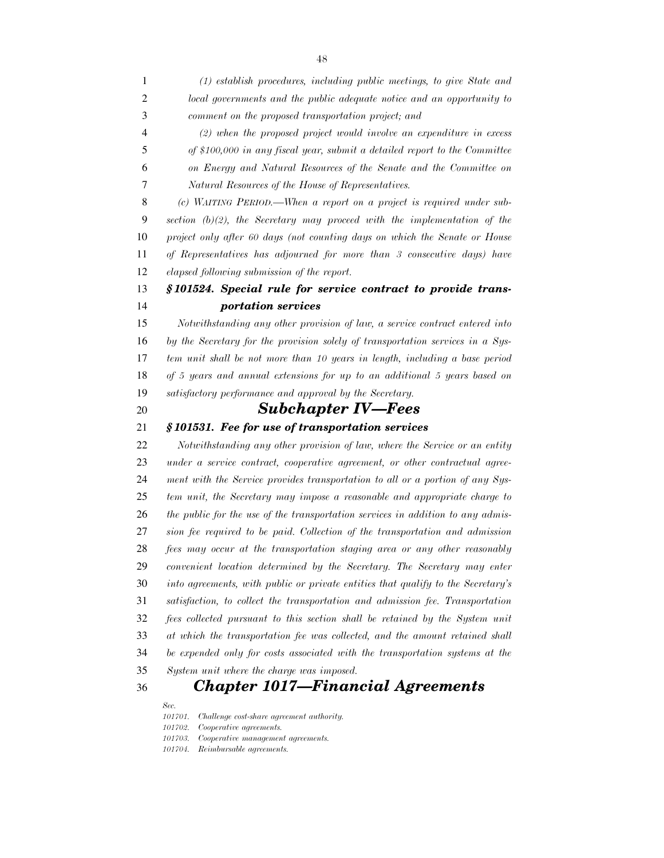| $\mathbf{1}$   | (1) establish procedures, including public meetings, to give State and           |
|----------------|----------------------------------------------------------------------------------|
| $\overline{c}$ | local governments and the public adequate notice and an opportunity to           |
| 3              | comment on the proposed transportation project; and                              |
| $\overline{4}$ | $(2)$ when the proposed project would involve an expenditure in excess           |
| 5              | of \$100,000 in any fiscal year, submit a detailed report to the Committee       |
| 6              | on Energy and Natural Resources of the Senate and the Committee on               |
| 7              | Natural Resources of the House of Representatives.                               |
| 8              | (c) WAITING PERIOD.—When a report on a project is required under sub-            |
| 9              | section $(b)(2)$ , the Secretary may proceed with the implementation of the      |
| 10             | project only after 60 days (not counting days on which the Senate or House       |
| 11             | of Representatives has adjourned for more than 3 consecutive days) have          |
| 12             | elapsed following submission of the report.                                      |
| 13             | §101524. Special rule for service contract to provide trans-                     |
| 14             | portation services                                                               |
| 15             | Notwithstanding any other provision of law, a service contract entered into      |
| 16             | by the Secretary for the provision solely of transportation services in a Sys-   |
| 17             | tem unit shall be not more than 10 years in length, including a base period      |
| 18             | of 5 years and annual extensions for up to an additional 5 years based on        |
| 19             | satisfactory performance and approval by the Secretary.                          |
| 20             | <b>Subchapter IV—Fees</b>                                                        |
| 21             | §101531. Fee for use of transportation services                                  |
| 22             | Notwithstanding any other provision of law, where the Service or an entity       |
| 23             | under a service contract, cooperative agreement, or other contractual agree-     |
| 24             | ment with the Service provides transportation to all or a portion of any Sys-    |
| 25             | tem unit, the Secretary may impose a reasonable and appropriate charge to        |
| 26             | the public for the use of the transportation services in addition to any admis-  |
| 27             | sion fee required to be paid. Collection of the transportation and admission     |
| 28             | fees may occur at the transportation staging area or any other reasonably        |
| 29             | convenient location determined by the Secretary. The Secretary may enter         |
| 30             | into agreements, with public or private entities that qualify to the Secretary's |
| 31             | satisfaction, to collect the transportation and admission fee. Transportation    |
| 32             | fees collected pursuant to this section shall be retained by the System unit     |
| 33             | at which the transportation fee was collected, and the amount retained shall     |
| 34             | be expended only for costs associated with the transportation systems at the     |
| 35             | System unit where the charge was imposed.                                        |
| 26             | Chapter 1017—Financial Agreements                                                |

### *Chapter 1017—Financial Agreements*

*Sec. 101701. Challenge cost-share agreement authority.*

*101702. Cooperative agreements.*

*101703. Cooperative management agreements.*

*101704. Reimbursable agreements.*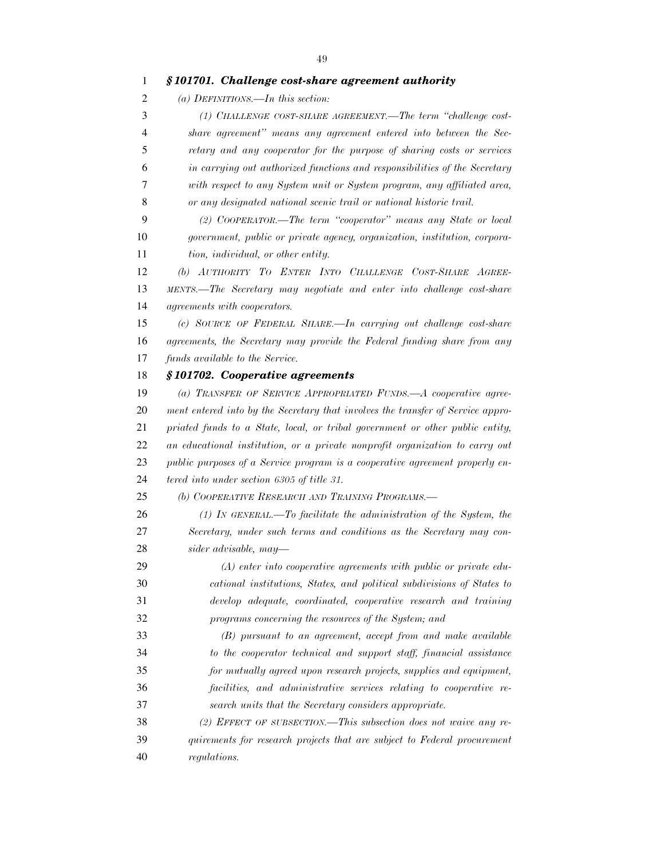| 1  | §101701. Challenge cost-share agreement authority                               |
|----|---------------------------------------------------------------------------------|
| 2  | $(a)$ DEFINITIONS.—In this section:                                             |
| 3  | (1) CHALLENGE COST-SHARE AGREEMENT.—The term "challenge cost-                   |
| 4  | share agreement" means any agreement entered into between the Sec-              |
| 5  | retary and any cooperator for the purpose of sharing costs or services          |
| 6  | in carrying out authorized functions and responsibilities of the Secretary      |
| 7  | with respect to any System unit or System program, any affiliated area,         |
| 8  | or any designated national scenic trail or national historic trail.             |
| 9  | (2) COOPERATOR.—The term "cooperator" means any State or local                  |
| 10 | government, public or private agency, organization, institution, corpora-       |
| 11 | tion, individual, or other entity.                                              |
| 12 | (b) AUTHORITY TO ENTER INTO CHALLENGE COST-SHARE AGREE-                         |
| 13 | MENTS.—The Secretary may negotiate and enter into challenge cost-share          |
| 14 | agreements with cooperators.                                                    |
| 15 | (c) SOURCE OF FEDERAL SHARE.—In carrying out challenge cost-share               |
| 16 | agreements, the Secretary may provide the Federal funding share from any        |
| 17 | funds available to the Service.                                                 |
| 18 | §101702. Cooperative agreements                                                 |
| 19 | (a) TRANSFER OF SERVICE APPROPRIATED FUNDS.—A cooperative agree-                |
| 20 | ment entered into by the Secretary that involves the transfer of Service appro- |
| 21 | priated funds to a State, local, or tribal government or other public entity,   |
| 22 | an educational institution, or a private nonprofit organization to carry out    |
| 23 | public purposes of a Service program is a cooperative agreement properly en-    |
| 24 | tered into under section 6305 of title 31.                                      |
| 25 | (b) COOPERATIVE RESEARCH AND TRAINING PROGRAMS.-                                |
| 26 | $(1)$ IN GENERAL.—To facilitate the administration of the System, the           |
| 27 | Secretary, under such terms and conditions as the Secretary may con-            |
| 28 | sider advisable, may-                                                           |
| 29 | $(A)$ enter into cooperative agreements with public or private edu-             |
| 30 | cational institutions, States, and political subdivisions of States to          |
| 31 | develop adequate, coordinated, cooperative research and training                |
| 32 | programs concerning the resources of the System; and                            |
| 33 | (B) pursuant to an agreement, accept from and make available                    |
| 34 | to the cooperator technical and support staff, financial assistance             |
| 35 | for mutually agreed upon research projects, supplies and equipment,             |
| 36 | facilities, and administrative services relating to cooperative re-             |
| 37 | search units that the Secretary considers appropriate.                          |
|    |                                                                                 |

 *(2) EFFECT OF SUBSECTION.—This subsection does not waive any re- quirements for research projects that are subject to Federal procurement regulations.*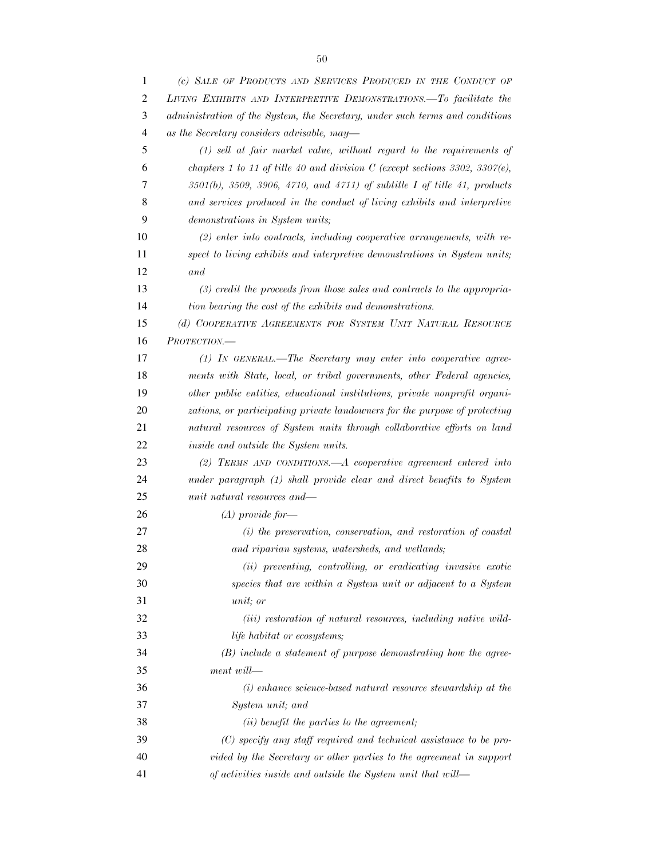*(c) SALE OF PRODUCTS AND SERVICES PRODUCED IN THE CONDUCT OF LIVING EXHIBITS AND INTERPRETIVE DEMONSTRATIONS.—To facilitate the administration of the System, the Secretary, under such terms and conditions as the Secretary considers advisable, may— (1) sell at fair market value, without regard to the requirements of chapters 1 to 11 of title 40 and division C (except sections 3302, 3307(e), 3501(b), 3509, 3906, 4710, and 4711) of subtitle I of title 41, products and services produced in the conduct of living exhibits and interpretive demonstrations in System units; (2) enter into contracts, including cooperative arrangements, with re- spect to living exhibits and interpretive demonstrations in System units; and (3) credit the proceeds from those sales and contracts to the appropria- tion bearing the cost of the exhibits and demonstrations. (d) COOPERATIVE AGREEMENTS FOR SYSTEM UNIT NATURAL RESOURCE PROTECTION.— (1) IN GENERAL.—The Secretary may enter into cooperative agree- ments with State, local, or tribal governments, other Federal agencies, other public entities, educational institutions, private nonprofit organi- zations, or participating private landowners for the purpose of protecting natural resources of System units through collaborative efforts on land inside and outside the System units. (2) TERMS AND CONDITIONS.—A cooperative agreement entered into under paragraph (1) shall provide clear and direct benefits to System unit natural resources and— (A) provide for— (i) the preservation, conservation, and restoration of coastal and riparian systems, watersheds, and wetlands; (ii) preventing, controlling, or eradicating invasive exotic species that are within a System unit or adjacent to a System unit; or (iii) restoration of natural resources, including native wild- life habitat or ecosystems; (B) include a statement of purpose demonstrating how the agree- ment will— (i) enhance science-based natural resource stewardship at the System unit; and (ii) benefit the parties to the agreement; (C) specify any staff required and technical assistance to be pro- vided by the Secretary or other parties to the agreement in support of activities inside and outside the System unit that will—*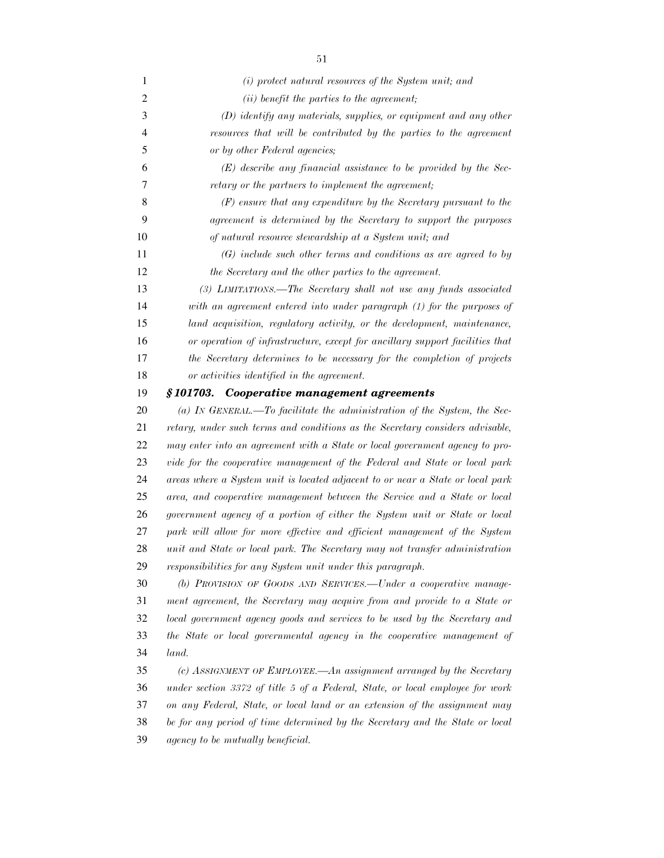| $\mathbf{1}$   | (i) protect natural resources of the System unit; and                          |
|----------------|--------------------------------------------------------------------------------|
| $\overline{c}$ | $(ii)$ benefit the parties to the agreement;                                   |
| 3              | $(D)$ identify any materials, supplies, or equipment and any other             |
| $\overline{4}$ | resources that will be contributed by the parties to the agreement             |
| 5              | or by other Federal agencies;                                                  |
| 6              | $(E)$ describe any financial assistance to be provided by the Sec-             |
| 7              | retary or the partners to implement the agreement;                             |
| 8              | $(F)$ ensure that any expenditure by the Secretary pursuant to the             |
| 9              | agreement is determined by the Secretary to support the purposes               |
| 10             | of natural resource stewardship at a System unit; and                          |
| 11             | $(G)$ include such other terms and conditions as are agreed to by              |
| 12             | the Secretary and the other parties to the agreement.                          |
| 13             | (3) LIMITATIONS.—The Secretary shall not use any funds associated              |
| 14             | with an agreement entered into under paragraph (1) for the purposes of         |
| 15             | land acquisition, regulatory activity, or the development, maintenance,        |
| 16             | or operation of infrastructure, except for ancillary support facilities that   |
| 17             | the Secretary determines to be necessary for the completion of projects        |
| 18             | or activities identified in the agreement.                                     |
| 19             | §101703. Cooperative management agreements                                     |
| 20             | (a) IN GENERAL.—To facilitate the administration of the System, the Sec-       |
| 21             | retary, under such terms and conditions as the Secretary considers advisable,  |
| 22             | may enter into an agreement with a State or local government agency to pro-    |
| 23             | vide for the cooperative management of the Federal and State or local park     |
| 24             | areas where a System unit is located adjacent to or near a State or local park |
| 25             | area, and cooperative management between the Service and a State or local      |
| 26             | government agency of a portion of either the System unit or State or local     |
| 27             | park will allow for more effective and efficient management of the System      |
| 28             | unit and State or local park. The Secretary may not transfer administration    |
| 29             | responsibilities for any System unit under this paragraph.                     |
| 30             | (b) PROVISION OF GOODS AND SERVICES.-Under a cooperative manage-               |
| 31             | ment agreement, the Secretary may acquire from and provide to a State or       |
| 32             | local government agency goods and services to be used by the Secretary and     |
| 33             | the State or local governmental agency in the cooperative management of        |
| 34             | land.                                                                          |
| 35             | (c) ASSIGNMENT OF EMPLOYEE.—An assignment arranged by the Secretary            |
| 36             | under section 3372 of title 5 of a Federal, State, or local employee for work  |
| 37             | on any Federal, State, or local land or an extension of the assignment may     |
| 38             | be for any period of time determined by the Secretary and the State or local   |
| 39             | agency to be mutually beneficial.                                              |
|                |                                                                                |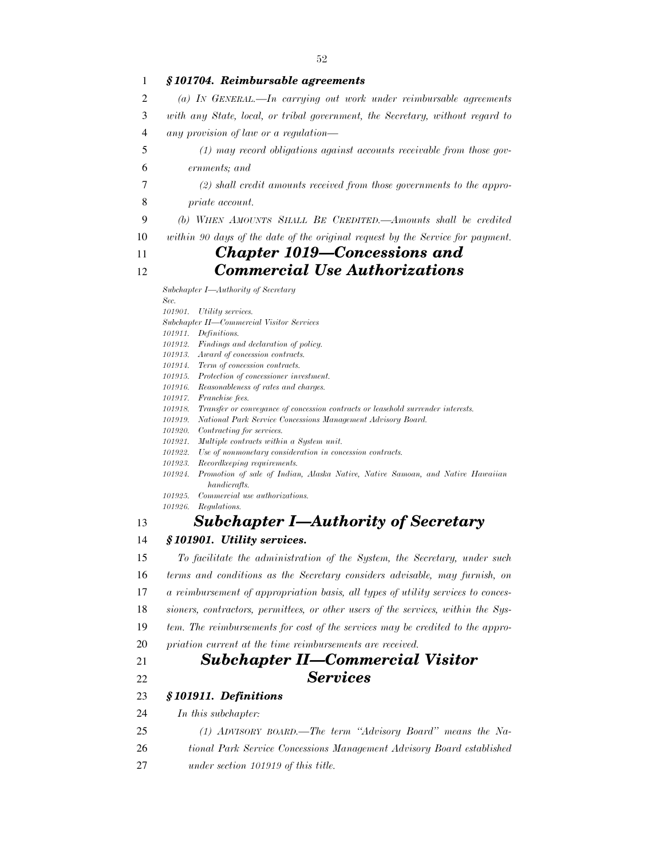#### 1 *§ 101704. Reimbursable agreements*

- 2 *(a) IN GENERAL.—In carrying out work under reimbursable agreements*
- 3 *with any State, local, or tribal government, the Secretary, without regard to*
- 4 *any provision of law or a regulation—*
- 5 *(1) may record obligations against accounts receivable from those gov-*
- 6 *ernments; and*
- 7 *(2) shall credit amounts received from those governments to the appro-*
- 8 *priate account.*
- 9 *(b) WHEN AMOUNTS SHALL BE CREDITED.—Amounts shall be credited*

10 *within 90 days of the date of the original request by the Service for payment.*

# 11 *Chapter 1019—Concessions and* 12 *Commercial Use Authorizations*

*Subchapter I—Authority of Secretary*

*Sec.*

*101901. Utility services. Subchapter II—Commercial Visitor Services*

*101911. Definitions.*

- *101912. Findings and declaration of policy.*
- *101913. Award of concession contracts.*
- *101914. Term of concession contracts.*
- *101915. Protection of concessioner investment.*
- *101916. Reasonableness of rates and charges.*
- *101917. Franchise fees.*
- *101918. Transfer or conveyance of concession contracts or leasehold surrender interests.*
- *101919. National Park Service Concessions Management Advisory Board.*
- *101920. Contracting for services.*
- *101921. Multiple contracts within a System unit.*
- *101922. Use of nonmonetary consideration in concession contracts.*
- *101923. Recordkeeping requirements.*
- *101924. Promotion of sale of Indian, Alaska Native, Native Samoan, and Native Hawaiian handicrafts.*
- *101925. Commercial use authorizations.*
- *101926. Regulations.*

## 13 *Subchapter I—Authority of Secretary*

### 14 *§ 101901. Utility services.*

15 *To facilitate the administration of the System, the Secretary, under such*

16 *terms and conditions as the Secretary considers advisable, may furnish, on*

- 17 *a reimbursement of appropriation basis, all types of utility services to conces-*
- 18 *sioners, contractors, permittees, or other users of the services, within the Sys-*
- 19 *tem. The reimbursements for cost of the services may be credited to the appro-*
- 20 *priation current at the time reimbursements are received.*

## 21 *Subchapter II—Commercial Visitor* 22 *Services*

### 23 *§ 101911. Definitions*

- 24 *In this subchapter:*
- 25 *(1) ADVISORY BOARD.—The term ''Advisory Board'' means the Na-*
- 26 *tional Park Service Concessions Management Advisory Board established*
- 27 *under section 101919 of this title.*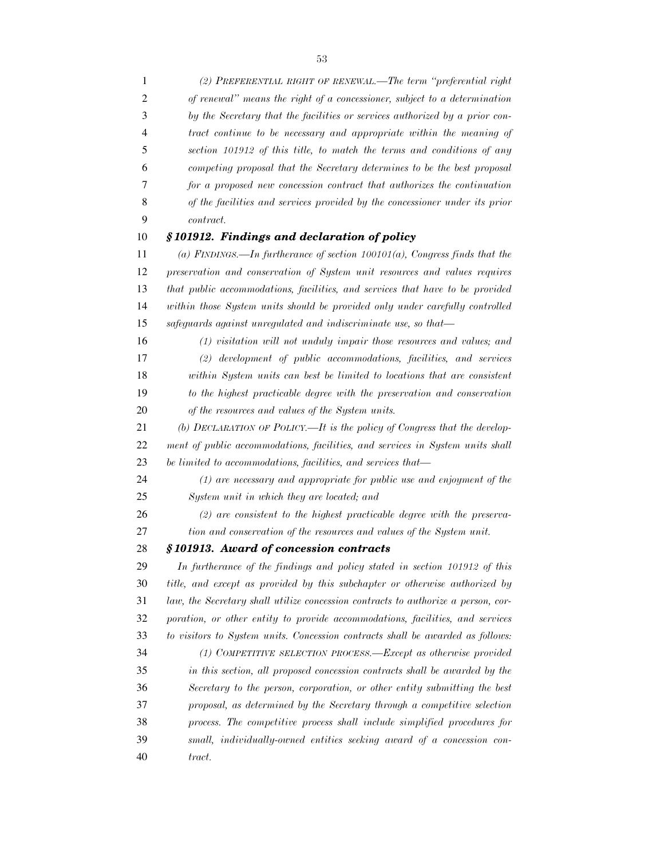*(2) PREFERENTIAL RIGHT OF RENEWAL.—The term ''preferential right of renewal'' means the right of a concessioner, subject to a determination by the Secretary that the facilities or services authorized by a prior con- tract continue to be necessary and appropriate within the meaning of section 101912 of this title, to match the terms and conditions of any competing proposal that the Secretary determines to be the best proposal for a proposed new concession contract that authorizes the continuation of the facilities and services provided by the concessioner under its prior contract. § 101912. Findings and declaration of policy (a) FINDINGS.—In furtherance of section 100101(a), Congress finds that the preservation and conservation of System unit resources and values requires that public accommodations, facilities, and services that have to be provided within those System units should be provided only under carefully controlled safeguards against unregulated and indiscriminate use, so that— (1) visitation will not unduly impair those resources and values; and (2) development of public accommodations, facilities, and services within System units can best be limited to locations that are consistent to the highest practicable degree with the preservation and conservation of the resources and values of the System units. (b) DECLARATION OF POLICY.—It is the policy of Congress that the develop- ment of public accommodations, facilities, and services in System units shall be limited to accommodations, facilities, and services that— (1) are necessary and appropriate for public use and enjoyment of the System unit in which they are located; and (2) are consistent to the highest practicable degree with the preserva- tion and conservation of the resources and values of the System unit. § 101913. Award of concession contracts In furtherance of the findings and policy stated in section 101912 of this title, and except as provided by this subchapter or otherwise authorized by law, the Secretary shall utilize concession contracts to authorize a person, cor- poration, or other entity to provide accommodations, facilities, and services to visitors to System units. Concession contracts shall be awarded as follows: (1) COMPETITIVE SELECTION PROCESS.—Except as otherwise provided in this section, all proposed concession contracts shall be awarded by the Secretary to the person, corporation, or other entity submitting the best proposal, as determined by the Secretary through a competitive selection process. The competitive process shall include simplified procedures for small, individually-owned entities seeking award of a concession con-tract.*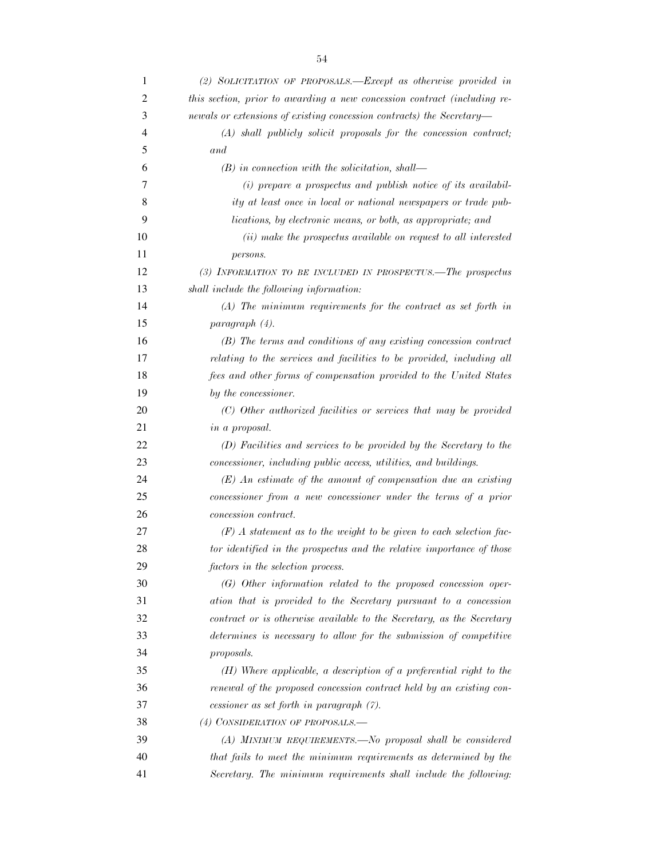| 1  | (2) SOLICITATION OF PROPOSALS.—Except as otherwise provided in           |
|----|--------------------------------------------------------------------------|
| 2  | this section, prior to awarding a new concession contract (including re- |
| 3  | newals or extensions of existing concession contracts) the Secretary-    |
| 4  | $(A)$ shall publicly solicit proposals for the concession contract;      |
| 5  | and                                                                      |
| 6  | $(B)$ in connection with the solicitation, shall—                        |
| 7  | $(i)$ prepare a prospectus and publish notice of its availabil-          |
| 8  | ity at least once in local or national newspapers or trade pub-          |
| 9  | lications, by electronic means, or both, as appropriate; and             |
| 10 | (ii) make the prospectus available on request to all interested          |
| 11 | persons.                                                                 |
| 12 | (3) INFORMATION TO BE INCLUDED IN PROSPECTUS.—The prospectus             |
| 13 | shall include the following information:                                 |
| 14 | $(A)$ The minimum requirements for the contract as set forth in          |
| 15 | paragraph (4).                                                           |
| 16 | $(B)$ The terms and conditions of any existing concession contract       |
| 17 | relating to the services and facilities to be provided, including all    |
| 18 | fees and other forms of compensation provided to the United States       |
| 19 | by the concessioner.                                                     |
| 20 | (C) Other authorized facilities or services that may be provided         |
| 21 | in a proposal.                                                           |
| 22 | (D) Facilities and services to be provided by the Secretary to the       |
| 23 | concessioner, including public access, utilities, and buildings.         |
| 24 | $(E)$ An estimate of the amount of compensation due an existing          |
| 25 | concessioner from a new concessioner under the terms of a prior          |
| 26 | concession contract.                                                     |
| 27 | $(F)$ A statement as to the weight to be given to each selection fac-    |
| 28 | tor identified in the prospectus and the relative importance of those    |
| 29 | factors in the selection process.                                        |
| 30 | $(G)$ Other information related to the proposed concession oper-         |
| 31 | ation that is provided to the Secretary pursuant to a concession         |
| 32 | contract or is otherwise available to the Secretary, as the Secretary    |
| 33 | determines is necessary to allow for the submission of competitive       |
| 34 | proposals.                                                               |
| 35 | $(H)$ Where applicable, a description of a preferential right to the     |
| 36 | renewal of the proposed concession contract held by an existing con-     |
| 37 | cessioner as set forth in paragraph (7).                                 |
| 38 | (4) CONSIDERATION OF PROPOSALS.-                                         |
| 39 | (A) MINIMUM REQUIREMENTS.—No proposal shall be considered                |
| 40 | that fails to meet the minimum requirements as determined by the         |
| 41 | Secretary. The minimum requirements shall include the following:         |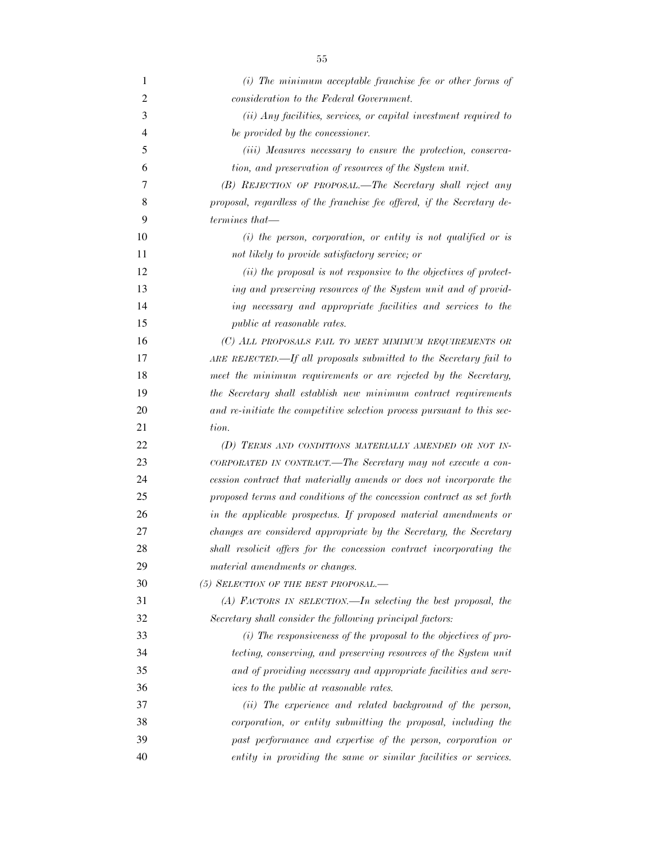| 1  | $(i)$ The minimum acceptable franchise fee or other forms of            |
|----|-------------------------------------------------------------------------|
| 2  | consideration to the Federal Government.                                |
| 3  | (ii) Any facilities, services, or capital investment required to        |
| 4  | be provided by the concessioner.                                        |
| 5  | (iii) Measures necessary to ensure the protection, conserva-            |
| 6  | tion, and preservation of resources of the System unit.                 |
| 7  | (B) REJECTION OF PROPOSAL.—The Secretary shall reject any               |
| 8  | proposal, regardless of the franchise fee offered, if the Secretary de- |
| 9  | $termines$ that—                                                        |
| 10 | $(i)$ the person, corporation, or entity is not qualified or is         |
| 11 | not likely to provide satisfactory service; or                          |
| 12 | (ii) the proposal is not responsive to the objectives of protect-       |
| 13 | ing and preserving resources of the System unit and of provid-          |
| 14 | ing necessary and appropriate facilities and services to the            |
| 15 | public at reasonable rates.                                             |
| 16 | (C) ALL PROPOSALS FAIL TO MEET MIMIMUM REQUIREMENTS OR                  |
| 17 | ARE REJECTED.—If all proposals submitted to the Secretary fail to       |
| 18 | meet the minimum requirements or are rejected by the Secretary,         |
| 19 | the Secretary shall establish new minimum contract requirements         |
| 20 | and re-initiate the competitive selection process pursuant to this sec- |
| 21 | tion.                                                                   |
| 22 | (D) TERMS AND CONDITIONS MATERIALLY AMENDED OR NOT IN-                  |
| 23 | CORPORATED IN CONTRACT.—The Secretary may not execute a con-            |
| 24 | cession contract that materially amends or does not incorporate the     |
| 25 | proposed terms and conditions of the concession contract as set forth   |
| 26 | in the applicable prospectus. If proposed material amendments or        |
| 27 | changes are considered appropriate by the Secretary, the Secretary      |
| 28 | shall resolicit offers for the concession contract incorporating the    |
| 29 | material amendments or changes.                                         |
| 30 | (5) SELECTION OF THE BEST PROPOSAL.-                                    |
| 31 | (A) FACTORS IN SELECTION.—In selecting the best proposal, the           |
| 32 | Secretary shall consider the following principal factors:               |
| 33 | $(i)$ The responsiveness of the proposal to the objectives of pro-      |
| 34 | tecting, conserving, and preserving resources of the System unit        |
| 35 | and of providing necessary and appropriate facilities and serv-         |
| 36 | ices to the public at reasonable rates.                                 |
| 37 | (ii) The experience and related background of the person,               |
| 38 | corporation, or entity submitting the proposal, including the           |
| 39 | past performance and expertise of the person, corporation or            |
| 40 | entity in providing the same or similar facilities or services.         |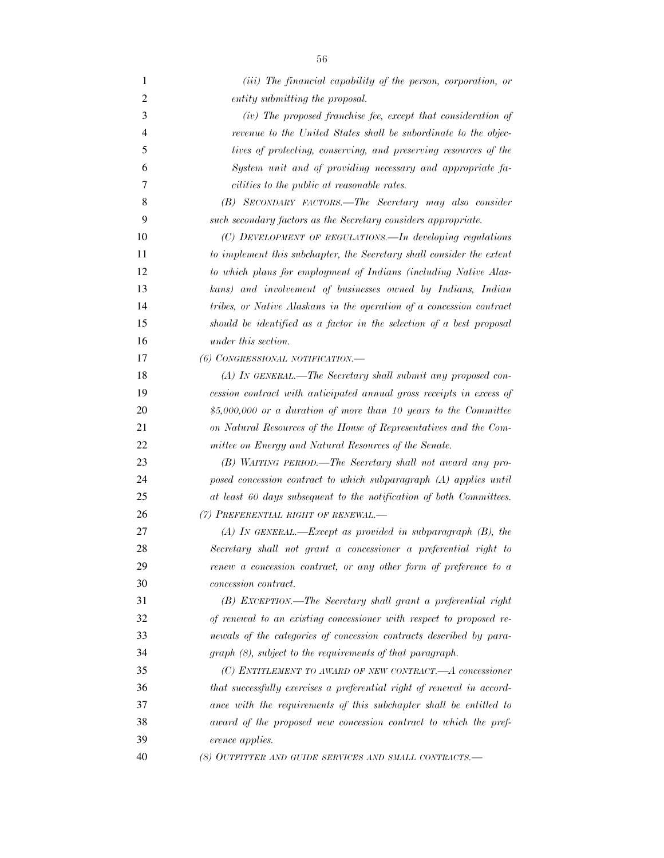| 1  | (iii) The financial capability of the person, corporation, or          |
|----|------------------------------------------------------------------------|
| 2  | entity submitting the proposal.                                        |
| 3  | (iv) The proposed franchise fee, except that consideration of          |
| 4  | revenue to the United States shall be subordinate to the objec-        |
| 5  | tives of protecting, conserving, and preserving resources of the       |
| 6  | System unit and of providing necessary and appropriate fa-             |
| 7  | cilities to the public at reasonable rates.                            |
| 8  | (B) SECONDARY FACTORS.—The Secretary may also consider                 |
| 9  | such secondary factors as the Secretary considers appropriate.         |
| 10 | (C) DEVELOPMENT OF REGULATIONS.—In developing regulations              |
| 11 | to implement this subchapter, the Secretary shall consider the extent  |
| 12 | to which plans for employment of Indians (including Native Alas-       |
| 13 | kans) and involvement of businesses owned by Indians, Indian           |
| 14 | tribes, or Native Alaskans in the operation of a concession contract   |
| 15 | should be identified as a factor in the selection of a best proposal   |
| 16 | under this section.                                                    |
| 17 | (6) CONGRESSIONAL NOTIFICATION.-                                       |
| 18 | (A) IN GENERAL.—The Secretary shall submit any proposed con-           |
| 19 | cession contract with anticipated annual gross receipts in excess of   |
| 20 | $$5,000,000$ or a duration of more than 10 years to the Committee      |
| 21 | on Natural Resources of the House of Representatives and the Com-      |
| 22 | mittee on Energy and Natural Resources of the Senate.                  |
| 23 | (B) WAITING PERIOD.—The Secretary shall not award any pro-             |
| 24 | posed concession contract to which subparagraph (A) applies until      |
| 25 | at least 60 days subsequent to the notification of both Committees.    |
| 26 | (7) PREFERENTIAL RIGHT OF RENEWAL.-                                    |
| 27 | $(A)$ IN GENERAL.—Except as provided in subparagraph $(B)$ , the       |
| 28 | Secretary shall not grant a concessioner a preferential right to       |
| 29 | renew a concession contract, or any other form of preference to a      |
| 30 | concession contract.                                                   |
| 31 | (B) EXCEPTION.—The Secretary shall grant a preferential right          |
| 32 | of renewal to an existing concessioner with respect to proposed re-    |
| 33 | newals of the categories of concession contracts described by para-    |
| 34 | graph (8), subject to the requirements of that paragraph.              |
| 35 | (C) ENTITLEMENT TO AWARD OF NEW CONTRACT.—A concessioner               |
| 36 | that successfully exercises a preferential right of renewal in accord- |
| 37 | ance with the requirements of this subchapter shall be entitled to     |
| 38 | award of the proposed new concession contract to which the pref-       |
| 39 | erence applies.                                                        |
| 40 | (8) OUTFITTER AND GUIDE SERVICES AND SMALL CONTRACTS.—                 |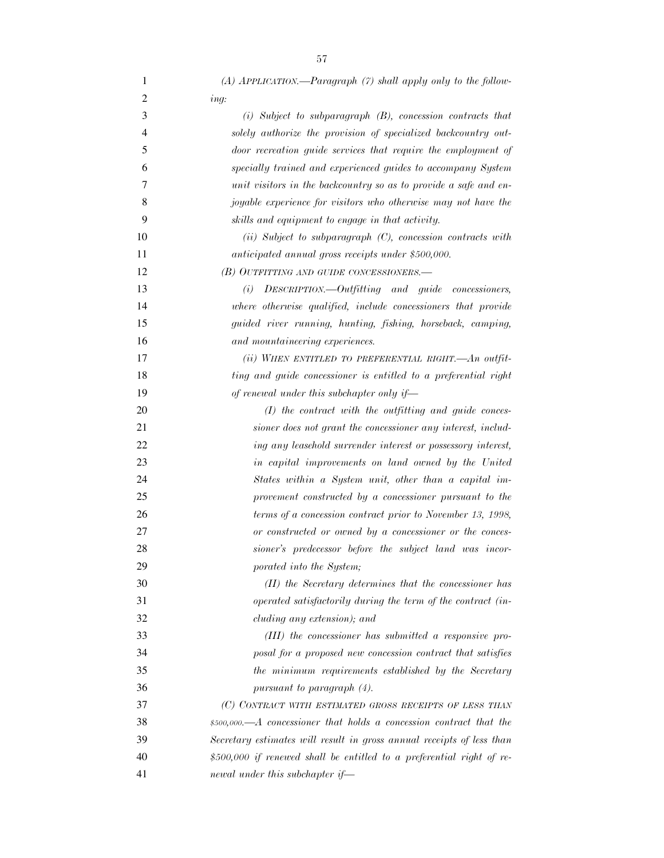| 1  | $(A)$ APPLICATION.—Paragraph $(7)$ shall apply only to the follow-     |
|----|------------------------------------------------------------------------|
| 2  | ing:                                                                   |
| 3  | $(i)$ Subject to subparagraph $(B)$ , concession contracts that        |
| 4  | solely authorize the provision of specialized backcountry out-         |
| 5  | door recreation guide services that require the employment of          |
| 6  | specially trained and experienced guides to accompany System           |
| 7  | unit visitors in the backcountry so as to provide a safe and en-       |
| 8  | joyable experience for visitors who otherwise may not have the         |
| 9  | skills and equipment to engage in that activity.                       |
| 10 | $(ii)$ Subject to subparagraph $(C)$ , concession contracts with       |
| 11 | anticipated annual gross receipts under \$500,000.                     |
| 12 | (B) OUTFITTING AND GUIDE CONCESSIONERS.—                               |
| 13 | (i)<br>DESCRIPTION.—Outfitting and guide concessioners,                |
| 14 | where otherwise qualified, include concessioners that provide          |
| 15 | guided river running, hunting, fishing, horseback, camping,            |
| 16 | and mountaineering experiences.                                        |
| 17 | $(ii)$ WHEN ENTITLED TO PREFERENTIAL RIGHT.—An outfit-                 |
| 18 | ting and guide concessioner is entitled to a preferential right        |
| 19 | of renewal under this subchapter only if—                              |
| 20 | $(I)$ the contract with the outfitting and guide conces-               |
| 21 | sioner does not grant the concessioner any interest, includ-           |
| 22 | ing any leasehold surrender interest or possessory interest,           |
| 23 | in capital improvements on land owned by the United                    |
| 24 | States within a System unit, other than a capital im-                  |
| 25 | provement constructed by a concessioner pursuant to the                |
| 26 | terms of a concession contract prior to November 13, 1998,             |
| 27 | or constructed or owned by a concessioner or the conces-               |
| 28 | sioner's predecessor before the subject land was incor-                |
| 29 | porated into the System;                                               |
| 30 | (II) the Secretary determines that the concessioner has                |
| 31 | operated satisfactorily during the term of the contract (in-           |
| 32 | cluding any extension); and                                            |
| 33 | $(III)$ the concessioner has submitted a responsive pro-               |
| 34 | posal for a proposed new concession contract that satisfies            |
| 35 | the minimum requirements established by the Secretary                  |
| 36 | pursuant to paragraph (4).                                             |
| 37 | (C) CONTRACT WITH ESTIMATED GROSS RECEIPTS OF LESS THAN                |
| 38 | $$500,000$ $-A$ concessioner that holds a concession contract that the |
| 39 | Secretary estimates will result in gross annual receipts of less than  |
| 40 | $$500,000$ if renewed shall be entitled to a preferential right of re- |
| 41 | newal under this subchapter if—                                        |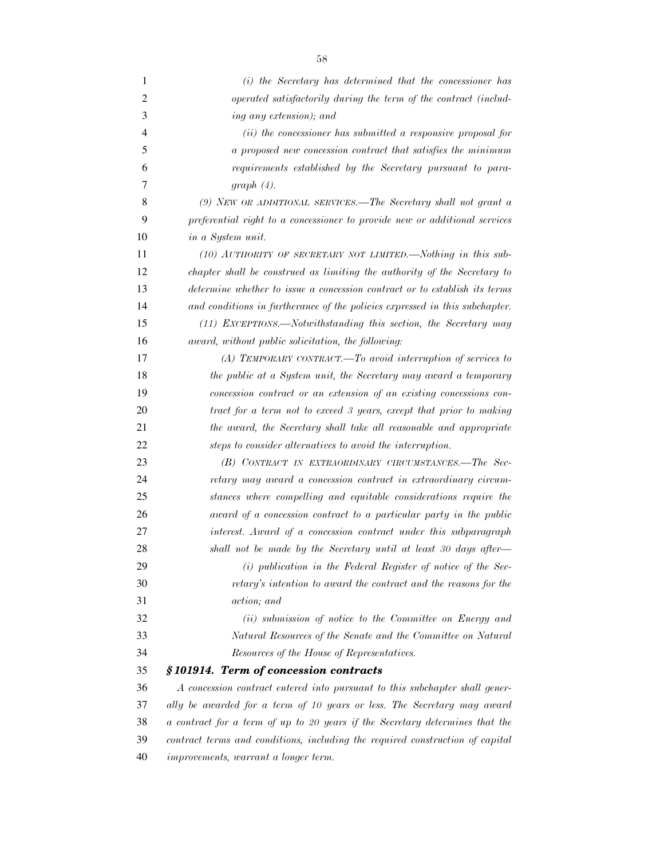| 1              | (i) the Secretary has determined that the concessioner has                    |
|----------------|-------------------------------------------------------------------------------|
| $\overline{c}$ | operated satisfactorily during the term of the contract (includ-              |
| 3              | ing any extension); and                                                       |
| 4              | (ii) the concessioner has submitted a responsive proposal for                 |
| 5              | a proposed new concession contract that satisfies the minimum                 |
| 6              | requirements established by the Secretary pursuant to para-                   |
| 7              | graph(4).                                                                     |
| 8              | $(9)$ NEW OR ADDITIONAL SERVICES.—The Secretary shall not grant a             |
| 9              | preferential right to a concessioner to provide new or additional services    |
| 10             | in a System unit.                                                             |
| 11             | (10) AUTHORITY OF SECRETARY NOT LIMITED.—Nothing in this sub-                 |
| 12             | chapter shall be construed as limiting the authority of the Secretary to      |
| 13             | determine whether to issue a concession contract or to establish its terms    |
| 14             | and conditions in furtherance of the policies expressed in this subchapter.   |
| 15             | (11) EXCEPTIONS.—Notwithstanding this section, the Secretary may              |
| 16             | award, without public solicitation, the following:                            |
| 17             | (A) TEMPORARY CONTRACT.—To avoid interruption of services to                  |
| 18             | the public at a System unit, the Secretary may award a temporary              |
| 19             | concession contract or an extension of an existing concessions con-           |
| 20             | tract for a term not to exceed 3 years, except that prior to making           |
| 21             | the award, the Secretary shall take all reasonable and appropriate            |
| 22             | steps to consider alternatives to avoid the interruption.                     |
| 23             | (B) CONTRACT IN EXTRAORDINARY CIRCUMSTANCES.-The Sec-                         |
| 24             | retary may award a concession contract in extraordinary circum-               |
| 25             | stances where compelling and equitable considerations require the             |
| 26             | award of a concession contract to a particular party in the public            |
| 27             | interest. Award of a concession contract under this subparagraph              |
| 28             | shall not be made by the Secretary until at least 30 days after-              |
| 29             | $(i)$ publication in the Federal Register of notice of the Sec-               |
| 30             | retary's intention to award the contract and the reasons for the              |
| 31             | <i>action</i> ; and                                                           |
| 32             | (ii) submission of notice to the Committee on Energy and                      |
| 33             | Natural Resources of the Senate and the Committee on Natural                  |
| 34             | Resources of the House of Representatives.                                    |
| 35             | §101914. Term of concession contracts                                         |
| 36             | A concession contract entered into pursuant to this subchapter shall gener-   |
| 37             | ally be awarded for a term of 10 years or less. The Secretary may award       |
| 38             | a contract for a term of up to 20 years if the Secretary determines that the  |
| 39             | contract terms and conditions, including the required construction of capital |
| 40             | improvements, warrant a longer term.                                          |
|                |                                                                               |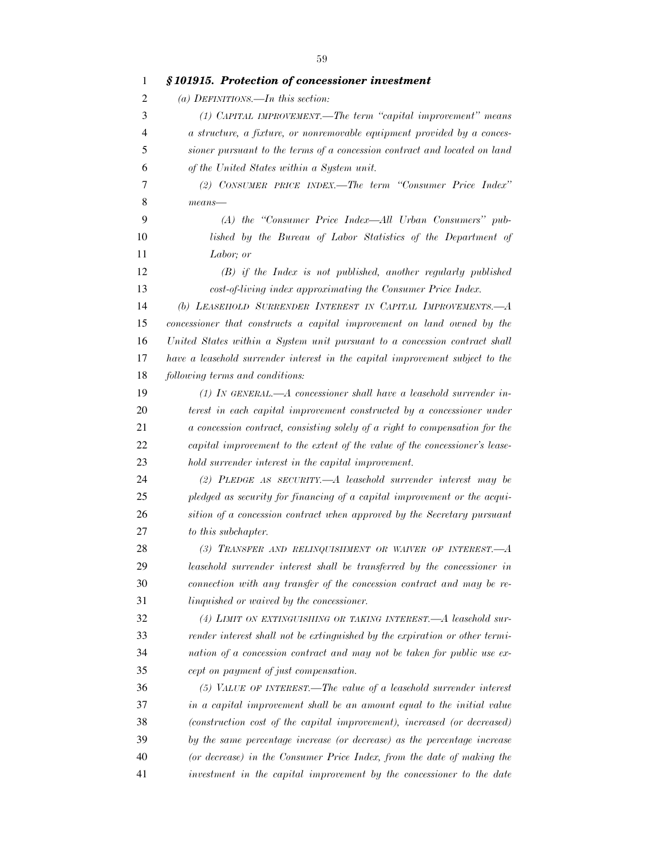| 1              | §101915. Protection of concessioner investment                                |
|----------------|-------------------------------------------------------------------------------|
| $\overline{c}$ | $(a)$ DEFINITIONS.—In this section:                                           |
| 3              | (1) CAPITAL IMPROVEMENT.—The term "capital improvement" means                 |
| 4              | a structure, a fixture, or nonremovable equipment provided by a conces-       |
| 5              | sioner pursuant to the terms of a concession contract and located on land     |
| 6              | of the United States within a System unit.                                    |
| 7              | (2) CONSUMER PRICE INDEX.—The term "Consumer Price Index"                     |
| 8              | $means-$                                                                      |
| 9              | (A) the "Consumer Price Index—All Urban Consumers" pub-                       |
| 10             | lished by the Bureau of Labor Statistics of the Department of                 |
| 11             | Labor; or                                                                     |
| 12             | $(B)$ if the Index is not published, another regularly published              |
| 13             | cost-of-living index approximating the Consumer Price Index.                  |
| 14             | (b) LEASEHOLD SURRENDER INTEREST IN CAPITAL IMPROVEMENTS.-                    |
| 15             | concessioner that constructs a capital improvement on land owned by the       |
| 16             | United States within a System unit pursuant to a concession contract shall    |
| 17             | have a leasehold surrender interest in the capital improvement subject to the |
| 18             | following terms and conditions:                                               |
| 19             | $(1)$ IN GENERAL.—A concessioner shall have a leasehold surrender in-         |
| 20             | terest in each capital improvement constructed by a concessioner under        |
| 21             | a concession contract, consisting solely of a right to compensation for the   |
| 22             | capital improvement to the extent of the value of the concessioner's lease-   |
| 23             | hold surrender interest in the capital improvement.                           |
| 24             | (2) PLEDGE AS SECURITY.—A leasehold surrender interest may be                 |
| 25             | pledged as security for financing of a capital improvement or the acqui-      |
| 26             | sition of a concession contract when approved by the Secretary pursuant       |
| 27             | to this subchapter.                                                           |
| 28             | (3) TRANSFER AND RELINQUISHMENT OR WAIVER OF INTEREST.—A                      |
| 29             | leasehold surrender interest shall be transferred by the concessioner in      |
| 30             | connection with any transfer of the concession contract and may be re-        |
| 31             | linquished or waived by the concessioner.                                     |
| 32             | (4) LIMIT ON EXTINGUISHING OR TAKING INTEREST.—A leasehold sur-               |
| 33             | render interest shall not be extinguished by the expiration or other termi-   |
| 34             | nation of a concession contract and may not be taken for public use ex-       |
| 35             | cept on payment of just compensation.                                         |
| 36             | $(5)$ VALUE OF INTEREST.—The value of a leasehold surrender interest          |
| 37             | in a capital improvement shall be an amount equal to the initial value        |
| 38             | (construction cost of the capital improvement), increased (or decreased)      |
| 39             | by the same percentage increase (or decrease) as the percentage increase      |
| 40             | (or decrease) in the Consumer Price Index, from the date of making the        |
| 41             | investment in the capital improvement by the concessioner to the date         |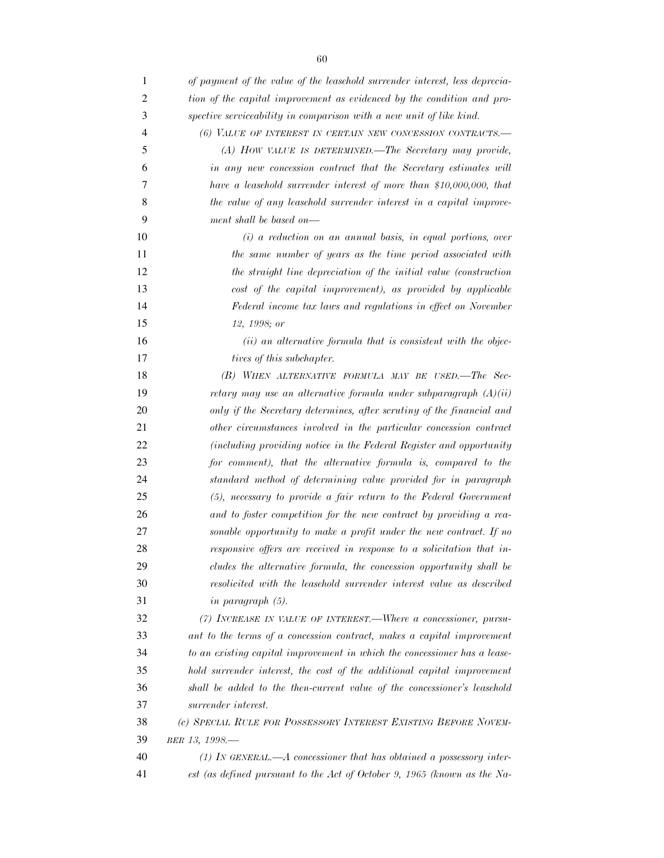| 1              | of payment of the value of the leasehold surrender interest, less deprecia- |
|----------------|-----------------------------------------------------------------------------|
| $\overline{c}$ | tion of the capital improvement as evidenced by the condition and pro-      |
| 3              | spective serviceability in comparison with a new unit of like kind.         |
| 4              | (6) VALUE OF INTEREST IN CERTAIN NEW CONCESSION CONTRACTS.-                 |
| 5              | (A) HOW VALUE IS DETERMINED.—The Secretary may provide,                     |
| 6              | in any new concession contract that the Secretary estimates will            |
| 7              | have a leasehold surrender interest of more than \$10,000,000, that         |
| 8              | the value of any leasehold surrender interest in a capital improve-         |
| 9              | ment shall be based on—                                                     |
| 10             | $(i)$ a reduction on an annual basis, in equal portions, over               |
| 11             | the same number of years as the time period associated with                 |
| 12             | the straight line depreciation of the initial value (construction           |
| 13             | cost of the capital improvement), as provided by applicable                 |
| 14             | Federal income tax laws and regulations in effect on November               |
| 15             | 12, 1998; or                                                                |
| 16             | $(ii)$ an alternative formula that is consistent with the objec-            |
| 17             | tives of this subchapter.                                                   |
| 18             | (B) WHEN ALTERNATIVE FORMULA MAY BE USED.—The Sec-                          |
| 19             | retary may use an alternative formula under subparagraph $(A)(ii)$          |
| 20             | only if the Secretary determines, after scrutiny of the financial and       |
| 21             | other circumstances involved in the particular concession contract          |
| 22             | (including providing notice in the Federal Register and opportunity         |
| 23             | for comment), that the alternative formula is, compared to the              |
| 24             | standard method of determining value provided for in paragraph              |
| 25             | (5), necessary to provide a fair return to the Federal Government           |
| 26             | and to foster competition for the new contract by providing a rea-          |
| 27             | sonable opportunity to make a profit under the new contract. If no          |
| 28             | responsive offers are received in response to a solicitation that in-       |
| 29             | cludes the alternative formula, the concession opportunity shall be         |
| 30             | resolicited with the leasehold surrender interest value as described        |
| 31             | in paragraph (5).                                                           |
| 32             | (7) INCREASE IN VALUE OF INTEREST.—Where a concessioner, pursu-             |
| 33             | ant to the terms of a concession contract, makes a capital improvement      |
| 34             | to an existing capital improvement in which the concessioner has a lease-   |
| 35             | hold surrender interest, the cost of the additional capital improvement     |
| 36             | shall be added to the then-current value of the concessioner's leasehold    |
| 37             | surrender interest.                                                         |
| 38             | (c) SPECIAL RULE FOR POSSESSORY INTEREST EXISTING BEFORE NOVEM-             |
| 39             | BER 13, 1998.-                                                              |
| 40             | $(1)$ IN GENERAL.—A concessioner that has obtained a possessory inter-      |
| 41             | est (as defined pursuant to the Act of October 9, 1965 (known as the Na-    |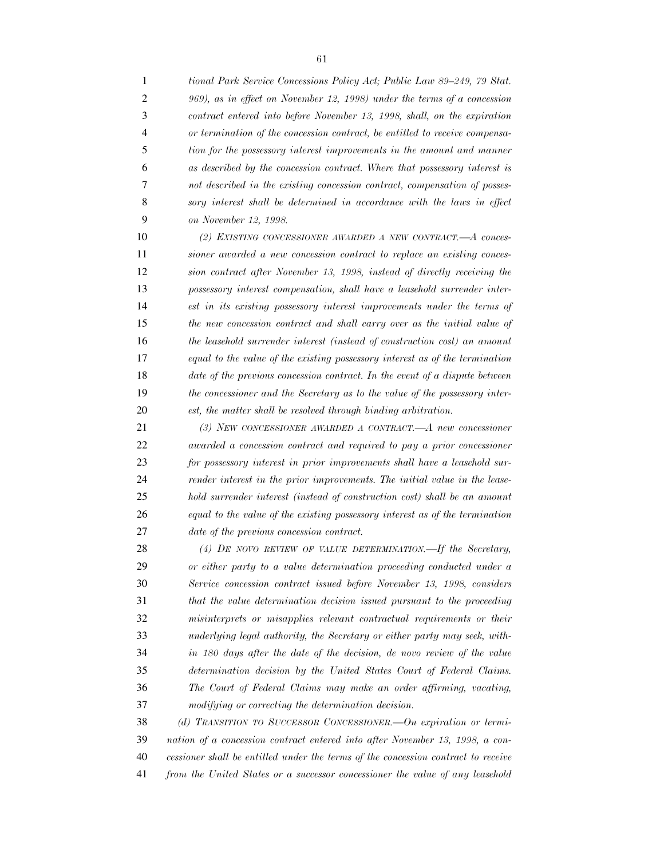*tional Park Service Concessions Policy Act; Public Law 89–249, 79 Stat. 969), as in effect on November 12, 1998) under the terms of a concession contract entered into before November 13, 1998, shall, on the expiration or termination of the concession contract, be entitled to receive compensa- tion for the possessory interest improvements in the amount and manner as described by the concession contract. Where that possessory interest is not described in the existing concession contract, compensation of posses- sory interest shall be determined in accordance with the laws in effect on November 12, 1998.*

 *(2) EXISTING CONCESSIONER AWARDED A NEW CONTRACT.—A conces- sioner awarded a new concession contract to replace an existing conces- sion contract after November 13, 1998, instead of directly receiving the possessory interest compensation, shall have a leasehold surrender inter- est in its existing possessory interest improvements under the terms of the new concession contract and shall carry over as the initial value of the leasehold surrender interest (instead of construction cost) an amount equal to the value of the existing possessory interest as of the termination date of the previous concession contract. In the event of a dispute between the concessioner and the Secretary as to the value of the possessory inter-est, the matter shall be resolved through binding arbitration.*

 *(3) NEW CONCESSIONER AWARDED A CONTRACT.—A new concessioner awarded a concession contract and required to pay a prior concessioner for possessory interest in prior improvements shall have a leasehold sur- render interest in the prior improvements. The initial value in the lease- hold surrender interest (instead of construction cost) shall be an amount equal to the value of the existing possessory interest as of the termination date of the previous concession contract.*

 *(4) DE NOVO REVIEW OF VALUE DETERMINATION.—If the Secretary, or either party to a value determination proceeding conducted under a Service concession contract issued before November 13, 1998, considers that the value determination decision issued pursuant to the proceeding misinterprets or misapplies relevant contractual requirements or their underlying legal authority, the Secretary or either party may seek, with- in 180 days after the date of the decision, de novo review of the value determination decision by the United States Court of Federal Claims. The Court of Federal Claims may make an order affirming, vacating, modifying or correcting the determination decision.*

 *(d) TRANSITION TO SUCCESSOR CONCESSIONER.—On expiration or termi- nation of a concession contract entered into after November 13, 1998, a con- cessioner shall be entitled under the terms of the concession contract to receive from the United States or a successor concessioner the value of any leasehold*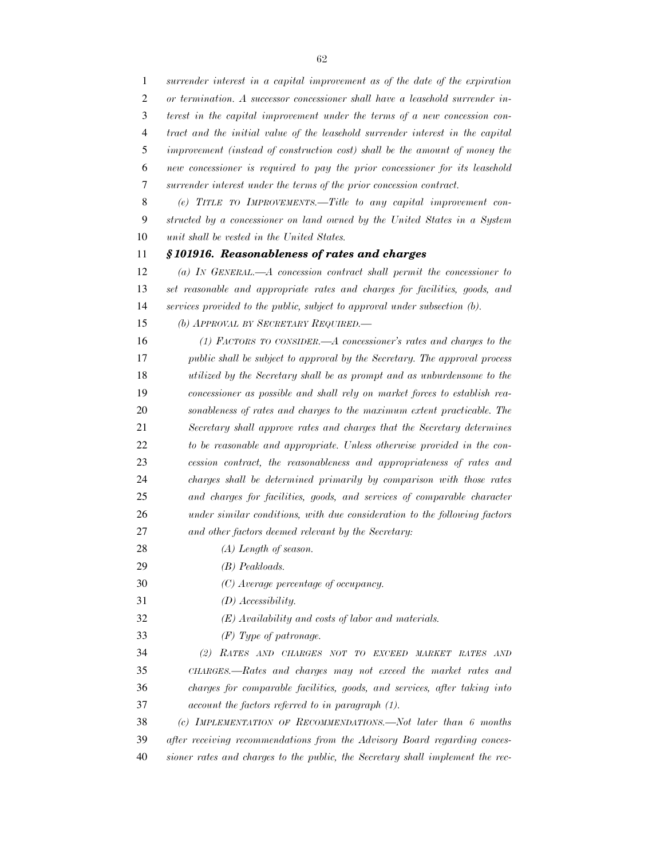*surrender interest in a capital improvement as of the date of the expiration or termination. A successor concessioner shall have a leasehold surrender in- terest in the capital improvement under the terms of a new concession con- tract and the initial value of the leasehold surrender interest in the capital improvement (instead of construction cost) shall be the amount of money the new concessioner is required to pay the prior concessioner for its leasehold surrender interest under the terms of the prior concession contract. (e) TITLE TO IMPROVEMENTS.—Title to any capital improvement con- structed by a concessioner on land owned by the United States in a System unit shall be vested in the United States. § 101916. Reasonableness of rates and charges (a) IN GENERAL.—A concession contract shall permit the concessioner to set reasonable and appropriate rates and charges for facilities, goods, and services provided to the public, subject to approval under subsection (b). (b) APPROVAL BY SECRETARY REQUIRED.— (1) FACTORS TO CONSIDER.—A concessioner's rates and charges to the public shall be subject to approval by the Secretary. The approval process utilized by the Secretary shall be as prompt and as unburdensome to the concessioner as possible and shall rely on market forces to establish rea- sonableness of rates and charges to the maximum extent practicable. The Secretary shall approve rates and charges that the Secretary determines to be reasonable and appropriate. Unless otherwise provided in the con- cession contract, the reasonableness and appropriateness of rates and charges shall be determined primarily by comparison with those rates and charges for facilities, goods, and services of comparable character under similar conditions, with due consideration to the following factors and other factors deemed relevant by the Secretary: (A) Length of season. (B) Peakloads. (C) Average percentage of occupancy. (D) Accessibility. (E) Availability and costs of labor and materials. (F) Type of patronage. (2) RATES AND CHARGES NOT TO EXCEED MARKET RATES AND CHARGES.—Rates and charges may not exceed the market rates and charges for comparable facilities, goods, and services, after taking into account the factors referred to in paragraph (1). (c) IMPLEMENTATION OF RECOMMENDATIONS.—Not later than 6 months after receiving recommendations from the Advisory Board regarding conces-sioner rates and charges to the public, the Secretary shall implement the rec-*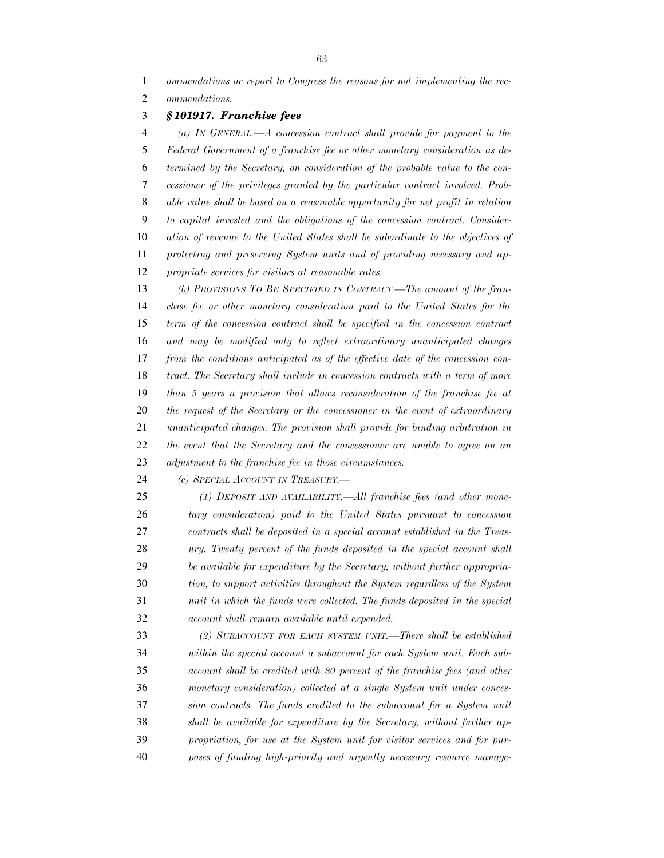*ommendations or report to Congress the reasons for not implementing the rec-*

*ommendations.*

### *§ 101917. Franchise fees*

 *(a) IN GENERAL.—A concession contract shall provide for payment to the Federal Government of a franchise fee or other monetary consideration as de- termined by the Secretary, on consideration of the probable value to the con- cessioner of the privileges granted by the particular contract involved. Prob- able value shall be based on a reasonable opportunity for net profit in relation to capital invested and the obligations of the concession contract. Consider- ation of revenue to the United States shall be subordinate to the objectives of protecting and preserving System units and of providing necessary and ap-propriate services for visitors at reasonable rates.*

 *(b) PROVISIONS TO BE SPECIFIED IN CONTRACT.—The amount of the fran- chise fee or other monetary consideration paid to the United States for the term of the concession contract shall be specified in the concession contract and may be modified only to reflect extraordinary unanticipated changes from the conditions anticipated as of the effective date of the concession con- tract. The Secretary shall include in concession contracts with a term of more than 5 years a provision that allows reconsideration of the franchise fee at the request of the Secretary or the concessioner in the event of extraordinary unanticipated changes. The provision shall provide for binding arbitration in the event that the Secretary and the concessioner are unable to agree on an adjustment to the franchise fee in those circumstances.*

*(c) SPECIAL ACCOUNT IN TREASURY.—*

 *(1) DEPOSIT AND AVAILABILITY.—All franchise fees (and other mone- tary consideration) paid to the United States pursuant to concession contracts shall be deposited in a special account established in the Treas- ury. Twenty percent of the funds deposited in the special account shall be available for expenditure by the Secretary, without further appropria- tion, to support activities throughout the System regardless of the System unit in which the funds were collected. The funds deposited in the special account shall remain available until expended.*

 *(2) SUBACCOUNT FOR EACH SYSTEM UNIT.—There shall be established within the special account a subaccount for each System unit. Each sub- account shall be credited with 80 percent of the franchise fees (and other monetary consideration) collected at a single System unit under conces- sion contracts. The funds credited to the subaccount for a System unit shall be available for expenditure by the Secretary, without further ap- propriation, for use at the System unit for visitor services and for pur-poses of funding high-priority and urgently necessary resource manage-*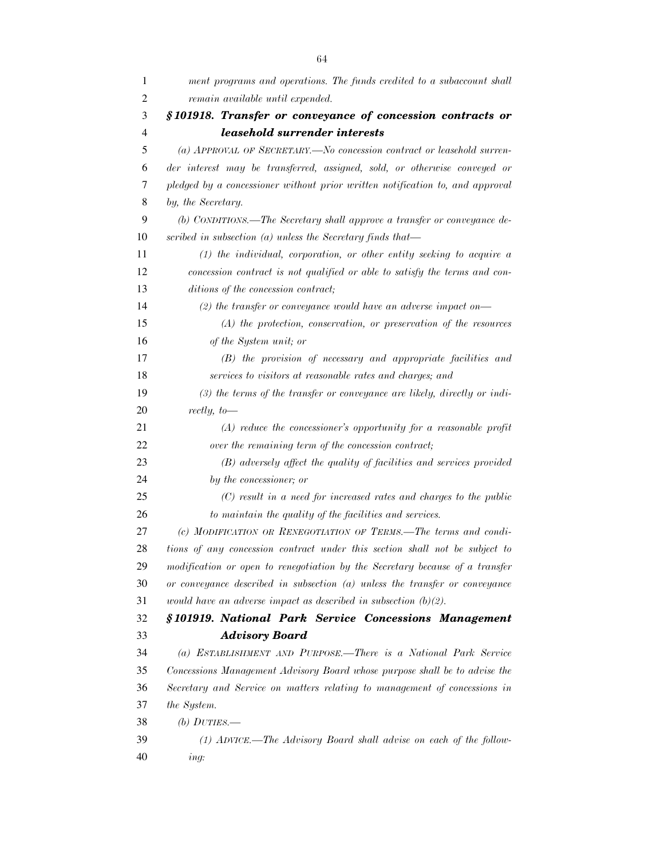| 1              | ment programs and operations. The funds credited to a subaccount shall        |
|----------------|-------------------------------------------------------------------------------|
| $\overline{2}$ | remain available until expended.                                              |
| 3              | §101918. Transfer or conveyance of concession contracts or                    |
| 4              | leasehold surrender interests                                                 |
| 5              | (a) APPROVAL OF SECRETARY.—No concession contract or leasehold surren-        |
| 6              | der interest may be transferred, assigned, sold, or otherwise conveyed or     |
| 7              | pledged by a concessioner without prior written notification to, and approval |
| 8              | by, the Secretary.                                                            |
| 9              | (b) CONDITIONS.—The Secretary shall approve a transfer or conveyance de-      |
| 10             | scribed in subsection $(a)$ unless the Secretary finds that—                  |
| 11             | $(1)$ the individual, corporation, or other entity seeking to acquire a       |
| 12             | concession contract is not qualified or able to satisfy the terms and con-    |
| 13             | ditions of the concession contract;                                           |
| 14             | $(2)$ the transfer or conveyance would have an adverse impact on-             |
| 15             | (A) the protection, conservation, or preservation of the resources            |
| 16             | of the System unit; or                                                        |
| 17             | $(B)$ the provision of necessary and appropriate facilities and               |
| 18             | services to visitors at reasonable rates and charges; and                     |
| 19             | $(3)$ the terms of the transfer or conveyance are likely, directly or indi-   |
| 20             | $rectly, to \_\_$                                                             |
| 21             | $(A)$ reduce the concessioner's opportunity for a reasonable profit           |
| 22             | over the remaining term of the concession contract;                           |
| 23             | (B) adversely affect the quality of facilities and services provided          |
| 24             | by the concessioner; or                                                       |
| 25             | $(C)$ result in a need for increased rates and charges to the public          |
| 26             | to maintain the quality of the facilities and services.                       |
| 27             | (c) MODIFICATION OR RENEGOTIATION OF TERMS.—The terms and condi-              |
| 28             | tions of any concession contract under this section shall not be subject to   |
| 29             | modification or open to renegotiation by the Secretary because of a transfer  |
| 30             | or conveyance described in subsection $(a)$ unless the transfer or conveyance |
| 31             | would have an adverse impact as described in subsection $(b)(2)$ .            |
| 32             | §101919. National Park Service Concessions Management                         |
| 33             | <b>Advisory Board</b>                                                         |
| 34             | (a) ESTABLISHMENT AND PURPOSE.—There is a National Park Service               |
| 35             | Concessions Management Advisory Board whose purpose shall be to advise the    |
| 36             | Secretary and Service on matters relating to management of concessions in     |
| 37             | the System.                                                                   |
| 38             | (b) $DUTIES$ .                                                                |
| 39             | $(1)$ ADVICE.—The Advisory Board shall advise on each of the follow-          |
| 40             | ing:                                                                          |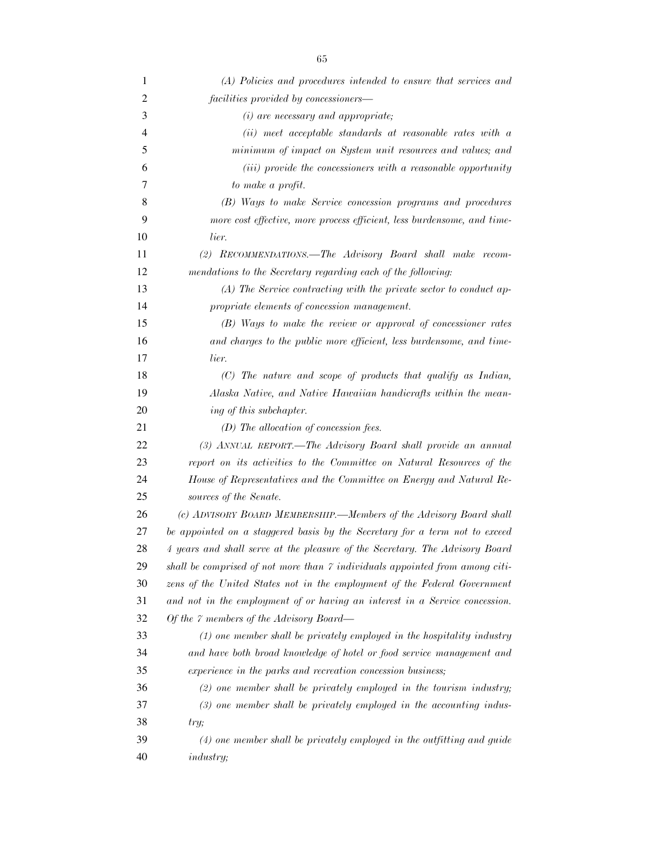| (A) Policies and procedures intended to ensure that services and             |
|------------------------------------------------------------------------------|
| facilities provided by concessioners—                                        |
| $(i)$ are necessary and appropriate;                                         |
| $(ii)$ meet acceptable standards at reasonable rates with a                  |
| minimum of impact on System unit resources and values; and                   |
| (iii) provide the concessioners with a reasonable opportunity                |
| to make a profit.                                                            |
| (B) Ways to make Service concession programs and procedures                  |
| more cost effective, more process efficient, less burdensome, and time-      |
| lier.                                                                        |
| (2) RECOMMENDATIONS.—The Advisory Board shall make recom-                    |
| mendations to the Secretary regarding each of the following:                 |
| $(A)$ The Service contracting with the private sector to conduct ap-         |
| propriate elements of concession management.                                 |
| (B) Ways to make the review or approval of concessioner rates                |
| and charges to the public more efficient, less burdensome, and time-         |
| lier.                                                                        |
| $(C)$ The nature and scope of products that qualify as Indian,               |
| Alaska Native, and Native Hawaiian handicrafts within the mean-              |
| ing of this subchapter.                                                      |
| $(D)$ The allocation of concession fees.                                     |
| (3) ANNUAL REPORT.—The Advisory Board shall provide an annual                |
| report on its activities to the Committee on Natural Resources of the        |
| House of Representatives and the Committee on Energy and Natural Re-         |
| sources of the Senate.                                                       |
| (c) ADVISORY BOARD MEMBERSHIP.—Members of the Advisory Board shall           |
| be appointed on a staggered basis by the Secretary for a term not to exceed  |
| 4 years and shall serve at the pleasure of the Secretary. The Advisory Board |
| shall be comprised of not more than 7 individuals appointed from among citi- |
| zens of the United States not in the employment of the Federal Government    |
| and not in the employment of or having an interest in a Service concession.  |
| Of the 7 members of the Advisory Board—                                      |
| $(1)$ one member shall be privately employed in the hospitality industry     |
| and have both broad knowledge of hotel or food service management and        |
| experience in the parks and recreation concession business;                  |
| $(2)$ one member shall be privately employed in the tourism industry;        |
| $(3)$ one member shall be privately employed in the accounting indus-        |
| try;                                                                         |
| (4) one member shall be privately employed in the outfitting and guide       |
| <i>industry</i> ;                                                            |
|                                                                              |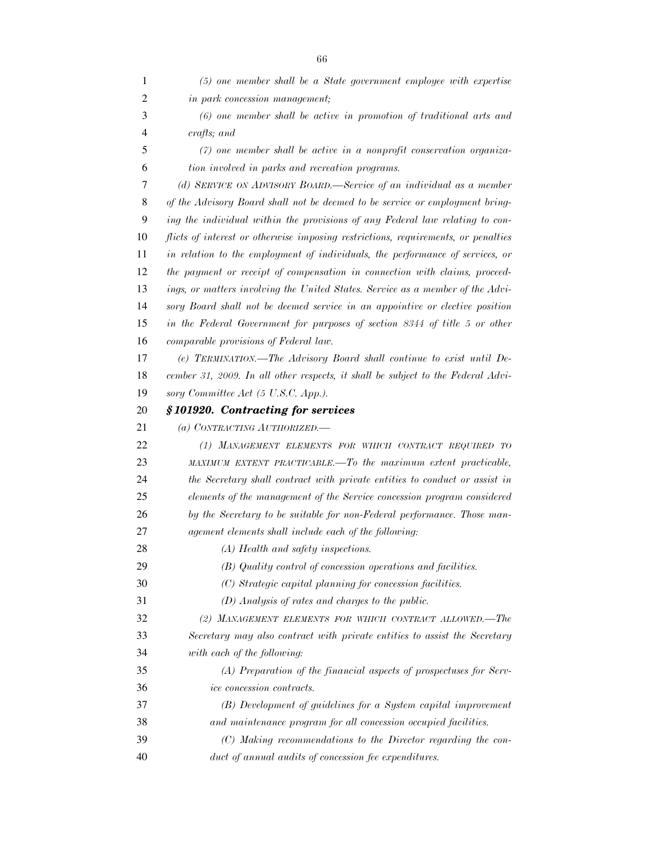| 1  | $(5)$ one member shall be a State government employee with expertise              |
|----|-----------------------------------------------------------------------------------|
| 2  | in park concession management;                                                    |
| 3  | (6) one member shall be active in promotion of traditional arts and               |
| 4  | crafts; and                                                                       |
| 5  | $(7)$ one member shall be active in a nonprofit conservation organiza-            |
| 6  | tion involved in parks and recreation programs.                                   |
| 7  | (d) SERVICE ON ADVISORY BOARD.—Service of an individual as a member               |
| 8  | of the Advisory Board shall not be deemed to be service or employment bring-      |
| 9  | ing the individual within the provisions of any Federal law relating to con-      |
| 10 | flicts of interest or otherwise imposing restrictions, requirements, or penalties |
| 11 | in relation to the employment of individuals, the performance of services, or     |
| 12 | the payment or receipt of compensation in connection with claims, proceed-        |
| 13 | ings, or matters involving the United States. Service as a member of the Advi-    |
| 14 | sory Board shall not be deemed service in an appointive or elective position      |
| 15 | in the Federal Government for purposes of section 8344 of title 5 or other        |
| 16 | comparable provisions of Federal law.                                             |
| 17 | (e) TERMINATION.—The Advisory Board shall continue to exist until De-             |
| 18 | cember 31, 2009. In all other respects, it shall be subject to the Federal Advi-  |
| 19 | sory Committee Act (5 U.S.C. App.).                                               |
| 20 | §101920. Contracting for services                                                 |
| 21 | (a) CONTRACTING AUTHORIZED.                                                       |
| 22 | (1) MANAGEMENT ELEMENTS FOR WHICH CONTRACT REQUIRED TO                            |
| 23 | MAXIMUM EXTENT PRACTICABLE.—To the maximum extent practicable,                    |
| 24 | the Secretary shall contract with private entities to conduct or assist in        |
| 25 | elements of the management of the Service concession program considered           |
| 26 | by the Secretary to be suitable for non-Federal performance. Those man-           |
| 27 | agement elements shall include each of the following:                             |
| 28 | (A) Health and safety inspections.                                                |
| 29 | (B) Quality control of concession operations and facilities.                      |
| 30 | (C) Strategic capital planning for concession facilities.                         |
| 31 | $(D)$ Analysis of rates and charges to the public.                                |
| 32 | (2) MANAGEMENT ELEMENTS FOR WHICH CONTRACT ALLOWED.-The                           |
| 33 | Secretary may also contract with private entities to assist the Secretary         |
| 34 | with each of the following:                                                       |
| 35 | (A) Preparation of the financial aspects of prospectuses for Serv-                |
| 36 | ice concession contracts.                                                         |
| 37 | (B) Development of guidelines for a System capital improvement                    |
| 38 | and maintenance program for all concession occupied facilities.                   |
| 39 | (C) Making recommendations to the Director regarding the con-                     |
| 40 | duct of annual audits of concession fee expenditures.                             |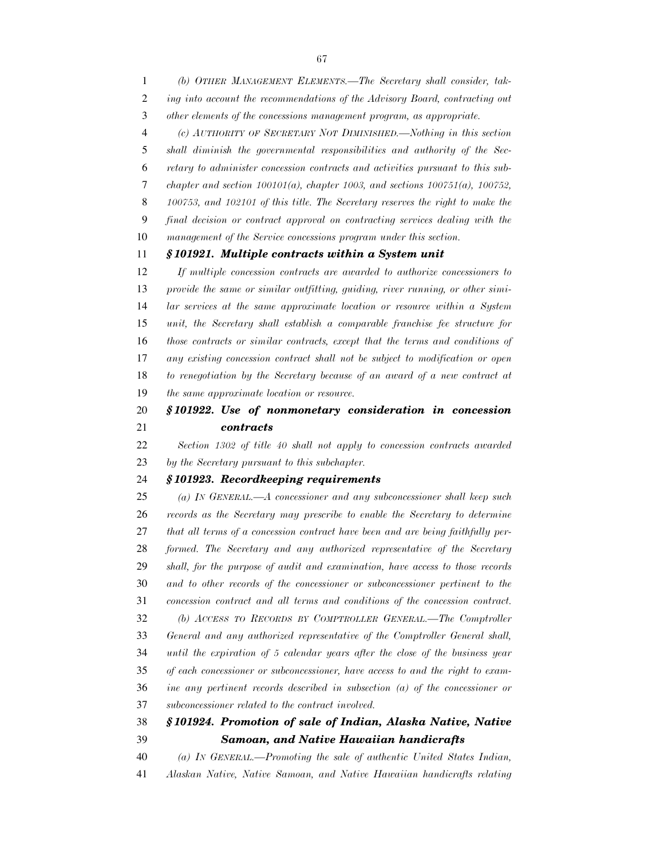*(b) OTHER MANAGEMENT ELEMENTS.—The Secretary shall consider, tak- ing into account the recommendations of the Advisory Board, contracting out other elements of the concessions management program, as appropriate. (c) AUTHORITY OF SECRETARY NOT DIMINISHED.—Nothing in this section shall diminish the governmental responsibilities and authority of the Sec- retary to administer concession contracts and activities pursuant to this sub- chapter and section 100101(a), chapter 1003, and sections 100751(a), 100752, 100753, and 102101 of this title. The Secretary reserves the right to make the final decision or contract approval on contracting services dealing with the management of the Service concessions program under this section. § 101921. Multiple contracts within a System unit If multiple concession contracts are awarded to authorize concessioners to provide the same or similar outfitting, guiding, river running, or other simi- lar services at the same approximate location or resource within a System unit, the Secretary shall establish a comparable franchise fee structure for those contracts or similar contracts, except that the terms and conditions of any existing concession contract shall not be subject to modification or open to renegotiation by the Secretary because of an award of a new contract at the same approximate location or resource. § 101922. Use of nonmonetary consideration in concession contracts Section 1302 of title 40 shall not apply to concession contracts awarded by the Secretary pursuant to this subchapter. § 101923. Recordkeeping requirements (a) IN GENERAL.—A concessioner and any subconcessioner shall keep such records as the Secretary may prescribe to enable the Secretary to determine that all terms of a concession contract have been and are being faithfully per- formed. The Secretary and any authorized representative of the Secretary shall, for the purpose of audit and examination, have access to those records and to other records of the concessioner or subconcessioner pertinent to the concession contract and all terms and conditions of the concession contract. (b) ACCESS TO RECORDS BY COMPTROLLER GENERAL.—The Comptroller General and any authorized representative of the Comptroller General shall, until the expiration of 5 calendar years after the close of the business year of each concessioner or subconcessioner, have access to and the right to exam- ine any pertinent records described in subsection (a) of the concessioner or subconcessioner related to the contract involved. § 101924. Promotion of sale of Indian, Alaska Native, Native Samoan, and Native Hawaiian handicrafts (a) IN GENERAL.—Promoting the sale of authentic United States Indian,*

*Alaskan Native, Native Samoan, and Native Hawaiian handicrafts relating*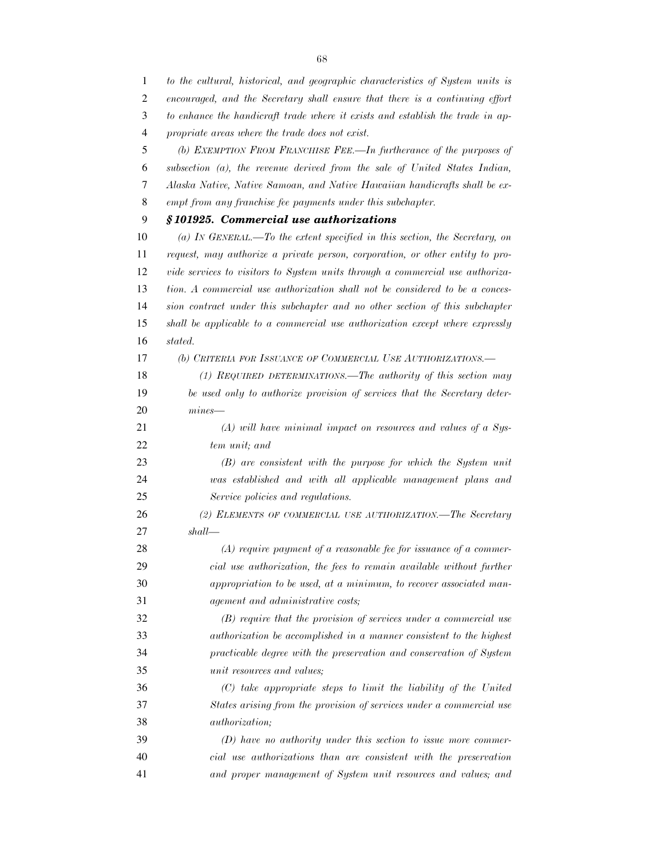*to the cultural, historical, and geographic characteristics of System units is encouraged, and the Secretary shall ensure that there is a continuing effort to enhance the handicraft trade where it exists and establish the trade in ap- propriate areas where the trade does not exist. (b) EXEMPTION FROM FRANCHISE FEE.—In furtherance of the purposes of subsection (a), the revenue derived from the sale of United States Indian, Alaska Native, Native Samoan, and Native Hawaiian handicrafts shall be ex- empt from any franchise fee payments under this subchapter. § 101925. Commercial use authorizations (a) IN GENERAL.—To the extent specified in this section, the Secretary, on request, may authorize a private person, corporation, or other entity to pro- vide services to visitors to System units through a commercial use authoriza- tion. A commercial use authorization shall not be considered to be a conces- sion contract under this subchapter and no other section of this subchapter shall be applicable to a commercial use authorization except where expressly stated. (b) CRITERIA FOR ISSUANCE OF COMMERCIAL USE AUTHORIZATIONS.— (1) REQUIRED DETERMINATIONS.—The authority of this section may be used only to authorize provision of services that the Secretary deter- mines— (A) will have minimal impact on resources and values of a Sys- tem unit; and (B) are consistent with the purpose for which the System unit was established and with all applicable management plans and Service policies and regulations. (2) ELEMENTS OF COMMERCIAL USE AUTHORIZATION.—The Secretary shall— (A) require payment of a reasonable fee for issuance of a commer- cial use authorization, the fees to remain available without further appropriation to be used, at a minimum, to recover associated man- agement and administrative costs; (B) require that the provision of services under a commercial use authorization be accomplished in a manner consistent to the highest practicable degree with the preservation and conservation of System unit resources and values; (C) take appropriate steps to limit the liability of the United States arising from the provision of services under a commercial use authorization; (D) have no authority under this section to issue more commer- cial use authorizations than are consistent with the preservation and proper management of System unit resources and values; and*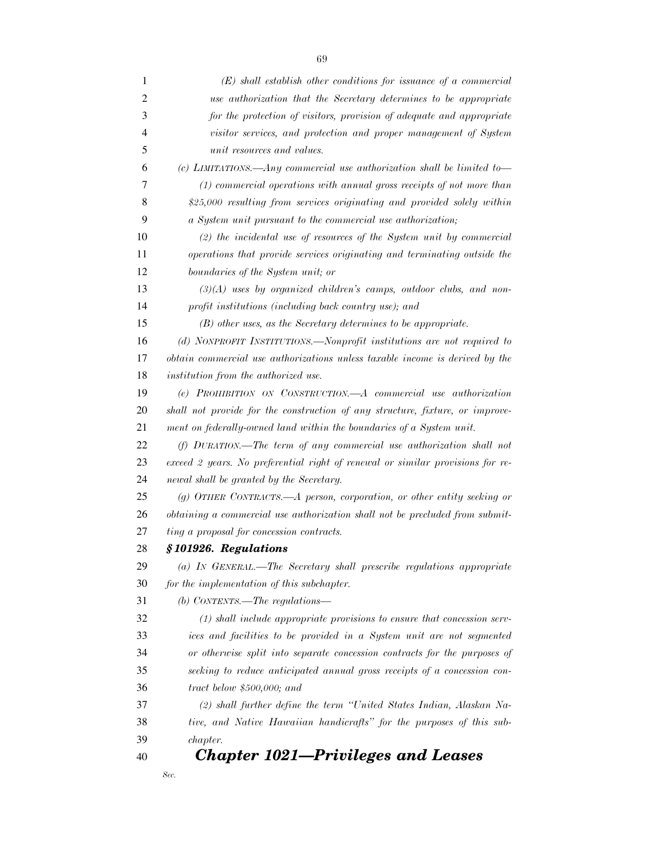| 1              | $(E)$ shall establish other conditions for issuance of a commercial            |
|----------------|--------------------------------------------------------------------------------|
| $\mathfrak{2}$ | use authorization that the Secretary determines to be appropriate              |
| 3              | for the protection of visitors, provision of adequate and appropriate          |
| 4              | visitor services, and protection and proper management of System               |
| 5              | unit resources and values.                                                     |
| 6              | (c) LIMITATIONS.—Any commercial use authorization shall be limited to—         |
| 7              | $(1)$ commercial operations with annual gross receipts of not more than        |
| 8              | \$25,000 resulting from services originating and provided solely within        |
| 9              | a System unit pursuant to the commercial use authorization;                    |
| 10             | $(2)$ the incidental use of resources of the System unit by commercial         |
| 11             | operations that provide services originating and terminating outside the       |
| 12             | boundaries of the System unit; or                                              |
| 13             | $(3)(A)$ uses by organized children's camps, outdoor clubs, and non-           |
| 14             | profit institutions (including back country use); and                          |
| 15             | $(B)$ other uses, as the Secretary determines to be appropriate.               |
| 16             | (d) NONPROFIT INSTITUTIONS.—Nonprofit institutions are not required to         |
| 17             | obtain commercial use authorizations unless taxable income is derived by the   |
| 18             | institution from the authorized use.                                           |
| 19             | (e) PROHIBITION ON CONSTRUCTION.—A commercial use authorization                |
| 20             | shall not provide for the construction of any structure, fixture, or improve-  |
| 21             | ment on federally-owned land within the boundaries of a System unit.           |
| 22             | (f) DURATION.—The term of any commercial use authorization shall not           |
| 23             | exceed 2 years. No preferential right of renewal or similar provisions for re- |
| 24             | newal shall be granted by the Secretary.                                       |
| 25             | (g) OTHER CONTRACTS.—A person, corporation, or other entity seeking or         |
| 26             | obtaining a commercial use authorization shall not be precluded from submit-   |
| 27             | ting a proposal for concession contracts.                                      |
| 28             | §101926. Regulations                                                           |
| 29             | (a) IN GENERAL.—The Secretary shall prescribe regulations appropriate          |
| 30             | for the implementation of this subchapter.                                     |
| 31             | $(b)$ CONTENTS.—The regulations—                                               |
| 32             | $(1)$ shall include appropriate provisions to ensure that concession serv-     |
| 33             | ices and facilities to be provided in a System unit are not segmented          |
| 34             | or otherwise split into separate concession contracts for the purposes of      |
| 35             | seeking to reduce anticipated annual gross receipts of a concession con-       |
| 36             | tract below $$500,000;$ and                                                    |
| 37             | (2) shall further define the term "United States Indian, Alaskan Na-           |
| 38             | tive, and Native Hawaiian handicrafts" for the purposes of this sub-           |
| 39             | <i>chapter.</i>                                                                |
| 40             | <b>Chapter 1021–Privileges and Leases</b>                                      |

*Sec.*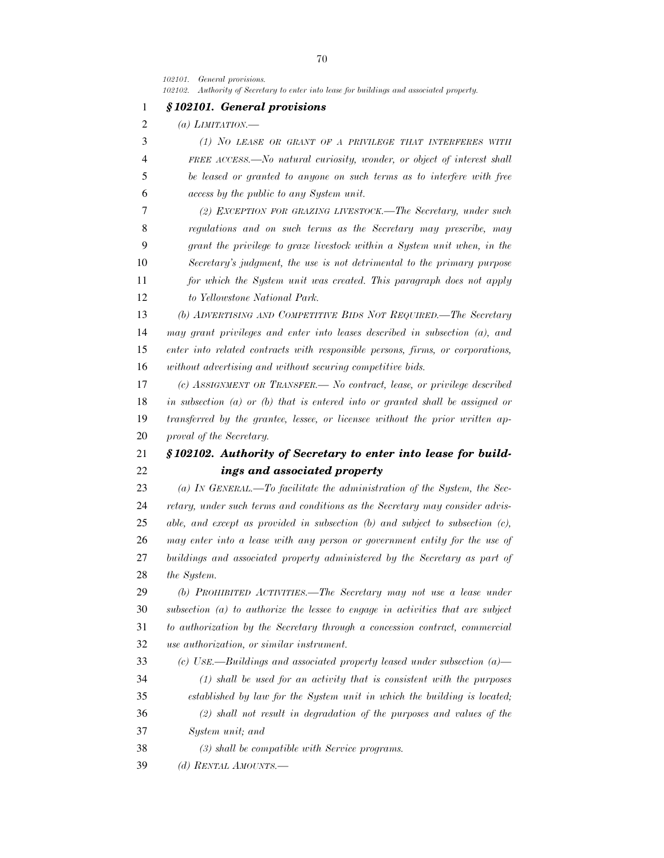*102101. General provisions. 102102. Authority of Secretary to enter into lease for buildings and associated property.*

| $\mathbf{1}$   | §102101. General provisions                                                        |
|----------------|------------------------------------------------------------------------------------|
| $\overline{c}$ | (a) LIMITATION.                                                                    |
| 3              | (1) NO LEASE OR GRANT OF A PRIVILEGE THAT INTERFERES WITH                          |
| 4              | FREE ACCESS.—No natural curiosity, wonder, or object of interest shall             |
| 5              | be leased or granted to anyone on such terms as to interfere with free             |
| 6              | access by the public to any System unit.                                           |
| 7              | (2) EXCEPTION FOR GRAZING LIVESTOCK.—The Secretary, under such                     |
| 8              | regulations and on such terms as the Secretary may prescribe, may                  |
| 9              | grant the privilege to graze livestock within a System unit when, in the           |
| 10             | Secretary's judgment, the use is not detrimental to the primary purpose            |
| 11             | for which the System unit was created. This paragraph does not apply               |
| 12             | to Yellowstone National Park.                                                      |
| 13             | (b) ADVERTISING AND COMPETITIVE BIDS NOT REQUIRED.—The Secretary                   |
| 14             | may grant privileges and enter into leases described in subsection (a), and        |
| 15             | enter into related contracts with responsible persons, firms, or corporations,     |
| 16             | without advertising and without securing competitive bids.                         |
| 17             | (c) ASSIGNMENT OR TRANSFER. No contract, lease, or privilege described             |
| 18             | in subsection $(a)$ or $(b)$ that is entered into or granted shall be assigned or  |
| 19             | transferred by the grantee, lessee, or licensee without the prior written ap-      |
| 20             | proval of the Secretary.                                                           |
| 21             | §102102. Authority of Secretary to enter into lease for build-                     |
| 22             | ings and associated property                                                       |
|                |                                                                                    |
| 23             | (a) IN GENERAL.—To facilitate the administration of the System, the Sec-           |
| 24             | retary, under such terms and conditions as the Secretary may consider advis-       |
| 25             | able, and except as provided in subsection $(b)$ and subject to subsection $(c)$ , |
| 26             | may enter into a lease with any person or government entity for the use of         |
| 27             | buildings and associated property administered by the Secretary as part of         |
| 28             | the System.                                                                        |
| 29             | (b) PROHIBITED ACTIVITIES.—The Secretary may not use a lease under                 |
| 30             | subsection $(a)$ to authorize the lessee to engage in activities that are subject  |
| 31             | to authorization by the Secretary through a concession contract, commercial        |
| 32             | use authorization, or similar instrument.                                          |
| 33             | (c) Use ightarrow Buildings and associated property leased under subsection (a)—   |
| 34             | $(1)$ shall be used for an activity that is consistent with the purposes           |
| 35             | established by law for the System unit in which the building is located;           |
| 36             | $(2)$ shall not result in degradation of the purposes and values of the            |
| 37             | System unit; and                                                                   |
| 38             | $(3)$ shall be compatible with Service programs.                                   |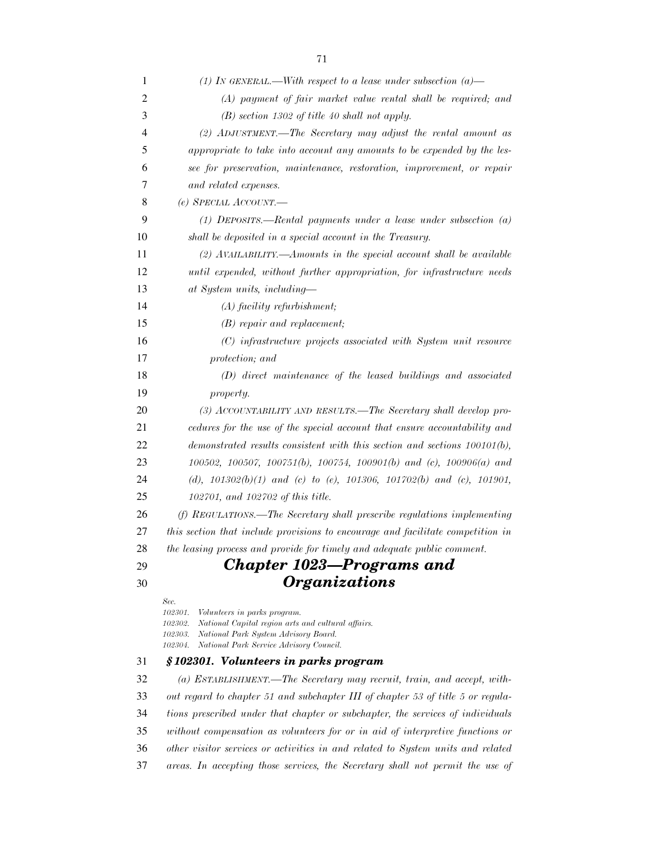| 1  | (1) IN GENERAL.—With respect to a lease under subsection $(a)$ —                                                                                                                                                                 |
|----|----------------------------------------------------------------------------------------------------------------------------------------------------------------------------------------------------------------------------------|
| 2  | (A) payment of fair market value rental shall be required; and                                                                                                                                                                   |
| 3  | $(B)$ section 1302 of title 40 shall not apply.                                                                                                                                                                                  |
| 4  | (2) ADJUSTMENT.—The Secretary may adjust the rental amount as                                                                                                                                                                    |
| 5  | appropriate to take into account any amounts to be expended by the les-                                                                                                                                                          |
| 6  | see for preservation, maintenance, restoration, improvement, or repair                                                                                                                                                           |
| 7  | and related expenses.                                                                                                                                                                                                            |
| 8  | (e) SPECIAL ACCOUNT.                                                                                                                                                                                                             |
| 9  | $(1)$ DEPOSITS.—Rental payments under a lease under subsection $(a)$                                                                                                                                                             |
| 10 | shall be deposited in a special account in the Treasury.                                                                                                                                                                         |
| 11 | $(2)$ AVAILABILITY.—Amounts in the special account shall be available                                                                                                                                                            |
| 12 | until expended, without further appropriation, for infrastructure needs                                                                                                                                                          |
| 13 | at System units, including—                                                                                                                                                                                                      |
| 14 | $(A)$ facility refurbishment;                                                                                                                                                                                                    |
| 15 | (B) repair and replacement;                                                                                                                                                                                                      |
| 16 | (C) infrastructure projects associated with System unit resource                                                                                                                                                                 |
| 17 | protection; and                                                                                                                                                                                                                  |
| 18 | (D) direct maintenance of the leased buildings and associated                                                                                                                                                                    |
| 19 | property.                                                                                                                                                                                                                        |
| 20 | (3) ACCOUNTABILITY AND RESULTS.—The Secretary shall develop pro-                                                                                                                                                                 |
| 21 | cedures for the use of the special account that ensure accountability and                                                                                                                                                        |
| 22 | demonstrated results consistent with this section and sections 100101(b),                                                                                                                                                        |
| 23 | 100502, 100507, 100751(b), 100754, 100901(b) and (c), 100906(a) and                                                                                                                                                              |
| 24 | (d), $101302(b)(1)$ and (c) to (e), $101306$ , $101702(b)$ and (c), $101901$ ,                                                                                                                                                   |
| 25 | 102701, and 102702 of this title.                                                                                                                                                                                                |
| 26 | $(f)$ REGULATIONS.—The Secretary shall prescribe regulations implementing                                                                                                                                                        |
| 27 | this section that include provisions to encourage and facilitate competition in                                                                                                                                                  |
| 28 | the leasing process and provide for timely and adequate public comment.                                                                                                                                                          |
| 29 | <b>Chapter 1023–Programs and</b>                                                                                                                                                                                                 |
| 30 | <b>Organizations</b>                                                                                                                                                                                                             |
|    | Sec.<br>102301.<br><i>Volunteers in parks program.</i><br>National Capital region arts and cultural affairs.<br>102302.<br>National Park System Advisory Board.<br>102303.<br>102304.<br>National Park Service Advisory Council. |
| 31 | §102301. Volunteers in parks program                                                                                                                                                                                             |
| 32 | (a) ESTABLISHMENT.—The Secretary may recruit, train, and accept, with-                                                                                                                                                           |
| 33 | out regard to chapter 51 and subchapter III of chapter 53 of title 5 or regula-                                                                                                                                                  |
| 34 | tions prescribed under that chapter or subchapter, the services of individuals                                                                                                                                                   |
| 35 | without compensation as volunteers for or in aid of interpretive functions or                                                                                                                                                    |
| 36 | other visitor services or activities in and related to System units and related                                                                                                                                                  |
| 37 | areas. In accepting those services, the Secretary shall not permit the use of                                                                                                                                                    |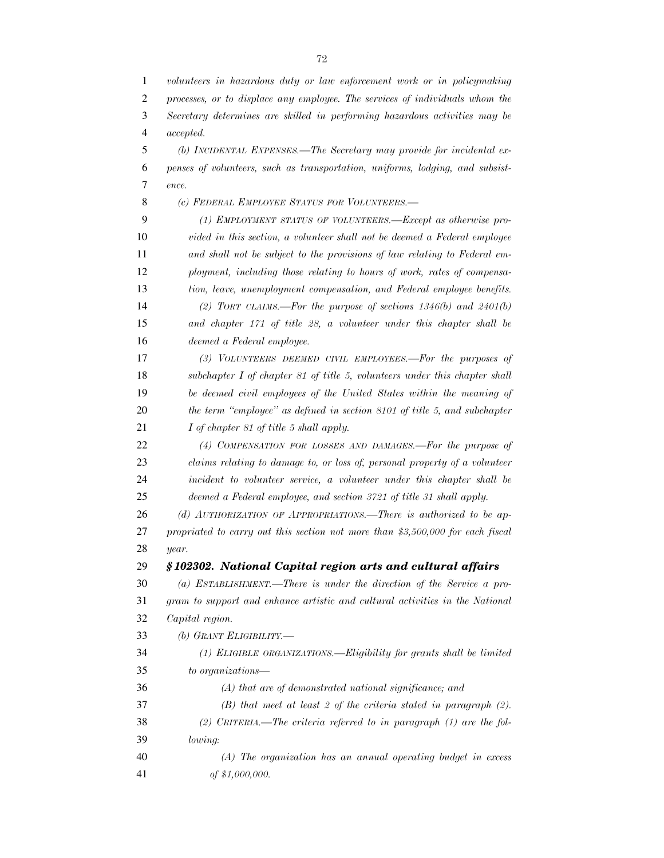*volunteers in hazardous duty or law enforcement work or in policymaking processes, or to displace any employee. The services of individuals whom the Secretary determines are skilled in performing hazardous activities may be accepted. (b) INCIDENTAL EXPENSES.—The Secretary may provide for incidental ex- penses of volunteers, such as transportation, uniforms, lodging, and subsist- ence. (c) FEDERAL EMPLOYEE STATUS FOR VOLUNTEERS.— (1) EMPLOYMENT STATUS OF VOLUNTEERS.—Except as otherwise pro- vided in this section, a volunteer shall not be deemed a Federal employee and shall not be subject to the provisions of law relating to Federal em- ployment, including those relating to hours of work, rates of compensa- tion, leave, unemployment compensation, and Federal employee benefits. (2) TORT CLAIMS.—For the purpose of sections 1346(b) and 2401(b) and chapter 171 of title 28, a volunteer under this chapter shall be deemed a Federal employee. (3) VOLUNTEERS DEEMED CIVIL EMPLOYEES.—For the purposes of subchapter I of chapter 81 of title 5, volunteers under this chapter shall be deemed civil employees of the United States within the meaning of the term ''employee'' as defined in section 8101 of title 5, and subchapter I of chapter 81 of title 5 shall apply. (4) COMPENSATION FOR LOSSES AND DAMAGES.—For the purpose of claims relating to damage to, or loss of, personal property of a volunteer incident to volunteer service, a volunteer under this chapter shall be deemed a Federal employee, and section 3721 of title 31 shall apply. (d) AUTHORIZATION OF APPROPRIATIONS.—There is authorized to be ap- propriated to carry out this section not more than \$3,500,000 for each fiscal year. § 102302. National Capital region arts and cultural affairs (a) ESTABLISHMENT.—There is under the direction of the Service a pro- gram to support and enhance artistic and cultural activities in the National Capital region. (b) GRANT ELIGIBILITY.— (1) ELIGIBLE ORGANIZATIONS.—Eligibility for grants shall be limited to organizations— (A) that are of demonstrated national significance; and (B) that meet at least 2 of the criteria stated in paragraph (2). (2) CRITERIA.—The criteria referred to in paragraph (1) are the fol- lowing: (A) The organization has an annual operating budget in excess of \$1,000,000.*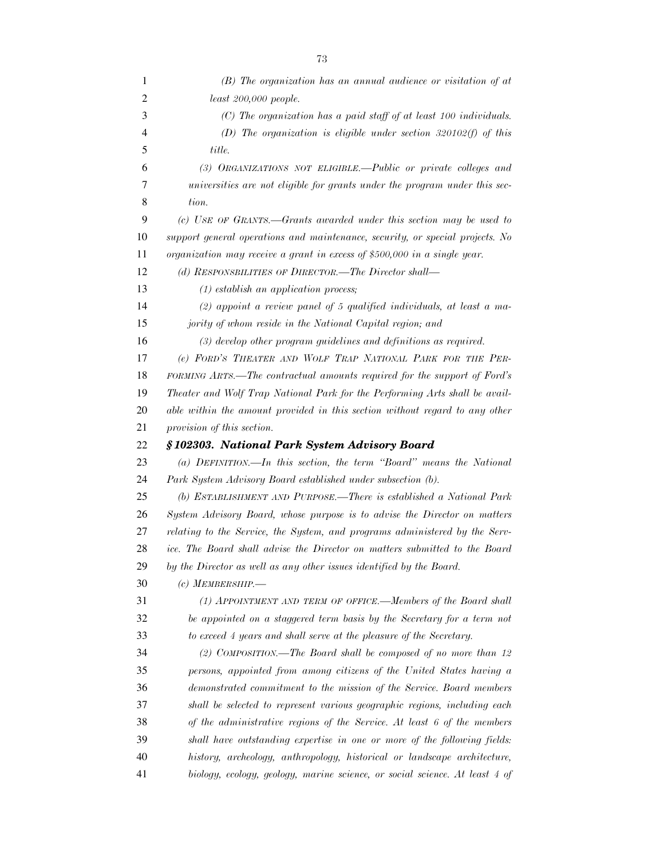| 1              | $(B)$ The organization has an annual audience or visitation of at             |
|----------------|-------------------------------------------------------------------------------|
| 2              | $least\ 200,000\ people.$                                                     |
| 3              | $(C)$ The organization has a paid staff of at least 100 individuals.          |
| $\overline{4}$ | (D) The organization is eligible under section $320102(f)$ of this            |
| 5              | title.                                                                        |
| 6              | (3) ORGANIZATIONS NOT ELIGIBLE.—Public or private colleges and                |
| 7              | universities are not eligible for grants under the program under this sec-    |
| 8              | tion.                                                                         |
| 9              | (c) USE OF GRANTS.—Grants awarded under this section may be used to           |
| 10             | support general operations and maintenance, security, or special projects. No |
| 11             | organization may receive a grant in excess of \$500,000 in a single year.     |
| 12             | (d) RESPONSBILITIES OF DIRECTOR.—The Director shall—                          |
| 13             | $(1)$ establish an application process;                                       |
| 14             | $(2)$ appoint a review panel of 5 qualified individuals, at least a ma-       |
| 15             | jority of whom reside in the National Capital region; and                     |
| 16             | (3) develop other program guidelines and definitions as required.             |
| 17             | (e) FORD'S THEATER AND WOLF TRAP NATIONAL PARK FOR THE PER-                   |
| 18             | FORMING ARTS.—The contractual amounts required for the support of Ford's      |
| 19             | Theater and Wolf Trap National Park for the Performing Arts shall be avail-   |
| 20             | able within the amount provided in this section without regard to any other   |
|                |                                                                               |
| 21             | provision of this section.                                                    |
| 22             | §102303. National Park System Advisory Board                                  |
| 23             | (a) DEFINITION.—In this section, the term "Board" means the National          |
| 24             | Park System Advisory Board established under subsection (b).                  |
| 25             | (b) ESTABLISHMENT AND PURPOSE.—There is established a National Park           |
| 26             | System Advisory Board, whose purpose is to advise the Director on matters     |
| 27             | relating to the Service, the System, and programs administered by the Serv-   |
| 28             | ice. The Board shall advise the Director on matters submitted to the Board    |
| 29             | by the Director as well as any other issues identified by the Board.          |
| 30             | $(c)$ MEMBERSHIP.—                                                            |
| 31             | (1) APPOINTMENT AND TERM OF OFFICE.—Members of the Board shall                |
| 32             | be appointed on a staggered term basis by the Secretary for a term not        |
| 33             | to exceed 4 years and shall serve at the pleasure of the Secretary.           |
| 34             | (2) COMPOSITION.—The Board shall be composed of no more than $12$             |
| 35             | persons, appointed from among citizens of the United States having a          |
| 36             | demonstrated commitment to the mission of the Service. Board members          |
| 37             | shall be selected to represent various geographic regions, including each     |
| 38             | of the administrative regions of the Service. At least 6 of the members       |
| 39             | shall have outstanding expertise in one or more of the following fields:      |
| 40             | history, archeology, anthropology, historical or landscape architecture,      |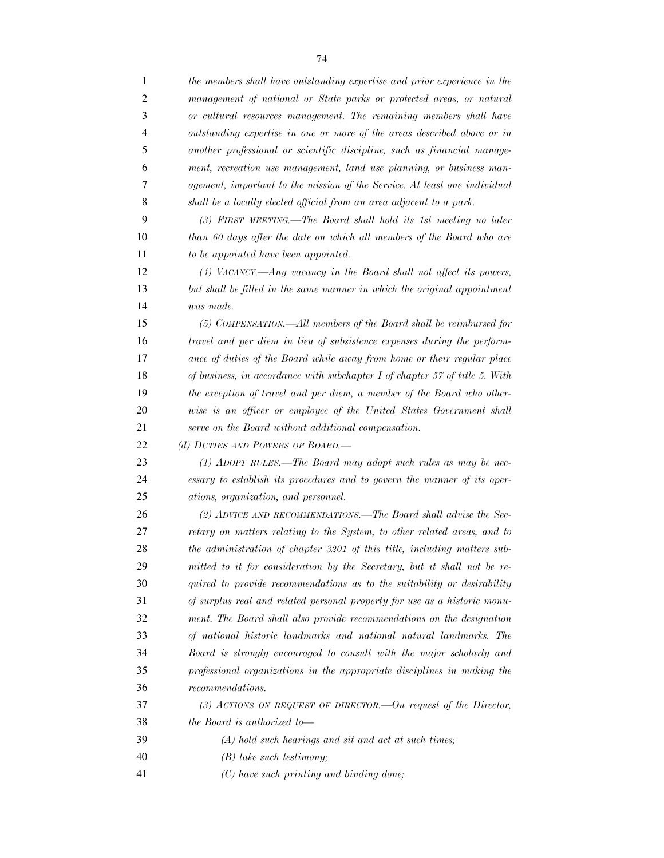*the members shall have outstanding expertise and prior experience in the management of national or State parks or protected areas, or natural or cultural resources management. The remaining members shall have outstanding expertise in one or more of the areas described above or in another professional or scientific discipline, such as financial manage- ment, recreation use management, land use planning, or business man- agement, important to the mission of the Service. At least one individual shall be a locally elected official from an area adjacent to a park. (3) FIRST MEETING.—The Board shall hold its 1st meeting no later than 60 days after the date on which all members of the Board who are to be appointed have been appointed. (4) VACANCY.—Any vacancy in the Board shall not affect its powers, but shall be filled in the same manner in which the original appointment was made. (5) COMPENSATION.—All members of the Board shall be reimbursed for travel and per diem in lieu of subsistence expenses during the perform- ance of duties of the Board while away from home or their regular place of business, in accordance with subchapter I of chapter 57 of title 5. With the exception of travel and per diem, a member of the Board who other- wise is an officer or employee of the United States Government shall serve on the Board without additional compensation. (d) DUTIES AND POWERS OF BOARD.— (1) ADOPT RULES.—The Board may adopt such rules as may be nec- essary to establish its procedures and to govern the manner of its oper- ations, organization, and personnel. (2) ADVICE AND RECOMMENDATIONS.—The Board shall advise the Sec- retary on matters relating to the System, to other related areas, and to the administration of chapter 3201 of this title, including matters sub- mitted to it for consideration by the Secretary, but it shall not be re- quired to provide recommendations as to the suitability or desirability of surplus real and related personal property for use as a historic monu- ment. The Board shall also provide recommendations on the designation of national historic landmarks and national natural landmarks. The Board is strongly encouraged to consult with the major scholarly and professional organizations in the appropriate disciplines in making the recommendations. (3) ACTIONS ON REQUEST OF DIRECTOR.—On request of the Director, the Board is authorized to— (A) hold such hearings and sit and act at such times; (B) take such testimony; (C) have such printing and binding done;*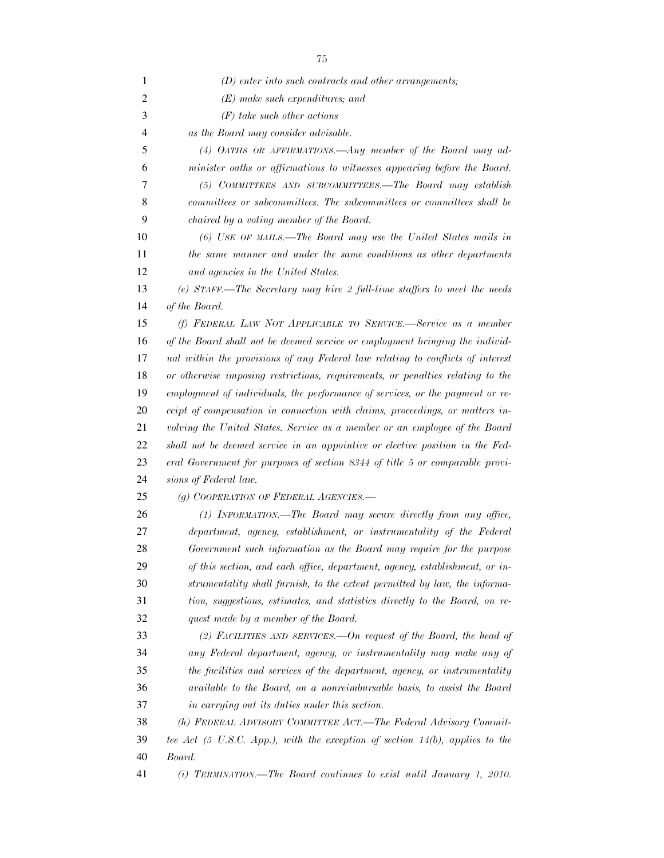| 1              | $(D)$ enter into such contracts and other arrangements;                                  |
|----------------|------------------------------------------------------------------------------------------|
| 2              | $(E)$ make such expenditures; and                                                        |
| 3              | $(F)$ take such other actions                                                            |
| $\overline{4}$ | as the Board may consider advisable.                                                     |
| 5              | (4) OATHS OR AFFIRMATIONS.—Any member of the Board may ad-                               |
| 6              | minister oaths or affirmations to witnesses appearing before the Board.                  |
| 7              | (5) COMMITTEES AND SUBCOMMITTEES.—The Board may establish                                |
| 8              | committees or subcommittees. The subcommittees or committees shall be                    |
| 9              | chaired by a voting member of the Board.                                                 |
| 10             | (6) USE OF MAILS.—The Board may use the United States mails in                           |
| 11             | the same manner and under the same conditions as other departments                       |
| 12             | and agencies in the United States.                                                       |
| 13             | (e) STAFF.—The Secretary may hire 2 full-time staffers to meet the needs                 |
| 14             | of the Board.                                                                            |
| 15             | (f) FEDERAL LAW NOT APPLICABLE TO SERVICE.-Service as a member                           |
| 16             | of the Board shall not be deemed service or employment bringing the individ-             |
| 17             | ual within the provisions of any Federal law relating to conflicts of interest           |
| 18             | or otherwise imposing restrictions, requirements, or penalties relating to the           |
| 19             | employment of individuals, the performance of services, or the payment or re-            |
| 20             | ceipt of compensation in connection with claims, proceedings, or matters in-             |
| 21             | volving the United States. Service as a member or an employee of the Board               |
| 22             | shall not be deemed service in an appointive or elective position in the Fed-            |
| 23             | eral Government for purposes of section 8344 of title 5 or comparable provi-             |
| 24             | sions of Federal law.                                                                    |
| 25             | (g) COOPERATION OF FEDERAL AGENCIES.-                                                    |
| 26             | (1) INFORMATION.—The Board may secure directly from any office,                          |
| 27             | department, agency, establishment, or instrumentality of the Federal                     |
| 28             | Government such information as the Board may require for the purpose                     |
| 29             | of this section, and each office, department, agency, establishment, or in-              |
| 30             | strumentality shall furnish, to the extent permitted by law, the informa-                |
| 31             | tion, suggestions, estimates, and statistics directly to the Board, on re-               |
| 32             | quest made by a member of the Board.                                                     |
| 33             | (2) FACILITIES AND SERVICES.—On request of the Board, the head of                        |
| 34             | any Federal department, agency, or instrumentality may make any of                       |
| 35             | the facilities and services of the department, agency, or instrumentality                |
| 36             | available to the Board, on a nonreimbursable basis, to assist the Board                  |
| 37             | in carrying out its duties under this section.                                           |
| 38             | (h) FEDERAL ADVISORY COMMITTEE ACT.—The Federal Advisory Commit-                         |
| 39             | tee Act $(5 \text{ U.S.C. } App.)$ , with the exception of section 14(b), applies to the |
| 40             | Board.                                                                                   |
| 41             | (i) TERMINATION.—The Board continues to exist until January 1, 2010.                     |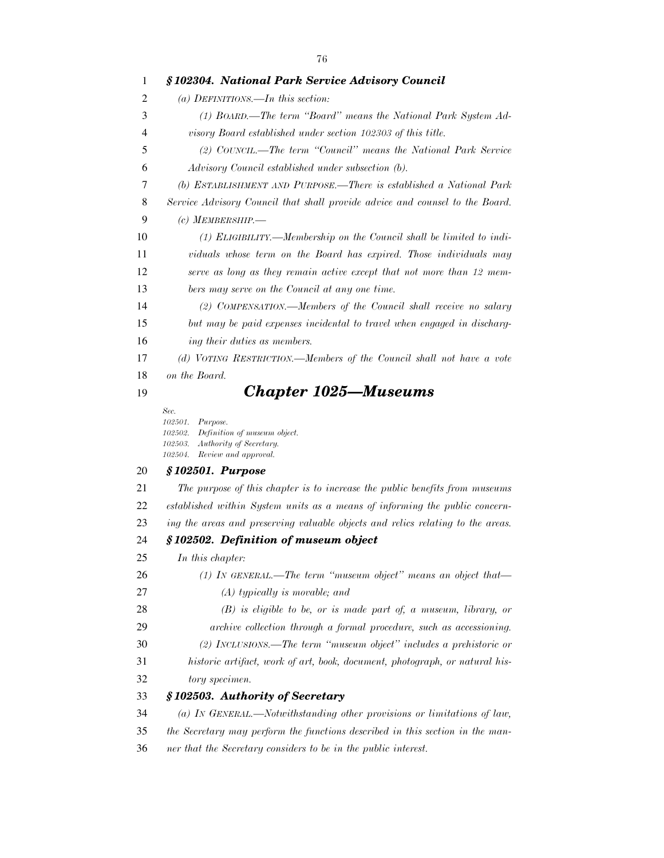*§ 102304. National Park Service Advisory Council (a) DEFINITIONS.—In this section: (1) BOARD.—The term ''Board'' means the National Park System Ad- visory Board established under section 102303 of this title. (2) COUNCIL.—The term ''Council'' means the National Park Service Advisory Council established under subsection (b). (b) ESTABLISHMENT AND PURPOSE.—There is established a National Park Service Advisory Council that shall provide advice and counsel to the Board. (c) MEMBERSHIP.— (1) ELIGIBILITY.—Membership on the Council shall be limited to indi- viduals whose term on the Board has expired. Those individuals may serve as long as they remain active except that not more than 12 mem- bers may serve on the Council at any one time. (2) COMPENSATION.—Members of the Council shall receive no salary but may be paid expenses incidental to travel when engaged in discharg- ing their duties as members. (d) VOTING RESTRICTION.—Members of the Council shall not have a vote on the Board. Chapter 1025—Museums*

*Sec. 102501. Purpose. 102502. Definition of museum object. 102503. Authority of Secretary. 102504. Review and approval.*

#### *§ 102501. Purpose*

 *The purpose of this chapter is to increase the public benefits from museums established within System units as a means of informing the public concern- ing the areas and preserving valuable objects and relics relating to the areas. § 102502. Definition of museum object In this chapter: (1) IN GENERAL.—The term ''museum object'' means an object that— (A) typically is movable; and (B) is eligible to be, or is made part of, a museum, library, or archive collection through a formal procedure, such as accessioning. (2) INCLUSIONS.—The term ''museum object'' includes a prehistoric or historic artifact, work of art, book, document, photograph, or natural his- tory specimen. § 102503. Authority of Secretary (a) IN GENERAL.—Notwithstanding other provisions or limitations of law, the Secretary may perform the functions described in this section in the man-ner that the Secretary considers to be in the public interest.*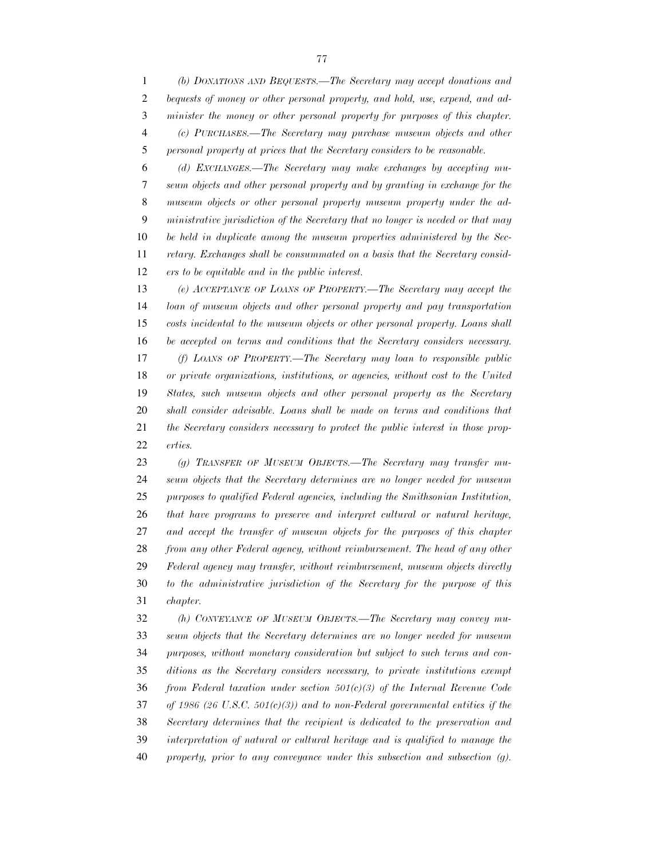*(b) DONATIONS AND BEQUESTS.—The Secretary may accept donations and bequests of money or other personal property, and hold, use, expend, and ad- minister the money or other personal property for purposes of this chapter. (c) PURCHASES.—The Secretary may purchase museum objects and other personal property at prices that the Secretary considers to be reasonable.*

 *(d) EXCHANGES.—The Secretary may make exchanges by accepting mu- seum objects and other personal property and by granting in exchange for the museum objects or other personal property museum property under the ad- ministrative jurisdiction of the Secretary that no longer is needed or that may be held in duplicate among the museum properties administered by the Sec- retary. Exchanges shall be consummated on a basis that the Secretary consid-ers to be equitable and in the public interest.*

 *(e) ACCEPTANCE OF LOANS OF PROPERTY.—The Secretary may accept the loan of museum objects and other personal property and pay transportation costs incidental to the museum objects or other personal property. Loans shall be accepted on terms and conditions that the Secretary considers necessary. (f) LOANS OF PROPERTY.—The Secretary may loan to responsible public or private organizations, institutions, or agencies, without cost to the United States, such museum objects and other personal property as the Secretary shall consider advisable. Loans shall be made on terms and conditions that the Secretary considers necessary to protect the public interest in those prop-erties.*

 *(g) TRANSFER OF MUSEUM OBJECTS.—The Secretary may transfer mu- seum objects that the Secretary determines are no longer needed for museum purposes to qualified Federal agencies, including the Smithsonian Institution, that have programs to preserve and interpret cultural or natural heritage, and accept the transfer of museum objects for the purposes of this chapter from any other Federal agency, without reimbursement. The head of any other Federal agency may transfer, without reimbursement, museum objects directly to the administrative jurisdiction of the Secretary for the purpose of this chapter.*

 *(h) CONVEYANCE OF MUSEUM OBJECTS.—The Secretary may convey mu- seum objects that the Secretary determines are no longer needed for museum purposes, without monetary consideration but subject to such terms and con- ditions as the Secretary considers necessary, to private institutions exempt from Federal taxation under section 501(c)(3) of the Internal Revenue Code of 1986 (26 U.S.C. 501(c)(3)) and to non-Federal governmental entities if the Secretary determines that the recipient is dedicated to the preservation and interpretation of natural or cultural heritage and is qualified to manage the property, prior to any conveyance under this subsection and subsection (g).*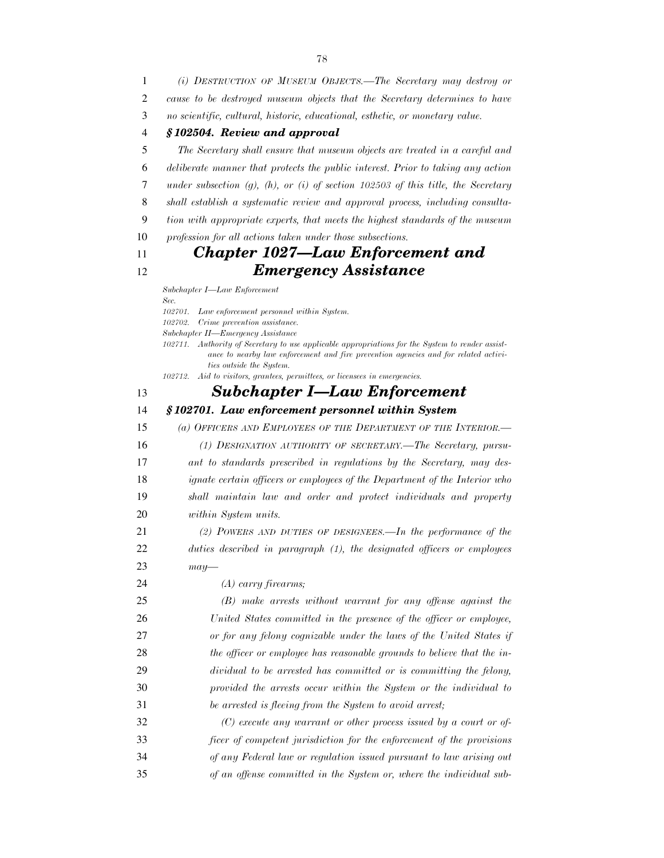*(i) DESTRUCTION OF MUSEUM OBJECTS.—The Secretary may destroy or cause to be destroyed museum objects that the Secretary determines to have no scientific, cultural, historic, educational, esthetic, or monetary value. § 102504. Review and approval The Secretary shall ensure that museum objects are treated in a careful and deliberate manner that protects the public interest. Prior to taking any action under subsection (g), (h), or (i) of section 102503 of this title, the Secretary shall establish a systematic review and approval process, including consulta- tion with appropriate experts, that meets the highest standards of the museum profession for all actions taken under those subsections. Chapter 1027—Law Enforcement and Emergency Assistance Subchapter I—Law Enforcement Sec. 102701. Law enforcement personnel within System. 102702. Crime prevention assistance. Subchapter II—Emergency Assistance 102711. Authority of Secretary to use applicable appropriations for the System to render assistance to nearby law enforcement and fire prevention agencies and for related activities outside the System. 102712. Aid to visitors, grantees, permittees, or licensees in emergencies. Subchapter I—Law Enforcement § 102701. Law enforcement personnel within System (a) OFFICERS AND EMPLOYEES OF THE DEPARTMENT OF THE INTERIOR.— (1) DESIGNATION AUTHORITY OF SECRETARY.—The Secretary, pursu- ant to standards prescribed in regulations by the Secretary, may des- ignate certain officers or employees of the Department of the Interior who shall maintain law and order and protect individuals and property within System units. (2) POWERS AND DUTIES OF DESIGNEES.—In the performance of the duties described in paragraph (1), the designated officers or employees may— (A) carry firearms; (B) make arrests without warrant for any offense against the United States committed in the presence of the officer or employee, or for any felony cognizable under the laws of the United States if the officer or employee has reasonable grounds to believe that the in- dividual to be arrested has committed or is committing the felony, provided the arrests occur within the System or the individual to be arrested is fleeing from the System to avoid arrest; (C) execute any warrant or other process issued by a court or of- ficer of competent jurisdiction for the enforcement of the provisions of any Federal law or regulation issued pursuant to law arising out*

*of an offense committed in the System or, where the individual sub-*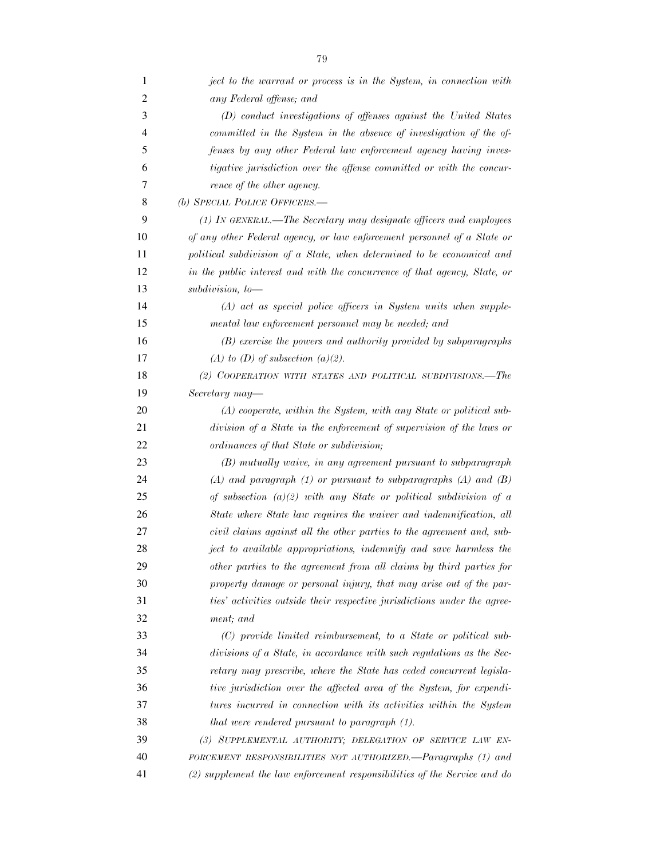| 1              | ject to the warrant or process is in the System, in connection with         |
|----------------|-----------------------------------------------------------------------------|
| 2              | any Federal offense; and                                                    |
| 3              | (D) conduct investigations of offenses against the United States            |
| $\overline{4}$ | committed in the System in the absence of investigation of the of-          |
| 5              | fenses by any other Federal law enforcement agency having inves-            |
| 6              | tigative jurisdiction over the offense committed or with the concur-        |
| 7              | rence of the other agency.                                                  |
| 8              | (b) SPECIAL POLICE OFFICERS.-                                               |
| 9              | (1) IN GENERAL.—The Secretary may designate officers and employees          |
| 10             | of any other Federal agency, or law enforcement personnel of a State or     |
| 11             | political subdivision of a State, when determined to be economical and      |
| 12             | in the public interest and with the concurrence of that agency, State, or   |
| 13             | subdivision, to-                                                            |
| 14             | $(A)$ act as special police officers in System units when supple-           |
| 15             | mental law enforcement personnel may be needed; and                         |
| 16             | (B) exercise the powers and authority provided by subparagraphs             |
| 17             | (A) to (D) of subsection (a)(2).                                            |
| 18             | (2) COOPERATION WITH STATES AND POLITICAL SUBDIVISIONS.-The                 |
| 19             | Secretary may-                                                              |
| 20             | (A) cooperate, within the System, with any State or political sub-          |
| 21             | division of a State in the enforcement of supervision of the laws or        |
| 22             | ordinances of that State or subdivision;                                    |
| 23             | (B) mutually waive, in any agreement pursuant to subparagraph               |
| 24             | $(A)$ and paragraph $(1)$ or pursuant to subparagraphs $(A)$ and $(B)$      |
| 25             | of subsection $(a)(2)$ with any State or political subdivision of a         |
| 26             | State where State law requires the waiver and indemnification, all          |
| 27             | civil claims against all the other parties to the agreement and, sub-       |
| 28             | ject to available appropriations, indemnify and save harmless the           |
| 29             | other parties to the agreement from all claims by third parties for         |
| 30             | property damage or personal injury, that may arise out of the par-          |
| 31             | ties' activities outside their respective jurisdictions under the agree-    |
| 32             | ment; and                                                                   |
| 33             | $(C)$ provide limited reimbursement, to a State or political sub-           |
| 34             | divisions of a State, in accordance with such regulations as the Sec-       |
| 35             | retary may prescribe, where the State has ceded concurrent legisla-         |
| 36             | tive jurisdiction over the affected area of the System, for expendi-        |
| 37             | tures incurred in connection with its activities within the System          |
| 38             | that were rendered pursuant to paragraph (1).                               |
| 39             | (3) SUPPLEMENTAL AUTHORITY; DELEGATION OF SERVICE LAW EN-                   |
| 40             | FORCEMENT RESPONSIBILITIES NOT AUTHORIZED.—Paragraphs (1) and               |
| 41             | $(2)$ supplement the law enforcement responsibilities of the Service and do |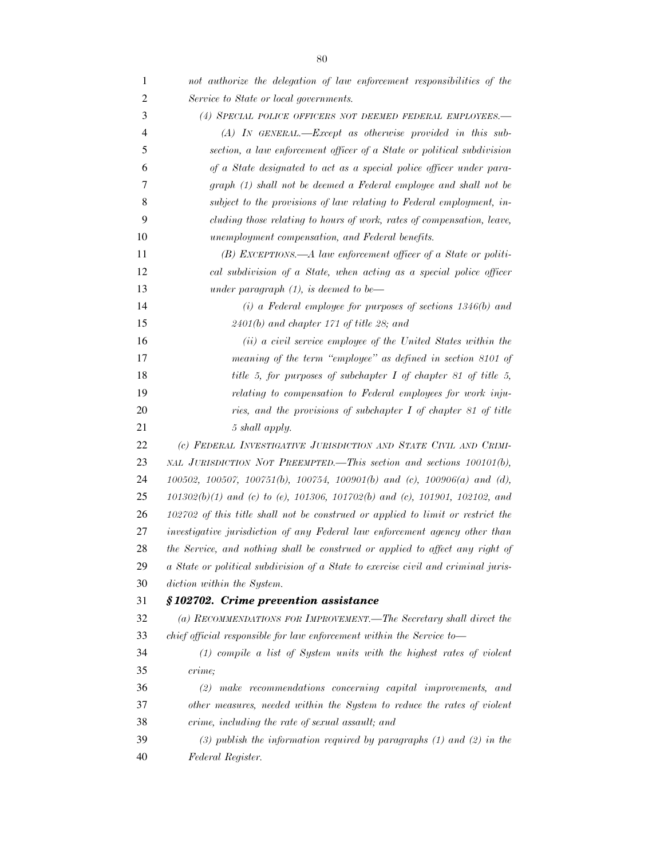| 1              | not authorize the delegation of law enforcement responsibilities of the           |
|----------------|-----------------------------------------------------------------------------------|
| 2              | Service to State or local governments.                                            |
| 3              | (4) SPECIAL POLICE OFFICERS NOT DEEMED FEDERAL EMPLOYEES.-                        |
| $\overline{4}$ | (A) IN GENERAL.—Except as otherwise provided in this sub-                         |
| 5              | section, a law enforcement officer of a State or political subdivision            |
| 6              | of a State designated to act as a special police officer under para-              |
| 7              | graph (1) shall not be deemed a Federal employee and shall not be                 |
| 8              | subject to the provisions of law relating to Federal employment, in-              |
| 9              | cluding those relating to hours of work, rates of compensation, leave,            |
| 10             | unemployment compensation, and Federal benefits.                                  |
| 11             | $(B)$ EXCEPTIONS.—A law enforcement officer of a State or politi-                 |
| 12             | cal subdivision of a State, when acting as a special police officer               |
| 13             | under paragraph $(1)$ , is deemed to be—                                          |
| 14             | $(i)$ a Federal employee for purposes of sections 1346(b) and                     |
| 15             | $2401(b)$ and chapter 171 of title 28; and                                        |
| 16             | (ii) a civil service employee of the United States within the                     |
| 17             | meaning of the term "employee" as defined in section 8101 of                      |
| 18             | title 5, for purposes of subchapter $I$ of chapter 81 of title 5,                 |
| 19             | relating to compensation to Federal employees for work inju-                      |
| 20             | ries, and the provisions of subchapter $I$ of chapter 81 of title                 |
| 21             | 5 shall apply.                                                                    |
| 22             | (c) FEDERAL INVESTIGATIVE JURISDICTION AND STATE CIVIL AND CRIMI-                 |
| 23             | NAL JURISDICTION NOT PREEMPTED.—This section and sections 100101(b),              |
| 24             | 100502, 100507, 100751(b), 100754, 100901(b) and (c), 100906(a) and (d),          |
| 25             | 101302(b)(1) and (c) to (e), 101306, 101702(b) and (c), 101901, 102102, and       |
| 26             | 102702 of this title shall not be construed or applied to limit or restrict the   |
| 27             | investigative jurisdiction of any Federal law enforcement agency other than       |
| 28             | the Service, and nothing shall be construed or applied to affect any right of     |
| 29             | a State or political subdivision of a State to exercise civil and criminal juris- |
| 30             | diction within the System.                                                        |
| 31             | §102702. Crime prevention assistance                                              |
| 32             | (a) RECOMMENDATIONS FOR IMPROVEMENT.—The Secretary shall direct the               |
| 33             | chief official responsible for law enforcement within the Service to-             |
| 34             | $(1)$ compile a list of System units with the highest rates of violent            |
| 35             | crime;                                                                            |
| 36             | $(2)$ make recommendations concerning capital improvements, and                   |
| 37             | other measures, needed within the System to reduce the rates of violent           |
| 38             | crime, including the rate of sexual assault; and                                  |
| 39             | $(3)$ publish the information required by paragraphs $(1)$ and $(2)$ in the       |
| 40             | Federal Register.                                                                 |
|                |                                                                                   |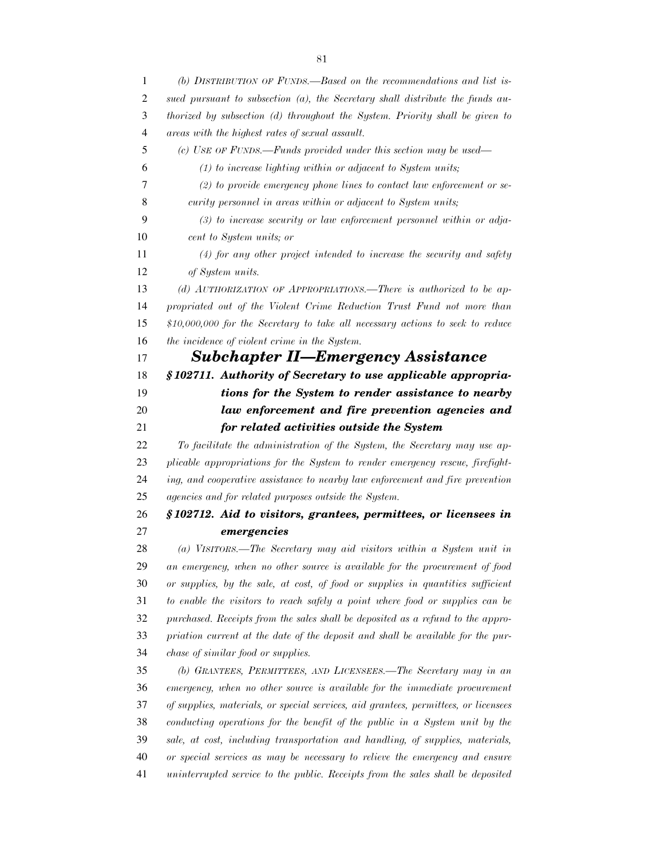*(b) DISTRIBUTION OF FUNDS.—Based on the recommendations and list is- sued pursuant to subsection (a), the Secretary shall distribute the funds au- thorized by subsection (d) throughout the System. Priority shall be given to areas with the highest rates of sexual assault. (c) USE OF FUNDS.—Funds provided under this section may be used— (1) to increase lighting within or adjacent to System units; (2) to provide emergency phone lines to contact law enforcement or se- curity personnel in areas within or adjacent to System units; (3) to increase security or law enforcement personnel within or adja- cent to System units; or (4) for any other project intended to increase the security and safety of System units. (d) AUTHORIZATION OF APPROPRIATIONS.—There is authorized to be ap- propriated out of the Violent Crime Reduction Trust Fund not more than \$10,000,000 for the Secretary to take all necessary actions to seek to reduce the incidence of violent crime in the System. Subchapter II—Emergency Assistance § 102711. Authority of Secretary to use applicable appropria- tions for the System to render assistance to nearby law enforcement and fire prevention agencies and for related activities outside the System To facilitate the administration of the System, the Secretary may use ap- plicable appropriations for the System to render emergency rescue, firefight- ing, and cooperative assistance to nearby law enforcement and fire prevention agencies and for related purposes outside the System. § 102712. Aid to visitors, grantees, permittees, or licensees in emergencies (a) VISITORS.—The Secretary may aid visitors within a System unit in an emergency, when no other source is available for the procurement of food or supplies, by the sale, at cost, of food or supplies in quantities sufficient to enable the visitors to reach safely a point where food or supplies can be purchased. Receipts from the sales shall be deposited as a refund to the appro- priation current at the date of the deposit and shall be available for the pur- chase of similar food or supplies. (b) GRANTEES, PERMITTEES, AND LICENSEES.—The Secretary may in an emergency, when no other source is available for the immediate procurement of supplies, materials, or special services, aid grantees, permittees, or licensees conducting operations for the benefit of the public in a System unit by the sale, at cost, including transportation and handling, of supplies, materials, or special services as may be necessary to relieve the emergency and ensure uninterrupted service to the public. Receipts from the sales shall be deposited*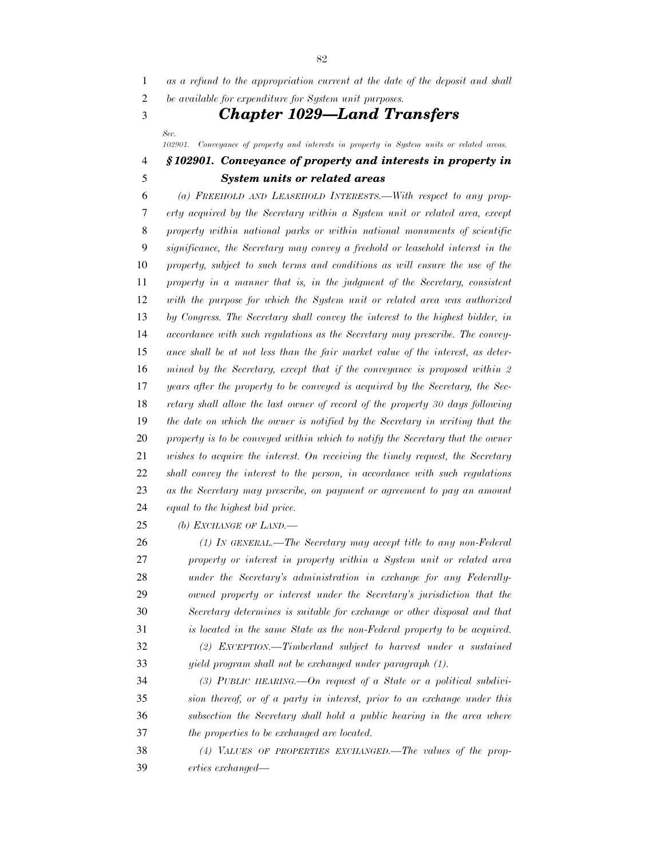*as a refund to the appropriation current at the date of the deposit and shall*

*be available for expenditure for System unit purposes.*

## *Chapter 1029—Land Transfers*

*Sec.*

*102901. Conveyance of property and interests in property in System units or related areas.*

## *§ 102901. Conveyance of property and interests in property in System units or related areas*

 *(a) FREEHOLD AND LEASEHOLD INTERESTS.—With respect to any prop- erty acquired by the Secretary within a System unit or related area, except property within national parks or within national monuments of scientific significance, the Secretary may convey a freehold or leasehold interest in the property, subject to such terms and conditions as will ensure the use of the property in a manner that is, in the judgment of the Secretary, consistent with the purpose for which the System unit or related area was authorized by Congress. The Secretary shall convey the interest to the highest bidder, in accordance with such regulations as the Secretary may prescribe. The convey- ance shall be at not less than the fair market value of the interest, as deter- mined by the Secretary, except that if the conveyance is proposed within 2 years after the property to be conveyed is acquired by the Secretary, the Sec- retary shall allow the last owner of record of the property 30 days following the date on which the owner is notified by the Secretary in writing that the property is to be conveyed within which to notify the Secretary that the owner wishes to acquire the interest. On receiving the timely request, the Secretary shall convey the interest to the person, in accordance with such regulations as the Secretary may prescribe, on payment or agreement to pay an amount equal to the highest bid price.*

*(b) EXCHANGE OF LAND.—*

 *(1) IN GENERAL.—The Secretary may accept title to any non-Federal property or interest in property within a System unit or related area under the Secretary's administration in exchange for any Federally- owned property or interest under the Secretary's jurisdiction that the Secretary determines is suitable for exchange or other disposal and that is located in the same State as the non-Federal property to be acquired. (2) EXCEPTION.—Timberland subject to harvest under a sustained yield program shall not be exchanged under paragraph (1).*

 *(3) PUBLIC HEARING.—On request of a State or a political subdivi- sion thereof, or of a party in interest, prior to an exchange under this subsection the Secretary shall hold a public hearing in the area where the properties to be exchanged are located.*

 *(4) VALUES OF PROPERTIES EXCHANGED.—The values of the prop-erties exchanged—*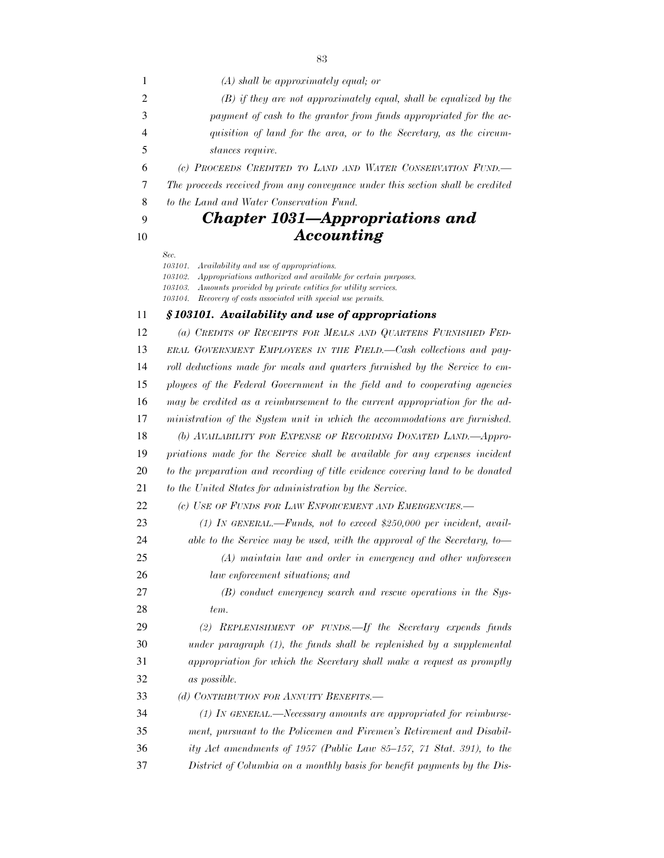*(A) shall be approximately equal; or (B) if they are not approximately equal, shall be equalized by the payment of cash to the grantor from funds appropriated for the ac- quisition of land for the area, or to the Secretary, as the circum- stances require. (c) PROCEEDS CREDITED TO LAND AND WATER CONSERVATION FUND.— The proceeds received from any conveyance under this section shall be credited to the Land and Water Conservation Fund.*

# *Chapter 1031—Appropriations and Accounting*

*Sec.*

*103101. Availability and use of appropriations. 103102. Appropriations authorized and available for certain purposes. 103103. Amounts provided by private entities for utility services. 103104. Recovery of costs associated with special use permits.*

### *§ 103101. Availability and use of appropriations*

 *(a) CREDITS OF RECEIPTS FOR MEALS AND QUARTERS FURNISHED FED- ERAL GOVERNMENT EMPLOYEES IN THE FIELD.—Cash collections and pay- roll deductions made for meals and quarters furnished by the Service to em- ployees of the Federal Government in the field and to cooperating agencies may be credited as a reimbursement to the current appropriation for the ad- ministration of the System unit in which the accommodations are furnished. (b) AVAILABILITY FOR EXPENSE OF RECORDING DONATED LAND.—Appro- priations made for the Service shall be available for any expenses incident to the preparation and recording of title evidence covering land to be donated to the United States for administration by the Service. (c) USE OF FUNDS FOR LAW ENFORCEMENT AND EMERGENCIES.— (1) IN GENERAL.—Funds, not to exceed \$250,000 per incident, avail- able to the Service may be used, with the approval of the Secretary, to— (A) maintain law and order in emergency and other unforeseen law enforcement situations; and (B) conduct emergency search and rescue operations in the Sys- tem. (2) REPLENISHMENT OF FUNDS.—If the Secretary expends funds under paragraph (1), the funds shall be replenished by a supplemental appropriation for which the Secretary shall make a request as promptly as possible. (d) CONTRIBUTION FOR ANNUITY BENEFITS.— (1) IN GENERAL.—Necessary amounts are appropriated for reimburse- ment, pursuant to the Policemen and Firemen's Retirement and Disabil- ity Act amendments of 1957 (Public Law 85–157, 71 Stat. 391), to the District of Columbia on a monthly basis for benefit payments by the Dis-*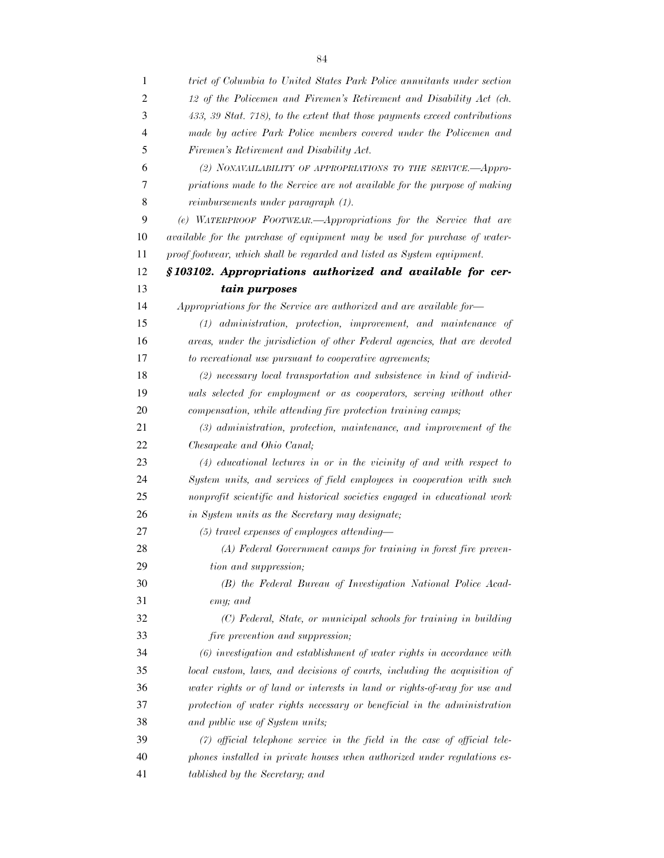| 1              | trict of Columbia to United States Park Police annuitants under section     |
|----------------|-----------------------------------------------------------------------------|
| $\overline{c}$ | 12 of the Policemen and Firemen's Retirement and Disability Act (ch.        |
| 3              | 433, 39 Stat. 718), to the extent that those payments exceed contributions  |
| $\overline{4}$ | made by active Park Police members covered under the Policemen and          |
| 5              | Firemen's Retirement and Disability Act.                                    |
| 6              | (2) NONAVAILABILITY OF APPROPRIATIONS TO THE SERVICE.- Appro-               |
| 7              | priations made to the Service are not available for the purpose of making   |
| 8              | reimbursements under paragraph (1).                                         |
| 9              | (e) WATERPROOF FOOTWEAR.—Appropriations for the Service that are            |
| 10             | available for the purchase of equipment may be used for purchase of water-  |
| 11             | proof footwear, which shall be regarded and listed as System equipment.     |
| 12             | §103102. Appropriations authorized and available for cer-                   |
| 13             | tain purposes                                                               |
| 14             | Appropriations for the Service are authorized and are available for-        |
| 15             | (1) administration, protection, improvement, and maintenance of             |
| 16             | areas, under the jurisdiction of other Federal agencies, that are devoted   |
| 17             | to recreational use pursuant to cooperative agreements;                     |
| 18             | $(2)$ necessary local transportation and subsistence in kind of individ-    |
| 19             | uals selected for employment or as cooperators, serving without other       |
| 20             | compensation, while attending fire protection training camps;               |
| 21             | (3) administration, protection, maintenance, and improvement of the         |
| 22             | Chesapeake and Ohio Canal;                                                  |
| 23             | $(4)$ educational lectures in or in the vicinity of and with respect to     |
| 24             | System units, and services of field employees in cooperation with such      |
| 25             | nonprofit scientific and historical societies engaged in educational work   |
| 26             | in System units as the Secretary may designate;                             |
| 27             | $(5)$ travel expenses of employees attending—                               |
| 28             | (A) Federal Government camps for training in forest fire preven-            |
| 29             | tion and suppression;                                                       |
| 30             | (B) the Federal Bureau of Investigation National Police Acad-               |
| 31             | emy; and                                                                    |
| 32             | (C) Federal, State, or municipal schools for training in building           |
| 33             | fire prevention and suppression;                                            |
| 34             | $(6)$ investigation and establishment of water rights in accordance with    |
| 35             | local custom, laws, and decisions of courts, including the acquisition of   |
| 36             | water rights or of land or interests in land or rights-of-way for use and   |
| 37             | protection of water rights necessary or beneficial in the administration    |
| 38             | and public use of System units;                                             |
| 39             | $(7)$ official telephone service in the field in the case of official tele- |
| 40             | phones installed in private houses when authorized under regulations es-    |
| 41             | tablished by the Secretary; and                                             |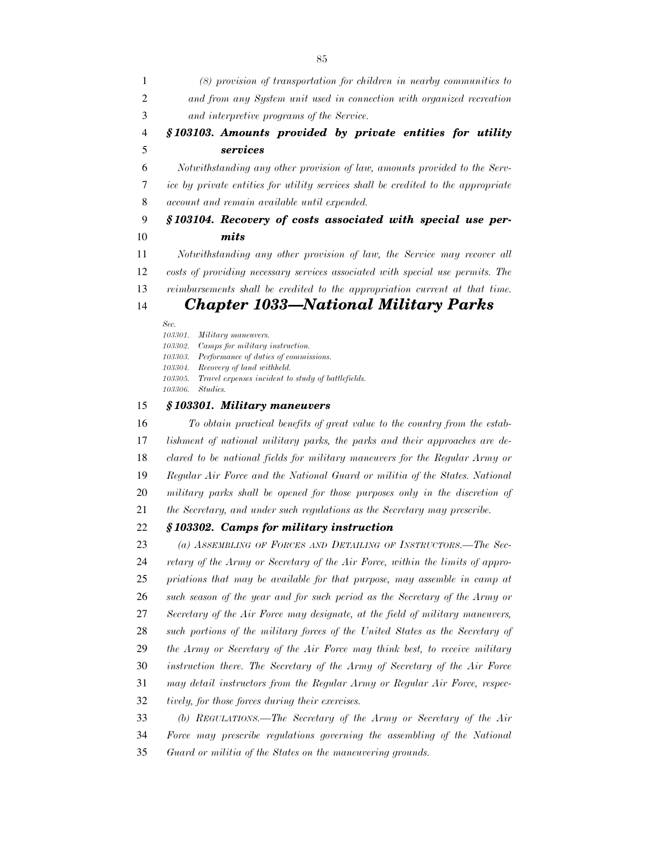*(8) provision of transportation for children in nearby communities to and from any System unit used in connection with organized recreation and interpretive programs of the Service. § 103103. Amounts provided by private entities for utility services Notwithstanding any other provision of law, amounts provided to the Serv- ice by private entities for utility services shall be credited to the appropriate account and remain available until expended. § 103104. Recovery of costs associated with special use per- mits Notwithstanding any other provision of law, the Service may recover all costs of providing necessary services associated with special use permits. The reimbursements shall be credited to the appropriation current at that time. Chapter 1033—National Military Parks*

*Sec.*

*103301. Military maneuvers. 103302. Camps for military instruction. 103303. Performance of duties of commissions. 103304. Recovery of land withheld. 103305. Travel expenses incident to study of battlefields. 103306. Studies.*

#### *§ 103301. Military maneuvers*

 *To obtain practical benefits of great value to the country from the estab- lishment of national military parks, the parks and their approaches are de- clared to be national fields for military maneuvers for the Regular Army or Regular Air Force and the National Guard or militia of the States. National military parks shall be opened for those purposes only in the discretion of the Secretary, and under such regulations as the Secretary may prescribe.*

#### *§ 103302. Camps for military instruction*

 *(a) ASSEMBLING OF FORCES AND DETAILING OF INSTRUCTORS.—The Sec- retary of the Army or Secretary of the Air Force, within the limits of appro- priations that may be available for that purpose, may assemble in camp at such season of the year and for such period as the Secretary of the Army or Secretary of the Air Force may designate, at the field of military maneuvers, such portions of the military forces of the United States as the Secretary of the Army or Secretary of the Air Force may think best, to receive military instruction there. The Secretary of the Army of Secretary of the Air Force may detail instructors from the Regular Army or Regular Air Force, respec- tively, for those forces during their exercises. (b) REGULATIONS.—The Secretary of the Army or Secretary of the Air Force may prescribe regulations governing the assembling of the National Guard or militia of the States on the maneuvering grounds.*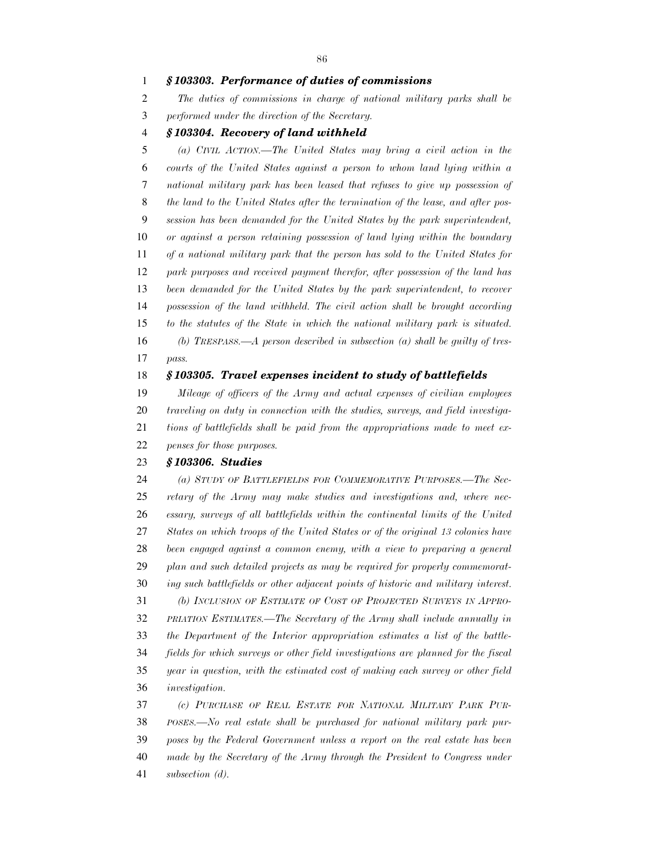#### *§ 103303. Performance of duties of commissions*

*The duties of commissions in charge of national military parks shall be*

*performed under the direction of the Secretary.*

#### *§ 103304. Recovery of land withheld*

 *(a) CIVIL ACTION.—The United States may bring a civil action in the courts of the United States against a person to whom land lying within a national military park has been leased that refuses to give up possession of the land to the United States after the termination of the lease, and after pos- session has been demanded for the United States by the park superintendent, or against a person retaining possession of land lying within the boundary of a national military park that the person has sold to the United States for park purposes and received payment therefor, after possession of the land has been demanded for the United States by the park superintendent, to recover possession of the land withheld. The civil action shall be brought according to the statutes of the State in which the national military park is situated. (b) TRESPASS.—A person described in subsection (a) shall be guilty of tres-pass.*

### *§ 103305. Travel expenses incident to study of battlefields*

 *Mileage of officers of the Army and actual expenses of civilian employees traveling on duty in connection with the studies, surveys, and field investiga- tions of battlefields shall be paid from the appropriations made to meet ex-penses for those purposes.*

#### *§ 103306. Studies*

 *(a) STUDY OF BATTLEFIELDS FOR COMMEMORATIVE PURPOSES.—The Sec- retary of the Army may make studies and investigations and, where nec- essary, surveys of all battlefields within the continental limits of the United States on which troops of the United States or of the original 13 colonies have been engaged against a common enemy, with a view to preparing a general plan and such detailed projects as may be required for properly commemorat- ing such battlefields or other adjacent points of historic and military interest. (b) INCLUSION OF ESTIMATE OF COST OF PROJECTED SURVEYS IN APPRO- PRIATION ESTIMATES.—The Secretary of the Army shall include annually in the Department of the Interior appropriation estimates a list of the battle- fields for which surveys or other field investigations are planned for the fiscal year in question, with the estimated cost of making each survey or other field investigation.*

 *(c) PURCHASE OF REAL ESTATE FOR NATIONAL MILITARY PARK PUR- POSES.—No real estate shall be purchased for national military park pur- poses by the Federal Government unless a report on the real estate has been made by the Secretary of the Army through the President to Congress under subsection (d).*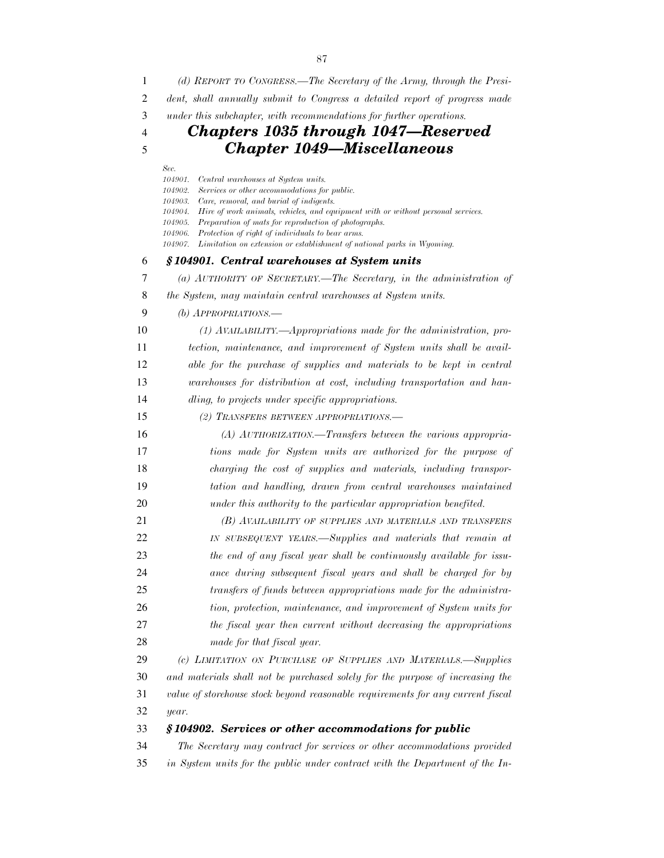*(d) REPORT TO CONGRESS.—The Secretary of the Army, through the Presi-dent, shall annually submit to Congress a detailed report of progress made*

*under this subchapter, with recommendations for further operations.*

# *Chapters 1035 through 1047—Reserved Chapter 1049—Miscellaneous*

#### *Sec.*

|    | Central warehouses at System units.<br>104901.<br>Services or other accommodations for public.<br>104902.<br>104903.<br>Care, removal, and burial of indigents.<br>104904.<br>Hire of work animals, vehicles, and equipment with or without personal services.<br>Preparation of mats for reproduction of photographs.<br>104905.<br>104906.<br>Protection of right of individuals to bear arms.<br>104907.<br>Limitation on extension or establishment of national parks in Wyoming. |
|----|---------------------------------------------------------------------------------------------------------------------------------------------------------------------------------------------------------------------------------------------------------------------------------------------------------------------------------------------------------------------------------------------------------------------------------------------------------------------------------------|
| 6  | §104901. Central warehouses at System units                                                                                                                                                                                                                                                                                                                                                                                                                                           |
| 7  | (a) AUTHORITY OF SECRETARY.—The Secretary, in the administration of                                                                                                                                                                                                                                                                                                                                                                                                                   |
| 8  | the System, may maintain central warehouses at System units.                                                                                                                                                                                                                                                                                                                                                                                                                          |
| 9  | $(b)$ APPROPRIATIONS.—                                                                                                                                                                                                                                                                                                                                                                                                                                                                |
| 10 | (1) AVAILABILITY.—Appropriations made for the administration, pro-                                                                                                                                                                                                                                                                                                                                                                                                                    |
| 11 | tection, maintenance, and improvement of System units shall be avail-                                                                                                                                                                                                                                                                                                                                                                                                                 |
| 12 | able for the purchase of supplies and materials to be kept in central                                                                                                                                                                                                                                                                                                                                                                                                                 |
| 13 | warehouses for distribution at cost, including transportation and han-                                                                                                                                                                                                                                                                                                                                                                                                                |
| 14 | dling, to projects under specific appropriations.                                                                                                                                                                                                                                                                                                                                                                                                                                     |
| 15 | (2) TRANSFERS BETWEEN APPROPRIATIONS.—                                                                                                                                                                                                                                                                                                                                                                                                                                                |
| 16 | (A) AUTHORIZATION.—Transfers between the various appropria-                                                                                                                                                                                                                                                                                                                                                                                                                           |
| 17 | tions made for System units are authorized for the purpose of                                                                                                                                                                                                                                                                                                                                                                                                                         |
| 18 | charging the cost of supplies and materials, including transpor-                                                                                                                                                                                                                                                                                                                                                                                                                      |
| 19 | tation and handling, drawn from central warehouses maintained                                                                                                                                                                                                                                                                                                                                                                                                                         |
| 20 | under this authority to the particular appropriation benefited.                                                                                                                                                                                                                                                                                                                                                                                                                       |
| 21 | (B) AVAILABILITY OF SUPPLIES AND MATERIALS AND TRANSFERS                                                                                                                                                                                                                                                                                                                                                                                                                              |
| 22 | IN SUBSEQUENT YEARS.—Supplies and materials that remain at                                                                                                                                                                                                                                                                                                                                                                                                                            |
| 23 | the end of any fiscal year shall be continuously available for issu-                                                                                                                                                                                                                                                                                                                                                                                                                  |
| 24 | ance during subsequent fiscal years and shall be charged for by                                                                                                                                                                                                                                                                                                                                                                                                                       |
| 25 | transfers of funds between appropriations made for the administra-                                                                                                                                                                                                                                                                                                                                                                                                                    |
| 26 | tion, protection, maintenance, and improvement of System units for                                                                                                                                                                                                                                                                                                                                                                                                                    |
| 27 | the fiscal year then current without decreasing the appropriations                                                                                                                                                                                                                                                                                                                                                                                                                    |
| 28 | made for that fiscal year.                                                                                                                                                                                                                                                                                                                                                                                                                                                            |
| 29 | (c) LIMITATION ON PURCHASE OF SUPPLIES AND MATERIALS.-Supplies                                                                                                                                                                                                                                                                                                                                                                                                                        |
| 30 | and materials shall not be purchased solely for the purpose of increasing the                                                                                                                                                                                                                                                                                                                                                                                                         |
| 31 | value of storehouse stock beyond reasonable requirements for any current fiscal                                                                                                                                                                                                                                                                                                                                                                                                       |
| 32 | year.                                                                                                                                                                                                                                                                                                                                                                                                                                                                                 |
| 33 | §104902. Services or other accommodations for public                                                                                                                                                                                                                                                                                                                                                                                                                                  |
| 34 | The Secretary may contract for services or other accommodations provided                                                                                                                                                                                                                                                                                                                                                                                                              |
| 35 | in System units for the public under contract with the Department of the In-                                                                                                                                                                                                                                                                                                                                                                                                          |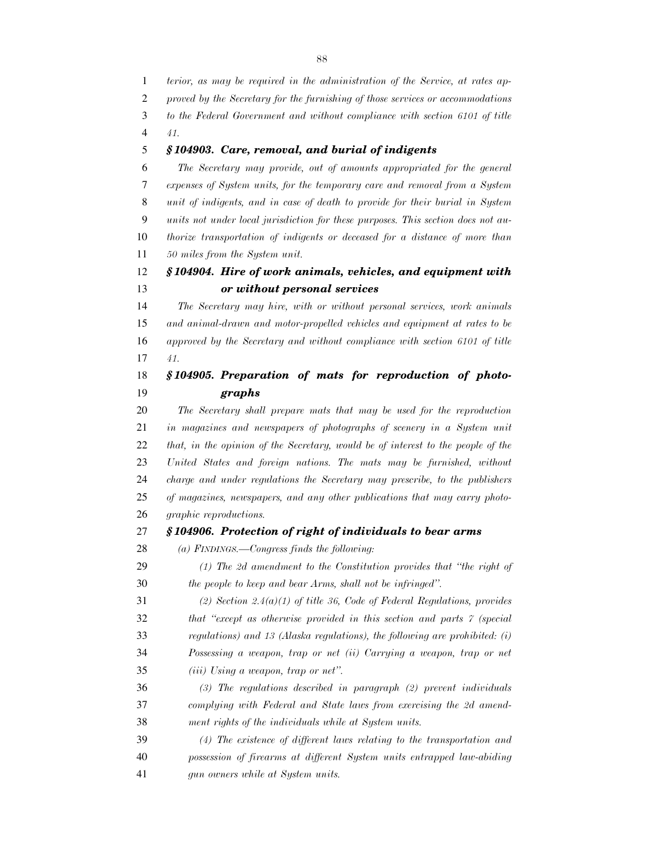*terior, as may be required in the administration of the Service, at rates ap- proved by the Secretary for the furnishing of those services or accommodations to the Federal Government and without compliance with section 6101 of title 41. § 104903. Care, removal, and burial of indigents The Secretary may provide, out of amounts appropriated for the general expenses of System units, for the temporary care and removal from a System unit of indigents, and in case of death to provide for their burial in System units not under local jurisdiction for these purposes. This section does not au- thorize transportation of indigents or deceased for a distance of more than 50 miles from the System unit. § 104904. Hire of work animals, vehicles, and equipment with or without personal services The Secretary may hire, with or without personal services, work animals and animal-drawn and motor-propelled vehicles and equipment at rates to be approved by the Secretary and without compliance with section 6101 of title 41. § 104905. Preparation of mats for reproduction of photo- graphs The Secretary shall prepare mats that may be used for the reproduction in magazines and newspapers of photographs of scenery in a System unit that, in the opinion of the Secretary, would be of interest to the people of the United States and foreign nations. The mats may be furnished, without charge and under regulations the Secretary may prescribe, to the publishers of magazines, newspapers, and any other publications that may carry photo- graphic reproductions. § 104906. Protection of right of individuals to bear arms (a) FINDINGS.—Congress finds the following: (1) The 2d amendment to the Constitution provides that ''the right of the people to keep and bear Arms, shall not be infringed''. (2) Section 2.4(a)(1) of title 36, Code of Federal Regulations, provides that ''except as otherwise provided in this section and parts 7 (special regulations) and 13 (Alaska regulations), the following are prohibited: (i) Possessing a weapon, trap or net (ii) Carrying a weapon, trap or net (iii) Using a weapon, trap or net''. (3) The regulations described in paragraph (2) prevent individuals complying with Federal and State laws from exercising the 2d amend- ment rights of the individuals while at System units. (4) The existence of different laws relating to the transportation and possession of firearms at different System units entrapped law-abiding*

*gun owners while at System units.*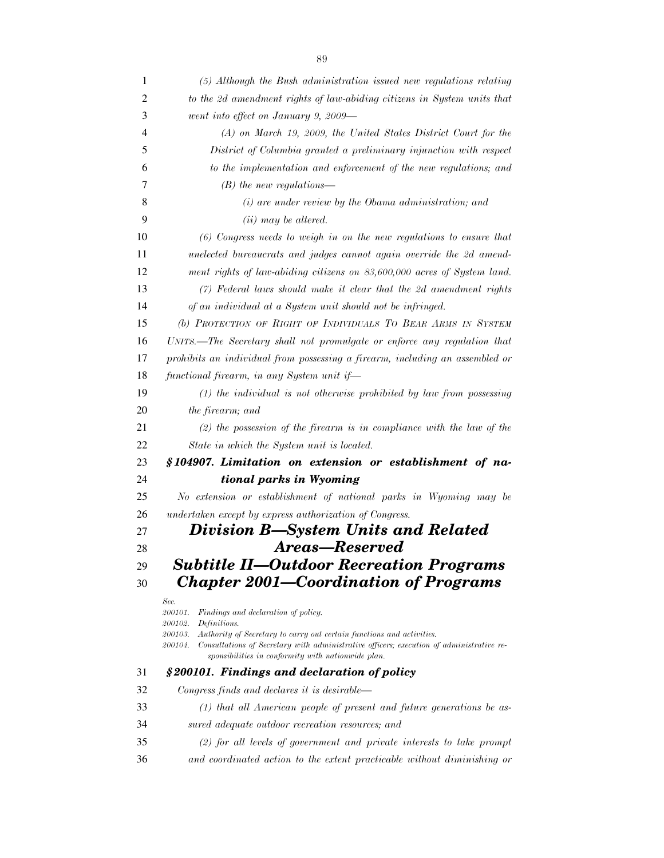| 1  | (5) Although the Bush administration issued new regulations relating                                                                                                                                                                          |
|----|-----------------------------------------------------------------------------------------------------------------------------------------------------------------------------------------------------------------------------------------------|
| 2  | to the 2d amendment rights of law-abiding citizens in System units that                                                                                                                                                                       |
| 3  | went into effect on January 9, 2009—                                                                                                                                                                                                          |
| 4  | (A) on March 19, 2009, the United States District Court for the                                                                                                                                                                               |
| 5  | District of Columbia granted a preliminary injunction with respect                                                                                                                                                                            |
| 6  | to the implementation and enforcement of the new regulations; and                                                                                                                                                                             |
| 7  | $(B)$ the new regulations—                                                                                                                                                                                                                    |
| 8  | (i) are under review by the Obama administration; and                                                                                                                                                                                         |
| 9  | $(ii)$ may be altered.                                                                                                                                                                                                                        |
| 10 | $(6)$ Congress needs to weigh in on the new regulations to ensure that                                                                                                                                                                        |
| 11 | unelected bureaucrats and judges cannot again override the 2d amend-                                                                                                                                                                          |
| 12 | ment rights of law-abiding citizens on 83,600,000 acres of System land.                                                                                                                                                                       |
| 13 | $(7)$ Federal laws should make it clear that the 2d amendment rights                                                                                                                                                                          |
| 14 | of an individual at a System unit should not be infringed.                                                                                                                                                                                    |
| 15 | (b) PROTECTION OF RIGHT OF INDIVIDUALS TO BEAR ARMS IN SYSTEM                                                                                                                                                                                 |
| 16 | UNITS.—The Secretary shall not promulgate or enforce any regulation that                                                                                                                                                                      |
| 17 | prohibits an individual from possessing a firearm, including an assembled or                                                                                                                                                                  |
| 18 | functional firearm, in any System unit if-                                                                                                                                                                                                    |
| 19 | $(1)$ the individual is not otherwise prohibited by law from possessing                                                                                                                                                                       |
| 20 | the firearm; and                                                                                                                                                                                                                              |
| 21 | $(2)$ the possession of the firearm is in compliance with the law of the                                                                                                                                                                      |
| 22 | State in which the System unit is located.                                                                                                                                                                                                    |
| 23 | §104907. Limitation on extension or establishment of na-                                                                                                                                                                                      |
| 24 | tional parks in Wyoming                                                                                                                                                                                                                       |
| 25 | No extension or establishment of national parks in Wyoming may be                                                                                                                                                                             |
| 26 | undertaken except by express authorization of Congress.                                                                                                                                                                                       |
| 27 | Division B—System Units and Related                                                                                                                                                                                                           |
| 28 | Areas-Reserved                                                                                                                                                                                                                                |
| 29 | <b>Subtitle II-Outdoor Recreation Programs</b>                                                                                                                                                                                                |
| 30 | <b>Chapter 2001–Coordination of Programs</b>                                                                                                                                                                                                  |
|    | Sec.<br>Findings and declaration of policy.<br>200101.<br>Definitions.<br>200102.                                                                                                                                                             |
|    | Authority of Secretary to carry out certain functions and activities.<br>200103.<br>Consultations of Secretary with administrative officers; execution of administrative re-<br>200104.<br>sponsibilities in conformity with nationwide plan. |
| 31 | §200101. Findings and declaration of policy                                                                                                                                                                                                   |
| 32 | Congress finds and declares it is desirable—                                                                                                                                                                                                  |
| 33 | (1) that all American people of present and future generations be as-                                                                                                                                                                         |
| 34 | sured adequate outdoor recreation resources; and                                                                                                                                                                                              |
| 35 | $(2)$ for all levels of government and private interests to take prompt                                                                                                                                                                       |
| 36 | and coordinated action to the extent practicable without diminishing or                                                                                                                                                                       |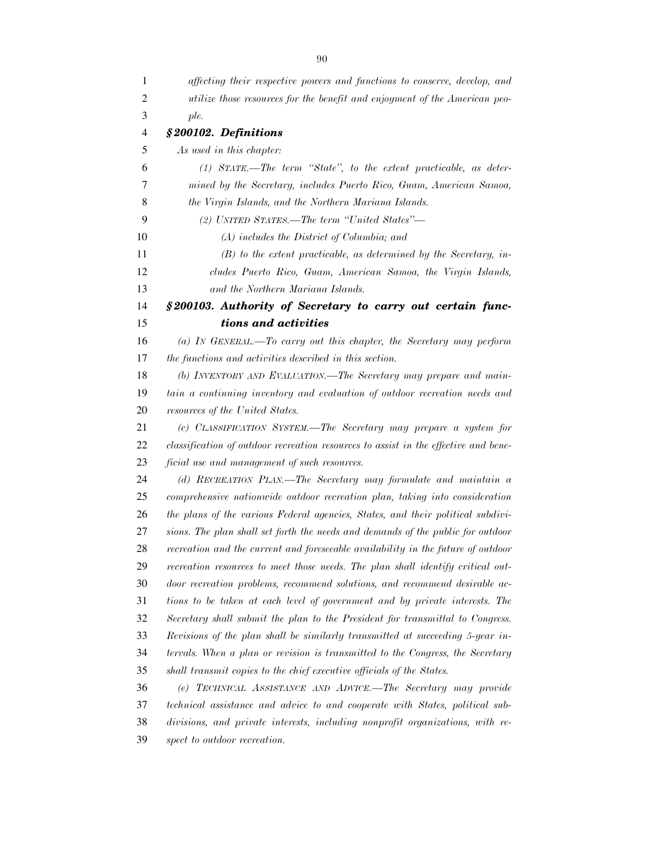| 1              | affecting their respective powers and functions to conserve, develop, and           |
|----------------|-------------------------------------------------------------------------------------|
| $\overline{c}$ | utilize those resources for the benefit and enjoyment of the American peo-          |
| 3              | ple.                                                                                |
| 4              | §200102. Definitions                                                                |
| 5              | As used in this chapter:                                                            |
| 6              | $(1)$ STATE.—The term "State", to the extent practicable, as deter-                 |
| 7              | mined by the Secretary, includes Puerto Rico, Guam, American Samoa,                 |
| 8              | the Virgin Islands, and the Northern Mariana Islands.                               |
| 9              | (2) UNITED STATES.—The term "United States"—                                        |
| 10             | $(A)$ includes the District of Columbia; and                                        |
| 11             | $(B)$ to the extent practicable, as determined by the Secretary, in-                |
| 12             | cludes Puerto Rico, Guam, American Samoa, the Virgin Islands,                       |
| 13             | and the Northern Mariana Islands.                                                   |
| 14             | §200103. Authority of Secretary to carry out certain func-                          |
| 15             | tions and activities                                                                |
| 16             | (a) IN GENERAL.—To carry out this chapter, the Secretary may perform                |
| 17             | the functions and activities described in this section.                             |
| 18             | (b) INVENTORY AND EVALUATION.—The Secretary may prepare and main-                   |
| 19             | tain a continuing inventory and evaluation of outdoor recreation needs and          |
| 20             | resources of the United States.                                                     |
| 21             | (c) CLASSIFICATION SYSTEM.—The Secretary may prepare a system for                   |
| 22             | classification of outdoor recreation resources to assist in the effective and bene- |
| 23             | ficial use and management of such resources.                                        |
| 24             | (d) RECREATION PLAN.—The Secretary may formulate and maintain a                     |
| 25             | comprehensive nationwide outdoor recreation plan, taking into consideration         |
| 26             | the plans of the various Federal agencies, States, and their political subdivi-     |
| 27             | sions. The plan shall set forth the needs and demands of the public for outdoor     |
| 28             | recreation and the current and foreseeable availability in the future of outdoor    |
| 29             | recreation resources to meet those needs. The plan shall identify critical out-     |
| 30             | door recreation problems, recommend solutions, and recommend desirable ac-          |
| 31             | tions to be taken at each level of government and by private interests. The         |
| 32             | Secretary shall submit the plan to the President for transmittal to Congress.       |
| 33             | Revisions of the plan shall be similarly transmitted at succeeding 5-year in-       |
| 34             | tervals. When a plan or revision is transmitted to the Congress, the Secretary      |
| 35             | shall transmit copies to the chief executive officials of the States.               |
| 36             | (e) TECHNICAL ASSISTANCE AND ADVICE.—The Secretary may provide                      |
| 37             | technical assistance and advice to and cooperate with States, political sub-        |
| 38             | divisions, and private interests, including nonprofit organizations, with re-       |
| 39             | spect to outdoor recreation.                                                        |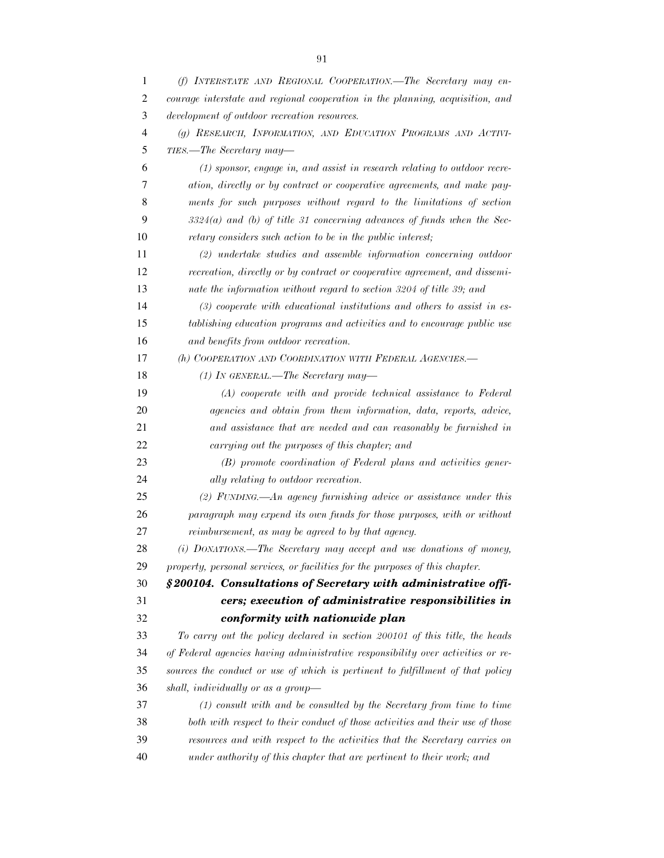| $\mathbf{1}$   | (f) INTERSTATE AND REGIONAL COOPERATION.—The Secretary may en-                  |
|----------------|---------------------------------------------------------------------------------|
| $\overline{2}$ | courage interstate and regional cooperation in the planning, acquisition, and   |
| 3              | development of outdoor recreation resources.                                    |
| $\overline{4}$ | (g) RESEARCH, INFORMATION, AND EDUCATION PROGRAMS AND ACTIVI-                   |
| 5              | TIES.—The Secretary may—                                                        |
| 6              | $(1)$ sponsor, engage in, and assist in research relating to outdoor recre-     |
| 7              | ation, directly or by contract or cooperative agreements, and make pay-         |
| 8              | ments for such purposes without regard to the limitations of section            |
| 9              | $3324(a)$ and (b) of title 31 concerning advances of funds when the Sec-        |
| 10             | retary considers such action to be in the public interest;                      |
| 11             | $(2)$ undertake studies and assemble information concerning outdoor             |
| 12             | recreation, directly or by contract or cooperative agreement, and dissemi-      |
| 13             | nate the information without regard to section 3204 of title 39; and            |
| 14             | $(3)$ cooperate with educational institutions and others to assist in es-       |
| 15             | tablishing education programs and activities and to encourage public use        |
| 16             | and benefits from outdoor recreation.                                           |
| 17             | (h) COOPERATION AND COORDINATION WITH FEDERAL AGENCIES.-                        |
| 18             | (1) IN GENERAL.-The Secretary may-                                              |
| 19             | (A) cooperate with and provide technical assistance to Federal                  |
| 20             | agencies and obtain from them information, data, reports, advice,               |
| 21             | and assistance that are needed and can reasonably be furnished in               |
| 22             | carrying out the purposes of this chapter; and                                  |
| 23             | (B) promote coordination of Federal plans and activities gener-                 |
| 24             | ally relating to outdoor recreation.                                            |
| 25             | $(2)$ FUNDING.—An agency furnishing advice or assistance under this             |
| 26             | paragraph may expend its own funds for those purposes, with or without          |
| 27             | reimbursement, as may be agreed to by that agency.                              |
| 28             | (i) DONATIONS.—The Secretary may accept and use donations of money,             |
| 29             | property, personal services, or facilities for the purposes of this chapter.    |
| 30             | §200104. Consultations of Secretary with administrative offi-                   |
| 31             | cers; execution of administrative responsibilities in                           |
| 32             | conformity with nationwide plan                                                 |
| 33             | To carry out the policy declared in section 200101 of this title, the heads     |
| 34             | of Federal agencies having administrative responsibility over activities or re- |
| 35             | sources the conduct or use of which is pertinent to fulfillment of that policy  |
| 36             | shall, individually or as a group—                                              |
| 37             | $(1)$ consult with and be consulted by the Secretary from time to time          |
| 38             | both with respect to their conduct of those activities and their use of those   |
| 39             | resources and with respect to the activities that the Secretary carries on      |
| 40             | under authority of this chapter that are pertinent to their work; and           |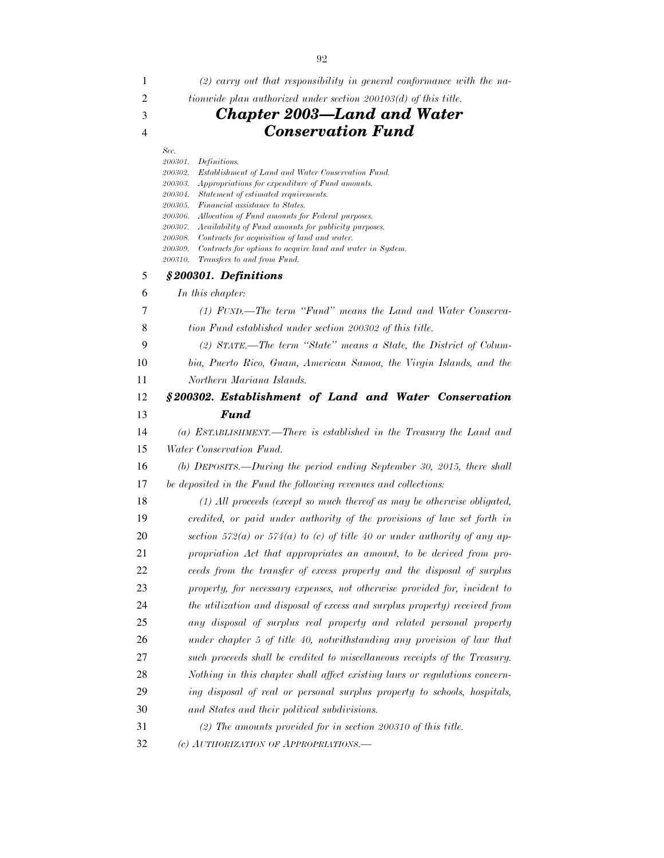| 1  | $(2)$ carry out that responsibility in general conformance with the na-                                                                                                                                                                                                                                                                                                                                                                                                                                                                                                         |
|----|---------------------------------------------------------------------------------------------------------------------------------------------------------------------------------------------------------------------------------------------------------------------------------------------------------------------------------------------------------------------------------------------------------------------------------------------------------------------------------------------------------------------------------------------------------------------------------|
| 2  | tionwide plan authorized under section $200103(d)$ of this title.                                                                                                                                                                                                                                                                                                                                                                                                                                                                                                               |
| 3  | <b>Chapter 2003–Land and Water</b>                                                                                                                                                                                                                                                                                                                                                                                                                                                                                                                                              |
| 4  | <b>Conservation Fund</b>                                                                                                                                                                                                                                                                                                                                                                                                                                                                                                                                                        |
|    | Sec.<br>200301.<br>Definitions.<br>Establishment of Land and Water Conservation Fund.<br>200302.<br>200303.<br>Appropriations for expenditure of Fund amounts.<br>Statement of estimated requirements.<br>200304.<br>Financial assistance to States.<br>200305.<br>Allocation of Fund amounts for Federal purposes.<br>200306.<br>200307.<br>Availability of Fund amounts for publicity purposes.<br>200308.<br>Contracts for acquisition of land and water.<br>200309.<br>Contracts for options to acquire land and water in System.<br>Transfers to and from Fund.<br>200310. |
| 5  | §200301. Definitions                                                                                                                                                                                                                                                                                                                                                                                                                                                                                                                                                            |
| 6  | In this chapter:                                                                                                                                                                                                                                                                                                                                                                                                                                                                                                                                                                |
| 7  | (1) FUND.—The term "Fund" means the Land and Water Conserva-                                                                                                                                                                                                                                                                                                                                                                                                                                                                                                                    |
| 8  | tion Fund established under section 200302 of this title.                                                                                                                                                                                                                                                                                                                                                                                                                                                                                                                       |
| 9  | (2) STATE.—The term "State" means a State, the District of Colum-                                                                                                                                                                                                                                                                                                                                                                                                                                                                                                               |
| 10 | bia, Puerto Rico, Guam, American Samoa, the Virgin Islands, and the                                                                                                                                                                                                                                                                                                                                                                                                                                                                                                             |
| 11 | Northern Mariana Islands.                                                                                                                                                                                                                                                                                                                                                                                                                                                                                                                                                       |
| 12 | §200302. Establishment of Land and Water Conservation                                                                                                                                                                                                                                                                                                                                                                                                                                                                                                                           |
| 13 | <b>Fund</b>                                                                                                                                                                                                                                                                                                                                                                                                                                                                                                                                                                     |
| 14 | (a) ESTABLISHMENT.—There is established in the Treasury the Land and                                                                                                                                                                                                                                                                                                                                                                                                                                                                                                            |
| 15 | Water Conservation Fund.                                                                                                                                                                                                                                                                                                                                                                                                                                                                                                                                                        |
| 16 | (b) DEPOSITS.—During the period ending September 30, 2015, there shall                                                                                                                                                                                                                                                                                                                                                                                                                                                                                                          |
| 17 | be deposited in the Fund the following revenues and collections:                                                                                                                                                                                                                                                                                                                                                                                                                                                                                                                |
| 18 | (1) All proceeds (except so much thereof as may be otherwise obligated,                                                                                                                                                                                                                                                                                                                                                                                                                                                                                                         |
| 19 | credited, or paid under authority of the provisions of law set forth in                                                                                                                                                                                                                                                                                                                                                                                                                                                                                                         |
| 20 | section $572(a)$ or $574(a)$ to (c) of title 40 or under authority of any ap-                                                                                                                                                                                                                                                                                                                                                                                                                                                                                                   |
| 21 | propriation Act that appropriates an amount, to be derived from pro-                                                                                                                                                                                                                                                                                                                                                                                                                                                                                                            |
| 22 | ceeds from the transfer of excess property and the disposal of surplus                                                                                                                                                                                                                                                                                                                                                                                                                                                                                                          |
| 23 | property, for necessary expenses, not otherwise provided for, incident to                                                                                                                                                                                                                                                                                                                                                                                                                                                                                                       |
| 24 | the utilization and disposal of excess and surplus property) received from                                                                                                                                                                                                                                                                                                                                                                                                                                                                                                      |
| 25 | any disposal of surplus real property and related personal property                                                                                                                                                                                                                                                                                                                                                                                                                                                                                                             |
| 26 | under chapter 5 of title 40, notwithstanding any provision of law that                                                                                                                                                                                                                                                                                                                                                                                                                                                                                                          |
| 27 | such proceeds shall be credited to miscellaneous receipts of the Treasury.                                                                                                                                                                                                                                                                                                                                                                                                                                                                                                      |
| 28 | Nothing in this chapter shall affect existing laws or regulations concern-                                                                                                                                                                                                                                                                                                                                                                                                                                                                                                      |
| 29 | ing disposal of real or personal surplus property to schools, hospitals,                                                                                                                                                                                                                                                                                                                                                                                                                                                                                                        |
| 30 | and States and their political subdivisions.                                                                                                                                                                                                                                                                                                                                                                                                                                                                                                                                    |
| 31 | $(2)$ The amounts provided for in section 200310 of this title.                                                                                                                                                                                                                                                                                                                                                                                                                                                                                                                 |
| 32 | (c) AUTHORIZATION OF APPROPRIATIONS.                                                                                                                                                                                                                                                                                                                                                                                                                                                                                                                                            |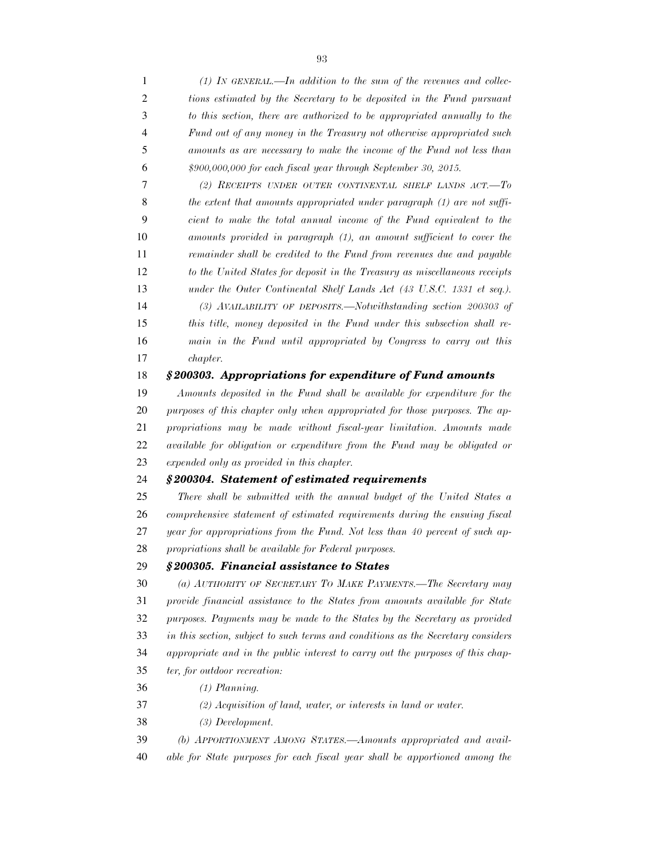*(1) IN GENERAL.—In addition to the sum of the revenues and collec- tions estimated by the Secretary to be deposited in the Fund pursuant to this section, there are authorized to be appropriated annually to the Fund out of any money in the Treasury not otherwise appropriated such amounts as are necessary to make the income of the Fund not less than \$900,000,000 for each fiscal year through September 30, 2015. (2) RECEIPTS UNDER OUTER CONTINENTAL SHELF LANDS ACT.—To the extent that amounts appropriated under paragraph (1) are not suffi- cient to make the total annual income of the Fund equivalent to the amounts provided in paragraph (1), an amount sufficient to cover the remainder shall be credited to the Fund from revenues due and payable to the United States for deposit in the Treasury as miscellaneous receipts under the Outer Continental Shelf Lands Act (43 U.S.C. 1331 et seq.). (3) AVAILABILITY OF DEPOSITS.—Notwithstanding section 200303 of this title, money deposited in the Fund under this subsection shall re- main in the Fund until appropriated by Congress to carry out this chapter. § 200303. Appropriations for expenditure of Fund amounts Amounts deposited in the Fund shall be available for expenditure for the purposes of this chapter only when appropriated for those purposes. The ap- propriations may be made without fiscal-year limitation. Amounts made available for obligation or expenditure from the Fund may be obligated or expended only as provided in this chapter. § 200304. Statement of estimated requirements There shall be submitted with the annual budget of the United States a comprehensive statement of estimated requirements during the ensuing fiscal year for appropriations from the Fund. Not less than 40 percent of such ap- propriations shall be available for Federal purposes. § 200305. Financial assistance to States (a) AUTHORITY OF SECRETARY TO MAKE PAYMENTS.—The Secretary may provide financial assistance to the States from amounts available for State purposes. Payments may be made to the States by the Secretary as provided in this section, subject to such terms and conditions as the Secretary considers appropriate and in the public interest to carry out the purposes of this chap- ter, for outdoor recreation: (1) Planning. (2) Acquisition of land, water, or interests in land or water. (3) Development. (b) APPORTIONMENT AMONG STATES.—Amounts appropriated and avail-able for State purposes for each fiscal year shall be apportioned among the*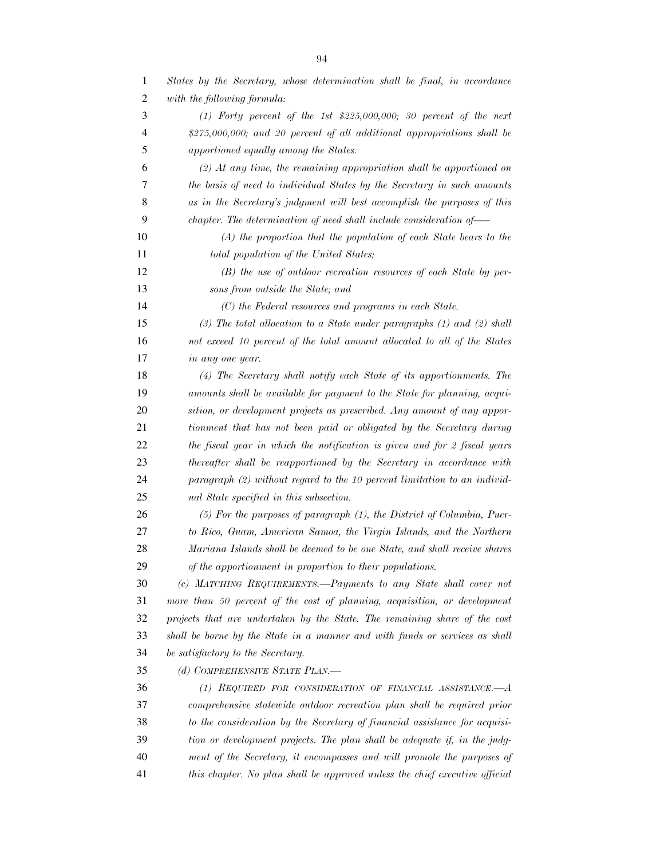| $\mathbf{1}$ | States by the Secretary, whose determination shall be final, in accordance   |
|--------------|------------------------------------------------------------------------------|
| 2            | with the following formula:                                                  |
| 3            | $(1)$ Forty percent of the 1st \$225,000,000; 30 percent of the next         |
| 4            | $$275,000,000;$ and 20 percent of all additional appropriations shall be     |
| 5            | apportioned equally among the States.                                        |
| 6            | $(2)$ At any time, the remaining appropriation shall be apportioned on       |
| 7            | the basis of need to individual States by the Secretary in such amounts      |
| 8            | as in the Secretary's judgment will best accomplish the purposes of this     |
| 9            | chapter. The determination of need shall include consideration of-           |
| 10           | $(A)$ the proportion that the population of each State bears to the          |
| 11           | total population of the United States;                                       |
| 12           | $(B)$ the use of outdoor recreation resources of each State by per-          |
| 13           | sons from outside the State; and                                             |
| 14           | (C) the Federal resources and programs in each State.                        |
| 15           | $(3)$ The total allocation to a State under paragraphs $(1)$ and $(2)$ shall |
| 16           | not exceed 10 percent of the total amount allocated to all of the States     |
| 17           | in any one year.                                                             |
| 18           | (4) The Secretary shall notify each State of its apportionments. The         |
| 19           | amounts shall be available for payment to the State for planning, acqui-     |
| 20           | sition, or development projects as prescribed. Any amount of any appor-      |
| 21           | tionment that has not been paid or obligated by the Secretary during         |
| 22           | the fiscal year in which the notification is given and for 2 fiscal years    |
| 23           | thereafter shall be reapportioned by the Secretary in accordance with        |
| 24           | paragraph $(2)$ without regard to the 10 percent limitation to an individ-   |
| 25           | ual State specified in this subsection.                                      |
| 26           | $(5)$ For the purposes of paragraph $(1)$ , the District of Columbia, Puer-  |
| 27           | to Rico, Guam, American Samoa, the Virgin Islands, and the Northern          |
| 28           | Mariana Islands shall be deemed to be one State, and shall receive shares    |
| 29           | of the apportionment in proportion to their populations.                     |
| 30           | (c) MATCHING REQUIREMENTS.-Payments to any State shall cover not             |
| 31           | more than 50 percent of the cost of planning, acquisition, or development    |
| 32           | projects that are undertaken by the State. The remaining share of the cost   |
| 33           | shall be borne by the State in a manner and with funds or services as shall  |
| 34           | be satisfactory to the Secretary.                                            |
| 35           | (d) COMPREHENSIVE STATE PLAN.—                                               |
| 36           | (1) REQUIRED FOR CONSIDERATION OF FINANCIAL ASSISTANCE.— $A$                 |
| 37           | comprehensive statewide outdoor recreation plan shall be required prior      |
| 38           | to the consideration by the Secretary of financial assistance for acquisi-   |
| 39           | tion or development projects. The plan shall be adequate if, in the judg-    |
| 40           | ment of the Secretary, it encompasses and will promote the purposes of       |
| 41           | this chapter. No plan shall be approved unless the chief executive official  |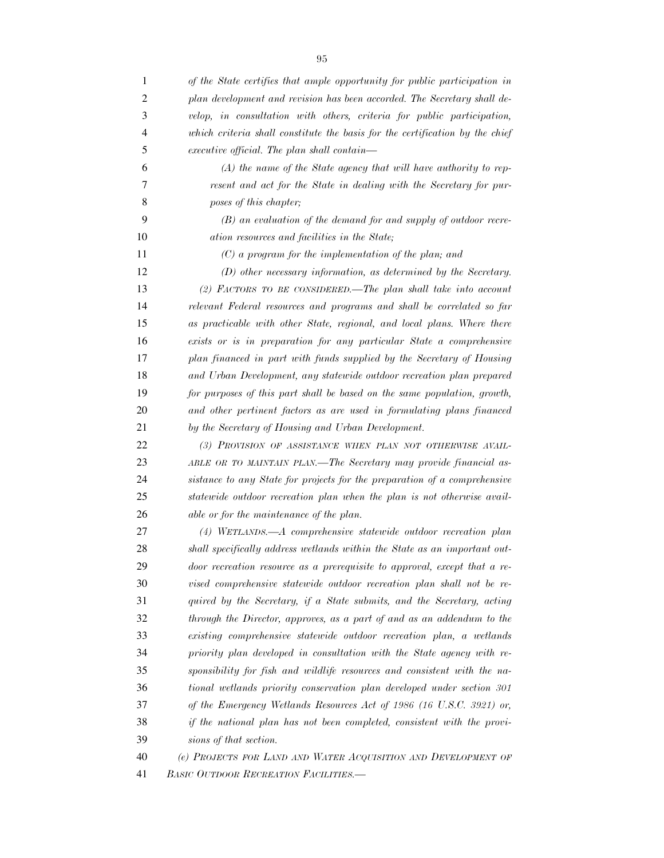| 1              | of the State certifies that ample opportunity for public participation in    |
|----------------|------------------------------------------------------------------------------|
| $\overline{2}$ | plan development and revision has been accorded. The Secretary shall de-     |
| 3              | velop, in consultation with others, criteria for public participation,       |
| 4              | which criteria shall constitute the basis for the certification by the chief |
| 5              | executive official. The plan shall contain—                                  |
| 6              | $(A)$ the name of the State agency that will have authority to rep-          |
| 7              | resent and act for the State in dealing with the Secretary for pur-          |
| 8              | poses of this chapter;                                                       |
| 9              | $(B)$ an evaluation of the demand for and supply of outdoor recre-           |
| 10             | ation resources and facilities in the State;                                 |
| 11             | $(C)$ a program for the implementation of the plan; and                      |
| 12             | (D) other necessary information, as determined by the Secretary.             |
| 13             | $(2)$ FACTORS TO BE CONSIDERED.—The plan shall take into account             |
| 14             | relevant Federal resources and programs and shall be correlated so far       |
| 15             | as practicable with other State, regional, and local plans. Where there      |
| 16             | exists or is in preparation for any particular State a comprehensive         |
| 17             | plan financed in part with funds supplied by the Secretary of Housing        |
| 18             | and Urban Development, any statewide outdoor recreation plan prepared        |
| 19             | for purposes of this part shall be based on the same population, growth,     |
| 20             | and other pertinent factors as are used in formulating plans financed        |
| 21             | by the Secretary of Housing and Urban Development.                           |
| 22             | (3) PROVISION OF ASSISTANCE WHEN PLAN NOT OTHERWISE AVAIL-                   |
| 23             | ABLE OR TO MAINTAIN PLAN.—The Secretary may provide financial as-            |
| 24             | sistance to any State for projects for the preparation of a comprehensive    |
| 25             | statewide outdoor recreation plan when the plan is not otherwise avail-      |
| 26             | able or for the maintenance of the plan.                                     |
| 27             | $(4)$ WETLANDS.— $A$ comprehensive statewide outdoor recreation plan         |
| 28             | shall specifically address wetlands within the State as an important out-    |
| 29             | door recreation resource as a prerequisite to approval, except that a re-    |
| 30             | vised comprehensive statewide outdoor recreation plan shall not be re-       |
| 31             | quired by the Secretary, if a State submits, and the Secretary, acting       |
| 32             | through the Director, approves, as a part of and as an addendum to the       |
| 33             | existing comprehensive statewide outdoor recreation plan, a wetlands         |
| 34             | priority plan developed in consultation with the State agency with re-       |
| 35             | sponsibility for fish and wildlife resources and consistent with the na-     |
| 36             | tional wetlands priority conservation plan developed under section 301       |
| 37             | of the Emergency Wetlands Resources Act of 1986 (16 U.S.C. 3921) or,         |
| 38             | if the national plan has not been completed, consistent with the provi-      |
| 39             | sions of that section.                                                       |
| 40             | (e) PROJECTS FOR LAND AND WATER ACQUISITION AND DEVELOPMENT OF               |
| 41             | <b>BASIC OUTDOOR RECREATION FACILITIES.</b>                                  |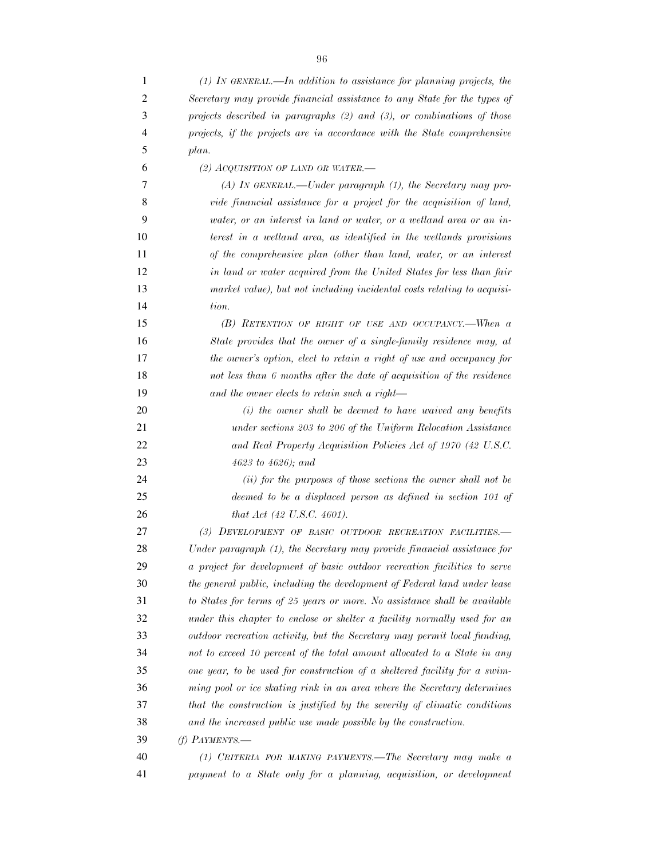*(1) IN GENERAL.—In addition to assistance for planning projects, the Secretary may provide financial assistance to any State for the types of projects described in paragraphs (2) and (3), or combinations of those projects, if the projects are in accordance with the State comprehensive plan. (2) ACQUISITION OF LAND OR WATER.— (A) IN GENERAL.—Under paragraph (1), the Secretary may pro- vide financial assistance for a project for the acquisition of land, water, or an interest in land or water, or a wetland area or an in- terest in a wetland area, as identified in the wetlands provisions of the comprehensive plan (other than land, water, or an interest in land or water acquired from the United States for less than fair market value), but not including incidental costs relating to acquisi- tion. (B) RETENTION OF RIGHT OF USE AND OCCUPANCY.—When a State provides that the owner of a single-family residence may, at the owner's option, elect to retain a right of use and occupancy for not less than 6 months after the date of acquisition of the residence and the owner elects to retain such a right— (i) the owner shall be deemed to have waived any benefits under sections 203 to 206 of the Uniform Relocation Assistance and Real Property Acquisition Policies Act of 1970 (42 U.S.C. 4623 to 4626); and (ii) for the purposes of those sections the owner shall not be deemed to be a displaced person as defined in section 101 of that Act (42 U.S.C. 4601). (3) DEVELOPMENT OF BASIC OUTDOOR RECREATION FACILITIES.— Under paragraph (1), the Secretary may provide financial assistance for a project for development of basic outdoor recreation facilities to serve the general public, including the development of Federal land under lease to States for terms of 25 years or more. No assistance shall be available under this chapter to enclose or shelter a facility normally used for an outdoor recreation activity, but the Secretary may permit local funding, not to exceed 10 percent of the total amount allocated to a State in any one year, to be used for construction of a sheltered facility for a swim- ming pool or ice skating rink in an area where the Secretary determines that the construction is justified by the severity of climatic conditions and the increased public use made possible by the construction. (f) PAYMENTS.— (1) CRITERIA FOR MAKING PAYMENTS.—The Secretary may make a payment to a State only for a planning, acquisition, or development*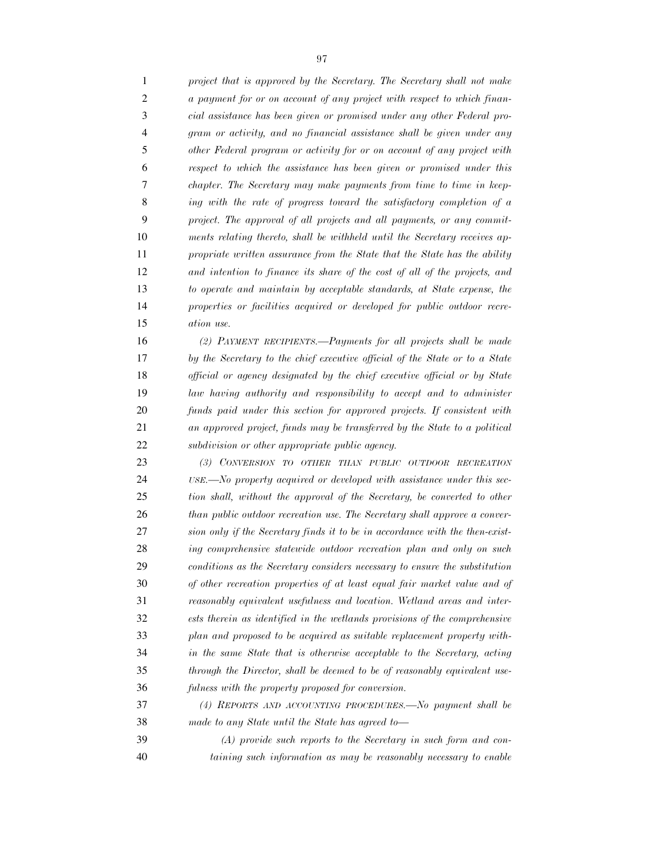*project that is approved by the Secretary. The Secretary shall not make a payment for or on account of any project with respect to which finan- cial assistance has been given or promised under any other Federal pro- gram or activity, and no financial assistance shall be given under any other Federal program or activity for or on account of any project with respect to which the assistance has been given or promised under this chapter. The Secretary may make payments from time to time in keep- ing with the rate of progress toward the satisfactory completion of a project. The approval of all projects and all payments, or any commit- ments relating thereto, shall be withheld until the Secretary receives ap- propriate written assurance from the State that the State has the ability and intention to finance its share of the cost of all of the projects, and to operate and maintain by acceptable standards, at State expense, the properties or facilities acquired or developed for public outdoor recre-ation use.*

 *(2) PAYMENT RECIPIENTS.—Payments for all projects shall be made by the Secretary to the chief executive official of the State or to a State official or agency designated by the chief executive official or by State law having authority and responsibility to accept and to administer funds paid under this section for approved projects. If consistent with an approved project, funds may be transferred by the State to a political subdivision or other appropriate public agency.*

 *(3) CONVERSION TO OTHER THAN PUBLIC OUTDOOR RECREATION USE.—No property acquired or developed with assistance under this sec- tion shall, without the approval of the Secretary, be converted to other than public outdoor recreation use. The Secretary shall approve a conver- sion only if the Secretary finds it to be in accordance with the then-exist- ing comprehensive statewide outdoor recreation plan and only on such conditions as the Secretary considers necessary to ensure the substitution of other recreation properties of at least equal fair market value and of reasonably equivalent usefulness and location. Wetland areas and inter- ests therein as identified in the wetlands provisions of the comprehensive plan and proposed to be acquired as suitable replacement property with- in the same State that is otherwise acceptable to the Secretary, acting through the Director, shall be deemed to be of reasonably equivalent use-fulness with the property proposed for conversion.*

 *(4) REPORTS AND ACCOUNTING PROCEDURES.—No payment shall be made to any State until the State has agreed to—*

 *(A) provide such reports to the Secretary in such form and con-taining such information as may be reasonably necessary to enable*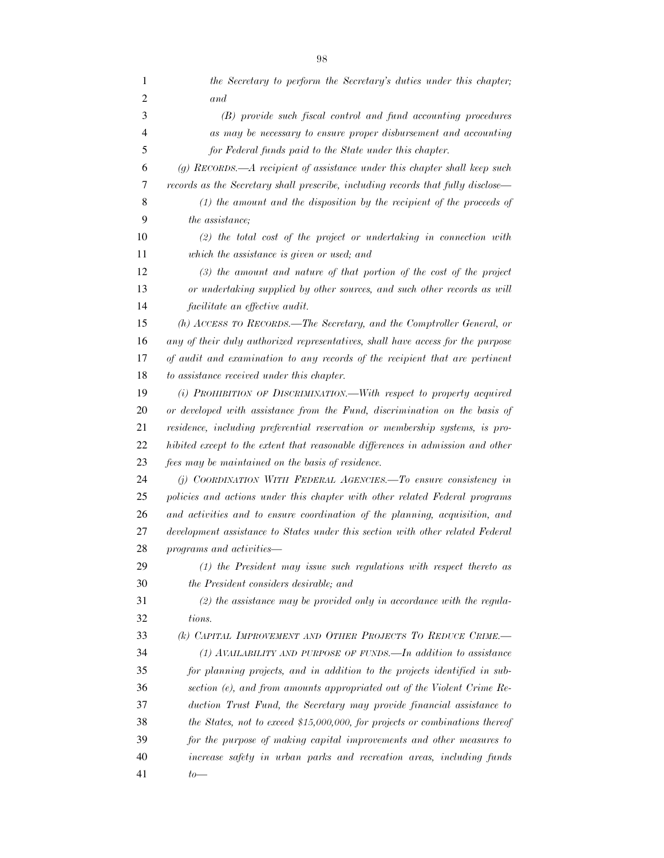| 1              | the Secretary to perform the Secretary's duties under this chapter;              |
|----------------|----------------------------------------------------------------------------------|
| $\overline{2}$ | and                                                                              |
| 3              | (B) provide such fiscal control and fund accounting procedures                   |
| $\overline{4}$ | as may be necessary to ensure proper disbursement and accounting                 |
| 5              | for Federal funds paid to the State under this chapter.                          |
| 6              | (g) RECORDS $-A$ recipient of assistance under this chapter shall keep such      |
| 7              | records as the Secretary shall prescribe, including records that fully disclose— |
| 8              | $(1)$ the amount and the disposition by the recipient of the proceeds of         |
| 9              | the assistance;                                                                  |
| 10             | $(2)$ the total cost of the project or undertaking in connection with            |
| 11             | which the assistance is given or used; and                                       |
| 12             | $(3)$ the amount and nature of that portion of the cost of the project           |
| 13             | or undertaking supplied by other sources, and such other records as will         |
| 14             | facilitate an effective audit.                                                   |
| 15             | (h) ACCESS TO RECORDS.—The Secretary, and the Comptroller General, or            |
| 16             | any of their duly authorized representatives, shall have access for the purpose  |
| 17             | of audit and examination to any records of the recipient that are pertinent      |
| 18             | to assistance received under this chapter.                                       |
| 19             | (i) PROHIBITION OF DISCRIMINATION.—With respect to property acquired             |
| 20             | or developed with assistance from the Fund, discrimination on the basis of       |
| 21             | residence, including preferential reservation or membership systems, is pro-     |
| 22             | hibited except to the extent that reasonable differences in admission and other  |
| 23             | fees may be maintained on the basis of residence.                                |
| 24             | (j) COORDINATION WITH FEDERAL AGENCIES. To ensure consistency in                 |
| 25             | policies and actions under this chapter with other related Federal programs      |
| 26             | and activities and to ensure coordination of the planning, acquisition, and      |
| 27             | development assistance to States under this section with other related Federal   |
| 28             | programs and activities—                                                         |
| 29             | $(1)$ the President may issue such regulations with respect thereto as           |
| 30             | the President considers desirable; and                                           |
| 31             | $(2)$ the assistance may be provided only in accordance with the regula-         |
| 32             | tions.                                                                           |
| 33             | (k) CAPITAL IMPROVEMENT AND OTHER PROJECTS TO REDUCE CRIME.-                     |
| 34             | (1) AVAILABILITY AND PURPOSE OF FUNDS. $\Box$ In addition to assistance          |
| 35             | for planning projects, and in addition to the projects identified in sub-        |
| 36             | section (e), and from amounts appropriated out of the Violent Crime Re-          |
| 37             | duction Trust Fund, the Secretary may provide financial assistance to            |
| 38             | the States, not to exceed \$15,000,000, for projects or combinations thereof     |
| 39             | for the purpose of making capital improvements and other measures to             |
| 40             | increase safety in urban parks and recreation areas, including funds             |
| 41             | $to-$                                                                            |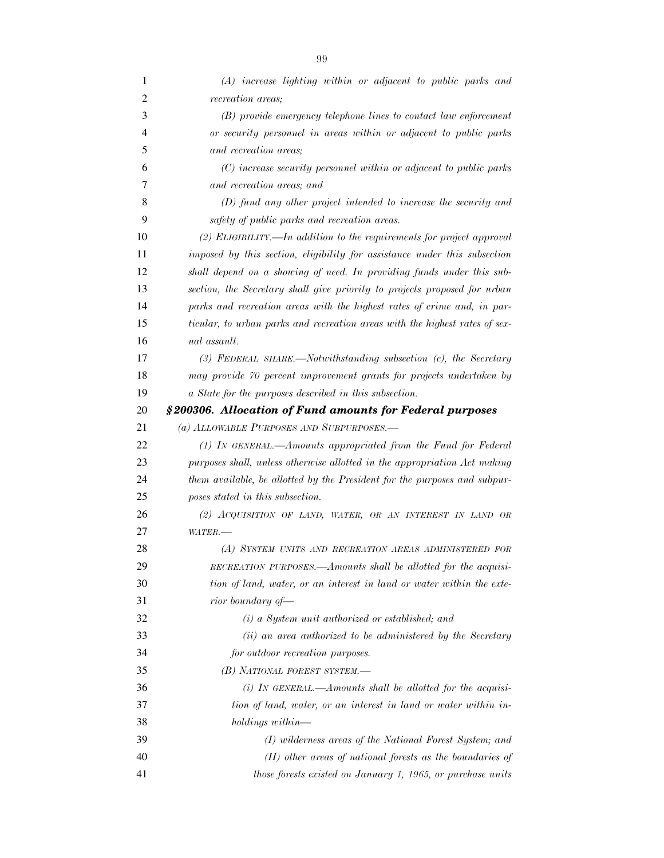| 1              | $(A)$ increase lighting within or adjacent to public parks and              |
|----------------|-----------------------------------------------------------------------------|
| $\overline{c}$ | recreation areas;                                                           |
| 3              | $(B)$ provide emergency telephone lines to contact law enforcement          |
| 4              | or security personnel in areas within or adjacent to public parks           |
| 5              | and recreation areas;                                                       |
| 6              | $(C)$ increase security personnel within or adjacent to public parks        |
| 7              | and recreation areas; and                                                   |
| 8              | $(D)$ fund any other project intended to increase the security and          |
| 9              | safety of public parks and recreation areas.                                |
| 10             | $(2)$ ELIGIBILITY.—In addition to the requirements for project approval     |
| 11             | imposed by this section, eligibility for assistance under this subsection   |
| 12             | shall depend on a showing of need. In providing funds under this sub-       |
| 13             | section, the Secretary shall give priority to projects proposed for urban   |
| 14             | parks and recreation areas with the highest rates of crime and, in par-     |
| 15             | ticular, to urban parks and recreation areas with the highest rates of sex- |
| 16             | ual assault.                                                                |
| 17             | $(3)$ FEDERAL SHARE.—Notwithstanding subsection $(c)$ , the Secretary       |
| 18             | may provide 70 percent improvement grants for projects undertaken by        |
| 19             | a State for the purposes described in this subsection.                      |
| 20             | §200306. Allocation of Fund amounts for Federal purposes                    |
|                |                                                                             |
| 21             | (a) ALLOWABLE PURPOSES AND SUBPURPOSES.-                                    |
| 22             | (1) IN GENERAL.—Amounts appropriated from the Fund for Federal              |
| 23             | purposes shall, unless otherwise allotted in the appropriation Act making   |
| 24             | them available, be allotted by the President for the purposes and subpur-   |
| 25             | poses stated in this subsection.                                            |
| 26             | (2) ACQUISITION OF LAND, WATER, OR AN INTEREST IN LAND OR                   |
| 27             | $WATER$ .                                                                   |
| 28             | (A) SYSTEM UNITS AND RECREATION AREAS ADMINISTERED FOR                      |
| 29             | RECREATION PURPOSES.—Amounts shall be allotted for the acquisi-             |
| 30             | tion of land, water, or an interest in land or water within the exte-       |
| 31             | rior boundary of-                                                           |
| 32             | $(i)$ a System unit authorized or established; and                          |
| 33             | (ii) an area authorized to be administered by the Secretary                 |
| 34             | for outdoor recreation purposes.                                            |
| 35             | (B) NATIONAL FOREST SYSTEM.-                                                |
| 36             | (i) IN GENERAL.—Amounts shall be allotted for the acquisi-                  |
| 37             | tion of land, water, or an interest in land or water within in-             |
| 38             | holdings within—                                                            |
| 39             | (I) wilderness areas of the National Forest System; and                     |
| 40             | $(II)$ other areas of national forests as the boundaries of                 |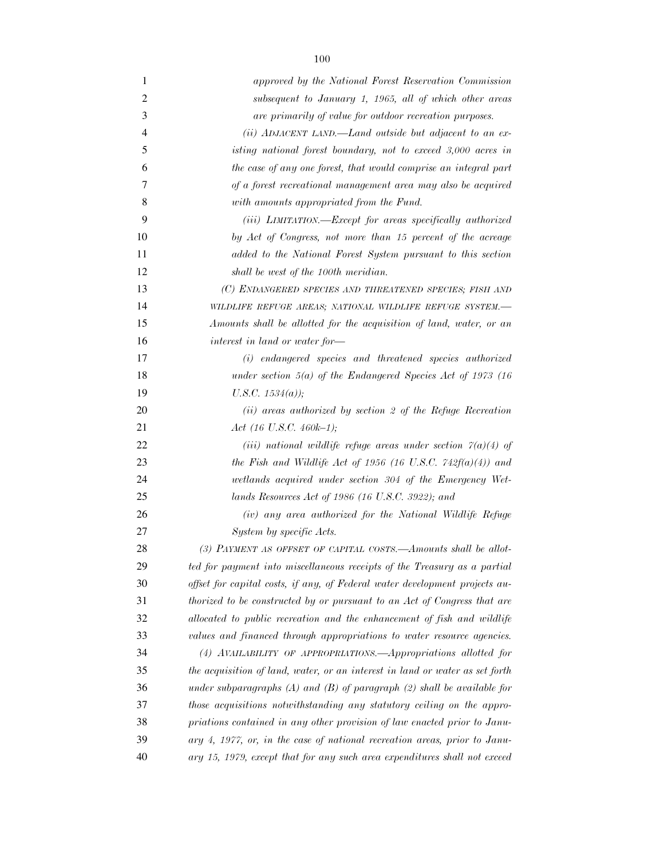| 1              | approved by the National Forest Reservation Commission                        |
|----------------|-------------------------------------------------------------------------------|
| $\overline{c}$ | subsequent to January 1, 1965, all of which other areas                       |
| 3              | are primarily of value for outdoor recreation purposes.                       |
| 4              | $(ii)$ ADJACENT LAND.—Land outside but adjacent to an ex-                     |
| 5              | isting national forest boundary, not to exceed 3,000 acres in                 |
| 6              | the case of any one forest, that would comprise an integral part              |
| 7              | of a forest recreational management area may also be acquired                 |
| 8              | with amounts appropriated from the Fund.                                      |
| 9              | (iii) LIMITATION.—Except for areas specifically authorized                    |
| 10             | by Act of Congress, not more than 15 percent of the acreage                   |
| 11             | added to the National Forest System pursuant to this section                  |
| 12             | shall be west of the 100th meridian.                                          |
| 13             | (C) ENDANGERED SPECIES AND THREATENED SPECIES; FISH AND                       |
| 14             | WILDLIFE REFUGE AREAS; NATIONAL WILDLIFE REFUGE SYSTEM.-                      |
| 15             | Amounts shall be allotted for the acquisition of land, water, or an           |
| 16             | interest in land or water for-                                                |
| 17             | (i) endangered species and threatened species authorized                      |
| 18             | under section $5(a)$ of the Endangered Species Act of 1973 (16)               |
| 19             | $U.S.C. 1534(a)$ ;                                                            |
| 20             | (ii) areas authorized by section 2 of the Refuge Recreation                   |
| 21             | $Act$ (16 U.S.C. 460k-1);                                                     |
| 22             | (iii) national wildlife refuge areas under section $7(a)(4)$ of               |
| 23             | the Fish and Wildlife Act of 1956 (16 U.S.C. $742f(a)(4)$ ) and               |
| 24             | wetlands acquired under section 304 of the Emergency Wet-                     |
| 25             | lands Resources Act of 1986 (16 U.S.C. 3922); and                             |
| 26             | (iv) any area authorized for the National Wildlife Refuge                     |
| 27             | System by specific Acts.                                                      |
| 28             | (3) PAYMENT AS OFFSET OF CAPITAL COSTS.—Amounts shall be allot-               |
| 29             | ted for payment into miscellaneous receipts of the Treasury as a partial      |
| 30             | offset for capital costs, if any, of Federal water development projects au-   |
| 31             | thorized to be constructed by or pursuant to an Act of Congress that are      |
| 32             | allocated to public recreation and the enhancement of fish and wildlife       |
| 33             | values and financed through appropriations to water resource agencies.        |
| 34             | (4) AVAILABILITY OF APPROPRIATIONS.—Appropriations allotted for               |
| 35             | the acquisition of land, water, or an interest in land or water as set forth  |
| 36             | under subparagraphs $(A)$ and $(B)$ of paragraph $(2)$ shall be available for |
| 37             | those acquisitions notwithstanding any statutory ceiling on the appro-        |
| 38             | priations contained in any other provision of law enacted prior to Janu-      |
| 39             | ary 4, 1977, or, in the case of national recreation areas, prior to Janu-     |
| 40             | ary 15, 1979, except that for any such area expenditures shall not exceed     |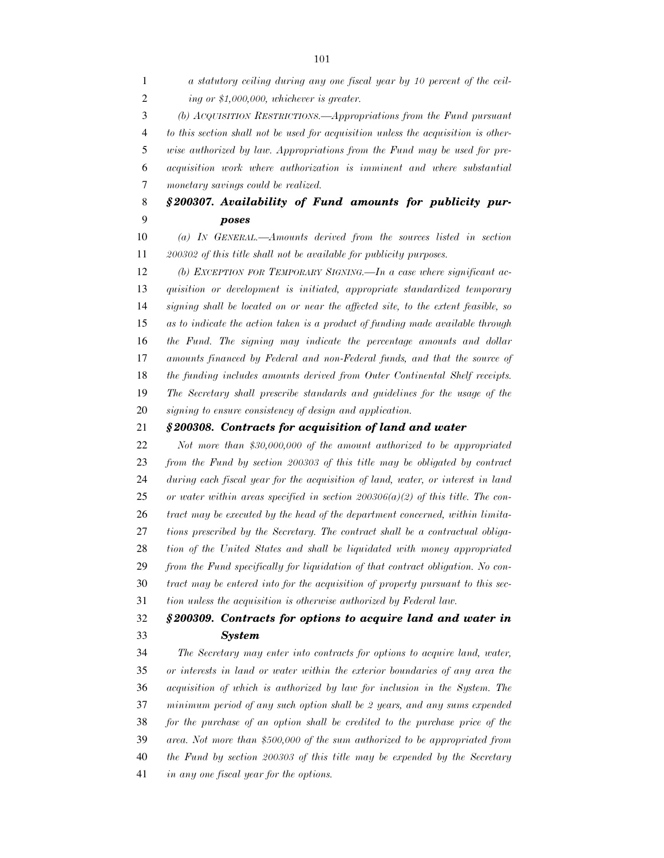*a statutory ceiling during any one fiscal year by 10 percent of the ceil- ing or \$1,000,000, whichever is greater. (b) ACQUISITION RESTRICTIONS.—Appropriations from the Fund pursuant to this section shall not be used for acquisition unless the acquisition is other- wise authorized by law. Appropriations from the Fund may be used for pre- acquisition work where authorization is imminent and where substantial monetary savings could be realized. § 200307. Availability of Fund amounts for publicity pur- poses (a) IN GENERAL.—Amounts derived from the sources listed in section 200302 of this title shall not be available for publicity purposes. (b) EXCEPTION FOR TEMPORARY SIGNING.—In a case where significant ac- quisition or development is initiated, appropriate standardized temporary signing shall be located on or near the affected site, to the extent feasible, so as to indicate the action taken is a product of funding made available through the Fund. The signing may indicate the percentage amounts and dollar amounts financed by Federal and non-Federal funds, and that the source of the funding includes amounts derived from Outer Continental Shelf receipts. The Secretary shall prescribe standards and guidelines for the usage of the signing to ensure consistency of design and application. § 200308. Contracts for acquisition of land and water Not more than \$30,000,000 of the amount authorized to be appropriated from the Fund by section 200303 of this title may be obligated by contract during each fiscal year for the acquisition of land, water, or interest in land or water within areas specified in section 200306(a)(2) of this title. The con- tract may be executed by the head of the department concerned, within limita- tions prescribed by the Secretary. The contract shall be a contractual obliga- tion of the United States and shall be liquidated with money appropriated from the Fund specifically for liquidation of that contract obligation. No con- tract may be entered into for the acquisition of property pursuant to this sec- tion unless the acquisition is otherwise authorized by Federal law. § 200309. Contracts for options to acquire land and water in System The Secretary may enter into contracts for options to acquire land, water, or interests in land or water within the exterior boundaries of any area the acquisition of which is authorized by law for inclusion in the System. The minimum period of any such option shall be 2 years, and any sums expended for the purchase of an option shall be credited to the purchase price of the area. Not more than \$500,000 of the sum authorized to be appropriated from the Fund by section 200303 of this title may be expended by the Secretary in any one fiscal year for the options.*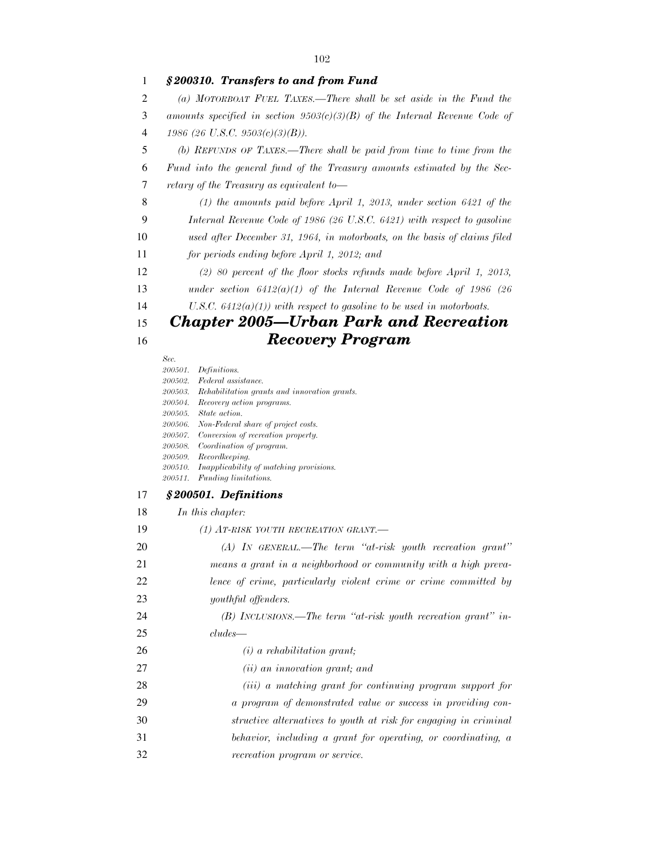### *§ 200310. Transfers to and from Fund*

 *(a) MOTORBOAT FUEL TAXES.—There shall be set aside in the Fund the amounts specified in section 9503(c)(3)(B) of the Internal Revenue Code of 1986 (26 U.S.C. 9503(c)(3)(B)).*

*(b) REFUNDS OF TAXES.—There shall be paid from time to time from the*

 *Fund into the general fund of the Treasury amounts estimated by the Sec-retary of the Treasury as equivalent to—*

- *(1) the amounts paid before April 1, 2013, under section 6421 of the Internal Revenue Code of 1986 (26 U.S.C. 6421) with respect to gasoline used after December 31, 1964, in motorboats, on the basis of claims filed*
- *for periods ending before April 1, 2012; and*
- *(2) 80 percent of the floor stocks refunds made before April 1, 2013,*
- *under section 6412(a)(1) of the Internal Revenue Code of 1986 (26*

*U.S.C. 6412(a)(1)) with respect to gasoline to be used in motorboats.*

# *Chapter 2005—Urban Park and Recreation Recovery Program*

#### *Sec.*

|         | 200501. Definitions.                         |
|---------|----------------------------------------------|
|         | 200502. Federal assistance.                  |
| 200503. | Rehabilitation grants and innovation grants. |
| 200504. | Recovery action programs.                    |
| 200505. | State action.                                |
| 200506. | Non-Federal share of project costs.          |
| 200507. | Conversion of recreation property.           |
| 200508. | Coordination of program.                     |
| 200509. | Recordkeeping.                               |
| 200510. | Inapplicability of matching provisions.      |
| 200511. | Funding limitations.                         |

## *§ 200501. Definitions*

| 18 | In this chapter:                                                 |
|----|------------------------------------------------------------------|
| 19 | (1) AT-RISK YOUTH RECREATION GRANT.                              |
| 20 | $(A)$ IN GENERAL.—The term "at-risk youth recreation grant"      |
| 21 | means a grant in a neighborhood or community with a high preva-  |
| 22 | lence of crime, particularly violent crime or crime committed by |
| 23 | <i>youthful offenders.</i>                                       |
| 24 | $(B)$ INCLUSIONS.—The term "at-risk youth recreation grant" in-  |
| 25 | $cludes$ —                                                       |
| 26 | $(i)$ a rehabilitation grant;                                    |
| 27 | $(ii)$ an innovation grant; and                                  |
| 28 | $(iii)$ a matching grant for continuing program support for      |
| 29 | a program of demonstrated value or success in providing con-     |
| 30 | structive alternatives to youth at risk for engaging in criminal |
| 31 | behavior, including a grant for operating, or coordinating, a    |
| 32 | recreation program or service.                                   |
|    |                                                                  |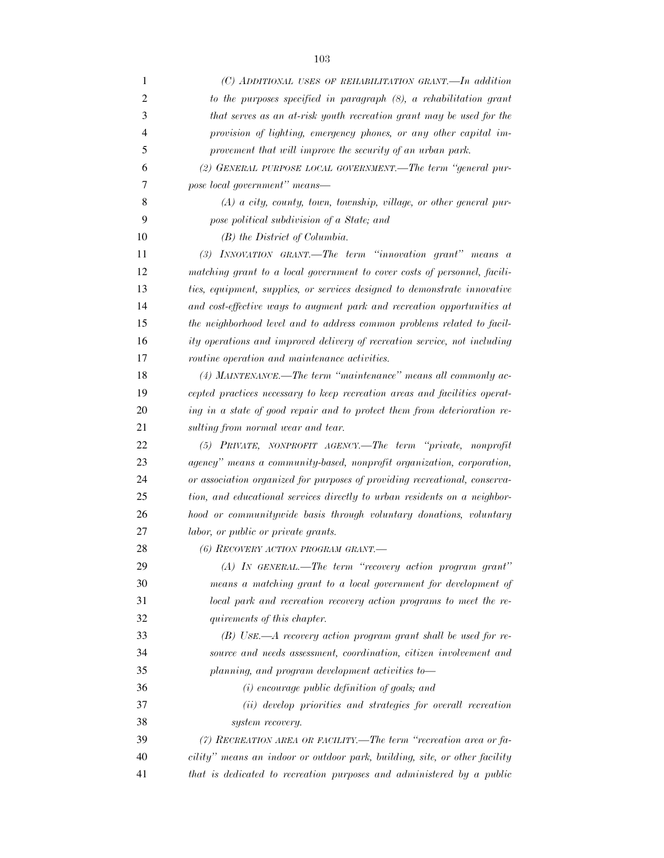| 1              | (C) ADDITIONAL USES OF REHABILITATION GRANT.—In addition                   |
|----------------|----------------------------------------------------------------------------|
| $\overline{c}$ | to the purposes specified in paragraph $(8)$ , a rehabilitation grant      |
| 3              | that serves as an at-risk youth recreation grant may be used for the       |
| $\overline{4}$ | provision of lighting, emergency phones, or any other capital im-          |
| 5              | provement that will improve the security of an urban park.                 |
| 6              | (2) GENERAL PURPOSE LOCAL GOVERNMENT.—The term "general pur-               |
| 7              | pose local government" means-                                              |
| 8              | $(A)$ a city, county, town, township, village, or other general pur-       |
| 9              | pose political subdivision of a State; and                                 |
| 10             | $(B)$ the District of Columbia.                                            |
| 11             | $(3)$ INNOVATION GRANT. The term "innovation grant" means a                |
| 12             | matching grant to a local government to cover costs of personnel, facili-  |
| 13             | ties, equipment, supplies, or services designed to demonstrate innovative  |
| 14             | and cost-effective ways to augment park and recreation opportunities at    |
| 15             | the neighborhood level and to address common problems related to facil-    |
| 16             | ity operations and improved delivery of recreation service, not including  |
| 17             | routine operation and maintenance activities.                              |
| 18             | (4) MAINTENANCE.—The term "maintenance" means all commonly ac-             |
| 19             | cepted practices necessary to keep recreation areas and facilities operat- |
| 20             | ing in a state of good repair and to protect them from deterioration re-   |
| 21             | sulting from normal wear and tear.                                         |
| 22             | (5) PRIVATE, NONPROFIT AGENCY.—The term "private, nonprofit                |
| 23             | agency" means a community-based, nonprofit organization, corporation,      |
| 24             | or association organized for purposes of providing recreational, conserva- |
| 25             | tion, and educational services directly to urban residents on a neighbor-  |
| 26             | hood or communitywide basis through voluntary donations, voluntary         |
| 27             | labor, or public or private grants.                                        |
| 28             | (6) RECOVERY ACTION PROGRAM GRANT.-                                        |
| 29             | $(A)$ IN GENERAL.—The term "recovery action program grant"                 |
| 30             | means a matching grant to a local government for development of            |
| 31             | local park and recreation recovery action programs to meet the re-         |
| 32             | quirements of this chapter.                                                |
| 33             | $(B)$ USE.—A recovery action program grant shall be used for re-           |
| 34             | source and needs assessment, coordination, citizen involvement and         |
| 35             | planning, and program development activities to-                           |
| 36             | $(i)$ encourage public definition of goals; and                            |
| 37             | (ii) develop priorities and strategies for overall recreation              |
| 38             | system recovery.                                                           |
| 39             | (7) RECREATION AREA OR FACILITY.—The term "recreation area or fa-          |
| 40             | cility" means an indoor or outdoor park, building, site, or other facility |
| 41             | that is dedicated to recreation purposes and administered by a public      |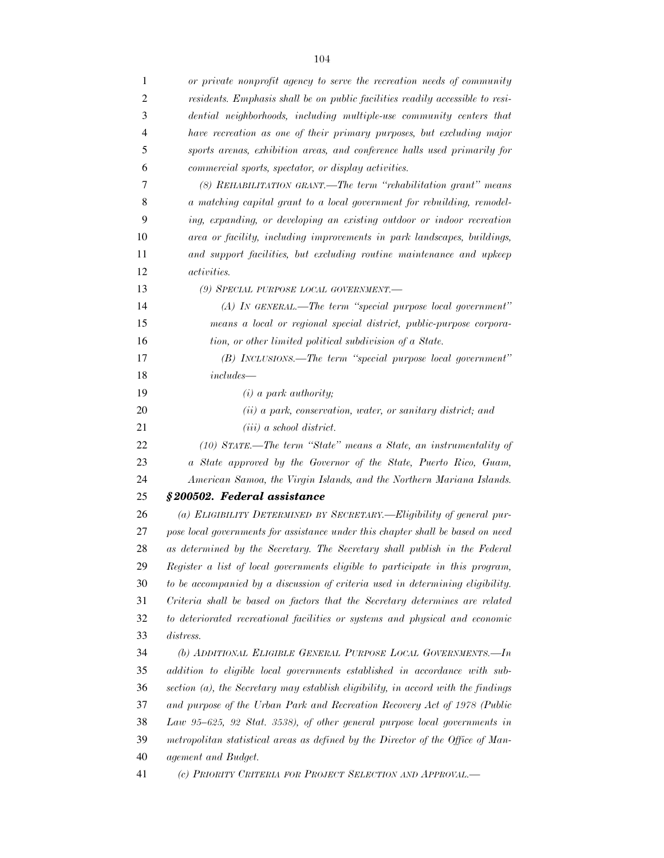| 1  | or private nonprofit agency to serve the recreation needs of community               |
|----|--------------------------------------------------------------------------------------|
| 2  | residents. Emphasis shall be on public facilities readily accessible to resi-        |
| 3  | dential neighborhoods, including multiple-use community centers that                 |
| 4  | have recreation as one of their primary purposes, but excluding major                |
| 5  | sports arenas, exhibition areas, and conference halls used primarily for             |
| 6  | commercial sports, spectator, or display activities.                                 |
| 7  | (8) REHABILITATION GRANT.—The term "rehabilitation grant" means                      |
| 8  | a matching capital grant to a local government for rebuilding, remodel-              |
| 9  | ing, expanding, or developing an existing outdoor or indoor recreation               |
| 10 | area or facility, including improvements in park landscapes, buildings,              |
| 11 | and support facilities, but excluding routine maintenance and upkeep                 |
| 12 | <i>activities.</i>                                                                   |
| 13 | (9) SPECIAL PURPOSE LOCAL GOVERNMENT.-                                               |
| 14 | $(A)$ IN GENERAL.—The term "special purpose local government"                        |
| 15 | means a local or regional special district, public-purpose corpora-                  |
| 16 | tion, or other limited political subdivision of a State.                             |
| 17 | (B) INCLUSIONS.—The term "special purpose local government"                          |
| 18 | $includes-$                                                                          |
| 19 | $(i)$ a park authority;                                                              |
| 20 | (ii) a park, conservation, water, or sanitary district; and                          |
| 21 | $(iii)$ a school district.                                                           |
| 22 | (10) STATE.—The term "State" means a State, an instrumentality of                    |
| 23 | a State approved by the Governor of the State, Puerto Rico, Guam,                    |
| 24 | American Samoa, the Virgin Islands, and the Northern Mariana Islands.                |
| 25 | §200502. Federal assistance                                                          |
| 26 | (a) ELIGIBILITY DETERMINED BY SECRETARY.—Eligibility of general pur-                 |
| 27 | pose local governments for assistance under this chapter shall be based on need      |
| 28 | as determined by the Secretary. The Secretary shall publish in the Federal           |
| 29 | Register a list of local governments eligible to participate in this program,        |
| 30 | to be accompanied by a discussion of criteria used in determining eligibility.       |
| 31 | Criteria shall be based on factors that the Secretary determines are related         |
| 32 | to deteriorated recreational facilities or systems and physical and economic         |
| 33 | distress.                                                                            |
| 34 | (b) ADDITIONAL ELIGIBLE GENERAL PURPOSE LOCAL GOVERNMENTS.-In                        |
| 35 | addition to eligible local governments established in accordance with sub-           |
| 36 | section $(a)$ , the Secretary may establish eligibility, in accord with the findings |
| 37 | and purpose of the Urban Park and Recreation Recovery Act of 1978 (Public            |
| 38 | Law 95–625, 92 Stat. 3538), of other general purpose local governments in            |
| 39 | metropolitan statistical areas as defined by the Director of the Office of Man-      |
| 40 | agement and Budget.                                                                  |
| 41 | (c) PRIORITY CRITERIA FOR PROJECT SELECTION AND APPROVAL.-                           |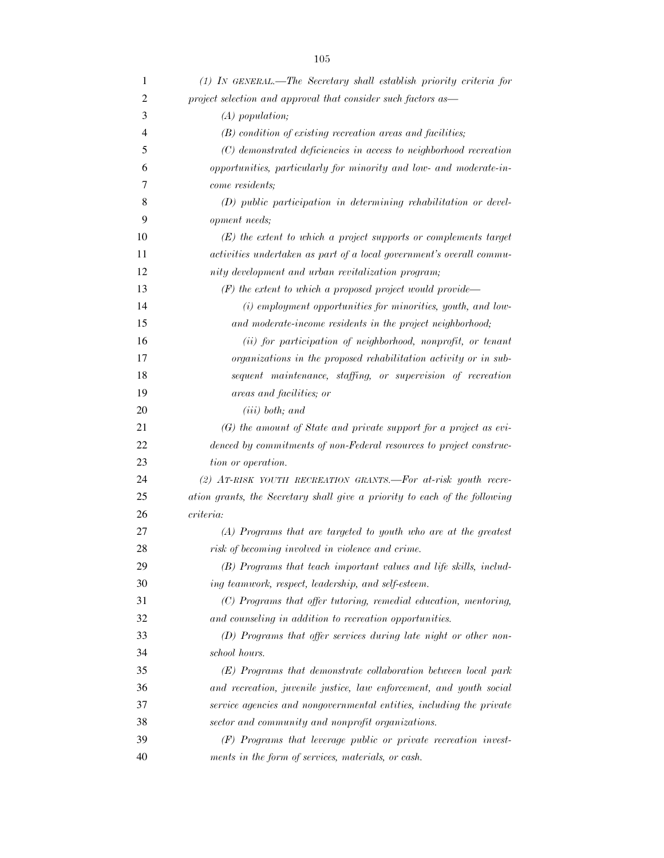| 1              | $(1)$ IN GENERAL.—The Secretary shall establish priority criteria for      |
|----------------|----------------------------------------------------------------------------|
| $\overline{c}$ | project selection and approval that consider such factors as               |
| 3              | $(A)$ population;                                                          |
| 4              | $(B)$ condition of existing recreation areas and facilities;               |
| 5              | (C) demonstrated deficiencies in access to neighborhood recreation         |
| 6              | opportunities, particularly for minority and low- and moderate-in-         |
| 7              | come residents;                                                            |
| 8              | (D) public participation in determining rehabilitation or devel-           |
| 9              | opment needs;                                                              |
| 10             | $(E)$ the extent to which a project supports or complements target         |
| 11             | activities undertaken as part of a local government's overall commu-       |
| 12             | nity development and urban revitalization program;                         |
| 13             | $(F)$ the extent to which a proposed project would provide—                |
| 14             | (i) employment opportunities for minorities, youth, and low-               |
| 15             | and moderate-income residents in the project neighborhood;                 |
| 16             | (ii) for participation of neighborhood, nonprofit, or tenant               |
| 17             | organizations in the proposed rehabilitation activity or in sub-           |
| 18             | sequent maintenance, staffing, or supervision of recreation                |
| 19             | areas and facilities; or                                                   |
| 20             | $(iii)$ both; and                                                          |
| 21             | $(G)$ the amount of State and private support for a project as evi-        |
| 22             | denced by commitments of non-Federal resources to project construc-        |
| 23             | tion or operation.                                                         |
| 24             | (2) AT-RISK YOUTH RECREATION GRANTS.-For at-risk youth recre-              |
| 25             | ation grants, the Secretary shall give a priority to each of the following |
| 26             | criteria                                                                   |
| 27             | (A) Programs that are targeted to youth who are at the greatest            |
| 28             | risk of becoming involved in violence and crime.                           |
| 29             | (B) Programs that teach important values and life skills, includ-          |
| 30             | ing teamwork, respect, leadership, and self-esteem.                        |
| 31             | (C) Programs that offer tutoring, remedial education, mentoring,           |
| 32             | and counseling in addition to recreation opportunities.                    |
| 33             | (D) Programs that offer services during late night or other non-           |
| 34             | school hours.                                                              |
| 35             | (E) Programs that demonstrate collaboration between local park             |
| 36             | and recreation, juvenile justice, law enforcement, and youth social        |
| 37             | service agencies and nongovernmental entities, including the private       |
| 38             | sector and community and nonprofit organizations.                          |
| 39             | $(F)$ Programs that leverage public or private recreation invest-          |
| 40             | ments in the form of services, materials, or cash.                         |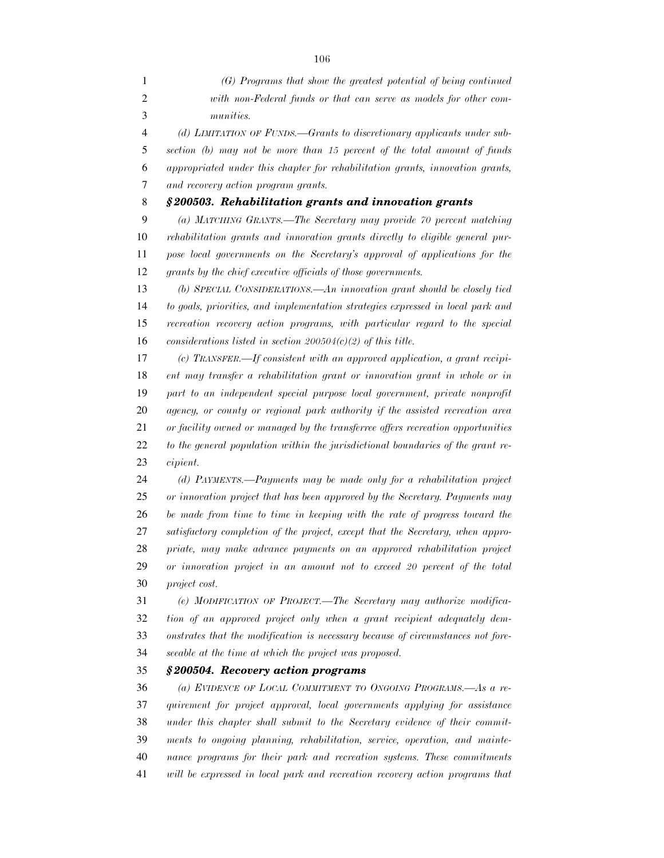*(G) Programs that show the greatest potential of being continued with non-Federal funds or that can serve as models for other com- munities. (d) LIMITATION OF FUNDS.—Grants to discretionary applicants under sub- section (b) may not be more than 15 percent of the total amount of funds appropriated under this chapter for rehabilitation grants, innovation grants, and recovery action program grants. § 200503. Rehabilitation grants and innovation grants (a) MATCHING GRANTS.—The Secretary may provide 70 percent matching rehabilitation grants and innovation grants directly to eligible general pur- pose local governments on the Secretary's approval of applications for the grants by the chief executive officials of those governments. (b) SPECIAL CONSIDERATIONS.—An innovation grant should be closely tied to goals, priorities, and implementation strategies expressed in local park and recreation recovery action programs, with particular regard to the special considerations listed in section 200504(c)(2) of this title. (c) TRANSFER.—If consistent with an approved application, a grant recipi- ent may transfer a rehabilitation grant or innovation grant in whole or in part to an independent special purpose local government, private nonprofit agency, or county or regional park authority if the assisted recreation area or facility owned or managed by the transferree offers recreation opportunities to the general population within the jurisdictional boundaries of the grant re- cipient. (d) PAYMENTS.—Payments may be made only for a rehabilitation project or innovation project that has been approved by the Secretary. Payments may be made from time to time in keeping with the rate of progress toward the satisfactory completion of the project, except that the Secretary, when appro- priate, may make advance payments on an approved rehabilitation project or innovation project in an amount not to exceed 20 percent of the total project cost. (e) MODIFICATION OF PROJECT.—The Secretary may authorize modifica- tion of an approved project only when a grant recipient adequately dem- onstrates that the modification is necessary because of circumstances not fore- seeable at the time at which the project was proposed. § 200504. Recovery action programs (a) EVIDENCE OF LOCAL COMMITMENT TO ONGOING PROGRAMS.—As a re- quirement for project approval, local governments applying for assistance under this chapter shall submit to the Secretary evidence of their commit- ments to ongoing planning, rehabilitation, service, operation, and mainte- nance programs for their park and recreation systems. These commitments will be expressed in local park and recreation recovery action programs that*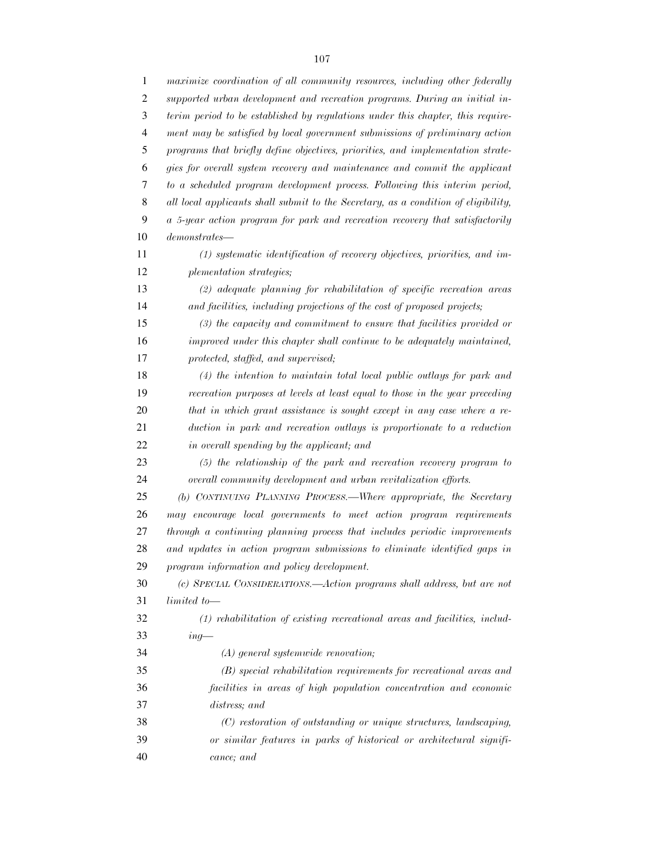*maximize coordination of all community resources, including other federally supported urban development and recreation programs. During an initial in- terim period to be established by regulations under this chapter, this require- ment may be satisfied by local government submissions of preliminary action programs that briefly define objectives, priorities, and implementation strate- gies for overall system recovery and maintenance and commit the applicant to a scheduled program development process. Following this interim period, all local applicants shall submit to the Secretary, as a condition of eligibility, a 5-year action program for park and recreation recovery that satisfactorily demonstrates— (1) systematic identification of recovery objectives, priorities, and im- plementation strategies; (2) adequate planning for rehabilitation of specific recreation areas and facilities, including projections of the cost of proposed projects; (3) the capacity and commitment to ensure that facilities provided or improved under this chapter shall continue to be adequately maintained, protected, staffed, and supervised; (4) the intention to maintain total local public outlays for park and recreation purposes at levels at least equal to those in the year preceding that in which grant assistance is sought except in any case where a re- duction in park and recreation outlays is proportionate to a reduction in overall spending by the applicant; and (5) the relationship of the park and recreation recovery program to overall community development and urban revitalization efforts. (b) CONTINUING PLANNING PROCESS.—Where appropriate, the Secretary may encourage local governments to meet action program requirements through a continuing planning process that includes periodic improvements and updates in action program submissions to eliminate identified gaps in program information and policy development. (c) SPECIAL CONSIDERATIONS.—Action programs shall address, but are not limited to— (1) rehabilitation of existing recreational areas and facilities, includ- ing— (A) general systemwide renovation; (B) special rehabilitation requirements for recreational areas and facilities in areas of high population concentration and economic distress; and (C) restoration of outstanding or unique structures, landscaping, or similar features in parks of historical or architectural signifi-cance; and*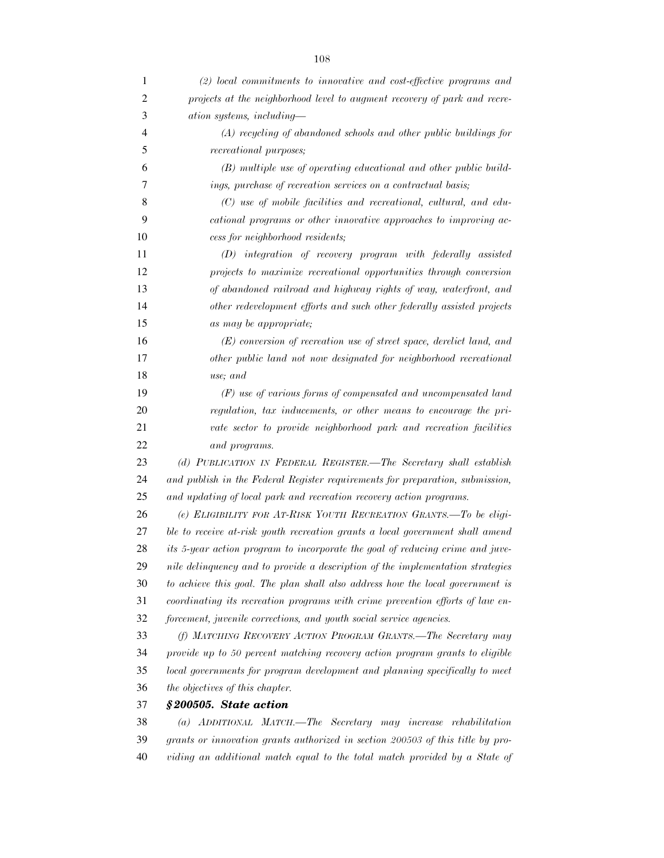| 1              | $(2)$ local commitments to innovative and cost-effective programs and          |
|----------------|--------------------------------------------------------------------------------|
| $\overline{2}$ | projects at the neighborhood level to augment recovery of park and recre-      |
| 3              | ation systems, including—                                                      |
| 4              | (A) recycling of abandoned schools and other public buildings for              |
| 5              | recreational purposes;                                                         |
| 6              | (B) multiple use of operating educational and other public build-              |
| 7              | ings, purchase of recreation services on a contractual basis;                  |
| 8              | (C) use of mobile facilities and recreational, cultural, and edu-              |
| 9              | cational programs or other innovative approaches to improving ac-              |
| 10             | cess for neighborhood residents;                                               |
| 11             | (D) integration of recovery program with federally assisted                    |
| 12             | projects to maximize recreational opportunities through conversion             |
| 13             | of abandoned railroad and highway rights of way, waterfront, and               |
| 14             | other redevelopment efforts and such other federally assisted projects         |
| 15             | as may be appropriate;                                                         |
| 16             | $(E)$ conversion of recreation use of street space, derelict land, and         |
| 17             | other public land not now designated for neighborhood recreational             |
| 18             | use; and                                                                       |
| 19             | $(F)$ use of various forms of compensated and uncompensated land               |
| 20             | regulation, tax inducements, or other means to encourage the pri-              |
| 21             | vate sector to provide neighborhood park and recreation facilities             |
| 22             | and programs.                                                                  |
| 23             | (d) PUBLICATION IN FEDERAL REGISTER.—The Secretary shall establish             |
| 24             | and publish in the Federal Register requirements for preparation, submission,  |
| 25             | and updating of local park and recreation recovery action programs.            |
| 26             | (e) ELIGIBILITY FOR AT-RISK YOUTH RECREATION GRANTS.-To be eligi-              |
| 27             | ble to receive at-risk youth recreation grants a local government shall amend  |
| 28             | its 5-year action program to incorporate the goal of reducing crime and juve-  |
| 29             | nile delinquency and to provide a description of the implementation strategies |
| 30             | to achieve this goal. The plan shall also address how the local government is  |
| 31             | coordinating its recreation programs with crime prevention efforts of law en-  |
| 32             | forcement, juvenile corrections, and youth social service agencies.            |
| 33             | (f) MATCHING RECOVERY ACTION PROGRAM GRANTS.-The Secretary may                 |
| 34             | provide up to 50 percent matching recovery action program grants to eligible   |
| 35             | local governments for program development and planning specifically to meet    |
| 36             | the objectives of this chapter.                                                |
| 37             | §200505. State action                                                          |
| 38             | (a) ADDITIONAL MATCH.-The Secretary may increase rehabilitation                |
| 39             | grants or innovation grants authorized in section 200503 of this title by pro- |

*viding an additional match equal to the total match provided by a State of*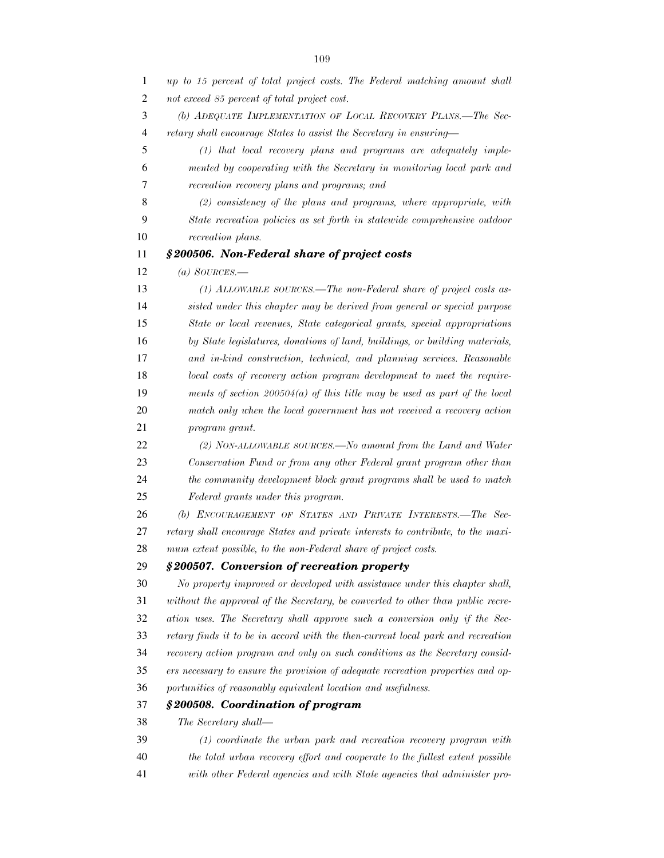*up to 15 percent of total project costs. The Federal matching amount shall not exceed 85 percent of total project cost. (b) ADEQUATE IMPLEMENTATION OF LOCAL RECOVERY PLANS.—The Sec- retary shall encourage States to assist the Secretary in ensuring— (1) that local recovery plans and programs are adequately imple- mented by cooperating with the Secretary in monitoring local park and recreation recovery plans and programs; and (2) consistency of the plans and programs, where appropriate, with State recreation policies as set forth in statewide comprehensive outdoor recreation plans. § 200506. Non-Federal share of project costs (a) SOURCES.— (1) ALLOWABLE SOURCES.—The non-Federal share of project costs as- sisted under this chapter may be derived from general or special purpose State or local revenues, State categorical grants, special appropriations by State legislatures, donations of land, buildings, or building materials, and in-kind construction, technical, and planning services. Reasonable local costs of recovery action program development to meet the require- ments of section 200504(a) of this title may be used as part of the local match only when the local government has not received a recovery action program grant. (2) NON-ALLOWABLE SOURCES.—No amount from the Land and Water Conservation Fund or from any other Federal grant program other than the community development block grant programs shall be used to match Federal grants under this program. (b) ENCOURAGEMENT OF STATES AND PRIVATE INTERESTS.—The Sec- retary shall encourage States and private interests to contribute, to the maxi- mum extent possible, to the non-Federal share of project costs. § 200507. Conversion of recreation property No property improved or developed with assistance under this chapter shall, without the approval of the Secretary, be converted to other than public recre- ation uses. The Secretary shall approve such a conversion only if the Sec- retary finds it to be in accord with the then-current local park and recreation recovery action program and only on such conditions as the Secretary consid- ers necessary to ensure the provision of adequate recreation properties and op- portunities of reasonably equivalent location and usefulness. § 200508. Coordination of program The Secretary shall— (1) coordinate the urban park and recreation recovery program with the total urban recovery effort and cooperate to the fullest extent possible with other Federal agencies and with State agencies that administer pro-*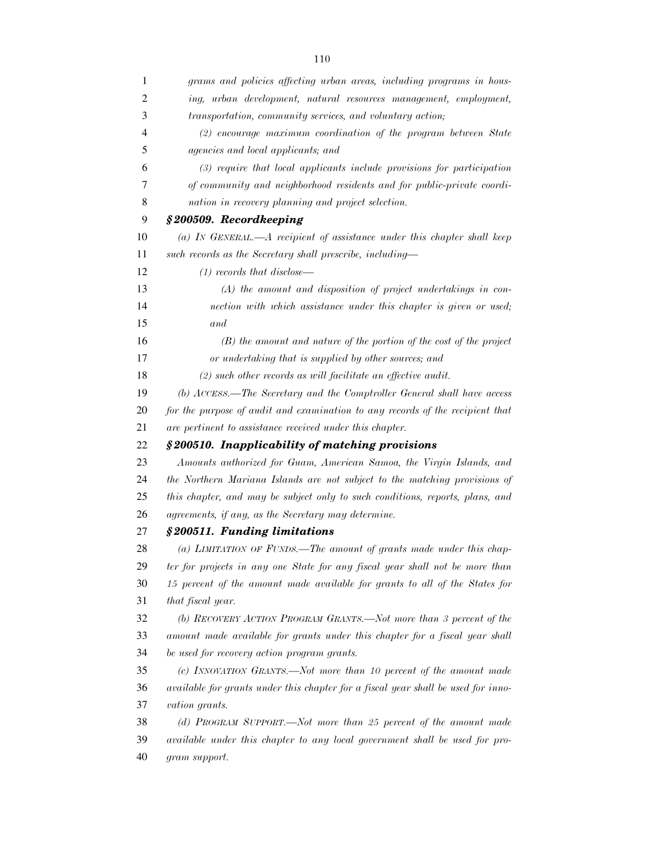| 1  | grams and policies affecting urban areas, including programs in hous-             |
|----|-----------------------------------------------------------------------------------|
| 2  | ing, urban development, natural resources management, employment,                 |
| 3  | transportation, community services, and voluntary action;                         |
| 4  | $(2)$ encourage maximum coordination of the program between State                 |
| 5  | agencies and local applicants; and                                                |
| 6  | (3) require that local applicants include provisions for participation            |
| 7  | of community and neighborhood residents and for public-private coordi-            |
| 8  | nation in recovery planning and project selection.                                |
| 9  | §200509. Recordkeeping                                                            |
| 10 | (a) IN GENERAL.—A recipient of assistance under this chapter shall keep           |
| 11 | such records as the Secretary shall prescribe, including-                         |
| 12 | $(1)$ records that disclose-                                                      |
| 13 | $(A)$ the amount and disposition of project undertakings in con-                  |
| 14 | nection with which assistance under this chapter is given or used;                |
| 15 | and                                                                               |
| 16 | $(B)$ the amount and nature of the portion of the cost of the project             |
| 17 | or undertaking that is supplied by other sources; and                             |
| 18 | $(2)$ such other records as will facilitate an effective audit.                   |
| 19 | (b) ACCESS.—The Secretary and the Comptroller General shall have access           |
| 20 | for the purpose of audit and examination to any records of the recipient that     |
| 21 | are pertinent to assistance received under this chapter.                          |
| 22 | §200510. Inapplicability of matching provisions                                   |
| 23 | Amounts authorized for Guam, American Samoa, the Virgin Islands, and              |
| 24 | the Northern Mariana Islands are not subject to the matching provisions of        |
| 25 | this chapter, and may be subject only to such conditions, reports, plans, and     |
| 26 | agreements, if any, as the Secretary may determine.                               |
| 27 | §200511. Funding limitations                                                      |
| 28 | (a) LIMITATION OF FUNDS.—The amount of grants made under this chap-               |
| 29 | ter for projects in any one State for any fiscal year shall not be more than      |
| 30 | 15 percent of the amount made available for grants to all of the States for       |
| 31 | that fiscal year.                                                                 |
| 32 | (b) RECOVERY ACTION PROGRAM GRANTS.—Not more than 3 percent of the                |
| 33 | amount made available for grants under this chapter for a fiscal year shall       |
| 34 | be used for recovery action program grants.                                       |
| 35 | (c) INNOVATION GRANTS.—Not more than 10 percent of the amount made                |
| 36 | available for grants under this chapter for a fiscal year shall be used for inno- |
| 37 | vation grants.                                                                    |
| 38 | (d) PROGRAM SUPPORT.—Not more than 25 percent of the amount made                  |
| 39 | available under this chapter to any local government shall be used for pro-       |
| 40 | gram support.                                                                     |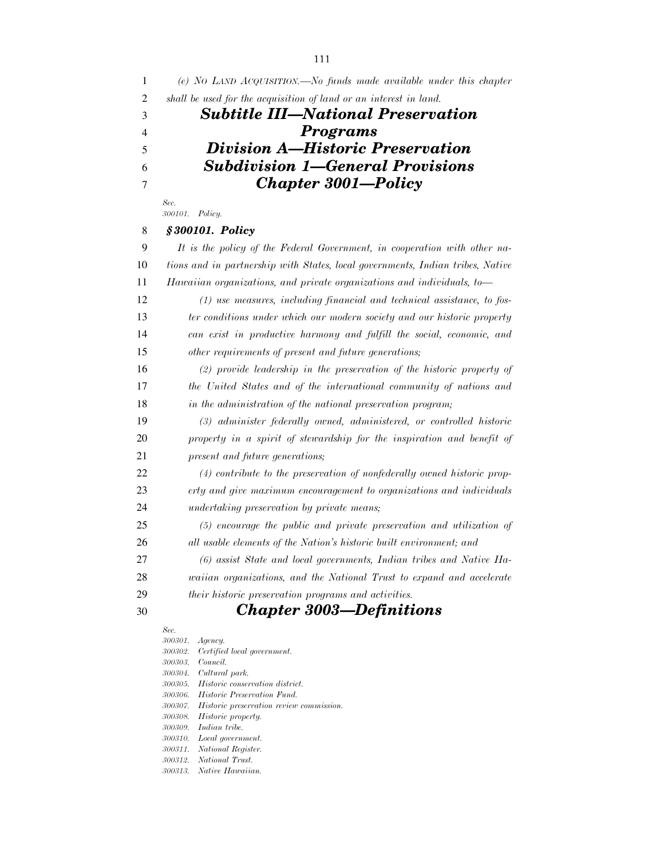| $\mathbf{1}$ | (e) NO LAND ACQUISITION.—No funds made available under this chapter            |
|--------------|--------------------------------------------------------------------------------|
| 2            | shall be used for the acquisition of land or an interest in land.              |
| 3            | <b>Subtitle III—National Preservation</b>                                      |
| 4            | <b>Programs</b>                                                                |
| 5            | <b>Division A-Historic Preservation</b>                                        |
| 6            | <b>Subdivision 1–General Provisions</b>                                        |
| 7            | <b>Chapter 3001-Policy</b>                                                     |
|              | Sec.<br>300101.<br>Policy.                                                     |
| 8            | §300101. Policy                                                                |
| 9            | It is the policy of the Federal Government, in cooperation with other na-      |
| 10           | tions and in partnership with States, local governments, Indian tribes, Native |
| 11           | Hawaiian organizations, and private organizations and individuals, to-         |
| 12           | $(1)$ use measures, including financial and technical assistance, to fos-      |
| 13           | ter conditions under which our modern society and our historic property        |
| 14           | can exist in productive harmony and fulfill the social, economic, and          |
| 15           | other requirements of present and future generations;                          |
| 16           | $(2)$ provide leadership in the preservation of the historic property of       |
| 17           | the United States and of the international community of nations and            |
| 18           | in the administration of the national preservation program;                    |
| 19           | (3) administer federally owned, administered, or controlled historic           |
| 20           | property in a spirit of stewardship for the inspiration and benefit of         |
| 21           | present and future generations;                                                |
| 22           | $(4)$ contribute to the preservation of nonfederally owned historic prop-      |
| 23           | erty and give maximum encouragement to organizations and individuals           |
| 24           | undertaking preservation by private means;                                     |
| 25           | (5) encourage the public and private preservation and utilization of           |
| 26           | all usable elements of the Nation's historic built environment; and            |
| 27           | $(6)$ assist State and local governments, Indian tribes and Native Ha-         |
| 28           | waiian organizations, and the National Trust to expand and accelerate          |
| 29           | their historic preservation programs and activities.                           |
| 30           | <b>Chapter 3003—Definitions</b>                                                |
|              | Sec.<br>300301.<br>Agency.<br>Certified local government<br>300309             |

| 300301. | Agency.                                         |
|---------|-------------------------------------------------|
| 300302. | Certified local government.                     |
| 300303. | Council.                                        |
| 300304. | Cultural park.                                  |
| 300305. | <i>Historic conservation district.</i>          |
| 300306. | <i>Historic Preservation Fund.</i>              |
| 300307. | <i>Historic preservation review commission.</i> |
| 300308. | <i>Historic property.</i>                       |
| 300309. | Indian tribe.                                   |
| 300310. | Local government.                               |
| 300311. | National Register.                              |
| 300312. | National Trust.                                 |
| 300313. | Native Hawaiian.                                |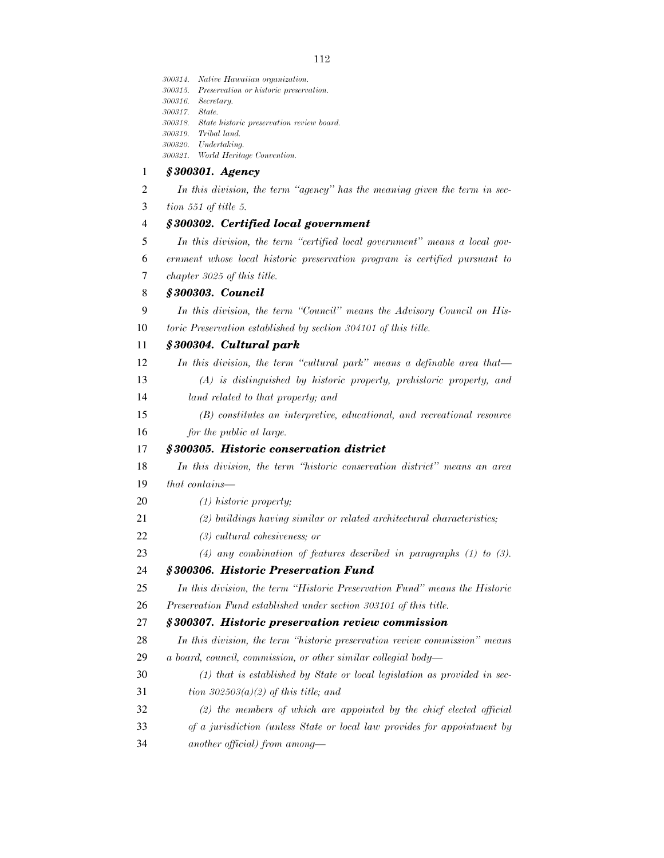*300314. Native Hawaiian organization. 300315. Preservation or historic preservation. 300316. Secretary. 300317. State. 300318. State historic preservation review board. 300319. Tribal land. 300320. Undertaking. 300321. World Heritage Convention.*

# *§ 300301. Agency*

| $\overline{c}$ | In this division, the term "agency" has the meaning given the term in sec- |
|----------------|----------------------------------------------------------------------------|
| 3              | $\mu$ tion 551 of title 5.                                                 |
| 4              | §300302. Certified local government                                        |
| 5              | In this division, the term "certified local government" means a local gov- |
| 6              | ernment whose local historic preservation program is certified pursuant to |
| 7              | chapter 3025 of this title.                                                |
| 8              | §300303. Council                                                           |
| 9              | In this division, the term "Council" means the Advisory Council on His-    |
| 10             | toric Preservation established by section 304101 of this title.            |
| 11             | §300304. Cultural park                                                     |
| 12             | In this division, the term "cultural park" means a definable area that-    |
| 13             | (A) is distinguished by historic property, prehistoric property, and       |
| 14             | land related to that property; and                                         |
| 15             | (B) constitutes an interpretive, educational, and recreational resource    |
| 16             | for the public at large.                                                   |
| 17             | §300305. Historic conservation district                                    |
| 18             | In this division, the term "historic conservation district" means an area  |
| 19             | that contains—                                                             |
| 20             | $(1)$ historic property;                                                   |
| 21             | (2) buildings having similar or related architectural characteristics;     |
| 22             | $(3)$ cultural cohesiveness; or                                            |
| 23             | $(4)$ any combination of features described in paragraphs $(1)$ to $(3)$ . |
| 24             | §300306. Historic Preservation Fund                                        |
| 25             | In this division, the term "Historic Preservation Fund" means the Historic |
| 26             | Preservation Fund established under section 303101 of this title.          |
| 27             | §300307. Historic preservation review commission                           |
| 28             | In this division, the term "historic preservation review commission" means |
| 29             | a board, council, commission, or other similar collegial body—             |
| 30             | (1) that is established by State or local legislation as provided in sec-  |
| 31             | tion $302503(a)(2)$ of this title; and                                     |
| 32             | $(2)$ the members of which are appointed by the chief elected official     |
| 33             | of a jurisdiction (unless State or local law provides for appointment by   |
| 34             | another official) from among-                                              |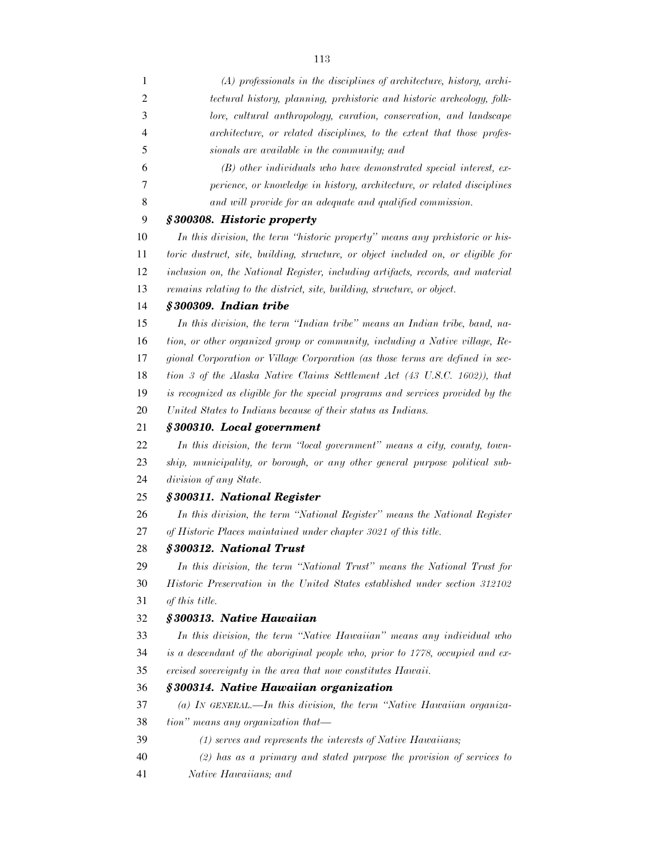| 1  | $(A)$ professionals in the disciplines of architecture, history, archi-           |
|----|-----------------------------------------------------------------------------------|
| 2  | tectural history, planning, prehistoric and historic archeology, folk-            |
| 3  | lore, cultural anthropology, curation, conservation, and landscape                |
| 4  | architecture, or related disciplines, to the extent that those profes-            |
| 5  | sionals are available in the community; and                                       |
| 6  | $(B)$ other individuals who have demonstrated special interest, ex-               |
| 7  | perience, or knowledge in history, architecture, or related disciplines           |
| 8  | and will provide for an adequate and qualified commission.                        |
| 9  | §300308. Historic property                                                        |
| 10 | In this division, the term "historic property" means any prehistoric or his-      |
| 11 | toric dustruct, site, building, structure, or object included on, or eligible for |
| 12 | inclusion on, the National Register, including artifacts, records, and material   |
| 13 | remains relating to the district, site, building, structure, or object.           |
| 14 | §300309. Indian tribe                                                             |
| 15 | In this division, the term "Indian tribe" means an Indian tribe, band, na-        |
| 16 | tion, or other organized group or community, including a Native village, Re-      |
| 17 | gional Corporation or Village Corporation (as those terms are defined in sec-     |
| 18 | tion 3 of the Alaska Native Claims Settlement Act (43 U.S.C. 1602)), that         |
| 19 | is recognized as eligible for the special programs and services provided by the   |
| 20 | United States to Indians because of their status as Indians.                      |
| 21 | §300310. Local government                                                         |
| 22 | In this division, the term "local government" means a city, county, town-         |
| 23 | ship, municipality, or borough, or any other general purpose political sub-       |
| 24 | division of any State.                                                            |
| 25 | §300311. National Register                                                        |
| 26 | In this division, the term "National Register" means the National Register        |
| 27 | of Historic Places maintained under chapter 3021 of this title.                   |
| 28 | §300312. National Trust                                                           |
| 29 | In this division, the term "National Trust" means the National Trust for          |
| 30 | Historic Preservation in the United States established under section 312102       |
| 31 | of this title.                                                                    |
| 32 | §300313. Native Hawaiian                                                          |
| 33 | In this division, the term "Native Hawaiian" means any individual who             |
| 34 | is a descendant of the aboriginal people who, prior to 1778, occupied and ex-     |
| 35 | ercised sovereignty in the area that now constitutes Hawaii.                      |
| 36 | §300314. Native Hawaiian organization                                             |
| 37 | (a) IN GENERAL.—In this division, the term "Native Hawaiian organiza-             |
| 38 | tion" means any organization that-                                                |
| 39 | (1) serves and represents the interests of Native Hawaiians;                      |
| 40 | $(2)$ has as a primary and stated purpose the provision of services to            |
| 41 | Native Hawaiians; and                                                             |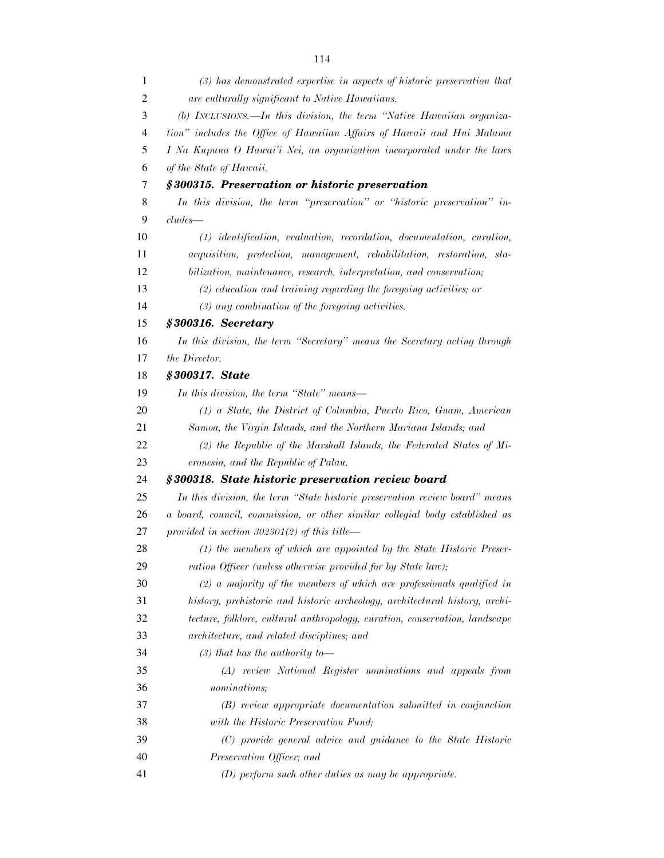| 1  | $(3)$ has demonstrated expertise in aspects of historic preservation that     |
|----|-------------------------------------------------------------------------------|
| 2  | are culturally significant to Native Hawaiians.                               |
| 3  | (b) INCLUSIONS.—In this division, the term "Native Hawaiian organiza-         |
| 4  | tion" includes the Office of Hawaiian Affairs of Hawaii and Hui Malama        |
| 5  | I Na Kupuna O Hawai'i Nei, an organization incorporated under the laws        |
| 6  | of the State of Hawaii.                                                       |
| 7  | §300315. Preservation or historic preservation                                |
| 8  | In this division, the term "preservation" or "historic preservation" in-      |
| 9  | $cludes$ —                                                                    |
| 10 | (1) identification, evaluation, recordation, documentation, curation,         |
| 11 | <i>acquisition, protection, management, rehabilitation, restoration, sta-</i> |
| 12 | bilization, maintenance, research, interpretation, and conservation;          |
| 13 | $(2)$ education and training regarding the foregoing activities; or           |
| 14 | $(3)$ any combination of the foregoing activities.                            |
| 15 | §300316. Secretary                                                            |
| 16 | In this division, the term "Secretary" means the Secretary acting through     |
| 17 | the Director.                                                                 |
| 18 | §300317. State                                                                |
| 19 | In this division, the term "State" means—                                     |
| 20 | (1) a State, the District of Columbia, Puerto Rico, Guam, American            |
| 21 | Samoa, the Virgin Islands, and the Northern Mariana Islands; and              |
| 22 | (2) the Republic of the Marshall Islands, the Federated States of Mi-         |
| 23 | cronesia, and the Republic of Palau.                                          |
| 24 | §300318. State historic preservation review board                             |
| 25 | In this division, the term "State historic preservation review board" means   |
| 26 | a board, council, commission, or other similar collegial body established as  |
| 27 | provided in section $302301(2)$ of this title-                                |
| 28 | $(1)$ the members of which are appointed by the State Historic Preser-        |
| 29 | vation Officer (unless otherwise provided for by State law);                  |
| 30 | $(2)$ a majority of the members of which are professionals qualified in       |
| 31 | history, prehistoric and historic archeology, architectural history, archi-   |
| 32 | tecture, folklore, cultural anthropology, curation, conservation, landscape   |
| 33 | architecture, and related disciplines; and                                    |
| 34 | $(3)$ that has the authority to-                                              |
| 35 | (A) review National Register nominations and appeals from                     |
| 36 | nominations;                                                                  |
| 37 | (B) review appropriate documentation submitted in conjunction                 |
| 38 | with the Historic Preservation Fund;                                          |
| 39 | (C) provide general advice and guidance to the State Historic                 |
| 40 | Preservation Officer; and                                                     |
| 41 | $(D)$ perform such other duties as may be appropriate.                        |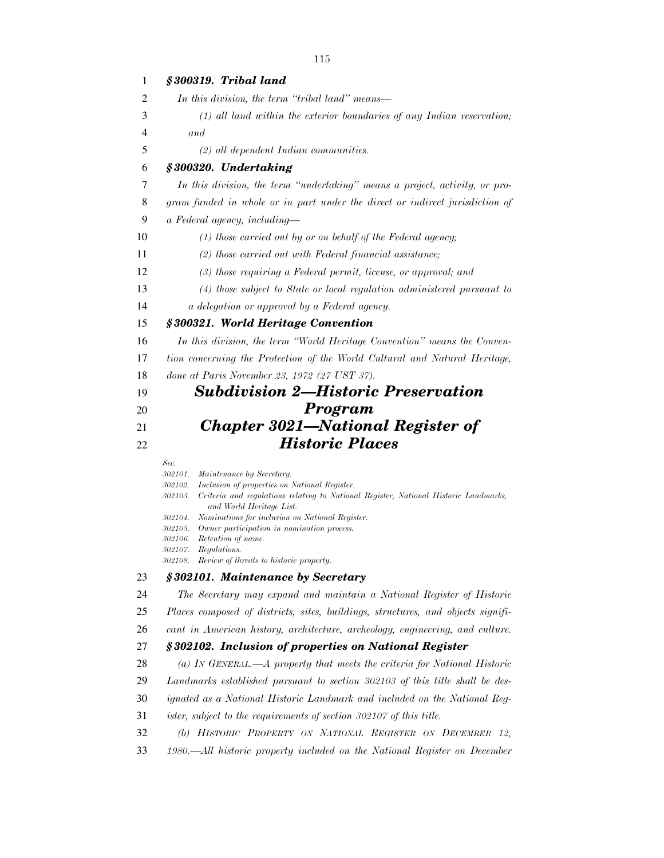| 1  | §300319. Tribal land                                                                                                                                                                                                                                              |
|----|-------------------------------------------------------------------------------------------------------------------------------------------------------------------------------------------------------------------------------------------------------------------|
| 2  | In this division, the term "tribal land" means—                                                                                                                                                                                                                   |
| 3  | $(1)$ all land within the exterior boundaries of any Indian reservation;                                                                                                                                                                                          |
| 4  | and                                                                                                                                                                                                                                                               |
| 5  | $(2)$ all dependent Indian communities.                                                                                                                                                                                                                           |
| 6  | §300320. Undertaking                                                                                                                                                                                                                                              |
| 7  | In this division, the term "undertaking" means a project, activity, or pro-                                                                                                                                                                                       |
| 8  | gram funded in whole or in part under the direct or indirect jurisdiction of                                                                                                                                                                                      |
| 9  | a Federal agency, including-                                                                                                                                                                                                                                      |
| 10 | $(1)$ those carried out by or on behalf of the Federal agency;                                                                                                                                                                                                    |
| 11 | $(2)$ those carried out with Federal financial assistance;                                                                                                                                                                                                        |
| 12 | (3) those requiring a Federal permit, license, or approval; and                                                                                                                                                                                                   |
| 13 | (4) those subject to State or local regulation administered pursuant to                                                                                                                                                                                           |
| 14 | a delegation or approval by a Federal agency.                                                                                                                                                                                                                     |
| 15 | §300321. World Heritage Convention                                                                                                                                                                                                                                |
| 16 | In this division, the term "World Heritage Convention" means the Conven-                                                                                                                                                                                          |
| 17 | tion concerning the Protection of the World Cultural and Natural Heritage,                                                                                                                                                                                        |
| 18 | done at Paris November 23, 1972 (27 UST 37).                                                                                                                                                                                                                      |
| 19 | <b>Subdivision 2–Historic Preservation</b>                                                                                                                                                                                                                        |
| 20 | Program                                                                                                                                                                                                                                                           |
| 21 | <b>Chapter 3021—National Register of</b>                                                                                                                                                                                                                          |
| 22 | <b>Historic Places</b>                                                                                                                                                                                                                                            |
|    | Sec.<br>302101.<br>Maintenance by Secretary.<br>Inclusion of properties on National Register.<br>302102.<br>Criteria and regulations relating to National Register, National Historic Landmarks,<br>302103.                                                       |
|    | and World Heritage List.<br>Nominations for inclusion on National Register.<br>302104.<br>302105.<br>Owner participation in nomination process.<br>Retention of name.<br>302106.<br>Regulations.<br>302107.<br>Review of threats to historic property.<br>302108. |
| 23 | §302101. Maintenance by Secretary                                                                                                                                                                                                                                 |
| 24 | The Secretary may expand and maintain a National Register of Historic                                                                                                                                                                                             |
| 25 | Places composed of districts, sites, buildings, structures, and objects signifi-                                                                                                                                                                                  |
| 26 | cant in American history, architecture, archeology, engineering, and culture.                                                                                                                                                                                     |
| 27 | §302102. Inclusion of properties on National Register                                                                                                                                                                                                             |
| 28 | (a) IN GENERAL.—A property that meets the criteria for National Historic                                                                                                                                                                                          |
| 29 | Landmarks established pursuant to section 302103 of this title shall be des-                                                                                                                                                                                      |
| 30 | ignated as a National Historic Landmark and included on the National Reg-                                                                                                                                                                                         |
| 31 | ister, subject to the requirements of section 302107 of this title.                                                                                                                                                                                               |
| 32 | (b) HISTORIC PROPERTY ON NATIONAL REGISTER ON DECEMBER 12,                                                                                                                                                                                                        |

*1980.—All historic property included on the National Register on December*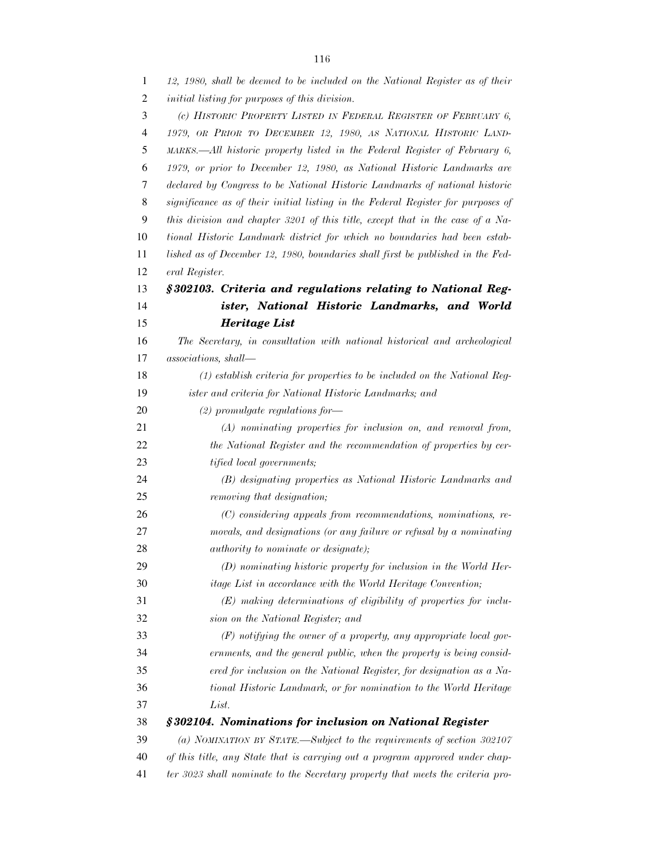| $\mathbf{1}$   | 12, 1980, shall be deemed to be included on the National Register as of their    |
|----------------|----------------------------------------------------------------------------------|
| $\overline{c}$ | initial listing for purposes of this division.                                   |
| 3              | (c) HISTORIC PROPERTY LISTED IN FEDERAL REGISTER OF FEBRUARY 6,                  |
| 4              | 1979, OR PRIOR TO DECEMBER 12, 1980, AS NATIONAL HISTORIC LAND-                  |
| 5              | MARKS.—All historic property listed in the Federal Register of February 6,       |
| 6              | 1979, or prior to December 12, 1980, as National Historic Landmarks are          |
| 7              | declared by Congress to be National Historic Landmarks of national historic      |
| 8              | significance as of their initial listing in the Federal Register for purposes of |
| 9              | this division and chapter 3201 of this title, except that in the case of a Na-   |
| 10             | tional Historic Landmark district for which no boundaries had been estab-        |
| 11             | lished as of December 12, 1980, boundaries shall first be published in the Fed-  |
| 12             | eral Register.                                                                   |
| 13             | §302103. Criteria and regulations relating to National Reg-                      |
| 14             | ister, National Historic Landmarks, and World                                    |
| 15             | <b>Heritage List</b>                                                             |
| 16             | The Secretary, in consultation with national historical and archeological        |
| 17             | associations, shall—                                                             |
| 18             | $(1)$ establish criteria for properties to be included on the National Reg-      |
| 19             | ister and criteria for National Historic Landmarks; and                          |
| 20             | $(2)$ promulgate regulations for-                                                |
| 21             | (A) nominating properties for inclusion on, and removal from,                    |
| 22             | the National Register and the recommendation of properties by cer-               |
| 23             | tified local governments;                                                        |
| 24             | (B) designating properties as National Historic Landmarks and                    |
| 25             | removing that designation;                                                       |
| 26             | $(C)$ considering appeals from recommendations, nominations, re-                 |
| 27             | movals, and designations (or any failure or refusal by a nominating              |
| 28             | <i>authority to nominate or designate)</i> ;                                     |
| 29             | (D) nominating historic property for inclusion in the World Her-                 |
| 30             | <i>itage List in accordance with the World Heritage Convention;</i>              |
| 31             | $(E)$ making determinations of eligibility of properties for inclu-              |
| 32             | sion on the National Register; and                                               |
| 33             | $(F)$ notifying the owner of a property, any appropriate local gov-              |
| 34             | ernments, and the general public, when the property is being consid-             |
| 35             | ered for inclusion on the National Register, for designation as a Na-            |
| 36             | tional Historic Landmark, or for nomination to the World Heritage                |
| 37             | List.                                                                            |
| 38             | §302104. Nominations for inclusion on National Register                          |
| 39             | (a) NOMINATION BY STATE.—Subject to the requirements of section 302107           |
| 40             | of this title, any State that is carrying out a program approved under chap-     |
| 41             | ter 3023 shall nominate to the Secretary property that meets the criteria pro-   |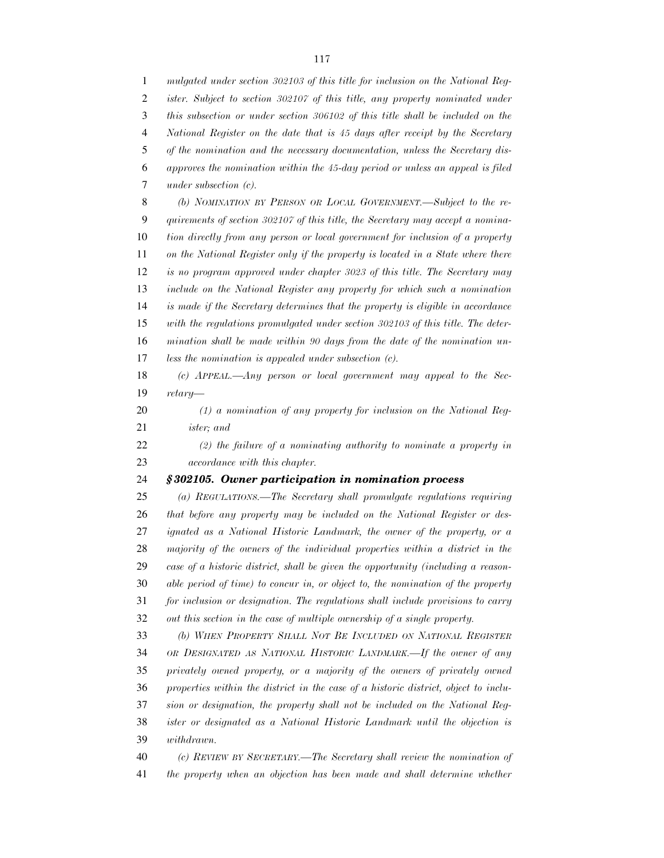*mulgated under section 302103 of this title for inclusion on the National Reg- ister. Subject to section 302107 of this title, any property nominated under this subsection or under section 306102 of this title shall be included on the National Register on the date that is 45 days after receipt by the Secretary of the nomination and the necessary documentation, unless the Secretary dis- approves the nomination within the 45-day period or unless an appeal is filed under subsection (c). (b) NOMINATION BY PERSON OR LOCAL GOVERNMENT.—Subject to the re- quirements of section 302107 of this title, the Secretary may accept a nomina- tion directly from any person or local government for inclusion of a property on the National Register only if the property is located in a State where there is no program approved under chapter 3023 of this title. The Secretary may include on the National Register any property for which such a nomination is made if the Secretary determines that the property is eligible in accordance with the regulations promulgated under section 302103 of this title. The deter- mination shall be made within 90 days from the date of the nomination un- less the nomination is appealed under subsection (c). (c) APPEAL.—Any person or local government may appeal to the Sec- retary— (1) a nomination of any property for inclusion on the National Reg- ister; and (2) the failure of a nominating authority to nominate a property in accordance with this chapter. § 302105. Owner participation in nomination process (a) REGULATIONS.—The Secretary shall promulgate regulations requiring that before any property may be included on the National Register or des- ignated as a National Historic Landmark, the owner of the property, or a majority of the owners of the individual properties within a district in the case of a historic district, shall be given the opportunity (including a reason- able period of time) to concur in, or object to, the nomination of the property for inclusion or designation. The regulations shall include provisions to carry out this section in the case of multiple ownership of a single property. (b) WHEN PROPERTY SHALL NOT BE INCLUDED ON NATIONAL REGISTER OR DESIGNATED AS NATIONAL HISTORIC LANDMARK.—If the owner of any privately owned property, or a majority of the owners of privately owned properties within the district in the case of a historic district, object to inclu- sion or designation, the property shall not be included on the National Reg- ister or designated as a National Historic Landmark until the objection is withdrawn. (c) REVIEW BY SECRETARY.—The Secretary shall review the nomination of the property when an objection has been made and shall determine whether*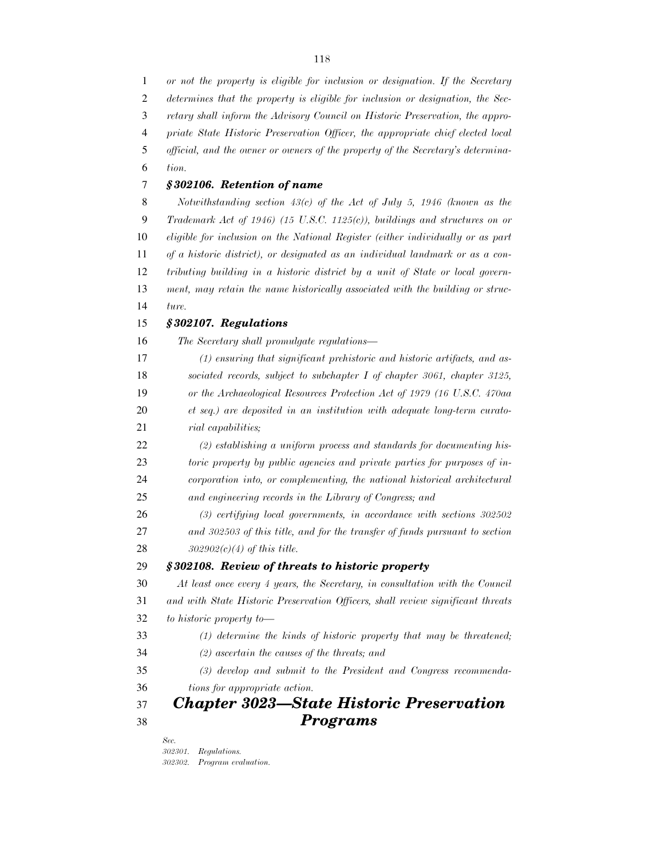| $\mathbf{1}$   | or not the property is eligible for inclusion or designation. If the Secretary  |
|----------------|---------------------------------------------------------------------------------|
| $\overline{c}$ | determines that the property is eligible for inclusion or designation, the Sec- |
| 3              | retary shall inform the Advisory Council on Historic Preservation, the appro-   |
| 4              | priate State Historic Preservation Officer, the appropriate chief elected local |
| 5              | official, and the owner or owners of the property of the Secretary's determina- |
| 6              | tion.                                                                           |
| 7              | §302106. Retention of name                                                      |
| 8              | Notwithstanding section $43(c)$ of the Act of July 5, 1946 (known as the        |
| 9              | Trademark Act of 1946) (15 U.S.C. 1125 $(c)$ ), buildings and structures on or  |
| 10             | eligible for inclusion on the National Register (either individually or as part |
| 11             | of a historic district), or designated as an individual landmark or as a con-   |
| 12             | tributing building in a historic district by a unit of State or local govern-   |
| 13             | ment, may retain the name historically associated with the building or struc-   |
| 14             | ture.                                                                           |
| 15             | §302107. Regulations                                                            |
| 16             | The Secretary shall promulgate regulations—                                     |
| 17             | (1) ensuring that significant prehistoric and historic artifacts, and as-       |
| 18             | sociated records, subject to subchapter $I$ of chapter 3061, chapter 3125,      |
| 19             | or the Archaeological Resources Protection Act of 1979 (16 U.S.C. 470aa         |
| 20             | et seq.) are deposited in an institution with adequate long-term curato-        |
| 21             | rial capabilities;                                                              |
| 22             | $(2)$ establishing a uniform process and standards for documenting his-         |
| 23             | toric property by public agencies and private parties for purposes of in-       |
| 24             | corporation into, or complementing, the national historical architectural       |
| 25             | and engineering records in the Library of Congress; and                         |
| 26             | $(3)$ certifying local governments, in accordance with sections 302502          |
| 27             | and 302503 of this title, and for the transfer of funds pursuant to section     |
| 28             | $302902(c)(4)$ of this title.                                                   |
| 29             | §302108. Review of threats to historic property                                 |
| 30             | At least once every 4 years, the Secretary, in consultation with the Council    |
| 31             | and with State Historic Preservation Officers, shall review significant threats |
| 32             | to historic property to-                                                        |
| 33             | $(1)$ determine the kinds of historic property that may be threatened;          |
| 34             | $(2)$ ascertain the causes of the threats; and                                  |
| 35             | (3) develop and submit to the President and Congress recommenda-                |
| 36             | tions for appropriate action.                                                   |
| 37             | <b>Chapter 3023—State Historic Preservation</b>                                 |
| 38             | Programs                                                                        |
|                | Sec.                                                                            |

*302301. Regulations. 302302. Program evaluation.*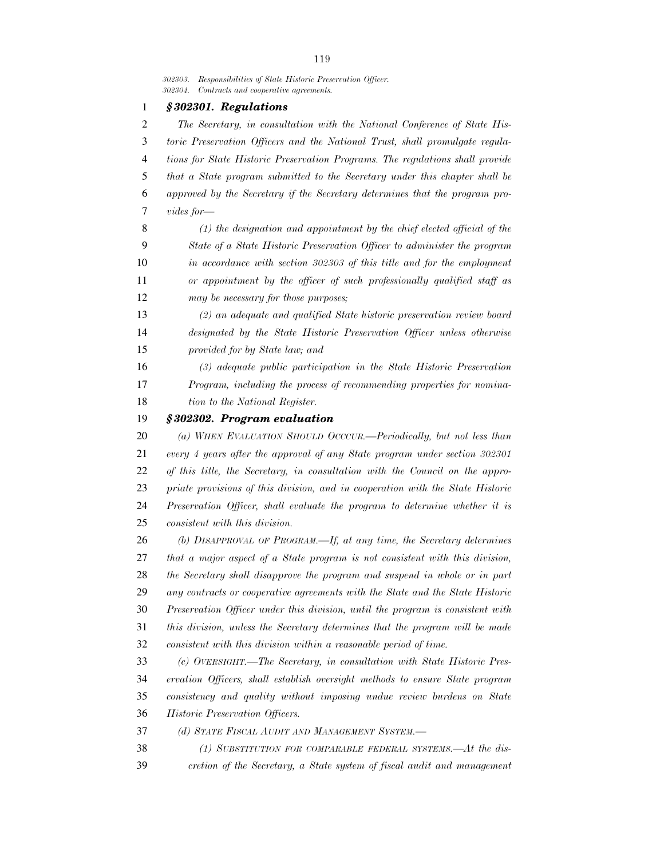*302303. Responsibilities of State Historic Preservation Officer. 302304. Contracts and cooperative agreements.*

### *§ 302301. Regulations*

 *The Secretary, in consultation with the National Conference of State His- toric Preservation Officers and the National Trust, shall promulgate regula- tions for State Historic Preservation Programs. The regulations shall provide that a State program submitted to the Secretary under this chapter shall be approved by the Secretary if the Secretary determines that the program pro- vides for— (1) the designation and appointment by the chief elected official of the State of a State Historic Preservation Officer to administer the program in accordance with section 302303 of this title and for the employment or appointment by the officer of such professionally qualified staff as may be necessary for those purposes; (2) an adequate and qualified State historic preservation review board designated by the State Historic Preservation Officer unless otherwise provided for by State law; and (3) adequate public participation in the State Historic Preservation Program, including the process of recommending properties for nomina- tion to the National Register. § 302302. Program evaluation (a) WHEN EVALUATION SHOULD OCCCUR.—Periodically, but not less than every 4 years after the approval of any State program under section 302301 of this title, the Secretary, in consultation with the Council on the appro- priate provisions of this division, and in cooperation with the State Historic Preservation Officer, shall evaluate the program to determine whether it is consistent with this division. (b) DISAPPROVAL OF PROGRAM.—If, at any time, the Secretary determines that a major aspect of a State program is not consistent with this division, the Secretary shall disapprove the program and suspend in whole or in part any contracts or cooperative agreements with the State and the State Historic Preservation Officer under this division, until the program is consistent with this division, unless the Secretary determines that the program will be made consistent with this division within a reasonable period of time. (c) OVERSIGHT.—The Secretary, in consultation with State Historic Pres- ervation Officers, shall establish oversight methods to ensure State program consistency and quality without imposing undue review burdens on State Historic Preservation Officers. (d) STATE FISCAL AUDIT AND MANAGEMENT SYSTEM.— (1) SUBSTITUTION FOR COMPARABLE FEDERAL SYSTEMS.—At the dis-cretion of the Secretary, a State system of fiscal audit and management*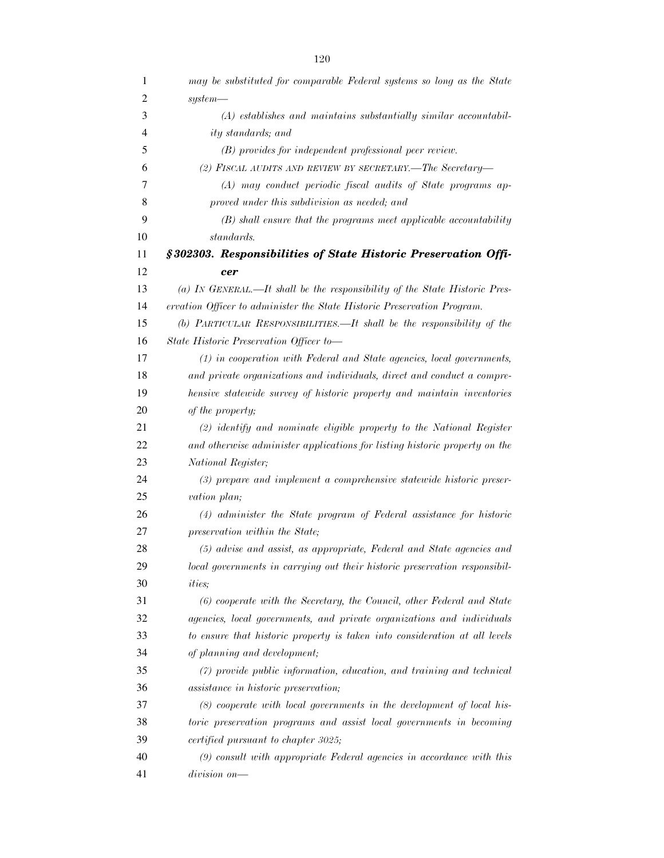| 1  | may be substituted for comparable Federal systems so long as the State     |
|----|----------------------------------------------------------------------------|
| 2  | system-                                                                    |
| 3  | $(A)$ establishes and maintains substantially similar accountabil-         |
| 4  | ity standards; and                                                         |
| 5  | (B) provides for independent professional peer review.                     |
| 6  | (2) FISCAL AUDITS AND REVIEW BY SECRETARY.—The Secretary—                  |
| 7  | (A) may conduct periodic fiscal audits of State programs ap-               |
| 8  | proved under this subdivision as needed; and                               |
| 9  | $(B)$ shall ensure that the programs meet applicable accountability        |
| 10 | standards.                                                                 |
| 11 | §302303. Responsibilities of State Historic Preservation Offi-             |
| 12 | <b>cer</b>                                                                 |
| 13 | (a) IN GENERAL.—It shall be the responsibility of the State Historic Pres- |
| 14 | ervation Officer to administer the State Historic Preservation Program.    |
| 15 | (b) PARTICULAR RESPONSIBILITIES.—It shall be the responsibility of the     |
| 16 | State Historic Preservation Officer to-                                    |
| 17 | (1) in cooperation with Federal and State agencies, local governments,     |
| 18 | and private organizations and individuals, direct and conduct a compre-    |
| 19 | hensive statewide survey of historic property and maintain inventories     |
| 20 | of the property;                                                           |
| 21 | (2) identify and nominate eligible property to the National Register       |
| 22 | and otherwise administer applications for listing historic property on the |
| 23 | National Register;                                                         |
| 24 | (3) prepare and implement a comprehensive statewide historic preser-       |
| 25 | vation plan;                                                               |
| 26 | (4) administer the State program of Federal assistance for historic        |
| 27 | preservation within the State;                                             |
| 28 | (5) advise and assist, as appropriate, Federal and State agencies and      |
| 29 | local governments in carrying out their historic preservation responsibil- |
| 30 | <i>ities</i> ;                                                             |
| 31 | (6) cooperate with the Secretary, the Council, other Federal and State     |
| 32 | agencies, local governments, and private organizations and individuals     |
| 33 | to ensure that historic property is taken into consideration at all levels |
| 34 | of planning and development;                                               |
| 35 | (7) provide public information, education, and training and technical      |
| 36 | <i>assistance in historic preservation;</i>                                |
| 37 | $(8)$ cooperate with local governments in the development of local his-    |
| 38 | toric preservation programs and assist local governments in becoming       |
| 39 | certified pursuant to chapter 3025;                                        |
| 40 | (9) consult with appropriate Federal agencies in accordance with this      |
| 41 | division on-                                                               |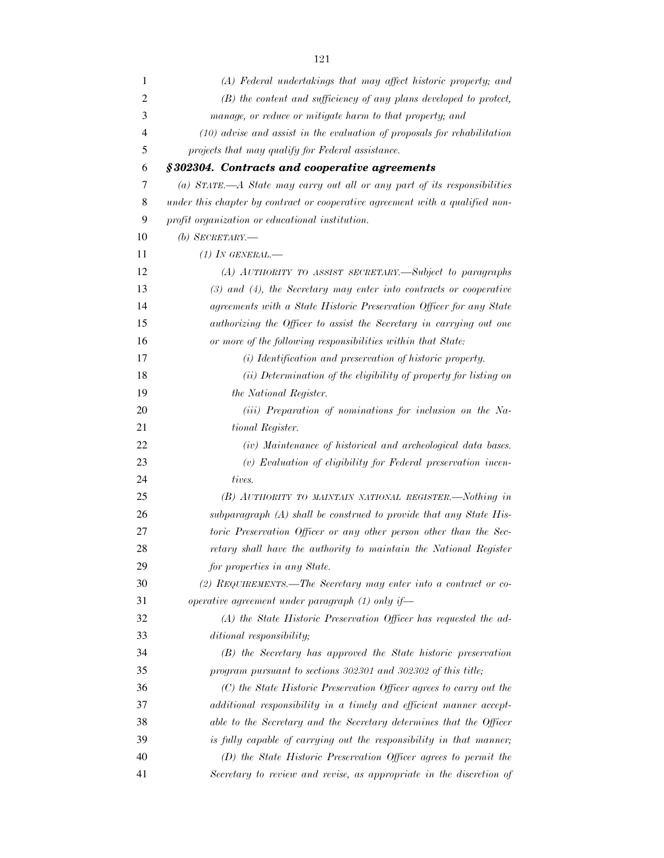| 1              | (A) Federal undertakings that may affect historic property; and               |
|----------------|-------------------------------------------------------------------------------|
| $\overline{c}$ | $(B)$ the content and sufficiency of any plans developed to protect,          |
| 3              | manage, or reduce or mitigate harm to that property; and                      |
| $\overline{4}$ | $(10)$ advise and assist in the evaluation of proposals for rehabilitation    |
| 5              | projects that may qualify for Federal assistance.                             |
| 6              | §302304. Contracts and cooperative agreements                                 |
| 7              | (a) STATE.—A State may carry out all or any part of its responsibilities      |
| 8              | under this chapter by contract or cooperative agreement with a qualified non- |
| 9              | profit organization or educational institution.                               |
| 10             | (b) SECRETARY.—                                                               |
| 11             | $(1)$ IN GENERAL.-                                                            |
| 12             | (A) AUTHORITY TO ASSIST SECRETARY.—Subject to paragraphs                      |
| 13             | $(3)$ and $(4)$ , the Secretary may enter into contracts or cooperative       |
| 14             | agreements with a State Historic Preservation Officer for any State           |
| 15             | authorizing the Officer to assist the Secretary in carrying out one           |
| 16             | or more of the following responsibilities within that State:                  |
| 17             | (i) Identification and preservation of historic property.                     |
| 18             | (ii) Determination of the eligibility of property for listing on              |
| 19             | the National Register.                                                        |
| 20             | (iii) Preparation of nominations for inclusion on the Na-                     |
| 21             | tional Register.                                                              |
| 22             | (iv) Maintenance of historical and archeological data bases.                  |
| 23             | $(v)$ Evaluation of eligibility for Federal preservation incen-               |
| 24             | tives.                                                                        |
| 25             | (B) AUTHORITY TO MAINTAIN NATIONAL REGISTER.—Nothing in                       |
| 26             | subparagraph $(A)$ shall be construed to provide that any State His-          |
| 27             | toric Preservation Officer or any other person other than the Sec-            |
| 28             | retary shall have the authority to maintain the National Register             |
| 29             | for properties in any State.                                                  |
| 30             | (2) REQUIREMENTS.—The Secretary may enter into a contract or co-              |
| 31             | operative agreement under paragraph $(1)$ only if—                            |
| 32             | (A) the State Historic Preservation Officer has requested the ad-             |
| 33             | ditional responsibility;                                                      |
| 34             | (B) the Secretary has approved the State historic preservation                |
| 35             | program pursuant to sections 302301 and 302302 of this title;                 |
| 36             | (C) the State Historic Preservation Officer agrees to carry out the           |
| 37             | additional responsibility in a timely and efficient manner accept-            |
| 38             | able to the Secretary and the Secretary determines that the Officer           |
| 39             | is fully capable of carrying out the responsibility in that manner;           |
| 40             | (D) the State Historic Preservation Officer agrees to permit the              |
| 41             | Secretary to review and revise, as appropriate in the discretion of           |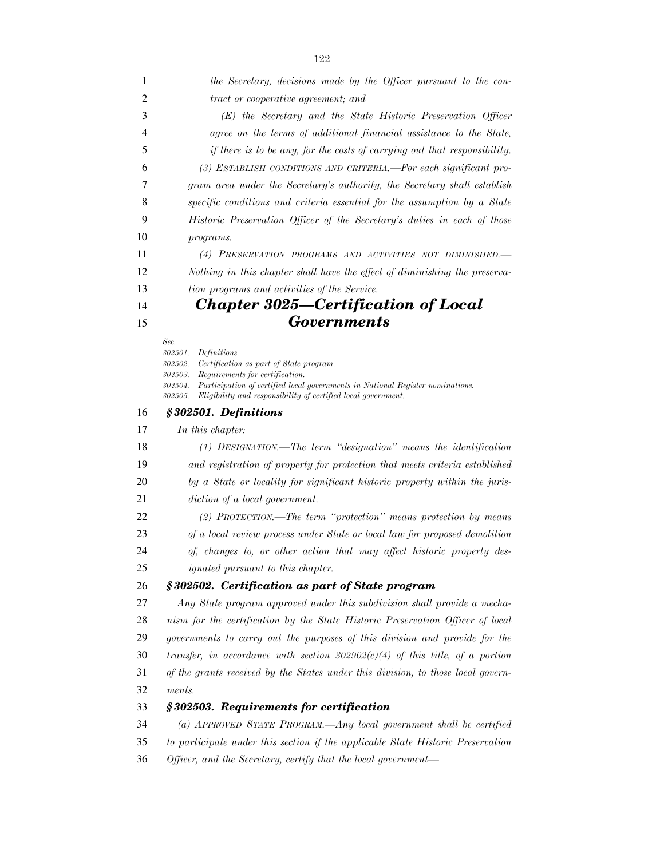*the Secretary, decisions made by the Officer pursuant to the con- tract or cooperative agreement; and (E) the Secretary and the State Historic Preservation Officer agree on the terms of additional financial assistance to the State, if there is to be any, for the costs of carrying out that responsibility. (3) ESTABLISH CONDITIONS AND CRITERIA.—For each significant pro- gram area under the Secretary's authority, the Secretary shall establish specific conditions and criteria essential for the assumption by a State Historic Preservation Officer of the Secretary's duties in each of those programs. (4) PRESERVATION PROGRAMS AND ACTIVITIES NOT DIMINISHED.— Nothing in this chapter shall have the effect of diminishing the preserva- tion programs and activities of the Service. Chapter 3025—Certification of Local Governments Sec. 302501. Definitions. 302502. Certification as part of State program. 302503. Reguirements for certification. 302504. Participation of certified local governments in National Register nominations. 302505. Eligibility and responsibility of certified local government. § 302501. Definitions In this chapter: (1) DESIGNATION.—The term ''designation'' means the identification and registration of property for protection that meets criteria established by a State or locality for significant historic property within the juris-diction of a local government.*

 *(2) PROTECTION.—The term ''protection'' means protection by means of a local review process under State or local law for proposed demolition of, changes to, or other action that may affect historic property des-ignated pursuant to this chapter.*

### *§ 302502. Certification as part of State program*

 *Any State program approved under this subdivision shall provide a mecha- nism for the certification by the State Historic Preservation Officer of local governments to carry out the purposes of this division and provide for the transfer, in accordance with section 302902(c)(4) of this title, of a portion of the grants received by the States under this division, to those local govern- ments. § 302503. Requirements for certification*

*(a) APPROVED STATE PROGRAM.—Any local government shall be certified*

*to participate under this section if the applicable State Historic Preservation*

*Officer, and the Secretary, certify that the local government—*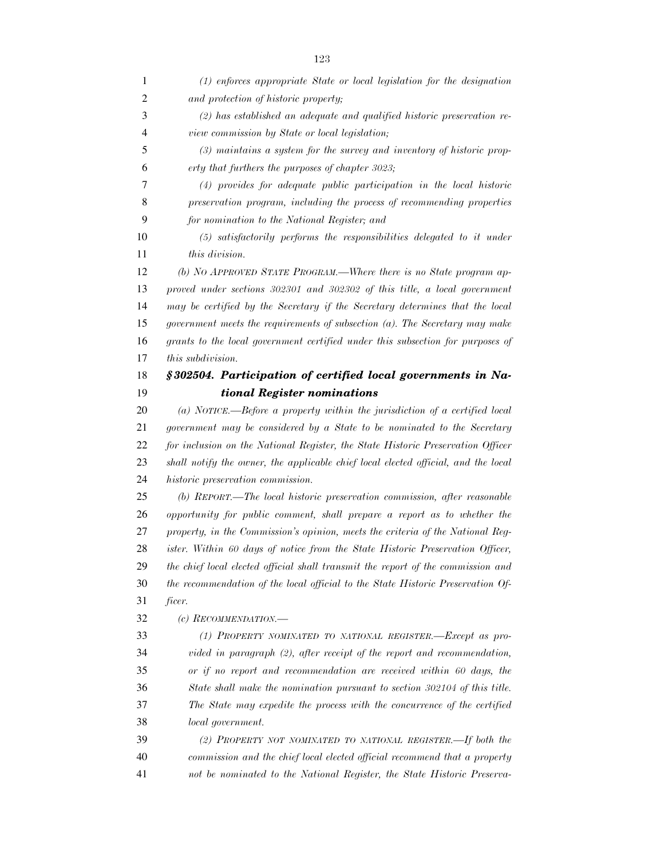| 1              | $(1)$ enforces appropriate State or local legislation for the designation          |
|----------------|------------------------------------------------------------------------------------|
| $\overline{2}$ | and protection of historic property;                                               |
| 3              | $(2)$ has established an adequate and qualified historic preservation re-          |
| 4              | view commission by State or local legislation;                                     |
| 5              | $(3)$ maintains a system for the survey and inventory of historic prop-            |
| 6              | erty that furthers the purposes of chapter 3023;                                   |
| 7              | (4) provides for adequate public participation in the local historic               |
| 8              | preservation program, including the process of recommending properties             |
| 9              | for nomination to the National Register; and                                       |
| 10             | $(5)$ satisfactorily performs the responsibilities delegated to it under           |
| 11             | this division.                                                                     |
| 12             | (b) NO APPROVED STATE PROGRAM.—Where there is no State program ap-                 |
| 13             | proved under sections 302301 and 302302 of this title, a local government          |
| 14             | may be certified by the Secretary if the Secretary determines that the local       |
| 15             | government meets the requirements of subsection $(a)$ . The Secretary may make     |
| 16             | grants to the local government certified under this subsection for purposes of     |
| 17             | this subdivision.                                                                  |
| 18             | §302504. Participation of certified local governments in Na-                       |
| 19             | tional Register nominations                                                        |
| 20             | (a) NOTICE.—Before a property within the jurisdiction of a certified local         |
| 21             | government may be considered by a State to be nominated to the Secretary           |
| 22             | for inclusion on the National Register, the State Historic Preservation Officer    |
| 23             | shall notify the owner, the applicable chief local elected official, and the local |
| 24             | historic preservation commission.                                                  |
| 25             | (b) REPORT.—The local historic preservation commission, after reasonable           |
| 26             | opportunity for public comment, shall prepare a report as to whether the           |
| 27             | property, in the Commission's opinion, meets the criteria of the National Reg-     |
| 28             | ister. Within 60 days of notice from the State Historic Preservation Officer,      |
| 29             | the chief local elected official shall transmit the report of the commission and   |
| 30             | the recommendation of the local official to the State Historic Preservation Of-    |
| 31             | ficer.                                                                             |
| 32             | (c) RECOMMENDATION.—                                                               |
| 33             | (1) PROPERTY NOMINATED TO NATIONAL REGISTER.-Except as pro-                        |
| 34             | vided in paragraph (2), after receipt of the report and recommendation,            |
| 35             | or if no report and recommendation are received within 60 days, the                |
| 36             | State shall make the nomination pursuant to section 302104 of this title.          |
| 37             | The State may expedite the process with the concurrence of the certified           |
| 38             | local government.                                                                  |
| 39             | (2) PROPERTY NOT NOMINATED TO NATIONAL REGISTER.—If both the                       |
| 40             | commission and the chief local elected official recommend that a property          |
| 41             | not be nominated to the National Register, the State Historic Preserva-            |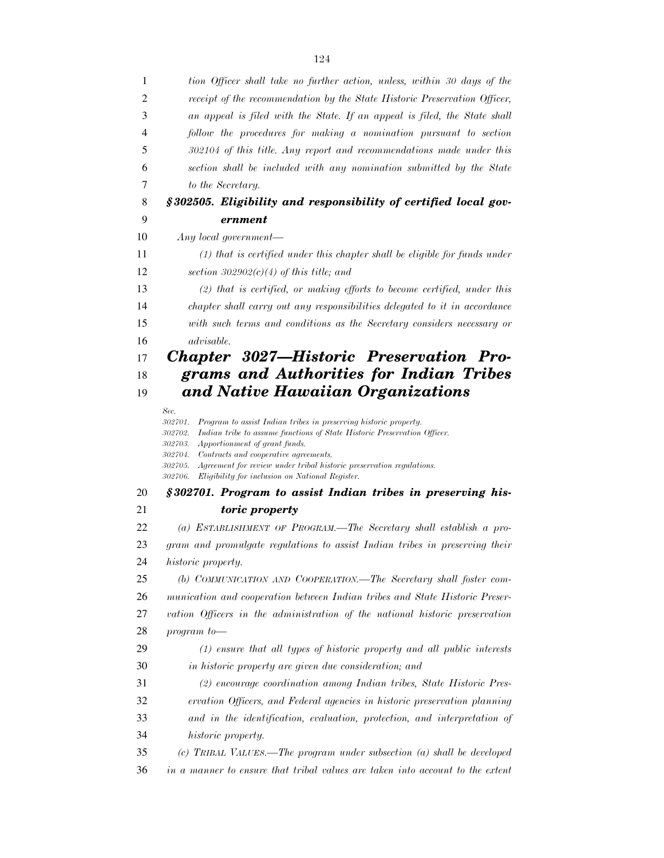*tion Officer shall take no further action, unless, within 30 days of the receipt of the recommendation by the State Historic Preservation Officer, an appeal is filed with the State. If an appeal is filed, the State shall follow the procedures for making a nomination pursuant to section 302104 of this title. Any report and recommendations made under this section shall be included with any nomination submitted by the State to the Secretary. § 302505. Eligibility and responsibility of certified local gov- ernment Any local government— (1) that is certified under this chapter shall be eligible for funds under section 302902(c)(4) of this title; and (2) that is certified, or making efforts to become certified, under this chapter shall carry out any responsibilities delegated to it in accordance with such terms and conditions as the Secretary considers necessary or advisable. Chapter 3027—Historic Preservation Pro- grams and Authorities for Indian Tribes and Native Hawaiian Organizations Sec. 302701. Program to assist Indian tribes in preserving historic property. 302702. Indian tribe to assume functions of State Historic Preservation Officer. 302703. Apportionment of grant funds. 302704. Contracts and cooperative agreements. 302705. Agreement for review under tribal historic preservation regulations. 302706. Eligibility for inclusion on National Register. § 302701. Program to assist Indian tribes in preserving his- toric property (a) ESTABLISHMENT OF PROGRAM.—The Secretary shall establish a pro- gram and promulgate regulations to assist Indian tribes in preserving their historic property. (b) COMMUNICATION AND COOPERATION.—The Secretary shall foster com- munication and cooperation between Indian tribes and State Historic Preser- vation Officers in the administration of the national historic preservation program to— (1) ensure that all types of historic property and all public interests in historic property are given due consideration; and (2) encourage coordination among Indian tribes, State Historic Pres- ervation Officers, and Federal agencies in historic preservation planning and in the identification, evaluation, protection, and interpretation of historic property. (c) TRIBAL VALUES.—The program under subsection (a) shall be developed in a manner to ensure that tribal values are taken into account to the extent*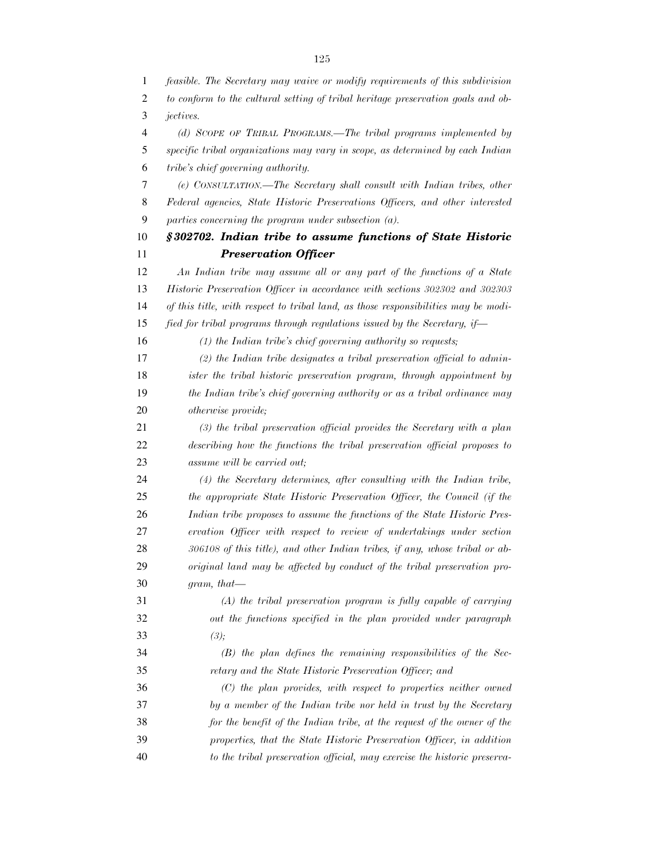*feasible. The Secretary may waive or modify requirements of this subdivision to conform to the cultural setting of tribal heritage preservation goals and ob- jectives. (d) SCOPE OF TRIBAL PROGRAMS.—The tribal programs implemented by specific tribal organizations may vary in scope, as determined by each Indian tribe's chief governing authority. (e) CONSULTATION.—The Secretary shall consult with Indian tribes, other Federal agencies, State Historic Preservations Officers, and other interested parties concerning the program under subsection (a). § 302702. Indian tribe to assume functions of State Historic Preservation Officer An Indian tribe may assume all or any part of the functions of a State Historic Preservation Officer in accordance with sections 302302 and 302303 of this title, with respect to tribal land, as those responsibilities may be modi- fied for tribal programs through regulations issued by the Secretary, if— (1) the Indian tribe's chief governing authority so requests; (2) the Indian tribe designates a tribal preservation official to admin- ister the tribal historic preservation program, through appointment by the Indian tribe's chief governing authority or as a tribal ordinance may otherwise provide; (3) the tribal preservation official provides the Secretary with a plan describing how the functions the tribal preservation official proposes to assume will be carried out; (4) the Secretary determines, after consulting with the Indian tribe, the appropriate State Historic Preservation Officer, the Council (if the Indian tribe proposes to assume the functions of the State Historic Pres- ervation Officer with respect to review of undertakings under section 306108 of this title), and other Indian tribes, if any, whose tribal or ab- original land may be affected by conduct of the tribal preservation pro- gram, that— (A) the tribal preservation program is fully capable of carrying out the functions specified in the plan provided under paragraph (3); (B) the plan defines the remaining responsibilities of the Sec- retary and the State Historic Preservation Officer; and (C) the plan provides, with respect to properties neither owned by a member of the Indian tribe nor held in trust by the Secretary for the benefit of the Indian tribe, at the request of the owner of the properties, that the State Historic Preservation Officer, in addition to the tribal preservation official, may exercise the historic preserva-*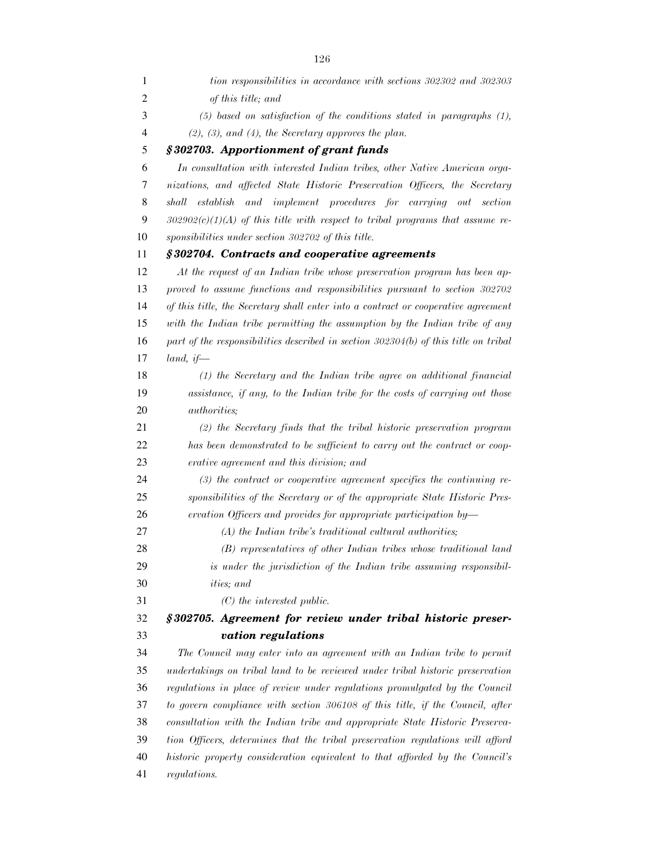*tion responsibilities in accordance with sections 302302 and 302303 of this title; and (5) based on satisfaction of the conditions stated in paragraphs (1), (2), (3), and (4), the Secretary approves the plan. § 302703. Apportionment of grant funds In consultation with interested Indian tribes, other Native American orga- nizations, and affected State Historic Preservation Officers, the Secretary shall establish and implement procedures for carrying out section 302902(c)(1)(A) of this title with respect to tribal programs that assume re- sponsibilities under section 302702 of this title. § 302704. Contracts and cooperative agreements At the request of an Indian tribe whose preservation program has been ap- proved to assume functions and responsibilities pursuant to section 302702 of this title, the Secretary shall enter into a contract or cooperative agreement with the Indian tribe permitting the assumption by the Indian tribe of any part of the responsibilities described in section 302304(b) of this title on tribal land, if— (1) the Secretary and the Indian tribe agree on additional financial assistance, if any, to the Indian tribe for the costs of carrying out those authorities; (2) the Secretary finds that the tribal historic preservation program has been demonstrated to be sufficient to carry out the contract or coop- erative agreement and this division; and (3) the contract or cooperative agreement specifies the continuing re- sponsibilities of the Secretary or of the appropriate State Historic Pres- ervation Officers and provides for appropriate participation by— (A) the Indian tribe's traditional cultural authorities; (B) representatives of other Indian tribes whose traditional land is under the jurisdiction of the Indian tribe assuming responsibil- ities; and (C) the interested public. § 302705. Agreement for review under tribal historic preser- vation regulations The Council may enter into an agreement with an Indian tribe to permit undertakings on tribal land to be reviewed under tribal historic preservation regulations in place of review under regulations promulgated by the Council to govern compliance with section 306108 of this title, if the Council, after consultation with the Indian tribe and appropriate State Historic Preserva- tion Officers, determines that the tribal preservation regulations will afford historic property consideration equivalent to that afforded by the Council's regulations.*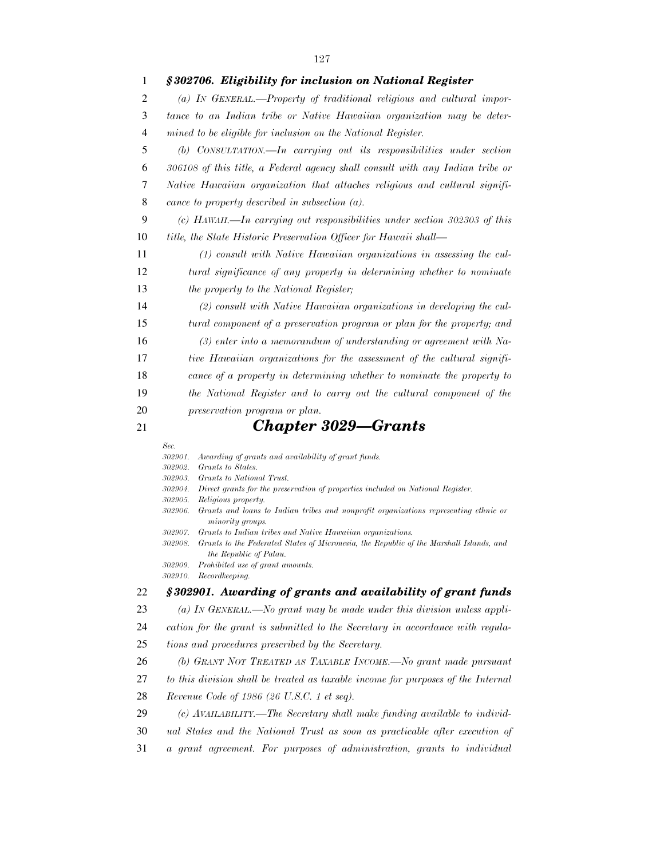*§ 302706. Eligibility for inclusion on National Register (a) IN GENERAL.—Property of traditional religious and cultural impor- tance to an Indian tribe or Native Hawaiian organization may be deter- mined to be eligible for inclusion on the National Register. (b) CONSULTATION.—In carrying out its responsibilities under section 306108 of this title, a Federal agency shall consult with any Indian tribe or Native Hawaiian organization that attaches religious and cultural signifi- cance to property described in subsection (a). (c) HAWAII.—In carrying out responsibilities under section 302303 of this title, the State Historic Preservation Officer for Hawaii shall— (1) consult with Native Hawaiian organizations in assessing the cul- tural significance of any property in determining whether to nominate the property to the National Register; (2) consult with Native Hawaiian organizations in developing the cul- tural component of a preservation program or plan for the property; and (3) enter into a memorandum of understanding or agreement with Na- tive Hawaiian organizations for the assessment of the cultural signifi- cance of a property in determining whether to nominate the property to the National Register and to carry out the cultural component of the preservation program or plan. Chapter 3029—Grants*

|    | Sec.    |                                                                                                                          |
|----|---------|--------------------------------------------------------------------------------------------------------------------------|
|    | 302901. | Awarding of grants and availability of grant funds.                                                                      |
|    | 302902. | Grants to States.                                                                                                        |
|    | 302903. | Grants to National Trust.                                                                                                |
|    | 302904. | Direct grants for the preservation of properties included on National Register.                                          |
|    | 302905. | <i>Religious property.</i>                                                                                               |
|    | 302906. | Grants and loans to Indian tribes and nonprofit organizations representing ethnic or<br><i>minority groups.</i>          |
|    | 302907. | Grants to Indian tribes and Native Hawaiian organizations.                                                               |
|    | 302908. | Grants to the Federated States of Micronesia, the Republic of the Marshall Islands, and<br><i>the Republic of Palau.</i> |
|    | 302909. | Prohibited use of grant amounts.                                                                                         |
|    | 302910. | Recordkeeping.                                                                                                           |
| 22 |         | §302901. Awarding of grants and availability of grant funds                                                              |

- *(a) IN GENERAL.—No grant may be made under this division unless appli-*
- *cation for the grant is submitted to the Secretary in accordance with regula-*
- *tions and procedures prescribed by the Secretary.*
- *(b) GRANT NOT TREATED AS TAXABLE INCOME.—No grant made pursuant*
- *to this division shall be treated as taxable income for purposes of the Internal*
- *Revenue Code of 1986 (26 U.S.C. 1 et seq).*
- *(c) AVAILABILITY.—The Secretary shall make funding available to individ-*
- *ual States and the National Trust as soon as practicable after execution of*
- *a grant agreement. For purposes of administration, grants to individual*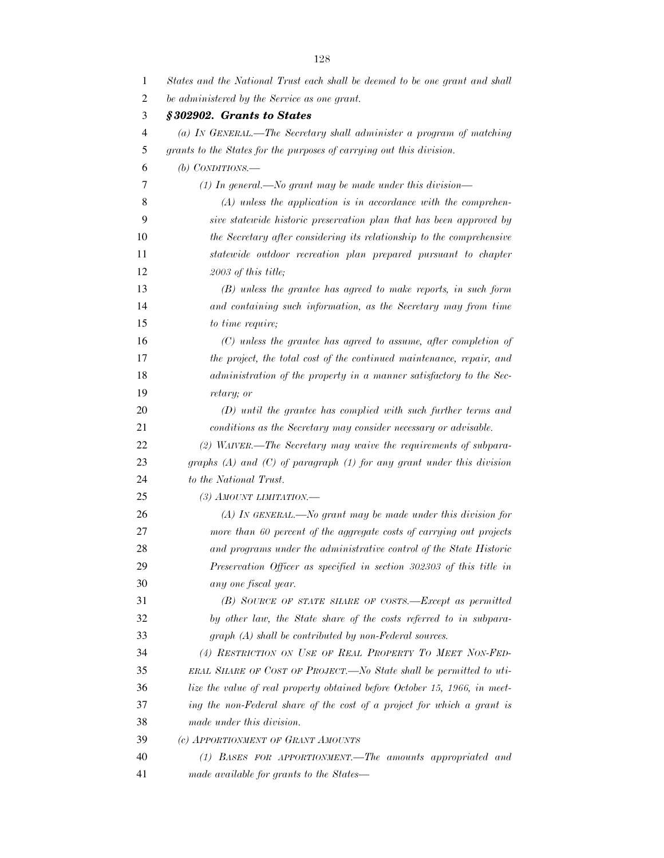| $\mathbf{1}$ | States and the National Trust each shall be deemed to be one grant and shall |
|--------------|------------------------------------------------------------------------------|
| 2            | be administered by the Service as one grant.                                 |
| 3            | §302902. Grants to States                                                    |
| 4            | (a) IN GENERAL.—The Secretary shall administer a program of matching         |
| 5            | grants to the States for the purposes of carrying out this division.         |
| 6            | $(b)$ CONDITIONS.                                                            |
| 7            | $(1)$ In general.—No grant may be made under this division—                  |
| 8            | $(A)$ unless the application is in accordance with the comprehen-            |
| 9            | sive statewide historic preservation plan that has been approved by          |
| 10           | the Secretary after considering its relationship to the comprehensive        |
| 11           | statewide outdoor recreation plan prepared pursuant to chapter               |
| 12           | $2003$ of this title;                                                        |
| 13           | $(B)$ unless the grantee has agreed to make reports, in such form            |
| 14           | and containing such information, as the Secretary may from time              |
| 15           | to time require;                                                             |
| 16           | $(C)$ unless the grantee has agreed to assume, after completion of           |
| 17           | the project, the total cost of the continued maintenance, repair, and        |
| 18           | administration of the property in a manner satisfactory to the Sec-          |
| 19           | retary; or                                                                   |
| 20           | $(D)$ until the grantee has complied with such further terms and             |
| 21           | conditions as the Secretary may consider necessary or advisable.             |
| 22           | (2) WAIVER.—The Secretary may waive the requirements of subpara-             |
| 23           | graphs $(A)$ and $(C)$ of paragraph $(1)$ for any grant under this division  |
| 24           | to the National Trust.                                                       |
| 25           | (3) AMOUNT LIMITATION.                                                       |
| 26           | $(A)$ In GENERAL.—No grant may be made under this division for               |
| 27           | more than 60 percent of the aggregate costs of carrying out projects         |
| 28           | and programs under the administrative control of the State Historic          |
| 29           | Preservation Officer as specified in section 302303 of this title in         |
| 30           | any one fiscal year.                                                         |
| 31           | (B) SOURCE OF STATE SHARE OF COSTS.-Except as permitted                      |
| 32           | by other law, the State share of the costs referred to in subpara-           |
| 33           | $graph(A)$ shall be contributed by non-Federal sources.                      |
| 34           | (4) RESTRICTION ON USE OF REAL PROPERTY TO MEET NON-FED-                     |
| 35           | ERAL SHARE OF COST OF PROJECT.—No State shall be permitted to uti-           |
| 36           | lize the value of real property obtained before October 15, 1966, in meet-   |
| 37           | ing the non-Federal share of the cost of a project for which a grant is      |
| 38           | made under this division.                                                    |
| 39           | (c) APPORTIONMENT OF GRANT AMOUNTS                                           |
| 40           | (1) BASES FOR APPORTIONMENT.—The amounts appropriated and                    |
| 41           | made available for grants to the States-                                     |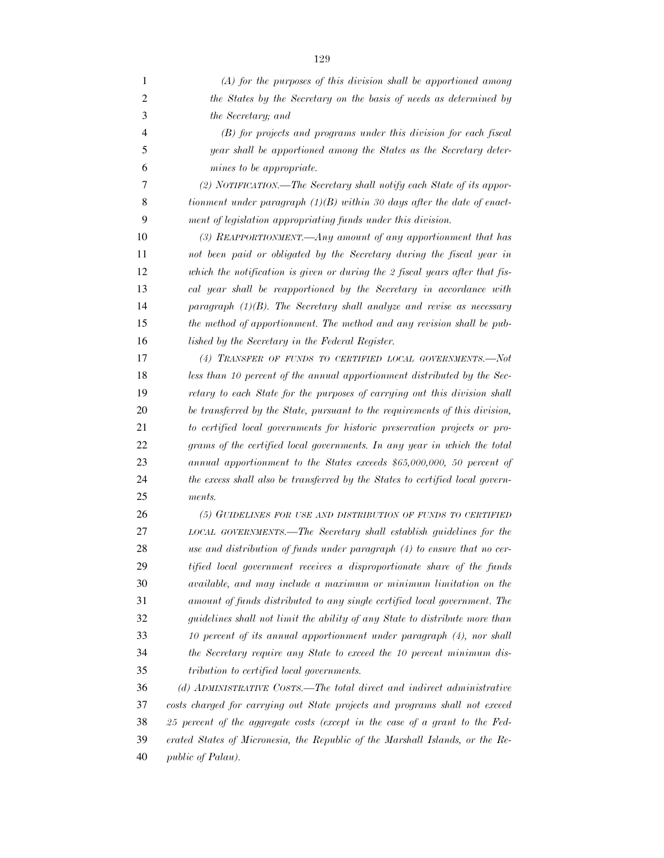| 1              | $(A)$ for the purposes of this division shall be apportioned among            |
|----------------|-------------------------------------------------------------------------------|
| $\overline{2}$ | the States by the Secretary on the basis of needs as determined by            |
| 3              | the Secretary; and                                                            |
| 4              | (B) for projects and programs under this division for each fiscal             |
| 5              | year shall be apportioned among the States as the Secretary deter-            |
| 6              | mines to be appropriate.                                                      |
| 7              | (2) NOTIFICATION.—The Secretary shall notify each State of its appor-         |
| 8              | tionment under paragraph $(1)(B)$ within 30 days after the date of enact-     |
| 9              | ment of legislation appropriating funds under this division.                  |
| 10             | (3) REAPPORTIONMENT.—Any amount of any apportionment that has                 |
| 11             | not been paid or obligated by the Secretary during the fiscal year in         |
| 12             | which the notification is given or during the 2 fiscal years after that fis-  |
| 13             | cal year shall be reapportioned by the Secretary in accordance with           |
| 14             | paragraph $(1)(B)$ . The Secretary shall analyze and revise as necessary      |
| 15             | the method of apportionment. The method and any revision shall be pub-        |
| 16             | lished by the Secretary in the Federal Register.                              |
| 17             | (4) TRANSFER OF FUNDS TO CERTIFIED LOCAL GOVERNMENTS.-Not                     |
| 18             | less than 10 percent of the annual apportionment distributed by the Sec-      |
| 19             | retary to each State for the purposes of carrying out this division shall     |
| 20             | be transferred by the State, pursuant to the requirements of this division,   |
| 21             | to certified local governments for historic preservation projects or pro-     |
| 22             | grams of the certified local governments. In any year in which the total      |
| 23             | annual apportionment to the States exceeds \$65,000,000, 50 percent of        |
| 24             | the excess shall also be transferred by the States to certified local govern- |
| 25             | ments.                                                                        |
| 26             | (5) GUIDELINES FOR USE AND DISTRIBUTION OF FUNDS TO CERTIFIED                 |
| 27             | LOCAL GOVERNMENTS.—The Secretary shall establish guidelines for the           |
| 28             | use and distribution of funds under paragraph $(4)$ to ensure that no cer-    |
| 29             | tified local government receives a disproportionate share of the funds        |
| 30             | available, and may include a maximum or minimum limitation on the             |
| 31             | amount of funds distributed to any single certified local government. The     |
| 32             | guidelines shall not limit the ability of any State to distribute more than   |
| 33             | 10 percent of its annual apportionment under paragraph (4), nor shall         |
| 34             | the Secretary require any State to exceed the 10 percent minimum dis-         |
| 35             | tribution to certified local governments.                                     |
| 36             | (d) ADMINISTRATIVE COSTS.—The total direct and indirect administrative        |
| 37             | costs charged for carrying out State projects and programs shall not exceed   |
| 38             | 25 percent of the aggregate costs (except in the case of a grant to the Fed-  |
| 39             | erated States of Micronesia, the Republic of the Marshall Islands, or the Re- |
| 40             | public of Palau).                                                             |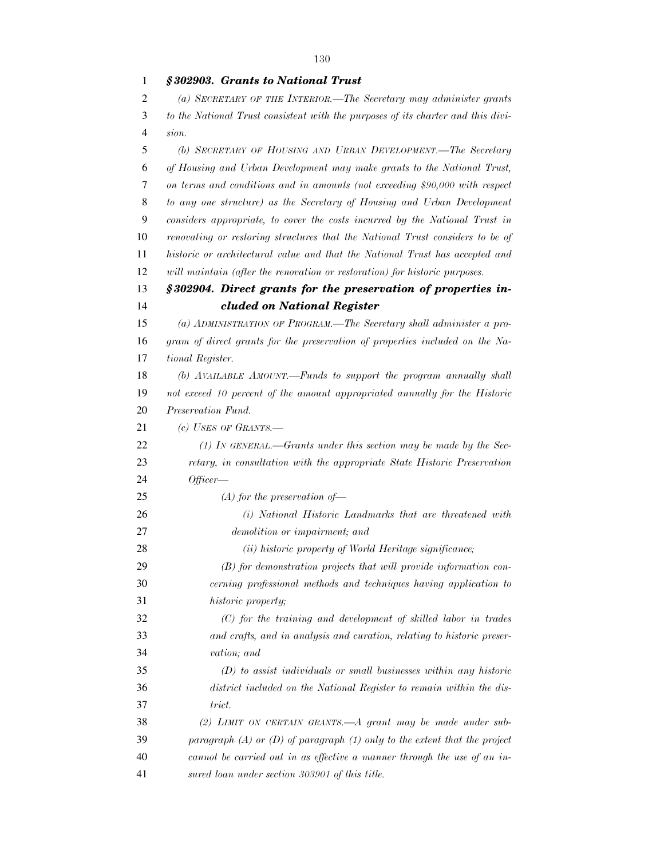# *§ 302903. Grants to National Trust*

| $\overline{c}$ | (a) SECRETARY OF THE INTERIOR.—The Secretary may administer grants               |
|----------------|----------------------------------------------------------------------------------|
| 3              | to the National Trust consistent with the purposes of its charter and this divi- |
| 4              | sion.                                                                            |
| 5              | (b) SECRETARY OF HOUSING AND URBAN DEVELOPMENT.—The Secretary                    |
| 6              | of Housing and Urban Development may make grants to the National Trust,          |
| 7              | on terms and conditions and in amounts (not exceeding \$90,000 with respect      |
| 8              | to any one structure) as the Secretary of Housing and Urban Development          |
| 9              | considers appropriate, to cover the costs incurred by the National Trust in      |
| 10             | renovating or restoring structures that the National Trust considers to be of    |
| 11             | historic or architectural value and that the National Trust has accepted and     |
| 12             | will maintain (after the renovation or restoration) for historic purposes.       |
| 13             | §302904. Direct grants for the preservation of properties in-                    |
| 14             | cluded on National Register                                                      |
| 15             | (a) ADMINISTRATION OF PROGRAM.—The Secretary shall administer a pro-             |
| 16             | gram of direct grants for the preservation of properties included on the Na-     |
| 17             | tional Register.                                                                 |
| 18             | (b) AVAILABLE AMOUNT.—Funds to support the program annually shall                |
| 19             | not exceed 10 percent of the amount appropriated annually for the Historic       |
| 20             | Preservation Fund.                                                               |
| 21             | $(c)$ USES OF GRANTS.                                                            |
| 22             | $(1)$ IN GENERAL.—Grants under this section may be made by the Sec-              |
| 23             | retary, in consultation with the appropriate State Historic Preservation         |
| 24             | $Officer$ —                                                                      |
| 25             | $(A)$ for the preservation of —                                                  |
| 26             | (i) National Historic Landmarks that are threatened with                         |
| 27             | demolition or impairment; and                                                    |
| 28             | (ii) historic property of World Heritage significance;                           |
| 29             | $(B)$ for demonstration projects that will provide information con-              |
| 30             | cerning professional methods and techniques having application to                |
| 31             | historic property;                                                               |
| 32             | $(C)$ for the training and development of skilled labor in trades                |
| 33             | and crafts, and in analysis and curation, relating to historic preser-           |
| 34             | vation; and                                                                      |
| 35             | $(D)$ to assist individuals or small businesses within any historic              |
| 36             | district included on the National Register to remain within the dis-             |
| 37             | trict.                                                                           |
| 38             | (2) LIMIT ON CERTAIN GRANTS. $-A$ grant may be made under sub-                   |
| 39             | paragraph $(A)$ or $(D)$ of paragraph $(1)$ only to the extent that the project  |
| 40             | cannot be carried out in as effective a manner through the use of an in-         |
| 41             | sured loan under section 303901 of this title.                                   |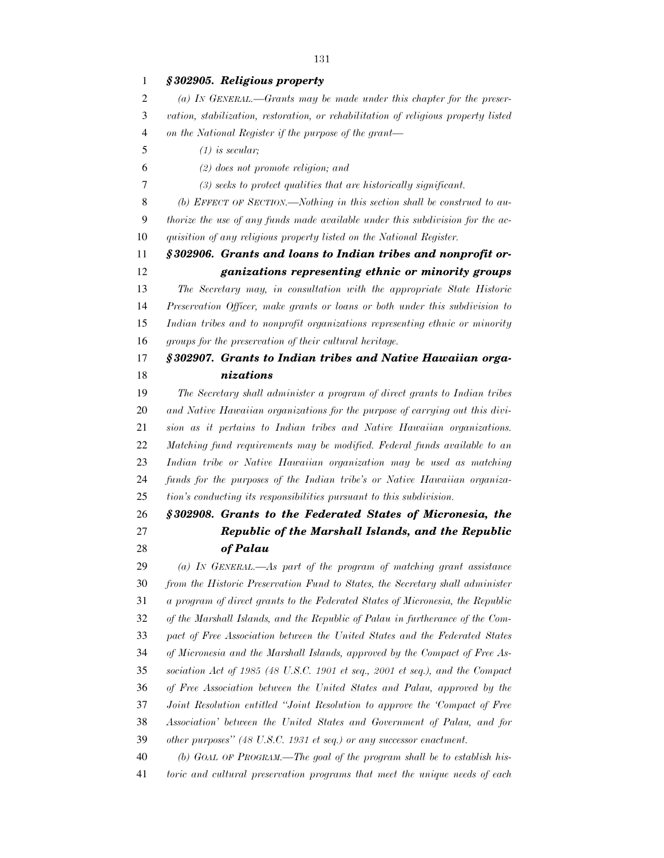## *§ 302905. Religious property*

*(a) IN GENERAL.—Grants may be made under this chapter for the preser-*

*vation, stabilization, restoration, or rehabilitation of religious property listed*

*on the National Register if the purpose of the grant—*

*(1) is secular;*

*(2) does not promote religion; and*

*(3) seeks to protect qualities that are historically significant.*

*(b) EFFECT OF SECTION.—Nothing in this section shall be construed to au-*

*thorize the use of any funds made available under this subdivision for the ac-*

*quisition of any religious property listed on the National Register.*

 *§ 302906. Grants and loans to Indian tribes and nonprofit or-ganizations representing ethnic or minority groups*

 *The Secretary may, in consultation with the appropriate State Historic Preservation Officer, make grants or loans or both under this subdivision to Indian tribes and to nonprofit organizations representing ethnic or minority groups for the preservation of their cultural heritage.*

 *§ 302907. Grants to Indian tribes and Native Hawaiian orga-nizations*

 *The Secretary shall administer a program of direct grants to Indian tribes and Native Hawaiian organizations for the purpose of carrying out this divi- sion as it pertains to Indian tribes and Native Hawaiian organizations. Matching fund requirements may be modified. Federal funds available to an Indian tribe or Native Hawaiian organization may be used as matching funds for the purposes of the Indian tribe's or Native Hawaiian organiza-tion's conducting its responsibilities pursuant to this subdivision.*

 *§ 302908. Grants to the Federated States of Micronesia, the Republic of the Marshall Islands, and the Republic of Palau*

 *(a) IN GENERAL.—As part of the program of matching grant assistance from the Historic Preservation Fund to States, the Secretary shall administer a program of direct grants to the Federated States of Micronesia, the Republic of the Marshall Islands, and the Republic of Palau in furtherance of the Com- pact of Free Association between the United States and the Federated States of Micronesia and the Marshall Islands, approved by the Compact of Free As- sociation Act of 1985 (48 U.S.C. 1901 et seq., 2001 et seq.), and the Compact of Free Association between the United States and Palau, approved by the Joint Resolution entitled ''Joint Resolution to approve the 'Compact of Free Association' between the United States and Government of Palau, and for other purposes'' (48 U.S.C. 1931 et seq.) or any successor enactment. (b) GOAL OF PROGRAM.—The goal of the program shall be to establish his-*

*toric and cultural preservation programs that meet the unique needs of each*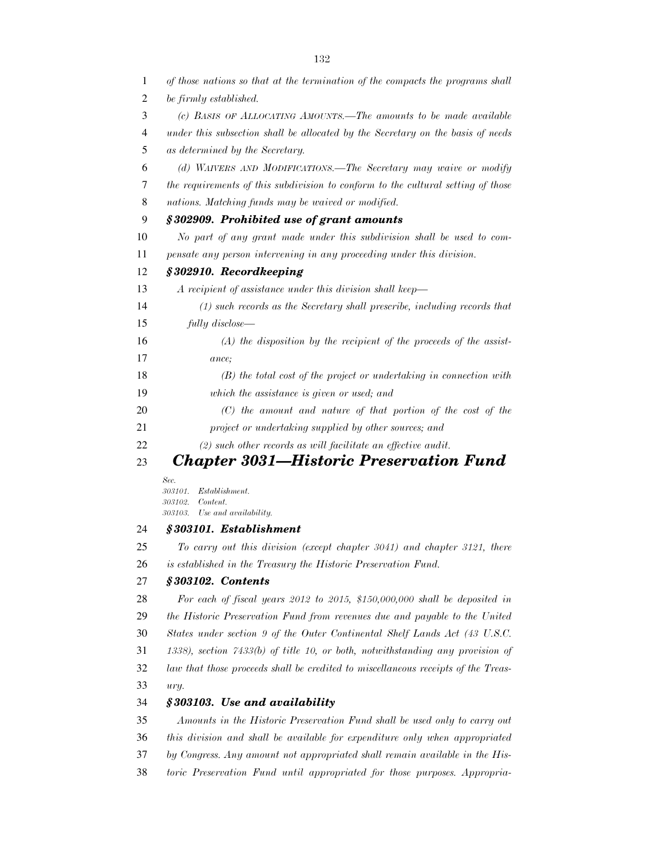| 1          | of those nations so that at the termination of the compacts the programs shall               |
|------------|----------------------------------------------------------------------------------------------|
| 2          | be firmly established.                                                                       |
| 3          | (c) BASIS OF ALLOCATING AMOUNTS.—The amounts to be made available                            |
| 4          | under this subsection shall be allocated by the Secretary on the basis of needs              |
| 5          | as determined by the Secretary.                                                              |
| 6          | (d) WAIVERS AND MODIFICATIONS.—The Secretary may waive or modify                             |
| 7          | the requirements of this subdivision to conform to the cultural setting of those             |
| 8          | nations. Matching funds may be waived or modified.                                           |
| 9          | §302909. Prohibited use of grant amounts                                                     |
| 10         | No part of any grant made under this subdivision shall be used to com-                       |
| 11         | pensate any person intervening in any proceeding under this division.                        |
| 12         | §302910. Recordkeeping                                                                       |
| 13         | A recipient of assistance under this division shall keep—                                    |
| 14         | (1) such records as the Secretary shall prescribe, including records that                    |
| 15         | fully disclose—                                                                              |
| 16         | $(A)$ the disposition by the recipient of the proceeds of the assist-                        |
| 17         | ance;                                                                                        |
| 18         | $(B)$ the total cost of the project or undertaking in connection with                        |
| 19         | which the assistance is given or used; and                                                   |
| 20         | $(C)$ the amount and nature of that portion of the cost of the                               |
| 21         | project or undertaking supplied by other sources; and                                        |
| 22         | $(2)$ such other records as will facilitate an effective audit.                              |
| 23         | <b>Chapter 3031-Historic Preservation Fund</b>                                               |
|            | Sec.<br>303101.<br>Establishment.<br>Content.<br>303102.<br>Use and availability.<br>303103. |
| 24         | §303101. Establishment                                                                       |
| 25         | To carry out this division (except chapter 3041) and chapter 3121, there                     |
| 26         | is established in the Treasury the Historic Preservation Fund.                               |
| 27         | §303102. Contents                                                                            |
| 28         | For each of fiscal years $2012$ to $2015$ , \$150,000,000 shall be deposited in              |
| 29         | the Historic Preservation Fund from revenues due and payable to the United                   |
| 30         | States under section 9 of the Outer Continental Shelf Lands Act (43 U.S.C.                   |
| 31         | 1338), section 7433(b) of title 10, or both, notwithstanding any provision of                |
| 32         | law that those proceeds shall be credited to miscellaneous receipts of the Treas-            |
| 33         | ury.                                                                                         |
| $2\Lambda$ | 8,202102 Iles and availability                                                               |

### *§ 303103. Use and availability*

 *Amounts in the Historic Preservation Fund shall be used only to carry out this division and shall be available for expenditure only when appropriated by Congress. Any amount not appropriated shall remain available in the His-toric Preservation Fund until appropriated for those purposes. Appropria-*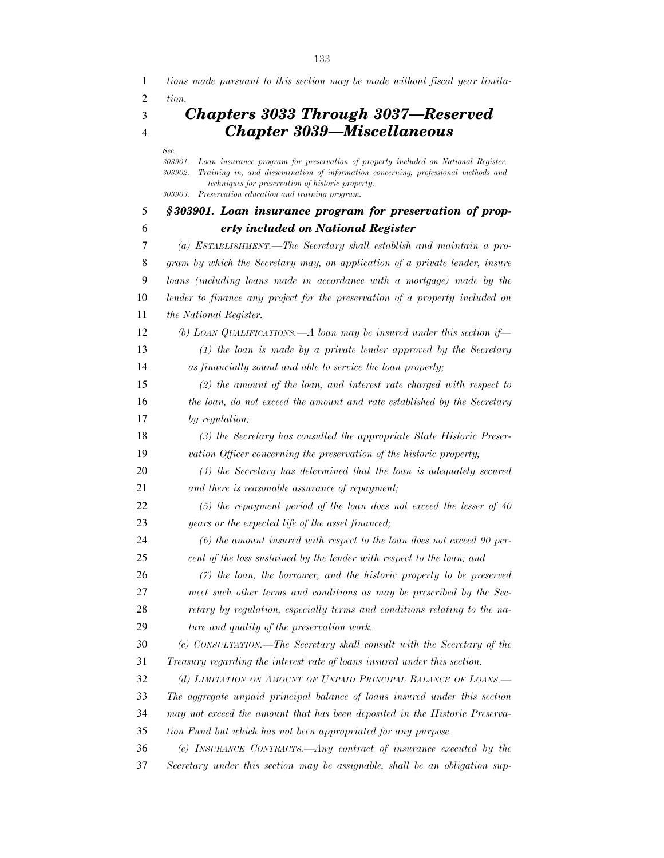*tions made pursuant to this section may be made without fiscal year limita-*

*tion.*

# *Chapters 3033 Through 3037—Reserved Chapter 3039—Miscellaneous*

*Sec.*

|    | Sec.<br>303901.<br>Loan insurance program for preservation of property included on National Register.<br>303902.<br>Training in, and dissemination of information concerning, professional methods and<br><i>techniques for preservation of historic property.</i><br>Preservation education and training program.<br>303903. |
|----|-------------------------------------------------------------------------------------------------------------------------------------------------------------------------------------------------------------------------------------------------------------------------------------------------------------------------------|
| 5  | §303901. Loan insurance program for preservation of prop-                                                                                                                                                                                                                                                                     |
| 6  | erty included on National Register                                                                                                                                                                                                                                                                                            |
| 7  | (a) ESTABLISHMENT.—The Secretary shall establish and maintain a pro-                                                                                                                                                                                                                                                          |
| 8  | gram by which the Secretary may, on application of a private lender, insure                                                                                                                                                                                                                                                   |
| 9  | loans (including loans made in accordance with a mortgage) made by the                                                                                                                                                                                                                                                        |
| 10 | lender to finance any project for the preservation of a property included on                                                                                                                                                                                                                                                  |
| 11 | the National Register.                                                                                                                                                                                                                                                                                                        |
| 12 | (b) LOAN QUALIFICATIONS.—A loan may be insured under this section if—                                                                                                                                                                                                                                                         |
| 13 | $(1)$ the loan is made by a private lender approved by the Secretary                                                                                                                                                                                                                                                          |
| 14 | as financially sound and able to service the loan properly;                                                                                                                                                                                                                                                                   |
| 15 | $(2)$ the amount of the loan, and interest rate charged with respect to                                                                                                                                                                                                                                                       |
| 16 | the loan, do not exceed the amount and rate established by the Secretary                                                                                                                                                                                                                                                      |
| 17 | by regulation;                                                                                                                                                                                                                                                                                                                |
| 18 | (3) the Secretary has consulted the appropriate State Historic Preser-                                                                                                                                                                                                                                                        |
| 19 | vation Officer concerning the preservation of the historic property;                                                                                                                                                                                                                                                          |
| 20 | (4) the Secretary has determined that the loan is adequately secured                                                                                                                                                                                                                                                          |
| 21 | and there is reasonable assurance of repayment;                                                                                                                                                                                                                                                                               |
| 22 | $(5)$ the repayment period of the loan does not exceed the lesser of 40                                                                                                                                                                                                                                                       |
| 23 | years or the expected life of the asset financed;                                                                                                                                                                                                                                                                             |
| 24 | $(6)$ the amount insured with respect to the loan does not exceed 90 per-                                                                                                                                                                                                                                                     |
| 25 | cent of the loss sustained by the lender with respect to the loan; and                                                                                                                                                                                                                                                        |
| 26 | $(7)$ the loan, the borrower, and the historic property to be preserved                                                                                                                                                                                                                                                       |
| 27 | meet such other terms and conditions as may be prescribed by the Sec-                                                                                                                                                                                                                                                         |
| 28 | retary by regulation, especially terms and conditions relating to the na-                                                                                                                                                                                                                                                     |
| 29 | ture and quality of the preservation work.                                                                                                                                                                                                                                                                                    |
| 30 | (c) CONSULTATION.—The Secretary shall consult with the Secretary of the                                                                                                                                                                                                                                                       |
| 31 | Treasury regarding the interest rate of loans insured under this section.                                                                                                                                                                                                                                                     |
| 32 | (d) LIMITATION ON AMOUNT OF UNPAID PRINCIPAL BALANCE OF LOANS.                                                                                                                                                                                                                                                                |
| 33 | The aggregate unpaid principal balance of loans insured under this section                                                                                                                                                                                                                                                    |
| 34 | may not exceed the amount that has been deposited in the Historic Preserva-                                                                                                                                                                                                                                                   |
| 35 | tion Fund but which has not been appropriated for any purpose.                                                                                                                                                                                                                                                                |
| 36 | $(e)$ INSURANCE CONTRACTS.—Any contract of insurance executed by the                                                                                                                                                                                                                                                          |
| 37 | Secretary under this section may be assignable, shall be an obligation sup-                                                                                                                                                                                                                                                   |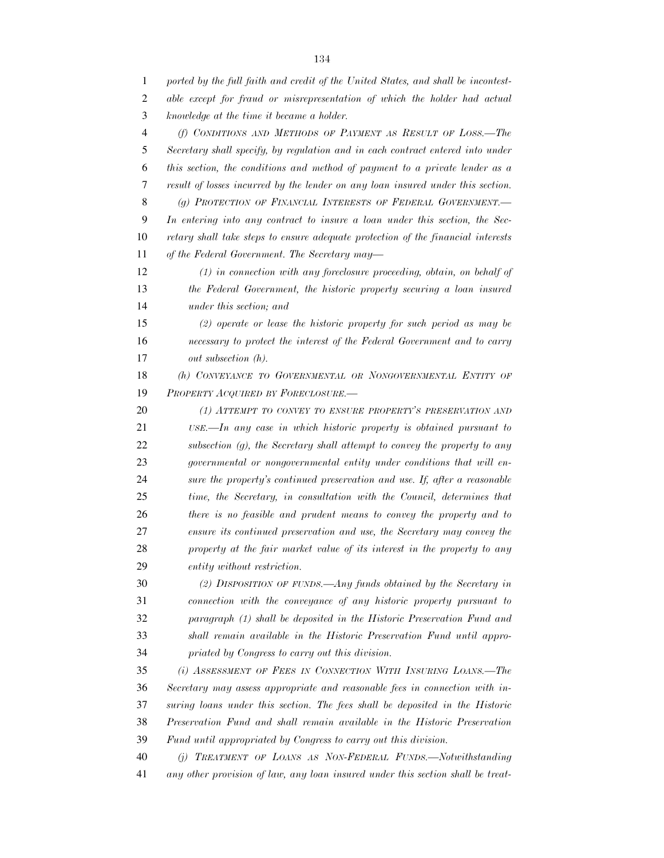*ported by the full faith and credit of the United States, and shall be incontest- able except for fraud or misrepresentation of which the holder had actual knowledge at the time it became a holder. (f) CONDITIONS AND METHODS OF PAYMENT AS RESULT OF LOSS.—The Secretary shall specify, by regulation and in each contract entered into under this section, the conditions and method of payment to a private lender as a result of losses incurred by the lender on any loan insured under this section. (g) PROTECTION OF FINANCIAL INTERESTS OF FEDERAL GOVERNMENT.— In entering into any contract to insure a loan under this section, the Sec- retary shall take steps to ensure adequate protection of the financial interests of the Federal Government. The Secretary may— (1) in connection with any foreclosure proceeding, obtain, on behalf of the Federal Government, the historic property securing a loan insured under this section; and (2) operate or lease the historic property for such period as may be necessary to protect the interest of the Federal Government and to carry out subsection (h). (h) CONVEYANCE TO GOVERNMENTAL OR NONGOVERNMENTAL ENTITY OF PROPERTY ACQUIRED BY FORECLOSURE.— (1) ATTEMPT TO CONVEY TO ENSURE PROPERTY'S PRESERVATION AND USE.—In any case in which historic property is obtained pursuant to subsection (g), the Secretary shall attempt to convey the property to any governmental or nongovernmental entity under conditions that will en- sure the property's continued preservation and use. If, after a reasonable time, the Secretary, in consultation with the Council, determines that there is no feasible and prudent means to convey the property and to ensure its continued preservation and use, the Secretary may convey the property at the fair market value of its interest in the property to any entity without restriction. (2) DISPOSITION OF FUNDS.—Any funds obtained by the Secretary in connection with the conveyance of any historic property pursuant to paragraph (1) shall be deposited in the Historic Preservation Fund and shall remain available in the Historic Preservation Fund until appro- priated by Congress to carry out this division. (i) ASSESSMENT OF FEES IN CONNECTION WITH INSURING LOANS.—The Secretary may assess appropriate and reasonable fees in connection with in- suring loans under this section. The fees shall be deposited in the Historic Preservation Fund and shall remain available in the Historic Preservation Fund until appropriated by Congress to carry out this division. (j) TREATMENT OF LOANS AS NON-FEDERAL FUNDS.—Notwithstanding any other provision of law, any loan insured under this section shall be treat-*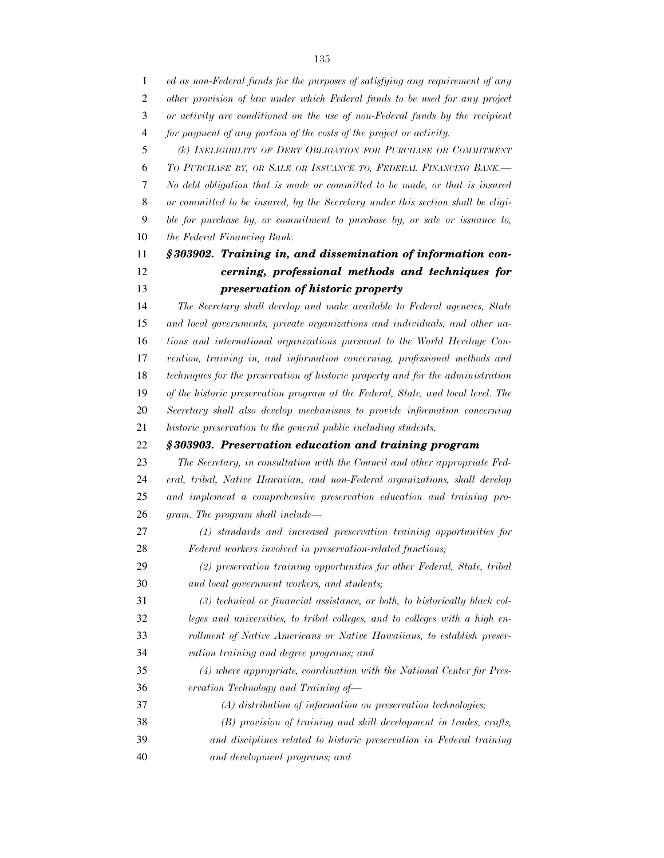*ed as non-Federal funds for the purposes of satisfying any requirement of any other provision of law under which Federal funds to be used for any project or activity are conditioned on the use of non-Federal funds by the recipient for payment of any portion of the costs of the project or activity. (k) INELIGIBILITY OF DEBT OBLIGATION FOR PURCHASE OR COMMITMENT TO PURCHASE BY, OR SALE OR ISSUANCE TO, FEDERAL FINANCING BANK.— No debt obligation that is made or committed to be made, or that is insured or committed to be insured, by the Secretary under this section shall be eligi- ble for purchase by, or commitment to purchase by, or sale or issuance to, the Federal Financing Bank. § 303902. Training in, and dissemination of information con- cerning, professional methods and techniques for preservation of historic property The Secretary shall develop and make available to Federal agencies, State and local governments, private organizations and individuals, and other na- tions and international organizations pursuant to the World Heritage Con- vention, training in, and information concerning, professional methods and techniques for the preservation of historic property and for the administration of the historic preservation program at the Federal, State, and local level. The Secretary shall also develop mechanisms to provide information concerning historic preservation to the general public including students. § 303903. Preservation education and training program The Secretary, in consultation with the Council and other appropriate Fed- eral, tribal, Native Hawaiian, and non-Federal organizations, shall develop and implement a comprehensive preservation education and training pro- gram. The program shall include— (1) standards and increased preservation training opportunities for Federal workers involved in preservation-related functions; (2) preservation training opportunities for other Federal, State, tribal and local government workers, and students; (3) technical or financial assistance, or both, to historically black col- leges and universities, to tribal colleges, and to colleges with a high en- rollment of Native Americans or Native Hawaiians, to establish preser- vation training and degree programs; and (4) where appropriate, coordination with the National Center for Pres- ervation Technology and Training of— (A) distribution of information on preservation technologies; (B) provision of training and skill development in trades, crafts, and disciplines related to historic preservation in Federal training and development programs; and*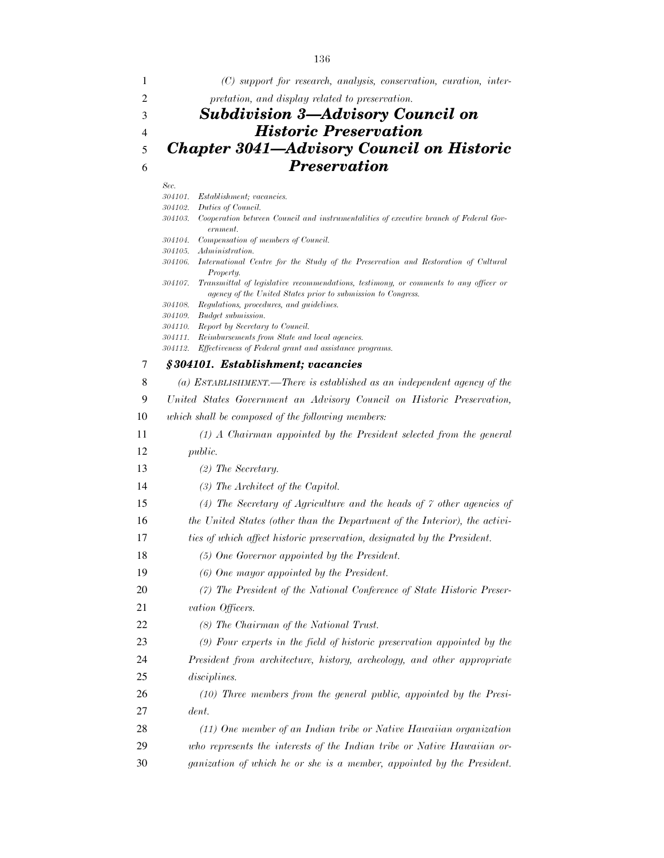| 1              | $(C)$ support for research, analysis, conservation, curation, inter-                                                                                                                                                   |
|----------------|------------------------------------------------------------------------------------------------------------------------------------------------------------------------------------------------------------------------|
| $\overline{c}$ | pretation, and display related to preservation.                                                                                                                                                                        |
| 3              | <b>Subdivision 3–Advisory Council on</b>                                                                                                                                                                               |
| 4              | <b>Historic Preservation</b>                                                                                                                                                                                           |
| 5              | <b>Chapter 3041-Advisory Council on Historic</b>                                                                                                                                                                       |
| 6              | <b>Preservation</b>                                                                                                                                                                                                    |
|                | Sec.                                                                                                                                                                                                                   |
|                | 304101.<br>Establishment; vacancies.                                                                                                                                                                                   |
|                | 304102.<br>Duties of Council.<br>304103.<br>Cooperation between Council and instrumentalities of executive branch of Federal Gov-<br>ernment.                                                                          |
|                | Compensation of members of Council.<br>304104.                                                                                                                                                                         |
|                | 304105.<br>Administration.<br>International Centre for the Study of the Preservation and Restoration of Cultural<br>304106.<br><i>Property.</i>                                                                        |
|                | 304107.<br>Transmittal of legislative recommendations, testimony, or comments to any officer or<br>agency of the United States prior to submission to Congress.<br>Regulations, procedures, and guidelines.<br>304108. |
|                | 304109.<br>Budget submission.                                                                                                                                                                                          |
|                | 304110.<br>Report by Secretary to Council.<br>304111.<br>Reimbursements from State and local agencies.                                                                                                                 |
|                | 304112.<br>Effectiveness of Federal grant and assistance programs.                                                                                                                                                     |
| 7              | §304101. Establishment; vacancies                                                                                                                                                                                      |
| 8              | $(a)$ ESTABLISHMENT.—There is established as an independent agency of the                                                                                                                                              |
| 9              | United States Government an Advisory Council on Historic Preservation,                                                                                                                                                 |
| 10             | which shall be composed of the following members:                                                                                                                                                                      |
| 11             | $(1)$ A Chairman appointed by the President selected from the general                                                                                                                                                  |
| 12             | <i>public.</i>                                                                                                                                                                                                         |
| 13             | $(2)$ The Secretary.                                                                                                                                                                                                   |
| 14             | $(3)$ The Architect of the Capitol.                                                                                                                                                                                    |
| 15             | $(4)$ The Secretary of Agriculture and the heads of 7 other agencies of                                                                                                                                                |
| 16             | the United States (other than the Department of the Interior), the activi-                                                                                                                                             |
| 17             | ties of which affect historic preservation, designated by the President.                                                                                                                                               |
| 18             | $(5)$ One Governor appointed by the President.                                                                                                                                                                         |
| 19             | $(6)$ One mayor appointed by the President.                                                                                                                                                                            |
| 20             | (7) The President of the National Conference of State Historic Preser-                                                                                                                                                 |
| 21             | <i>vation Officers.</i>                                                                                                                                                                                                |
| 22             | (8) The Chairman of the National Trust.                                                                                                                                                                                |
| 23             | $(9)$ Four experts in the field of historic preservation appointed by the                                                                                                                                              |
| 24             | President from architecture, history, archeology, and other appropriate                                                                                                                                                |
| 25             | disciplines.                                                                                                                                                                                                           |
| 26             | (10) Three members from the general public, appointed by the Presi-                                                                                                                                                    |
| 27             | dent.                                                                                                                                                                                                                  |
| 28             | (11) One member of an Indian tribe or Native Hawaiian organization                                                                                                                                                     |
| 29             | who represents the interests of the Indian tribe or Native Hawaiian or-                                                                                                                                                |
| 30             | ganization of which he or she is a member, appointed by the President.                                                                                                                                                 |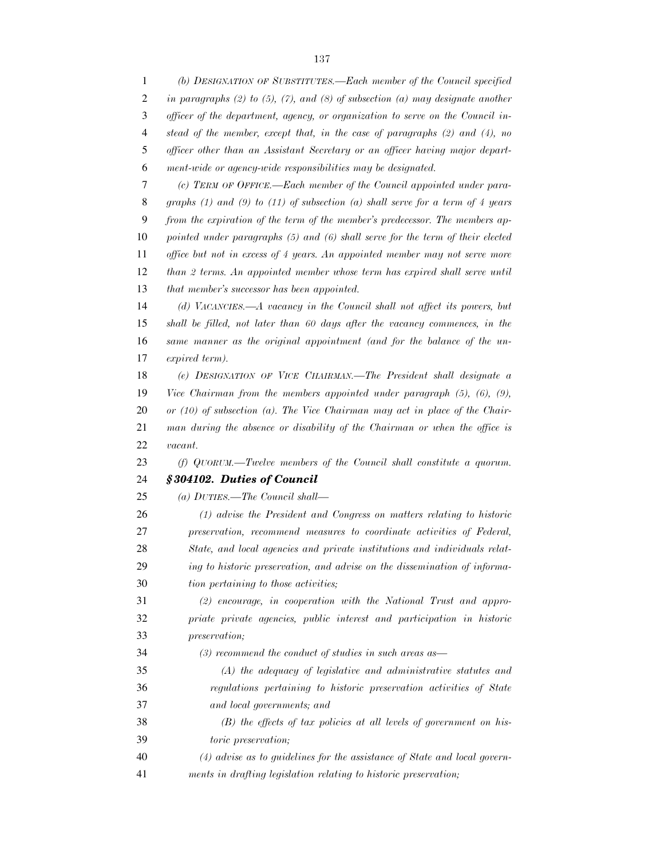*(b) DESIGNATION OF SUBSTITUTES.—Each member of the Council specified in paragraphs (2) to (5), (7), and (8) of subsection (a) may designate another officer of the department, agency, or organization to serve on the Council in- stead of the member, except that, in the case of paragraphs (2) and (4), no officer other than an Assistant Secretary or an officer having major depart- ment-wide or agency-wide responsibilities may be designated. (c) TERM OF OFFICE.—Each member of the Council appointed under para- graphs (1) and (9) to (11) of subsection (a) shall serve for a term of 4 years from the expiration of the term of the member's predecessor. The members ap- pointed under paragraphs (5) and (6) shall serve for the term of their elected office but not in excess of 4 years. An appointed member may not serve more than 2 terms. An appointed member whose term has expired shall serve until that member's successor has been appointed. (d) VACANCIES.—A vacancy in the Council shall not affect its powers, but shall be filled, not later than 60 days after the vacancy commences, in the same manner as the original appointment (and for the balance of the un- expired term). (e) DESIGNATION OF VICE CHAIRMAN.—The President shall designate a Vice Chairman from the members appointed under paragraph (5), (6), (9), or (10) of subsection (a). The Vice Chairman may act in place of the Chair- man during the absence or disability of the Chairman or when the office is vacant. (f) QUORUM.—Twelve members of the Council shall constitute a quorum. § 304102. Duties of Council (a) DUTIES.—The Council shall— (1) advise the President and Congress on matters relating to historic preservation, recommend measures to coordinate activities of Federal, State, and local agencies and private institutions and individuals relat- ing to historic preservation, and advise on the dissemination of informa- tion pertaining to those activities; (2) encourage, in cooperation with the National Trust and appro- priate private agencies, public interest and participation in historic preservation; (3) recommend the conduct of studies in such areas as— (A) the adequacy of legislative and administrative statutes and regulations pertaining to historic preservation activities of State and local governments; and (B) the effects of tax policies at all levels of government on his- toric preservation; (4) advise as to guidelines for the assistance of State and local govern-ments in drafting legislation relating to historic preservation;*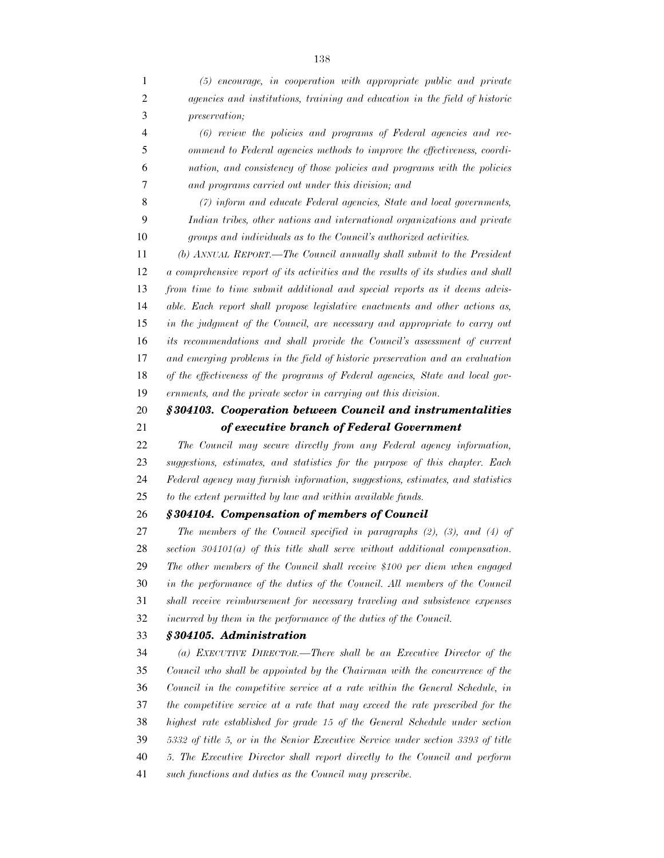*(5) encourage, in cooperation with appropriate public and private agencies and institutions, training and education in the field of historic preservation; (6) review the policies and programs of Federal agencies and rec- ommend to Federal agencies methods to improve the effectiveness, coordi- nation, and consistency of those policies and programs with the policies and programs carried out under this division; and (7) inform and educate Federal agencies, State and local governments, Indian tribes, other nations and international organizations and private groups and individuals as to the Council's authorized activities. (b) ANNUAL REPORT.—The Council annually shall submit to the President a comprehensive report of its activities and the results of its studies and shall from time to time submit additional and special reports as it deems advis- able. Each report shall propose legislative enactments and other actions as, in the judgment of the Council, are necessary and appropriate to carry out its recommendations and shall provide the Council's assessment of current and emerging problems in the field of historic preservation and an evaluation of the effectiveness of the programs of Federal agencies, State and local gov- ernments, and the private sector in carrying out this division. § 304103. Cooperation between Council and instrumentalities of executive branch of Federal Government The Council may secure directly from any Federal agency information, suggestions, estimates, and statistics for the purpose of this chapter. Each Federal agency may furnish information, suggestions, estimates, and statistics to the extent permitted by law and within available funds. § 304104. Compensation of members of Council The members of the Council specified in paragraphs (2), (3), and (4) of section 304101(a) of this title shall serve without additional compensation. The other members of the Council shall receive \$100 per diem when engaged in the performance of the duties of the Council. All members of the Council shall receive reimbursement for necessary traveling and subsistence expenses incurred by them in the performance of the duties of the Council. § 304105. Administration (a) EXECUTIVE DIRECTOR.—There shall be an Executive Director of the Council who shall be appointed by the Chairman with the concurrence of the Council in the competitive service at a rate within the General Schedule, in the competitive service at a rate that may exceed the rate prescribed for the highest rate established for grade 15 of the General Schedule under section 5332 of title 5, or in the Senior Executive Service under section 3393 of title 5. The Executive Director shall report directly to the Council and perform such functions and duties as the Council may prescribe.*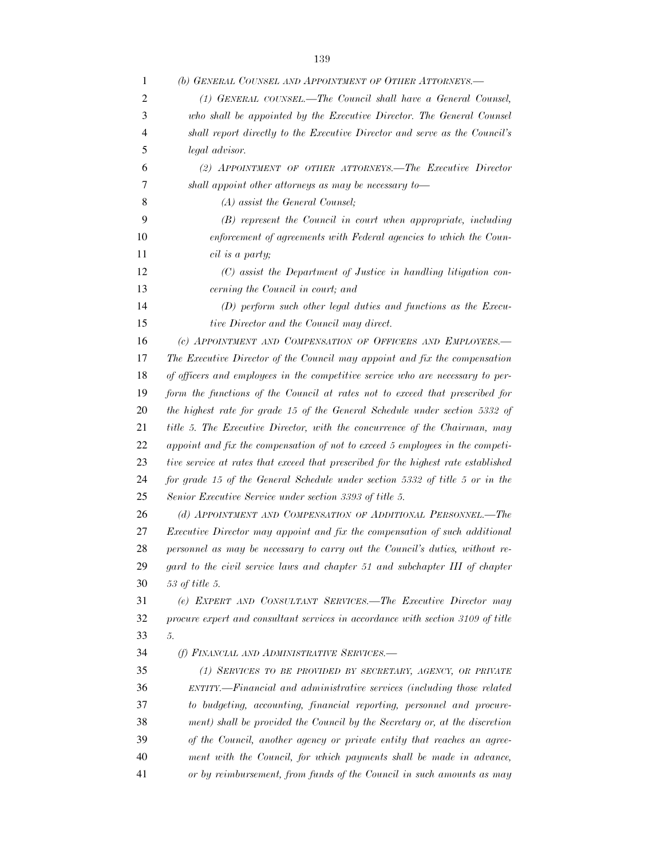| 1              | (b) GENERAL COUNSEL AND APPOINTMENT OF OTHER ATTORNEYS.—                           |
|----------------|------------------------------------------------------------------------------------|
| $\overline{c}$ | (1) GENERAL COUNSEL.—The Council shall have a General Counsel,                     |
| 3              | who shall be appointed by the Executive Director. The General Counsel              |
| 4              | shall report directly to the Executive Director and serve as the Council's         |
| 5              | legal advisor.                                                                     |
| 6              | (2) APPOINTMENT OF OTHER ATTORNEYS.-The Executive Director                         |
| 7              | shall appoint other attorneys as may be necessary to-                              |
| 8              | (A) assist the General Counsel;                                                    |
| 9              | $(B)$ represent the Council in court when appropriate, including                   |
| 10             | enforcement of agreements with Federal agencies to which the Coun-                 |
| 11             | cil is a party;                                                                    |
| 12             | $(C)$ assist the Department of Justice in handling litigation con-                 |
| 13             | cerning the Council in court; and                                                  |
| 14             | $(D)$ perform such other legal duties and functions as the Execu-                  |
| 15             | tive Director and the Council may direct.                                          |
| 16             | (c) APPOINTMENT AND COMPENSATION OF OFFICERS AND EMPLOYEES.-                       |
| 17             | The Executive Director of the Council may appoint and fix the compensation         |
| 18             | of officers and employees in the competitive service who are necessary to per-     |
| 19             | form the functions of the Council at rates not to exceed that prescribed for       |
| 20             | the highest rate for grade 15 of the General Schedule under section 5332 of        |
| 21             | title 5. The Executive Director, with the concurrence of the Chairman, may         |
| 22             | appoint and fix the compensation of not to exceed 5 employees in the competi-      |
| 23             | tive service at rates that exceed that prescribed for the highest rate established |
| 24             | for grade 15 of the General Schedule under section 5332 of title 5 or in the       |
| 25             | Senior Executive Service under section 3393 of title 5.                            |
| 26             | (d) APPOINTMENT AND COMPENSATION OF ADDITIONAL PERSONNEL.-The                      |
| 27             | <i>Executive Director may appoint and fix the compensation of such additional</i>  |
| 28             | personnel as may be necessary to carry out the Council's duties, without re-       |
| 29             | gard to the civil service laws and chapter 51 and subchapter III of chapter        |
| 30             | 53 of title 5.                                                                     |
| 31             | (e) EXPERT AND CONSULTANT SERVICES.—The Executive Director may                     |
| 32             | procure expert and consultant services in accordance with section 3109 of title    |
| 33             | 5.                                                                                 |
| 34             | (f) FINANCIAL AND ADMINISTRATIVE SERVICES.-                                        |
| 35             | (1) SERVICES TO BE PROVIDED BY SECRETARY, AGENCY, OR PRIVATE                       |
| 36             | ENTITY.—Financial and administrative services (including those related             |
| 37             | to budgeting, accounting, financial reporting, personnel and procure-              |
| 38             | ment) shall be provided the Council by the Secretary or, at the discretion         |
| 39             | of the Council, another agency or private entity that reaches an agree-            |
| 40             | ment with the Council, for which payments shall be made in advance,                |
| 41             | or by reimbursement, from funds of the Council in such amounts as may              |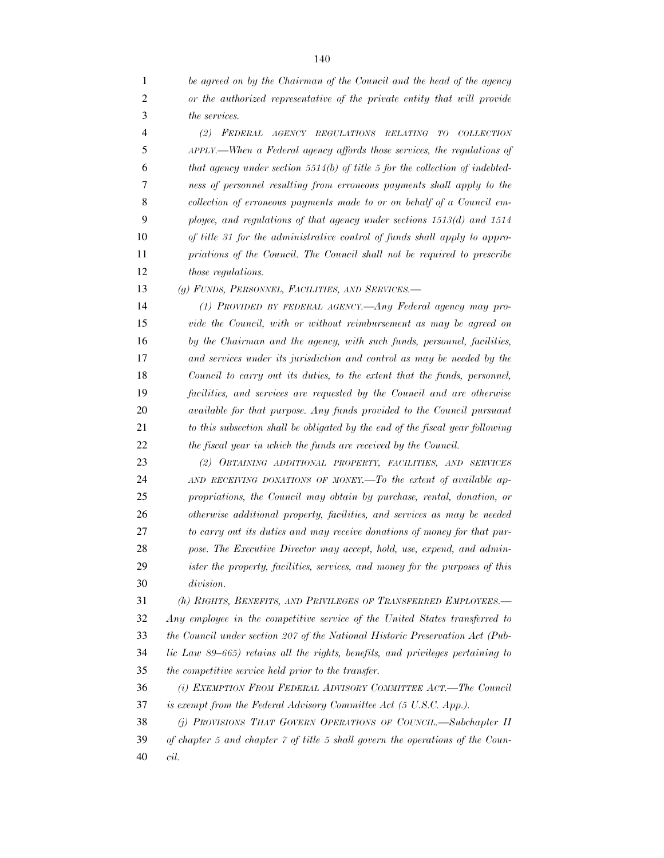| $\mathbf{1}$   | be agreed on by the Chairman of the Council and the head of the agency                      |
|----------------|---------------------------------------------------------------------------------------------|
| $\overline{c}$ | or the authorized representative of the private entity that will provide                    |
| 3              | the services.                                                                               |
| $\overline{4}$ | (2)<br>FEDERAL<br>AGENCY<br>REGULATIONS RELATING<br>${\cal T}{\cal O}$<br><b>COLLECTION</b> |
| 5              | APPLY.—When a Federal agency affords those services, the regulations of                     |
| 6              | that agency under section $5514(b)$ of title 5 for the collection of indebted-              |
| 7              | ness of personnel resulting from erroneous payments shall apply to the                      |
| 8              | collection of erroneous payments made to or on behalf of a Council em-                      |
| 9              | ployee, and regulations of that agency under sections $1513(d)$ and $1514$                  |
| 10             | of title 31 for the administrative control of funds shall apply to appro-                   |
| 11             | priations of the Council. The Council shall not be required to prescribe                    |
| 12             | those regulations.                                                                          |
| 13             | (g) FUNDS, PERSONNEL, FACILITIES, AND SERVICES.-                                            |
| 14             | (1) PROVIDED BY FEDERAL AGENCY.—Any Federal agency may pro-                                 |
| 15             | vide the Council, with or without reimbursement as may be agreed on                         |
| 16             | by the Chairman and the agency, with such funds, personnel, facilities,                     |
| 17             | and services under its jurisdiction and control as may be needed by the                     |
| 18             | Council to carry out its duties, to the extent that the funds, personnel,                   |
| 19             | facilities, and services are requested by the Council and are otherwise                     |
| 20             | available for that purpose. Any funds provided to the Council pursuant                      |
| 21             | to this subsection shall be obligated by the end of the fiscal year following               |
| 22             | the fiscal year in which the funds are received by the Council.                             |
| 23             | (2) OBTAINING ADDITIONAL PROPERTY, FACILITIES, AND SERVICES                                 |
| 24             | AND RECEIVING DONATIONS OF MONEY.—To the extent of available ap-                            |
| 25             | propriations, the Council may obtain by purchase, rental, donation, or                      |
| 26             | otherwise additional property, facilities, and services as may be needed                    |
| 27             | to carry out its duties and may receive donations of money for that pur-                    |
| 28             | pose. The Executive Director may accept, hold, use, expend, and admin-                      |
| 29             | ister the property, facilities, services, and money for the purposes of this                |
| 30             | division.                                                                                   |
| 31             | (h) RIGHTS, BENEFITS, AND PRIVILEGES OF TRANSFERRED EMPLOYEES.-                             |
| 32             | Any employee in the competitive service of the United States transferred to                 |
| 33             | the Council under section 207 of the National Historic Preservation Act (Pub-               |
| 34             | lic Law 89–665) retains all the rights, benefits, and privileges pertaining to              |
| 35             | the competitive service held prior to the transfer.                                         |
| 36             | (i) EXEMPTION FROM FEDERAL ADVISORY COMMITTEE ACT.—The Council                              |
| 37             | is exempt from the Federal Advisory Committee Act (5 U.S.C. App.).                          |
| 38             | (j) PROVISIONS THAT GOVERN OPERATIONS OF COUNCIL.-Subchapter II                             |
| 39             | of chapter 5 and chapter 7 of title 5 shall govern the operations of the Coun-              |
| 40             | cil.                                                                                        |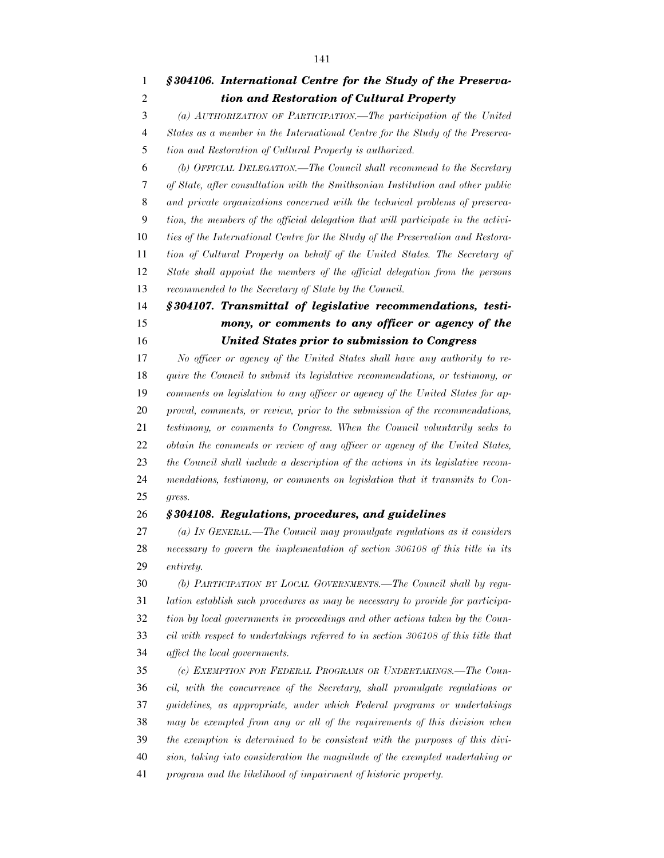| $\mathbf{1}$   | §304106. International Centre for the Study of the Preserva-                      |
|----------------|-----------------------------------------------------------------------------------|
| $\overline{c}$ | tion and Restoration of Cultural Property                                         |
| 3              | (a) AUTHORIZATION OF PARTICIPATION.—The participation of the United               |
| 4              | States as a member in the International Centre for the Study of the Preserva-     |
| 5              | tion and Restoration of Cultural Property is authorized.                          |
| 6              | (b) OFFICIAL DELEGATION.—The Council shall recommend to the Secretary             |
| 7              | of State, after consultation with the Smithsonian Institution and other public    |
| 8              | and private organizations concerned with the technical problems of preserva-      |
| 9              | tion, the members of the official delegation that will participate in the activi- |
| 10             | ties of the International Centre for the Study of the Preservation and Restora-   |
| 11             | tion of Cultural Property on behalf of the United States. The Secretary of        |
| 12             | State shall appoint the members of the official delegation from the persons       |
| 13             | recommended to the Secretary of State by the Council.                             |
| 14             | §304107. Transmittal of legislative recommendations, testi-                       |
| 15             | mony, or comments to any officer or agency of the                                 |
| 16             | <b>United States prior to submission to Congress</b>                              |
| 17             | No officer or agency of the United States shall have any authority to re-         |
| 18             | quire the Council to submit its legislative recommendations, or testimony, or     |
| 19             | comments on legislation to any officer or agency of the United States for ap-     |
| 20             | proval, comments, or review, prior to the submission of the recommendations,      |
| 21             | testimony, or comments to Congress. When the Council voluntarily seeks to         |
| 22             | obtain the comments or review of any officer or agency of the United States,      |
| 23             | the Council shall include a description of the actions in its legislative recom-  |
| 24             | mendations, testimony, or comments on legislation that it transmits to Con-       |
| 25             | gress.                                                                            |
| 26             | §304108. Regulations, procedures, and guidelines                                  |
| 27             | (a) IN GENERAL.—The Council may promulgate regulations as it considers            |
| 28             | necessary to govern the implementation of section 306108 of this title in its     |
| 29             | entirety.                                                                         |
| 30             | (b) PARTICIPATION BY LOCAL GOVERNMENTS.—The Council shall by regu-                |
| 31             | lation establish such procedures as may be necessary to provide for participa-    |
| 32             | tion by local governments in proceedings and other actions taken by the Coun-     |
| 33             | cil with respect to undertakings referred to in section 306108 of this title that |
| 34             | affect the local governments.                                                     |
| 35             | (c) EXEMPTION FOR FEDERAL PROGRAMS OR UNDERTAKINGS.-The Coun-                     |
| 36             | cil, with the concurrence of the Secretary, shall promulgate regulations or       |
| 37             | guidelines, as appropriate, under which Federal programs or undertakings          |
| 38             | may be exempted from any or all of the requirements of this division when         |
| 39             | the exemption is determined to be consistent with the purposes of this divi-      |
| 40             | sion, taking into consideration the magnitude of the exempted undertaking or      |
| 41             | program and the likelihood of impairment of historic property.                    |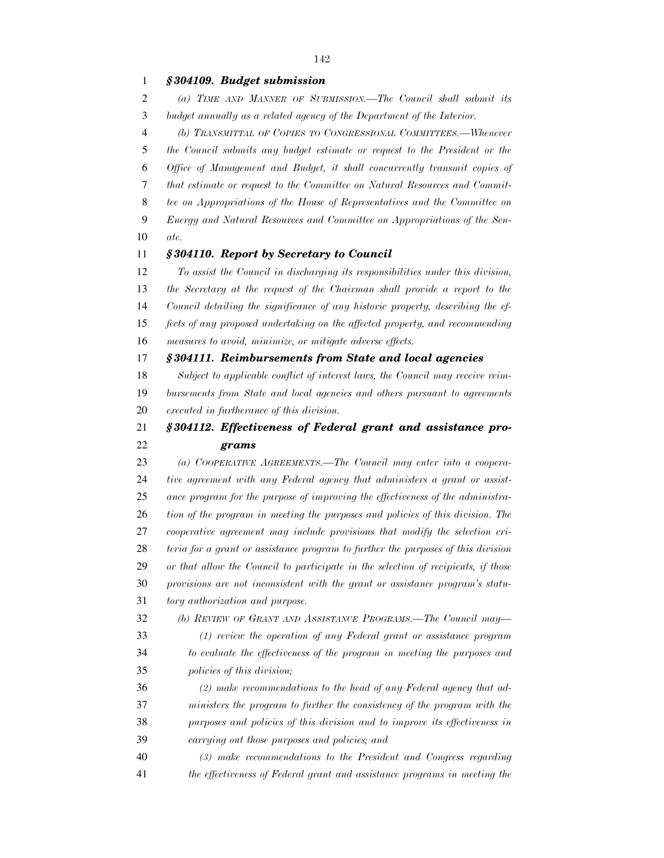### *§ 304109. Budget submission*

*(a) TIME AND MANNER OF SUBMISSION.—The Council shall submit its*

*budget annually as a related agency of the Department of the Interior.*

*(b) TRANSMITTAL OF COPIES TO CONGRESSIONAL COMMITTEES.—Whenever*

*the Council submits any budget estimate or request to the President or the*

*Office of Management and Budget, it shall concurrently transmit copies of*

*that estimate or request to the Committee on Natural Resources and Commit-*

*tee on Appropriations of the House of Representatives and the Committee on*

 *Energy and Natural Resources and Committee on Appropriations of the Sen-ate.*

### *§ 304110. Report by Secretary to Council*

 *To assist the Council in discharging its responsibilities under this division, the Secretary at the request of the Chairman shall provide a report to the Council detailing the significance of any historic property, describing the ef- fects of any proposed undertaking on the affected property, and recommending measures to avoid, minimize, or mitigate adverse effects.*

### *§ 304111. Reimbursements from State and local agencies*

 *Subject to applicable conflict of interest laws, the Council may receive reim- bursements from State and local agencies and others pursuant to agreements executed in furtherance of this division.*

# *§ 304112. Effectiveness of Federal grant and assistance pro-grams*

 *(a) COOPERATIVE AGREEMENTS.—The Council may enter into a coopera- tive agreement with any Federal agency that administers a grant or assist- ance program for the purpose of improving the effectiveness of the administra- tion of the program in meeting the purposes and policies of this division. The cooperative agreement may include provisions that modify the selection cri- teria for a grant or assistance program to further the purposes of this division or that allow the Council to participate in the selection of recipients, if those provisions are not inconsistent with the grant or assistance program's statu-tory authorization and purpose.*

 *(b) REVIEW OF GRANT AND ASSISTANCE PROGRAMS.—The Council may— (1) review the operation of any Federal grant or assistance program to evaluate the effectiveness of the program in meeting the purposes and policies of this division;*

 *(2) make recommendations to the head of any Federal agency that ad- ministers the program to further the consistency of the program with the purposes and policies of this division and to improve its effectiveness in carrying out those purposes and policies; and*

 *(3) make recommendations to the President and Congress regarding the effectiveness of Federal grant and assistance programs in meeting the*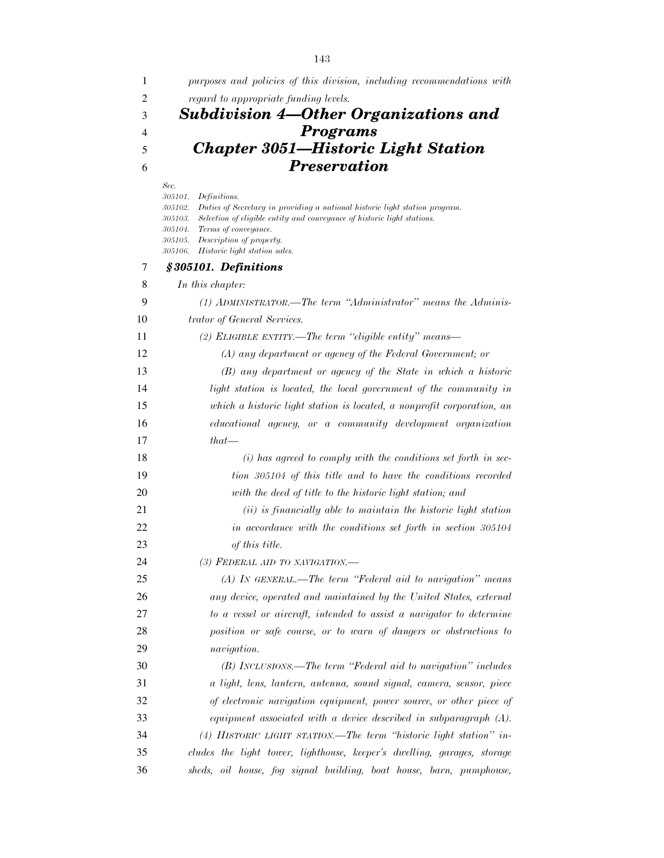| 1  | purposes and policies of this division, including recommendations with                                                                                                                                                                                                                                                        |  |
|----|-------------------------------------------------------------------------------------------------------------------------------------------------------------------------------------------------------------------------------------------------------------------------------------------------------------------------------|--|
| 2  | regard to appropriate funding levels.                                                                                                                                                                                                                                                                                         |  |
| 3  | <b>Subdivision 4–Other Organizations and</b>                                                                                                                                                                                                                                                                                  |  |
| 4  | <b>Programs</b>                                                                                                                                                                                                                                                                                                               |  |
| 5  | <b>Chapter 3051–Historic Light Station</b>                                                                                                                                                                                                                                                                                    |  |
| 6  | <b>Preservation</b>                                                                                                                                                                                                                                                                                                           |  |
|    | Sec.                                                                                                                                                                                                                                                                                                                          |  |
|    | 305101.<br>Definitions.<br>Duties of Secretary in providing a national historic light station program.<br>305102.<br>Selection of eligible entity and conveyance of historic light stations.<br>305103.<br>Terms of conveyance.<br>305104.<br>Description of property.<br>305105.<br>305106.<br>Historic light station sales. |  |
| 7  | §305101. Definitions                                                                                                                                                                                                                                                                                                          |  |
| 8  | In this chapter:                                                                                                                                                                                                                                                                                                              |  |
| 9  | (1) ADMINISTRATOR.—The term "Administrator" means the Adminis-                                                                                                                                                                                                                                                                |  |
| 10 | trator of General Services.                                                                                                                                                                                                                                                                                                   |  |
| 11 | (2) ELIGIBLE ENTITY.—The term "eligible entity" means—                                                                                                                                                                                                                                                                        |  |
| 12 | (A) any department or agency of the Federal Government; or                                                                                                                                                                                                                                                                    |  |
| 13 | $(B)$ any department or agency of the State in which a historic                                                                                                                                                                                                                                                               |  |
| 14 | light station is located, the local government of the community in                                                                                                                                                                                                                                                            |  |
| 15 | which a historic light station is located, a nonprofit corporation, an                                                                                                                                                                                                                                                        |  |
| 16 | educational agency, or a community development organization                                                                                                                                                                                                                                                                   |  |
| 17 | $that-$                                                                                                                                                                                                                                                                                                                       |  |
| 18 | $(i)$ has agreed to comply with the conditions set forth in sec-                                                                                                                                                                                                                                                              |  |
| 19 | tion 305104 of this title and to have the conditions recorded                                                                                                                                                                                                                                                                 |  |
| 20 | with the deed of title to the historic light station; and                                                                                                                                                                                                                                                                     |  |
| 21 | (ii) is financially able to maintain the historic light station                                                                                                                                                                                                                                                               |  |
| 22 | in accordance with the conditions set forth in section 305104                                                                                                                                                                                                                                                                 |  |
| 23 | of this title.                                                                                                                                                                                                                                                                                                                |  |
| 24 | (3) FEDERAL AID TO NAVIGATION.-                                                                                                                                                                                                                                                                                               |  |
| 25 | $(A)$ IN GENERAL.—The term "Federal aid to navigation" means                                                                                                                                                                                                                                                                  |  |
| 26 | any device, operated and maintained by the United States, external                                                                                                                                                                                                                                                            |  |
| 27 | to a vessel or aircraft, intended to assist a navigator to determine                                                                                                                                                                                                                                                          |  |
| 28 | position or safe course, or to warn of dangers or obstructions to                                                                                                                                                                                                                                                             |  |
| 29 | navigation.                                                                                                                                                                                                                                                                                                                   |  |
| 30 | (B) INCLUSIONS.—The term "Federal aid to navigation" includes                                                                                                                                                                                                                                                                 |  |
| 31 | a light, lens, lantern, antenna, sound signal, camera, sensor, piece                                                                                                                                                                                                                                                          |  |
| 32 | of electronic navigation equipment, power source, or other piece of                                                                                                                                                                                                                                                           |  |
| 33 | equipment associated with a device described in subparagraph $(A)$ .                                                                                                                                                                                                                                                          |  |
| 34 | (4) HISTORIC LIGHT STATION.—The term "historic light station" in-                                                                                                                                                                                                                                                             |  |
| 35 | cludes the light tower, lighthouse, keeper's dwelling, garages, storage                                                                                                                                                                                                                                                       |  |
| 36 | sheds, oil house, fog signal building, boat house, barn, pumphouse,                                                                                                                                                                                                                                                           |  |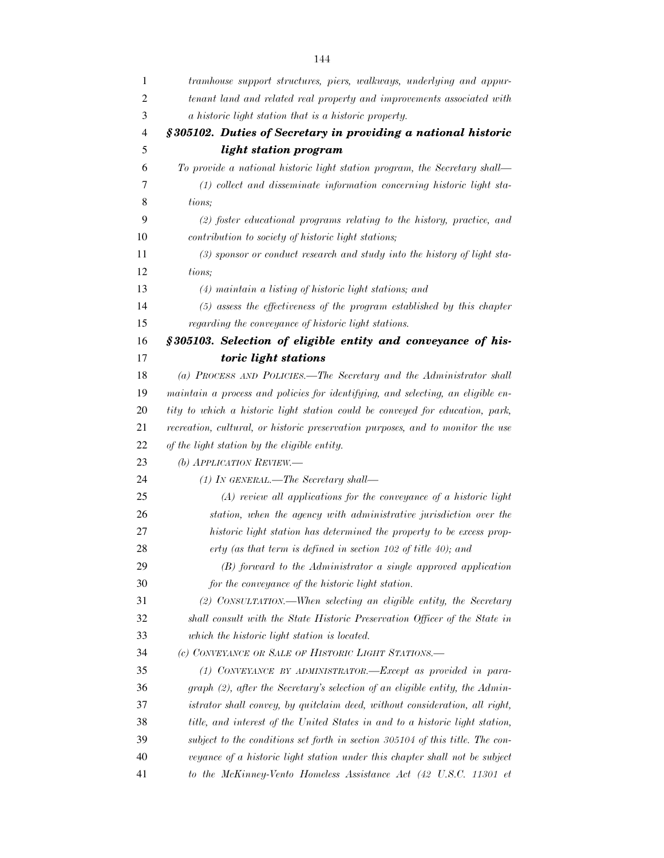| 1              | tramhouse support structures, piers, walkways, underlying and appur-            |
|----------------|---------------------------------------------------------------------------------|
| $\overline{2}$ | tenant land and related real property and improvements associated with          |
| 3              | a historic light station that is a historic property.                           |
| $\overline{4}$ | §305102. Duties of Secretary in providing a national historic                   |
| 5              | light station program                                                           |
| 6              | To provide a national historic light station program, the Secretary shall—      |
| 7              | (1) collect and disseminate information concerning historic light sta-          |
| 8              | tions;                                                                          |
| 9              | $(2)$ foster educational programs relating to the history, practice, and        |
| 10             | contribution to society of historic light stations;                             |
| 11             | $(3)$ sponsor or conduct research and study into the history of light sta-      |
| 12             | tions;                                                                          |
| 13             | $(4)$ maintain a listing of historic light stations; and                        |
| 14             | $(5)$ assess the effectiveness of the program established by this chapter       |
| 15             | regarding the conveyance of historic light stations.                            |
| 16             | §305103. Selection of eligible entity and conveyance of his-                    |
| 17             | toric light stations                                                            |
| 18             | (a) PROCESS AND POLICIES.—The Secretary and the Administrator shall             |
| 19             | maintain a process and policies for identifying, and selecting, an eligible en- |
| 20             | tity to which a historic light station could be conveyed for education, park,   |
| 21             | recreation, cultural, or historic preservation purposes, and to monitor the use |
| 22             | of the light station by the eligible entity.                                    |
| 23             | (b) APPLICATION REVIEW.—                                                        |
| 24             | $(1)$ IN GENERAL.—The Secretary shall—                                          |
| 25             | $(A)$ review all applications for the conveyance of a historic light            |
| 26             | station, when the agency with administrative jurisdiction over the              |
| 27             | historic light station has determined the property to be excess prop-           |
| 28             | erty (as that term is defined in section 102 of title 40); and                  |
| 29             | $(B)$ forward to the Administrator a single approved application                |
| 30             | for the conveyance of the historic light station.                               |
| 31             | (2) CONSULTATION.—When selecting an eligible entity, the Secretary              |
| 32             | shall consult with the State Historic Preservation Officer of the State in      |
| 33             | which the historic light station is located.                                    |
| 34             | (c) CONVEYANCE OR SALE OF HISTORIC LIGHT STATIONS.                              |
| 35             | (1) CONVEYANCE BY ADMINISTRATOR.—Except as provided in para-                    |
| 36             | $graph (2)$ , after the Secretary's selection of an eligible entity, the Admin- |
| 37             | istrator shall convey, by quitclaim deed, without consideration, all right,     |
| 38             | title, and interest of the United States in and to a historic light station,    |
| 39             | subject to the conditions set forth in section 305104 of this title. The con-   |
| 40             | veyance of a historic light station under this chapter shall not be subject     |
| 41             | to the McKinney-Vento Homeless Assistance Act (42 U.S.C. 11301 et               |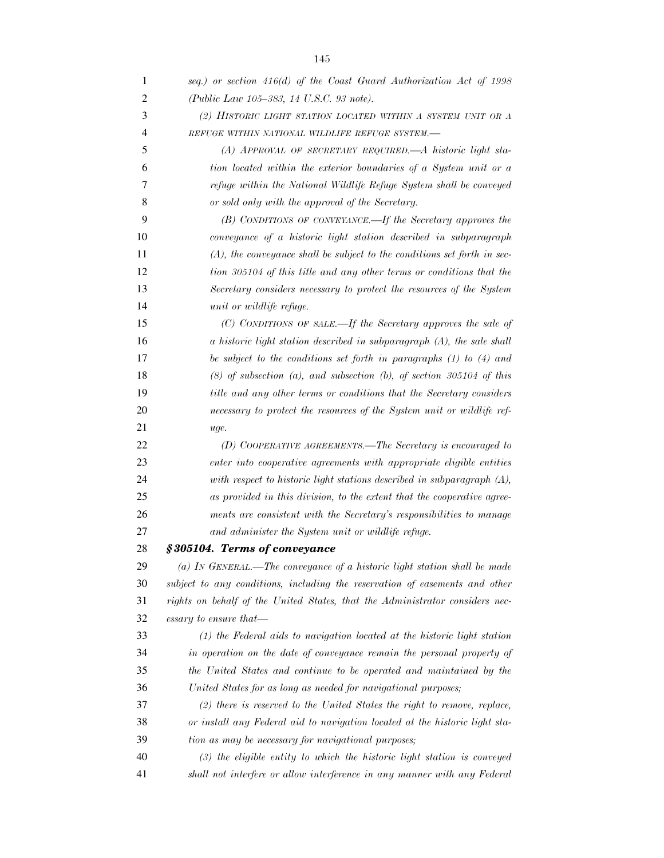*seq.) or section 416(d) of the Coast Guard Authorization Act of 1998 (Public Law 105–383, 14 U.S.C. 93 note). (2) HISTORIC LIGHT STATION LOCATED WITHIN A SYSTEM UNIT OR A REFUGE WITHIN NATIONAL WILDLIFE REFUGE SYSTEM.— (A) APPROVAL OF SECRETARY REQUIRED.—A historic light sta- tion located within the exterior boundaries of a System unit or a refuge within the National Wildlife Refuge System shall be conveyed or sold only with the approval of the Secretary. (B) CONDITIONS OF CONVEYANCE.—If the Secretary approves the conveyance of a historic light station described in subparagraph (A), the conveyance shall be subject to the conditions set forth in sec- tion 305104 of this title and any other terms or conditions that the Secretary considers necessary to protect the resources of the System unit or wildlife refuge. (C) CONDITIONS OF SALE.—If the Secretary approves the sale of a historic light station described in subparagraph (A), the sale shall be subject to the conditions set forth in paragraphs (1) to (4) and (8) of subsection (a), and subsection (b), of section 305104 of this title and any other terms or conditions that the Secretary considers necessary to protect the resources of the System unit or wildlife ref- uge. (D) COOPERATIVE AGREEMENTS.—The Secretary is encouraged to enter into cooperative agreements with appropriate eligible entities with respect to historic light stations described in subparagraph (A), as provided in this division, to the extent that the cooperative agree- ments are consistent with the Secretary's responsibilities to manage and administer the System unit or wildlife refuge. § 305104. Terms of conveyance (a) IN GENERAL.—The conveyance of a historic light station shall be made subject to any conditions, including the reservation of easements and other rights on behalf of the United States, that the Administrator considers nec- essary to ensure that— (1) the Federal aids to navigation located at the historic light station in operation on the date of conveyance remain the personal property of the United States and continue to be operated and maintained by the United States for as long as needed for navigational purposes; (2) there is reserved to the United States the right to remove, replace, or install any Federal aid to navigation located at the historic light sta- tion as may be necessary for navigational purposes; (3) the eligible entity to which the historic light station is conveyed shall not interfere or allow interference in any manner with any Federal*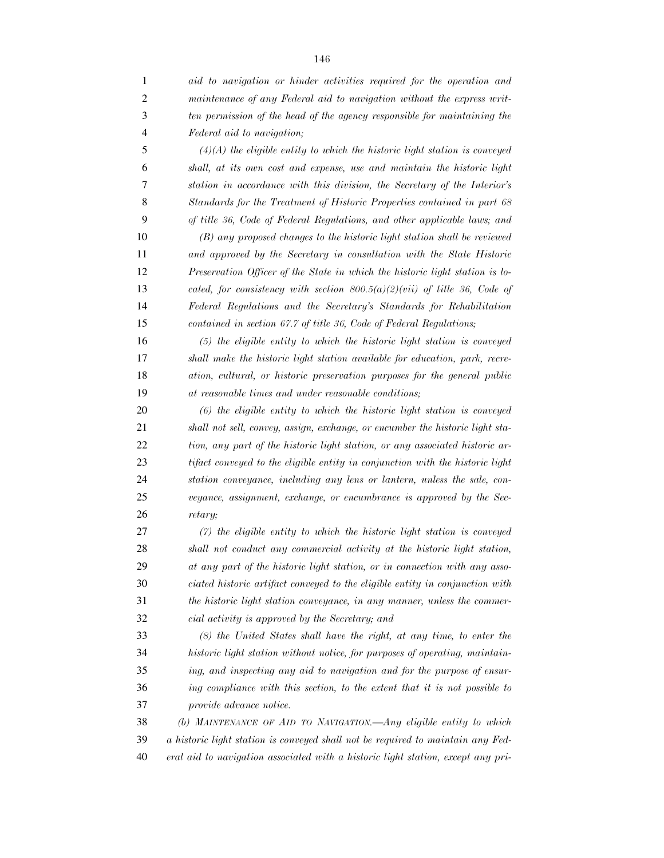| $\mathbf{1}$   | aid to navigation or hinder activities required for the operation and            |
|----------------|----------------------------------------------------------------------------------|
| $\overline{c}$ | maintenance of any Federal aid to navigation without the express writ-           |
| 3              | ten permission of the head of the agency responsible for maintaining the         |
| 4              | Federal aid to navigation;                                                       |
| 5              | $(4)(A)$ the eligible entity to which the historic light station is conveyed     |
| 6              | shall, at its own cost and expense, use and maintain the historic light          |
| 7              | station in accordance with this division, the Secretary of the Interior's        |
| 8              | Standards for the Treatment of Historic Properties contained in part 68          |
| 9              | of title 36, Code of Federal Regulations, and other applicable laws; and         |
| 10             | $(B)$ any proposed changes to the historic light station shall be reviewed       |
| 11             | and approved by the Secretary in consultation with the State Historic            |
| 12             | Preservation Officer of the State in which the historic light station is lo-     |
| 13             | cated, for consistency with section $800.5(a)(2)(vii)$ of title 36, Code of      |
| 14             | Federal Regulations and the Secretary's Standards for Rehabilitation             |
| 15             | contained in section 67.7 of title 36, Code of Federal Regulations;              |
| 16             | $(5)$ the eligible entity to which the historic light station is conveyed        |
| 17             | shall make the historic light station available for education, park, recre-      |
| 18             | ation, cultural, or historic preservation purposes for the general public        |
| 19             | at reasonable times and under reasonable conditions;                             |
| 20             | $(6)$ the eligible entity to which the historic light station is conveyed        |
| 21             | shall not sell, convey, assign, exchange, or encumber the historic light sta-    |
| 22             | tion, any part of the historic light station, or any associated historic ar-     |
| 23             | tifact conveyed to the eligible entity in conjunction with the historic light    |
| 24             | station conveyance, including any lens or lantern, unless the sale, con-         |
| 25             | veyance, assignment, exchange, or encumbrance is approved by the Sec-            |
| 26             | retary;                                                                          |
| 27             | $(7)$ the eligible entity to which the historic light station is conveyed        |
| 28             | shall not conduct any commercial activity at the historic light station,         |
| 29             | at any part of the historic light station, or in connection with any asso-       |
| 30             | ciated historic artifact conveyed to the eligible entity in conjunction with     |
| 31             | the historic light station conveyance, in any manner, unless the commer-         |
| 32             | cial activity is approved by the Secretary; and                                  |
| 33             | (8) the United States shall have the right, at any time, to enter the            |
| 34             | historic light station without notice, for purposes of operating, maintain-      |
| 35             | ing, and inspecting any aid to navigation and for the purpose of ensur-          |
| 36             | ing compliance with this section, to the extent that it is not possible to       |
| 37             | provide advance notice.                                                          |
| 38             | (b) MAINTENANCE OF AID TO NAVIGATION.—Any eligible entity to which               |
| 39             | a historic light station is conveyed shall not be required to maintain any Fed-  |
| 40             | eral aid to navigation associated with a historic light station, except any pri- |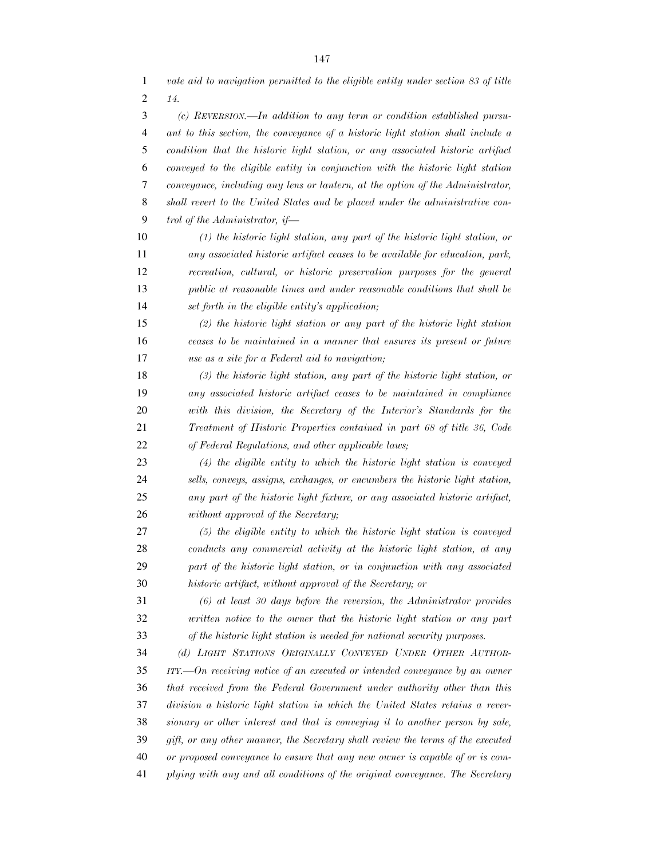*vate aid to navigation permitted to the eligible entity under section 83 of title 14. (c) REVERSION.—In addition to any term or condition established pursu- ant to this section, the conveyance of a historic light station shall include a condition that the historic light station, or any associated historic artifact conveyed to the eligible entity in conjunction with the historic light station conveyance, including any lens or lantern, at the option of the Administrator, shall revert to the United States and be placed under the administrative con- trol of the Administrator, if— (1) the historic light station, any part of the historic light station, or any associated historic artifact ceases to be available for education, park, recreation, cultural, or historic preservation purposes for the general public at reasonable times and under reasonable conditions that shall be set forth in the eligible entity's application; (2) the historic light station or any part of the historic light station ceases to be maintained in a manner that ensures its present or future use as a site for a Federal aid to navigation; (3) the historic light station, any part of the historic light station, or any associated historic artifact ceases to be maintained in compliance with this division, the Secretary of the Interior's Standards for the Treatment of Historic Properties contained in part 68 of title 36, Code of Federal Regulations, and other applicable laws; (4) the eligible entity to which the historic light station is conveyed sells, conveys, assigns, exchanges, or encumbers the historic light station, any part of the historic light fixture, or any associated historic artifact, without approval of the Secretary; (5) the eligible entity to which the historic light station is conveyed conducts any commercial activity at the historic light station, at any part of the historic light station, or in conjunction with any associated historic artifact, without approval of the Secretary; or (6) at least 30 days before the reversion, the Administrator provides written notice to the owner that the historic light station or any part of the historic light station is needed for national security purposes. (d) LIGHT STATIONS ORIGINALLY CONVEYED UNDER OTHER AUTHOR- ITY.—On receiving notice of an executed or intended conveyance by an owner that received from the Federal Government under authority other than this division a historic light station in which the United States retains a rever- sionary or other interest and that is conveying it to another person by sale, gift, or any other manner, the Secretary shall review the terms of the executed or proposed conveyance to ensure that any new owner is capable of or is com-plying with any and all conditions of the original conveyance. The Secretary*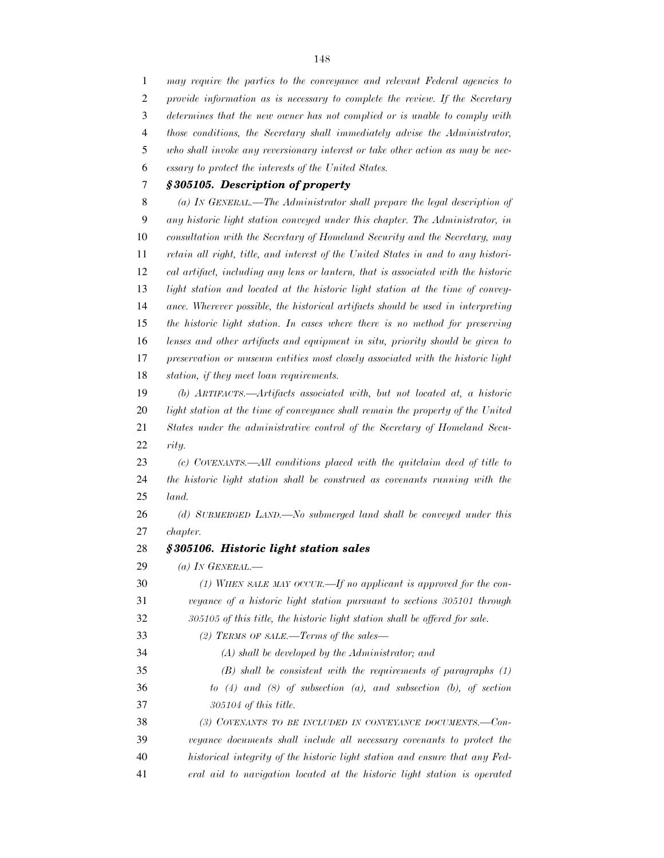*may require the parties to the conveyance and relevant Federal agencies to provide information as is necessary to complete the review. If the Secretary determines that the new owner has not complied or is unable to comply with those conditions, the Secretary shall immediately advise the Administrator, who shall invoke any reversionary interest or take other action as may be nec- essary to protect the interests of the United States. § 305105. Description of property (a) IN GENERAL.—The Administrator shall prepare the legal description of any historic light station conveyed under this chapter. The Administrator, in consultation with the Secretary of Homeland Security and the Secretary, may retain all right, title, and interest of the United States in and to any histori- cal artifact, including any lens or lantern, that is associated with the historic light station and located at the historic light station at the time of convey- ance. Wherever possible, the historical artifacts should be used in interpreting the historic light station. In cases where there is no method for preserving lenses and other artifacts and equipment in situ, priority should be given to preservation or museum entities most closely associated with the historic light station, if they meet loan requirements. (b) ARTIFACTS.—Artifacts associated with, but not located at, a historic light station at the time of conveyance shall remain the property of the United States under the administrative control of the Secretary of Homeland Secu- rity. (c) COVENANTS.—All conditions placed with the quitclaim deed of title to the historic light station shall be construed as covenants running with the land. (d) SUBMERGED LAND.—No submerged land shall be conveyed under this chapter. § 305106. Historic light station sales (a) IN GENERAL.— (1) WHEN SALE MAY OCCUR.—If no applicant is approved for the con- veyance of a historic light station pursuant to sections 305101 through 305105 of this title, the historic light station shall be offered for sale. (2) TERMS OF SALE.—Terms of the sales— (A) shall be developed by the Administrator; and (B) shall be consistent with the requirements of paragraphs (1) to (4) and (8) of subsection (a), and subsection (b), of section 305104 of this title. (3) COVENANTS TO BE INCLUDED IN CONVEYANCE DOCUMENTS.—Con- veyance documents shall include all necessary covenants to protect the historical integrity of the historic light station and ensure that any Fed-eral aid to navigation located at the historic light station is operated*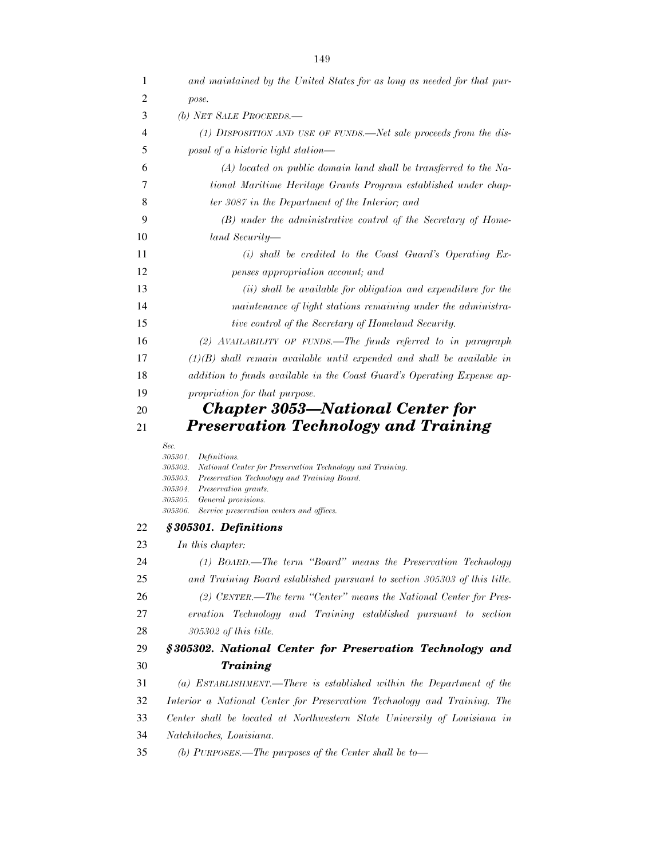| 1  | and maintained by the United States for as long as needed for that pur-                                                                                                                                                                                                                        |
|----|------------------------------------------------------------------------------------------------------------------------------------------------------------------------------------------------------------------------------------------------------------------------------------------------|
| 2  | pose.                                                                                                                                                                                                                                                                                          |
| 3  | (b) NET SALE PROCEEDS.-                                                                                                                                                                                                                                                                        |
| 4  | (1) DISPOSITION AND USE OF FUNDS.—Net sale proceeds from the dis-                                                                                                                                                                                                                              |
| 5  | posal of a historic light station—                                                                                                                                                                                                                                                             |
| 6  | $(A)$ located on public domain land shall be transferred to the Na-                                                                                                                                                                                                                            |
| 7  | tional Maritime Heritage Grants Program established under chap-                                                                                                                                                                                                                                |
| 8  | ter 3087 in the Department of the Interior; and                                                                                                                                                                                                                                                |
| 9  | $(B)$ under the administrative control of the Secretary of Home-                                                                                                                                                                                                                               |
| 10 | land Security-                                                                                                                                                                                                                                                                                 |
| 11 | $(i)$ shall be credited to the Coast Guard's Operating Ex-                                                                                                                                                                                                                                     |
| 12 | penses appropriation account; and                                                                                                                                                                                                                                                              |
| 13 | (ii) shall be available for obligation and expenditure for the                                                                                                                                                                                                                                 |
| 14 | maintenance of light stations remaining under the administra-                                                                                                                                                                                                                                  |
| 15 | tive control of the Secretary of Homeland Security.                                                                                                                                                                                                                                            |
| 16 | $(2)$ AVAILABILITY OF FUNDS.—The funds referred to in paragraph                                                                                                                                                                                                                                |
| 17 | $(1)(B)$ shall remain available until expended and shall be available in                                                                                                                                                                                                                       |
| 18 | addition to funds available in the Coast Guard's Operating Expense ap-                                                                                                                                                                                                                         |
| 19 | propriation for that purpose.                                                                                                                                                                                                                                                                  |
| 20 | <b>Chapter 3053—National Center for</b>                                                                                                                                                                                                                                                        |
| 21 | <b>Preservation Technology and Training</b>                                                                                                                                                                                                                                                    |
|    | Sec.<br>Definitions.<br>305301.<br>National Center for Preservation Technology and Training.<br>305302.<br>305303.<br>Preservation Technology and Training Board.<br>Preservation grants.<br>305304.<br>305305.<br>General provisions.<br>305306.<br>Service preservation centers and offices. |
| 22 | §305301. Definitions                                                                                                                                                                                                                                                                           |
| 23 | In this chapter:                                                                                                                                                                                                                                                                               |
| 24 | (1) BOARD.—The term "Board" means the Preservation Technology                                                                                                                                                                                                                                  |
| 25 | and Training Board established pursuant to section 305303 of this title.                                                                                                                                                                                                                       |

 *§ 305302. National Center for Preservation Technology and Training (a) ESTABLISHMENT.—There is established within the Department of the*

 *(2) CENTER.—The term ''Center'' means the National Center for Pres-ervation Technology and Training established pursuant to section*

- *Interior a National Center for Preservation Technology and Training. The Center shall be located at Northwestern State University of Louisiana in*
- *Natchitoches, Louisiana.*

*305302 of this title.*

*(b) PURPOSES.—The purposes of the Center shall be to—*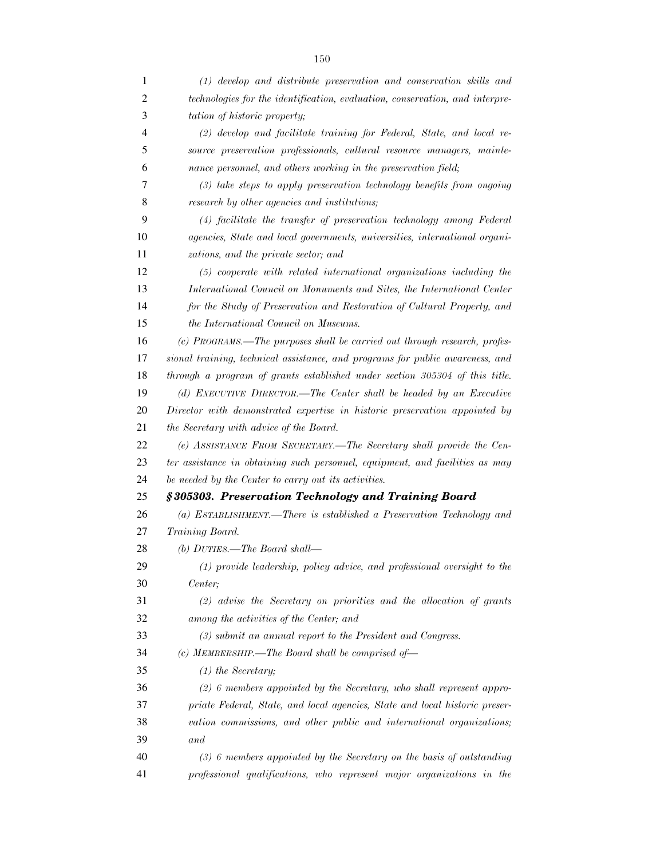| 1              | (1) develop and distribute preservation and conservation skills and           |
|----------------|-------------------------------------------------------------------------------|
| $\overline{2}$ | technologies for the identification, evaluation, conservation, and interpre-  |
| 3              | tation of historic property;                                                  |
| 4              | (2) develop and facilitate training for Federal, State, and local re-         |
| 5              | source preservation professionals, cultural resource managers, mainte-        |
| 6              | nance personnel, and others working in the preservation field;                |
| 7              | $(3)$ take steps to apply preservation technology benefits from ongoing       |
| 8              | research by other agencies and institutions;                                  |
| 9              | (4) facilitate the transfer of preservation technology among Federal          |
| 10             | agencies, State and local governments, universities, international organi-    |
| 11             | zations, and the private sector; and                                          |
| 12             | $(5)$ cooperate with related international organizations including the        |
| 13             | International Council on Monuments and Sites, the International Center        |
| 14             | for the Study of Preservation and Restoration of Cultural Property, and       |
| 15             | the International Council on Museums.                                         |
| 16             | (c) PROGRAMS.—The purposes shall be carried out through research, profes-     |
| 17             | sional training, technical assistance, and programs for public awareness, and |
| 18             | through a program of grants established under section 305304 of this title.   |
| 19             | (d) EXECUTIVE DIRECTOR.—The Center shall be headed by an Executive            |
| 20             | Director with demonstrated expertise in historic preservation appointed by    |
| 21             | the Secretary with advice of the Board.                                       |
| 22             | (e) ASSISTANCE FROM SECRETARY.—The Secretary shall provide the Cen-           |
| 23             | ter assistance in obtaining such personnel, equipment, and facilities as may  |
| 24             | be needed by the Center to carry out its activities.                          |
| 25             | §305303. Preservation Technology and Training Board                           |
| 26             | (a) ESTABLISHMENT.—There is established a Preservation Technology and         |
| 27             | Training Board.                                                               |
| 28             | (b) DUTIES.—The Board shall—                                                  |
| 29             | (1) provide leadership, policy advice, and professional oversight to the      |
| 30             | Center;                                                                       |
| 31             | $(2)$ advise the Secretary on priorities and the allocation of grants         |
| 32             | among the activities of the Center; and                                       |
| 33             | $(3)$ submit an annual report to the President and Congress.                  |
| 34             | (c) MEMBERSHIP.—The Board shall be comprised of-                              |
| 35             | $(1)$ the Secretary;                                                          |
| 36             | $(2)$ 6 members appointed by the Secretary, who shall represent appro-        |
| 37             | priate Federal, State, and local agencies, State and local historic preser-   |
| 38             | vation commissions, and other public and international organizations;         |
| 39             | and                                                                           |
| 40             | (3) 6 members appointed by the Secretary on the basis of outstanding          |
| 41             | professional qualifications, who represent major organizations in the         |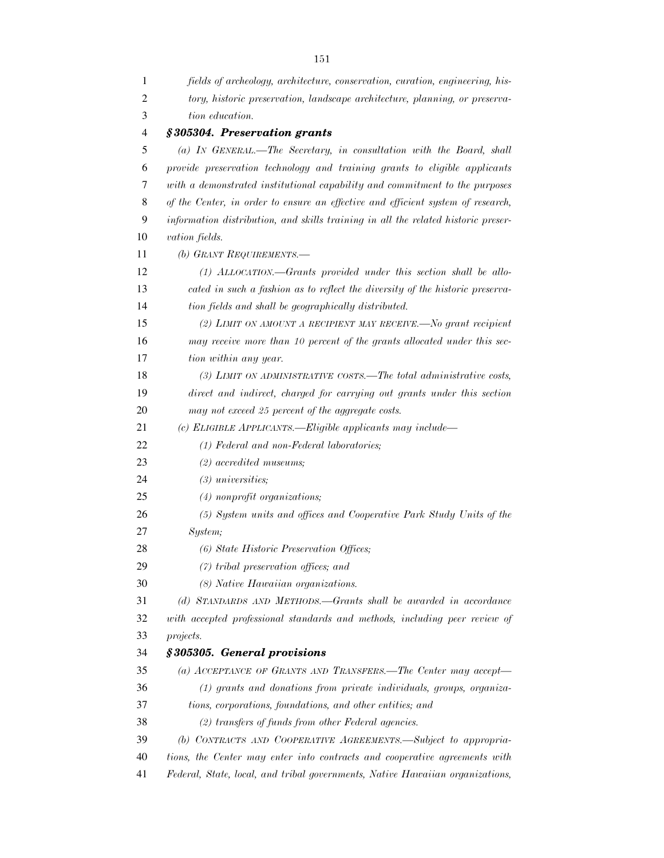| 1  | fields of archeology, architecture, conservation, curation, engineering, his-     |
|----|-----------------------------------------------------------------------------------|
| 2  | tory, historic preservation, landscape architecture, planning, or preserva-       |
| 3  | tion education.                                                                   |
| 4  | §305304. Preservation grants                                                      |
| 5  | (a) IN GENERAL.—The Secretary, in consultation with the Board, shall              |
| 6  | provide preservation technology and training grants to eligible applicants        |
| 7  | with a demonstrated institutional capability and commitment to the purposes       |
| 8  | of the Center, in order to ensure an effective and efficient system of research,  |
| 9  | information distribution, and skills training in all the related historic preser- |
| 10 | vation fields.                                                                    |
| 11 | (b) GRANT REQUIREMENTS.-                                                          |
| 12 | (1) ALLOCATION.—Grants provided under this section shall be allo-                 |
| 13 | cated in such a fashion as to reflect the diversity of the historic preserva-     |
| 14 | tion fields and shall be geographically distributed.                              |
| 15 | (2) LIMIT ON AMOUNT A RECIPIENT MAY RECEIVE.—No grant recipient                   |
| 16 | may receive more than 10 percent of the grants allocated under this sec-          |
| 17 | tion within any year.                                                             |
| 18 | (3) LIMIT ON ADMINISTRATIVE COSTS.—The total administrative costs,                |
| 19 | direct and indirect, charged for carrying out grants under this section           |
| 20 | may not exceed 25 percent of the aggregate costs.                                 |
| 21 | (c) ELIGIBLE APPLICANTS.—Eligible applicants may include—                         |
| 22 | $(1)$ Federal and non-Federal laboratories;                                       |
| 23 | $(2)$ accredited museums;                                                         |
| 24 | $(3)$ universities;                                                               |
| 25 | $(4)$ nonprofit organizations;                                                    |
| 26 | (5) System units and offices and Cooperative Park Study Units of the              |
| 27 | System;                                                                           |
| 28 | (6) State Historic Preservation Offices;                                          |
| 29 | $(7)$ tribal preservation offices; and                                            |
| 30 | (8) Native Hawaiian organizations.                                                |
| 31 | (d) STANDARDS AND METHODS.—Grants shall be awarded in accordance                  |
| 32 | with accepted professional standards and methods, including peer review of        |
| 33 | projects.                                                                         |
| 34 | §305305. General provisions                                                       |
| 35 | (a) ACCEPTANCE OF GRANTS AND TRANSFERS.—The Center may accept-                    |
| 36 | (1) grants and donations from private individuals, groups, organiza-              |
| 37 | tions, corporations, foundations, and other entities; and                         |
| 38 | (2) transfers of funds from other Federal agencies.                               |
| 39 | (b) CONTRACTS AND COOPERATIVE AGREEMENTS.-Subject to appropria-                   |
| 40 | tions, the Center may enter into contracts and cooperative agreements with        |
| 41 | Federal, State, local, and tribal governments, Native Hawaiian organizations,     |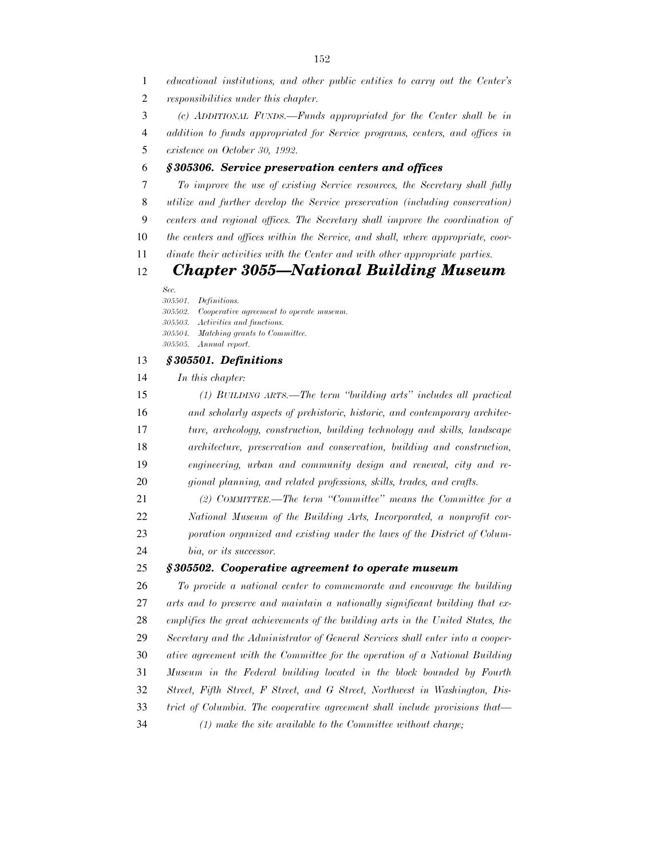- *educational institutions, and other public entities to carry out the Center's responsibilities under this chapter. (c) ADDITIONAL FUNDS.—Funds appropriated for the Center shall be in addition to funds appropriated for Service programs, centers, and offices in existence on October 30, 1992. § 305306. Service preservation centers and offices To improve the use of existing Service resources, the Secretary shall fully utilize and further develop the Service preservation (including conservation) centers and regional offices. The Secretary shall improve the coordination of*
- *the centers and offices within the Service, and shall, where appropriate, coor-*

*dinate their activities with the Center and with other appropriate parties.*

# *Chapter 3055—National Building Museum*

#### *Sec. 305501. Definitions.*

*305502. Cooperative agreement to operate museum. 305503. Activities and functions. 305504. Matching grants to Committee. 305505. Annual report.*

## *§ 305501. Definitions*

*In this chapter:*

| 15 | (1) BUILDING ARTS.—The term "building arts" includes all practical         |
|----|----------------------------------------------------------------------------|
| 16 | and scholarly aspects of prehistoric, historic, and contemporary architec- |
| 17 | ture, archeology, construction, building technology and skills, landscape  |
| 18 | architecture, preservation and conservation, building and construction,    |
| 19 | engineering, urban and community design and renewal, city and re-          |
| 20 | gional planning, and related professions, skills, trades, and crafts.      |
|    |                                                                            |

 *(2) COMMITTEE.—The term ''Committee'' means the Committee for a National Museum of the Building Arts, Incorporated, a nonprofit cor- poration organized and existing under the laws of the District of Colum-bia, or its successor.*

## *§ 305502. Cooperative agreement to operate museum*

 *To provide a national center to commemorate and encourage the building arts and to preserve and maintain a nationally significant building that ex- emplifies the great achievements of the building arts in the United States, the Secretary and the Administrator of General Services shall enter into a cooper- ative agreement with the Committee for the operation of a National Building Museum in the Federal building located in the block bounded by Fourth Street, Fifth Street, F Street, and G Street, Northwest in Washington, Dis- trict of Columbia. The cooperative agreement shall include provisions that— (1) make the site available to the Committee without charge;*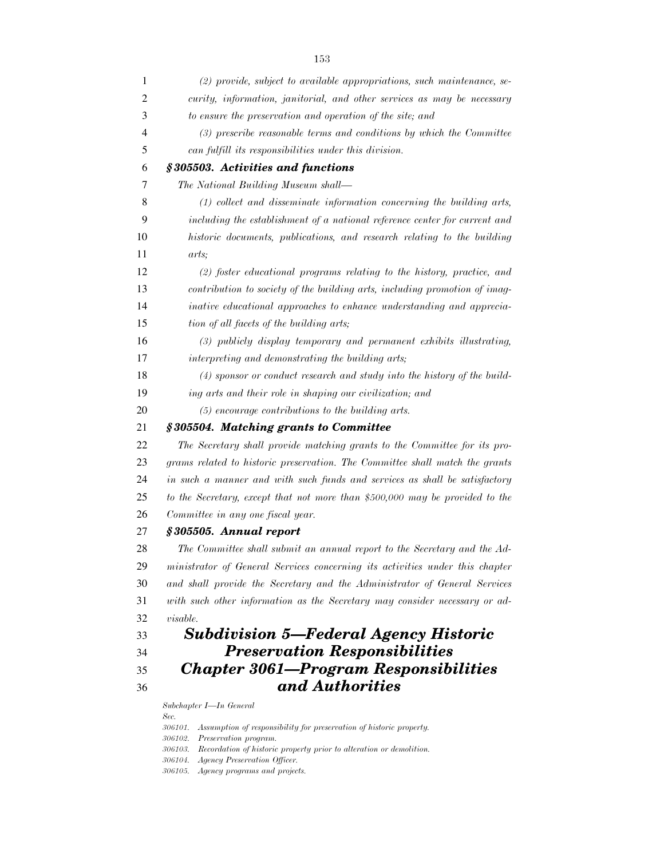| 1                   | $(2)$ provide, subject to available appropriations, such maintenance, se-                                                            |
|---------------------|--------------------------------------------------------------------------------------------------------------------------------------|
| $\overline{c}$<br>3 | curity, information, janitorial, and other services as may be necessary<br>to ensure the preservation and operation of the site; and |
| 4                   | (3) prescribe reasonable terms and conditions by which the Committee                                                                 |
| 5                   | can fulfill its responsibilities under this division.                                                                                |
| 6                   | §305503. Activities and functions                                                                                                    |
| 7                   | The National Building Museum shall—                                                                                                  |
| 8                   | $(1)$ collect and disseminate information concerning the building arts,                                                              |
| 9                   | including the establishment of a national reference center for current and                                                           |
| 10                  | historic documents, publications, and research relating to the building                                                              |
| 11                  | arts:                                                                                                                                |
| 12                  | (2) foster educational programs relating to the history, practice, and                                                               |
| 13                  | contribution to society of the building arts, including promotion of imag-                                                           |
| 14                  | inative educational approaches to enhance understanding and apprecia-                                                                |
| 15                  | tion of all facets of the building arts;                                                                                             |
| 16                  | (3) publicly display temporary and permanent exhibits illustrating,                                                                  |
| 17                  | interpreting and demonstrating the building arts;                                                                                    |
| 18                  | $(4)$ sponsor or conduct research and study into the history of the build-                                                           |
| 19                  | ing arts and their role in shaping our civilization; and                                                                             |
| 20                  | $(5)$ encourage contributions to the building arts.                                                                                  |
| 21                  | §305504. Matching grants to Committee                                                                                                |
| 22                  | The Secretary shall provide matching grants to the Committee for its pro-                                                            |
| 23                  | grams related to historic preservation. The Committee shall match the grants                                                         |
| 24                  | in such a manner and with such funds and services as shall be satisfactory                                                           |
| 25                  | to the Secretary, except that not more than \$500,000 may be provided to the                                                         |
| 26                  | Committee in any one fiscal year.                                                                                                    |
| 27                  | §305505. Annual report                                                                                                               |
| 28                  | The Committee shall submit an annual report to the Secretary and the Ad-                                                             |
| 29                  | ministrator of General Services concerning its activities under this chapter                                                         |
| 30                  | and shall provide the Secretary and the Administrator of General Services                                                            |
| 31                  | with such other information as the Secretary may consider necessary or ad-                                                           |
| 32                  | visable.                                                                                                                             |
| 33                  | <b>Subdivision 5–Federal Agency Historic</b>                                                                                         |
| 34                  | <b>Preservation Responsibilities</b>                                                                                                 |
| 35<br>36            | <b>Chapter 3061—Program Responsibilities</b><br>and Authorities                                                                      |
|                     | Subchapter I—In General                                                                                                              |
|                     | Sec.<br>Assumption of responsibility for preservation of historic property.<br>306101.                                               |
|                     |                                                                                                                                      |

*306102. Preservation program.*

*306103. Recordation of historic property prior to alteration or demolition.*

- *306104. Agency Preservation Officer.*
- *306105. Agency programs and projects.*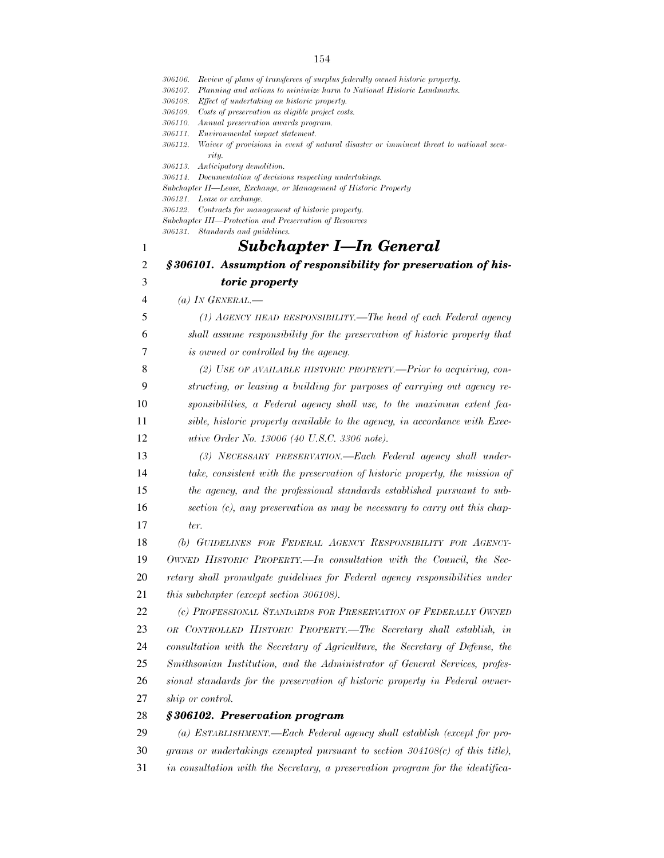*306106. Review of plans of transferees of surplus federally owned historic property. 306107. Planning and actions to minimize harm to National Historic Landmarks. 306108. Effect of undertaking on historic property. 306109. Costs of preservation as eligible project costs. 306110. Annual preservation awards program. 306111. Environmental impact statement. 306112. Waiver of provisions in event of natural disaster or imminent threat to national security. 306113. Anticipatory demolition. 306114. Documentation of decisions respecting undertakings. Subchapter II—Lease, Exchange, or Management of Historic Property 306121. Lease or exchange. 306122. Contracts for management of historic property. Subchapter III—Protection and Preservation of Resources 306131. Standards and guidelines. Subchapter I—In General § 306101. Assumption of responsibility for preservation of his- toric property (a) IN GENERAL.— (1) AGENCY HEAD RESPONSIBILITY.—The head of each Federal agency shall assume responsibility for the preservation of historic property that is owned or controlled by the agency. (2) USE OF AVAILABLE HISTORIC PROPERTY.—Prior to acquiring, con- structing, or leasing a building for purposes of carrying out agency re- sponsibilities, a Federal agency shall use, to the maximum extent fea- sible, historic property available to the agency, in accordance with Exec- utive Order No. 13006 (40 U.S.C. 3306 note). (3) NECESSARY PRESERVATION.—Each Federal agency shall under- take, consistent with the preservation of historic property, the mission of the agency, and the professional standards established pursuant to sub- section (c), any preservation as may be necessary to carry out this chap- ter. (b) GUIDELINES FOR FEDERAL AGENCY RESPONSIBILITY FOR AGENCY- OWNED HISTORIC PROPERTY.—In consultation with the Council, the Sec- retary shall promulgate guidelines for Federal agency responsibilities under this subchapter (except section 306108). (c) PROFESSIONAL STANDARDS FOR PRESERVATION OF FEDERALLY OWNED OR CONTROLLED HISTORIC PROPERTY.—The Secretary shall establish, in consultation with the Secretary of Agriculture, the Secretary of Defense, the Smithsonian Institution, and the Administrator of General Services, profes- sional standards for the preservation of historic property in Federal owner- ship or control. § 306102. Preservation program (a) ESTABLISHMENT.—Each Federal agency shall establish (except for pro-grams or undertakings exempted pursuant to section 304108(c) of this title),*

*in consultation with the Secretary, a preservation program for the identifica-*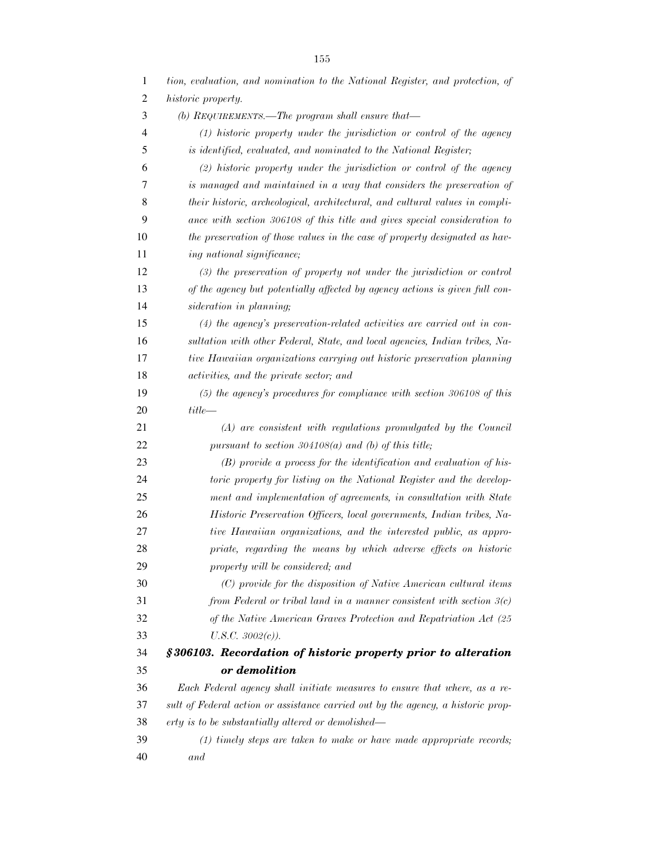| $\mathbf{1}$   | tion, evaluation, and nomination to the National Register, and protection, of    |
|----------------|----------------------------------------------------------------------------------|
| 2              | historic property.                                                               |
| 3              | (b) REQUIREMENTS.—The program shall ensure that—                                 |
| $\overline{4}$ | $(1)$ historic property under the jurisdiction or control of the agency          |
| 5              | is identified, evaluated, and nominated to the National Register;                |
| 6              | $(2)$ historic property under the jurisdiction or control of the agency          |
| 7              | is managed and maintained in a way that considers the preservation of            |
| 8              | their historic, archeological, architectural, and cultural values in compli-     |
| 9              | ance with section 306108 of this title and gives special consideration to        |
| 10             | the preservation of those values in the case of property designated as hav-      |
| 11             | ing national significance;                                                       |
| 12             | $(3)$ the preservation of property not under the jurisdiction or control         |
| 13             | of the agency but potentially affected by agency actions is given full con-      |
| 14             | sideration in planning;                                                          |
| 15             | $(4)$ the agency's preservation-related activities are carried out in con-       |
| 16             | sultation with other Federal, State, and local agencies, Indian tribes, Na-      |
| 17             | tive Hawaiian organizations carrying out historic preservation planning          |
| 18             | activities, and the private sector; and                                          |
| 19             | $(5)$ the agency's procedures for compliance with section 306108 of this         |
| 20             | $title-$                                                                         |
| 21             | $(A)$ are consistent with regulations promulgated by the Council                 |
| 22             | pursuant to section $304108(a)$ and (b) of this title;                           |
| 23             | $(B)$ provide a process for the identification and evaluation of his-            |
| 24             | toric property for listing on the National Register and the develop-             |
| 25             | ment and implementation of agreements, in consultation with State                |
| 26             | Historic Preservation Officers, local governments, Indian tribes, Na-            |
| 27             | tive Hawaiian organizations, and the interested public, as appro-                |
| 28             | priate, regarding the means by which adverse effects on historic                 |
| 29             | property will be considered; and                                                 |
| 30             | (C) provide for the disposition of Native American cultural items                |
| 31             | from Federal or tribal land in a manner consistent with section $3(c)$           |
| 32             | of the Native American Graves Protection and Repatriation Act (25                |
| 33             | $U.S.C. 3002(c)$ ).                                                              |
| 34             | §306103. Recordation of historic property prior to alteration                    |
| 35             | or demolition                                                                    |
| 36             | Each Federal agency shall initiate measures to ensure that where, as a re-       |
| 37             | sult of Federal action or assistance carried out by the agency, a historic prop- |
| 38             | erty is to be substantially altered or demolished—                               |
| 39             | $(1)$ timely steps are taken to make or have made appropriate records;           |
| 40             | and                                                                              |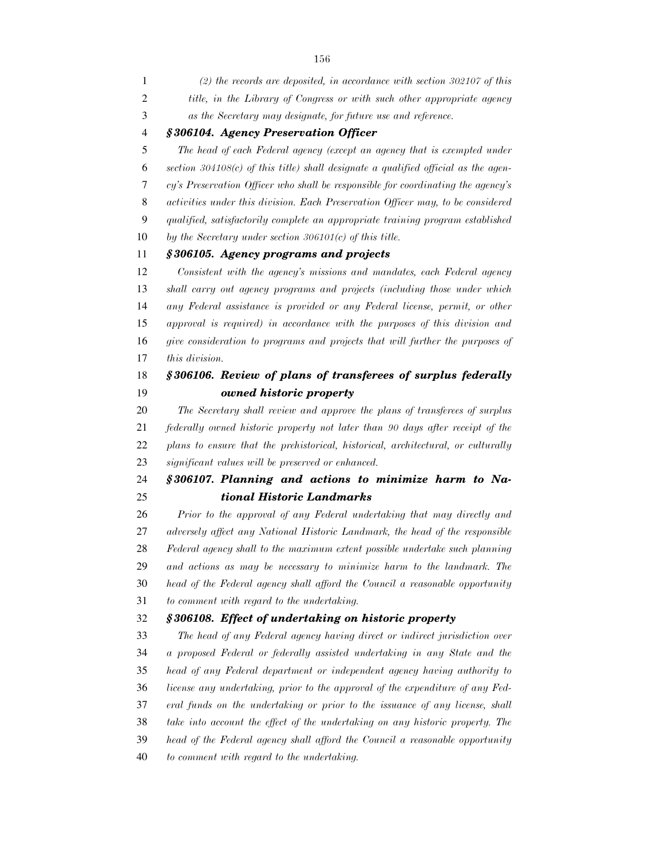*(2) the records are deposited, in accordance with section 302107 of this title, in the Library of Congress or with such other appropriate agency as the Secretary may designate, for future use and reference. § 306104. Agency Preservation Officer The head of each Federal agency (except an agency that is exempted under section 304108(c) of this title) shall designate a qualified official as the agen- cy's Preservation Officer who shall be responsible for coordinating the agency's activities under this division. Each Preservation Officer may, to be considered qualified, satisfactorily complete an appropriate training program established by the Secretary under section 306101(c) of this title. § 306105. Agency programs and projects Consistent with the agency's missions and mandates, each Federal agency shall carry out agency programs and projects (including those under which any Federal assistance is provided or any Federal license, permit, or other approval is required) in accordance with the purposes of this division and give consideration to programs and projects that will further the purposes of this division. § 306106. Review of plans of transferees of surplus federally owned historic property The Secretary shall review and approve the plans of transferees of surplus federally owned historic property not later than 90 days after receipt of the plans to ensure that the prehistorical, historical, architectural, or culturally significant values will be preserved or enhanced. § 306107. Planning and actions to minimize harm to Na- tional Historic Landmarks Prior to the approval of any Federal undertaking that may directly and adversely affect any National Historic Landmark, the head of the responsible Federal agency shall to the maximum extent possible undertake such planning and actions as may be necessary to minimize harm to the landmark. The head of the Federal agency shall afford the Council a reasonable opportunity to comment with regard to the undertaking. § 306108. Effect of undertaking on historic property The head of any Federal agency having direct or indirect jurisdiction over a proposed Federal or federally assisted undertaking in any State and the head of any Federal department or independent agency having authority to license any undertaking, prior to the approval of the expenditure of any Fed- eral funds on the undertaking or prior to the issuance of any license, shall take into account the effect of the undertaking on any historic property. The head of the Federal agency shall afford the Council a reasonable opportunity to comment with regard to the undertaking.*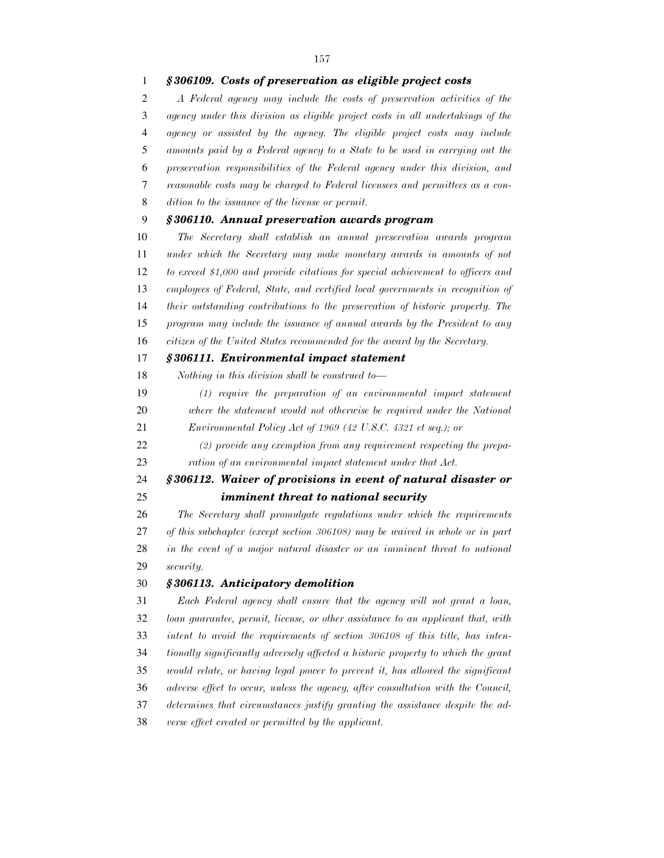*§ 306109. Costs of preservation as eligible project costs*

 *A Federal agency may include the costs of preservation activities of the agency under this division as eligible project costs in all undertakings of the agency or assisted by the agency. The eligible project costs may include amounts paid by a Federal agency to a State to be used in carrying out the preservation responsibilities of the Federal agency under this division, and reasonable costs may be charged to Federal licensees and permittees as a con-dition to the issuance of the license or permit.*

## *§ 306110. Annual preservation awards program*

 *The Secretary shall establish an annual preservation awards program under which the Secretary may make monetary awards in amounts of not to exceed \$1,000 and provide citations for special achievement to officers and employees of Federal, State, and certified local governments in recognition of their outstanding contributions to the preservation of historic property. The program may include the issuance of annual awards by the President to any citizen of the United States recommended for the award by the Secretary.*

## *§ 306111. Environmental impact statement*

*Nothing in this division shall be construed to—*

 *(1) require the preparation of an environmental impact statement where the statement would not otherwise be required under the National Environmental Policy Act of 1969 (42 U.S.C. 4321 et seq.); or*

*(2) provide any exemption from any requirement respecting the prepa-*

*ration of an environmental impact statement under that Act.*

# *§ 306112. Waiver of provisions in event of natural disaster or imminent threat to national security*

 *The Secretary shall promulgate regulations under which the requirements of this subchapter (except section 306108) may be waived in whole or in part in the event of a major natural disaster or an imminent threat to national security.*

# *§ 306113. Anticipatory demolition*

 *Each Federal agency shall ensure that the agency will not grant a loan, loan guarantee, permit, license, or other assistance to an applicant that, with intent to avoid the requirements of section 306108 of this title, has inten- tionally significantly adversely affected a historic property to which the grant would relate, or having legal power to prevent it, has allowed the significant adverse effect to occur, unless the agency, after consultation with the Council, determines that circumstances justify granting the assistance despite the ad-verse effect created or permitted by the applicant.*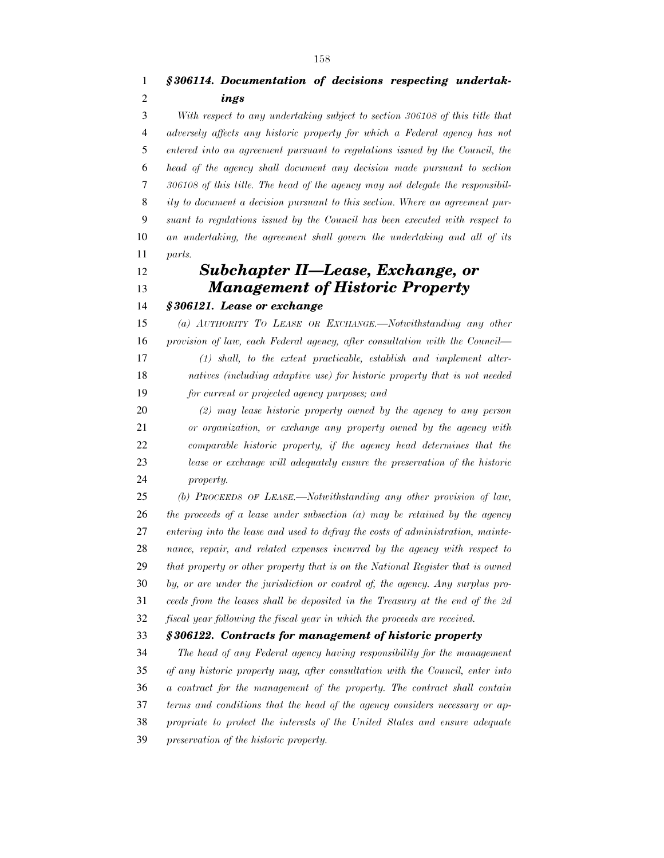*§ 306114. Documentation of decisions respecting undertak- ings With respect to any undertaking subject to section 306108 of this title that adversely affects any historic property for which a Federal agency has not entered into an agreement pursuant to regulations issued by the Council, the head of the agency shall document any decision made pursuant to section 306108 of this title. The head of the agency may not delegate the responsibil- ity to document a decision pursuant to this section. Where an agreement pur- suant to regulations issued by the Council has been executed with respect to an undertaking, the agreement shall govern the undertaking and all of its parts. Subchapter II—Lease, Exchange, or Management of Historic Property § 306121. Lease or exchange (a) AUTHORITY TO LEASE OR EXCHANGE.—Notwithstanding any other provision of law, each Federal agency, after consultation with the Council— (1) shall, to the extent practicable, establish and implement alter- natives (including adaptive use) for historic property that is not needed for current or projected agency purposes; and (2) may lease historic property owned by the agency to any person or organization, or exchange any property owned by the agency with comparable historic property, if the agency head determines that the lease or exchange will adequately ensure the preservation of the historic property. (b) PROCEEDS OF LEASE.—Notwithstanding any other provision of law, the proceeds of a lease under subsection (a) may be retained by the agency entering into the lease and used to defray the costs of administration, mainte- nance, repair, and related expenses incurred by the agency with respect to that property or other property that is on the National Register that is owned by, or are under the jurisdiction or control of, the agency. Any surplus pro- ceeds from the leases shall be deposited in the Treasury at the end of the 2d fiscal year following the fiscal year in which the proceeds are received. § 306122. Contracts for management of historic property The head of any Federal agency having responsibility for the management of any historic property may, after consultation with the Council, enter into a contract for the management of the property. The contract shall contain terms and conditions that the head of the agency considers necessary or ap- propriate to protect the interests of the United States and ensure adequate preservation of the historic property.*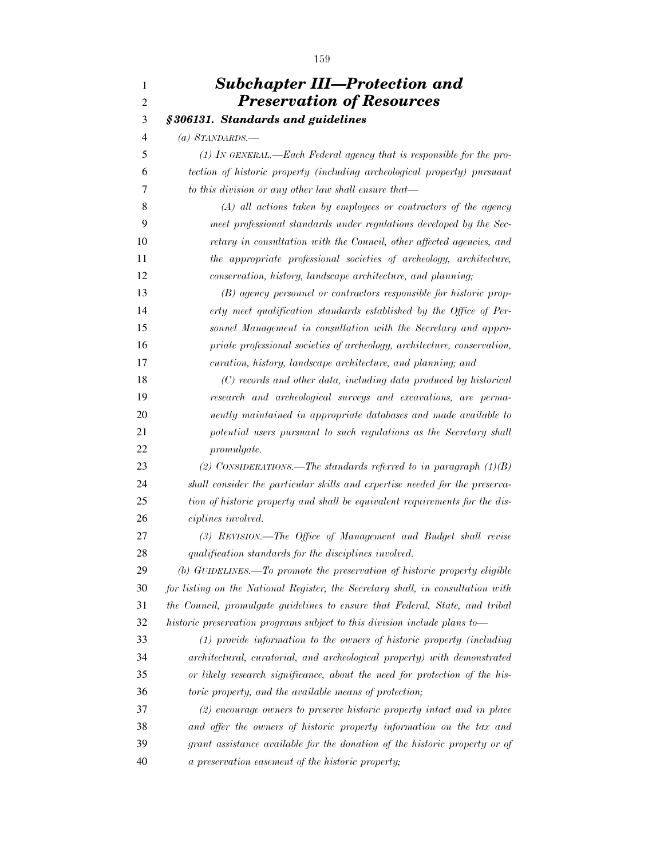| 1<br>$\overline{c}$ | <b>Subchapter III-Protection and</b><br><b>Preservation of Resources</b>        |
|---------------------|---------------------------------------------------------------------------------|
| 3                   | §306131. Standards and guidelines                                               |
| 4                   | (a) STANDARDS.—                                                                 |
| 5                   | $(1)$ IN GENERAL.—Each Federal agency that is responsible for the pro-          |
| 6                   | tection of historic property (including archeological property) pursuant        |
| 7                   | to this division or any other law shall ensure that—                            |
| 8                   | $(A)$ all actions taken by employees or contractors of the agency               |
| 9                   | meet professional standards under regulations developed by the Sec-             |
| 10                  | retary in consultation with the Council, other affected agencies, and           |
| 11                  | the appropriate professional societies of archeology, architecture,             |
| 12                  | conservation, history, landscape architecture, and planning;                    |
| 13                  | $(B)$ agency personnel or contractors responsible for historic prop-            |
| 14                  | erty meet qualification standards established by the Office of Per-             |
| 15                  | sonnel Management in consultation with the Secretary and appro-                 |
| 16                  | priate professional societies of archeology, architecture, conservation,        |
| 17                  | curation, history, landscape architecture, and planning; and                    |
| 18                  | (C) records and other data, including data produced by historical               |
| 19                  | research and archeological surveys and excavations, are perma-                  |
| 20                  | nently maintained in appropriate databases and made available to                |
| 21                  | potential users pursuant to such regulations as the Secretary shall             |
| 22                  | promulgate.                                                                     |
| 23                  | (2) CONSIDERATIONS.—The standards referred to in paragraph $(1)(B)$             |
| 24                  | shall consider the particular skills and expertise needed for the preserva-     |
| 25                  | tion of historic property and shall be equivalent requirements for the dis-     |
| 26                  | ciplines involved.                                                              |
| 27                  | (3) REVISION.—The Office of Management and Budget shall revise                  |
| 28                  | qualification standards for the disciplines involved.                           |
| 29                  | (b) GUIDELINES.—To promote the preservation of historic property eligible       |
| 30                  | for listing on the National Register, the Secretary shall, in consultation with |
| 31                  | the Council, promulgate guidelines to ensure that Federal, State, and tribal    |
| 32                  | historic preservation programs subject to this division include plans to-       |
| 33                  | (1) provide information to the owners of historic property (including           |
| 34                  | architectural, curatorial, and archeological property) with demonstrated        |
| 35                  | or likely research significance, about the need for protection of the his-      |
| 36                  | toric property, and the available means of protection;                          |
| 37                  | $(2)$ encourage owners to preserve historic property intact and in place        |
| 38                  | and offer the owners of historic property information on the tax and            |
| 39                  | grant assistance available for the donation of the historic property or of      |
| 40                  | a preservation easement of the historic property;                               |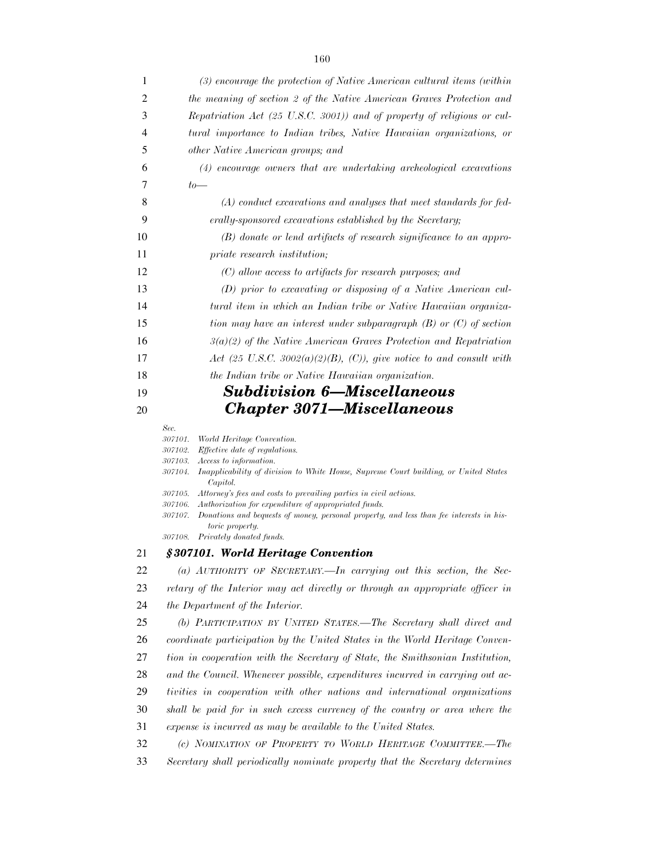| 1  | (3) encourage the protection of Native American cultural items (within  |
|----|-------------------------------------------------------------------------|
| 2  | the meaning of section 2 of the Native American Graves Protection and   |
| 3  | Repatriation Act (25 U.S.C. 3001)) and of property of religious or cul- |
| 4  | tural importance to Indian tribes, Native Hawaiian organizations, or    |
| 5  | other Native American groups; and                                       |
| 6  | $(4)$ encourage owners that are undertaking archeological excavations   |
| 7  | $to-$                                                                   |
| 8  | $(A)$ conduct excavations and analyses that meet standards for fed-     |
| 9  | erally-sponsored excavations established by the Secretary;              |
| 10 | (B) donate or lend artifacts of research significance to an appro-      |
| 11 | priate research institution;                                            |
| 12 | $(C)$ allow access to artifacts for research purposes; and              |
| 13 | (D) prior to excavating or disposing of a Native American cul-          |
| 14 | tural item in which an Indian tribe or Native Hawaiian organiza-        |
| 15 | tion may have an interest under subparagraph $(B)$ or $(C)$ of section  |
| 16 | $\beta(a)(2)$ of the Native American Graves Protection and Repatriation |
| 17 | Act (25 U.S.C. 3002(a)(2)(B), (C)), give notice to and consult with     |
| 18 | the Indian tribe or Native Hawaiian organization.                       |
| 19 | <b>Subdivision 6–Miscellaneous</b>                                      |
| 20 | <b>Chapter 3071—Miscellaneous</b>                                       |
|    |                                                                         |

| Sec.    |                                                                                                 |
|---------|-------------------------------------------------------------------------------------------------|
|         | 307101. World Heritage Convention.                                                              |
| 307102. | <i>Effective date of regulations.</i>                                                           |
|         | 307103. Access to information.                                                                  |
|         | 307104. Inapplicability of division to White House, Supreme Court building, or United States    |
|         | Capitol.                                                                                        |
|         | 307105. Attorney's fees and costs to prevailing parties in civil actions.                       |
|         | 307106. Authorization for expenditure of appropriated funds.                                    |
|         | 307107. Donations and bequests of money, personal property, and less than fee interests in his- |
|         | <i>toric property.</i>                                                                          |
|         | 307108. Privately donated funds.                                                                |

### *§ 307101. World Heritage Convention*

*(a) AUTHORITY OF SECRETARY.—In carrying out this section, the Sec-*

*retary of the Interior may act directly or through an appropriate officer in*

*the Department of the Interior.*

 *(b) PARTICIPATION BY UNITED STATES.—The Secretary shall direct and coordinate participation by the United States in the World Heritage Conven-*

- *tion in cooperation with the Secretary of State, the Smithsonian Institution,*
- *and the Council. Whenever possible, expenditures incurred in carrying out ac-*

*tivities in cooperation with other nations and international organizations*

*shall be paid for in such excess currency of the country or area where the*

*expense is incurred as may be available to the United States.*

- *(c) NOMINATION OF PROPERTY TO WORLD HERITAGE COMMITTEE.—The*
- *Secretary shall periodically nominate property that the Secretary determines*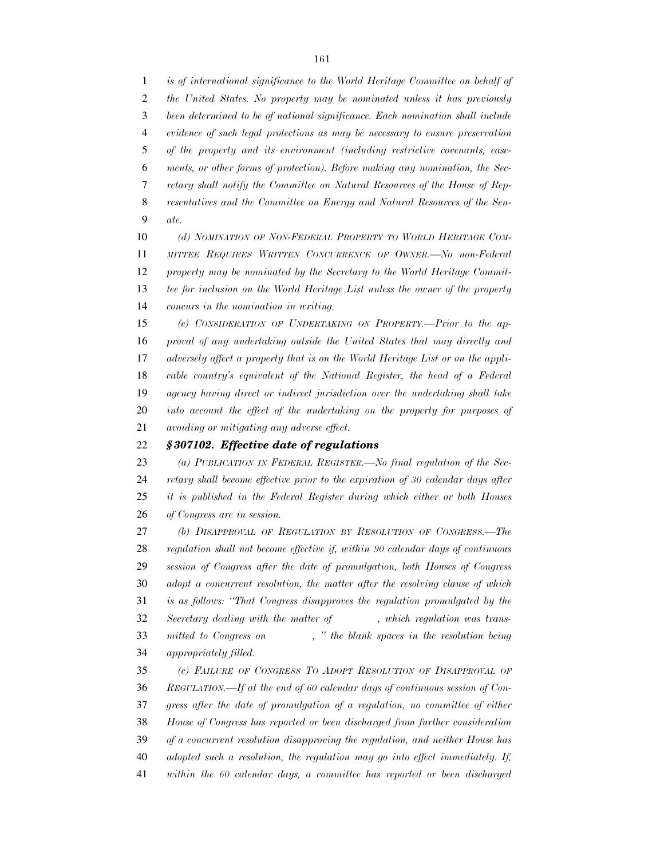*is of international significance to the World Heritage Committee on behalf of the United States. No property may be nominated unless it has previously been determined to be of national significance. Each nomination shall include evidence of such legal protections as may be necessary to ensure preservation of the property and its environment (including restrictive covenants, ease- ments, or other forms of protection). Before making any nomination, the Sec- retary shall notify the Committee on Natural Resources of the House of Rep- resentatives and the Committee on Energy and Natural Resources of the Sen-ate.*

 *(d) NOMINATION OF NON-FEDERAL PROPERTY TO WORLD HERITAGE COM- MITTEE REQUIRES WRITTEN CONCURRENCE OF OWNER.—No non-Federal property may be nominated by the Secretary to the World Heritage Commit- tee for inclusion on the World Heritage List unless the owner of the property concurs in the nomination in writing.*

 *(e) CONSIDERATION OF UNDERTAKING ON PROPERTY.—Prior to the ap- proval of any undertaking outside the United States that may directly and adversely affect a property that is on the World Heritage List or on the appli- cable country's equivalent of the National Register, the head of a Federal agency having direct or indirect jurisdiction over the undertaking shall take into account the effect of the undertaking on the property for purposes of avoiding or mitigating any adverse effect.*

# *§ 307102. Effective date of regulations*

 *(a) PUBLICATION IN FEDERAL REGISTER.—No final regulation of the Sec- retary shall become effective prior to the expiration of 30 calendar days after it is published in the Federal Register during which either or both Houses of Congress are in session.*

 *(b) DISAPPROVAL OF REGULATION BY RESOLUTION OF CONGRESS.—The regulation shall not become effective if, within 90 calendar days of continuous session of Congress after the date of promulgation, both Houses of Congress adopt a concurrent resolution, the matter after the resolving clause of which is as follows: ''That Congress disapproves the regulation promulgated by the Secretary dealing with the matter of , which regulation was trans- mitted to Congress on , '' the blank spaces in the resolution being appropriately filled.*

 *(c) FAILURE OF CONGRESS TO ADOPT RESOLUTION OF DISAPPROVAL OF REGULATION.—If at the end of 60 calendar days of continuous session of Con- gress after the date of promulgation of a regulation, no committee of either House of Congress has reported or been discharged from further consideration of a concurrent resolution disapproving the regulation, and neither House has adopted such a resolution, the regulation may go into effect immediately. If, within the 60 calendar days, a committee has reported or been discharged*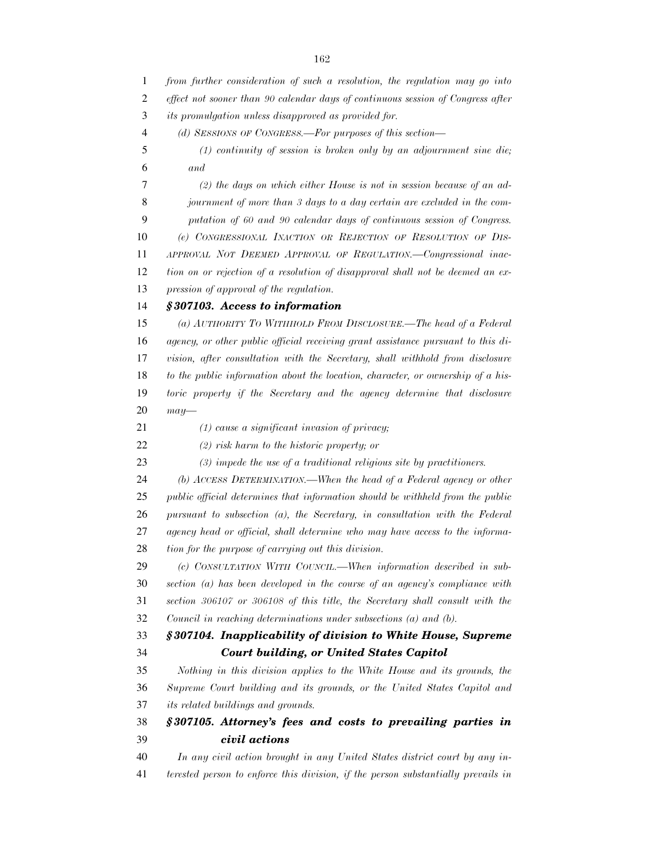*from further consideration of such a resolution, the regulation may go into effect not sooner than 90 calendar days of continuous session of Congress after its promulgation unless disapproved as provided for. (d) SESSIONS OF CONGRESS.—For purposes of this section— (1) continuity of session is broken only by an adjournment sine die; and (2) the days on which either House is not in session because of an ad- journment of more than 3 days to a day certain are excluded in the com- putation of 60 and 90 calendar days of continuous session of Congress. (e) CONGRESSIONAL INACTION OR REJECTION OF RESOLUTION OF DIS- APPROVAL NOT DEEMED APPROVAL OF REGULATION.—Congressional inac- tion on or rejection of a resolution of disapproval shall not be deemed an ex- pression of approval of the regulation. § 307103. Access to information (a) AUTHORITY TO WITHHOLD FROM DISCLOSURE.—The head of a Federal agency, or other public official receiving grant assistance pursuant to this di- vision, after consultation with the Secretary, shall withhold from disclosure to the public information about the location, character, or ownership of a his- toric property if the Secretary and the agency determine that disclosure may— (1) cause a significant invasion of privacy; (2) risk harm to the historic property; or (3) impede the use of a traditional religious site by practitioners. (b) ACCESS DETERMINATION.—When the head of a Federal agency or other public official determines that information should be withheld from the public pursuant to subsection (a), the Secretary, in consultation with the Federal agency head or official, shall determine who may have access to the informa- tion for the purpose of carrying out this division. (c) CONSULTATION WITH COUNCIL.—When information described in sub- section (a) has been developed in the course of an agency's compliance with section 306107 or 306108 of this title, the Secretary shall consult with the Council in reaching determinations under subsections (a) and (b). § 307104. Inapplicability of division to White House, Supreme Court building, or United States Capitol Nothing in this division applies to the White House and its grounds, the Supreme Court building and its grounds, or the United States Capitol and its related buildings and grounds. § 307105. Attorney's fees and costs to prevailing parties in civil actions In any civil action brought in any United States district court by any in-terested person to enforce this division, if the person substantially prevails in*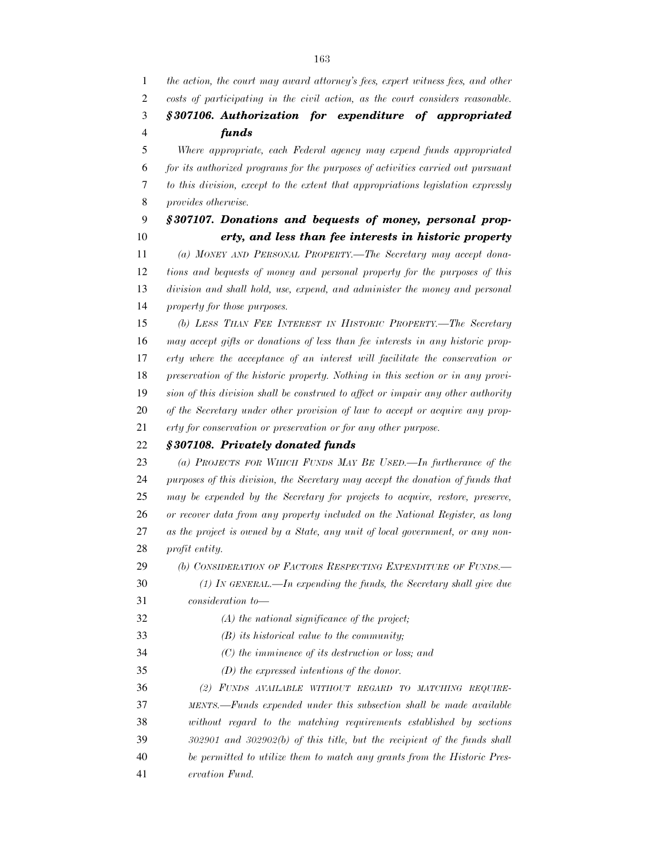*the action, the court may award attorney's fees, expert witness fees, and other costs of participating in the civil action, as the court considers reasonable. § 307106. Authorization for expenditure of appropriated funds Where appropriate, each Federal agency may expend funds appropriated for its authorized programs for the purposes of activities carried out pursuant to this division, except to the extent that appropriations legislation expressly provides otherwise. § 307107. Donations and bequests of money, personal prop- erty, and less than fee interests in historic property (a) MONEY AND PERSONAL PROPERTY.—The Secretary may accept dona- tions and bequests of money and personal property for the purposes of this division and shall hold, use, expend, and administer the money and personal property for those purposes. (b) LESS THAN FEE INTEREST IN HISTORIC PROPERTY.—The Secretary may accept gifts or donations of less than fee interests in any historic prop- erty where the acceptance of an interest will facilitate the conservation or preservation of the historic property. Nothing in this section or in any provi- sion of this division shall be construed to affect or impair any other authority of the Secretary under other provision of law to accept or acquire any prop- erty for conservation or preservation or for any other purpose. § 307108. Privately donated funds (a) PROJECTS FOR WHICH FUNDS MAY BE USED.—In furtherance of the purposes of this division, the Secretary may accept the donation of funds that may be expended by the Secretary for projects to acquire, restore, preserve, or recover data from any property included on the National Register, as long as the project is owned by a State, any unit of local government, or any non- profit entity. (b) CONSIDERATION OF FACTORS RESPECTING EXPENDITURE OF FUNDS.— (1) IN GENERAL.—In expending the funds, the Secretary shall give due consideration to— (A) the national significance of the project; (B) its historical value to the community; (C) the imminence of its destruction or loss; and (D) the expressed intentions of the donor. (2) FUNDS AVAILABLE WITHOUT REGARD TO MATCHING REQUIRE- MENTS.—Funds expended under this subsection shall be made available without regard to the matching requirements established by sections 302901 and 302902(b) of this title, but the recipient of the funds shall be permitted to utilize them to match any grants from the Historic Pres-ervation Fund.*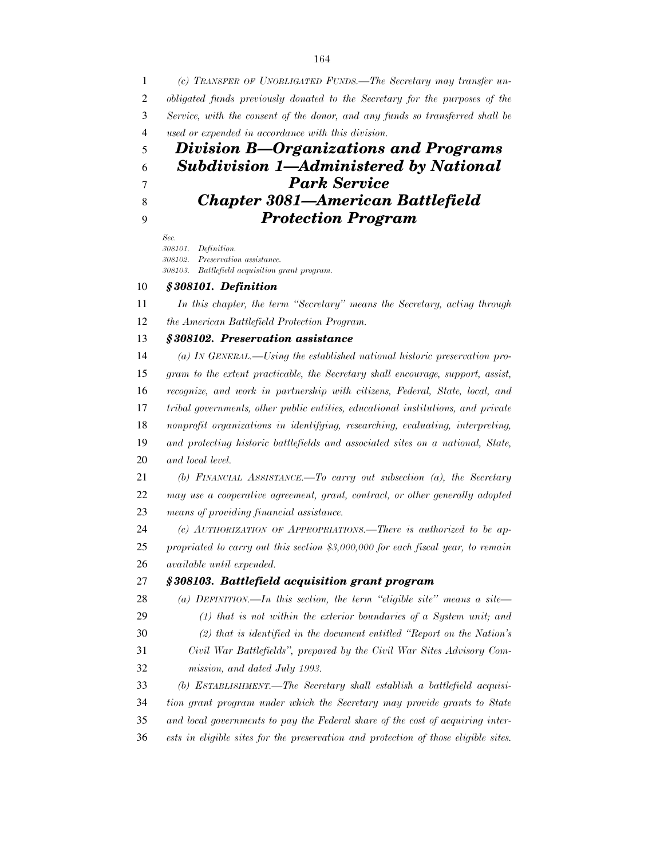*(c) TRANSFER OF UNOBLIGATED FUNDS.—The Secretary may transfer un- obligated funds previously donated to the Secretary for the purposes of the Service, with the consent of the donor, and any funds so transferred shall be used or expended in accordance with this division. Division B—Organizations and Programs Subdivision 1—Administered by National Park Service Chapter 3081—American Battlefield Protection Program Sec. 308101. Definition. 308102. Preservation assistance. 308103. Battlefield acquisition grant program. § 308101. Definition In this chapter, the term ''Secretary'' means the Secretary, acting through the American Battlefield Protection Program. § 308102. Preservation assistance (a) IN GENERAL.—Using the established national historic preservation pro- gram to the extent practicable, the Secretary shall encourage, support, assist, recognize, and work in partnership with citizens, Federal, State, local, and tribal governments, other public entities, educational institutions, and private nonprofit organizations in identifying, researching, evaluating, interpreting, and protecting historic battlefields and associated sites on a national, State, and local level. (b) FINANCIAL ASSISTANCE.—To carry out subsection (a), the Secretary may use a cooperative agreement, grant, contract, or other generally adopted means of providing financial assistance. (c) AUTHORIZATION OF APPROPRIATIONS.—There is authorized to be ap- propriated to carry out this section \$3,000,000 for each fiscal year, to remain available until expended. § 308103. Battlefield acquisition grant program (a) DEFINITION.—In this section, the term ''eligible site'' means a site— (1) that is not within the exterior boundaries of a System unit; and (2) that is identified in the document entitled ''Report on the Nation's Civil War Battlefields'', prepared by the Civil War Sites Advisory Com- mission, and dated July 1993. (b) ESTABLISHMENT.—The Secretary shall establish a battlefield acquisi- tion grant program under which the Secretary may provide grants to State and local governments to pay the Federal share of the cost of acquiring inter-ests in eligible sites for the preservation and protection of those eligible sites.*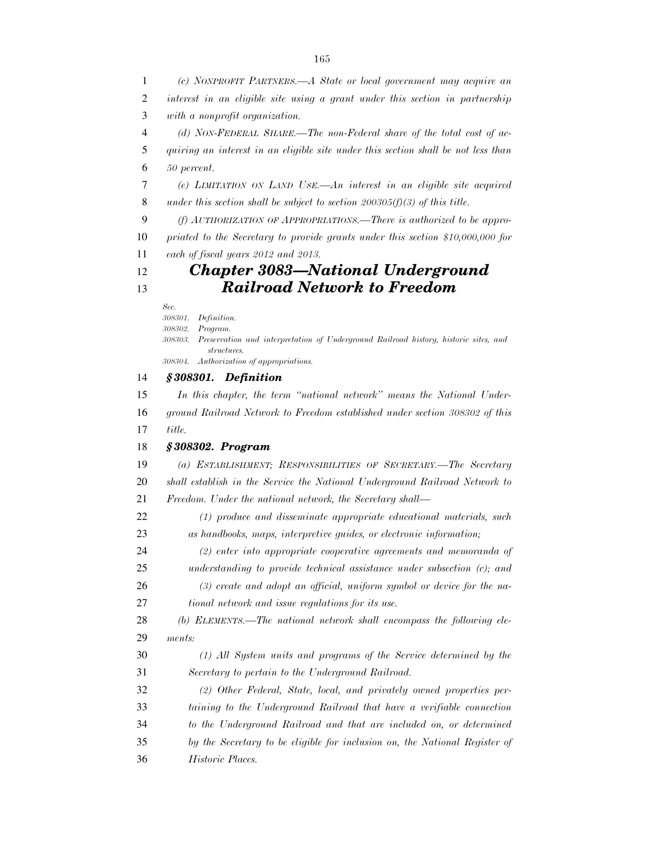*(c) NONPROFIT PARTNERS.—A State or local government may acquire an interest in an eligible site using a grant under this section in partnership with a nonprofit organization. (d) NON-FEDERAL SHARE.—The non-Federal share of the total cost of ac- quiring an interest in an eligible site under this section shall be not less than 50 percent. (e) LIMITATION ON LAND USE.—An interest in an eligible site acquired under this section shall be subject to section 200305(f)(3) of this title. (f) AUTHORIZATION OF APPROPRIATIONS.—There is authorized to be appro- priated to the Secretary to provide grants under this section \$10,000,000 for each of fiscal years 2012 and 2013. Chapter 3083—National Underground Railroad Network to Freedom Sec. 308301. Definition. 308302. Program. 308303. Preservation and interpretation of Underground Railroad history, historic sites, and structures. 308304. Authorization of appropriations. § 308301. Definition In this chapter, the term ''national network'' means the National Under- ground Railroad Network to Freedom established under section 308302 of this title. § 308302. Program (a) ESTABLISHMENT; RESPONSIBILITIES OF SECRETARY.—The Secretary shall establish in the Service the National Underground Railroad Network to Freedom. Under the national network, the Secretary shall— (1) produce and disseminate appropriate educational materials, such as handbooks, maps, interpretive guides, or electronic information; (2) enter into appropriate cooperative agreements and memoranda of understanding to provide technical assistance under subsection (c); and (3) create and adopt an official, uniform symbol or device for the na- tional network and issue regulations for its use. (b) ELEMENTS.—The national network shall encompass the following ele- ments: (1) All System units and programs of the Service determined by the Secretary to pertain to the Underground Railroad. (2) Other Federal, State, local, and privately owned properties per- taining to the Underground Railroad that have a verifiable connection to the Underground Railroad and that are included on, or determined by the Secretary to be eligible for inclusion on, the National Register of Historic Places.*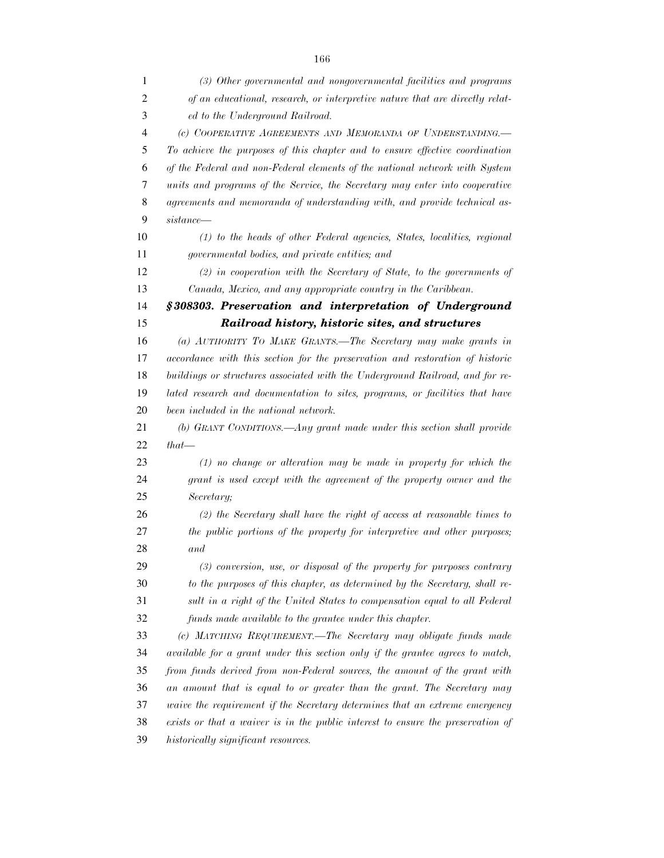| 1              | (3) Other governmental and nongovernmental facilities and programs                 |
|----------------|------------------------------------------------------------------------------------|
| $\overline{2}$ | of an educational, research, or interpretive nature that are directly relat-       |
| 3              | ed to the Underground Railroad.                                                    |
| 4              | (c) COOPERATIVE AGREEMENTS AND MEMORANDA OF UNDERSTANDING.                         |
| 5              | To achieve the purposes of this chapter and to ensure effective coordination       |
| 6              | of the Federal and non-Federal elements of the national network with System        |
| 7              | units and programs of the Service, the Secretary may enter into cooperative        |
| 8              | agreements and memoranda of understanding with, and provide technical as-          |
| 9              | $sistance$ —                                                                       |
| 10             | $(1)$ to the heads of other Federal agencies, States, localities, regional         |
| 11             | governmental bodies, and private entities; and                                     |
| 12             | $(2)$ in cooperation with the Secretary of State, to the governments of            |
| 13             | Canada, Mexico, and any appropriate country in the Caribbean.                      |
| 14             | §308303. Preservation and interpretation of Underground                            |
| 15             | Railroad history, historic sites, and structures                                   |
| 16             | (a) AUTHORITY TO MAKE GRANTS.-The Secretary may make grants in                     |
| 17             | accordance with this section for the preservation and restoration of historic      |
| 18             | buildings or structures associated with the Underground Railroad, and for re-      |
| 19             | lated research and documentation to sites, programs, or facilities that have       |
| 20             | been included in the national network.                                             |
| 21             | (b) GRANT CONDITIONS.—Any grant made under this section shall provide              |
| 22             | $that-$                                                                            |
| 23             | $(1)$ no change or alteration may be made in property for which the                |
| 24             | grant is used except with the agreement of the property owner and the              |
| 25             | Secretary;                                                                         |
| 26             | $(2)$ the Secretary shall have the right of access at reasonable times to          |
| 27             | the public portions of the property for interpretive and other purposes;           |
| 28             | and                                                                                |
| 29             | $(3)$ conversion, use, or disposal of the property for purposes contrary           |
| 30             | to the purposes of this chapter, as determined by the Secretary, shall re-         |
| 31             | sult in a right of the United States to compensation equal to all Federal          |
| 32             | funds made available to the grantee under this chapter.                            |
| 33             | (c) MATCHING REQUIREMENT.—The Secretary may obligate funds made                    |
| 34             | available for a grant under this section only if the grantee agrees to match,      |
| 35             | from funds derived from non-Federal sources, the amount of the grant with          |
| 36             | an amount that is equal to or greater than the grant. The Secretary may            |
| 37             | <i>vaive the requirement if the Secretary determines that an extreme emergency</i> |
| 38             | exists or that a waiver is in the public interest to ensure the preservation of    |
| 39             | historically significant resources.                                                |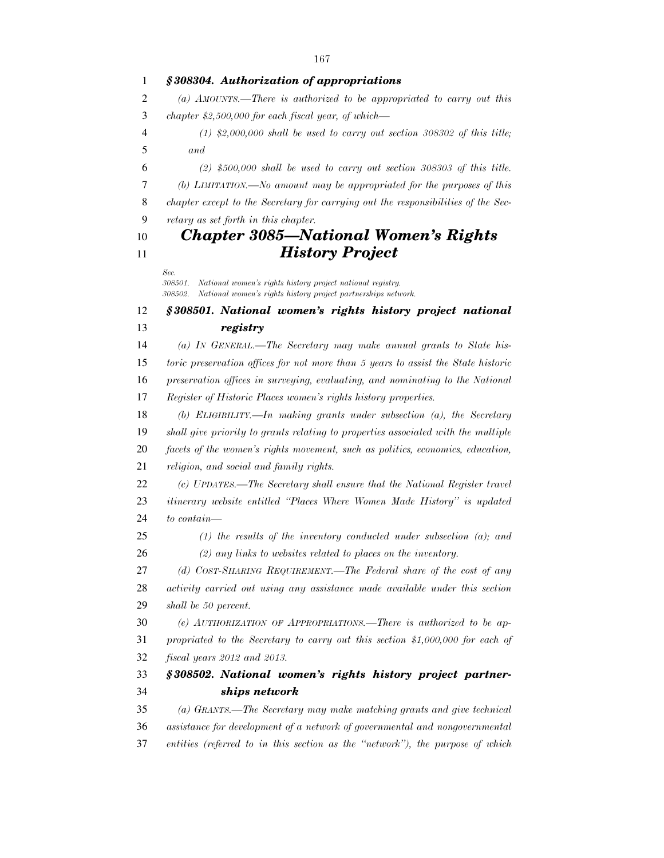*§ 308304. Authorization of appropriations (a) AMOUNTS.—There is authorized to be appropriated to carry out this chapter \$2,500,000 for each fiscal year, of which— (1) \$2,000,000 shall be used to carry out section 308302 of this title; and (2) \$500,000 shall be used to carry out section 308303 of this title. (b) LIMITATION.—No amount may be appropriated for the purposes of this chapter except to the Secretary for carrying out the responsibilities of the Sec- retary as set forth in this chapter. Chapter 3085—National Women's Rights*

# *History Project*

*Sec. 308501. National women's rights history project national registry. 308502. National women's rights history project partnerships network.*

 *§ 308501. National women's rights history project national registry (a) IN GENERAL.—The Secretary may make annual grants to State his-*

 *toric preservation offices for not more than 5 years to assist the State historic preservation offices in surveying, evaluating, and nominating to the National Register of Historic Places women's rights history properties.*

*(b) ELIGIBILITY.—In making grants under subsection (a), the Secretary*

*shall give priority to grants relating to properties associated with the multiple*

*facets of the women's rights movement, such as politics, economics, education,*

*religion, and social and family rights.*

 *(c) UPDATES.—The Secretary shall ensure that the National Register travel itinerary website entitled ''Places Where Women Made History'' is updated to contain—*

 *(1) the results of the inventory conducted under subsection (a); and (2) any links to websites related to places on the inventory.*

 *(d) COST-SHARING REQUIREMENT.—The Federal share of the cost of any activity carried out using any assistance made available under this section shall be 50 percent.*

 *(e) AUTHORIZATION OF APPROPRIATIONS.—There is authorized to be ap- propriated to the Secretary to carry out this section \$1,000,000 for each of fiscal years 2012 and 2013.*

 *§ 308502. National women's rights history project partner-ships network*

 *(a) GRANTS.—The Secretary may make matching grants and give technical assistance for development of a network of governmental and nongovernmental entities (referred to in this section as the ''network''), the purpose of which*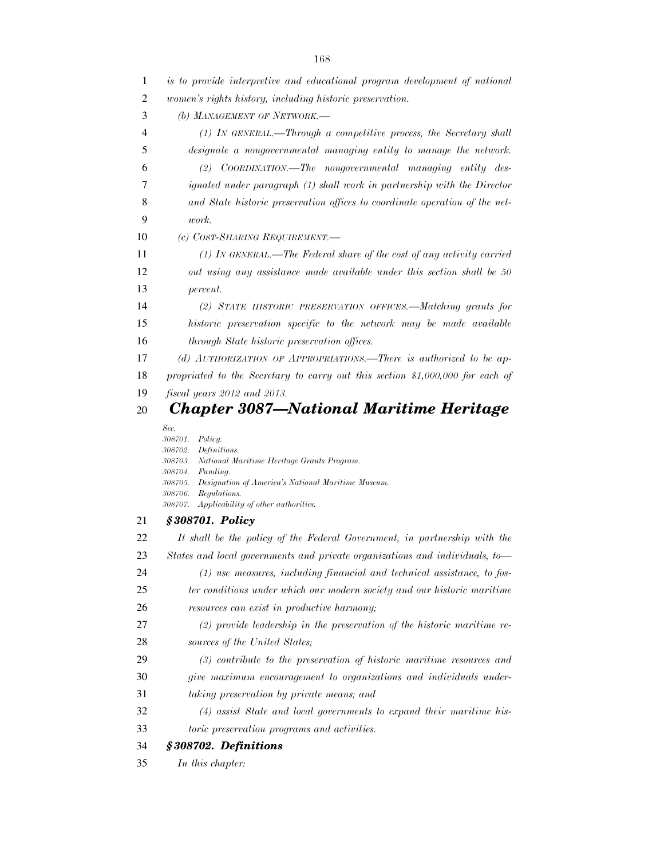*is to provide interpretive and educational program development of national women's rights history, including historic preservation. (b) MANAGEMENT OF NETWORK.— (1) IN GENERAL.—Through a competitive process, the Secretary shall designate a nongovernmental managing entity to manage the network. (2) COORDINATION.—The nongovernmental managing entity des- ignated under paragraph (1) shall work in partnership with the Director and State historic preservation offices to coordinate operation of the net- work. (c) COST-SHARING REQUIREMENT.— (1) IN GENERAL.—The Federal share of the cost of any activity carried out using any assistance made available under this section shall be 50 percent. (2) STATE HISTORIC PRESERVATION OFFICES.—Matching grants for historic preservation specific to the network may be made available through State historic preservation offices. (d) AUTHORIZATION OF APPROPRIATIONS.—There is authorized to be ap- propriated to the Secretary to carry out this section \$1,000,000 for each of fiscal years 2012 and 2013. Chapter 3087—National Maritime Heritage Sec. 308701. Policy. 308702. Definitions. 308703. National Maritime Heritage Grants Program. 308704. Funding. 308705. Designation of America's National Maritime Museum.*

*308706. Regulations. 308707. Applicability of other authorities.*

#### *§ 308701. Policy*

| 22 | It shall be the policy of the Federal Government, in partnership with the   |
|----|-----------------------------------------------------------------------------|
| 23 | States and local governments and private organizations and individuals, to- |
| 24 | $(1)$ use measures, including financial and technical assistance, to fos-   |
| 25 | ter conditions under which our modern society and our historic maritime     |
| 26 | resources can exist in productive harmony;                                  |
| 27 | $(2)$ provide leadership in the preservation of the historic maritime re-   |
| 28 | sources of the United States;                                               |
| 29 | $(3)$ contribute to the preservation of historic maritime resources and     |
| 30 | give maximum encouragement to organizations and individuals under-          |
| 31 | taking preservation by private means; and                                   |
| 32 | (4) assist State and local governments to expand their maritime his-        |
| 33 | toric preservation programs and activities.                                 |
| 34 | §308702. Definitions                                                        |
| 35 | In this chapter:                                                            |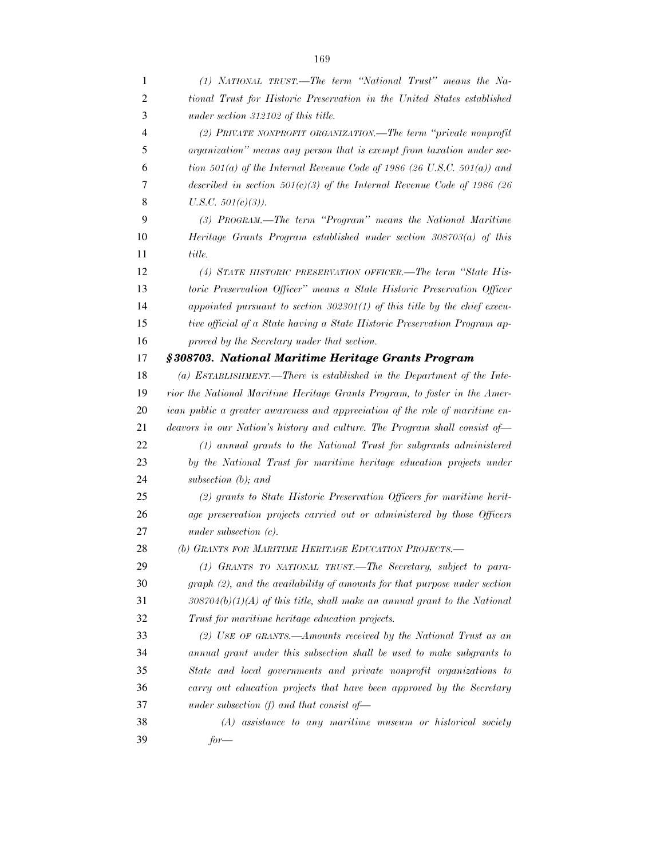| $\mathbf{1}$   | (1) NATIONAL TRUST.—The term "National Trust" means the Na-                  |
|----------------|------------------------------------------------------------------------------|
| 2              | tional Trust for Historic Preservation in the United States established      |
| 3              | under section 312102 of this title.                                          |
| $\overline{4}$ | (2) PRIVATE NONPROFIT ORGANIZATION.—The term "private nonprofit              |
| 5              | organization" means any person that is exempt from taxation under sec-       |
| 6              | tion 501(a) of the Internal Revenue Code of 1986 (26 U.S.C. 501(a)) and      |
| 7              | described in section $501(c)(3)$ of the Internal Revenue Code of 1986 (26    |
| 8              | $U.S.C. 501(c)(3)$ ).                                                        |
| 9              | (3) PROGRAM.—The term "Program" means the National Maritime                  |
| 10             | Heritage Grants Program established under section 308703(a) of this          |
| 11             | title.                                                                       |
| 12             | (4) STATE HISTORIC PRESERVATION OFFICER.—The term "State His-                |
| 13             | toric Preservation Officer" means a State Historic Preservation Officer      |
| 14             | appointed pursuant to section $302301(1)$ of this title by the chief execu-  |
| 15             | tive official of a State having a State Historic Preservation Program ap-    |
| 16             | proved by the Secretary under that section.                                  |
| 17             | §308703. National Maritime Heritage Grants Program                           |
| 18             | (a) ESTABLISHMENT.—There is established in the Department of the Inte-       |
| 19             | rior the National Maritime Heritage Grants Program, to foster in the Amer-   |
| 20             | ican public a greater awareness and appreciation of the role of maritime en- |
| 21             | deavors in our Nation's history and culture. The Program shall consist of-   |
| 22             | (1) annual grants to the National Trust for subgrants administered           |
| 23             | by the National Trust for maritime heritage education projects under         |
| 24             | subsection $(b)$ ; and                                                       |
| 25             | (2) grants to State Historic Preservation Officers for maritime herit-       |
| 26             | age preservation projects carried out or administered by those Officers      |
| 27             | under subsection $(c)$ .                                                     |
| 28             | (b) GRANTS FOR MARITIME HERITAGE EDUCATION PROJECTS.-                        |
| 29             | (1) GRANTS TO NATIONAL TRUST.—The Secretary, subject to para-                |
| 30             | graph (2), and the availability of amounts for that purpose under section    |
| 31             | $308704(b)(1)(A)$ of this title, shall make an annual grant to the National  |
| 32             | Trust for maritime heritage education projects.                              |
| 33             | (2) USE OF GRANTS.—Amounts received by the National Trust as an              |
| 34             | annual grant under this subsection shall be used to make subgrants to        |
| 35             | State and local governments and private nonprofit organizations to           |
| 36             | carry out education projects that have been approved by the Secretary        |
| 37             | under subsection $(f)$ and that consist of —                                 |
| 38             | (A) assistance to any maritime museum or historical society                  |
| 39             | for—                                                                         |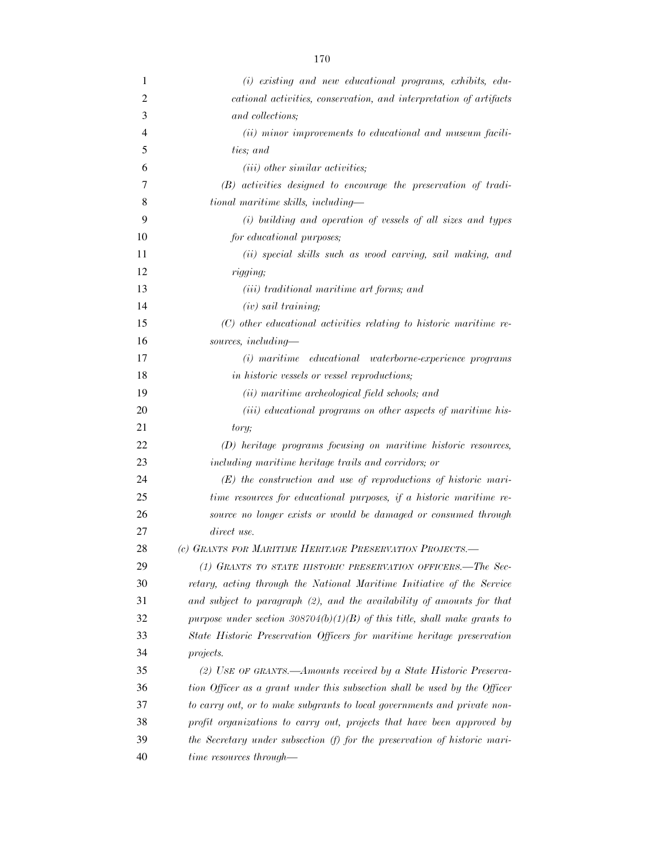| 1              | (i) existing and new educational programs, exhibits, edu-                   |
|----------------|-----------------------------------------------------------------------------|
| $\overline{2}$ | cational activities, conservation, and interpretation of artifacts          |
| 3              | and collections;                                                            |
| 4              | (ii) minor improvements to educational and museum facili-                   |
| 5              | ties; and                                                                   |
| 6              | $(iii)$ other similar activities;                                           |
| 7              | $(B)$ activities designed to encourage the preservation of tradi-           |
| 8              | tional maritime skills, including-                                          |
| 9              | (i) building and operation of vessels of all sizes and types                |
| 10             | for educational purposes;                                                   |
| 11             | (ii) special skills such as wood carving, sail making, and                  |
| 12             | rigging;                                                                    |
| 13             | (iii) traditional maritime art forms; and                                   |
| 14             | $(iv)$ sail training;                                                       |
| 15             | $(C)$ other educational activities relating to historic maritime re-        |
| 16             | sources, including-                                                         |
| 17             | (i) maritime educational waterborne-experience programs                     |
| 18             | in historic vessels or vessel reproductions;                                |
| 19             | (ii) maritime archeological field schools; and                              |
| 20             | (iii) educational programs on other aspects of maritime his-                |
| 21             | tory;                                                                       |
| 22             | (D) heritage programs focusing on maritime historic resources,              |
| 23             | including maritime heritage trails and corridors; or                        |
| 24             | $(E)$ the construction and use of reproductions of historic mari-           |
| 25             | time resources for educational purposes, if a historic maritime re-         |
| 26             | source no longer exists or would be damaged or consumed through             |
| 27             | direct use.                                                                 |
| 28             | (c) GRANTS FOR MARITIME HERITAGE PRESERVATION PROJECTS.-                    |
| 29             | (1) GRANTS TO STATE HISTORIC PRESERVATION OFFICERS.—The Sec-                |
| 30             | retary, acting through the National Maritime Initiative of the Service      |
| 31             | and subject to paragraph (2), and the availability of amounts for that      |
| 32             | purpose under section $308704(b)(1)(B)$ of this title, shall make grants to |
| 33             | State Historic Preservation Officers for maritime heritage preservation     |
| 34             | projects.                                                                   |
| 35             | (2) USE OF GRANTS.—Amounts received by a State Historic Preserva-           |
| 36             | tion Officer as a grant under this subsection shall be used by the Officer  |
| 37             | to carry out, or to make subgrants to local governments and private non-    |
| 38             | profit organizations to carry out, projects that have been approved by      |
| 39             | the Secretary under subsection (f) for the preservation of historic mari-   |
| 40             | time resources through—                                                     |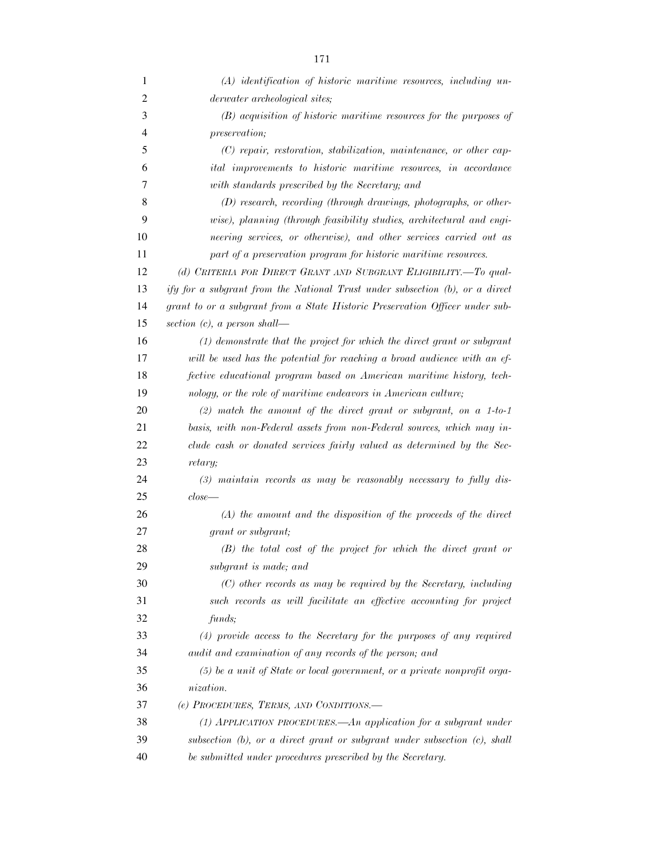| 1  | (A) identification of historic maritime resources, including un-                |
|----|---------------------------------------------------------------------------------|
| 2  | derwater archeological sites;                                                   |
| 3  | $(B)$ acquisition of historic maritime resources for the purposes of            |
| 4  | <i>preservation</i> ;                                                           |
| 5  | $(C)$ repair, restoration, stabilization, maintenance, or other cap-            |
| 6  | ital improvements to historic maritime resources, in accordance                 |
| 7  | with standards prescribed by the Secretary; and                                 |
| 8  | (D) research, recording (through drawings, photographs, or other-               |
| 9  | wise), planning (through feasibility studies, architectural and engi-           |
| 10 | neering services, or otherwise), and other services carried out as              |
| 11 | part of a preservation program for historic maritime resources.                 |
| 12 | (d) CRITERIA FOR DIRECT GRANT AND SUBGRANT ELIGIBILITY.—To qual-                |
| 13 | ify for a subgrant from the National Trust under subsection (b), or a direct    |
| 14 | grant to or a subgrant from a State Historic Preservation Officer under sub-    |
| 15 | section $(c)$ , a person shall—                                                 |
| 16 | $(1)$ demonstrate that the project for which the direct grant or subgrant       |
| 17 | will be used has the potential for reaching a broad audience with an ef-        |
| 18 | fective educational program based on American maritime history, tech-           |
| 19 | nology, or the role of maritime endeavors in American culture;                  |
| 20 | $(2)$ match the amount of the direct grant or subgrant, on a 1-to-1             |
| 21 | basis, with non-Federal assets from non-Federal sources, which may in-          |
| 22 | clude cash or donated services fairly valued as determined by the Sec-          |
| 23 | retary;                                                                         |
| 24 | $(3)$ maintain records as may be reasonably necessary to fully dis-             |
| 25 | $close-$                                                                        |
| 26 | $(A)$ the amount and the disposition of the proceeds of the direct              |
| 27 | grant or subgrant;                                                              |
| 28 | $(B)$ the total cost of the project for which the direct grant or               |
| 29 | subgrant is made; and                                                           |
| 30 | $(C)$ other records as may be required by the Secretary, including              |
| 31 | such records as will facilitate an effective accounting for project             |
| 32 | funds;                                                                          |
| 33 | $(4)$ provide access to the Secretary for the purposes of any required          |
| 34 | audit and examination of any records of the person; and                         |
| 35 | $(5)$ be a unit of State or local government, or a private nonprofit orga-      |
| 36 | nization.                                                                       |
| 37 | (e) PROCEDURES, TERMS, AND CONDITIONS.-                                         |
| 38 | (1) APPLICATION PROCEDURES.—An application for a subgrant under                 |
| 39 | subsection $(b)$ , or a direct grant or subgrant under subsection $(c)$ , shall |
| 40 | be submitted under procedures prescribed by the Secretary.                      |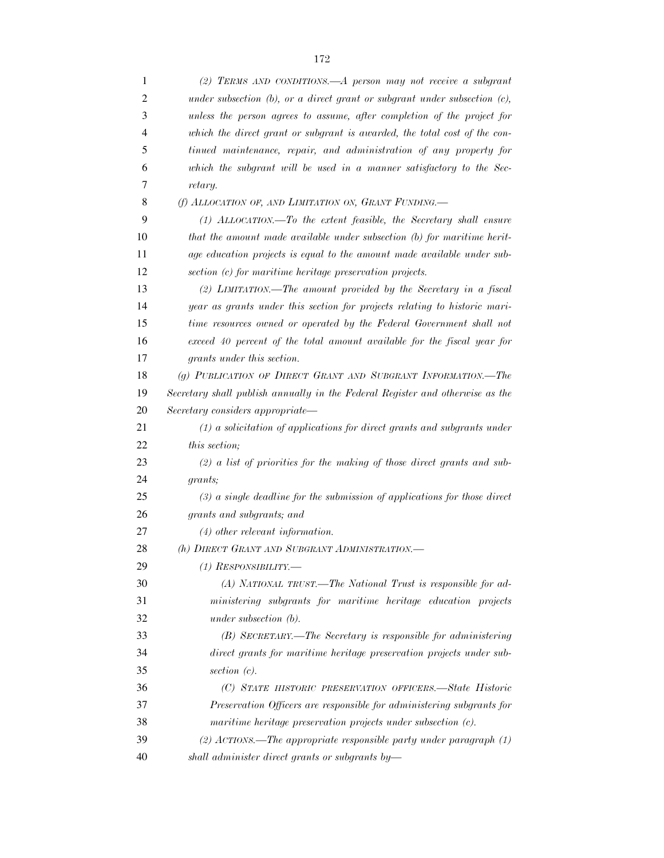| 1              | $(2)$ TERMS AND CONDITIONS. $-A$ person may not receive a subgrant              |
|----------------|---------------------------------------------------------------------------------|
| $\overline{c}$ | under subsection $(b)$ , or a direct grant or subgrant under subsection $(c)$ , |
| 3              | unless the person agrees to assume, after completion of the project for         |
| 4              | which the direct grant or subgrant is awarded, the total cost of the con-       |
| 5              | tinued maintenance, repair, and administration of any property for              |
| 6              | which the subgrant will be used in a manner satisfactory to the Sec-            |
| 7              | retary.                                                                         |
| 8              | (f) ALLOCATION OF, AND LIMITATION ON, GRANT FUNDING.                            |
| 9              | $(1)$ ALLOCATION.—To the extent feasible, the Secretary shall ensure            |
| 10             | that the amount made available under subsection (b) for maritime herit-         |
| 11             | age education projects is equal to the amount made available under sub-         |
| 12             | section (c) for maritime heritage preservation projects.                        |
| 13             | $(2)$ LIMITATION.—The amount provided by the Secretary in a fiscal              |
| 14             | year as grants under this section for projects relating to historic mari-       |
| 15             | time resources owned or operated by the Federal Government shall not            |
| 16             | exceed 40 percent of the total amount available for the fiscal year for         |
| 17             | grants under this section.                                                      |
| 18             | (g) PUBLICATION OF DIRECT GRANT AND SUBGRANT INFORMATION.—The                   |
| 19             | Secretary shall publish annually in the Federal Register and otherwise as the   |
| 20             | Secretary considers appropriate—                                                |
| 21             | $(1)$ a solicitation of applications for direct grants and subgrants under      |
| 22             | this section;                                                                   |
| 23             | $(2)$ a list of priorities for the making of those direct grants and sub-       |
| 24             | grants;                                                                         |
| 25             | $(3)$ a single deadline for the submission of applications for those direct     |
| 26             | grants and subgrants; and                                                       |
| 27             | $(4)$ other relevant information.                                               |
| 28             | (h) DIRECT GRANT AND SUBGRANT ADMINISTRATION.-                                  |
| 29             | $(1)$ RESPONSIBILITY.—                                                          |
| 30             | (A) NATIONAL TRUST.—The National Trust is responsible for ad-                   |
| 31             | ministering subgrants for maritime heritage education projects                  |
| 32             | under subsection $(b)$ .                                                        |
| 33             | (B) SECRETARY.—The Secretary is responsible for administering                   |
| 34             | direct grants for maritime heritage preservation projects under sub-            |
| 35             | section $(c)$ .                                                                 |
| 36             | (C) STATE HISTORIC PRESERVATION OFFICERS.—State Historic                        |
| 37             | Preservation Officers are responsible for administering subgrants for           |
| 38             | maritime heritage preservation projects under subsection (c).                   |
| 39             | $(2)$ ACTIONS.—The appropriate responsible party under paragraph $(1)$          |
| 40             | shall administer direct grants or subgrants by-                                 |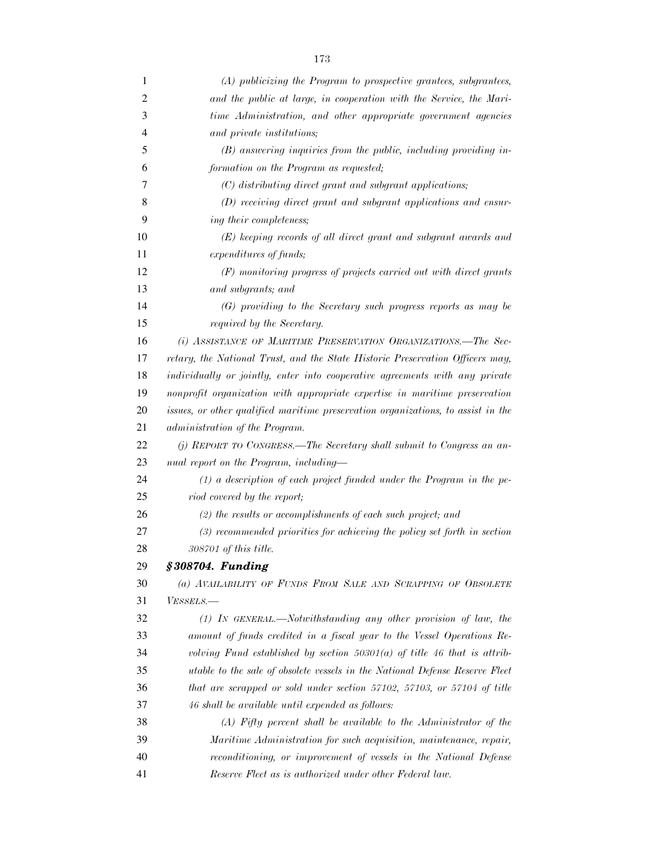| 1              | (A) publicizing the Program to prospective grantees, subgrantees,                |
|----------------|----------------------------------------------------------------------------------|
| $\overline{c}$ | and the public at large, in cooperation with the Service, the Mari-              |
| 3              | time Administration, and other appropriate government agencies                   |
| $\overline{4}$ | and private institutions;                                                        |
| 5              | $(B)$ answering inquiries from the public, including providing in-               |
| 6              | formation on the Program as requested;                                           |
| 7              | (C) distributing direct grant and subgrant applications;                         |
| 8              | (D) receiving direct grant and subgrant applications and ensur-                  |
| 9              | ing their completeness;                                                          |
| 10             | (E) keeping records of all direct grant and subgrant awards and                  |
| 11             | expenditures of funds;                                                           |
| 12             | (F) monitoring progress of projects carried out with direct grants               |
| 13             | and subgrants; and                                                               |
| 14             | $(G)$ providing to the Secretary such progress reports as may be                 |
| 15             | required by the Secretary.                                                       |
| 16             | (i) ASSISTANCE OF MARITIME PRESERVATION ORGANIZATIONS.-The Sec-                  |
| 17             | retary, the National Trust, and the State Historic Preservation Officers may,    |
| 18             | individually or jointly, enter into cooperative agreements with any private      |
| 19             | nonprofit organization with appropriate expertise in maritime preservation       |
| 20             | issues, or other qualified maritime preservation organizations, to assist in the |
| 21             | administration of the Program.                                                   |
| 22             | (j) REPORT TO CONGRESS.—The Secretary shall submit to Congress an an-            |
| 23             | nual report on the Program, including-                                           |
| 24             | $(1)$ a description of each project funded under the Program in the pe-          |
| 25             | riod covered by the report;                                                      |
| 26             | $(2)$ the results or accomplishments of each such project; and                   |
| 27             | $(3)$ recommended priorities for achieving the policy set forth in section       |
| 28             | 308701 of this title.                                                            |
| 29             | $$308704.$ Funding                                                               |
| 30             | (a) AVAILABILITY OF FUNDS FROM SALE AND SCRAPPING OF OBSOLETE                    |
| 31             | $VESSELS$ .                                                                      |
| 32             | $(1)$ IN GENERAL.—Notwithstanding any other provision of law, the                |
| 33             | amount of funds credited in a fiscal year to the Vessel Operations Re-           |
| 34             | volving Fund established by section $50301(a)$ of title 46 that is attrib-       |
| 35             | utable to the sale of obsolete vessels in the National Defense Reserve Fleet     |
| 36             | that are scrapped or sold under section 57102, 57103, or 57104 of title          |
| 37             | 46 shall be available until expended as follows:                                 |
| 38             | $(A)$ Fifty percent shall be available to the Administrator of the               |
| 39             | Maritime Administration for such acquisition, maintenance, repair,               |
| 40             | reconditioning, or improvement of vessels in the National Defense                |
| 41             | Reserve Fleet as is authorized under other Federal law.                          |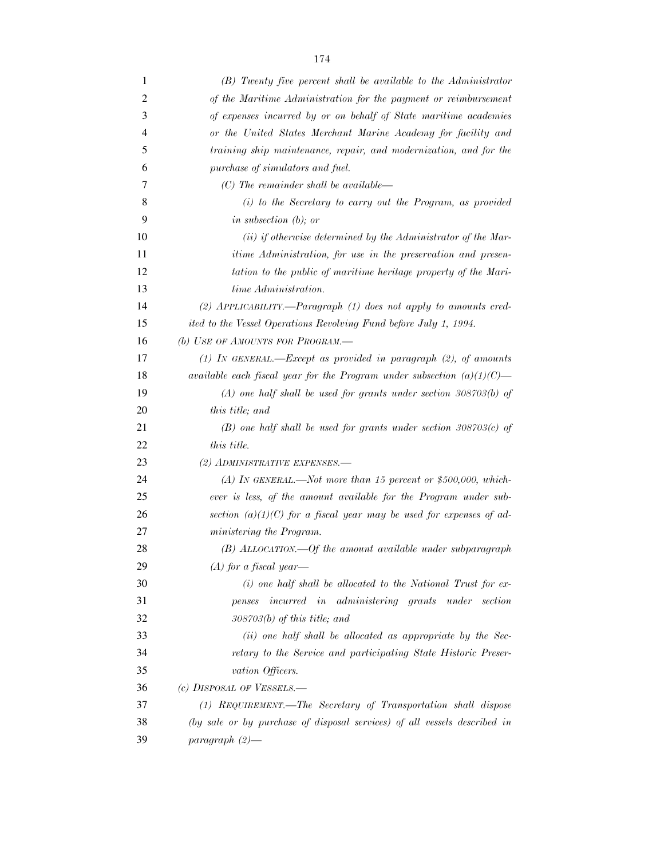| 1  | $(B)$ Twenty five percent shall be available to the Administrator           |
|----|-----------------------------------------------------------------------------|
| 2  | of the Maritime Administration for the payment or reimbursement             |
| 3  | of expenses incurred by or on behalf of State maritime academies            |
| 4  | or the United States Merchant Marine Academy for facility and               |
| 5  | training ship maintenance, repair, and modernization, and for the           |
| 6  | purchase of simulators and fuel.                                            |
| 7  | $(C)$ The remainder shall be available—                                     |
| 8  | (i) to the Secretary to carry out the Program, as provided                  |
| 9  | in subsection $(b)$ ; or                                                    |
| 10 | (ii) if otherwise determined by the Administrator of the Mar-               |
| 11 | <i>itime Administration, for use in the preservation and presen-</i>        |
| 12 | tation to the public of maritime heritage property of the Mari-             |
| 13 | time Administration.                                                        |
| 14 | (2) $APPLICABILITY. \text{—} Paragraph (1) does not apply to amounts cred-$ |
| 15 | ited to the Vessel Operations Revolving Fund before July 1, 1994.           |
| 16 | (b) USE OF AMOUNTS FOR PROGRAM.-                                            |
| 17 | $(1)$ IN GENERAL.—Except as provided in paragraph $(2)$ , of amounts        |
| 18 | available each fiscal year for the Program under subsection $(a)(1)(C)$ —   |
| 19 | $(A)$ one half shall be used for grants under section 308703(b) of          |
| 20 | this title; and                                                             |
| 21 | $(B)$ one half shall be used for grants under section 308703(c) of          |
| 22 | this title.                                                                 |
| 23 | (2) ADMINISTRATIVE EXPENSES.-                                               |
| 24 | (A) IN GENERAL.—Not more than 15 percent or $$500,000$ , which-             |
| 25 | ever is less, of the amount available for the Program under sub-            |
| 26 | section $(a)(1)(C)$ for a fiscal year may be used for expenses of ad-       |
| 27 | ministering the Program.                                                    |
| 28 | $(B)$ ALLOCATION.—Of the amount available under subparagraph                |
| 29 | $(A)$ for a fiscal year—                                                    |
| 30 | $(i)$ one half shall be allocated to the National Trust for ex-             |
| 31 | <i>incurred in administering grants under</i><br>section<br>penses          |
| 32 | $308703(b)$ of this title; and                                              |
| 33 | (ii) one half shall be allocated as appropriate by the Sec-                 |
| 34 | retary to the Service and participating State Historic Preser-              |
| 35 | vation Officers.                                                            |
| 36 | (c) DISPOSAL OF VESSELS.-                                                   |
| 37 | (1) REQUIREMENT.—The Secretary of Transportation shall dispose              |
| 38 | (by sale or by purchase of disposal services) of all vessels described in   |
| 39 | $paramph(2)$ —                                                              |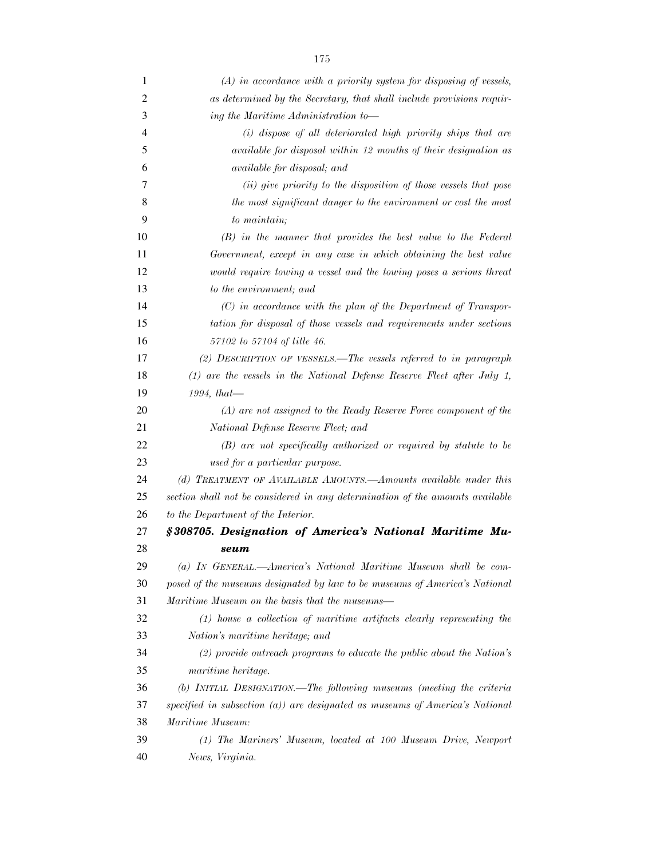| 1              | $(A)$ in accordance with a priority system for disposing of vessels,            |
|----------------|---------------------------------------------------------------------------------|
| $\overline{2}$ | as determined by the Secretary, that shall include provisions requir-           |
| 3              | ing the Maritime Administration to-                                             |
| 4              | (i) dispose of all deteriorated high priority ships that are                    |
| 5              | available for disposal within 12 months of their designation as                 |
| 6              | available for disposal; and                                                     |
| 7              | (ii) give priority to the disposition of those vessels that pose                |
| 8              | the most significant danger to the environment or cost the most                 |
| 9              | to maintain;                                                                    |
| 10             | $(B)$ in the manner that provides the best value to the Federal                 |
| 11             | Government, except in any case in which obtaining the best value                |
| 12             | would require towing a vessel and the towing poses a serious threat             |
| 13             | to the environment; and                                                         |
| 14             | $(C)$ in accordance with the plan of the Department of Transpor-                |
| 15             | tation for disposal of those vessels and requirements under sections            |
| 16             | 57102 to 57104 of title 46.                                                     |
| 17             | $(2)$ DESCRIPTION OF VESSELS.—The vessels referred to in paragraph              |
| 18             | $(1)$ are the vessels in the National Defense Reserve Fleet after July 1,       |
| 19             | 1994, that-                                                                     |
| 20             | $(A)$ are not assigned to the Ready Reserve Force component of the              |
| 21             | National Defense Reserve Fleet; and                                             |
| 22             | $(B)$ are not specifically authorized or required by statute to be              |
| 23             | used for a particular purpose.                                                  |
| 24             | (d) TREATMENT OF AVAILABLE AMOUNTS.—Amounts available under this                |
| 25             | section shall not be considered in any determination of the amounts available   |
| 26             | to the Department of the Interior.                                              |
| 27             | §308705. Designation of America's National Maritime Mu-                         |
| 28             | seum                                                                            |
| 29             | (a) IN GENERAL.—America's National Maritime Museum shall be com-                |
| 30             | posed of the museums designated by law to be museums of America's National      |
| 31             | Maritime Museum on the basis that the museums—                                  |
| 32             | $(1)$ house a collection of maritime artifacts clearly representing the         |
| 33             | Nation's maritime heritage; and                                                 |
| 34             | (2) provide outreach programs to educate the public about the Nation's          |
| 35             | maritime heritage.                                                              |
| 36             | (b) INITIAL DESIGNATION.—The following museums (meeting the criteria            |
| 37             | specified in subsection $(a)$ ) are designated as museums of America's National |
| 38             | Maritime Museum:                                                                |
| 39             | (1) The Mariners' Museum, located at 100 Museum Drive, Newport                  |
| 40             | News, Virginia.                                                                 |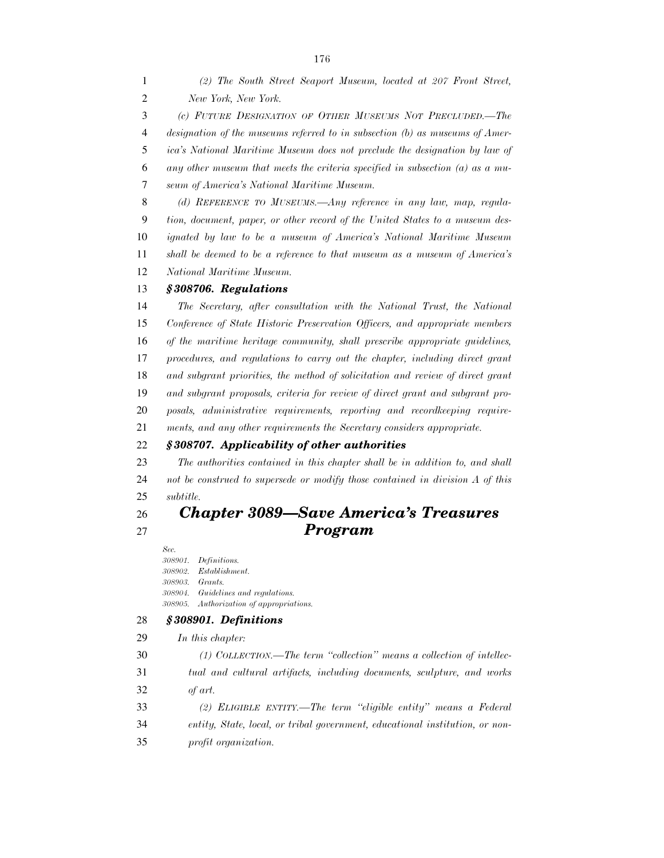| 1              |                                                                                 |
|----------------|---------------------------------------------------------------------------------|
|                | (2) The South Street Seaport Museum, located at 207 Front Street,               |
| $\overline{2}$ | New York, New York.                                                             |
| 3              | (c) FUTURE DESIGNATION OF OTHER MUSEUMS NOT PRECLUDED.-The                      |
| 4              | designation of the museums referred to in subsection $(b)$ as museums of Amer-  |
| 5              | ica's National Maritime Museum does not preclude the designation by law of      |
| 6              | any other museum that meets the criteria specified in subsection $(a)$ as a mu- |
| 7              | seum of America's National Maritime Museum.                                     |
| 8              | (d) REFERENCE TO MUSEUMS.—Any reference in any law, map, regula-                |
| 9              | tion, document, paper, or other record of the United States to a museum des-    |
| 10             | ignated by law to be a museum of America's National Maritime Museum             |
| 11             | shall be deemed to be a reference to that museum as a museum of America's       |
| 12             | National Maritime Museum.                                                       |
| 13             | §308706. Regulations                                                            |
| 14             | The Secretary, after consultation with the National Trust, the National         |
| 15             | Conference of State Historic Preservation Officers, and appropriate members     |
| 16             | of the maritime heritage community, shall prescribe appropriate guidelines,     |
| 17             | procedures, and regulations to carry out the chapter, including direct grant    |
| 18             | and subgrant priorities, the method of solicitation and review of direct grant  |
| 19             | and subgrant proposals, criteria for review of direct grant and subgrant pro-   |
| 20             | posals, administrative requirements, reporting and recordkeeping require-       |
| 21             | ments, and any other requirements the Secretary considers appropriate.          |
| 22             | §308707. Applicability of other authorities                                     |
| 23             | The authorities contained in this chapter shall be in addition to, and shall    |
| 24             | not be construed to supersede or modify those contained in division A of this   |
| 25             | subtitle.                                                                       |
| 26             | <b>Chapter 3089—Save America's Treasures</b>                                    |
| 27             | Program                                                                         |
|                | Sec.                                                                            |
|                |                                                                                 |

*308901. Definitions. 308902. Establishment. 308903. Grants. 308904. Guidelines and regulations. 308905. Authorization of appropriations.*

# *§ 308901. Definitions*

| $(1)$ COLLECTION.—The term "collection" means a collection of intellec-      |
|------------------------------------------------------------------------------|
|                                                                              |
| tual and cultural artifacts, including documents, sculpture, and works       |
|                                                                              |
| (2) ELIGIBLE ENTITY.—The term "eligible entity" means a Federal              |
| entity, State, local, or tribal government, educational institution, or non- |
|                                                                              |
|                                                                              |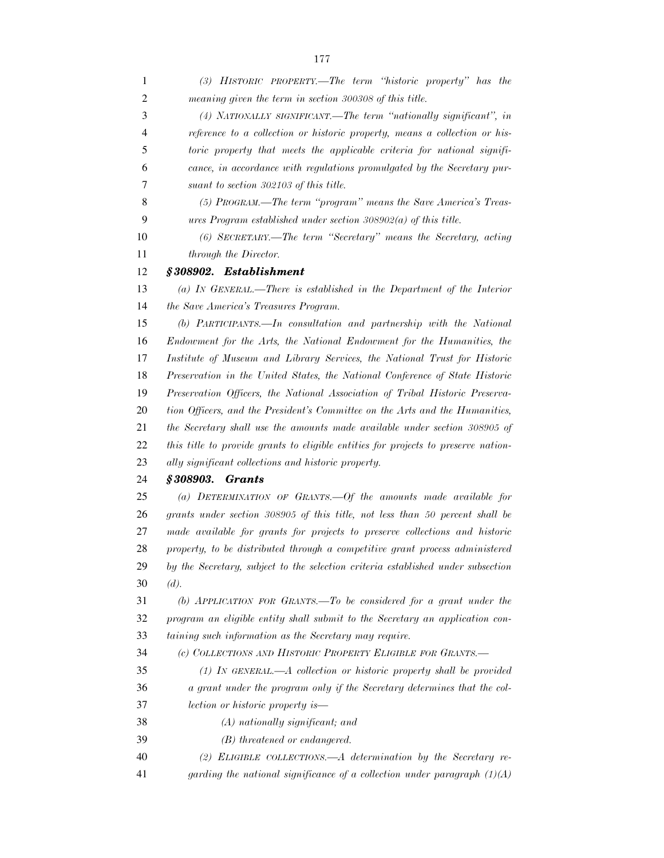*(3) HISTORIC PROPERTY.—The term ''historic property'' has the meaning given the term in section 300308 of this title. (4) NATIONALLY SIGNIFICANT.—The term ''nationally significant'', in reference to a collection or historic property, means a collection or his- toric property that meets the applicable criteria for national signifi- cance, in accordance with regulations promulgated by the Secretary pur- suant to section 302103 of this title. (5) PROGRAM.—The term ''program'' means the Save America's Treas- ures Program established under section 308902(a) of this title. (6) SECRETARY.—The term ''Secretary'' means the Secretary, acting through the Director. § 308902. Establishment (a) IN GENERAL.—There is established in the Department of the Interior the Save America's Treasures Program. (b) PARTICIPANTS.—In consultation and partnership with the National Endowment for the Arts, the National Endowment for the Humanities, the Institute of Museum and Library Services, the National Trust for Historic Preservation in the United States, the National Conference of State Historic Preservation Officers, the National Association of Tribal Historic Preserva- tion Officers, and the President's Committee on the Arts and the Humanities, the Secretary shall use the amounts made available under section 308905 of this title to provide grants to eligible entities for projects to preserve nation- ally significant collections and historic property. § 308903. Grants (a) DETERMINATION OF GRANTS.—Of the amounts made available for grants under section 308905 of this title, not less than 50 percent shall be made available for grants for projects to preserve collections and historic property, to be distributed through a competitive grant process administered by the Secretary, subject to the selection criteria established under subsection (d). (b) APPLICATION FOR GRANTS.—To be considered for a grant under the program an eligible entity shall submit to the Secretary an application con- taining such information as the Secretary may require. (c) COLLECTIONS AND HISTORIC PROPERTY ELIGIBLE FOR GRANTS.— (1) IN GENERAL.—A collection or historic property shall be provided a grant under the program only if the Secretary determines that the col- lection or historic property is— (A) nationally significant; and (B) threatened or endangered. (2) ELIGIBLE COLLECTIONS.—A determination by the Secretary re-garding the national significance of a collection under paragraph (1)(A)*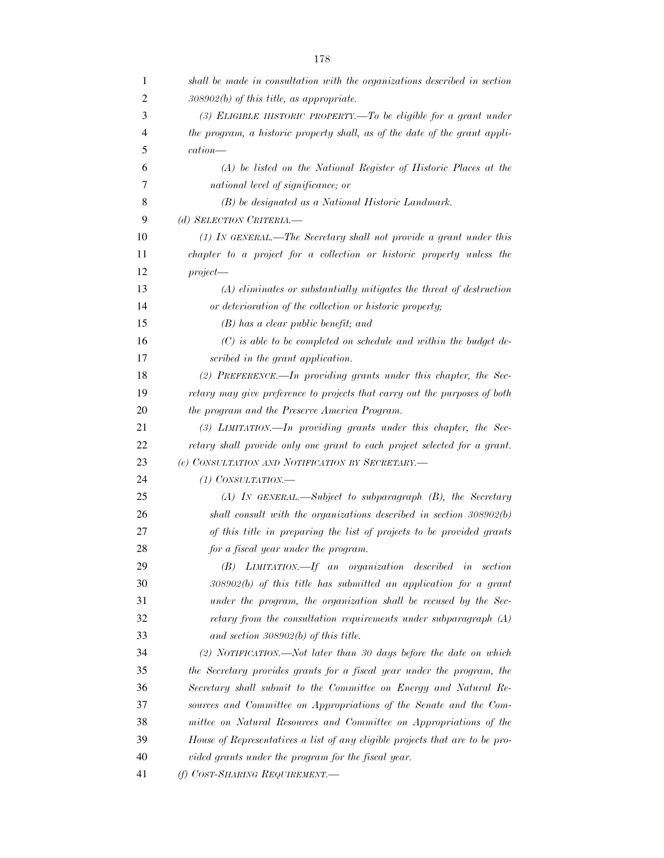| 1  | shall be made in consultation with the organizations described in section                                                       |
|----|---------------------------------------------------------------------------------------------------------------------------------|
| 2  | $308902(b)$ of this title, as appropriate.                                                                                      |
| 3  | $(3)$ ELIGIBLE HISTORIC PROPERTY.—To be eligible for a grant under                                                              |
| 4  | the program, a historic property shall, as of the date of the grant appli-                                                      |
| 5  | cation                                                                                                                          |
| 6  | (A) be listed on the National Register of Historic Places at the                                                                |
| 7  | national level of significance; or                                                                                              |
| 8  | (B) be designated as a National Historic Landmark.                                                                              |
| 9  | (d) SELECTION CRITERIA.                                                                                                         |
| 10 | $(1)$ IN GENERAL.—The Secretary shall not provide a grant under this                                                            |
| 11 | chapter to a project for a collection or historic property unless the                                                           |
| 12 | $project-$                                                                                                                      |
| 13 | $(A)$ eliminates or substantially mitigates the threat of destruction                                                           |
| 14 | or deterioration of the collection or historic property;                                                                        |
| 15 | $(B)$ has a clear public benefit; and                                                                                           |
| 16 | $(C)$ is able to be completed on schedule and within the budget de-                                                             |
| 17 | scribed in the grant application.                                                                                               |
| 18 | $(2)$ PREFERENCE.—In providing grants under this chapter, the Sec-                                                              |
| 19 | retary may give preference to projects that carry out the purposes of both                                                      |
| 20 | the program and the Preserve America Program.                                                                                   |
| 21 | $(3)$ LIMITATION.—In providing grants under this chapter, the Sec-                                                              |
| 22 | retary shall provide only one grant to each project selected for a grant.                                                       |
| 23 | (e) CONSULTATION AND NOTIFICATION BY SECRETARY.                                                                                 |
| 24 | $(1)$ CONSULTATION.—                                                                                                            |
| 25 | $(A)$ IN GENERAL.—Subject to subparagraph $(B)$ , the Secretary                                                                 |
| 26 | shall consult with the organizations described in section $308902(b)$                                                           |
| 27 | of this title in preparing the list of projects to be provided grants                                                           |
| 28 | for a fiscal year under the program.                                                                                            |
| 29 | $\label{eq:LMITATION} LIMITATION. \text{\textit{---}If} \quad an \quad organization \quad described \quad in$<br>(B)<br>section |
| 30 | $308902(b)$ of this title has submitted an application for a grant                                                              |
| 31 | under the program, the organization shall be recused by the Sec-                                                                |
| 32 | retary from the consultation requirements under subparagraph $(A)$                                                              |
| 33 | and section $308902(b)$ of this title.                                                                                          |
| 34 | $(2)$ NOTIFICATION.—Not later than 30 days before the date on which                                                             |
| 35 | the Secretary provides grants for a fiscal year under the program, the                                                          |
| 36 | Secretary shall submit to the Committee on Energy and Natural Re-                                                               |
| 37 | sources and Committee on Appropriations of the Senate and the Com-                                                              |
| 38 | mittee on Natural Resources and Committee on Appropriations of the                                                              |
| 39 | House of Representatives a list of any eligible projects that are to be pro-                                                    |
| 40 | vided grants under the program for the fiscal year.                                                                             |
| 41 | (f) COST-SHARING REQUIREMENT.-                                                                                                  |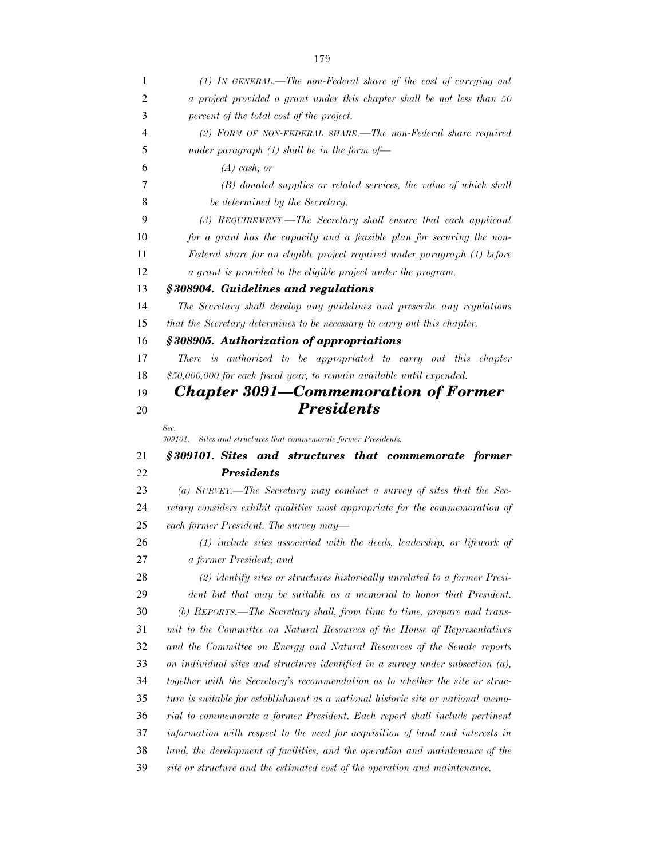| 1        | $(1)$ IN GENERAL.—The non-Federal share of the cost of carrying out                |
|----------|------------------------------------------------------------------------------------|
| 2        | a project provided a grant under this chapter shall be not less than 50            |
| 3        | percent of the total cost of the project.                                          |
| 4        | (2) FORM OF NON-FEDERAL SHARE.—The non-Federal share required                      |
| 5        | under paragraph $(1)$ shall be in the form of-                                     |
| 6        | $(A)$ cash; or                                                                     |
| 7        | (B) donated supplies or related services, the value of which shall                 |
| 8        | be determined by the Secretary.                                                    |
| 9        | $(3)$ REQUIREMENT.—The Secretary shall ensure that each applicant                  |
| 10       | for a grant has the capacity and a feasible plan for securing the non-             |
| 11       | Federal share for an eligible project required under paragraph (1) before          |
| 12       | a grant is provided to the eligible project under the program.                     |
| 13       | §308904. Guidelines and regulations                                                |
| 14       | The Secretary shall develop any guidelines and prescribe any regulations           |
| 15       | that the Secretary determines to be necessary to carry out this chapter.           |
| 16       | §308905. Authorization of appropriations                                           |
| 17       | There is authorized to be appropriated to carry out this chapter                   |
| 18       | \$50,000,000 for each fiscal year, to remain available until expended.             |
| 19       | <b>Chapter 3091—Commemoration of Former</b>                                        |
| 20       | <b>Presidents</b>                                                                  |
|          |                                                                                    |
|          | Sec.                                                                               |
|          | Sites and structures that commemorate former Presidents.<br>309101.                |
| 21<br>22 | §309101. Sites and structures that commemorate former<br><b>Presidents</b>         |
| 23       | (a) SURVEY.—The Secretary may conduct a survey of sites that the Sec-              |
| 24       | retary considers exhibit qualities most appropriate for the commemoration of       |
| 25       | each former President. The survey may—                                             |
| 26       | $(1)$ include sites associated with the deeds, leadership, or lifework of          |
| 27       | a former President; and                                                            |
| 28       | $(2)$ identify sites or structures historically unrelated to a former Presi-       |
| 29       | dent but that may be suitable as a memorial to honor that President.               |
| 30       | (b) REPORTS.—The Secretary shall, from time to time, prepare and trans-            |
| 31       | mit to the Committee on Natural Resources of the House of Representatives          |
| 32       | and the Committee on Energy and Natural Resources of the Senate reports            |
| 33       | on individual sites and structures identified in a survey under subsection $(a)$ , |
| 34       | together with the Secretary's recommendation as to whether the site or struc-      |
| 35       | ture is suitable for establishment as a national historic site or national memo-   |
| 36       | rial to commemorate a former President. Each report shall include pertinent        |
| 37       | information with respect to the need for acquisition of land and interests in      |
| 38       | land, the development of facilities, and the operation and maintenance of the      |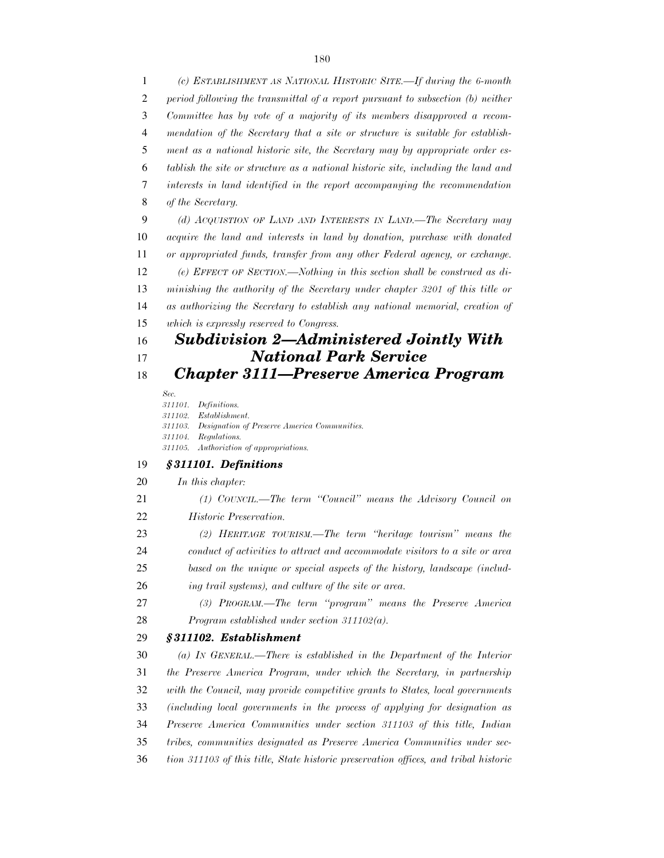*(c) ESTABLISHMENT AS NATIONAL HISTORIC SITE.—If during the 6-month period following the transmittal of a report pursuant to subsection (b) neither Committee has by vote of a majority of its members disapproved a recom- mendation of the Secretary that a site or structure is suitable for establish- ment as a national historic site, the Secretary may by appropriate order es- tablish the site or structure as a national historic site, including the land and interests in land identified in the report accompanying the recommendation of the Secretary. (d) ACQUISTION OF LAND AND INTERESTS IN LAND.—The Secretary may acquire the land and interests in land by donation, purchase with donated or appropriated funds, transfer from any other Federal agency, or exchange. (e) EFFECT OF SECTION.—Nothing in this section shall be construed as di- minishing the authority of the Secretary under chapter 3201 of this title or as authorizing the Secretary to establish any national memorial, creation of which is expressly reserved to Congress. Subdivision 2—Administered Jointly With National Park Service Chapter 3111—Preserve America Program Sec. 311101. Definitions. 311102. Establishment. 311103. Designation of Preserve America Communities. 311104. Regulations. 311105. Authoriztion of appropriations. § 311101. Definitions In this chapter: (1) COUNCIL.—The term ''Council'' means the Advisory Council on Historic Preservation.*

- *(2) HERITAGE TOURISM.—The term ''heritage tourism'' means the conduct of activities to attract and accommodate visitors to a site or area based on the unique or special aspects of the history, landscape (includ-ing trail systems), and culture of the site or area.*
- *(3) PROGRAM.—The term ''program'' means the Preserve America Program established under section 311102(a).*

# *§ 311102. Establishment*

 *(a) IN GENERAL.—There is established in the Department of the Interior the Preserve America Program, under which the Secretary, in partnership with the Council, may provide competitive grants to States, local governments (including local governments in the process of applying for designation as Preserve America Communities under section 311103 of this title, Indian tribes, communities designated as Preserve America Communities under sec-tion 311103 of this title, State historic preservation offices, and tribal historic*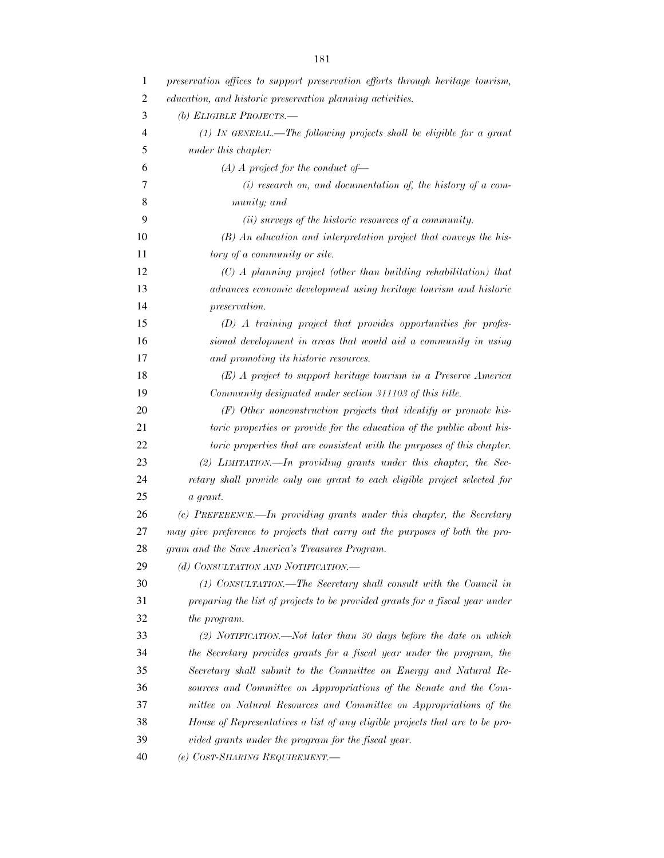| 1              | preservation offices to support preservation efforts through heritage tourism, |
|----------------|--------------------------------------------------------------------------------|
| $\overline{c}$ | education, and historic preservation planning activities.                      |
| 3              | (b) ELIGIBLE PROJECTS.—                                                        |
| 4              | $(1)$ IN GENERAL.—The following projects shall be eligible for a grant         |
| 5              | under this chapter:                                                            |
| 6              | $(A)$ A project for the conduct of-                                            |
| 7              | $(i)$ research on, and documentation of, the history of a com-                 |
| 8              | munity; and                                                                    |
| 9              | (ii) surveys of the historic resources of a community.                         |
| 10             | $(B)$ An education and interpretation project that conveys the his-            |
| 11             | tory of a community or site.                                                   |
| 12             | $(C)$ A planning project (other than building rehabilitation) that             |
| 13             | advances economic development using heritage tourism and historic              |
| 14             | preservation.                                                                  |
| 15             | $(D)$ A training project that provides opportunities for profes-               |
| 16             | sional development in areas that would aid a community in using                |
| 17             | and promoting its historic resources.                                          |
| 18             | $(E)$ A project to support heritage tourism in a Preserve America              |
| 19             | Community designated under section 311103 of this title.                       |
| 20             | $(F)$ Other nonconstruction projects that identify or promote his-             |
| 21             | toric properties or provide for the education of the public about his-         |
| 22             | toric properties that are consistent with the purposes of this chapter.        |
| 23             | $(2)$ LIMITATION.—In providing grants under this chapter, the Sec-             |
| 24             | retary shall provide only one grant to each eligible project selected for      |
| 25             | a grant.                                                                       |
| 26             | (c) PREFERENCE.—In providing grants under this chapter, the Secretary          |
| 27             | may give preference to projects that carry out the purposes of both the pro-   |
| 28             | gram and the Save America's Treasures Program.                                 |
| 29             | (d) CONSULTATION AND NOTIFICATION.—                                            |
| 30             | (1) CONSULTATION.—The Secretary shall consult with the Council in              |
| 31             | preparing the list of projects to be provided grants for a fiscal year under   |
| 32             | the program.                                                                   |
| 33             | $(2)$ NOTIFICATION.—Not later than 30 days before the date on which            |
| 34             | the Secretary provides grants for a fiscal year under the program, the         |
| 35             | Secretary shall submit to the Committee on Energy and Natural Re-              |
| 36             | sources and Committee on Appropriations of the Senate and the Com-             |
| 37             | mittee on Natural Resources and Committee on Appropriations of the             |
| 38             | House of Representatives a list of any eligible projects that are to be pro-   |
| 39             | vided grants under the program for the fiscal year.                            |
| 40             | (e) COST-SHARING REQUIREMENT.-                                                 |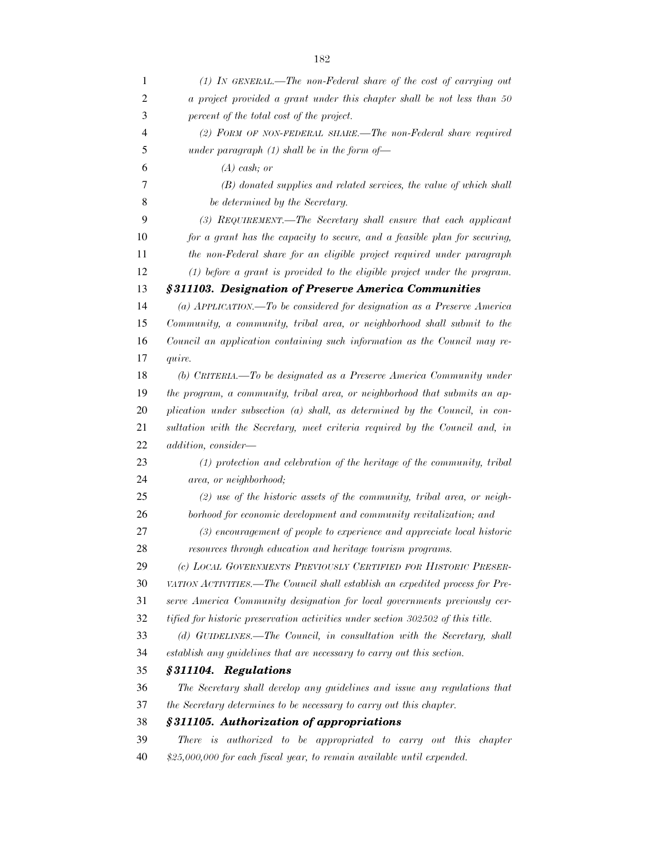| 1              | $(1)$ IN GENERAL.—The non-Federal share of the cost of carrying out             |
|----------------|---------------------------------------------------------------------------------|
| $\overline{c}$ | a project provided a grant under this chapter shall be not less than 50         |
| 3              | percent of the total cost of the project.                                       |
| 4              | (2) FORM OF NON-FEDERAL SHARE.—The non-Federal share required                   |
| 5              | under paragraph $(1)$ shall be in the form of-                                  |
| 6              | $(A)$ cash; or                                                                  |
| 7              | (B) donated supplies and related services, the value of which shall             |
| 8              | be determined by the Secretary.                                                 |
| 9              | $(3)$ REQUIREMENT.—The Secretary shall ensure that each applicant               |
| 10             | for a grant has the capacity to secure, and a feasible plan for securing,       |
| 11             | the non-Federal share for an eligible project required under paragraph          |
| 12             | $(1)$ before a grant is provided to the eligible project under the program.     |
| 13             | §311103. Designation of Preserve America Communities                            |
| 14             | (a) $APPLICATION. - To be considered for designation as a Preserve America$     |
| 15             | Community, a community, tribal area, or neighborhood shall submit to the        |
| 16             | Council an application containing such information as the Council may re-       |
| 17             | quire.                                                                          |
| 18             | (b) CRITERIA.—To be designated as a Preserve America Community under            |
| 19             | the program, a community, tribal area, or neighborhood that submits an ap-      |
| 20             | plication under subsection (a) shall, as determined by the Council, in con-     |
| 21             | sultation with the Secretary, meet criteria required by the Council and, in     |
| 22             | <i>addition, consider</i> —                                                     |
| 23             | $(1)$ protection and celebration of the heritage of the community, tribal       |
| 24             | area, or neighborhood;                                                          |
| 25             | $(2)$ use of the historic assets of the community, tribal area, or neigh-       |
| 26             | borhood for economic development and community revitalization; and              |
| 27             | (3) encouragement of people to experience and appreciate local historic         |
| 28             | resources through education and heritage tourism programs.                      |
| 29             | (c) LOCAL GOVERNMENTS PREVIOUSLY CERTIFIED FOR HISTORIC PRESER-                 |
| 30             | VATION ACTIVITIES.—The Council shall establish an expedited process for Pre-    |
| 31             | serve America Community designation for local governments previously cer-       |
| 32             | tified for historic preservation activities under section 302502 of this title. |
| 33             | (d) GUIDELINES.—The Council, in consultation with the Secretary, shall          |
| 34             | establish any guidelines that are necessary to carry out this section.          |
| 35             | §311104. Regulations                                                            |
| 36             | The Secretary shall develop any guidelines and issue any regulations that       |
| 37             | the Secretary determines to be necessary to carry out this chapter.             |
| 38             | §311105. Authorization of appropriations                                        |
| 39             | There is authorized to be appropriated to carry out this chapter                |
| 40             | \$25,000,000 for each fiscal year, to remain available until expended.          |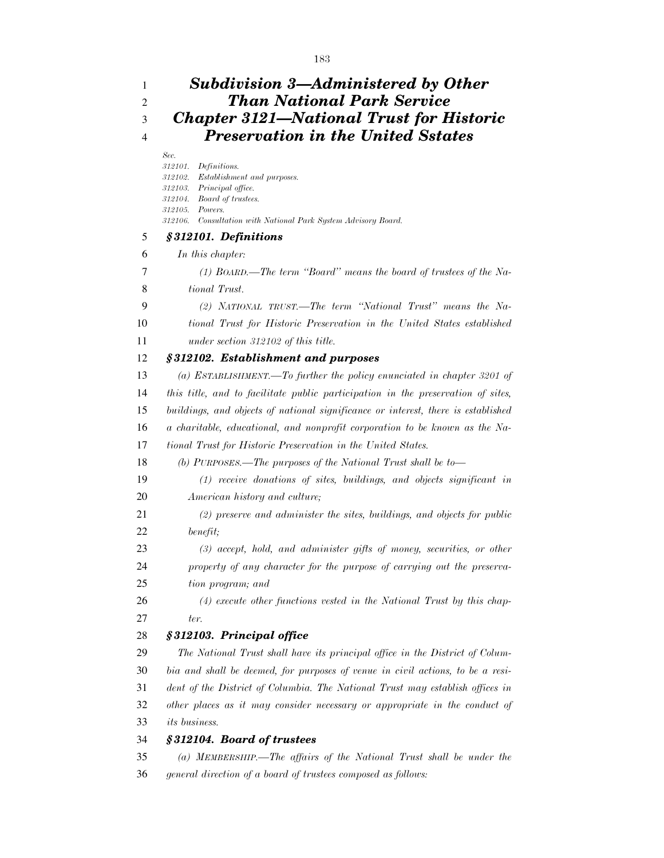# *Subdivision 3—Administered by Other Than National Park Service Chapter 3121—National Trust for Historic Preservation in the United Sstates*

|    | Sec.<br>Definitions.<br>312101.<br>Establishment and purposes.<br>312102.<br>312103.<br>Principal office. |
|----|-----------------------------------------------------------------------------------------------------------|
|    | 312104.<br>Board of trustees.<br>Powers.<br>312105.                                                       |
|    | Consultation with National Park System Advisory Board.<br>312106.                                         |
| 5  | §312101. Definitions                                                                                      |
| 6  | In this chapter:                                                                                          |
| 7  | $(1)$ BOARD.—The term "Board" means the board of trustees of the Na-                                      |
| 8  | tional Trust.                                                                                             |
| 9  | (2) NATIONAL TRUST.—The term "National Trust" means the Na-                                               |
| 10 | tional Trust for Historic Preservation in the United States established                                   |
| 11 | under section 312102 of this title.                                                                       |
| 12 | §312102. Establishment and purposes                                                                       |
| 13 | (a) ESTABLISHMENT.—To further the policy enunciated in chapter 3201 of                                    |
| 14 | this title, and to facilitate public participation in the preservation of sites,                          |
| 15 | buildings, and objects of national significance or interest, there is established                         |
| 16 | a charitable, educational, and nonprofit corporation to be known as the Na-                               |
| 17 | tional Trust for Historic Preservation in the United States.                                              |
| 18 | (b) PURPOSES.—The purposes of the National Trust shall be to—                                             |
| 19 | (1) receive donations of sites, buildings, and objects significant in                                     |
| 20 | American history and culture;                                                                             |
| 21 | $(2)$ preserve and administer the sites, buildings, and objects for public                                |
| 22 | $\hat{b}$                                                                                                 |
| 23 | $(3)$ accept, hold, and administer gifts of money, securities, or other                                   |
| 24 | property of any character for the purpose of carrying out the preserva-                                   |
| 25 | tion program; and                                                                                         |
| 26 | $(4)$ execute other functions vested in the National Trust by this chap-                                  |
| 27 | ter.                                                                                                      |
| 28 | §312103. Principal office                                                                                 |
| 29 | The National Trust shall have its principal office in the District of Colum-                              |
| 30 | bia and shall be deemed, for purposes of venue in civil actions, to be a resi-                            |
| 31 | dent of the District of Columbia. The National Trust may establish offices in                             |
| 32 | other places as it may consider necessary or appropriate in the conduct of                                |
| 33 | <i>its</i> business.                                                                                      |
| 34 | §312104. Board of trustees                                                                                |
| 35 | (a) MEMBERSHIP.—The affairs of the National Trust shall be under the                                      |

*general direction of a board of trustees composed as follows:*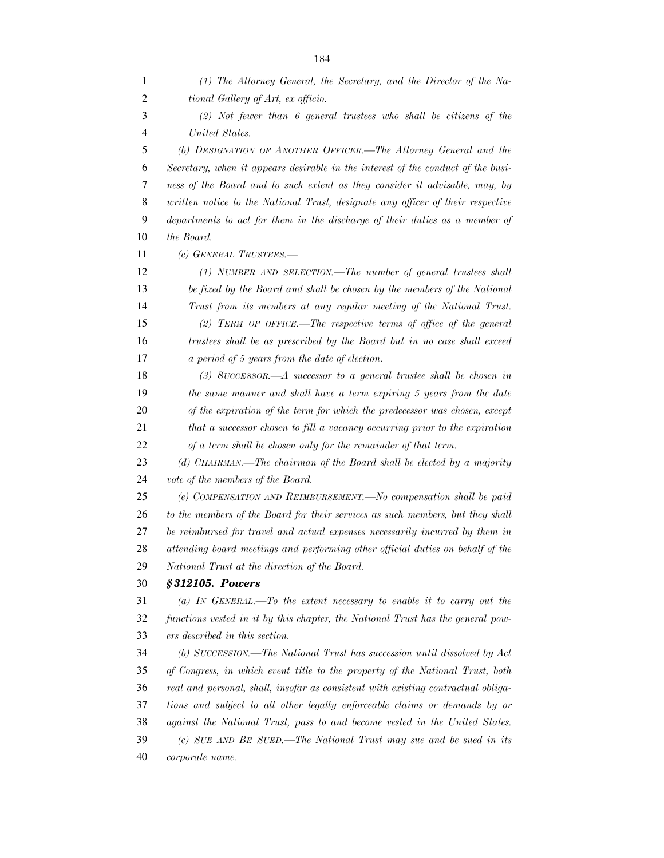*(1) The Attorney General, the Secretary, and the Director of the Na- tional Gallery of Art, ex officio. (2) Not fewer than 6 general trustees who shall be citizens of the United States. (b) DESIGNATION OF ANOTHER OFFICER.—The Attorney General and the Secretary, when it appears desirable in the interest of the conduct of the busi- ness of the Board and to such extent as they consider it advisable, may, by written notice to the National Trust, designate any officer of their respective departments to act for them in the discharge of their duties as a member of the Board. (c) GENERAL TRUSTEES.— (1) NUMBER AND SELECTION.—The number of general trustees shall be fixed by the Board and shall be chosen by the members of the National Trust from its members at any regular meeting of the National Trust. (2) TERM OF OFFICE.—The respective terms of office of the general trustees shall be as prescribed by the Board but in no case shall exceed a period of 5 years from the date of election. (3) SUCCESSOR.—A successor to a general trustee shall be chosen in the same manner and shall have a term expiring 5 years from the date of the expiration of the term for which the predecessor was chosen, except that a successor chosen to fill a vacancy occurring prior to the expiration of a term shall be chosen only for the remainder of that term. (d) CHAIRMAN.—The chairman of the Board shall be elected by a majority vote of the members of the Board. (e) COMPENSATION AND REIMBURSEMENT.—No compensation shall be paid to the members of the Board for their services as such members, but they shall be reimbursed for travel and actual expenses necessarily incurred by them in attending board meetings and performing other official duties on behalf of the National Trust at the direction of the Board. § 312105. Powers (a) IN GENERAL.—To the extent necessary to enable it to carry out the functions vested in it by this chapter, the National Trust has the general pow- ers described in this section. (b) SUCCESSION.—The National Trust has succession until dissolved by Act of Congress, in which event title to the property of the National Trust, both real and personal, shall, insofar as consistent with existing contractual obliga- tions and subject to all other legally enforceable claims or demands by or against the National Trust, pass to and become vested in the United States. (c) SUE AND BE SUED.—The National Trust may sue and be sued in its corporate name.*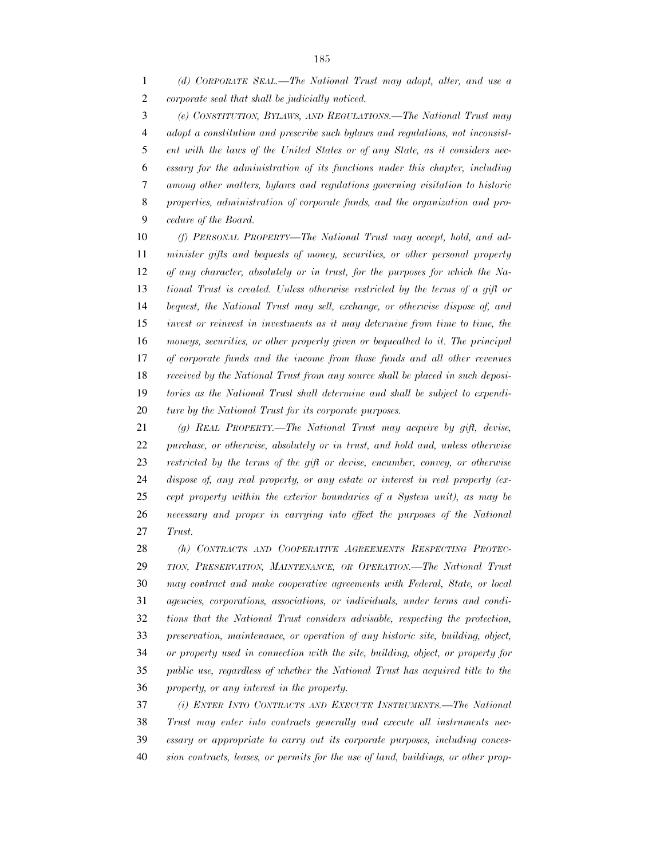*(d) CORPORATE SEAL.—The National Trust may adopt, alter, and use a corporate seal that shall be judicially noticed.*

 *(e) CONSTITUTION, BYLAWS, AND REGULATIONS.—The National Trust may adopt a constitution and prescribe such bylaws and regulations, not inconsist- ent with the laws of the United States or of any State, as it considers nec- essary for the administration of its functions under this chapter, including among other matters, bylaws and regulations governing visitation to historic properties, administration of corporate funds, and the organization and pro-cedure of the Board.*

 *(f) PERSONAL PROPERTY—The National Trust may accept, hold, and ad- minister gifts and bequests of money, securities, or other personal property of any character, absolutely or in trust, for the purposes for which the Na- tional Trust is created. Unless otherwise restricted by the terms of a gift or bequest, the National Trust may sell, exchange, or otherwise dispose of, and invest or reinvest in investments as it may determine from time to time, the moneys, securities, or other property given or bequeathed to it. The principal of corporate funds and the income from those funds and all other revenues received by the National Trust from any source shall be placed in such deposi- tories as the National Trust shall determine and shall be subject to expendi-ture by the National Trust for its corporate purposes.*

 *(g) REAL PROPERTY.—The National Trust may acquire by gift, devise, purchase, or otherwise, absolutely or in trust, and hold and, unless otherwise restricted by the terms of the gift or devise, encumber, convey, or otherwise dispose of, any real property, or any estate or interest in real property (ex- cept property within the exterior boundaries of a System unit), as may be necessary and proper in carrying into effect the purposes of the National Trust.*

 *(h) CONTRACTS AND COOPERATIVE AGREEMENTS RESPECTING PROTEC- TION, PRESERVATION, MAINTENANCE, OR OPERATION.—The National Trust may contract and make cooperative agreements with Federal, State, or local agencies, corporations, associations, or individuals, under terms and condi- tions that the National Trust considers advisable, respecting the protection, preservation, maintenance, or operation of any historic site, building, object, or property used in connection with the site, building, object, or property for public use, regardless of whether the National Trust has acquired title to the property, or any interest in the property.*

 *(i) ENTER INTO CONTRACTS AND EXECUTE INSTRUMENTS.—The National Trust may enter into contracts generally and execute all instruments nec- essary or appropriate to carry out its corporate purposes, including conces-sion contracts, leases, or permits for the use of land, buildings, or other prop-*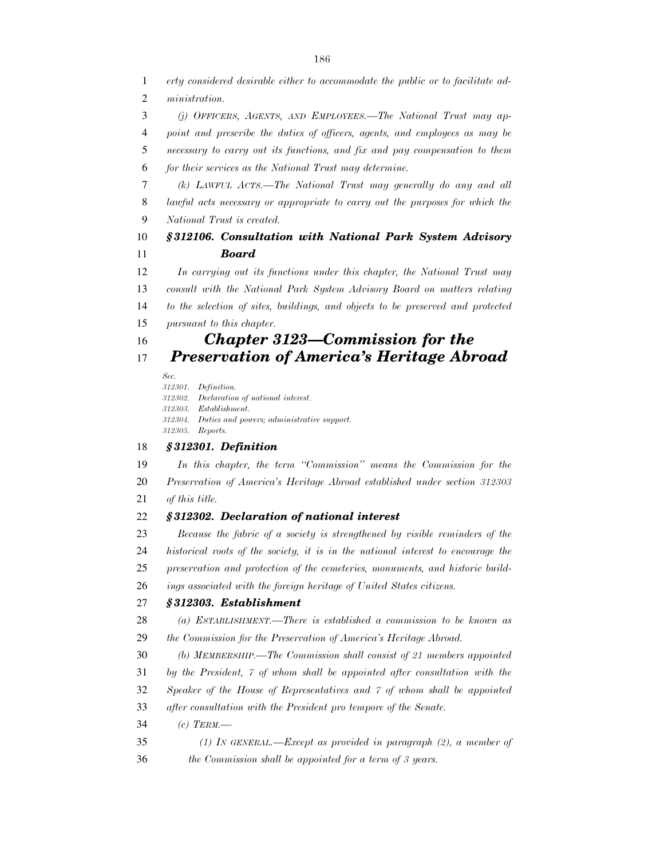*ministration. (j) OFFICERS, AGENTS, AND EMPLOYEES.—The National Trust may ap- point and prescribe the duties of officers, agents, and employees as may be necessary to carry out its functions, and fix and pay compensation to them for their services as the National Trust may determine. (k) LAWFUL ACTS.—The National Trust may generally do any and all lawful acts necessary or appropriate to carry out the purposes for which the National Trust is created. § 312106. Consultation with National Park System Advisory Board In carrying out its functions under this chapter, the National Trust may consult with the National Park System Advisory Board on matters relating to the selection of sites, buildings, and objects to be preserved and protected pursuant to this chapter. Chapter 3123—Commission for the Preservation of America's Heritage Abroad Sec. 312301. Definition. 312302. Declaration of national interest. 312303. Establishment. 312304. Duties and powers; administrative support. 312305. Reports. § 312301. Definition In this chapter, the term ''Commission'' means the Commission for the Preservation of America's Heritage Abroad established under section 312303 of this title. § 312302. Declaration of national interest Because the fabric of a society is strengthened by visible reminders of the historical roots of the society, it is in the national interest to encourage the preservation and protection of the cemeteries, monuments, and historic build- ings associated with the foreign heritage of United States citizens. § 312303. Establishment (a) ESTABLISHMENT.—There is established a commission to be known as the Commission for the Preservation of America's Heritage Abroad. (b) MEMBERSHIP.—The Commission shall consist of 21 members appointed by the President, 7 of whom shall be appointed after consultation with the Speaker of the House of Representatives and 7 of whom shall be appointed after consultation with the President pro tempore of the Senate. (c) TERM.— (1) IN GENERAL.—Except as provided in paragraph (2), a member of*

*erty considered desirable either to accommodate the public or to facilitate ad-*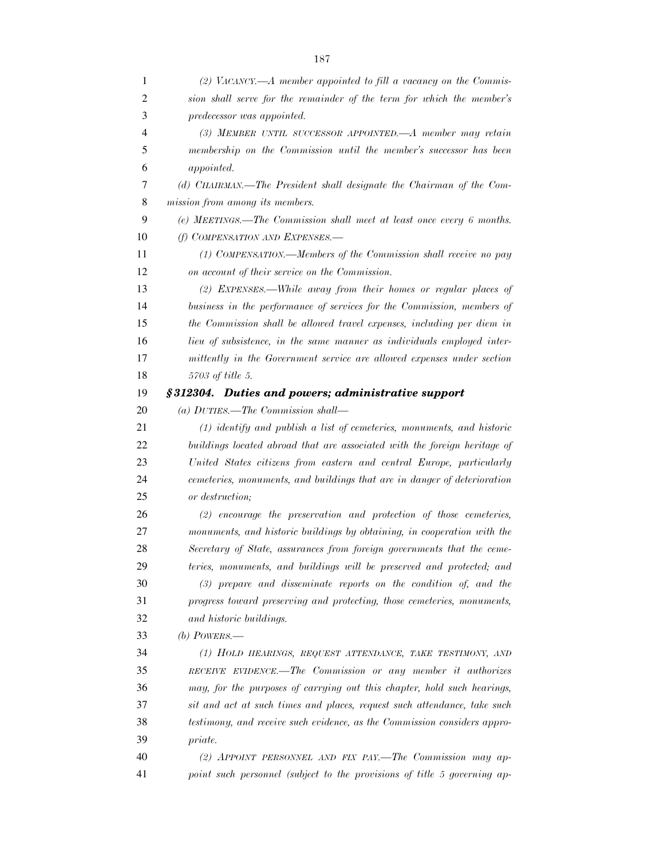| 1  | (2) VACANCY.—A member appointed to fill a vacancy on the Commis-          |
|----|---------------------------------------------------------------------------|
| 2  | sion shall serve for the remainder of the term for which the member's     |
| 3  | predecessor was appointed.                                                |
| 4  | (3) MEMBER UNTIL SUCCESSOR APPOINTED.—A member may retain                 |
| 5  | membership on the Commission until the member's successor has been        |
| 6  | <i>appointed.</i>                                                         |
| 7  | (d) CHAIRMAN.—The President shall designate the Chairman of the Com-      |
| 8  | mission from among its members.                                           |
| 9  | (e) MEETINGS.—The Commission shall meet at least once every 6 months.     |
| 10 | (f) COMPENSATION AND EXPENSES.-                                           |
| 11 | (1) COMPENSATION.—Members of the Commission shall receive no pay          |
| 12 | on account of their service on the Commission.                            |
| 13 | $(2)$ EXPENSES.—While away from their homes or regular places of          |
| 14 | business in the performance of services for the Commission, members of    |
| 15 | the Commission shall be allowed travel expenses, including per diem in    |
| 16 | lieu of subsistence, in the same manner as individuals employed inter-    |
| 17 | mittently in the Government service are allowed expenses under section    |
| 18 | 5703 of title 5.                                                          |
| 19 | §312304. Duties and powers; administrative support                        |
| 20 | (a) DUTIES.—The Commission shall—                                         |
| 21 | $(1)$ identify and publish a list of cemeteries, monuments, and historic  |
| 22 | buildings located abroad that are associated with the foreign heritage of |
| 23 | United States citizens from eastern and central Europe, particularly      |
| 24 | cemeteries, monuments, and buildings that are in danger of deterioration  |
| 25 | or destruction;                                                           |
| 26 | $(2)$ encourage the preservation and protection of those cemeteries,      |
| 27 | monuments, and historic buildings by obtaining, in cooperation with the   |
| 28 | Secretary of State, assurances from foreign governments that the ceme-    |
| 29 | teries, monuments, and buildings will be preserved and protected; and     |
| 30 | $(3)$ prepare and disseminate reports on the condition of, and the        |
| 31 | progress toward preserving and protecting, those cemeteries, monuments,   |
| 32 | and historic buildings.                                                   |
| 33 | (b) POWERS.—                                                              |
| 34 | (1) HOLD HEARINGS, REQUEST ATTENDANCE, TAKE TESTIMONY, AND                |
| 35 | RECEIVE EVIDENCE.—The Commission or any member it authorizes              |
| 36 | may, for the purposes of carrying out this chapter, hold such hearings,   |
| 37 | sit and act at such times and places, request such attendance, take such  |
| 38 | testimony, and receive such evidence, as the Commission considers appro-  |
| 39 | priate.                                                                   |
| 40 | (2) APPOINT PERSONNEL AND FIX PAY.—The Commission may ap-                 |
| 41 | point such personnel (subject to the provisions of title 5 governing ap-  |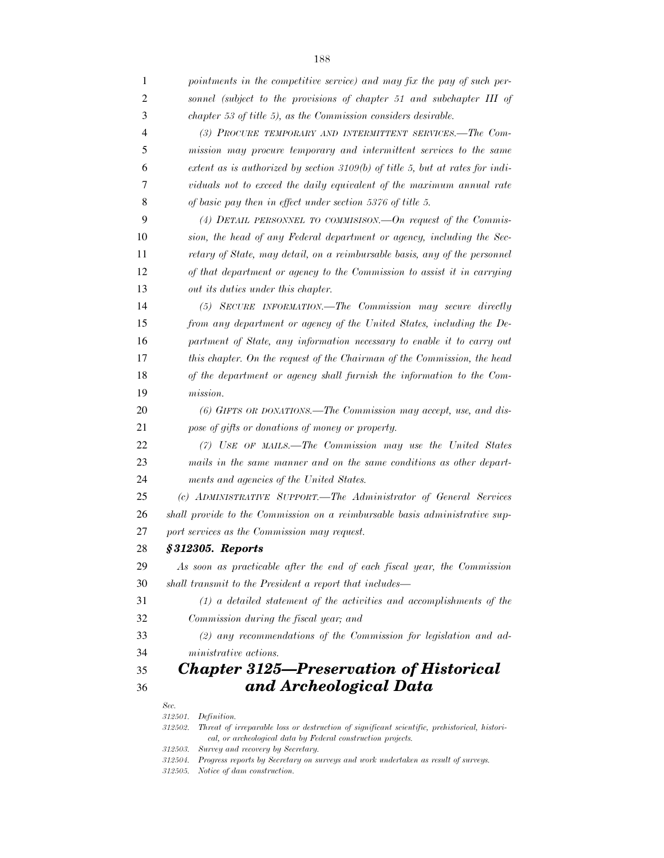| 1              | pointments in the competitive service) and may fix the pay of such per-                                                                                                                           |
|----------------|---------------------------------------------------------------------------------------------------------------------------------------------------------------------------------------------------|
| $\overline{c}$ | sonnel (subject to the provisions of chapter 51 and subchapter III of                                                                                                                             |
| 3              | chapter 53 of title 5), as the Commission considers desirable.                                                                                                                                    |
| $\overline{4}$ | (3) PROCURE TEMPORARY AND INTERMITTENT SERVICES.-The Com-                                                                                                                                         |
| 5              | mission may procure temporary and intermittent services to the same                                                                                                                               |
| 6              | extent as is authorized by section $3109(b)$ of title 5, but at rates for indi-                                                                                                                   |
| 7              | viduals not to exceed the daily equivalent of the maximum annual rate                                                                                                                             |
| 8              | of basic pay then in effect under section 5376 of title 5.                                                                                                                                        |
| 9              | (4) DETAIL PERSONNEL TO COMMISISON. On request of the Commis-                                                                                                                                     |
| 10             | sion, the head of any Federal department or agency, including the Sec-                                                                                                                            |
| 11             | retary of State, may detail, on a reimbursable basis, any of the personnel                                                                                                                        |
| 12             | of that department or agency to the Commission to assist it in carrying                                                                                                                           |
| 13             | out its duties under this chapter.                                                                                                                                                                |
| 14             | (5) SECURE INFORMATION.—The Commission may secure directly                                                                                                                                        |
| 15             | from any department or agency of the United States, including the De-                                                                                                                             |
| 16             | partment of State, any information necessary to enable it to carry out                                                                                                                            |
| 17             | this chapter. On the request of the Chairman of the Commission, the head                                                                                                                          |
| 18             | of the department or agency shall furnish the information to the Com-                                                                                                                             |
| 19             | mission.                                                                                                                                                                                          |
| 20             | (6) GIFTS OR DONATIONS.—The Commission may accept, use, and dis-                                                                                                                                  |
| 21             | pose of gifts or donations of money or property.                                                                                                                                                  |
| 22             | (7) USE OF MAILS.—The Commission may use the United States                                                                                                                                        |
| 23             | mails in the same manner and on the same conditions as other depart-                                                                                                                              |
| 24             | ments and agencies of the United States.                                                                                                                                                          |
| 25             | (c) ADMINISTRATIVE SUPPORT.—The Administrator of General Services                                                                                                                                 |
| 26             | shall provide to the Commission on a reimbursable basis administrative sup-                                                                                                                       |
| 27             | port services as the Commission may request.                                                                                                                                                      |
| 28             | §312305. Reports                                                                                                                                                                                  |
| 29             | As soon as practicable after the end of each fiscal year, the Commission                                                                                                                          |
| 30             | shall transmit to the President a report that includes—                                                                                                                                           |
| 31             | $(1)$ a detailed statement of the activities and accomplishments of the                                                                                                                           |
| 32             | Commission during the fiscal year, and                                                                                                                                                            |
| 33             | $(2)$ any recommendations of the Commission for legislation and ad-                                                                                                                               |
| 34             | $ministrative$ $actions.$                                                                                                                                                                         |
| 35             | <b>Chapter 3125–Preservation of Historical</b>                                                                                                                                                    |
| 36             | and Archeological Data                                                                                                                                                                            |
|                | Sec.                                                                                                                                                                                              |
|                | 312501.<br>Definition.<br>Threat of irreparable loss or destruction of significant scientific, prehistorical, histori-<br>312502.<br>cal, or archeological data by Federal construction projects. |

*312503. Survey and recovery by Secretary. 312504. Progress reports by Secretary on surveys and work undertaken as result of surveys. 312505. Notice of dam construction.*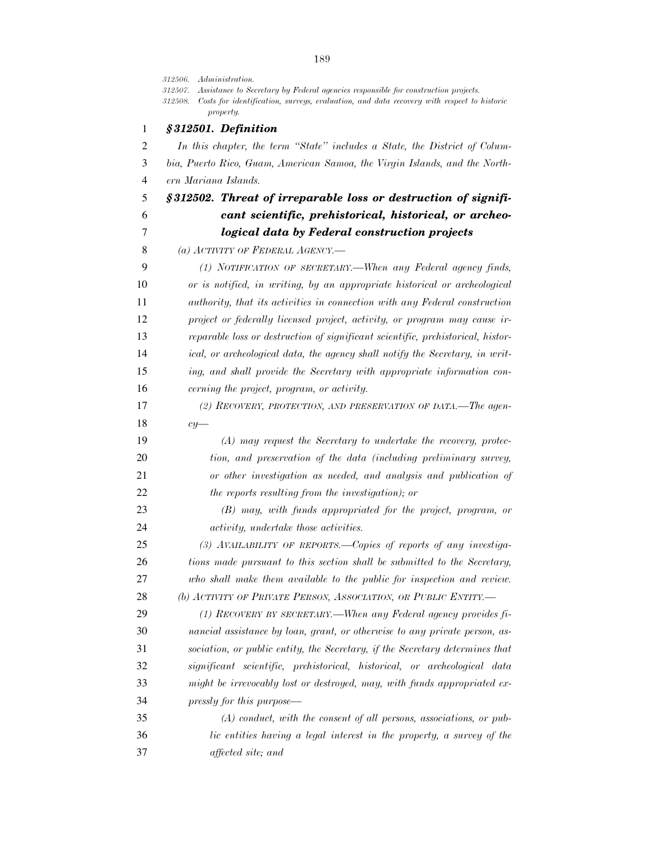*312506. Administration. 312507. Assistance to Secretary by Federal agencies responsible for construction projects. 312508. Costs for identification, surveys, evaluation, and data recovery with respect to historic property. § 312501. Definition In this chapter, the term ''State'' includes a State, the District of Colum- bia, Puerto Rico, Guam, American Samoa, the Virgin Islands, and the North- ern Mariana Islands. § 312502. Threat of irreparable loss or destruction of signifi- cant scientific, prehistorical, historical, or archeo- logical data by Federal construction projects (a) ACTIVITY OF FEDERAL AGENCY.— (1) NOTIFICATION OF SECRETARY.—When any Federal agency finds, or is notified, in writing, by an appropriate historical or archeological authority, that its activities in connection with any Federal construction project or federally licensed project, activity, or program may cause ir- reparable loss or destruction of significant scientific, prehistorical, histor- ical, or archeological data, the agency shall notify the Secretary, in writ- ing, and shall provide the Secretary with appropriate information con- cerning the project, program, or activity. (2) RECOVERY, PROTECTION, AND PRESERVATION OF DATA.—The agen- cy— (A) may request the Secretary to undertake the recovery, protec- tion, and preservation of the data (including preliminary survey, or other investigation as needed, and analysis and publication of the reports resulting from the investigation); or (B) may, with funds appropriated for the project, program, or activity, undertake those activities. (3) AVAILABILITY OF REPORTS.—Copies of reports of any investiga- tions made pursuant to this section shall be submitted to the Secretary, who shall make them available to the public for inspection and review. (b) ACTIVITY OF PRIVATE PERSON, ASSOCIATION, OR PUBLIC ENTITY.— (1) RECOVERY BY SECRETARY.—When any Federal agency provides fi- nancial assistance by loan, grant, or otherwise to any private person, as- sociation, or public entity, the Secretary, if the Secretary determines that significant scientific, prehistorical, historical, or archeological data might be irrevocably lost or destroyed, may, with funds appropriated ex- pressly for this purpose— (A) conduct, with the consent of all persons, associations, or pub- lic entities having a legal interest in the property, a survey of the affected site; and*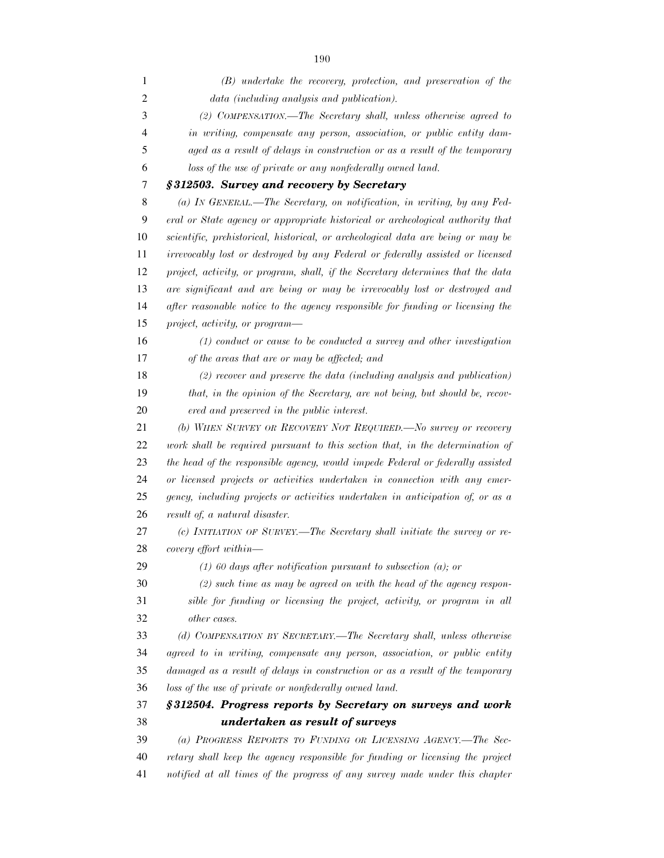| 1  | $(B)$ undertake the recovery, protection, and preservation of the                |
|----|----------------------------------------------------------------------------------|
| 2  | data (including analysis and publication).                                       |
| 3  | $(2)$ COMPENSATION – The Secretary shall, unless otherwise agreed to             |
| 4  | in writing, compensate any person, association, or public entity dam-            |
| 5  | aged as a result of delays in construction or as a result of the temporary       |
| 6  | loss of the use of private or any nonfederally owned land.                       |
| 7  | §312503. Survey and recovery by Secretary                                        |
| 8  | (a) IN GENERAL.—The Secretary, on notification, in writing, by any Fed-          |
| 9  | eral or State agency or appropriate historical or archeological authority that   |
| 10 | scientific, prehistorical, historical, or archeological data are being or may be |
| 11 | irrevocably lost or destroyed by any Federal or federally assisted or licensed   |
| 12 | project, activity, or program, shall, if the Secretary determines that the data  |
| 13 | are significant and are being or may be irrevocably lost or destroyed and        |
| 14 | after reasonable notice to the agency responsible for funding or licensing the   |
| 15 | project, activity, or program—                                                   |
| 16 | $(1)$ conduct or cause to be conducted a survey and other investigation          |
| 17 | of the areas that are or may be affected; and                                    |
| 18 | $(2)$ recover and preserve the data (including analysis and publication)         |
| 19 | that, in the opinion of the Secretary, are not being, but should be, recov-      |
| 20 | ered and preserved in the public interest.                                       |
| 21 | (b) WHEN SURVEY OR RECOVERY NOT REQUIRED. No survey or recovery                  |
| 22 | work shall be required pursuant to this section that, in the determination of    |
| 23 | the head of the responsible agency, would impede Federal or federally assisted   |
| 24 | or licensed projects or activities undertaken in connection with any emer-       |
| 25 | gency, including projects or activities undertaken in anticipation of, or as a   |
| 26 | result of, a natural disaster.                                                   |
| 27 | (c) INITIATION OF SURVEY.—The Secretary shall initiate the survey or re-         |
| 28 | covery effort within—                                                            |
| 29 | $(1)$ 60 days after notification pursuant to subsection $(a)$ ; or               |
| 30 | $(2)$ such time as may be agreed on with the head of the agency respon-          |
| 31 | sible for funding or licensing the project, activity, or program in all          |
| 32 | other cases.                                                                     |
| 33 | (d) COMPENSATION BY SECRETARY.—The Secretary shall, unless otherwise             |
| 34 | agreed to in writing, compensate any person, association, or public entity       |
| 35 | damaged as a result of delays in construction or as a result of the temporary    |
| 36 | loss of the use of private or nonfederally owned land.                           |
| 37 | §312504. Progress reports by Secretary on surveys and work                       |
| 38 | undertaken as result of surveys                                                  |
| 39 | (a) PROGRESS REPORTS TO FUNDING OR LICENSING AGENCY.—The Sec-                    |
| 40 | retary shall keep the agency responsible for funding or licensing the project    |
| 41 | notified at all times of the progress of any survey made under this chapter      |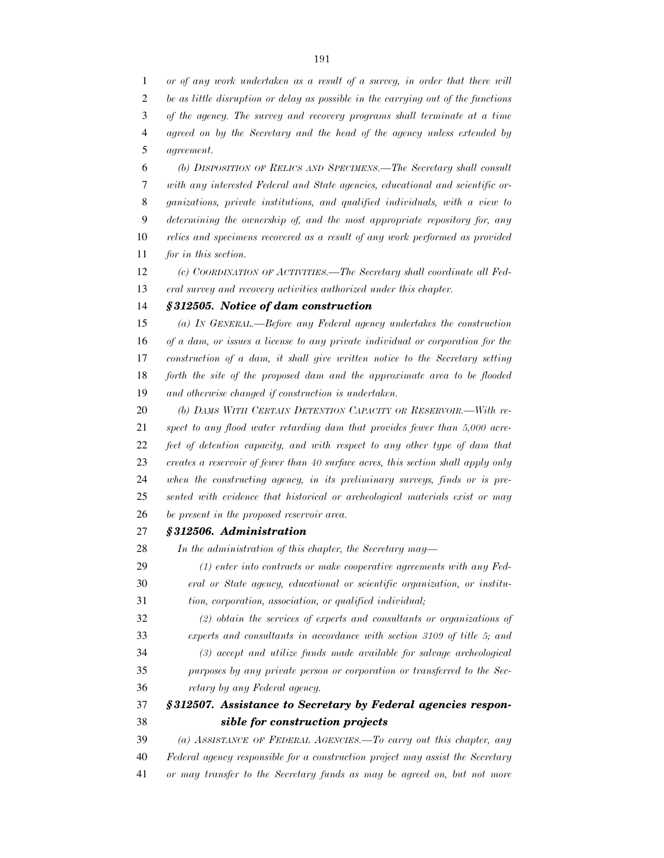*or of any work undertaken as a result of a survey, in order that there will be as little disruption or delay as possible in the carrying out of the functions of the agency. The survey and recovery programs shall terminate at a time agreed on by the Secretary and the head of the agency unless extended by agreement. (b) DISPOSITION OF RELICS AND SPECIMENS.—The Secretary shall consult with any interested Federal and State agencies, educational and scientific or-*

 *ganizations, private institutions, and qualified individuals, with a view to determining the ownership of, and the most appropriate repository for, any relics and specimens recovered as a result of any work performed as provided for in this section.*

 *(c) COORDINATION OF ACTIVITIES.—The Secretary shall coordinate all Fed-eral survey and recovery activities authorized under this chapter.*

#### *§ 312505. Notice of dam construction*

 *(a) IN GENERAL.—Before any Federal agency undertakes the construction of a dam, or issues a license to any private individual or corporation for the construction of a dam, it shall give written notice to the Secretary setting forth the site of the proposed dam and the approximate area to be flooded and otherwise changed if construction is undertaken.*

 *(b) DAMS WITH CERTAIN DETENTION CAPACITY OR RESERVOIR.—With re- spect to any flood water retarding dam that provides fewer than 5,000 acre- feet of detention capacity, and with respect to any other type of dam that creates a reservoir of fewer than 40 surface acres, this section shall apply only when the constructing agency, in its preliminary surveys, finds or is pre- sented with evidence that historical or archeological materials exist or may be present in the proposed reservoir area.*

#### *§ 312506. Administration*

*In the administration of this chapter, the Secretary may—*

 *(1) enter into contracts or make cooperative agreements with any Fed- eral or State agency, educational or scientific organization, or institu-tion, corporation, association, or qualified individual;*

 *(2) obtain the services of experts and consultants or organizations of experts and consultants in accordance with section 3109 of title 5; and (3) accept and utilize funds made available for salvage archeological purposes by any private person or corporation or transferred to the Sec-retary by any Federal agency.*

 *§ 312507. Assistance to Secretary by Federal agencies respon-sible for construction projects*

 *(a) ASSISTANCE OF FEDERAL AGENCIES.—To carry out this chapter, any Federal agency responsible for a construction project may assist the Secretary or may transfer to the Secretary funds as may be agreed on, but not more*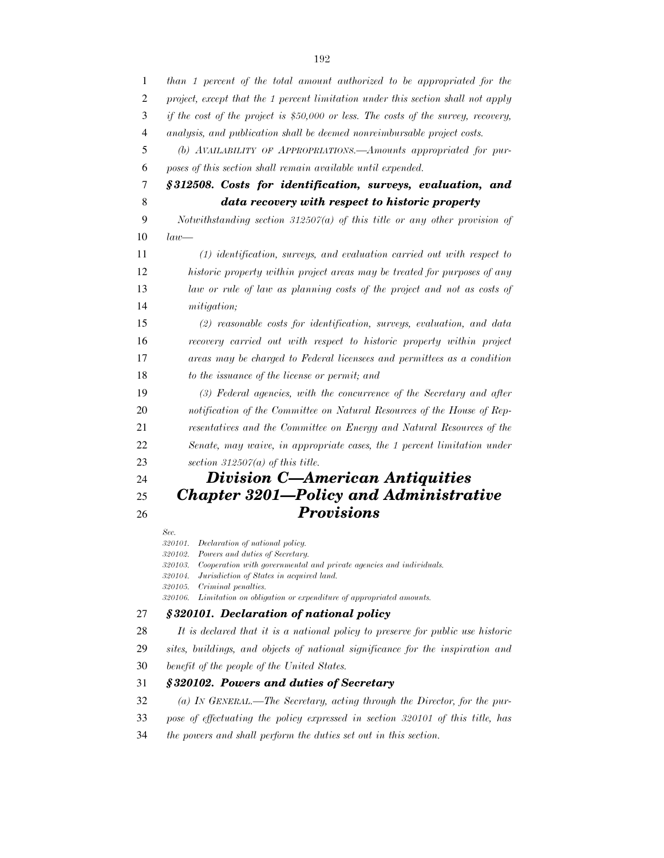| $\mathbf{1}$ | than 1 percent of the total amount authorized to be appropriated for the            |
|--------------|-------------------------------------------------------------------------------------|
| 2            | project, except that the 1 percent limitation under this section shall not apply    |
| 3            | if the cost of the project is $$50,000$ or less. The costs of the survey, recovery, |
| 4            | analysis, and publication shall be deemed nonreimbursable project costs.            |
| 5            | (b) AVAILABILITY OF APPROPRIATIONS.—Amounts appropriated for pur-                   |
| 6            | poses of this section shall remain available until expended.                        |
| 7            | §312508. Costs for identification, surveys, evaluation, and                         |
| 8            | data recovery with respect to historic property                                     |
| 9            | Notwithstanding section $312507(a)$ of this title or any other provision of         |
| 10           | $law-$                                                                              |
| 11           | $(1)$ identification, surveys, and evaluation carried out with respect to           |
| 12           | historic property within project areas may be treated for purposes of any           |
| 13           | law or rule of law as planning costs of the project and not as costs of             |
| 14           | mitigation;                                                                         |
| 15           | (2) reasonable costs for identification, surveys, evaluation, and data              |
| 16           | recovery carried out with respect to historic property within project               |
| 17           | areas may be charged to Federal licensees and permittees as a condition             |
| 18           | to the issuance of the license or permit; and                                       |
| 19           | (3) Federal agencies, with the concurrence of the Secretary and after               |
| 20           | notification of the Committee on Natural Resources of the House of Rep-             |
| 21           | resentatives and the Committee on Energy and Natural Resources of the               |
| 22           | Senate, may waive, in appropriate cases, the 1 percent limitation under             |
| 23           | section $312507(a)$ of this title.                                                  |
| 24           | <b>Division C—American Antiquities</b>                                              |
| 25           | <b>Chapter 3201—Policy and Administrative</b>                                       |
| 26           | <b>Provisions</b>                                                                   |

#### *Sec.*

*320101. Declaration of national policy. 320102. Powers and duties of Secretary. 320103. Cooperation with governmental and private agencies and individuals. 320104. Jurisdiction of States in acquired land. 320105. Criminal penalties. 320106. Limitation on obligation or expenditure of appropriated amounts. § 320101. Declaration of national policy*

### *It is declared that it is a national policy to preserve for public use historic*

*sites, buildings, and objects of national significance for the inspiration and*

*benefit of the people of the United States.*

### *§ 320102. Powers and duties of Secretary*

*(a) IN GENERAL.—The Secretary, acting through the Director, for the pur-*

- *pose of effectuating the policy expressed in section 320101 of this title, has*
- *the powers and shall perform the duties set out in this section.*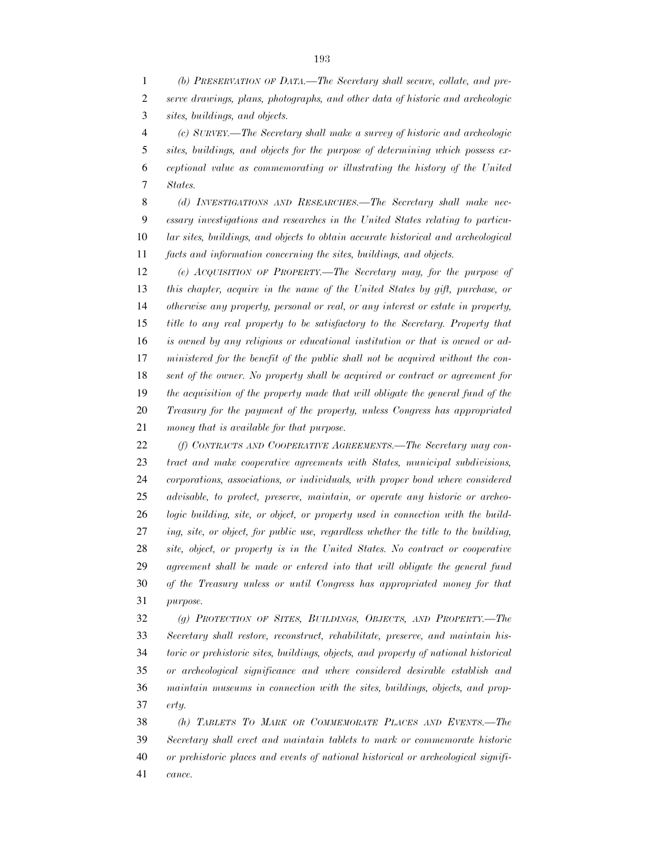*(b) PRESERVATION OF DATA.—The Secretary shall secure, collate, and pre- serve drawings, plans, photographs, and other data of historic and archeologic sites, buildings, and objects.*

 *(c) SURVEY.—The Secretary shall make a survey of historic and archeologic sites, buildings, and objects for the purpose of determining which possess ex- ceptional value as commemorating or illustrating the history of the United States.*

 *(d) INVESTIGATIONS AND RESEARCHES.—The Secretary shall make nec- essary investigations and researches in the United States relating to particu- lar sites, buildings, and objects to obtain accurate historical and archeological facts and information concerning the sites, buildings, and objects.*

 *(e) ACQUISITION OF PROPERTY.—The Secretary may, for the purpose of this chapter, acquire in the name of the United States by gift, purchase, or otherwise any property, personal or real, or any interest or estate in property, title to any real property to be satisfactory to the Secretary. Property that is owned by any religious or educational institution or that is owned or ad- ministered for the benefit of the public shall not be acquired without the con- sent of the owner. No property shall be acquired or contract or agreement for the acquisition of the property made that will obligate the general fund of the Treasury for the payment of the property, unless Congress has appropriated money that is available for that purpose.*

 *(f) CONTRACTS AND COOPERATIVE AGREEMENTS.—The Secretary may con- tract and make cooperative agreements with States, municipal subdivisions, corporations, associations, or individuals, with proper bond where considered advisable, to protect, preserve, maintain, or operate any historic or archeo- logic building, site, or object, or property used in connection with the build- ing, site, or object, for public use, regardless whether the title to the building, site, object, or property is in the United States. No contract or cooperative agreement shall be made or entered into that will obligate the general fund of the Treasury unless or until Congress has appropriated money for that purpose.*

 *(g) PROTECTION OF SITES, BUILDINGS, OBJECTS, AND PROPERTY.—The Secretary shall restore, reconstruct, rehabilitate, preserve, and maintain his- toric or prehistoric sites, buildings, objects, and property of national historical or archeological significance and where considered desirable establish and maintain museums in connection with the sites, buildings, objects, and prop-erty.*

 *(h) TABLETS TO MARK OR COMMEMORATE PLACES AND EVENTS.—The Secretary shall erect and maintain tablets to mark or commemorate historic or prehistoric places and events of national historical or archeological signifi-cance.*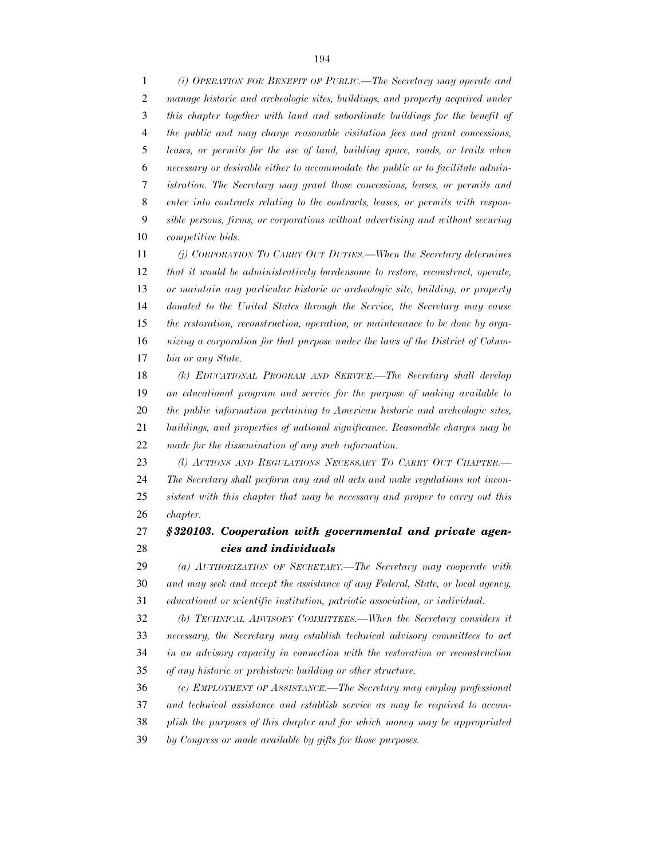*(i) OPERATION FOR BENEFIT OF PUBLIC.—The Secretary may operate and manage historic and archeologic sites, buildings, and property acquired under this chapter together with land and subordinate buildings for the benefit of the public and may charge reasonable visitation fees and grant concessions, leases, or permits for the use of land, building space, roads, or trails when necessary or desirable either to accommodate the public or to facilitate admin- istration. The Secretary may grant those concessions, leases, or permits and enter into contracts relating to the contracts, leases, or permits with respon- sible persons, firms, or corporations without advertising and without securing competitive bids. (j) CORPORATION TO CARRY OUT DUTIES.—When the Secretary determines that it would be administratively burdensome to restore, reconstruct, operate,*

 *or maintain any particular historic or archeologic site, building, or property donated to the United States through the Service, the Secretary may cause the restoration, reconstruction, operation, or maintenance to be done by orga- nizing a corporation for that purpose under the laws of the District of Colum-bia or any State.*

 *(k) EDUCATIONAL PROGRAM AND SERVICE.—The Secretary shall develop an educational program and service for the purpose of making available to the public information pertaining to American historic and archeologic sites, buildings, and properties of national significance. Reasonable charges may be made for the dissemination of any such information.*

 *(l) ACTIONS AND REGULATIONS NECESSARY TO CARRY OUT CHAPTER.— The Secretary shall perform any and all acts and make regulations not incon- sistent with this chapter that may be necessary and proper to carry out this chapter.*

### *§ 320103. Cooperation with governmental and private agen-cies and individuals*

 *(a) AUTHORIZATION OF SECRETARY.—The Secretary may cooperate with and may seek and accept the assistance of any Federal, State, or local agency, educational or scientific institution, patriotic association, or individual.*

 *(b) TECHNICAL ADVISORY COMMITTEES.—When the Secretary considers it necessary, the Secretary may establish technical advisory committees to act in an advisory capacity in connection with the restoration or reconstruction of any historic or prehistoric building or other structure.*

 *(c) EMPLOYMENT OF ASSISTANCE.—The Secretary may employ professional and technical assistance and establish service as may be required to accom- plish the purposes of this chapter and for which money may be appropriated by Congress or made available by gifts for those purposes.*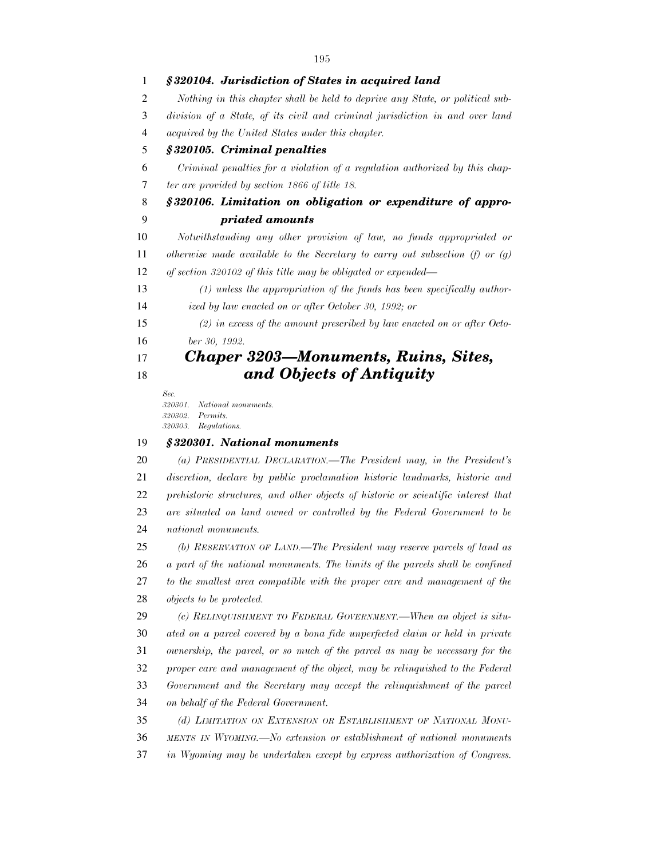| 1  | §320104. Jurisdiction of States in acquired land                                 |
|----|----------------------------------------------------------------------------------|
| 2  | Nothing in this chapter shall be held to deprive any State, or political sub-    |
| 3  | division of a State, of its civil and criminal jurisdiction in and over land     |
| 4  | acquired by the United States under this chapter.                                |
| 5  | §320105. Criminal penalties                                                      |
| 6  | Criminal penalties for a violation of a regulation authorized by this chap-      |
| 7  | ter are provided by section 1866 of title 18.                                    |
| 8  | §320106. Limitation on obligation or expenditure of appro-                       |
| 9  | priated amounts                                                                  |
| 10 | Notwithstanding any other provision of law, no funds appropriated or             |
| 11 | otherwise made available to the Secretary to carry out subsection $(f)$ or $(g)$ |
| 12 | of section 320102 of this title may be obligated or expended—                    |
| 13 | $(1)$ unless the appropriation of the funds has been specifically author-        |
| 14 | ized by law enacted on or after October 30, 1992; or                             |
| 15 | $(2)$ in excess of the amount prescribed by law enacted on or after Octo-        |
| 16 | $ber\,30, 1992.$                                                                 |
| 17 | <b>Chaper 3203–Monuments, Ruins, Sites,</b>                                      |
| 18 | and Objects of Antiquity                                                         |

*Sec. 320301. National monuments. 320302. Permits. 320303. Regulations.*

#### *§ 320301. National monuments*

 *(a) PRESIDENTIAL DECLARATION.—The President may, in the President's discretion, declare by public proclamation historic landmarks, historic and prehistoric structures, and other objects of historic or scientific interest that are situated on land owned or controlled by the Federal Government to be national monuments.*

 *(b) RESERVATION OF LAND.—The President may reserve parcels of land as a part of the national monuments. The limits of the parcels shall be confined to the smallest area compatible with the proper care and management of the objects to be protected.*

 *(c) RELINQUISHMENT TO FEDERAL GOVERNMENT.—When an object is situ- ated on a parcel covered by a bona fide unperfected claim or held in private ownership, the parcel, or so much of the parcel as may be necessary for the proper care and management of the object, may be relinquished to the Federal Government and the Secretary may accept the relinquishment of the parcel on behalf of the Federal Government. (d) LIMITATION ON EXTENSION OR ESTABLISHMENT OF NATIONAL MONU-*

- *MENTS IN WYOMING.—No extension or establishment of national monuments*
- *in Wyoming may be undertaken except by express authorization of Congress.*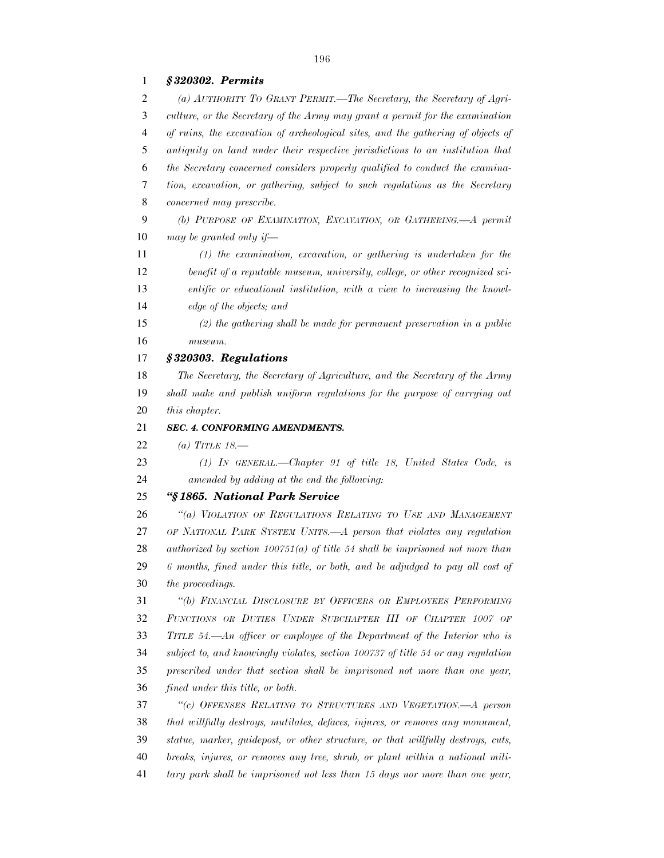# *§ 320302. Permits*

| $\overline{c}$ | (a) AUTHORITY TO GRANT PERMIT.—The Secretary, the Secretary of Agri-             |
|----------------|----------------------------------------------------------------------------------|
| 3              | culture, or the Secretary of the Army may grant a permit for the examination     |
| 4              | of ruins, the excavation of archeological sites, and the gathering of objects of |
| 5              | antiquity on land under their respective jurisdictions to an institution that    |
| 6              | the Secretary concerned considers properly qualified to conduct the examina-     |
| 7              | tion, excavation, or gathering, subject to such regulations as the Secretary     |
| 8              | concerned may prescribe.                                                         |
| 9              | (b) PURPOSE OF EXAMINATION, EXCAVATION, OR GATHERING. A permit                   |
| 10             | may be granted only if—                                                          |
| 11             | $(1)$ the examination, excavation, or gathering is undertaken for the            |
| 12             | benefit of a reputable museum, university, college, or other recognized sci-     |
| 13             | entific or educational institution, with a view to increasing the knowl-         |
| 14             | edge of the objects; and                                                         |
| 15             | $(2)$ the gathering shall be made for permanent preservation in a public         |
| 16             | museum.                                                                          |
| 17             | §320303. Regulations                                                             |
| 18             | The Secretary, the Secretary of Agriculture, and the Secretary of the Army       |
| 19             | shall make and publish uniform regulations for the purpose of carrying out       |
| 20             | this chapter.                                                                    |
| 21             | <b>SEC. 4. CONFORMING AMENDMENTS.</b>                                            |
| 22             | (a) TITLE $18$ -                                                                 |
| 23             | (1) IN GENERAL.—Chapter 91 of title 18, United States Code, is                   |
| 24             | amended by adding at the end the following:                                      |
| 25             | "§1865. National Park Service                                                    |
| 26             | "(a) VIOLATION OF REGULATIONS RELATING TO USE AND MANAGEMENT                     |
| 27             | OF NATIONAL PARK SYSTEM UNITS.—A person that violates any regulation             |
| 28             | authorized by section $100751(a)$ of title 54 shall be imprisoned not more than  |
| 29             | 6 months, fined under this title, or both, and be adjudged to pay all cost of    |
| 30             | the proceedings.                                                                 |
| 31             | "(b) FINANCIAL DISCLOSURE BY OFFICERS OR EMPLOYEES PERFORMING                    |
| 32             | FUNCTIONS OR DUTIES UNDER SUBCHAPTER III OF CHAPTER 1007 OF                      |
| 33             | TITLE 54.—An officer or employee of the Department of the Interior who is        |
| 34             | subject to, and knowingly violates, section 100737 of title 54 or any regulation |
| 35             | prescribed under that section shall be imprisoned not more than one year,        |
| 36             | fined under this title, or both.                                                 |
| 37             | "(c) OFFENSES RELATING TO STRUCTURES AND VEGETATION.—A person                    |
| 38             | that willfully destroys, mutilates, defaces, injures, or removes any monument,   |
| 39             | statue, marker, guidepost, or other structure, or that willfully destroys, cuts, |
| 40             | breaks, injures, or removes any tree, shrub, or plant within a national mili-    |
| 41             | tary park shall be imprisoned not less than 15 days nor more than one year,      |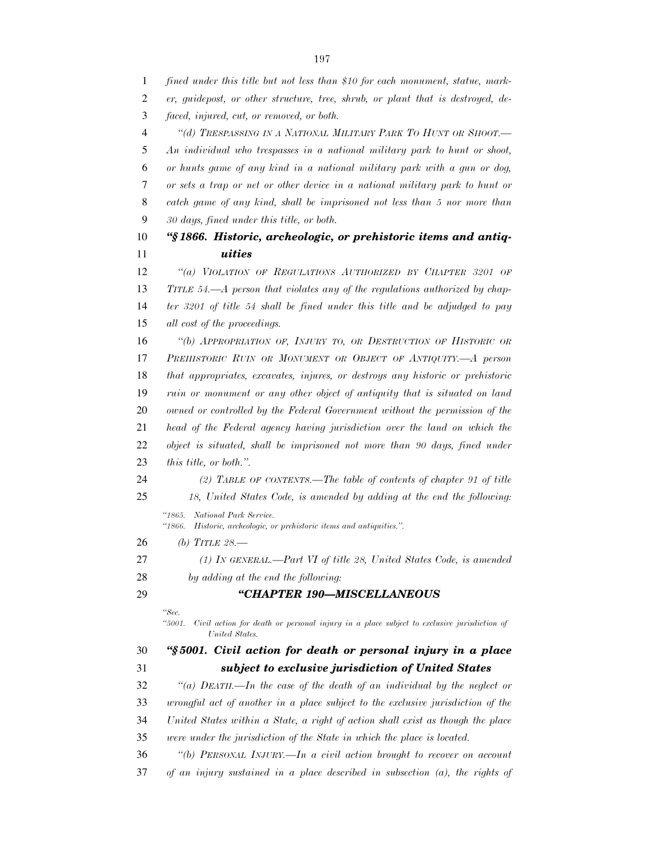*fined under this title but not less than \$10 for each monument, statue, mark- er, guidepost, or other structure, tree, shrub, or plant that is destroyed, de- faced, injured, cut, or removed, or both. ''(d) TRESPASSING IN A NATIONAL MILITARY PARK TO HUNT OR SHOOT.— An individual who trespasses in a national military park to hunt or shoot, or hunts game of any kind in a national military park with a gun or dog, or sets a trap or net or other device in a national military park to hunt or catch game of any kind, shall be imprisoned not less than 5 nor more than 30 days, fined under this title, or both. ''§ 1866. Historic, archeologic, or prehistoric items and antiq- uities ''(a) VIOLATION OF REGULATIONS AUTHORIZED BY CHAPTER 3201 OF TITLE 54.—A person that violates any of the regulations authorized by chap- ter 3201 of title 54 shall be fined under this title and be adjudged to pay all cost of the proceedings. ''(b) APPROPRIATION OF, INJURY TO, OR DESTRUCTION OF HISTORIC OR PREHISTORIC RUIN OR MONUMENT OR OBJECT OF ANTIQUITY.—A person that appropriates, excavates, injures, or destroys any historic or prehistoric ruin or monument or any other object of antiquity that is situated on land owned or controlled by the Federal Government without the permission of the head of the Federal agency having jurisdiction over the land on which the object is situated, shall be imprisoned not more than 90 days, fined under this title, or both.''. (2) TABLE OF CONTENTS.—The table of contents of chapter 91 of title 18, United States Code, is amended by adding at the end the following: ''1865. National Park Service. ''1866. Historic, archeologic, or prehistoric items and antiquities.''. (b) TITLE 28.— (1) IN GENERAL.—Part VI of title 28, United States Code, is amended by adding at the end the following: ''CHAPTER 190—MISCELLANEOUS ''Sec. ''5001. Civil action for death or personal injury in a place subject to exclusive jurisdiction of United States. ''§ 5001. Civil action for death or personal injury in a place subject to exclusive jurisdiction of United States ''(a) DEATH.—In the case of the death of an individual by the neglect or wrongful act of another in a place subject to the exclusive jurisdiction of the United States within a State, a right of action shall exist as though the place were under the jurisdiction of the State in which the place is located. ''(b) PERSONAL INJURY.—In a civil action brought to recover on account of an injury sustained in a place described in subsection (a), the rights of*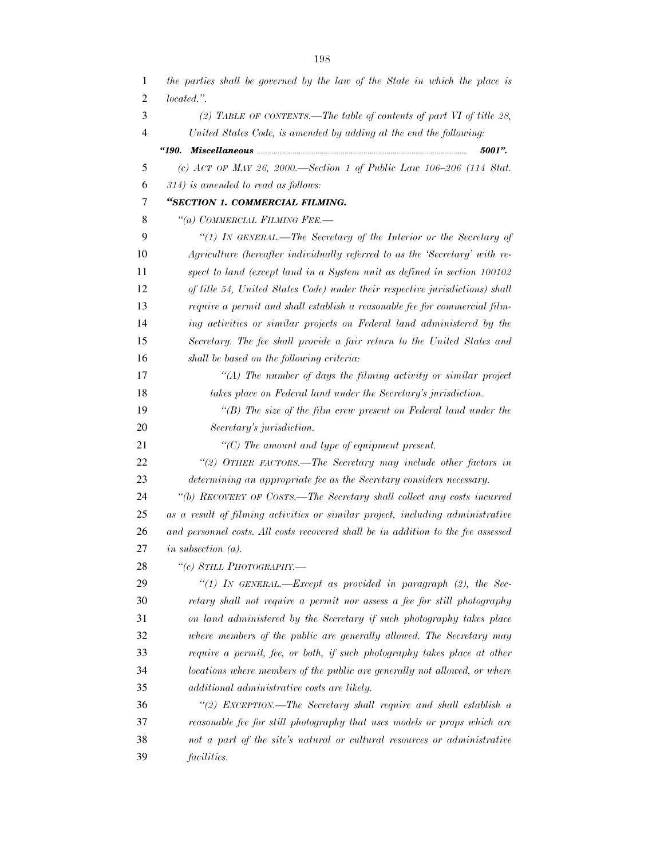| 1              | the parties shall be governed by the law of the State in which the place is       |
|----------------|-----------------------------------------------------------------------------------|
| $\overline{c}$ | located.".                                                                        |
| 3              | (2) TABLE OF CONTENTS.—The table of contents of part VI of title $28$ ,           |
| 4              | United States Code, is amended by adding at the end the following:                |
|                | "190.<br>5001".                                                                   |
| 5              | (c) ACT OF MAY 26, 2000.—Section 1 of Public Law $106-206$ (114 Stat.             |
| 6              | 314) is amended to read as follows:                                               |
| 7              | "SECTION 1. COMMERCIAL FILMING.                                                   |
| 8              | "(a) COMMERCIAL FILMING FEE.-                                                     |
| 9              | "(1) IN GENERAL.—The Secretary of the Interior or the Secretary of                |
| 10             | Agriculture (hereafter individually referred to as the 'Secretary' with re-       |
| 11             | spect to land (except land in a System unit as defined in section 100102          |
| 12             | of title 54, United States Code) under their respective jurisdictions) shall      |
| 13             | require a permit and shall establish a reasonable fee for commercial film-        |
| 14             | ing activities or similar projects on Federal land administered by the            |
| 15             | Secretary. The fee shall provide a fair return to the United States and           |
| 16             | shall be based on the following criteria:                                         |
| 17             | "(A) The number of days the filming activity or similar project                   |
| 18             | takes place on Federal land under the Secretary's jurisdiction.                   |
| 19             | " $(B)$ The size of the film crew present on Federal land under the               |
| 20             | Secretary's jurisdiction.                                                         |
| 21             | " $(C)$ The amount and type of equipment present.                                 |
| 22             | "(2) OTHER FACTORS.—The Secretary may include other factors in                    |
| 23             | determining an appropriate fee as the Secretary considers necessary.              |
| 24             | "(b) RECOVERY OF COSTS.—The Secretary shall collect any costs incurred            |
| 25             | as a result of filming activities or similar project, including administrative    |
| 26             | and personnel costs. All costs recovered shall be in addition to the fee assessed |
| 27             | in subsection $(a)$ .                                                             |
| 28             | "(c) STILL PHOTOGRAPHY.-                                                          |
| 29             | "(1) IN GENERAL.—Except as provided in paragraph $(2)$ , the Sec-                 |
| 30             | retary shall not require a permit nor assess a fee for still photography          |
| 31             | on land administered by the Secretary if such photography takes place             |
| 32             | where members of the public are generally allowed. The Secretary may              |
| 33             | require a permit, fee, or both, if such photography takes place at other          |
| 34             | locations where members of the public are generally not allowed, or where         |
| 35             | additional administrative costs are likely.                                       |
| 36             | "(2) EXCEPTION.-The Secretary shall require and shall establish a                 |
| 37             | reasonable fee for still photography that uses models or props which are          |
| 38             | not a part of the site's natural or cultural resources or administrative          |
| 39             | <i>facilities.</i>                                                                |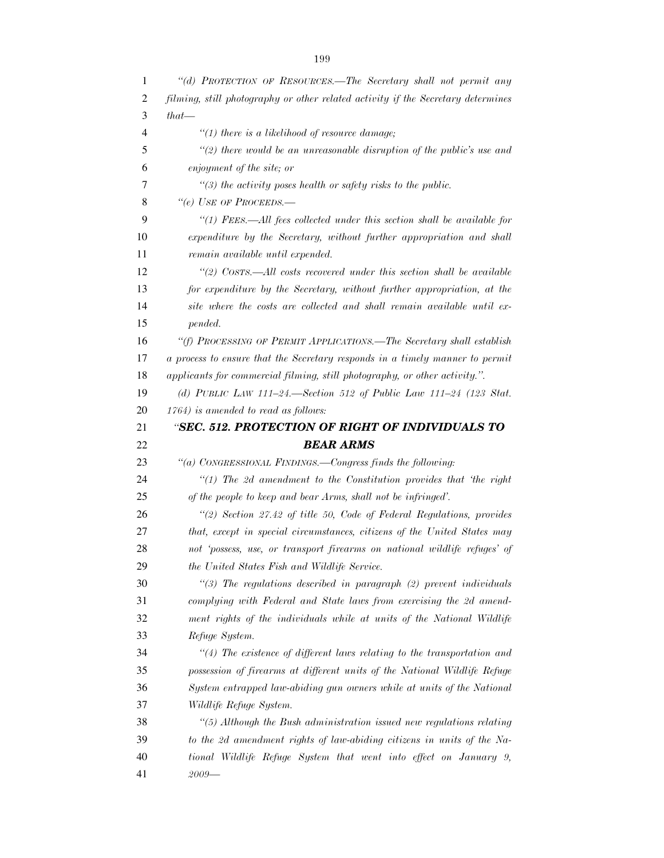| 1  | "(d) PROTECTION OF RESOURCES.—The Secretary shall not permit any                 |
|----|----------------------------------------------------------------------------------|
| 2  | filming, still photography or other related activity if the Secretary determines |
| 3  | $that$ —                                                                         |
| 4  | $"(1)$ there is a likelihood of resource damage;                                 |
| 5  | $\lq(2)$ there would be an unreasonable disruption of the public's use and       |
| 6  | enjoyment of the site; or                                                        |
| 7  | "(3) the activity poses health or safety risks to the public.                    |
| 8  | "(e) USE OF PROCEEDS.—                                                           |
| 9  | $\lq(1)$ FEES.—All fees collected under this section shall be available for      |
| 10 | expenditure by the Secretary, without further appropriation and shall            |
| 11 | remain available until expended.                                                 |
| 12 | "(2) $\text{CoSTS.}$ -All costs recovered under this section shall be available  |
| 13 | for expenditure by the Secretary, without further appropriation, at the          |
| 14 | site where the costs are collected and shall remain available until ex-          |
| 15 | pended.                                                                          |
| 16 | "(f) PROCESSING OF PERMIT APPLICATIONS.—The Secretary shall establish            |
| 17 | a process to ensure that the Secretary responds in a timely manner to permit     |
| 18 | applicants for commercial filming, still photography, or other activity.".       |
| 19 | (d) PUBLIC LAW 111-24.—Section 512 of Public Law 111-24 (123 Stat.               |
| 20 | 1764) is amended to read as follows:                                             |
| 21 | "SEC. 512. PROTECTION OF RIGHT OF INDIVIDUALS TO                                 |
| 22 | <b>BEAR ARMS</b>                                                                 |
| 23 | "(a) CONGRESSIONAL FINDINGS.—Congress finds the following:                       |
| 24 | $\lq(1)$ The 2d amendment to the Constitution provides that the right            |
| 25 | of the people to keep and bear Arms, shall not be infringed'.                    |
| 26 | $\lq(2)$ Section 27.42 of title 50, Code of Federal Regulations, provides        |
| 27 | that, except in special circumstances, citizens of the United States may         |
| 28 | not 'possess, use, or transport firearms on national wildlife refuges' of        |
| 29 | the United States Fish and Wildlife Service.                                     |
| 30 | $\lq(3)$ The regulations described in paragraph (2) prevent individuals          |
| 31 | complying with Federal and State laws from exercising the 2d amend-              |
| 32 | ment rights of the individuals while at units of the National Wildlife           |
| 33 | Refuge System.                                                                   |
| 34 | $\lq(4)$ The existence of different laws relating to the transportation and      |
| 35 | possession of firearms at different units of the National Wildlife Refuge        |
| 36 | System entrapped law-abiding gun owners while at units of the National           |
| 37 | Wildlife Refuge System.                                                          |
| 38 | $\lq(5)$ Although the Bush administration issued new regulations relating        |
| 39 | to the 2d amendment rights of law-abiding citizens in units of the Na-           |
| 40 | tional Wildlife Refuge System that went into effect on January 9,                |
| 41 | $2009 -$                                                                         |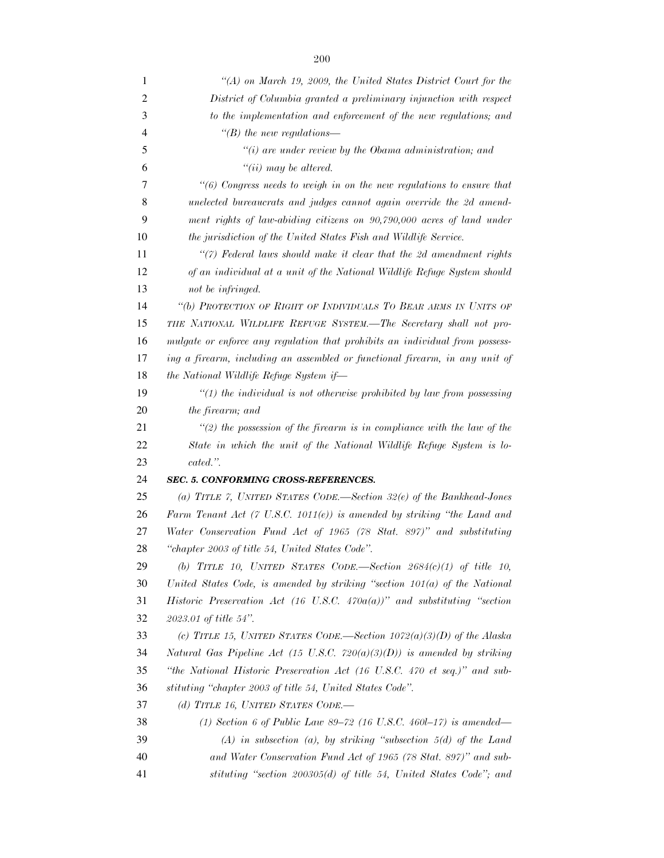| 1              | "(A) on March 19, 2009, the United States District Court for the                   |
|----------------|------------------------------------------------------------------------------------|
| $\overline{2}$ | District of Columbia granted a preliminary injunction with respect                 |
| 3              | to the implementation and enforcement of the new regulations; and                  |
| $\overline{4}$ | $\lq$ (B) the new regulations—                                                     |
| 5              | $\lq\lq(i)$ are under review by the Obama administration; and                      |
| 6              | $"(ii)$ may be altered.                                                            |
| 7              |                                                                                    |
| 8              | unelected bureaucrats and judges cannot again override the 2d amend-               |
| 9              | ment rights of law-abiding citizens on 90,790,000 acres of land under              |
| 10             | the jurisdiction of the United States Fish and Wildlife Service.                   |
| 11             | $\lq(7)$ Federal laws should make it clear that the 2d amendment rights            |
| 12             | of an individual at a unit of the National Wildlife Refuge System should           |
| 13             | not be infringed.                                                                  |
| 14             | "(b) PROTECTION OF RIGHT OF INDIVIDUALS TO BEAR ARMS IN UNITS OF                   |
| 15             | THE NATIONAL WILDLIFE REFUGE SYSTEM.—The Secretary shall not pro-                  |
| 16             | mulgate or enforce any regulation that prohibits an individual from possess-       |
| 17             | ing a firearm, including an assembled or functional firearm, in any unit of        |
| 18             | the National Wildlife Refuge System if-                                            |
| 19             | " $(1)$ the individual is not otherwise prohibited by law from possessing          |
| 20             | the firearm; and                                                                   |
| 21             | $\lq(2)$ the possession of the firearm is in compliance with the law of the        |
| 22             | State in which the unit of the National Wildlife Refuge System is lo-              |
| 23             | cated.".                                                                           |
| 24             | SEC. 5. CONFORMING CROSS-REFERENCES.                                               |
| 25             | (a) TITLE 7, UNITED STATES CODE.—Section $32(e)$ of the Bankhead-Jones             |
| 26             | Farm Tenant Act $(7 \text{ U.S.C. } 1011(e))$ is amended by striking "the Land and |
| 27             | Water Conservation Fund Act of 1965 (78 Stat. 897)" and substituting               |
| 28             | "chapter 2003 of title 54, United States Code".                                    |
| 29             | (b) TITLE 10, UNITED STATES CODE.—Section $2684(c)(1)$ of title 10,                |
| 30             | United States Code, is amended by striking "section $101(a)$ of the National       |
| 31             | Historic Preservation Act (16 U.S.C. $470a(a)$ )" and substituting "section        |
| 32             | 2023.01 of title 54".                                                              |
| 33             | (c) TITLE 15, UNITED STATES CODE.—Section $1072(a)(3)(D)$ of the Alaska            |
| 34             | Natural Gas Pipeline Act (15 U.S.C. 720(a)(3)(D)) is amended by striking           |
| 35             | "the National Historic Preservation Act (16 U.S.C. 470 et seq.)" and sub-          |
| 36             | stituting "chapter 2003 of title 54, United States Code".                          |
| 37             | (d) TITLE 16, UNITED STATES CODE.-                                                 |
| 38             | (1) Section 6 of Public Law 89-72 (16 U.S.C. 460l-17) is amended—                  |
| 39             | $(A)$ in subsection $(a)$ , by striking "subsection $5(d)$ of the Land             |
| 40             | and Water Conservation Fund Act of 1965 (78 Stat. 897)" and sub-                   |
| 41             | stituting "section 200305(d) of title 54, United States Code"; and                 |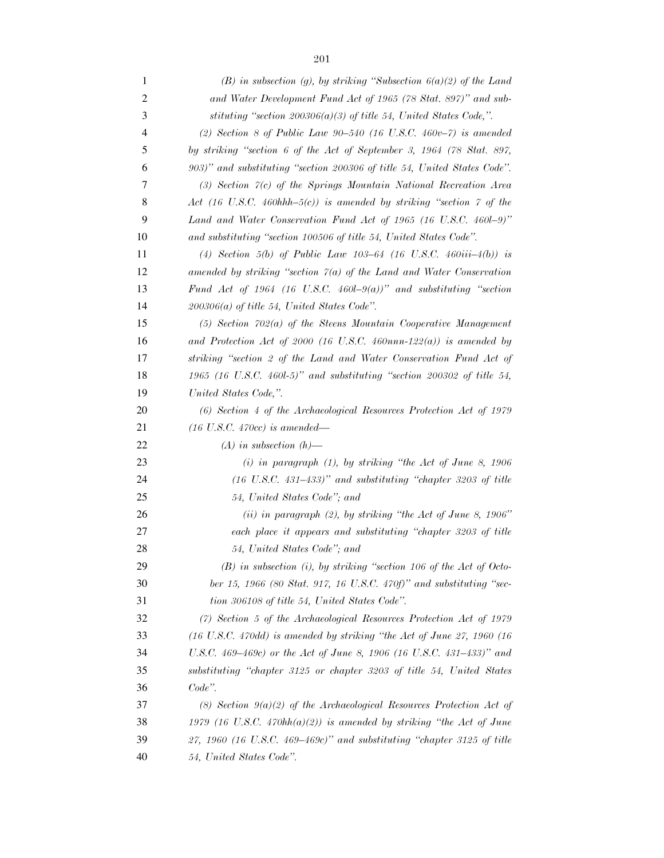| 1              | (B) in subsection (g), by striking "Subsection $6(a)(2)$ of the Land                      |
|----------------|-------------------------------------------------------------------------------------------|
| $\overline{2}$ | and Water Development Fund Act of 1965 (78 Stat. 897)" and sub-                           |
| 3              | stituting "section $200306(a)(3)$ of title 54, United States Code,".                      |
| 4              | (2) Section 8 of Public Law 90-540 (16 U.S.C. 460v-7) is amended                          |
| 5              | by striking "section 6 of the Act of September 3, 1964 (78 Stat. 897,                     |
| 6              | 903)" and substituting "section 200306 of title 54, United States Code".                  |
| 7              | $(3)$ Section $7(c)$ of the Springs Mountain National Recreation Area                     |
| 8              | Act (16 U.S.C. 460hhh-5(c)) is amended by striking "section 7 of the                      |
| 9              | Land and Water Conservation Fund Act of 1965 (16 U.S.C. 460l-9)"                          |
| 10             | and substituting "section 100506 of title 54, United States Code".                        |
| 11             | (4) Section 5(b) of Public Law $103-64$ (16 U.S.C. 460iii-4(b)) is                        |
| 12             | amended by striking "section $7(a)$ of the Land and Water Conservation                    |
| 13             | Fund Act of 1964 (16 U.S.C. 460l-9(a))" and substituting "section                         |
| 14             | $200306(a)$ of title 54, United States Code".                                             |
| 15             | $(5)$ Section 702 $(a)$ of the Steens Mountain Cooperative Management                     |
| 16             | and Protection Act of 2000 (16 U.S.C. 460nnn-122(a)) is amended by                        |
| 17             | striking "section 2 of the Land and Water Conservation Fund Act of                        |
| 18             | 1965 (16 U.S.C. 460l-5)" and substituting "section 200302 of title 54,                    |
| 19             | United States Code,".                                                                     |
| 20             | (6) Section 4 of the Archaeological Resources Protection Act of 1979                      |
| 21             | $(16 \text{ U.S.C. } 470 \text{cc})$ is amended—                                          |
| 22             | $(A)$ in subsection $(h)$ —                                                               |
| 23             | (i) in paragraph $(1)$ , by striking "the Act of June 8, 1906                             |
| 24             | $(16 \text{ U.S.C. } 431-433)'$ and substituting "chapter 3203 of title                   |
| 25             | 54, United States Code"; and                                                              |
| 26             | (ii) in paragraph (2), by striking "the Act of June 8, 1906"                              |
| 27             | each place it appears and substituting "chapter 3203 of title                             |
| 28             | 54, United States Code"; and                                                              |
| 29             | $(B)$ in subsection (i), by striking "section 106 of the Act of Octo-                     |
| 30             | ber 15, 1966 (80 Stat. 917, 16 U.S.C. 470f)" and substituting "sec-                       |
| 31             | tion 306108 of title 54, United States Code".                                             |
| 32             | (7) Section 5 of the Archaeological Resources Protection Act of 1979                      |
| 33             | $(16 \text{ U.S.C. } 470d\text{d})$ is amended by striking "the Act of June 27, 1960 (16) |
| 34             | U.S.C. 469-469c) or the Act of June 8, 1906 (16 U.S.C. 431-433)" and                      |
| 35             | substituting "chapter 3125 or chapter 3203 of title 54, United States                     |
| 36             | $Code$ .                                                                                  |
| 37             | (8) Section $9(a)(2)$ of the Archaeological Resources Protection Act of                   |
| 38             | 1979 (16 U.S.C. 470hh(a)(2)) is amended by striking "the Act of June                      |
| 39             | 27, 1960 (16 U.S.C. 469–469c)" and substituting "chapter 3125 of title                    |
| 40             | 54, United States Code".                                                                  |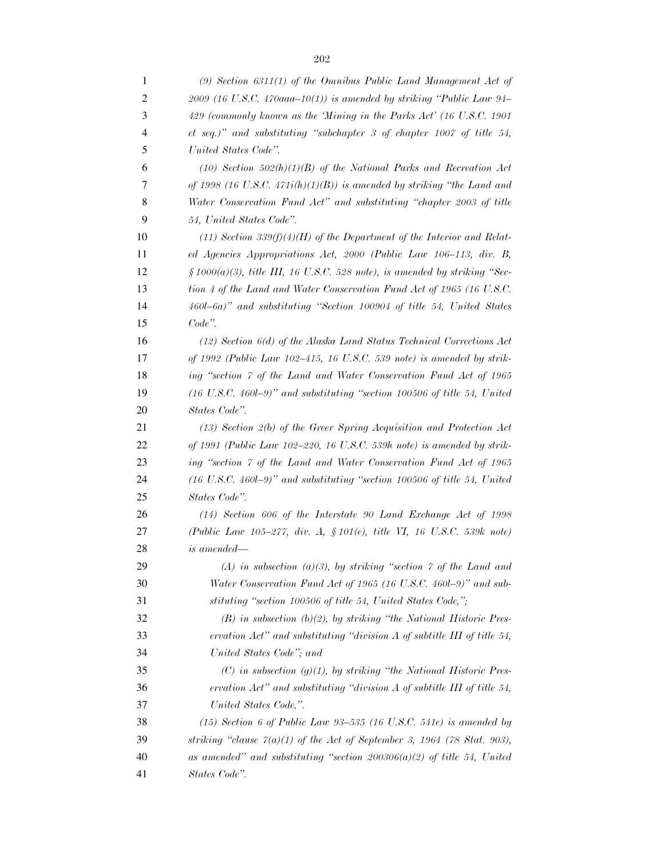| 1              | $(9)$ Section 6311(1) of the Omnibus Public Land Management Act of                   |
|----------------|--------------------------------------------------------------------------------------|
| $\overline{c}$ | $2009$ (16 U.S.C. 470aaa-10(1)) is amended by striking "Public Law 94-               |
| 3              | 429 (commonly known as the 'Mining in the Parks Act' (16 U.S.C. 1901)                |
| 4              | $et$ seq.)" and substituting "subchapter 3 of chapter 1007 of title 54,              |
| 5              | United States Code".                                                                 |
| 6              | $(10)$ Section 502(h) $(1)(B)$ of the National Parks and Recreation Act              |
| 7              | of 1998 (16 U.S.C. $471i(h)(1)(B)$ ) is amended by striking "the Land and            |
| 8              | Water Conservation Fund Act" and substituting "chapter 2003 of title                 |
| 9              | 54, United States Code".                                                             |
| 10             | $(11)$ Section 339(f)(4)(H) of the Department of the Interior and Relat-             |
| 11             | ed Agencies Appropriations Act, 2000 (Public Law 106-113, div. B,                    |
| 12             | $$1000(a)(3),$ title III, 16 U.S.C. 528 note), is amended by striking "Sec-          |
| 13             | tion 4 of the Land and Water Conservation Fund Act of 1965 (16 U.S.C.                |
| 14             | $460l-6a$ )" and substituting "Section 100904 of title 54, United States             |
| 15             | $Code$ .                                                                             |
| 16             | $(12)$ Section $6(d)$ of the Alaska Land Status Technical Corrections Act            |
| 17             | of 1992 (Public Law 102–415, 16 U.S.C. 539 note) is amended by strik-                |
| 18             | ing "section 7 of the Land and Water Conservation Fund Act of 1965                   |
| 19             | $(16 \text{ U.S.C. } 460l-9)$ " and substituting "section 100506 of title 54, United |
| 20             | States Code".                                                                        |
| 21             | $(13)$ Section 2(b) of the Greer Spring Acquisition and Protection Act               |
| 22             | of 1991 (Public Law 102-220, 16 U.S.C. 539h note) is amended by strik-               |
| 23             | ing "section 7 of the Land and Water Conservation Fund Act of 1965                   |
| 24             | $(16 \text{ U.S.C. } 460l-9)$ " and substituting "section 100506 of title 54, United |
| 25             | States Code".                                                                        |
| 26             | $(14)$ Section 606 of the Interstate 90 Land Exchange Act of 1998                    |
| 27             | (Public Law 105-277, div. A, $$101(e)$ , title VI, 16 U.S.C. 539k note)              |
| 28             | is amended—                                                                          |
| 29             | $(A)$ in subsection $(a)(3)$ , by striking "section 7 of the Land and                |
| 30             | Water Conservation Fund Act of 1965 (16 U.S.C. 460l–9)" and sub-                     |
| 31             | stituting "section 100506 of title 54, United States Code,";                         |
| 32             | $(B)$ in subsection $(b)(2)$ , by striking "the National Historic Pres-              |
| 33             | ervation $Act''$ and substituting "division $\tilde{A}$ of subtitle III of title 54, |
| 34             | United States Code"; and                                                             |
| 35             | $(C)$ in subsection $(g)(1)$ , by striking "the National Historic Pres-              |
| 36             | ervation $Act''$ and substituting "division $\tilde{A}$ of subtitle III of title 54, |
| 37             | United States Code,".                                                                |
| 38             | $(15)$ Section 6 of Public Law 93–535 (16 U.S.C. 541e) is amended by                 |
| 39             | striking "clause $7(a)(1)$ of the Act of September 3, 1964 (78 Stat. 903),           |
| 40             | as amended" and substituting "section $200306(a)(2)$ of title 54, United             |
| 41             | States Code".                                                                        |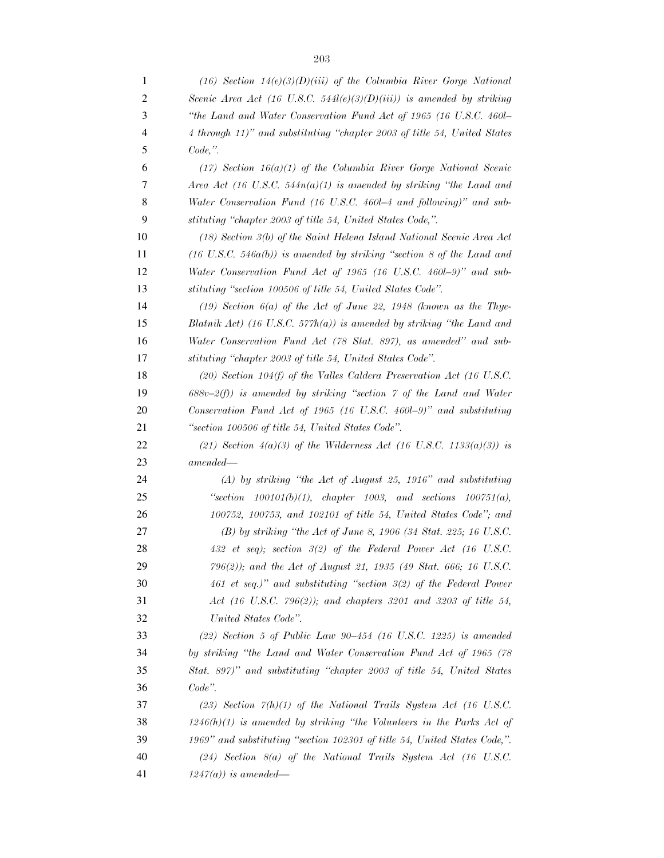| 1              | (16) Section $14(e)(3)(D)(iii)$ of the Columbia River Gorge National             |
|----------------|----------------------------------------------------------------------------------|
| $\overline{c}$ | Scenic Area Act (16 U.S.C. 544l(e)(3)(D)(iii)) is amended by striking            |
| 3              | "the Land and Water Conservation Fund Act of 1965 (16 U.S.C. 460l-               |
| 4              | 4 through 11)" and substituting "chapter 2003 of title 54, United States         |
| 5              | $Code,$ ".                                                                       |
| 6              | $(17)$ Section $16(a)(1)$ of the Columbia River Gorge National Scenic            |
| 7              | Area Act (16 U.S.C. 544 $n(a)(1)$ is amended by striking "the Land and           |
| 8              | Water Conservation Fund (16 U.S.C. 460l-4 and following)" and sub-               |
| 9              | stituting "chapter 2003 of title 54, United States Code,".                       |
| 10             | $(18)$ Section $3(b)$ of the Saint Helena Island National Scenic Area Act        |
| 11             | $(16 \text{ U.S.C. } 546a(b))$ is amended by striking "section 8 of the Land and |
| 12             | Water Conservation Fund Act of 1965 (16 U.S.C. 460l-9)" and sub-                 |
| 13             | stituting "section 100506 of title 54, United States Code".                      |
| 14             | $(19)$ Section 6(a) of the Act of June 22, 1948 (known as the Thye-              |
| 15             | Blatnik Act) (16 U.S.C. 577h(a)) is amended by striking "the Land and            |
| 16             | Water Conservation Fund Act (78 Stat. 897), as amended" and sub-                 |
| 17             | stituting "chapter 2003 of title 54, United States Code".                        |
| 18             | $(20)$ Section 104(f) of the Valles Caldera Preservation Act (16 U.S.C.          |
| 19             | $688v-2(f)$ ) is amended by striking "section 7 of the Land and Water            |
| 20             | Conservation Fund Act of 1965 (16 U.S.C. 460l-9)" and substituting               |
| 21             | "section 100506 of title 54, United States Code".                                |
| 22             | (21) Section $4(a)(3)$ of the Wilderness Act (16 U.S.C. 1133(a)(3)) is           |
| 23             | $\hspace{.1cm} amended \hspace{.1cm}-\hspace{.1cm}$                              |
| 24             | $(A)$ by striking "the Act of August 25, 1916" and substituting                  |
| 25             | "section $100101(b)(1)$ , chapter 1003, and sections $100751(a)$ ,               |
| 26             | 100752, 100753, and 102101 of title 54, United States Code"; and                 |
| 27             | $(B)$ by striking "the Act of June 8, 1906 (34 Stat. 225; 16 U.S.C.              |
| 28             | 432 et seq); section $3(2)$ of the Federal Power Act (16 U.S.C.                  |
| 29             | $796(2)$ ); and the Act of August 21, 1935 (49 Stat. 666; 16 U.S.C.              |
| 30             | 461 et seq.)" and substituting "section 3(2) of the Federal Power                |
| 31             | Act (16 U.S.C. 796(2)); and chapters 3201 and 3203 of title 54,                  |
| 32             | United States Code".                                                             |
| 33             | $(22)$ Section 5 of Public Law 90–454 (16 U.S.C. 1225) is amended                |
| 34             | by striking "the Land and Water Conservation Fund Act of 1965 (78                |
| 35             | Stat. 897)" and substituting "chapter 2003 of title 54, United States            |
| 36             | $Code$ ".                                                                        |
| 37             | $(23)$ Section $7(h)(1)$ of the National Trails System Act (16 U.S.C.            |
| 38             | $1246(h)(1)$ is amended by striking "the Volunteers in the Parks Act of          |
| 39             | 1969" and substituting "section 102301 of title 54, United States Code,".        |
| 40             | $(24)$ Section $8(a)$ of the National Trails System Act (16 U.S.C.               |
| 41             | $1247(a)$ ) is amended—                                                          |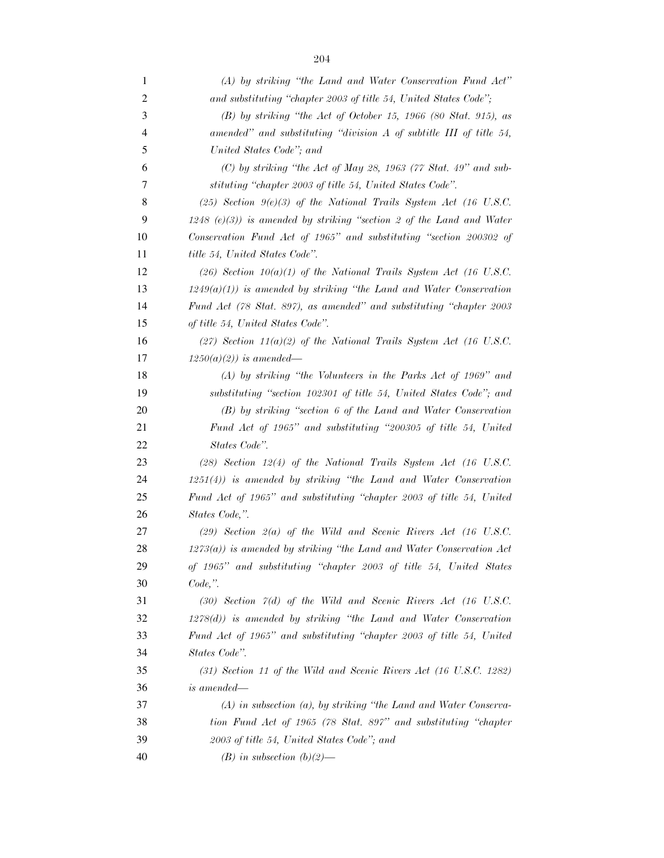| 1  | $(A)$ by striking "the Land and Water Conservation Fund Act"            |
|----|-------------------------------------------------------------------------|
| 2  | and substituting "chapter 2003 of title 54, United States Code";        |
| 3  | $(B)$ by striking "the Act of October 15, 1966 (80 Stat. 915), as       |
| 4  | amended" and substituting "division A of subtitle III of title 54,      |
| 5  | United States Code"; and                                                |
| 6  | $(C)$ by striking "the Act of May 28, 1963 (77 Stat. 49" and sub-       |
| 7  | stituting "chapter 2003 of title 54, United States Code".               |
| 8  | $(25)$ Section $9(e)(3)$ of the National Trails System Act (16 U.S.C.   |
| 9  | 1248 $(e)(3)$ ) is amended by striking "section 2 of the Land and Water |
| 10 | Conservation Fund Act of 1965" and substituting "section 200302 of      |
| 11 | title 54, United States Code".                                          |
| 12 | $(26)$ Section $10(a)(1)$ of the National Trails System Act (16 U.S.C.  |
| 13 | $1249(a)(1)$ is amended by striking "the Land and Water Conservation"   |
| 14 | Fund Act (78 Stat. 897), as amended" and substituting "chapter 2003     |
| 15 | of title 54, United States Code".                                       |
| 16 | $(27)$ Section 11(a)(2) of the National Trails System Act (16 U.S.C.    |
| 17 | $1250(a)(2)$ ) is amended—                                              |
| 18 | $(A)$ by striking "the Volunteers in the Parks Act of 1969" and         |
| 19 | substituting "section 102301 of title 54, United States Code"; and      |
| 20 | (B) by striking "section 6 of the Land and Water Conservation           |
| 21 | Fund Act of 1965" and substituting "200305 of title 54, United          |
| 22 | States Code".                                                           |
| 23 | $(28)$ Section 12(4) of the National Trails System Act (16 U.S.C.       |
| 24 | 1251(4)) is amended by striking "the Land and Water Conservation        |
| 25 | Fund Act of 1965" and substituting "chapter 2003 of title 54, United    |
| 26 | States Code,".                                                          |
| 27 | $(29)$ Section $2(a)$ of the Wild and Scenic Rivers Act (16 U.S.C.      |
| 28 | $1273(a)$ ) is amended by striking "the Land and Water Conservation Act |
| 29 | of 1965" and substituting "chapter 2003 of title 54, United States      |
| 30 | $Code,$ ".                                                              |
| 31 | $(30)$ Section $7(d)$ of the Wild and Scenic Rivers Act (16 U.S.C.      |
| 32 | $1278(d)$ ) is amended by striking "the Land and Water Conservation     |
| 33 | Fund Act of 1965" and substituting "chapter 2003 of title 54, United    |
| 34 | States Code".                                                           |
| 35 | $(31)$ Section 11 of the Wild and Scenic Rivers Act (16 U.S.C. 1282)    |
| 36 | <i>is amended—</i>                                                      |
| 37 | $(A)$ in subsection $(a)$ , by striking "the Land and Water Conserva-   |
| 38 | tion Fund Act of 1965 (78 Stat. 897" and substituting "chapter          |
| 39 | 2003 of title 54, United States Code"; and                              |
| 40 | $(B)$ in subsection $(b)(2)$ —                                          |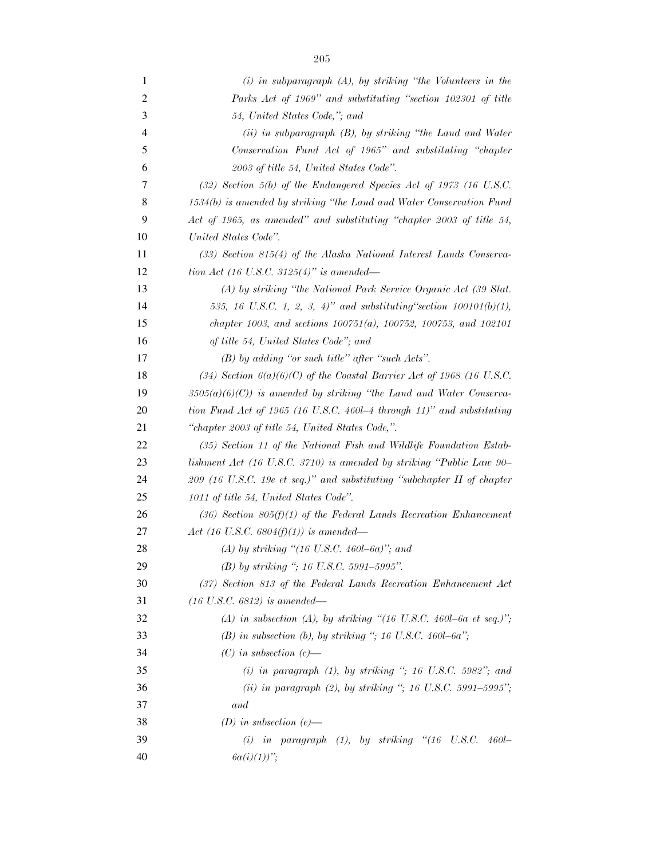| 1              | $(i)$ in subparagraph $(A)$ , by striking "the Volunteers in the        |
|----------------|-------------------------------------------------------------------------|
| $\overline{2}$ | Parks Act of 1969" and substituting "section 102301 of title            |
| 3              | 54, United States Code,"; and                                           |
| $\overline{4}$ | $(ii)$ in subparagraph $(B)$ , by striking "the Land and Water"         |
| 5              | Conservation Fund Act of 1965" and substituting "chapter                |
| 6              | 2003 of title 54, United States Code".                                  |
| 7              | $(32)$ Section 5(b) of the Endangered Species Act of 1973 (16 U.S.C.    |
| 8              | 1534(b) is amended by striking "the Land and Water Conservation Fund    |
| 9              | Act of 1965, as amended" and substituting "chapter 2003 of title 54,    |
| 10             | United States Code".                                                    |
| 11             | $(33)$ Section 815(4) of the Alaska National Interest Lands Conserva-   |
| 12             | tion Act (16 U.S.C. 3125(4)" is amended—                                |
| 13             | (A) by striking "the National Park Service Organic Act (39 Stat.        |
| 14             | 535, 16 U.S.C. 1, 2, 3, 4)" and substituting section $100101(b)(1)$ ,   |
| 15             | chapter 1003, and sections 100751(a), 100752, 100753, and 102101        |
| 16             | of title 54, United States Code"; and                                   |
| 17             | $(B)$ by adding "or such title" after "such Acts".                      |
| 18             | (34) Section $6(a)(6)(C)$ of the Coastal Barrier Act of 1968 (16 U.S.C. |
| 19             | $3505(a)(6)(C)$ is amended by striking "the Land and Water Conserva-    |
| 20             | tion Fund Act of 1965 (16 U.S.C. 460l-4 through 11)" and substituting   |
| 21             | "chapter 2003 of title 54, United States Code,".                        |
| 22             | (35) Section 11 of the National Fish and Wildlife Foundation Estab-     |
| 23             | lishment Act (16 U.S.C. 3710) is amended by striking "Public Law 90-    |
| 24             | 209 (16 U.S.C. 19e et seq.)" and substituting "subchapter II of chapter |
| 25             | 1011 of title 54, United States Code".                                  |
| 26             | $(36)$ Section $805(f)(1)$ of the Federal Lands Recreation Enhancement  |
| 27             | Act (16 U.S.C. 6804(f)(1)) is amended—                                  |
| 28             | (A) by striking "(16 U.S.C. 460l–6a)"; and                              |
| 29             | (B) by striking "; 16 U.S.C. 5991-5995".                                |
| 30             | (37) Section 813 of the Federal Lands Recreation Enhancement Act        |
| 31             | $(16 \text{ U.S.C. } 6812)$ is amended—                                 |
| 32             | (A) in subsection (A), by striking "(16 U.S.C. 460l–6a et seq.)";       |
| 33             | $(B)$ in subsection (b), by striking "; 16 U.S.C. 460l-6a";             |
| 34             | $(C)$ in subsection $(c)$ —                                             |
| 35             | (i) in paragraph $(1)$ , by striking "; 16 U.S.C. 5982"; and            |
| 36             | (ii) in paragraph (2), by striking "; 16 U.S.C. 5991-5995";             |
| 37             | and                                                                     |
| 38             | (D) in subsection $(e)$ —                                               |
| 39             | (i) in paragraph $(1)$ , by striking " $(16 \text{ U.S.C.})$<br>$460 -$ |
| 40             | $6a(i)(1))$ ";                                                          |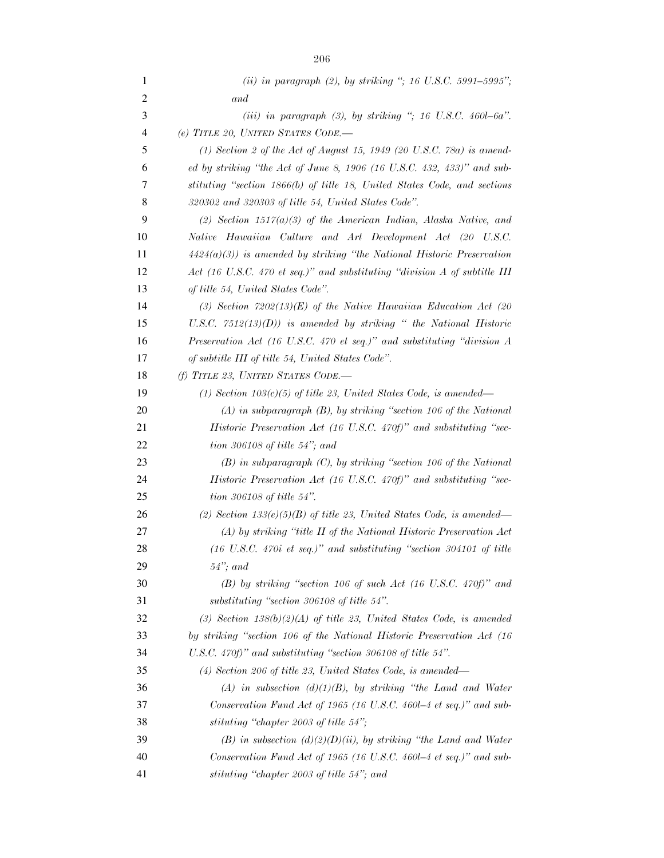*(ii) in paragraph (2), by striking ''; 16 U.S.C. 5991–5995''; and (iii) in paragraph (3), by striking ''; 16 U.S.C. 460l–6a''. (e) TITLE 20, UNITED STATES CODE.— (1) Section 2 of the Act of August 15, 1949 (20 U.S.C. 78a) is amend- ed by striking ''the Act of June 8, 1906 (16 U.S.C. 432, 433)'' and sub- stituting ''section 1866(b) of title 18, United States Code, and sections 320302 and 320303 of title 54, United States Code''. (2) Section 1517(a)(3) of the American Indian, Alaska Native, and Native Hawaiian Culture and Art Development Act (20 U.S.C. 4424(a)(3)) is amended by striking ''the National Historic Preservation Act (16 U.S.C. 470 et seq.)'' and substituting ''division A of subtitle III of title 54, United States Code''. (3) Section 7202(13)(E) of the Native Hawaiian Education Act (20 U.S.C. 7512(13)(D)) is amended by striking '' the National Historic Preservation Act (16 U.S.C. 470 et seq.)'' and substituting ''division A of subtitle III of title 54, United States Code''. (f) TITLE 23, UNITED STATES CODE.— (1) Section 103(c)(5) of title 23, United States Code, is amended— (A) in subparagraph (B), by striking ''section 106 of the National Historic Preservation Act (16 U.S.C. 470f)'' and substituting ''sec- tion 306108 of title 54''; and (B) in subparagraph (C), by striking ''section 106 of the National Historic Preservation Act (16 U.S.C. 470f)'' and substituting ''sec- tion 306108 of title 54''. (2) Section 133(e)(5)(B) of title 23, United States Code, is amended— (A) by striking ''title II of the National Historic Preservation Act (16 U.S.C. 470i et seq.)'' and substituting ''section 304101 of title 54''; and (B) by striking ''section 106 of such Act (16 U.S.C. 470f)'' and substituting ''section 306108 of title 54''. (3) Section 138(b)(2)(A) of title 23, United States Code, is amended by striking ''section 106 of the National Historic Preservation Act (16 U.S.C. 470f)'' and substituting ''section 306108 of title 54''. (4) Section 206 of title 23, United States Code, is amended— (A) in subsection (d)(1)(B), by striking ''the Land and Water Conservation Fund Act of 1965 (16 U.S.C. 460l–4 et seq.)'' and sub- stituting ''chapter 2003 of title 54''; (B) in subsection (d)(2)(D)(ii), by striking ''the Land and Water Conservation Fund Act of 1965 (16 U.S.C. 460l–4 et seq.)'' and sub-stituting ''chapter 2003 of title 54''; and*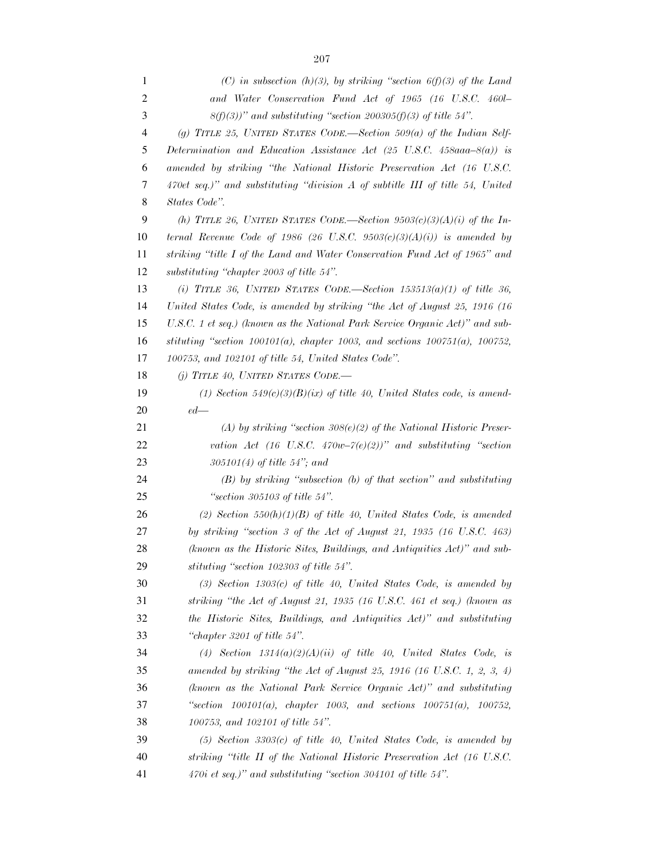*(C) in subsection (h)(3), by striking ''section 6(f)(3) of the Land and Water Conservation Fund Act of 1965 (16 U.S.C. 460l– 8(f)(3))'' and substituting ''section 200305(f)(3) of title 54''. (g) TITLE 25, UNITED STATES CODE.—Section 509(a) of the Indian Self- Determination and Education Assistance Act (25 U.S.C. 458aaa–8(a)) is amended by striking ''the National Historic Preservation Act (16 U.S.C. 470et seq.)'' and substituting ''division A of subtitle III of title 54, United States Code''. (h) TITLE 26, UNITED STATES CODE.—Section 9503(c)(3)(A)(i) of the In- ternal Revenue Code of 1986 (26 U.S.C. 9503(c)(3)(A)(i)) is amended by striking ''title I of the Land and Water Conservation Fund Act of 1965'' and substituting ''chapter 2003 of title 54''. (i) TITLE 36, UNITED STATES CODE.—Section 153513(a)(1) of title 36, United States Code, is amended by striking ''the Act of August 25, 1916 (16 U.S.C. 1 et seq.) (known as the National Park Service Organic Act)'' and sub- stituting ''section 100101(a), chapter 1003, and sections 100751(a), 100752, 100753, and 102101 of title 54, United States Code''. (j) TITLE 40, UNITED STATES CODE.— (1) Section 549(c)(3)(B)(ix) of title 40, United States code, is amend- ed— (A) by striking ''section 308(e)(2) of the National Historic Preser- vation Act (16 U.S.C. 470w–7(e)(2))'' and substituting ''section 305101(4) of title 54''; and (B) by striking ''subsection (b) of that section'' and substituting ''section 305103 of title 54''. (2) Section 550(h)(1)(B) of title 40, United States Code, is amended by striking ''section 3 of the Act of August 21, 1935 (16 U.S.C. 463) (known as the Historic Sites, Buildings, and Antiquities Act)'' and sub- stituting ''section 102303 of title 54''. (3) Section 1303(c) of title 40, United States Code, is amended by striking ''the Act of August 21, 1935 (16 U.S.C. 461 et seq.) (known as the Historic Sites, Buildings, and Antiquities Act)'' and substituting ''chapter 3201 of title 54''. (4) Section 1314(a)(2)(A)(ii) of title 40, United States Code, is amended by striking ''the Act of August 25, 1916 (16 U.S.C. 1, 2, 3, 4) (known as the National Park Service Organic Act)'' and substituting ''section 100101(a), chapter 1003, and sections 100751(a), 100752, 100753, and 102101 of title 54''. (5) Section 3303(c) of title 40, United States Code, is amended by striking ''title II of the National Historic Preservation Act (16 U.S.C. 470i et seq.)'' and substituting ''section 304101 of title 54''.*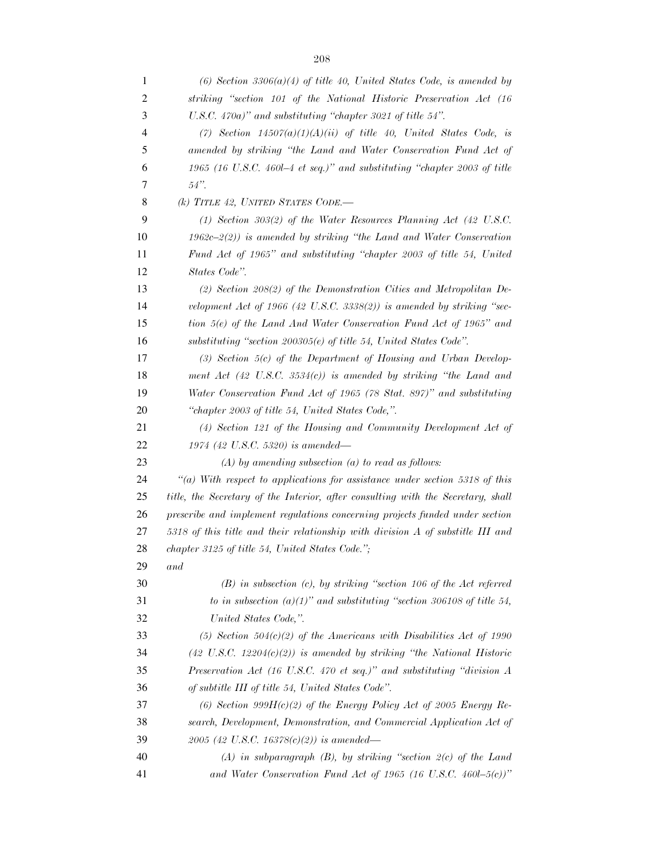| $\mathbf{1}$ | $(6)$ Section 3306(a)(4) of title 40, United States Code, is amended by          |
|--------------|----------------------------------------------------------------------------------|
| 2            | striking "section 101 of the National Historic Preservation Act (16              |
| 3            | U.S.C. $470a$ )" and substituting "chapter 3021 of title 54".                    |
| 4            | (7) Section $14507(a)(1)(A)(ii)$ of title 40, United States Code, is             |
| 5            | amended by striking "the Land and Water Conservation Fund Act of                 |
| 6            | 1965 (16 U.S.C. 460l-4 et seq.)" and substituting "chapter 2003 of title         |
| 7            | $54$ "                                                                           |
| 8            | $(k)$ TITLE 42, UNITED STATES CODE.-                                             |
| 9            | $(1)$ Section 303(2) of the Water Resources Planning Act (42 U.S.C.              |
| 10           | $1962c-2(2)$ ) is amended by striking "the Land and Water Conservation           |
| 11           | Fund Act of 1965" and substituting "chapter 2003 of title 54, United             |
| 12           | States Code".                                                                    |
| 13           | $(2)$ Section 208(2) of the Demonstration Cities and Metropolitan De-            |
| 14           | velopment Act of 1966 (42 U.S.C. 3338(2)) is amended by striking "sec-           |
| 15           | tion 5(e) of the Land And Water Conservation Fund Act of 1965" and               |
| 16           | substituting "section $200305(e)$ of title 54, United States Code".              |
| 17           | $(3)$ Section $5(c)$ of the Department of Housing and Urban Develop-             |
| 18           | ment Act $(42 \text{ U.S.C. } 3534(c))$ is amended by striking "the Land and     |
| 19           | Water Conservation Fund Act of 1965 (78 Stat. 897)" and substituting             |
| 20           | "chapter 2003 of title 54, United States Code,".                                 |
| 21           | (4) Section 121 of the Housing and Community Development Act of                  |
| 22           | 1974 (42 U.S.C. 5320) is amended—                                                |
| 23           | $(A)$ by amending subsection $(a)$ to read as follows:                           |
| 24           | "(a) With respect to applications for assistance under section $5318$ of this    |
| 25           | title, the Secretary of the Interior, after consulting with the Secretary, shall |
| 26           | prescribe and implement regulations concerning projects funded under section     |
| 27           | 5318 of this title and their relationship with division A of substitle III and   |
| 28           | chapter 3125 of title 54, United States Code.";                                  |
| 29           | and                                                                              |
| 30           | $(B)$ in subsection $(c)$ , by striking "section 106 of the Act referred         |
| 31           | to in subsection $(a)(1)$ " and substituting "section 306108 of title 54,        |
| 32           | United States Code,".                                                            |
| 33           | (5) Section $504(c)(2)$ of the Americans with Disabilities Act of 1990           |
| 34           | $(42 \text{ U.S.C. } 12204(c)(2))$ is amended by striking "the National Historic |
| 35           | Preservation Act (16 U.S.C. 470 et seq.)" and substituting "division $A$         |
| 36           | of subtitle III of title 54, United States Code".                                |
| 37           | (6) Section 999 $H(c)(2)$ of the Energy Policy Act of 2005 Energy Re-            |
| 38           | search, Development, Demonstration, and Commercial Application Act of            |
| 39           | 2005 (42 U.S.C. 16378(c)(2)) is amended—                                         |
| 40           | $(A)$ in subparagraph $(B)$ , by striking "section $2(c)$ of the Land            |
| 41           | and Water Conservation Fund Act of 1965 (16 U.S.C. 460l-5(c))"                   |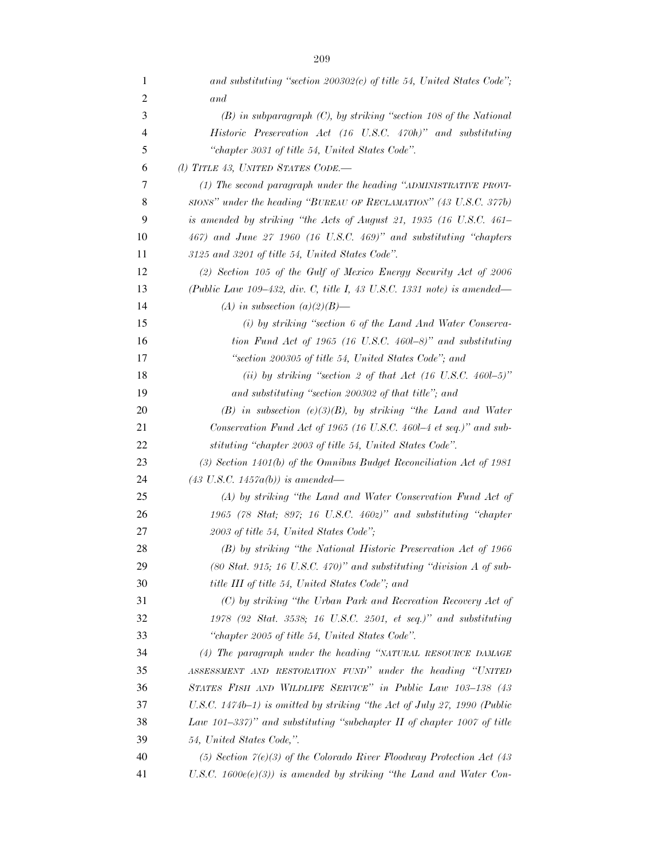| 1              | and substituting "section $200302(c)$ of title 54, United States Code";                  |
|----------------|------------------------------------------------------------------------------------------|
| $\overline{c}$ | and                                                                                      |
| 3              | $(B)$ in subparagraph $(C)$ , by striking "section 108 of the National                   |
| 4              | Historic Preservation Act (16 U.S.C. 470h)" and substituting                             |
| 5              | "chapter 3031 of title 54, United States Code".                                          |
| 6              | (1) TITLE 43, UNITED STATES CODE.-                                                       |
| 7              | (1) The second paragraph under the heading "ADMINISTRATIVE PROVI-                        |
| 8              | SIONS" under the heading "BUREAU OF RECLAMATION" (43 U.S.C. 377b)                        |
| 9              | is amended by striking "the Acts of August 21, 1935 (16 U.S.C. $461-$                    |
| 10             | $467)$ and June 27 1960 (16 U.S.C. 469)" and substituting "chapters"                     |
| 11             | 3125 and 3201 of title 54, United States Code".                                          |
| 12             | $(2)$ Section 105 of the Gulf of Mexico Energy Security Act of 2006                      |
| 13             | (Public Law 109–432, div. C, title I, 43 U.S.C. 1331 note) is amended—                   |
| 14             | (A) in subsection $(a)(2)(B)$ —                                                          |
| 15             | (i) by striking "section 6 of the Land And Water Conserva-                               |
| 16             | tion Fund Act of 1965 (16 U.S.C. 460l–8)" and substituting                               |
| 17             | "section 200305 of title 54, United States Code"; and                                    |
| 18             | (ii) by striking "section 2 of that Act (16 U.S.C. 460l-5)"                              |
| 19             | and substituting "section 200302 of that title"; and                                     |
| 20             | $(B)$ in subsection $(e)(3)(B)$ , by striking "the Land and Water"                       |
| 21             | Conservation Fund Act of 1965 (16 U.S.C. 460l-4 et seq.)" and sub-                       |
| 22             | stituting "chapter 2003 of title 54, United States Code".                                |
| 23             | $(3)$ Section 1401 $(b)$ of the Omnibus Budget Reconciliation Act of 1981                |
| 24             | $(43 \text{ U.S.C. } 1457a(b))$ is amended—                                              |
| 25             | (A) by striking "the Land and Water Conservation Fund Act of                             |
| 26             | 1965 (78 Stat; 897; 16 U.S.C. 460z)" and substituting "chapter                           |
| 27             | 2003 of title 54, United States Code";                                                   |
| 28             | (B) by striking "the National Historic Preservation Act of 1966                          |
| 29             | $(80 \text{ Stat. } 915; 16 \text{ U.S.C. } 470)$ " and substituting "division A of sub- |
| 30             | title III of title 54, United States Code"; and                                          |
| 31             | (C) by striking "the Urban Park and Recreation Recovery Act of                           |
| 32             | 1978 (92 Stat. 3538; 16 U.S.C. 2501, et seq.)" and substituting                          |
| 33             | "chapter 2005 of title 54, United States Code".                                          |
| 34             | (4) The paragraph under the heading "NATURAL RESOURCE DAMAGE                             |
| 35             | ASSESSMENT AND RESTORATION FUND" under the heading "UNITED                               |
| 36             | STATES FISH AND WILDLIFE SERVICE" in Public Law 103-138 (43                              |
| 37             | U.S.C. 1474b-1) is omitted by striking "the Act of July 27, 1990 (Public                 |
| 38             | Law 101–337)" and substituting "subchapter $II$ of chapter 1007 of title                 |
| 39             | 54, United States Code,".                                                                |
| 40             | (5) Section $\gamma(e)(3)$ of the Colorado River Floodway Protection Act (43)            |
| 41             | U.S.C. $1600e(e)(3)$ ) is amended by striking "the Land and Water Con-                   |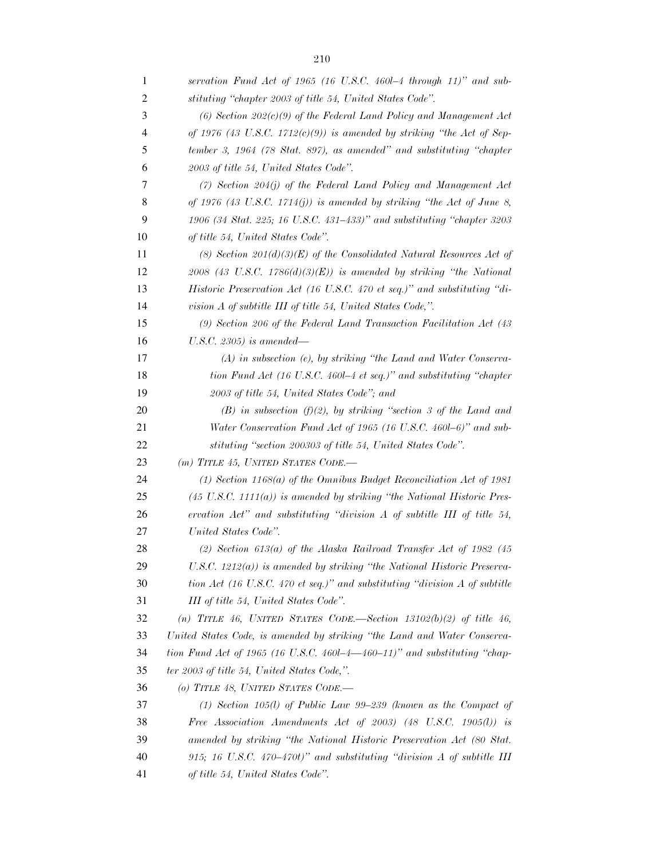| 1  | servation Fund Act of 1965 (16 U.S.C. 460l-4 through $11$ )" and sub-              |
|----|------------------------------------------------------------------------------------|
| 2  | stituting "chapter 2003 of title 54, United States Code".                          |
| 3  | $(6)$ Section 202 $(c)(9)$ of the Federal Land Policy and Management Act           |
| 4  | of 1976 (43 U.S.C. 1712 $(c)(9)$ ) is amended by striking "the Act of Sep-         |
| 5  | tember 3, 1964 (78 Stat. 897), as amended" and substituting "chapter               |
| 6  | 2003 of title 54, United States Code".                                             |
| 7  | $(7)$ Section 204(j) of the Federal Land Policy and Management Act                 |
| 8  | of 1976 (43 U.S.C. 1714(j)) is amended by striking "the Act of June 8,             |
| 9  | 1906 (34 Stat. 225; 16 U.S.C. 431–433)" and substituting "chapter 3203             |
| 10 | of title 54, United States Code".                                                  |
| 11 | (8) Section $201(d)(3)(E)$ of the Consolidated Natural Resources Act of            |
| 12 | 2008 (43 U.S.C. 1786(d)(3)(E)) is amended by striking "the National                |
| 13 | Historic Preservation Act (16 U.S.C. 470 et seq.)" and substituting "di-           |
| 14 | vision A of subtitle III of title 54, United States Code,".                        |
| 15 | $(9)$ Section 206 of the Federal Land Transaction Facilitation Act $(43)$          |
| 16 | $U.S.C. 2305$ ) is amended—                                                        |
| 17 | $(A)$ in subsection (e), by striking "the Land and Water Conserva-                 |
| 18 | tion Fund Act (16 U.S.C. 460l-4 et seq.)" and substituting "chapter                |
| 19 | 2003 of title 54, United States Code"; and                                         |
| 20 | $(B)$ in subsection $(f)(2)$ , by striking "section 3 of the Land and              |
| 21 | Water Conservation Fund Act of 1965 (16 U.S.C. 460l–6)" and sub-                   |
| 22 | stituting "section 200303 of title 54, United States Code".                        |
| 23 | (m) TITLE 45, UNITED STATES CODE.-                                                 |
| 24 | (1) Section 1168(a) of the Omnibus Budget Reconciliation Act of 1981               |
| 25 | $(45 \text{ U.S.C. } 1111(a))$ is amended by striking "the National Historic Pres- |
| 26 | ervation Act" and substituting "division A of subtitle III of title 54,            |
| 27 | United States Code".                                                               |
| 28 | (2) Section 613(a) of the Alaska Railroad Transfer Act of 1982 (45                 |
| 29 | $U.S.C.$ 1212(a)) is amended by striking "the National Historic Preserva-          |
| 30 | tion Act (16 U.S.C. 470 et seq.)" and substituting "division A of subtitle         |
| 31 | III of title 54, United States Code".                                              |
| 32 | (n) TITLE 46, UNITED STATES CODE.—Section $13102(b)(2)$ of title 46,               |
| 33 | United States Code, is amended by striking "the Land and Water Conserva-           |
| 34 | tion Fund Act of 1965 (16 U.S.C. 460l-4-460-11)" and substituting "chap-           |
| 35 | ter 2003 of title 54, United States Code,".                                        |
| 36 | (o) TITLE 48, UNITED STATES CODE.-                                                 |
| 37 | $(1)$ Section 105(l) of Public Law 99-239 (known as the Compact of                 |
| 38 | Free Association Amendments Act of 2003) (48 U.S.C. 1905(l)) is                    |
| 39 | amended by striking "the National Historic Preservation Act (80 Stat.              |
| 40 | 915; 16 U.S.C. 470–470t)" and substituting "division $A$ of subtitle III           |
| 41 | of title 54, United States Code".                                                  |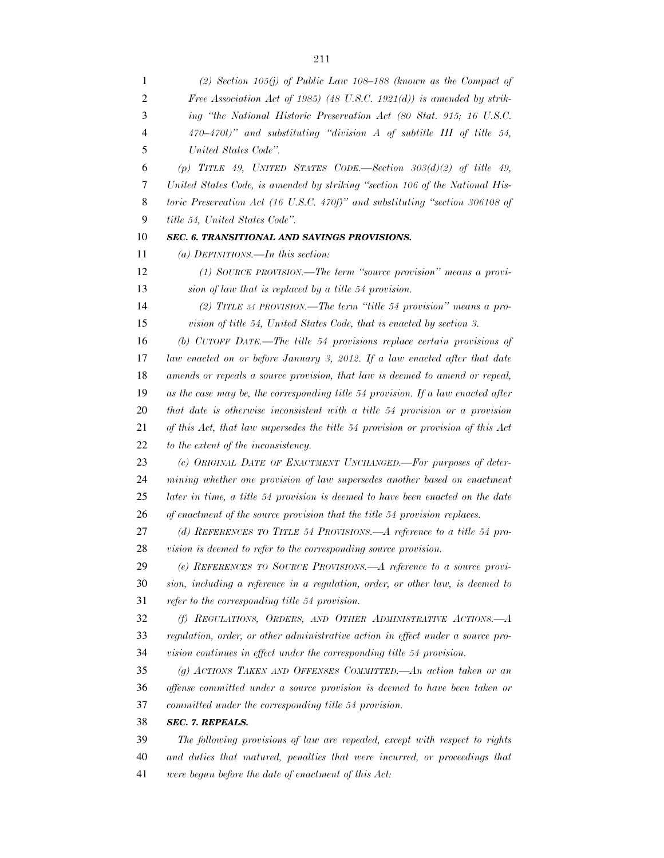| 1              | (2) Section 105(j) of Public Law 108-188 (known as the Compact of                  |  |  |  |
|----------------|------------------------------------------------------------------------------------|--|--|--|
| $\overline{c}$ | Free Association Act of 1985) (48 U.S.C. 1921(d)) is amended by strik-             |  |  |  |
| 3              | ing "the National Historic Preservation Act (80 Stat. 915; 16 U.S.C.               |  |  |  |
| 4              | $470-470t$ " and substituting "division A of subtitle III of title 54,             |  |  |  |
| 5              | United States Code".                                                               |  |  |  |
| 6              | (p) TITLE 49, UNITED STATES CODE.—Section $303(d)(2)$ of title 49,                 |  |  |  |
| 7              | United States Code, is amended by striking "section 106 of the National His-       |  |  |  |
| 8              | toric Preservation Act (16 U.S.C. 470f)" and substituting "section 306108 of       |  |  |  |
| 9              | title 54, United States Code".                                                     |  |  |  |
| 10             | SEC. 6. TRANSITIONAL AND SAVINGS PROVISIONS.                                       |  |  |  |
| 11             | (a) DEFINITIONS.—In this section:                                                  |  |  |  |
| 12             | (1) SOURCE PROVISION.—The term "source provision" means a provi-                   |  |  |  |
| 13             | sion of law that is replaced by a title 54 provision.                              |  |  |  |
| 14             | (2) TITLE 54 PROVISION.—The term "title 54 provision" means a pro-                 |  |  |  |
| 15             | vision of title 54, United States Code, that is enacted by section 3.              |  |  |  |
| 16             | (b) CUTOFF DATE.—The title 54 provisions replace certain provisions of             |  |  |  |
| 17             | law enacted on or before January 3, 2012. If a law enacted after that date         |  |  |  |
| 18             | amends or repeals a source provision, that law is deemed to amend or repeal,       |  |  |  |
| 19             | as the case may be, the corresponding title $54$ provision. If a law enacted after |  |  |  |
| 20             | that date is otherwise inconsistent with a title 54 provision or a provision       |  |  |  |
| 21             | of this Act, that law supersedes the title 54 provision or provision of this Act   |  |  |  |
| 22             | to the extent of the inconsistency.                                                |  |  |  |
| 23             | (c) ORIGINAL DATE OF ENACTMENT UNCHANGED.-For purposes of deter-                   |  |  |  |
| 24             | mining whether one provision of law supersedes another based on enactment          |  |  |  |
| 25             | later in time, a title 54 provision is deemed to have been enacted on the date     |  |  |  |
| 26             | of enactment of the source provision that the title 54 provision replaces.         |  |  |  |
| 27             | (d) REFERENCES TO TITLE 54 PROVISIONS.—A reference to a title 54 pro-              |  |  |  |
| 28             | vision is deemed to refer to the corresponding source provision.                   |  |  |  |
| 29             | (e) REFERENCES TO SOURCE PROVISIONS.—A reference to a source provi-                |  |  |  |
| 30             | sion, including a reference in a regulation, order, or other law, is deemed to     |  |  |  |
| 31             | refer to the corresponding title 54 provision.                                     |  |  |  |
| 32             | (f) REGULATIONS, ORDERS, AND OTHER ADMINISTRATIVE ACTIONS.-                        |  |  |  |
| 33             | regulation, order, or other administrative action in effect under a source pro-    |  |  |  |
| 34             | vision continues in effect under the corresponding title 54 provision.             |  |  |  |
| 35             | (g) ACTIONS TAKEN AND OFFENSES COMMITTED. An action taken or an                    |  |  |  |
| 36             | offense committed under a source provision is deemed to have been taken or         |  |  |  |
| 37             | committed under the corresponding title 54 provision.                              |  |  |  |
| 38             | <b>SEC. 7. REPEALS.</b>                                                            |  |  |  |
| 39             | The following provisions of law are repealed, except with respect to rights        |  |  |  |
| 40             | and duties that matured, penalties that were incurred, or proceedings that         |  |  |  |
| 41             | were begun before the date of enactment of this Act:                               |  |  |  |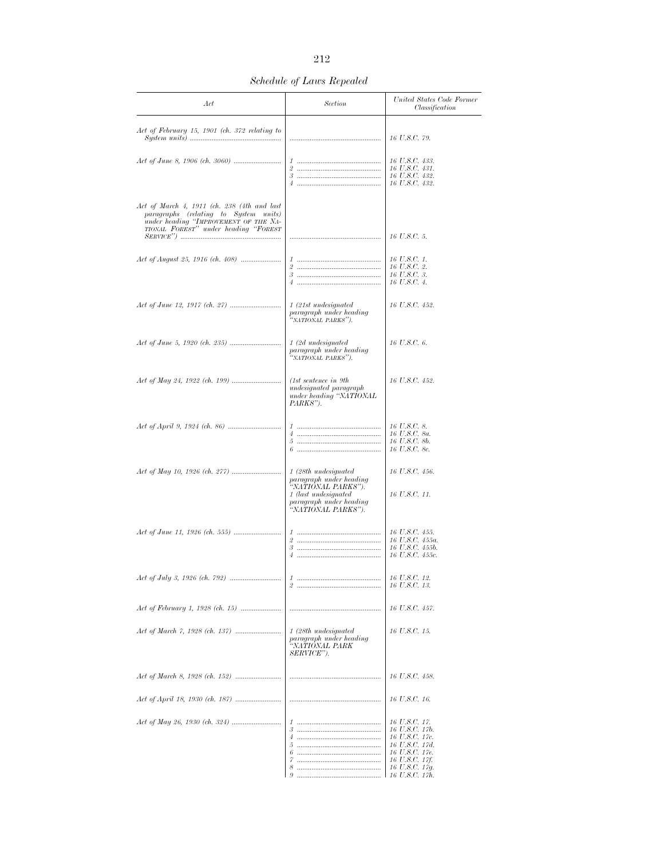| Act                                                                                                                                                                                          | Section                                                                                                                                         | United States Code Former<br>Classification                             |
|----------------------------------------------------------------------------------------------------------------------------------------------------------------------------------------------|-------------------------------------------------------------------------------------------------------------------------------------------------|-------------------------------------------------------------------------|
| Act of February 15, 1901 (ch. 372 relating to                                                                                                                                                |                                                                                                                                                 | 16 U.S.C. 79.                                                           |
|                                                                                                                                                                                              |                                                                                                                                                 | 16 U.S.C. 433.<br>16 U.S.C. 431.<br>16 U.S.C. 432.<br>16 U.S.C. 432.    |
| Act of March 4, 1911 (ch. 238 (4th and last<br>$para graphs$ $\ (relating$ $\$ $to$ $\ \ System$ $\ units)$<br>under heading "IMPROVEMENT OF THE NA-<br>TIONAL FOREST" under heading "FOREST |                                                                                                                                                 | 16 U.S.C. 5.                                                            |
|                                                                                                                                                                                              |                                                                                                                                                 | 16 U.S.C. 1.<br>16 U.S.C. 2.<br>16 U.S.C. 3.<br>16 U.S.C. 4.            |
|                                                                                                                                                                                              | 1 (21st undesignated<br>paragraph under heading<br>"NATIONAL PARKS").                                                                           | 16 U.S.C. 452.                                                          |
|                                                                                                                                                                                              | $1(2d$ undesignated<br>paragraph under heading<br>"NATIONAL PARKS").                                                                            | 16 U.S.C. 6.                                                            |
|                                                                                                                                                                                              | (1st sentence in 9th<br>undesignated paragraph<br>under heading "NATIONAL<br>PARKS").                                                           | 16 U.S.C. 452.                                                          |
|                                                                                                                                                                                              |                                                                                                                                                 | 16 U.S.C. 8.<br>16 U.S.C. 8a.<br>16 U.S.C. 8b.<br>16 U.S.C. 8c.         |
|                                                                                                                                                                                              | 1 (28th undesignated<br>paragraph under heading<br>"NATIONAL PARKS").<br>1 (last undesignated<br>paragraph under heading<br>'NATIÓNAL PARKS''). | 16 U.S.C. 456.<br>16 U.S.C. 11.                                         |
|                                                                                                                                                                                              |                                                                                                                                                 | 16 U.S.C. 455.<br>16 U.S.C. 455a.<br>16 U.S.C. 455b.<br>16 U.S.C. 455c. |
|                                                                                                                                                                                              |                                                                                                                                                 | 16 U.S.C. 12.<br>16 U.S.C. 13.                                          |
|                                                                                                                                                                                              |                                                                                                                                                 | 16 U.S.C. 457.                                                          |
|                                                                                                                                                                                              | 1 (28th undesignated<br>paragraph under heading<br>'NATIONAL PARK<br>SERVICE").                                                                 | 16 U.S.C. 15.                                                           |
|                                                                                                                                                                                              |                                                                                                                                                 | 16 U.S.C. 458.                                                          |

*Act of April 18, 1930 (ch. 187) ......................... .................................................. 16 U.S.C. 16.*

*Act of May 26, 1930 (ch. 324) ........................... <sup>1</sup> .............................................. 16 U.S.C. 17. <sup>3</sup> .............................................. 16 U.S.C. 17b. <sup>4</sup> .............................................. 16 U.S.C. 17c. <sup>5</sup> .............................................. 16 U.S.C. 17d. <sup>6</sup> .............................................. 16 U.S.C. 17e. <sup>7</sup> .............................................. 16 U.S.C. 17f. <sup>8</sup> .............................................. 16 U.S.C. 17g. <sup>9</sup> .............................................. 16 U.S.C. 17h.*

### *Schedule of Laws Repealed*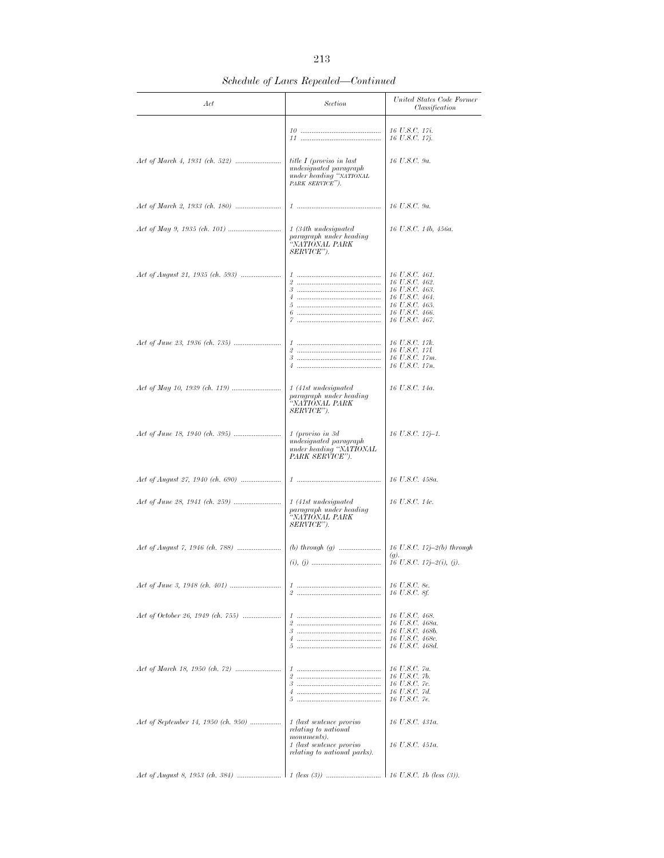| Act                                 | Section                                                                                                                            | United States Code Former<br>Classification                                                                                |
|-------------------------------------|------------------------------------------------------------------------------------------------------------------------------------|----------------------------------------------------------------------------------------------------------------------------|
|                                     |                                                                                                                                    | 16 U.S.C. 17i.<br>16 U.S.C. 17j.                                                                                           |
|                                     | title $I$ (proviso in last<br>undesignated paragraph<br>under heading "NATIONAL<br>PARK SERVICE").                                 | 16 U.S.C. 9a.                                                                                                              |
|                                     |                                                                                                                                    | 16 U.S.C. 9a.                                                                                                              |
|                                     | 1 (34th undesignated<br>paragraph under heading<br>"NATIONAL PARK<br>SERVICE").                                                    | 16 U.S.C. 14b, 456a.                                                                                                       |
|                                     |                                                                                                                                    | 16 U.S.C. 461.<br>16 U.S.C. 462.<br>16 U.S.C. 463.<br>16 U.S.C. 464.<br>16 U.S.C. 465.<br>16 U.S.C. 466.<br>16 U.S.C. 467. |
|                                     |                                                                                                                                    | 16 U.S.C. 17k.<br>16 U.S.C. 171.<br>16 U.S.C. 17m.<br>16 U.S.C. 17n.                                                       |
|                                     | 1 (41st undesignated<br>paragraph under heading<br>"NATIONAL PARK<br>SERVICE").                                                    | 16 U.S.C. 14a.                                                                                                             |
|                                     | $1$ (proviso in 3d<br>undesignated paragraph<br>under heading "NATIONAL<br>PARK SERVICE").                                         | 16 U.S.C. 17j-1.                                                                                                           |
|                                     |                                                                                                                                    | 16 U.S.C. 458a.                                                                                                            |
|                                     | 1 (41st undesignated<br>paragraph under heading<br>"NATIONAL PARK<br>SERVICE").                                                    | 16 U.S.C. 14c.                                                                                                             |
|                                     |                                                                                                                                    | 16 U.S.C. $17j-2(b)$ through<br>$(q)$ .<br>16 U.S.C. 17j-2(i), (j).                                                        |
|                                     |                                                                                                                                    | 16 U.S.C. 8e.<br>16 U.S.C. 8f.                                                                                             |
|                                     |                                                                                                                                    | 16 U.S.C. 468.<br>16 U.S.C. 468a.<br>16 U.S.C. 468b.<br>16 U.S.C. 468c.<br>16 U.S.C. 468d.                                 |
|                                     |                                                                                                                                    | 16 U.S.C. 7a.<br>16 U.S.C. 7b.<br>16 U.S.C. 7c.<br>16 U.S.C. 7d.<br>16 U.S.C. 7e.                                          |
| Act of September 14, 1950 (ch. 950) | 1 (last sentence proviso<br><i>relating to national</i><br>monuments).<br>1 (last sentence proviso<br>relating to national parks). | 16 U.S.C. 431a.<br>16 U.S.C. 451a.                                                                                         |
|                                     |                                                                                                                                    | 16 U.S.C. 1b (less $(3)$ ).                                                                                                |

# *Schedule of Laws Repealed—Continued*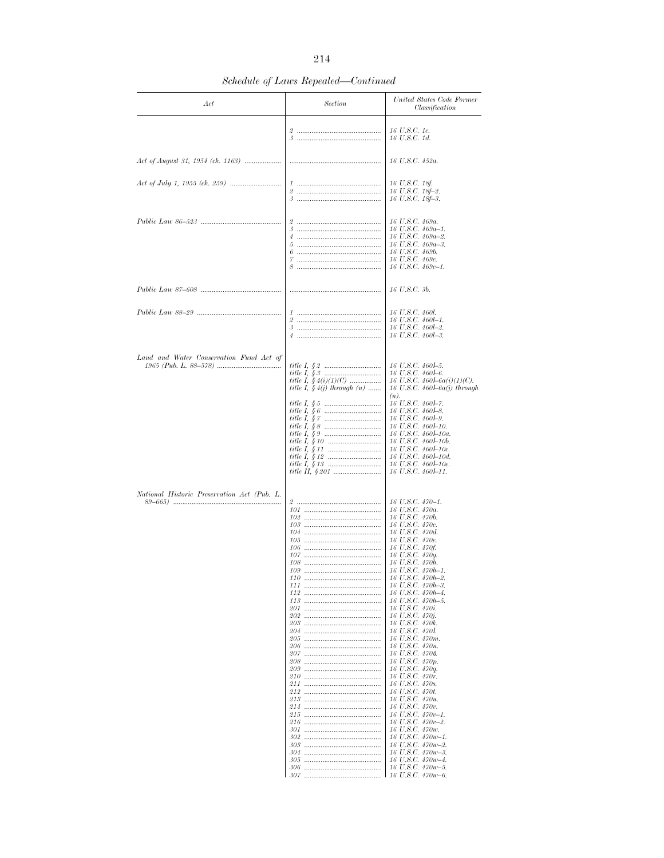| Act                                         | Section                         | United States Code Former<br>Classification                                                                                                                                                                                                                                                                                                                                                                                                                                                                                                                                                                                                                                                                                      |
|---------------------------------------------|---------------------------------|----------------------------------------------------------------------------------------------------------------------------------------------------------------------------------------------------------------------------------------------------------------------------------------------------------------------------------------------------------------------------------------------------------------------------------------------------------------------------------------------------------------------------------------------------------------------------------------------------------------------------------------------------------------------------------------------------------------------------------|
|                                             |                                 | 16 U.S.C. 1c.<br>16 U.S.C. 1d.                                                                                                                                                                                                                                                                                                                                                                                                                                                                                                                                                                                                                                                                                                   |
|                                             |                                 | 16 U.S.C. 452a.                                                                                                                                                                                                                                                                                                                                                                                                                                                                                                                                                                                                                                                                                                                  |
|                                             |                                 | 16 U.S.C. 18f.<br>16 U.S.C. 18f–2.<br>16 U.S.C. 18f-3.                                                                                                                                                                                                                                                                                                                                                                                                                                                                                                                                                                                                                                                                           |
|                                             | 5                               | 16 U.S.C. 469a.<br>16 U.S.C. 469a-1.<br>16 U.S.C. 469a-2.<br>16 U.S.C. 469a-3.<br>16 U.S.C. 469b.<br>16 U.S.C. 469c.<br>16 U.S.C. 469c-1.                                                                                                                                                                                                                                                                                                                                                                                                                                                                                                                                                                                        |
|                                             |                                 | 16 U.S.C. 3b.                                                                                                                                                                                                                                                                                                                                                                                                                                                                                                                                                                                                                                                                                                                    |
|                                             |                                 | 16 U.S.C. 460l.<br>16 U.S.C. 460l-1.<br>16 U.S.C. 460l-2.<br>16 U.S.C. 460l-3.                                                                                                                                                                                                                                                                                                                                                                                                                                                                                                                                                                                                                                                   |
| Land and Water Conservation Fund Act of     | title I, $§ 4(j)$ through $(n)$ | 16 U.S.C. 4601-5.<br>16 U.S.C. 460–6.<br>16 U.S.C. $460 - 6a(i)(1)(C)$ .<br>16 U.S.C. $460 - 6a(i)$ through<br>$(n)$ .<br>16 U.S.C. 460-7.<br>16 U.S.C. 4601-8.<br>16 U.S.C. 460–9.<br>16 U.S.C. 460-10.<br>16 U.S.C. 460-10a.<br>16 U.S.C. 460–10b.<br>16 U.S.C. 460-10c.<br>16 U.S.C. 460-10d.<br>16 U.S.C. 460-10e.<br>16 U.S.C. 460-11.                                                                                                                                                                                                                                                                                                                                                                                      |
| National Historic Preservation Act (Pub. L. | 110                             | 16 U.S.C. 470-1.<br>16 U.S.C. 470a.<br>16 U.S.C. 470b.<br>16 U.S.C. 470c.<br>16 U.S.C. 470d.<br>16 U.S.C. 470e.<br>16 U.S.C. 470f.<br>16 U.S.C. 470a.<br>16 U.S.C. 470h.<br>16 U.S.C. 470h-1.<br>16 U.S.C. 470h-2<br>16 U.S.C. 470h-3.<br>16 U.S.C. 470h-4.<br>16 U.S.C. 470h-5.<br>16 U.S.C. 470i.<br>16 U.S.C. 470j.<br>16 U.S.C. 470k.<br>16 U.S.C. 470l.<br>16 U.S.C. 470m.<br>16 U.S.C. 470n.<br>16 U.S.C. 4700.<br>16 U.S.C. 470p.<br>16 U.S.C. 470q.<br>16 U.S.C. 470r.<br>16 U.S.C. 470s.<br>16 U.S.C. 470t.<br>16 U.S.C. 470u.<br>16 U.S.C. 470v.<br>16 U.S.C. 470v-1.<br>16 U.S.C. 470v-2.<br>16 U.S.C. 470w.<br>16 U.S.C. 470w-1.<br>16 U.S.C. 470w-2.<br>16 U.S.C. 470w-3.<br>16 U.S.C. 470w-4.<br>16 U.S.C. 470w-5. |

# $\label{thm:1} \textit{Scheduling of Laws Repeated—Continued}$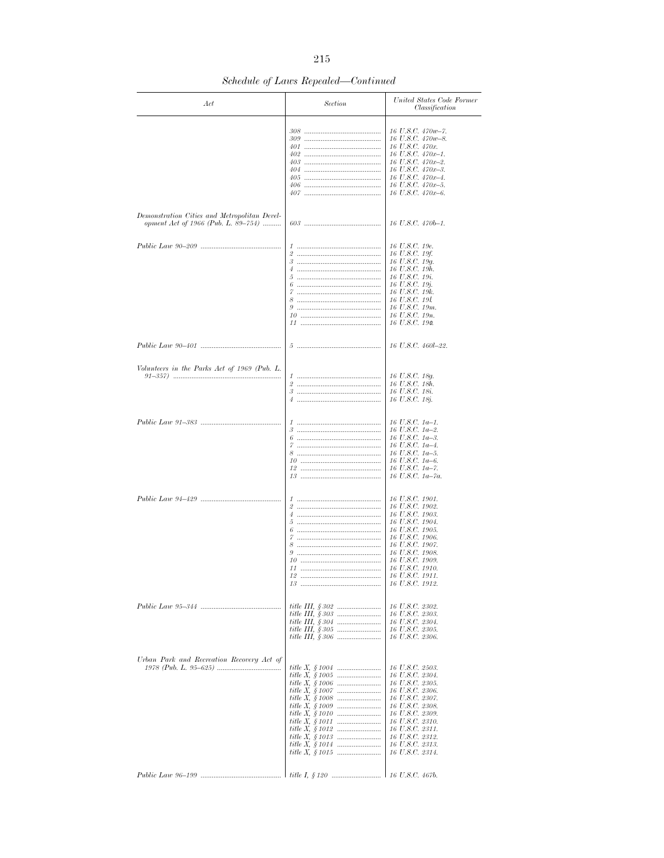| Act                                                                                 | <b>Section</b>                                                                                                                                                                                                                                                                               | United States Code Former<br>Classification                                                                                                                                                                                             |
|-------------------------------------------------------------------------------------|----------------------------------------------------------------------------------------------------------------------------------------------------------------------------------------------------------------------------------------------------------------------------------------------|-----------------------------------------------------------------------------------------------------------------------------------------------------------------------------------------------------------------------------------------|
|                                                                                     |                                                                                                                                                                                                                                                                                              | 16 U.S.C. 470w-7.<br>16 U.S.C. 470w-8.<br>16 U.S.C. 470x.<br>16 U.S.C. 470x-1.<br>16 U.S.C. 470x-2.<br>16 U.S.C. 470x-3.<br>16 U.S.C. 470x-4.<br>16 U.S.C. 470x-5.<br>16 U.S.C. 470x-6.                                                 |
| Demonstration Cities and Metropolitan Devel-<br>opment Act of 1966 (Pub. L. 89–754) |                                                                                                                                                                                                                                                                                              | 16 U.S.C. 470b-1.                                                                                                                                                                                                                       |
|                                                                                     |                                                                                                                                                                                                                                                                                              | 16 U.S.C. 19e.<br>16 U.S.C. 19f.<br>16 U.S.C. 19g.<br>16 U.S.C. 19h.<br>16 U.S.C. 19i.<br>16 U.S.C. 19j.<br>16 U.S.C. 19k.<br>16 U.S.C. 19l.<br>16 U.S.C. 19m.<br>16 U.S.C. 19n.<br>16 U.S.C. 190.                                      |
|                                                                                     |                                                                                                                                                                                                                                                                                              | 16 U.S.C. 460l-22.                                                                                                                                                                                                                      |
| Volunteers in the Parks Act of 1969 (Pub. L.                                        |                                                                                                                                                                                                                                                                                              | 16 U.S.C. 18g.<br>16 U.S.C. 18h.<br>16 U.S.C. 18i.<br>16 U.S.C. 18j.                                                                                                                                                                    |
|                                                                                     |                                                                                                                                                                                                                                                                                              | 16 U.S.C. 1a-1.<br>16 U.S.C. 1a-2.<br>16 U.S.C. 1a-3.<br>16 U.S.C. 1a-4.<br>16 U.S.C. 1a-5.<br>16 U.S.C. 1a-6.<br>16 U.S.C. 1a-7.<br>16 U.S.C. 1a-7a.                                                                                   |
|                                                                                     |                                                                                                                                                                                                                                                                                              | 16 U.S.C. 1901.<br>16 U.S.C. 1902.<br>16 U.S.C. 1903.<br>16 U.S.C. 1904.<br>16 U.S.C. 1905.<br>16 U.S.C. 1906.<br>16 U.S.C. 1907.<br>16 U.S.C. 1908.<br>16 U.S.C. 1909.<br>16 U.S.C. 1910.<br>16 U.S.C. 1911.<br>16 U.S.C. 1912.        |
|                                                                                     |                                                                                                                                                                                                                                                                                              | 16 U.S.C. 2302.<br>16 U.S.C. 2303.<br>16 U.S.C. 2304.<br>16 U.S.C. 2305.<br>16 U.S.C. 2306.                                                                                                                                             |
| Urban Park and Recreation Recovery Act of                                           | <i>title X, \\$1004 </i><br><i>title X, <math>\$1006</math> </i><br><i>title X, \\$1007 </i><br><i>title X, <math>\$1008</math> </i><br><i>title X, \\$1009 </i><br><i>title X, \\$1011 </i><br><i>title X, \\$1012 </i><br><i>title X, <math>\$1013</math> </i><br><i>title X, \\$1014 </i> | 16 U.S.C. 2503.<br>16 U.S.C. 2304.<br>16 U.S.C. 2305.<br>16 U.S.C. 2306.<br>16 U.S.C. 2307.<br>16 U.S.C. 2308.<br><i>16 U.S.C. 2309.</i><br>16 U.S.C. 2310.<br>16 U.S.C. 2311.<br>16 U.S.C. 2312.<br>16 U.S.C. 2313.<br>16 U.S.C. 2314. |
|                                                                                     |                                                                                                                                                                                                                                                                                              | 16 U.S.C. 467b.                                                                                                                                                                                                                         |

 $\label{thm:1} \textit{Scheduling of Laws Repeated—Continued}$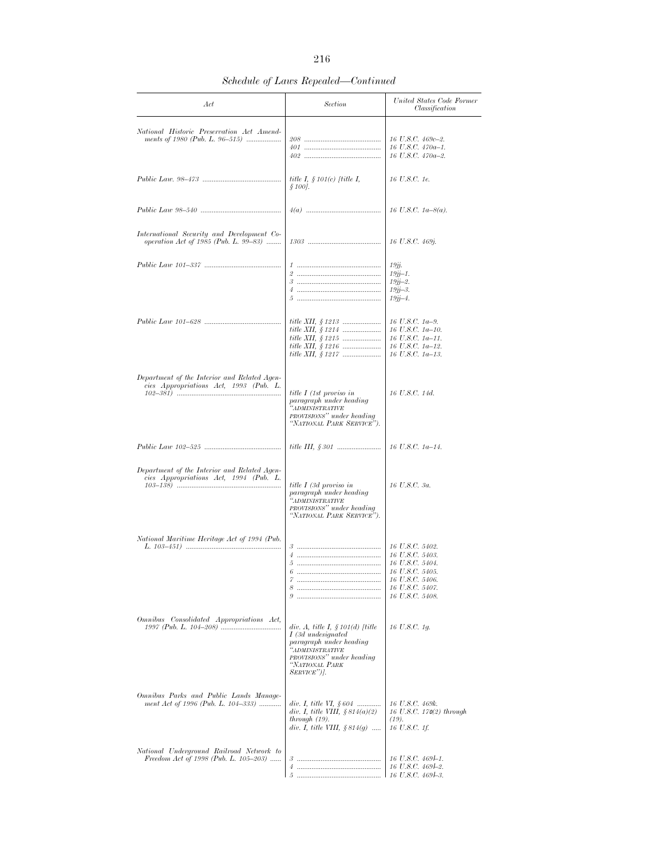| Act                                                                                    | Section                                                                                                                                                                        | United States Code Former<br>Classification                                                                                       |
|----------------------------------------------------------------------------------------|--------------------------------------------------------------------------------------------------------------------------------------------------------------------------------|-----------------------------------------------------------------------------------------------------------------------------------|
| National Historic Preservation Act Amend-                                              |                                                                                                                                                                                | 16 U.S.C. 469c-2.<br>16 U.S.C. 470a-1.<br>16 U.S.C. 470a-2.                                                                       |
|                                                                                        | title I, $$101(c)$ [title I,<br>$$100$ .                                                                                                                                       | 16 U.S.C. 1e.                                                                                                                     |
|                                                                                        |                                                                                                                                                                                | $16$ U.S.C. $1a-8(a)$ .                                                                                                           |
| International Security and Development Co-<br>operation Act of 1985 (Pub. L. 99-83)    |                                                                                                                                                                                | 16 U.S.C. 469j.                                                                                                                   |
|                                                                                        |                                                                                                                                                                                | 19jj.<br>$19j - 1.$<br>$19jj - 2.$<br>$19jj - 3.$<br>$19j - 4.$                                                                   |
|                                                                                        | $title~XII,~$1214~$                                                                                                                                                            | 16 U.S.C. 1a-9.<br>16 U.S.C. 1a-10.<br>16 U.S.C. 1a-11.<br>16 U.S.C. 1a-12.<br>16 U.S.C. 1a-13.                                   |
| Department of the Interior and Related Agen-<br>cies Appropriations Act, 1993 (Pub. L. | title $I$ (1st proviso in<br>paragraph under heading<br><i>ADMINISTRATIVE</i><br>PROVISIONS" under heading<br>"NATIONAL PARK SERVICE").                                        | 16 U.S.C. 14d.                                                                                                                    |
|                                                                                        |                                                                                                                                                                                | 16 U.S.C. 1a-14.                                                                                                                  |
| Department of the Interior and Related Agen-<br>cies Appropriations Act, 1994 (Pub. L. | title $I$ (3d proviso in<br>paragraph under heading<br><i>ADMINISTRATIVE</i><br>PROVISIONS" under heading<br>"NATIONAL PARK SERVICE").                                         | 16 U.S.C. 3a.                                                                                                                     |
| National Maritime Heritage Act of 1994 (Pub.                                           |                                                                                                                                                                                | 16 U.S.C. 5402.<br>16 U.S.C. 5403.<br>16 U.S.C. 5404.<br>16 U.S.C. 5405.<br>16 U.S.C. 5406.<br>16 U.S.C. 5407.<br>16 U.S.C. 5408. |
| Omnibus Consolidated Appropriations Act,                                               | div. A, title I, $$101(d)$ [title<br>$I$ (3d undesignated<br>paragraph under heading<br><i>ADMINISTRATIVE</i><br>PROVISIONS" under heading<br>"NATIONAL PARK<br>$SERVICE$ ")]. | 16 U.S.C. 1g.                                                                                                                     |
| Omnibus Parks and Public Lands Manage-<br>ment Act of 1996 (Pub. L. 104–333)           | div. I, title VI, $§ 604$<br>div. I, title VIII, $§ 814(a)(2)$<br>through (19).<br>div. I, title VIII, $§ 814(q)$                                                              | 16 U.S.C. 469k.<br>16 U.S.C. 170(2) through<br>$(19)$ .<br>16 U.S.C. 1f.                                                          |
| National Underground Railroad Network to<br>Freedom Act of 1998 (Pub. L. 105-203)      |                                                                                                                                                                                | 16 U.S.C. 469-1.<br>16 U.S.C. 469–2.<br>16 U.S.C. 4691-3.                                                                         |

# *Schedule of Laws Repealed—Continued*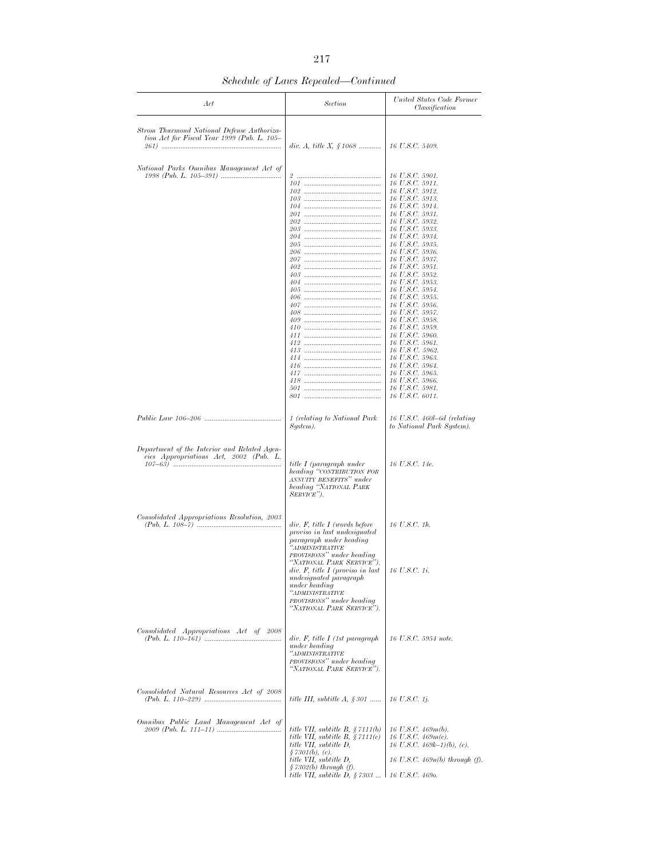| Act                                                                                       | Section                                                                                                                                                                                                                                                                                                                                  | United States Code Former<br>Classification                                                                                                                                                                                                                                                                                                                                                                                                                                                                                                                                            |
|-------------------------------------------------------------------------------------------|------------------------------------------------------------------------------------------------------------------------------------------------------------------------------------------------------------------------------------------------------------------------------------------------------------------------------------------|----------------------------------------------------------------------------------------------------------------------------------------------------------------------------------------------------------------------------------------------------------------------------------------------------------------------------------------------------------------------------------------------------------------------------------------------------------------------------------------------------------------------------------------------------------------------------------------|
| Strom Thurmond National Defense Authoriza-<br>tion Act for Fiscal Year 1999 (Pub. L. 105– | div. A, title $X, \, \S 1068$                                                                                                                                                                                                                                                                                                            | 16 U.S.C. 5409.                                                                                                                                                                                                                                                                                                                                                                                                                                                                                                                                                                        |
| National Parks Omnibus Management Act of                                                  |                                                                                                                                                                                                                                                                                                                                          | 16 U.S.C. 5901.<br>16 U.S.C. 5911.<br>16 U.S.C. 5912.<br>16 U.S.C. 5913.<br>16 U.S.C. 5914.<br>16 U.S.C. 5931.<br>16 U.S.C. 5932.<br>16 U.S.C. 5933.<br>16 U.S.C. 5934.<br>16 U.S.C. 5935.<br>16 U.S.C. 5936.<br>16 U.S.C. 5937.<br>16 U.S.C. 5951.<br>16 U.S.C. 5952.<br>16 U.S.C. 5953.<br>16 U.S.C. 5954.<br>16 U.S.C. 5955.<br>16 U.S.C. 5956.<br>16 U.S.C. 5957.<br>16 U.S.C. 5958.<br>16 U.S.C. 5959.<br>16 U.S.C. 5960.<br>16 U.S.C. 5961.<br>16 U.S C. 5962.<br>16 U.S.C. 5963.<br>16 U.S.C. 5964.<br>16 U.S.C. 5965.<br>16 U.S.C. 5966.<br>16 U.S.C. 5981.<br>16 U.S.C. 6011. |
|                                                                                           | 1 (relating to National Park<br>System).                                                                                                                                                                                                                                                                                                 | 16 U.S.C. 460l–6d (relating<br>to National Park System).                                                                                                                                                                                                                                                                                                                                                                                                                                                                                                                               |
| Department of the Interior and Related Agen-<br>cies Appropriations Act, 2002 (Pub. L.    | title I (paragraph under<br>heading "CONTRIBUTION FOR<br>ANNUITY BENEFITS" under<br>heading "NATIONAL PARK<br>SERVICE").                                                                                                                                                                                                                 | 16 U.S.C. 14e.                                                                                                                                                                                                                                                                                                                                                                                                                                                                                                                                                                         |
| Consolidated Appropriations Resolution, 2003                                              | $div.$ F, title I (words before<br>proviso in last undesignated<br>paragraph under heading<br>'ADMINISTRATIVE<br>PROVISIONS" under heading<br>"NATIONAL PARK SERVICE").<br>$div. F,$ title I (proviso in last<br>$undesignated\ paragraph$<br>under heading<br>"ADMINISTRATIVE<br>PROVISIONS" under heading<br>"NATIONAL PARK SERVICE"). | 16 U.S.C. 1h.<br>16 U.S.C. 1i.                                                                                                                                                                                                                                                                                                                                                                                                                                                                                                                                                         |
| Consolidated Appropriations Act of 2008                                                   | $div. F.$ title I (1st paragraph)<br>under heading<br>"ADMINISTRATIVE<br>PROVISIONS" under heading<br>"NATIONAL PARK SERVICE").                                                                                                                                                                                                          | 16 U.S.C. 5954 note.                                                                                                                                                                                                                                                                                                                                                                                                                                                                                                                                                                   |
| Consolidated Natural Resources Act of 2008                                                | title III, subtitle $A, \, \$301$                                                                                                                                                                                                                                                                                                        | 16 U.S.C. 1j.                                                                                                                                                                                                                                                                                                                                                                                                                                                                                                                                                                          |
| Omnibus Public Land Management Act of                                                     | title VII, subtitle B, $\S 7111(b)$<br>title VII, subtitle B, $\S 7111(c)$<br>title VII, subtitle D,<br>\$7301(b), (c).<br>title VII, subtitle D,<br>$$7302(b)$ through (f).<br>title VII, subtitle $D, \, \, \S$ 7303                                                                                                                   | 16 U.S.C. 469m(b).<br>16 U.S.C. 469m(c).<br>16 U.S.C. $469k-1$ (b), (c).<br>16 U.S.C. 469n(b) through (f).<br>16 U.S.C. 4690.                                                                                                                                                                                                                                                                                                                                                                                                                                                          |

## *Schedule of Laws Repealed—Continued*